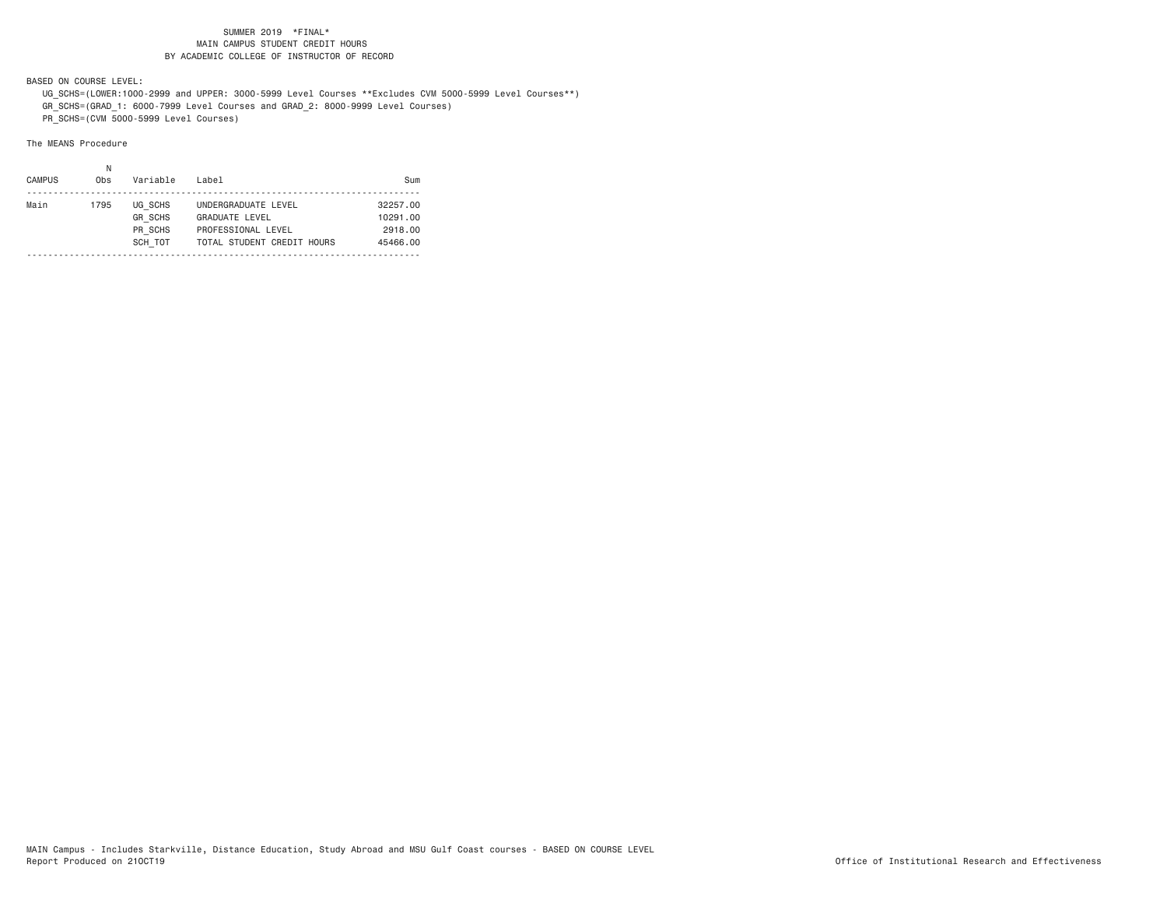BASED ON COURSE LEVEL:

 UG\_SCHS=(LOWER:1000-2999 and UPPER: 3000-5999 Level Courses \*\*Excludes CVM 5000-5999 Level Courses\*\*) GR\_SCHS=(GRAD\_1: 6000-7999 Level Courses and GRAD\_2: 8000-9999 Level Courses)

PR\_SCHS=(CVM 5000-5999 Level Courses)

| <b>CAMPUS</b> | Ν<br>0 <sub>bs</sub> | Variable                                        | Label                                                                                            | Sum                                         |
|---------------|----------------------|-------------------------------------------------|--------------------------------------------------------------------------------------------------|---------------------------------------------|
| Main          | 1795                 | UG SCHS<br><b>GR SCHS</b><br>PR SCHS<br>SCH TOT | UNDERGRADUATE LEVEL<br><b>GRADUATE LEVEL</b><br>PROFESSIONAL LEVEL<br>TOTAL STUDENT CREDIT HOURS | 32257.00<br>10291.00<br>2918.00<br>45466.00 |
|               |                      |                                                 |                                                                                                  |                                             |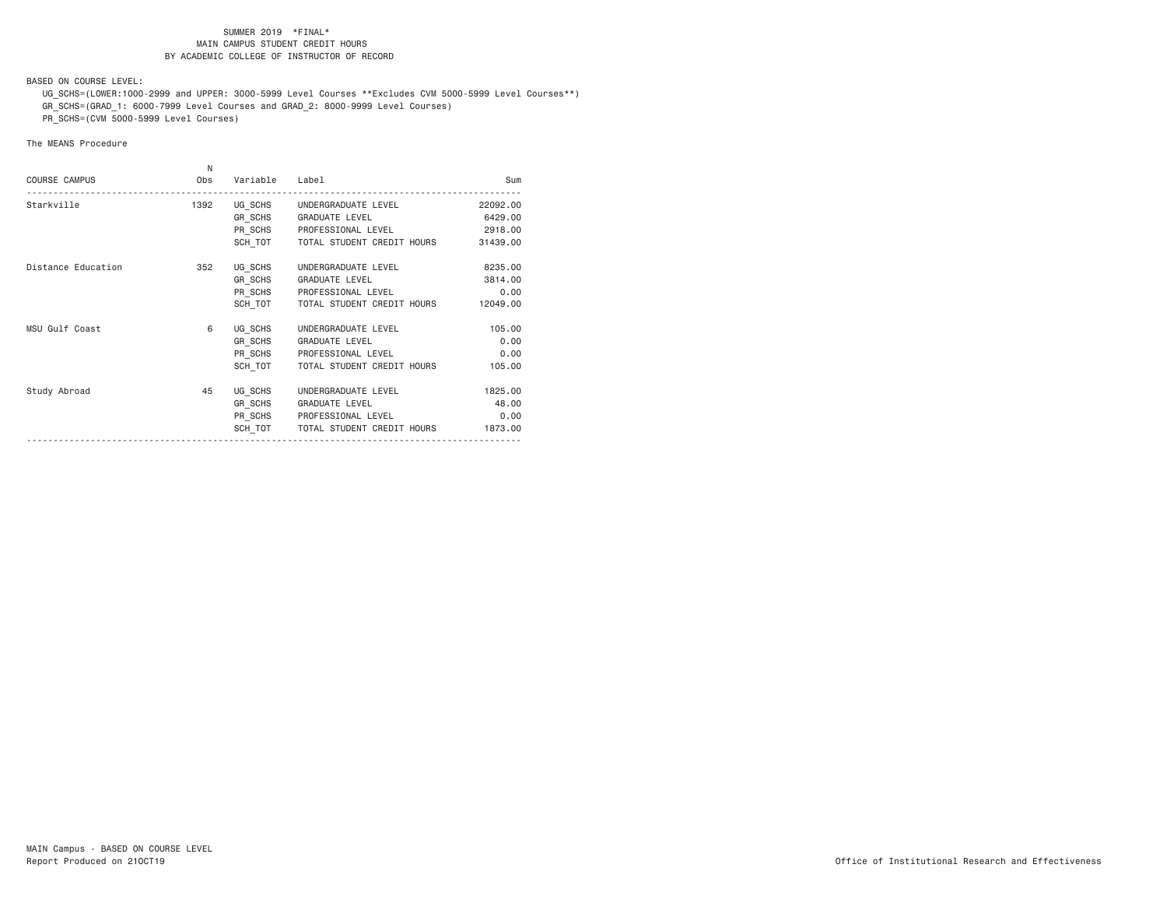BASED ON COURSE LEVEL:

 UG\_SCHS=(LOWER:1000-2999 and UPPER: 3000-5999 Level Courses \*\*Excludes CVM 5000-5999 Level Courses\*\*) GR\_SCHS=(GRAD\_1: 6000-7999 Level Courses and GRAD\_2: 8000-9999 Level Courses)

PR\_SCHS=(CVM 5000-5999 Level Courses)

| <b>COURSE CAMPUS</b> | N<br>Obs | Variable | Label                                | Sum      |
|----------------------|----------|----------|--------------------------------------|----------|
| Starkville           | 1392     |          | UG SCHS UNDERGRADUATE LEVEL          | 22092.00 |
|                      |          |          | GR SCHS GRADUATE LEVEL               | 6429.00  |
|                      |          |          | PR_SCHS PROFESSIONAL LEVEL           | 2918.00  |
|                      |          |          | SCH TOT   TOTAL STUDENT CREDIT HOURS | 31439.00 |
| Distance Education   | 352      | UG SCHS  | UNDERGRADUATE LEVEL                  | 8235.00  |
|                      |          |          | GR SCHS GRADUATE LEVEL               | 3814.00  |
|                      |          |          | PR SCHS PROFESSIONAL LEVEL           | 0.00     |
|                      |          | SCH TOT  | TOTAL STUDENT CREDIT HOURS           | 12049.00 |
| MSU Gulf Coast       | 6        | UG SCHS  | UNDERGRADUATE LEVEL                  | 105.00   |
|                      |          |          | GR_SCHS GRADUATE LEVEL               | 0.00     |
|                      |          |          | PR SCHS PROFESSIONAL LEVEL           | 0.00     |
|                      |          |          | SCH TOT   TOTAL STUDENT CREDIT HOURS | 105.00   |
| Study Abroad         | 45       | UG SCHS  | UNDERGRADUATE LEVEL                  | 1825.00  |
|                      |          | GR SCHS  | <b>GRADUATE LEVEL</b>                | 48.00    |
|                      |          |          | PR SCHS PROFESSIONAL LEVEL           | 0.00     |
|                      |          | SCH TOT  | TOTAL STUDENT CREDIT HOURS           | 1873.00  |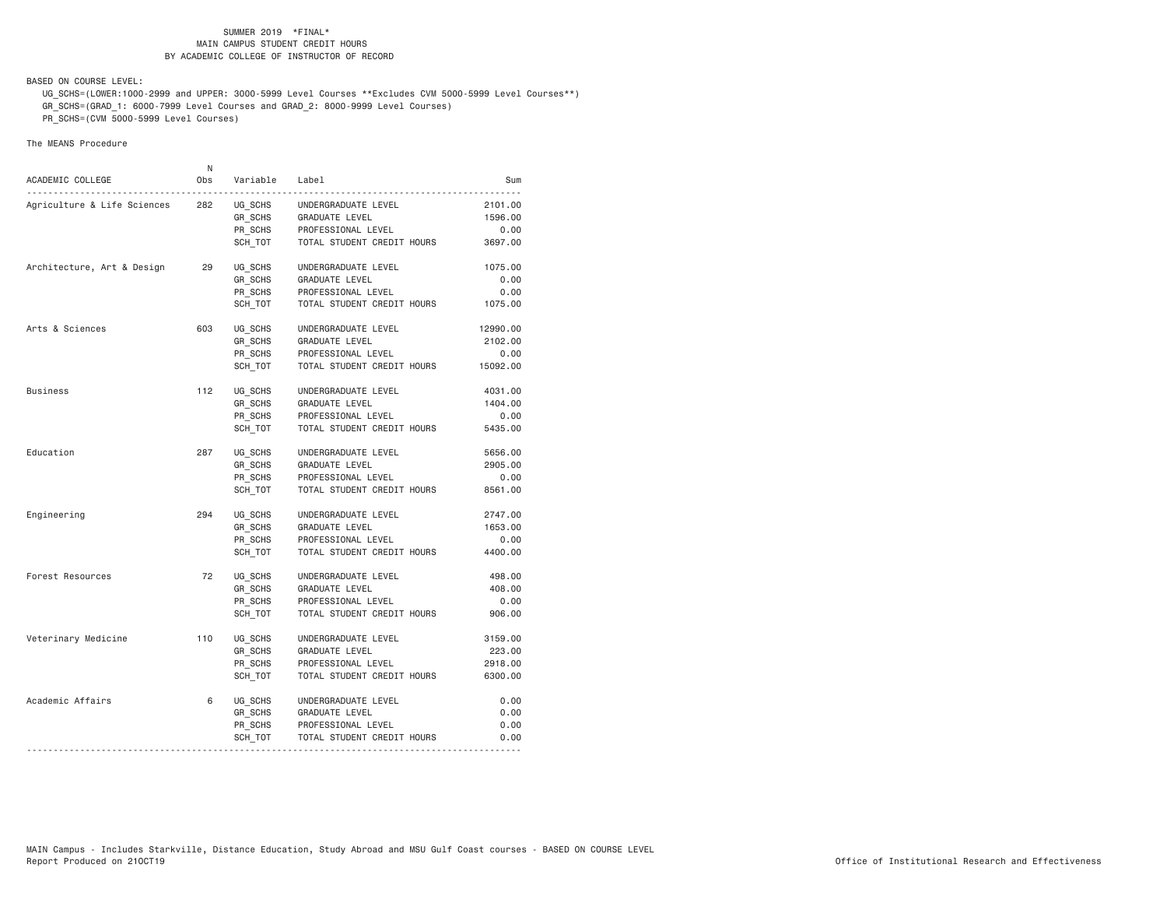BASED ON COURSE LEVEL:

 UG\_SCHS=(LOWER:1000-2999 and UPPER: 3000-5999 Level Courses \*\*Excludes CVM 5000-5999 Level Courses\*\*) GR\_SCHS=(GRAD\_1: 6000-7999 Level Courses and GRAD\_2: 8000-9999 Level Courses)

PR\_SCHS=(CVM 5000-5999 Level Courses)

| ACADEMIC COLLEGE                 | N<br>0bs | Variable | Label                      | Sum      |
|----------------------------------|----------|----------|----------------------------|----------|
| .<br>Agriculture & Life Sciences | 282      | UG_SCHS  | UNDERGRADUATE LEVEL        | 2101.00  |
|                                  |          | GR SCHS  | GRADUATE LEVEL             | 1596.00  |
|                                  |          | PR SCHS  | PROFESSIONAL LEVEL         | 0.00     |
|                                  |          | SCH TOT  | TOTAL STUDENT CREDIT HOURS | 3697.00  |
| Architecture, Art & Design       | 29       | UG SCHS  | UNDERGRADUATE LEVEL        | 1075.00  |
|                                  |          | GR_SCHS  | GRADUATE LEVEL             | 0.00     |
|                                  |          | PR SCHS  | PROFESSIONAL LEVEL         | 0.00     |
|                                  |          | SCH TOT  | TOTAL STUDENT CREDIT HOURS | 1075.00  |
| Arts & Sciences                  | 603      | UG SCHS  | UNDERGRADUATE LEVEL        | 12990.00 |
|                                  |          | GR SCHS  | GRADUATE LEVEL             | 2102.00  |
|                                  |          | PR SCHS  | PROFESSIONAL LEVEL         | 0.00     |
|                                  |          | SCH TOT  | TOTAL STUDENT CREDIT HOURS | 15092.00 |
| <b>Business</b>                  | 112      | UG SCHS  | UNDERGRADUATE LEVEL        | 4031.00  |
|                                  |          | GR SCHS  | GRADUATE LEVEL             | 1404.00  |
|                                  |          | PR SCHS  | PROFESSIONAL LEVEL         | 0.00     |
|                                  |          | SCH TOT  | TOTAL STUDENT CREDIT HOURS | 5435.00  |
| Education                        | 287      | UG SCHS  | UNDERGRADUATE LEVEL        | 5656.00  |
|                                  |          | GR SCHS  | GRADUATE LEVEL             | 2905.00  |
|                                  |          | PR SCHS  | PROFESSIONAL LEVEL         | 0.00     |
|                                  |          | SCH TOT  | TOTAL STUDENT CREDIT HOURS | 8561.00  |
| Engineering                      | 294      | UG SCHS  | UNDERGRADUATE LEVEL        | 2747.00  |
|                                  |          | GR SCHS  | GRADUATE LEVEL             | 1653.00  |
|                                  |          | PR_SCHS  | PROFESSIONAL LEVEL         | 0.00     |
|                                  |          | SCH_TOT  | TOTAL STUDENT CREDIT HOURS | 4400.00  |
| Forest Resources                 | 72       | UG SCHS  | UNDERGRADUATE LEVEL        | 498.00   |
|                                  |          | GR SCHS  | GRADUATE LEVEL             | 408.00   |
|                                  |          | PR SCHS  | PROFESSIONAL LEVEL         | 0.00     |
|                                  |          | SCH TOT  | TOTAL STUDENT CREDIT HOURS | 906.00   |
| Veterinary Medicine              | 110      | UG SCHS  | UNDERGRADUATE LEVEL        | 3159.00  |
|                                  |          | GR SCHS  | <b>GRADUATE LEVEL</b>      | 223.00   |
|                                  |          | PR SCHS  | PROFESSIONAL LEVEL         | 2918.00  |
|                                  |          | SCH TOT  | TOTAL STUDENT CREDIT HOURS | 6300.00  |
| Academic Affairs                 | 6        | UG_SCHS  | UNDERGRADUATE LEVEL        | 0.00     |
|                                  |          | GR_SCHS  | GRADUATE LEVEL             | 0.00     |
|                                  |          | PR SCHS  | PROFESSIONAL LEVEL         | 0.00     |
|                                  |          | SCH_TOT  | TOTAL STUDENT CREDIT HOURS | 0.00     |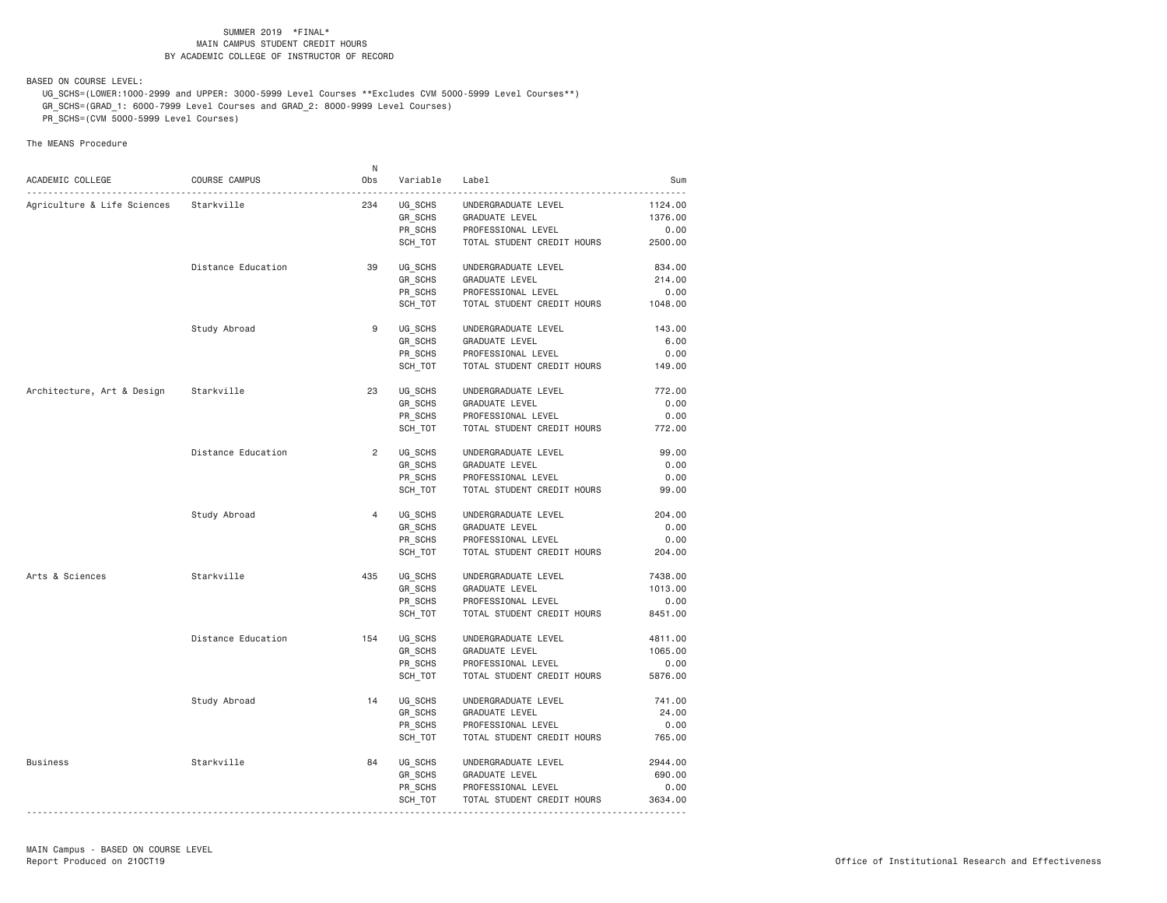BASED ON COURSE LEVEL:

 UG\_SCHS=(LOWER:1000-2999 and UPPER: 3000-5999 Level Courses \*\*Excludes CVM 5000-5999 Level Courses\*\*) GR\_SCHS=(GRAD\_1: 6000-7999 Level Courses and GRAD\_2: 8000-9999 Level Courses)

PR\_SCHS=(CVM 5000-5999 Level Courses)

|                             |                    | N              |          |                                       |         |
|-----------------------------|--------------------|----------------|----------|---------------------------------------|---------|
| ACADEMIC COLLEGE            | COURSE CAMPUS      | Obs            | Variable | Label                                 | Sum     |
|                             | Starkville         | 234            | UG SCHS  |                                       | 1124.00 |
| Agriculture & Life Sciences |                    |                | GR_SCHS  | UNDERGRADUATE LEVEL<br>GRADUATE LEVEL | 1376.00 |
|                             |                    |                | PR SCHS  | PROFESSIONAL LEVEL                    | 0.00    |
|                             |                    |                | SCH_TOT  | TOTAL STUDENT CREDIT HOURS            | 2500.00 |
|                             |                    |                |          |                                       |         |
|                             | Distance Education | 39             | UG SCHS  | UNDERGRADUATE LEVEL                   | 834.00  |
|                             |                    |                | GR_SCHS  | GRADUATE LEVEL                        | 214.00  |
|                             |                    |                | PR SCHS  | PROFESSIONAL LEVEL                    | 0.00    |
|                             |                    |                | SCH_TOT  | TOTAL STUDENT CREDIT HOURS            | 1048.00 |
|                             |                    | 9              |          |                                       |         |
|                             | Study Abroad       |                | UG_SCHS  | UNDERGRADUATE LEVEL                   | 143.00  |
|                             |                    |                | GR SCHS  | GRADUATE LEVEL                        | 6.00    |
|                             |                    |                | PR_SCHS  | PROFESSIONAL LEVEL                    | 0.00    |
|                             |                    |                | SCH_TOT  | TOTAL STUDENT CREDIT HOURS            | 149.00  |
| Architecture, Art & Design  | Starkville         | 23             | UG SCHS  | UNDERGRADUATE LEVEL                   | 772.00  |
|                             |                    |                | GR SCHS  | GRADUATE LEVEL                        | 0.00    |
|                             |                    |                | PR SCHS  | PROFESSIONAL LEVEL                    | 0.00    |
|                             |                    |                | SCH_TOT  | TOTAL STUDENT CREDIT HOURS            | 772.00  |
|                             |                    |                |          |                                       |         |
|                             | Distance Education | $\overline{2}$ | UG SCHS  | UNDERGRADUATE LEVEL                   | 99.00   |
|                             |                    |                | GR SCHS  | GRADUATE LEVEL                        | 0.00    |
|                             |                    |                | PR SCHS  | PROFESSIONAL LEVEL                    | 0.00    |
|                             |                    |                | SCH TOT  | TOTAL STUDENT CREDIT HOURS            | 99.00   |
|                             | Study Abroad       | $\overline{4}$ | UG SCHS  | UNDERGRADUATE LEVEL                   | 204.00  |
|                             |                    |                | GR_SCHS  | GRADUATE LEVEL                        | 0.00    |
|                             |                    |                | PR SCHS  | PROFESSIONAL LEVEL                    | 0.00    |
|                             |                    |                | SCH TOT  | TOTAL STUDENT CREDIT HOURS            | 204.00  |
|                             |                    |                |          |                                       |         |
| Arts & Sciences             | Starkville         | 435            | UG SCHS  | UNDERGRADUATE LEVEL                   | 7438.00 |
|                             |                    |                | GR_SCHS  | GRADUATE LEVEL                        | 1013.00 |
|                             |                    |                | PR SCHS  | PROFESSIONAL LEVEL                    | 0.00    |
|                             |                    |                | SCH TOT  | TOTAL STUDENT CREDIT HOURS            | 8451.00 |
|                             | Distance Education | 154            | UG SCHS  | UNDERGRADUATE LEVEL                   | 4811.00 |
|                             |                    |                | GR_SCHS  | <b>GRADUATE LEVEL</b>                 | 1065.00 |
|                             |                    |                | PR SCHS  | PROFESSIONAL LEVEL                    | 0.00    |
|                             |                    |                | SCH_TOT  | TOTAL STUDENT CREDIT HOURS            | 5876.00 |
|                             |                    |                |          |                                       |         |
|                             | Study Abroad       | 14             | UG_SCHS  | UNDERGRADUATE LEVEL                   | 741.00  |
|                             |                    |                | GR_SCHS  | GRADUATE LEVEL                        | 24.00   |
|                             |                    |                | PR SCHS  | PROFESSIONAL LEVEL                    | 0.00    |
|                             |                    |                | SCH_TOT  | TOTAL STUDENT CREDIT HOURS            | 765.00  |
| <b>Business</b>             | Starkville         | 84             | UG_SCHS  | UNDERGRADUATE LEVEL                   | 2944.00 |
|                             |                    |                | GR_SCHS  | GRADUATE LEVEL                        | 690.00  |
|                             |                    |                | PR SCHS  | PROFESSIONAL LEVEL                    | 0.00    |
|                             |                    |                | SCH_TOT  | TOTAL STUDENT CREDIT HOURS            | 3634.00 |
|                             |                    |                |          |                                       |         |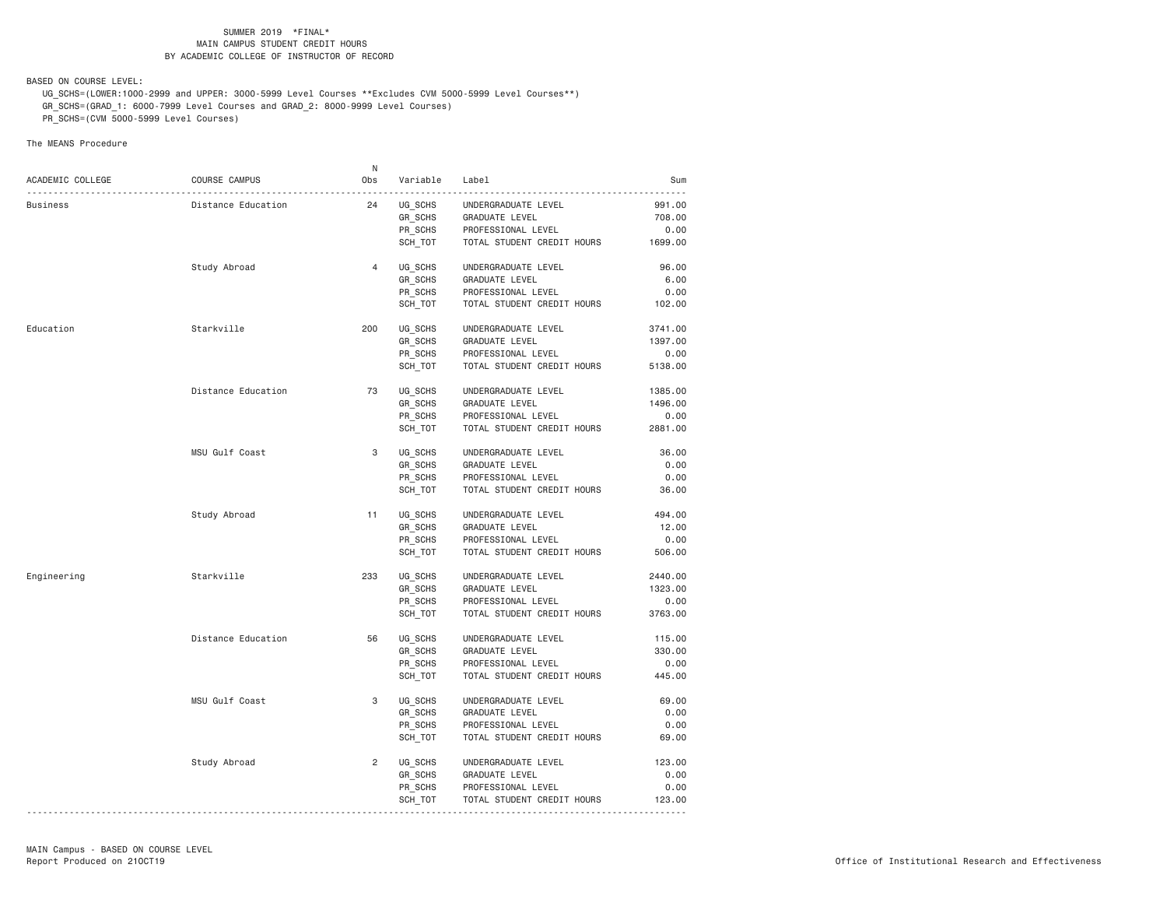BASED ON COURSE LEVEL:

 UG\_SCHS=(LOWER:1000-2999 and UPPER: 3000-5999 Level Courses \*\*Excludes CVM 5000-5999 Level Courses\*\*) GR\_SCHS=(GRAD\_1: 6000-7999 Level Courses and GRAD\_2: 8000-9999 Level Courses)

PR\_SCHS=(CVM 5000-5999 Level Courses)

|                  |                    | N              |          |                            |         |
|------------------|--------------------|----------------|----------|----------------------------|---------|
| ACADEMIC COLLEGE | COURSE CAMPUS      | Obs            | Variable | Label                      | Sum     |
| Business         | Distance Education | 24             | UG SCHS  | UNDERGRADUATE LEVEL        | 991.00  |
|                  |                    |                | GR_SCHS  | GRADUATE LEVEL             | 708.00  |
|                  |                    |                | PR SCHS  | PROFESSIONAL LEVEL         | 0.00    |
|                  |                    |                | SCH_TOT  | TOTAL STUDENT CREDIT HOURS | 1699.00 |
|                  |                    |                |          |                            |         |
|                  | Study Abroad       | 4              | UG SCHS  | UNDERGRADUATE LEVEL        | 96.00   |
|                  |                    |                | GR SCHS  | GRADUATE LEVEL             | 6.00    |
|                  |                    |                | PR_SCHS  | PROFESSIONAL LEVEL         | 0.00    |
|                  |                    |                | SCH TOT  | TOTAL STUDENT CREDIT HOURS | 102.00  |
| Education        | Starkville         | 200            | UG_SCHS  | UNDERGRADUATE LEVEL        | 3741.00 |
|                  |                    |                | GR SCHS  | GRADUATE LEVEL             | 1397.00 |
|                  |                    |                | PR_SCHS  | PROFESSIONAL LEVEL         | 0.00    |
|                  |                    |                | SCH TOT  | TOTAL STUDENT CREDIT HOURS | 5138.00 |
|                  |                    |                |          |                            |         |
|                  | Distance Education | 73             | UG SCHS  | UNDERGRADUATE LEVEL        | 1385.00 |
|                  |                    |                | GR_SCHS  | GRADUATE LEVEL             | 1496.00 |
|                  |                    |                | PR SCHS  | PROFESSIONAL LEVEL         | 0.00    |
|                  |                    |                | SCH_TOT  | TOTAL STUDENT CREDIT HOURS | 2881.00 |
|                  | MSU Gulf Coast     | 3              | UG SCHS  | UNDERGRADUATE LEVEL        | 36.00   |
|                  |                    |                | GR_SCHS  | <b>GRADUATE LEVEL</b>      | 0.00    |
|                  |                    |                | PR SCHS  | PROFESSIONAL LEVEL         | 0.00    |
|                  |                    |                | SCH_TOT  | TOTAL STUDENT CREDIT HOURS | 36.00   |
|                  |                    |                |          |                            |         |
|                  | Study Abroad       | 11             | UG_SCHS  | UNDERGRADUATE LEVEL        | 494.00  |
|                  |                    |                | GR_SCHS  | GRADUATE LEVEL             | 12.00   |
|                  |                    |                | PR_SCHS  | PROFESSIONAL LEVEL         | 0.00    |
|                  |                    |                | SCH_TOT  | TOTAL STUDENT CREDIT HOURS | 506.00  |
| Engineering      | Starkville         | 233            | UG_SCHS  | UNDERGRADUATE LEVEL        | 2440.00 |
|                  |                    |                | GR SCHS  | GRADUATE LEVEL             | 1323.00 |
|                  |                    |                | PR_SCHS  | PROFESSIONAL LEVEL         | 0.00    |
|                  |                    |                |          |                            | 3763.00 |
|                  |                    |                | SCH_TOT  | TOTAL STUDENT CREDIT HOURS |         |
|                  | Distance Education | 56             | UG SCHS  | UNDERGRADUATE LEVEL        | 115.00  |
|                  |                    |                | GR_SCHS  | GRADUATE LEVEL             | 330.00  |
|                  |                    |                | PR_SCHS  | PROFESSIONAL LEVEL         | 0.00    |
|                  |                    |                | SCH TOT  | TOTAL STUDENT CREDIT HOURS | 445.00  |
|                  | MSU Gulf Coast     | 3              | UG SCHS  | UNDERGRADUATE LEVEL        | 69.00   |
|                  |                    |                | GR_SCHS  | GRADUATE LEVEL             | 0.00    |
|                  |                    |                | PR SCHS  | PROFESSIONAL LEVEL         | 0.00    |
|                  |                    |                | SCH_TOT  | TOTAL STUDENT CREDIT HOURS | 69.00   |
|                  |                    |                |          |                            |         |
|                  | Study Abroad       | $\overline{2}$ | UG_SCHS  | UNDERGRADUATE LEVEL        | 123.00  |
|                  |                    |                | GR_SCHS  | GRADUATE LEVEL             | 0.00    |
|                  |                    |                | PR SCHS  | PROFESSIONAL LEVEL         | 0.00    |
|                  |                    |                | SCH_TOT  | TOTAL STUDENT CREDIT HOURS | 123.00  |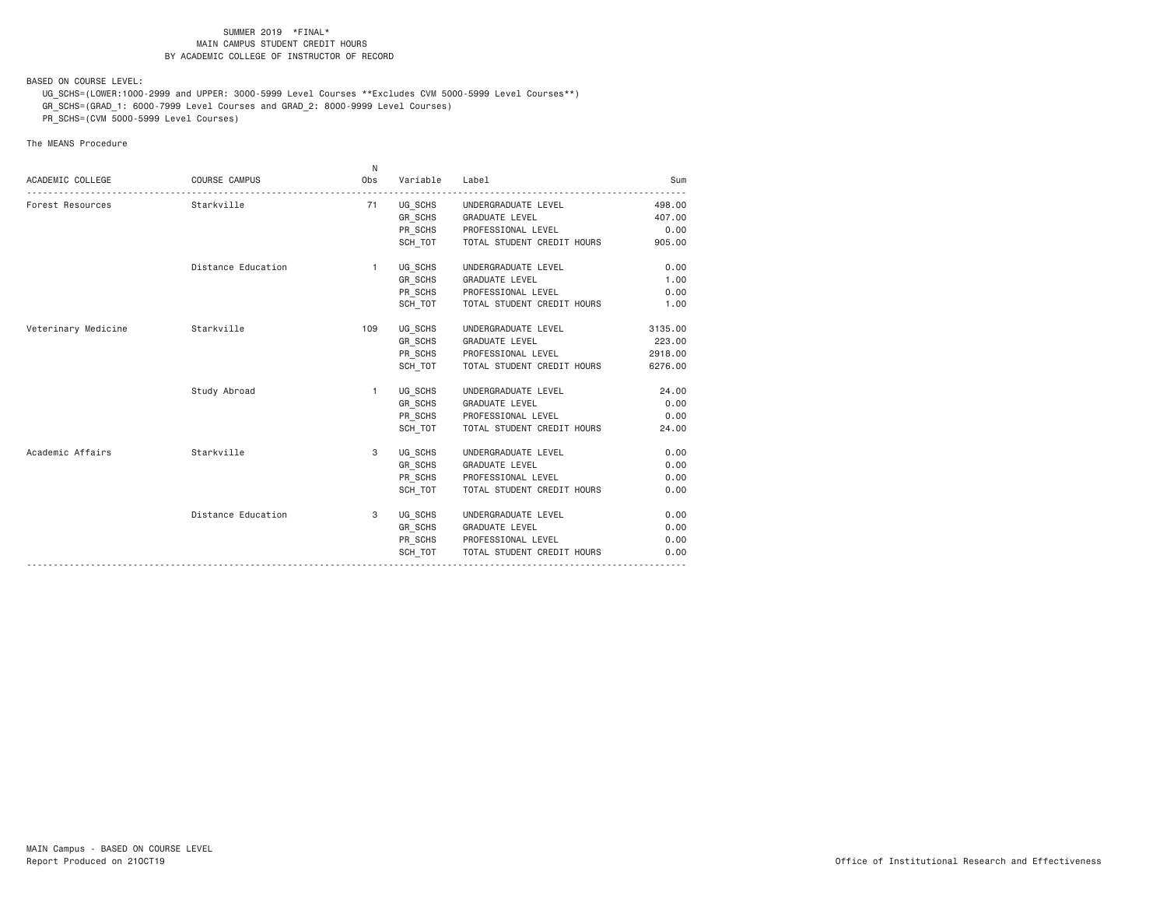BASED ON COURSE LEVEL:

 UG\_SCHS=(LOWER:1000-2999 and UPPER: 3000-5999 Level Courses \*\*Excludes CVM 5000-5999 Level Courses\*\*) GR\_SCHS=(GRAD\_1: 6000-7999 Level Courses and GRAD\_2: 8000-9999 Level Courses)

PR\_SCHS=(CVM 5000-5999 Level Courses)

| ACADEMIC COLLEGE               | <b>COURSE CAMPUS</b> | N.<br>Obs    | Variable | Label                       | Sum     |
|--------------------------------|----------------------|--------------|----------|-----------------------------|---------|
| Forest Resources<br>Starkville |                      | 71           |          | UG_SCHS UNDERGRADUATE LEVEL | 498.00  |
|                                |                      |              |          | GR_SCHS GRADUATE LEVEL      | 407.00  |
|                                |                      |              |          | PR_SCHS PROFESSIONAL LEVEL  | 0.00    |
|                                |                      |              | SCH TOT  | TOTAL STUDENT CREDIT HOURS  | 905.00  |
|                                | Distance Education   | $\mathbf{1}$ | UG_SCHS  | UNDERGRADUATE LEVEL         | 0.00    |
|                                |                      |              |          | GR_SCHS GRADUATE LEVEL      | 1.00    |
|                                |                      |              | PR_SCHS  | PROFESSIONAL LEVEL          | 0.00    |
|                                |                      |              | SCH_TOT  | TOTAL STUDENT CREDIT HOURS  | 1.00    |
| Veterinary Medicine            | Starkville           | 109          |          | UG SCHS UNDERGRADUATE LEVEL | 3135.00 |
|                                |                      |              |          | GR SCHS GRADUATE LEVEL      | 223.00  |
|                                |                      |              | PR_SCHS  | PROFESSIONAL LEVEL          | 2918.00 |
|                                |                      |              | SCH TOT  | TOTAL STUDENT CREDIT HOURS  | 6276.00 |
|                                | Study Abroad         | $\mathbf{1}$ |          | UG SCHS UNDERGRADUATE LEVEL | 24.00   |
|                                |                      |              |          | GR_SCHS GRADUATE LEVEL      | 0.00    |
|                                |                      |              | PR_SCHS  | PROFESSIONAL LEVEL          | 0.00    |
|                                |                      |              | SCH TOT  | TOTAL STUDENT CREDIT HOURS  | 24.00   |
| Academic Affairs               | Starkville           | 3            |          | UG SCHS UNDERGRADUATE LEVEL | 0.00    |
|                                |                      |              |          | GR_SCHS GRADUATE LEVEL      | 0.00    |
|                                |                      |              |          | PR SCHS PROFESSIONAL LEVEL  | 0.00    |
|                                |                      |              | SCH TOT  | TOTAL STUDENT CREDIT HOURS  | 0.00    |
|                                | Distance Education   | 3            | UG SCHS  | UNDERGRADUATE LEVEL         | 0.00    |
|                                |                      |              |          | GR_SCHS GRADUATE LEVEL      | 0.00    |
|                                |                      |              | PR SCHS  | PROFESSIONAL LEVEL          | 0.00    |
|                                |                      |              | SCH TOT  | TOTAL STUDENT CREDIT HOURS  | 0.00    |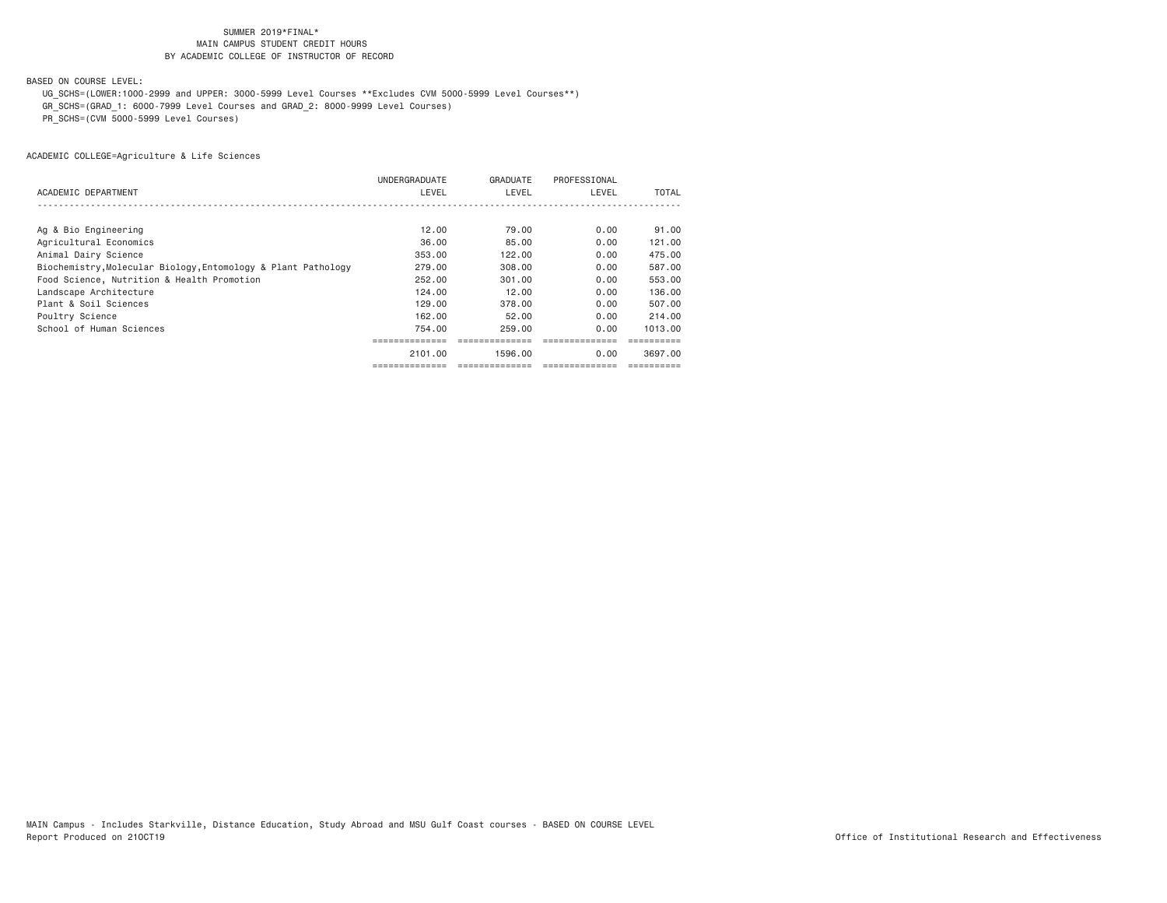BASED ON COURSE LEVEL:

UG\_SCHS=(LOWER:1000-2999 and UPPER: 3000-5999 Level Courses \*\*Excludes CVM 5000-5999 Level Courses\*\*)

GR\_SCHS=(GRAD\_1: 6000-7999 Level Courses and GRAD\_2: 8000-9999 Level Courses)

PR\_SCHS=(CVM 5000-5999 Level Courses)

|                                                               | UNDERGRADUATE | GRADUATE | PROFESSIONAL |         |
|---------------------------------------------------------------|---------------|----------|--------------|---------|
| ACADEMIC DEPARTMENT                                           | LEVEL         | LEVEL    | LEVEL        | TOTAL   |
|                                                               |               |          |              |         |
|                                                               |               |          |              |         |
| Ag & Bio Engineering                                          | 12.00         | 79.00    | 0.00         | 91.00   |
| Agricultural Economics                                        | 36,00         | 85,00    | 0.00         | 121.00  |
| Animal Dairy Science                                          | 353.00        | 122.00   | 0.00         | 475.00  |
| Biochemistry, Molecular Biology, Entomology & Plant Pathology | 279,00        | 308,00   | 0.00         | 587.00  |
| Food Science, Nutrition & Health Promotion                    | 252,00        | 301,00   | 0.00         | 553,00  |
| Landscape Architecture                                        | 124,00        | 12.00    | 0.00         | 136.00  |
| Plant & Soil Sciences                                         | 129.00        | 378.00   | 0.00         | 507.00  |
| Poultry Science                                               | 162.00        | 52.00    | 0.00         | 214,00  |
| School of Human Sciences                                      | 754.00        | 259.00   | 0.00         | 1013.00 |
|                                                               |               |          |              |         |
|                                                               | 2101.00       | 1596.00  | 0.00         | 3697.00 |
|                                                               |               |          |              |         |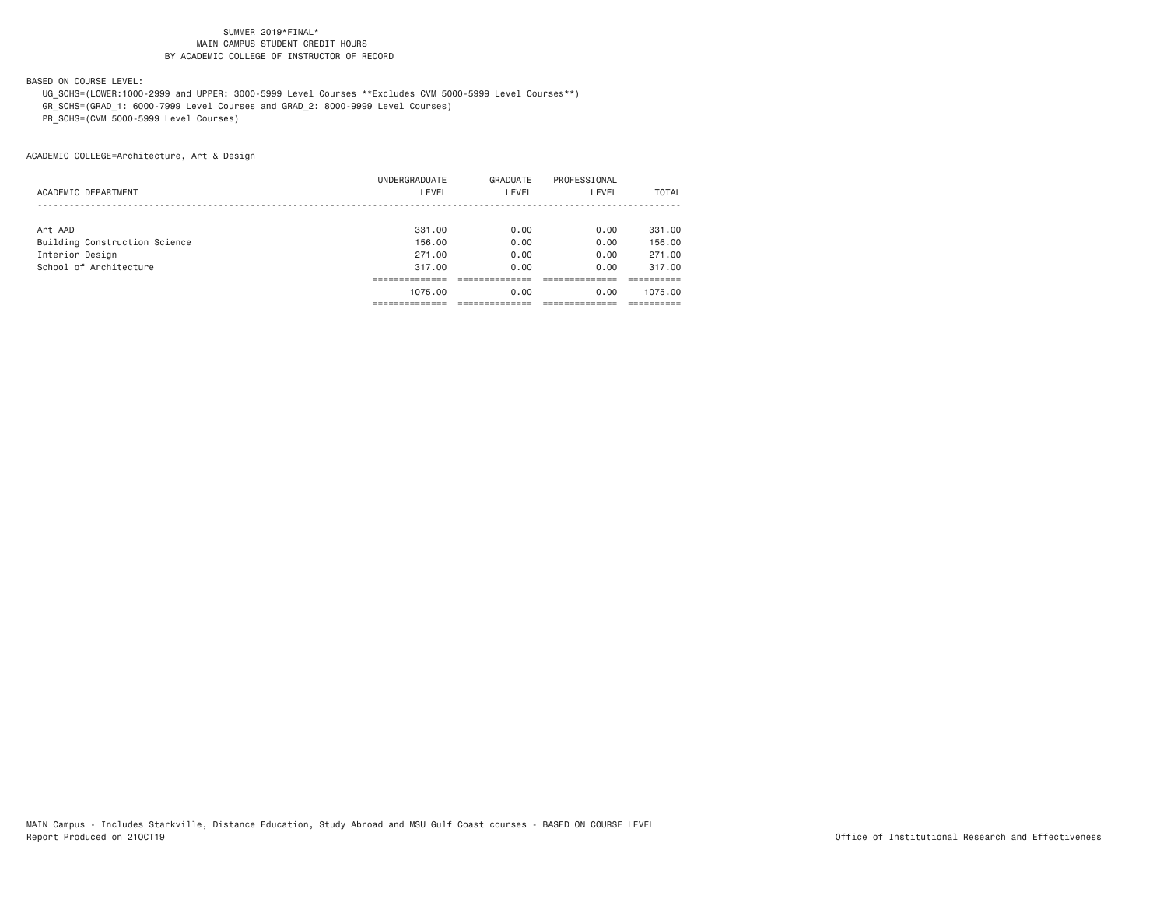BASED ON COURSE LEVEL:

 UG\_SCHS=(LOWER:1000-2999 and UPPER: 3000-5999 Level Courses \*\*Excludes CVM 5000-5999 Level Courses\*\*) GR\_SCHS=(GRAD\_1: 6000-7999 Level Courses and GRAD\_2: 8000-9999 Level Courses)

PR\_SCHS=(CVM 5000-5999 Level Courses)

|                               | UNDERGRADUATE | GRADUATE | PROFESSIONAL |              |
|-------------------------------|---------------|----------|--------------|--------------|
| ACADEMIC DEPARTMENT           | LEVEL         | LEVEL    | LEVEL        | <b>TOTAL</b> |
|                               |               |          |              |              |
| Art AAD                       | 331,00        | 0.00     | 0.00         | 331,00       |
| Building Construction Science | 156.00        | 0.00     | 0.00         | 156.00       |
| Interior Design               | 271,00        | 0.00     | 0.00         | 271,00       |
| School of Architecture        | 317.00        | 0.00     | 0.00         | 317,00       |
|                               |               |          |              |              |
|                               | 1075.00       | 0.00     | 0.00         | 1075.00      |
|                               |               |          |              |              |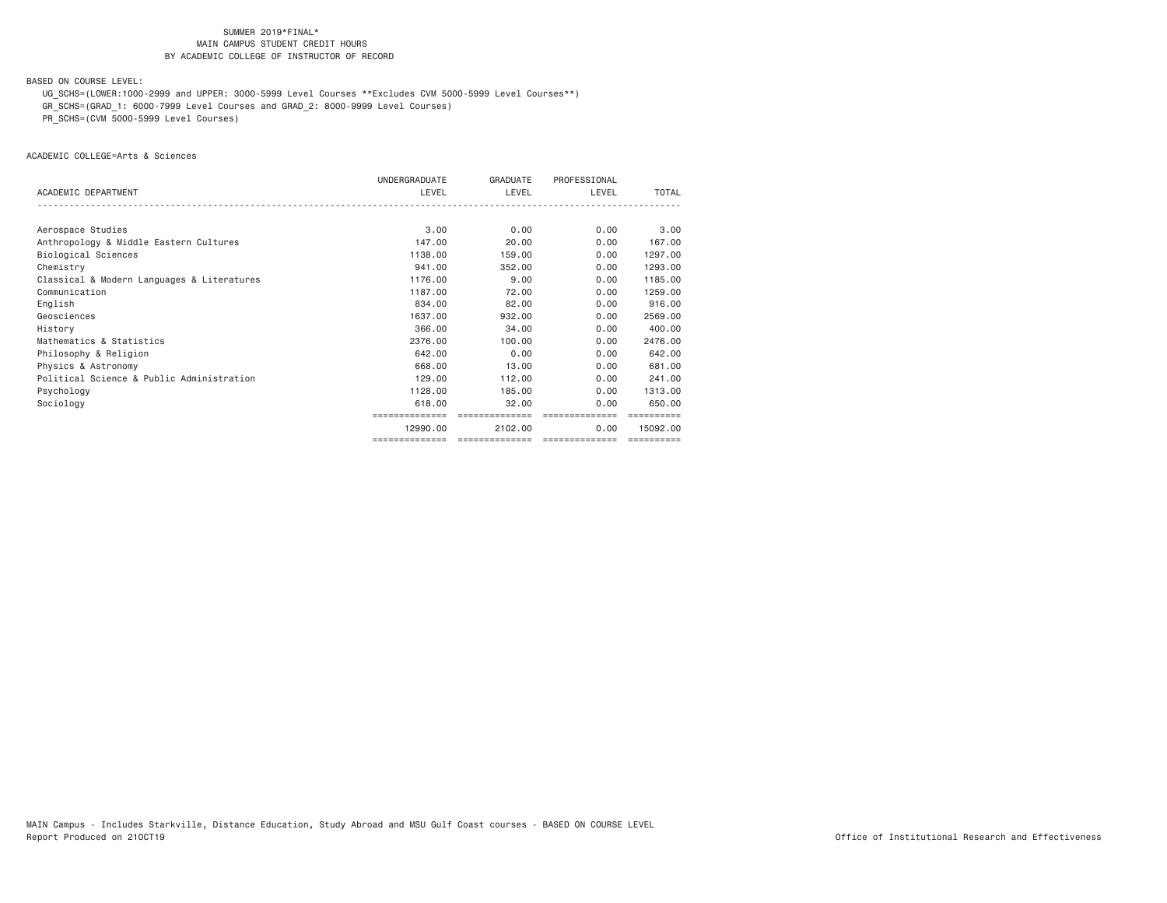BASED ON COURSE LEVEL:

UG\_SCHS=(LOWER:1000-2999 and UPPER: 3000-5999 Level Courses \*\*Excludes CVM 5000-5999 Level Courses\*\*)

GR\_SCHS=(GRAD\_1: 6000-7999 Level Courses and GRAD\_2: 8000-9999 Level Courses)

PR\_SCHS=(CVM 5000-5999 Level Courses)

ACADEMIC COLLEGE=Arts & Sciences

|                                            | UNDERGRADUATE  | GRADUATE        | PROFESSIONAL    |            |
|--------------------------------------------|----------------|-----------------|-----------------|------------|
| ACADEMIC DEPARTMENT                        | LEVEL          | LEVEL           | LEVEL           | TOTAL      |
|                                            |                |                 |                 |            |
| Aerospace Studies                          | 3.00           | 0.00            | 0.00            | 3,00       |
| Anthropology & Middle Eastern Cultures     | 147.00         | 20,00           | 0.00            | 167.00     |
| Biological Sciences                        | 1138,00        | 159,00          | 0.00            | 1297.00    |
| Chemistry                                  | 941,00         | 352,00          | 0.00            | 1293.00    |
| Classical & Modern Languages & Literatures | 1176.00        | 9.00            | 0.00            | 1185.00    |
| Communication                              | 1187,00        | 72.00           | 0.00            | 1259.00    |
| English                                    | 834,00         | 82.00           | 0.00            | 916,00     |
| Geosciences                                | 1637,00        | 932,00          | 0.00            | 2569.00    |
| History                                    | 366,00         | 34,00           | 0.00            | 400.00     |
| Mathematics & Statistics                   | 2376.00        | 100,00          | 0.00            | 2476.00    |
| Philosophy & Religion                      | 642,00         | 0.00            | 0.00            | 642.00     |
| Physics & Astronomy                        | 668,00         | 13,00           | 0.00            | 681,00     |
| Political Science & Public Administration  | 129.00         | 112,00          | 0.00            | 241.00     |
| Psychology                                 | 1128,00        | 185,00          | 0.00            | 1313.00    |
| Sociology                                  | 618,00         | 32.00           | 0.00            | 650,00     |
|                                            |                |                 |                 |            |
|                                            | 12990.00       | 2102.00         | 0.00            | 15092.00   |
|                                            | ============== | --------------- | --------------- | ========== |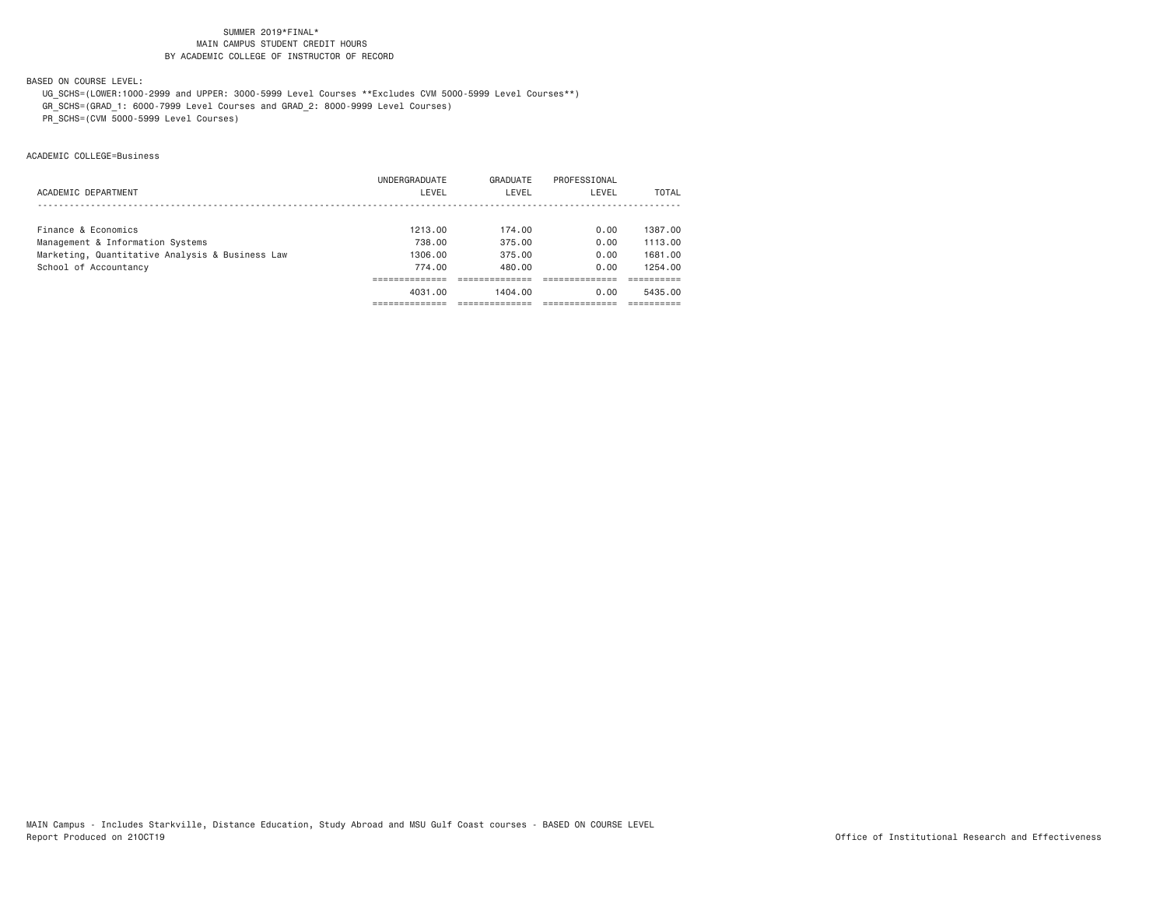BASED ON COURSE LEVEL:

UG\_SCHS=(LOWER:1000-2999 and UPPER: 3000-5999 Level Courses \*\*Excludes CVM 5000-5999 Level Courses\*\*)

GR\_SCHS=(GRAD\_1: 6000-7999 Level Courses and GRAD\_2: 8000-9999 Level Courses)

PR\_SCHS=(CVM 5000-5999 Level Courses)

ACADEMIC COLLEGE=Business

|                                                 | UNDERGRADUATE | GRADUATE | PROFESSIONAL |         |
|-------------------------------------------------|---------------|----------|--------------|---------|
| ACADEMIC DEPARTMENT                             | LEVEL         | LEVEL    | LEVEL        | TOTAL   |
|                                                 |               |          |              |         |
| Finance & Economics                             | 1213.00       | 174.00   | 0.00         | 1387.00 |
| Management & Information Systems                | 738.00        | 375.00   | 0.00         | 1113.00 |
| Marketing, Quantitative Analysis & Business Law | 1306.00       | 375.00   | 0.00         | 1681.00 |
| School of Accountancy                           | 774.00        | 480.00   | 0.00         | 1254.00 |
|                                                 |               |          |              |         |
|                                                 | 4031.00       | 1404.00  | 0.00         | 5435.00 |
|                                                 |               |          |              |         |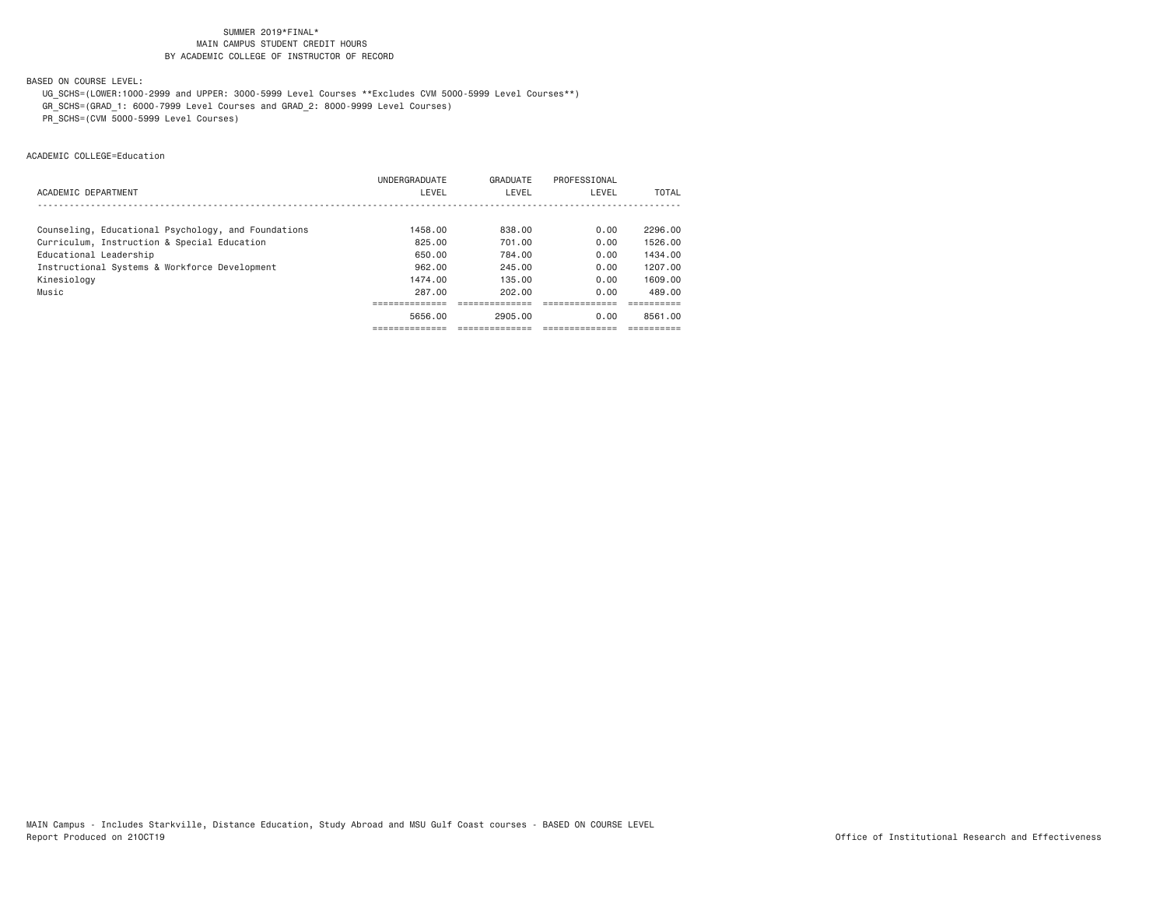BASED ON COURSE LEVEL:

UG\_SCHS=(LOWER:1000-2999 and UPPER: 3000-5999 Level Courses \*\*Excludes CVM 5000-5999 Level Courses\*\*)

GR\_SCHS=(GRAD\_1: 6000-7999 Level Courses and GRAD\_2: 8000-9999 Level Courses)

PR\_SCHS=(CVM 5000-5999 Level Courses)

ACADEMIC COLLEGE=Education

|                                                     | UNDERGRADUATE | GRADUATE | PROFESSIONAL |         |
|-----------------------------------------------------|---------------|----------|--------------|---------|
| ACADEMIC DEPARTMENT                                 | LEVEL         | LEVEL    | LEVEL        | TOTAL   |
|                                                     |               |          |              |         |
| Counseling, Educational Psychology, and Foundations | 1458.00       | 838,00   | 0.00         | 2296.00 |
| Curriculum, Instruction & Special Education         | 825.00        | 701.00   | 0.00         | 1526.00 |
| Educational Leadership                              | 650.00        | 784.00   | 0.00         | 1434.00 |
| Instructional Systems & Workforce Development       | 962.00        | 245.00   | 0.00         | 1207.00 |
| Kinesiology                                         | 1474.00       | 135.00   | 0.00         | 1609.00 |
| Music                                               | 287.00        | 202.00   | 0.00         | 489.00  |
|                                                     |               |          |              |         |
|                                                     | 5656.00       | 2905.00  | 0.00         | 8561.00 |
|                                                     |               |          |              |         |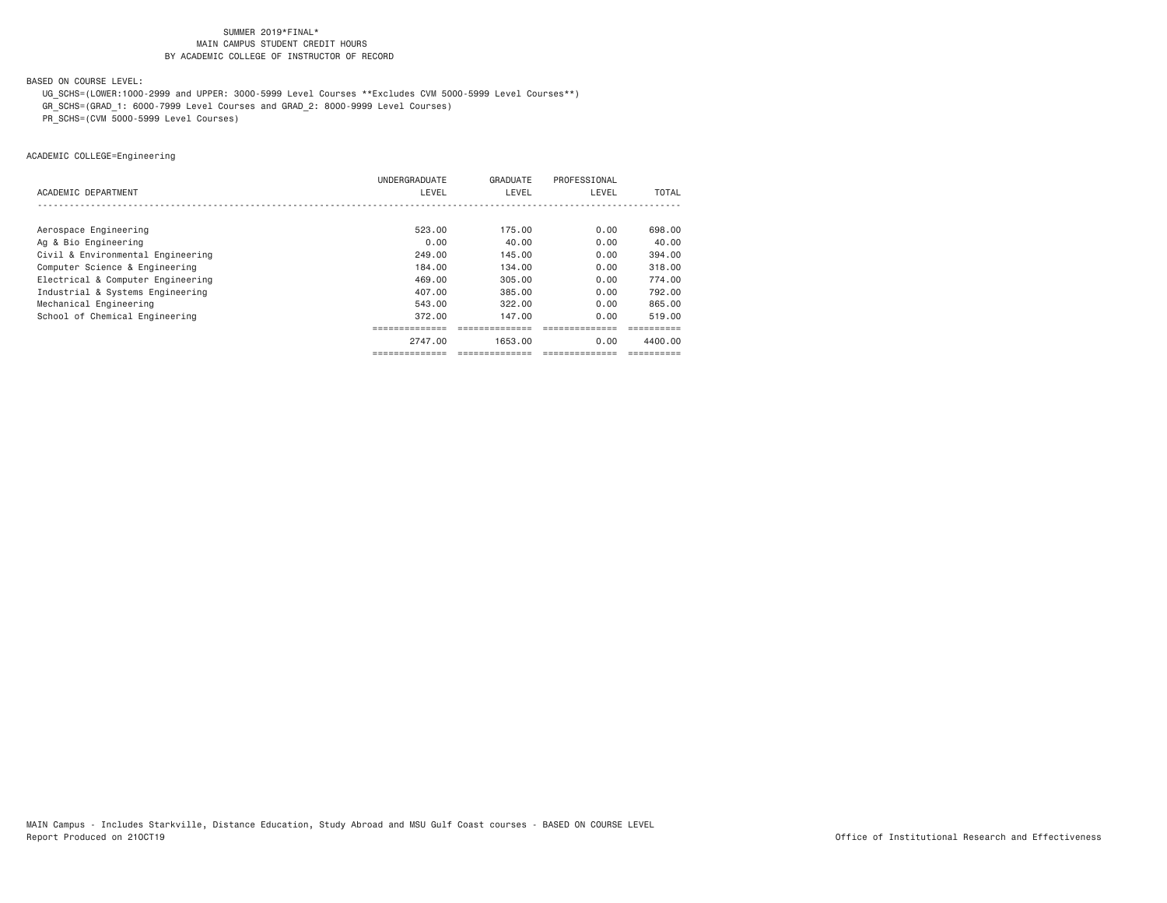BASED ON COURSE LEVEL:

UG\_SCHS=(LOWER:1000-2999 and UPPER: 3000-5999 Level Courses \*\*Excludes CVM 5000-5999 Level Courses\*\*)

GR\_SCHS=(GRAD\_1: 6000-7999 Level Courses and GRAD\_2: 8000-9999 Level Courses)

PR\_SCHS=(CVM 5000-5999 Level Courses)

ACADEMIC COLLEGE=Engineering

|                                   | UNDERGRADUATE | GRADUATE | PROFESSIONAL |         |
|-----------------------------------|---------------|----------|--------------|---------|
| ACADEMIC DEPARTMENT               | LEVEL         | LEVEL    | LEVEL        | TOTAL   |
|                                   |               |          |              |         |
| Aerospace Engineering             | 523.00        | 175.00   | 0.00         | 698,00  |
| Ag & Bio Engineering              | 0.00          | 40.00    | 0.00         | 40.00   |
| Civil & Environmental Engineering | 249.00        | 145.00   | 0.00         | 394,00  |
| Computer Science & Engineering    | 184,00        | 134.00   | 0.00         | 318,00  |
| Electrical & Computer Engineering | 469,00        | 305,00   | 0.00         | 774.00  |
| Industrial & Systems Engineering  | 407.00        | 385.00   | 0.00         | 792.00  |
| Mechanical Engineering            | 543.00        | 322.00   | 0.00         | 865,00  |
| School of Chemical Engineering    | 372.00        | 147.00   | 0.00         | 519.00  |
|                                   |               |          |              |         |
|                                   | 2747.00       | 1653.00  | 0.00         | 4400.00 |
|                                   |               |          |              |         |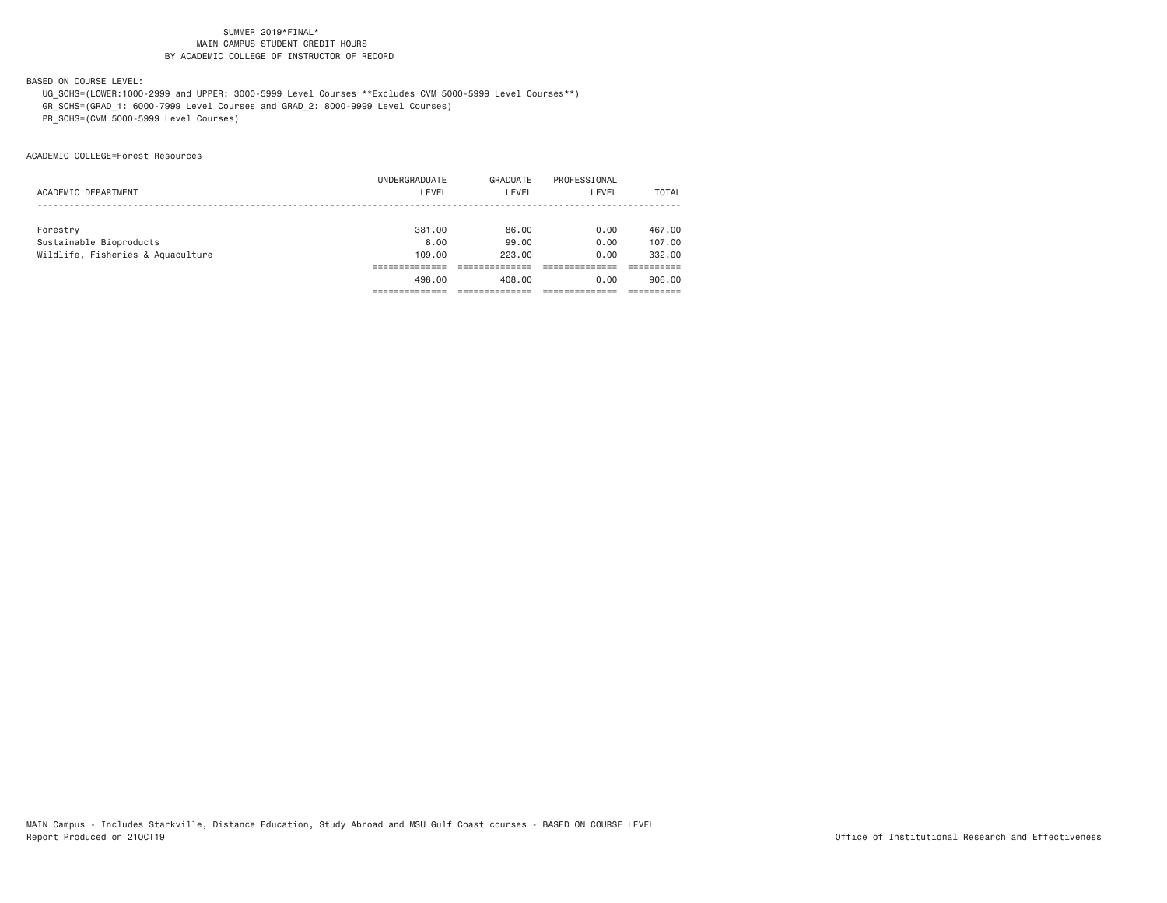BASED ON COURSE LEVEL:

 UG\_SCHS=(LOWER:1000-2999 and UPPER: 3000-5999 Level Courses \*\*Excludes CVM 5000-5999 Level Courses\*\*) GR\_SCHS=(GRAD\_1: 6000-7999 Level Courses and GRAD\_2: 8000-9999 Level Courses)

PR\_SCHS=(CVM 5000-5999 Level Courses)

ACADEMIC COLLEGE=Forest Resources

|                                   | UNDERGRADUATE | GRADUATE | PROFESSIONAL |        |
|-----------------------------------|---------------|----------|--------------|--------|
| ACADEMIC DEPARTMENT               | LEVEL         | LEVEL    | LEVEL        | TOTAL  |
|                                   |               |          |              |        |
| Forestry                          | 381.00        | 86.00    | 0.00         | 467.00 |
| Sustainable Bioproducts           | 8,00          | 99.00    | 0.00         | 107.00 |
| Wildlife, Fisheries & Aquaculture | 109,00        | 223.00   | 0.00         | 332,00 |
|                                   |               |          |              |        |
|                                   | 498.00        | 408.00   | 0.00         | 906.00 |
|                                   |               |          |              |        |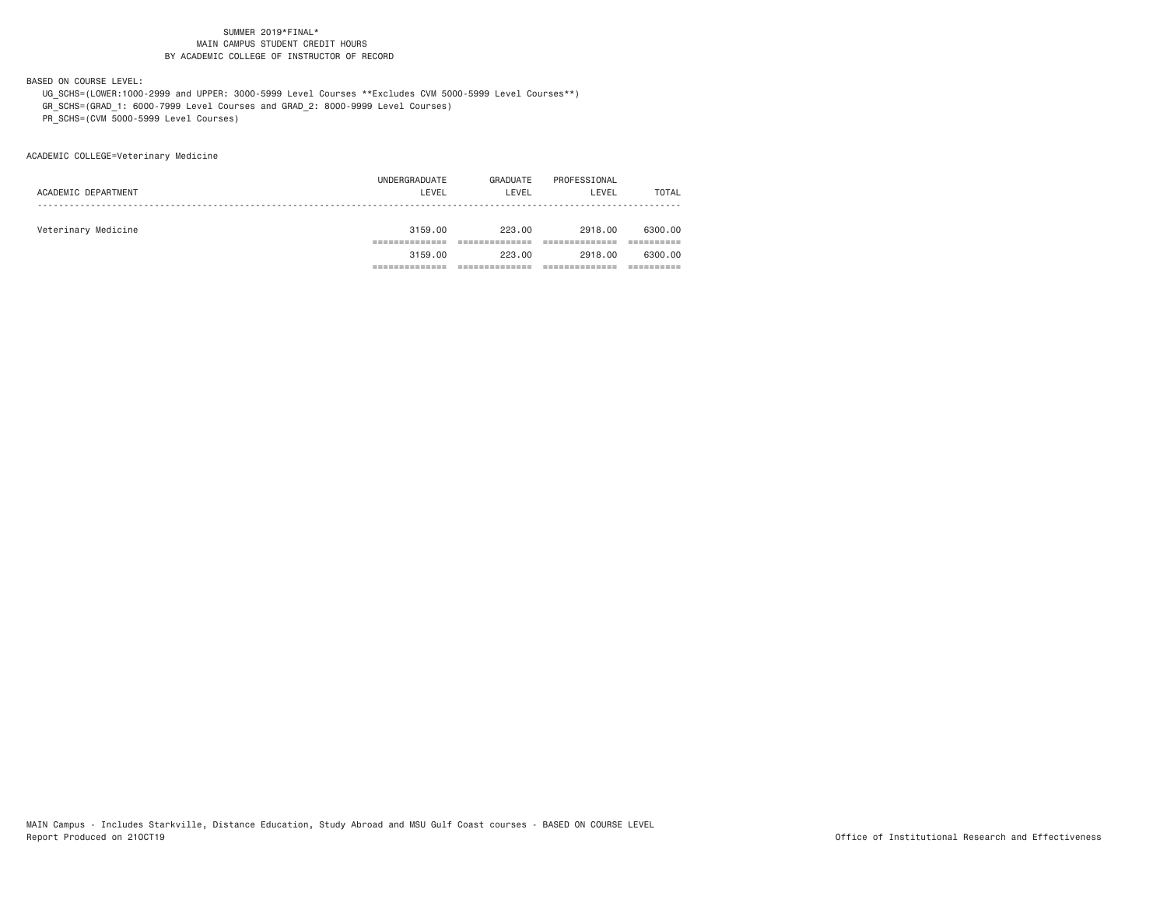BASED ON COURSE LEVEL:

 UG\_SCHS=(LOWER:1000-2999 and UPPER: 3000-5999 Level Courses \*\*Excludes CVM 5000-5999 Level Courses\*\*) GR\_SCHS=(GRAD\_1: 6000-7999 Level Courses and GRAD\_2: 8000-9999 Level Courses)

PR\_SCHS=(CVM 5000-5999 Level Courses)

ACADEMIC COLLEGE=Veterinary Medicine

|                     | 3159.00       | 223.00   | 2918,00      | 6300,00 |
|---------------------|---------------|----------|--------------|---------|
|                     |               |          |              |         |
| Veterinary Medicine | 3159.00       | 223.00   | 2918,00      | 6300.00 |
|                     |               |          |              |         |
| ACADEMIC DEPARTMENT | LEVEL         | LEVEL    | LEVEL        | TOTAL   |
|                     | UNDERGRADUATE | GRADUATE | PROFESSIONAL |         |
|                     |               |          |              |         |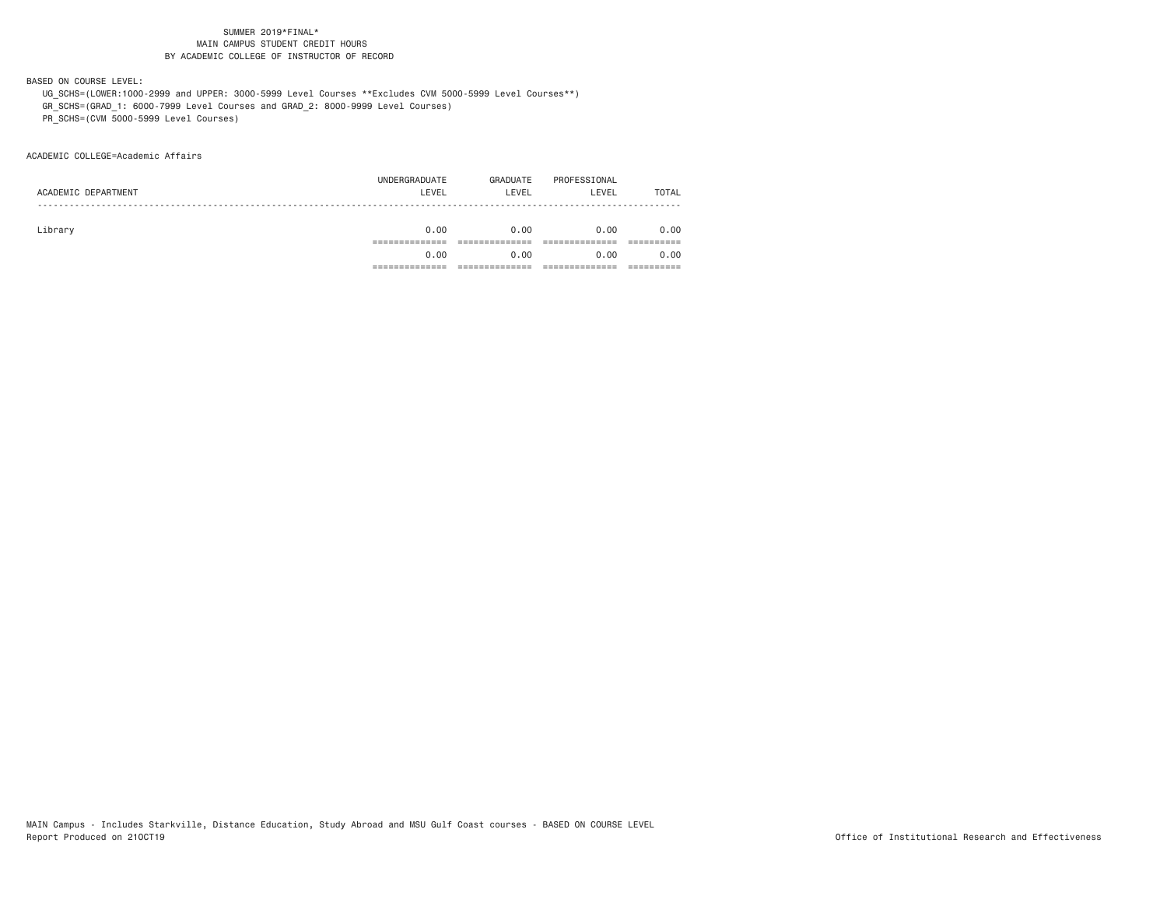BASED ON COURSE LEVEL:

UG\_SCHS=(LOWER:1000-2999 and UPPER: 3000-5999 Level Courses \*\*Excludes CVM 5000-5999 Level Courses\*\*)

GR\_SCHS=(GRAD\_1: 6000-7999 Level Courses and GRAD\_2: 8000-9999 Level Courses)

PR\_SCHS=(CVM 5000-5999 Level Courses)

ACADEMIC COLLEGE=Academic Affairs

| 0.00          | 0.00     | 0.00         | 0.00  |
|---------------|----------|--------------|-------|
|               |          |              |       |
|               |          |              |       |
| 0.00          | 0.00     | 0.00         | 0.00  |
|               |          |              |       |
|               |          |              | TOTAL |
| UNDERGRADUATE | GRADUATE | PROFESSIONAL |       |
|               | LEVEL    | LEVEL        | LEVEL |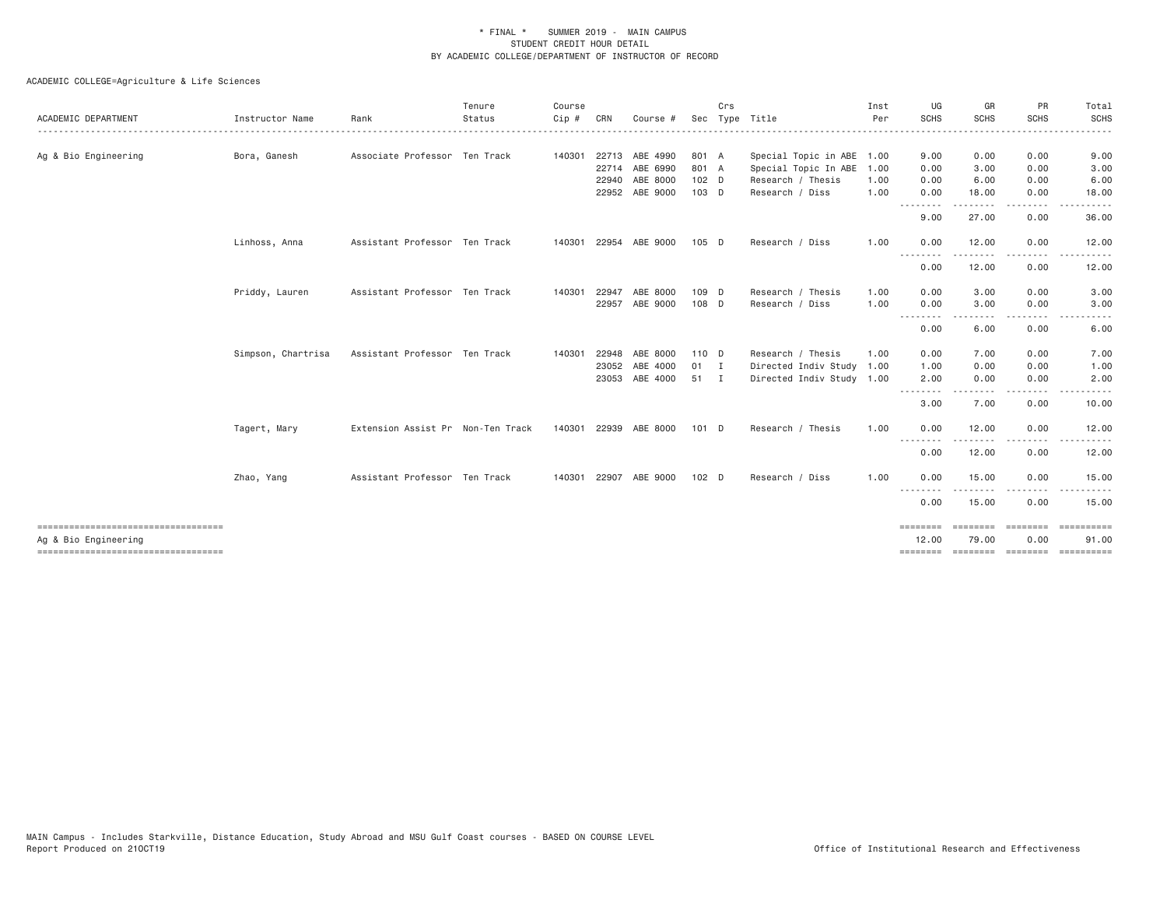| ACADEMIC DEPARTMENT                                        | Instructor Name    | Rank                              | Tenure<br>Status | Course<br>Cip # | CRN   | Course #       |         | Crs | Sec Type Title            | Inst<br>Per | UG<br><b>SCHS</b>               | GR<br><b>SCHS</b> | PR<br><b>SCHS</b> | Total<br><b>SCHS</b> |
|------------------------------------------------------------|--------------------|-----------------------------------|------------------|-----------------|-------|----------------|---------|-----|---------------------------|-------------|---------------------------------|-------------------|-------------------|----------------------|
| Ag & Bio Engineering                                       | Bora, Ganesh       | Associate Professor Ten Track     |                  | 140301          |       | 22713 ABE 4990 | 801 A   |     | Special Topic in ABE 1.00 |             | 9.00                            | 0.00              | 0.00              | 9.00                 |
|                                                            |                    |                                   |                  |                 |       | 22714 ABE 6990 | 801 A   |     | Special Topic In ABE      | 1.00        | 0.00                            | 3.00              | 0.00              | 3.00                 |
|                                                            |                    |                                   |                  |                 | 22940 | ABE 8000       | $102$ D |     | Research / Thesis         | 1.00        | 0.00                            | 6.00              | 0.00              | 6.00                 |
|                                                            |                    |                                   |                  |                 |       | 22952 ABE 9000 | $103$ D |     | Research / Diss           | 1.00        | 0.00                            | 18.00             | 0.00              | 18.00                |
|                                                            |                    |                                   |                  |                 |       |                |         |     |                           |             | <u> - - - - - - - -</u><br>9.00 | 27.00             | 0.00              | 36.00                |
|                                                            | Linhoss, Anna      | Assistant Professor Ten Track     |                  | 140301          | 22954 | ABE 9000       | $105$ D |     | Research / Diss           | 1.00        | 0.00                            | 12.00             | 0.00              | 12.00                |
|                                                            |                    |                                   |                  |                 |       |                |         |     |                           |             | --------<br>0.00                | 12.00             | 0.00              | 12.00                |
|                                                            | Priddy, Lauren     | Assistant Professor Ten Track     |                  | 140301          | 22947 | ABE 8000       | 109 D   |     | Research / Thesis         | 1.00        | 0.00                            | 3.00              | 0.00              | 3.00                 |
|                                                            |                    |                                   |                  |                 | 22957 | ABE 9000       | 108 D   |     | Research / Diss           | 1.00        | 0.00                            | 3.00              | 0.00              | 3.00                 |
|                                                            |                    |                                   |                  |                 |       |                |         |     |                           |             | .<br>0.00                       | 6.00              | 0.00              | 6.00                 |
|                                                            | Simpson, Chartrisa | Assistant Professor Ten Track     |                  | 140301          | 22948 | ABE 8000       | 110 D   |     | Research / Thesis         | 1.00        | 0.00                            | 7.00              | 0.00              | 7.00                 |
|                                                            |                    |                                   |                  |                 | 23052 | ABE 4000       | 01 I    |     | Directed Indiv Study 1.00 |             | 1.00                            | 0.00              | 0.00              | 1.00                 |
|                                                            |                    |                                   |                  |                 | 23053 | ABE 4000       | 51 I    |     | Directed Indiv Study 1.00 |             | 2.00<br>.                       | 0.00              | 0.00              | 2.00                 |
|                                                            |                    |                                   |                  |                 |       |                |         |     |                           |             | 3.00                            | 7.00              | 0.00              | 10.00                |
|                                                            | Tagert, Mary       | Extension Assist Pr Non-Ten Track |                  | 140301          | 22939 | ABE 8000       | 101 D   |     | Research / Thesis         | 1.00        | 0.00                            | 12.00             | 0.00              | 12.00                |
|                                                            |                    |                                   |                  |                 |       |                |         |     |                           |             | .<br>0.00                       | 12.00             | 0.00              | 12.00                |
|                                                            | Zhao, Yang         | Assistant Professor Ten Track     |                  | 140301          | 22907 | ABE 9000       | $102$ D |     | Research / Diss           | 1.00        | 0.00                            | 15.00             | 0.00              | 15.00                |
|                                                            |                    |                                   |                  |                 |       |                |         |     |                           |             | .<br>0.00                       | .<br>15.00        | .<br>0.00         | 15.00                |
| ----------------------------------<br>Ag & Bio Engineering |                    |                                   |                  |                 |       |                |         |     |                           |             | ========<br>12.00               | 79.00             | 0.00              | 91.00                |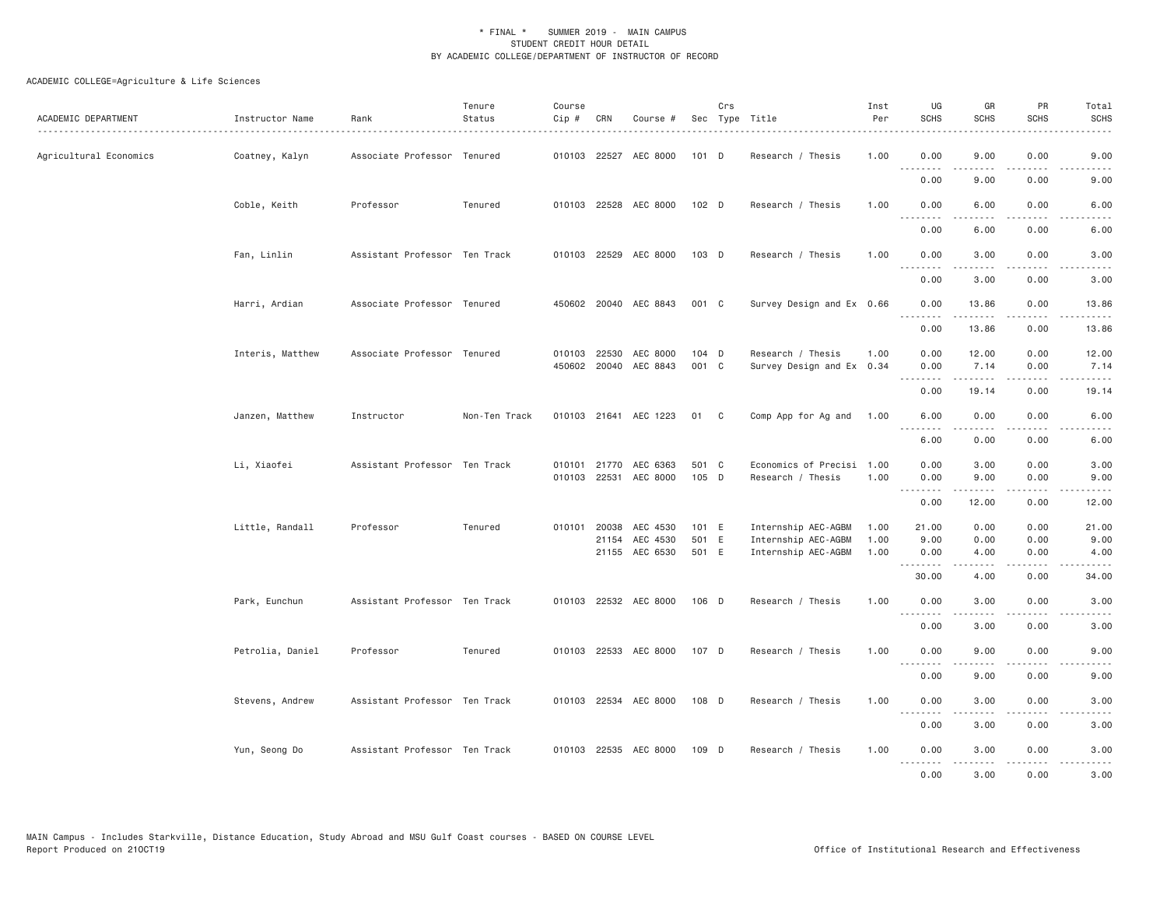| ACADEMIC DEPARTMENT    | Instructor Name  | Rank                          | Tenure<br>Status | Course<br>Cip #  | CRN          | Course #                   |                | Crs | Sec Type Title                                 | Inst<br>Per | UG<br><b>SCHS</b>                                                                                                                                                                                                                                                                                                                                                                                                                                                                              | GR<br><b>SCHS</b>        | PR<br><b>SCHS</b>            | Total<br><b>SCHS</b>                |
|------------------------|------------------|-------------------------------|------------------|------------------|--------------|----------------------------|----------------|-----|------------------------------------------------|-------------|------------------------------------------------------------------------------------------------------------------------------------------------------------------------------------------------------------------------------------------------------------------------------------------------------------------------------------------------------------------------------------------------------------------------------------------------------------------------------------------------|--------------------------|------------------------------|-------------------------------------|
| Agricultural Economics | Coatney, Kalyn   | Associate Professor Tenured   |                  |                  |              | 010103 22527 AEC 8000      | 101 D          |     | Research / Thesis                              | 1.00        | 0.00<br>.                                                                                                                                                                                                                                                                                                                                                                                                                                                                                      | 9.00<br>.                | 0.00<br>د د د د              | 9.00<br>.                           |
|                        |                  |                               |                  |                  |              |                            |                |     |                                                |             | 0.00                                                                                                                                                                                                                                                                                                                                                                                                                                                                                           | 9.00                     | 0.00                         | 9.00                                |
|                        | Coble, Keith     | Professor                     | Tenured          |                  |              | 010103 22528 AEC 8000      | 102 D          |     | Research / Thesis                              | 1.00        | 0.00                                                                                                                                                                                                                                                                                                                                                                                                                                                                                           | 6.00                     | 0.00                         | 6.00                                |
|                        |                  |                               |                  |                  |              |                            |                |     |                                                |             | 0.00                                                                                                                                                                                                                                                                                                                                                                                                                                                                                           | 6.00                     | 0.00                         | 6.00                                |
|                        | Fan, Linlin      | Assistant Professor Ten Track |                  |                  |              | 010103 22529 AEC 8000      | 103 D          |     | Research / Thesis                              | 1.00        | 0.00<br>$   -$<br>----                                                                                                                                                                                                                                                                                                                                                                                                                                                                         | 3.00<br>.                | 0.00<br>.                    | 3.00                                |
|                        |                  |                               |                  |                  |              |                            |                |     |                                                |             | 0.00                                                                                                                                                                                                                                                                                                                                                                                                                                                                                           | 3.00                     | 0.00                         | 3.00                                |
|                        | Harri, Ardian    | Associate Professor Tenured   |                  |                  |              | 450602 20040 AEC 8843      | 001 C          |     | Survey Design and Ex 0.66                      |             | 0.00                                                                                                                                                                                                                                                                                                                                                                                                                                                                                           | 13.86                    | 0.00                         | 13.86                               |
|                        |                  |                               |                  |                  |              |                            |                |     |                                                |             | <u>.</u><br>0.00                                                                                                                                                                                                                                                                                                                                                                                                                                                                               | .<br>13.86               | .<br>0.00                    | .<br>13.86                          |
|                        | Interis, Matthew | Associate Professor Tenured   |                  |                  | 010103 22530 | AEC 8000                   | 104 D          |     | Research / Thesis                              | 1.00        | 0.00                                                                                                                                                                                                                                                                                                                                                                                                                                                                                           | 12.00                    | 0.00                         | 12.00                               |
|                        |                  |                               |                  |                  |              | 450602 20040 AEC 8843      | 001 C          |     | Survey Design and Ex 0.34                      |             | 0.00<br>.                                                                                                                                                                                                                                                                                                                                                                                                                                                                                      | 7.14<br>.                | 0.00<br>.                    | 7.14<br>.                           |
|                        |                  |                               |                  |                  |              |                            |                |     |                                                |             | 0.00                                                                                                                                                                                                                                                                                                                                                                                                                                                                                           | 19.14                    | 0.00                         | 19.14                               |
|                        | Janzen, Matthew  | Instructor                    | Non-Ten Track    |                  |              | 010103 21641 AEC 1223      | 01 C           |     | Comp App for Ag and                            | 1.00        | 6.00<br>.                                                                                                                                                                                                                                                                                                                                                                                                                                                                                      | 0.00<br>.                | 0.00                         | 6.00<br>$- - - - -$                 |
|                        |                  |                               |                  |                  |              |                            |                |     |                                                |             | 6.00                                                                                                                                                                                                                                                                                                                                                                                                                                                                                           | 0.00                     | 0.00                         | 6.00                                |
|                        | Li, Xiaofei      | Assistant Professor Ten Track |                  | 010101<br>010103 | 21770        | AEC 6363<br>22531 AEC 8000 | 501 C<br>105 D |     | Economics of Precisi 1.00<br>Research / Thesis | 1.00        | 0.00<br>0.00                                                                                                                                                                                                                                                                                                                                                                                                                                                                                   | 3.00<br>9,00             | 0.00<br>0.00                 | 3.00<br>9.00                        |
|                        |                  |                               |                  |                  |              |                            |                |     |                                                |             | 0.00                                                                                                                                                                                                                                                                                                                                                                                                                                                                                           | المتمام والمناد<br>12.00 | .<br>0.00                    | د د د د د<br>12.00                  |
|                        | Little, Randall  | Professor                     | Tenured          |                  | 010101 20038 | AEC 4530                   | 101 E          |     | Internship AEC-AGBM                            | 1.00        | 21.00                                                                                                                                                                                                                                                                                                                                                                                                                                                                                          | 0.00                     | 0.00                         | 21.00                               |
|                        |                  |                               |                  |                  | 21154        | AEC 4530                   | 501 E          |     | Internship AEC-AGBM                            | 1.00        | 9.00                                                                                                                                                                                                                                                                                                                                                                                                                                                                                           | 0.00                     | 0.00                         | 9.00                                |
|                        |                  |                               |                  |                  |              | 21155 AEC 6530             | 501 E          |     | Internship AEC-AGBM                            | 1.00        | 0.00                                                                                                                                                                                                                                                                                                                                                                                                                                                                                           | 4.00<br>.                | 0.00<br>$\sim$ $\sim$ $\sim$ | 4.00<br>$\sim$ $\sim$ $\sim$ $\sim$ |
|                        |                  |                               |                  |                  |              |                            |                |     |                                                |             | 30.00                                                                                                                                                                                                                                                                                                                                                                                                                                                                                          | 4.00                     | 0.00                         | 34.00                               |
|                        | Park, Eunchun    | Assistant Professor Ten Track |                  |                  |              | 010103 22532 AEC 8000      | 106 D          |     | Research / Thesis                              | 1.00        | 0.00<br><u>.</u>                                                                                                                                                                                                                                                                                                                                                                                                                                                                               | 3.00<br>.                | 0.00<br>$- - - -$            | 3.00<br>- - - - -                   |
|                        |                  |                               |                  |                  |              |                            |                |     |                                                |             | 0.00                                                                                                                                                                                                                                                                                                                                                                                                                                                                                           | 3.00                     | 0.00                         | 3.00                                |
|                        | Petrolia, Daniel | Professor                     | Tenured          |                  |              | 010103 22533 AEC 8000      | 107 D          |     | Research / Thesis                              | 1.00        | 0.00<br>$\begin{array}{cccccccccccccc} \multicolumn{2}{c}{} & \multicolumn{2}{c}{} & \multicolumn{2}{c}{} & \multicolumn{2}{c}{} & \multicolumn{2}{c}{} & \multicolumn{2}{c}{} & \multicolumn{2}{c}{} & \multicolumn{2}{c}{} & \multicolumn{2}{c}{} & \multicolumn{2}{c}{} & \multicolumn{2}{c}{} & \multicolumn{2}{c}{} & \multicolumn{2}{c}{} & \multicolumn{2}{c}{} & \multicolumn{2}{c}{} & \multicolumn{2}{c}{} & \multicolumn{2}{c}{} & \multicolumn{2}{c}{} & \multicolumn{2}{c}{} & \$ | 9.00<br>-----            | 0.00<br>.                    | 9.00<br>.                           |
|                        |                  |                               |                  |                  |              |                            |                |     |                                                |             | 0.00                                                                                                                                                                                                                                                                                                                                                                                                                                                                                           | 9.00                     | 0.00                         | 9.00                                |
|                        | Stevens, Andrew  | Assistant Professor Ten Track |                  |                  |              | 010103 22534 AEC 8000      | 108 D          |     | Research / Thesis                              | 1.00        | 0.00                                                                                                                                                                                                                                                                                                                                                                                                                                                                                           | 3.00                     | 0.00                         | 3.00                                |
|                        |                  |                               |                  |                  |              |                            |                |     |                                                |             | 0.00                                                                                                                                                                                                                                                                                                                                                                                                                                                                                           | 3.00                     | 0.00                         | 3.00                                |
|                        | Yun, Seong Do    | Assistant Professor Ten Track |                  |                  |              | 010103 22535 AEC 8000      | 109 D          |     | Research / Thesis                              | 1.00        | 0.00<br><u>.</u>                                                                                                                                                                                                                                                                                                                                                                                                                                                                               | 3.00<br><u>.</u>         | 0.00<br>.                    | 3.00<br>.                           |
|                        |                  |                               |                  |                  |              |                            |                |     |                                                |             | 0.00                                                                                                                                                                                                                                                                                                                                                                                                                                                                                           | 3,00                     | 0.00                         | 3,00                                |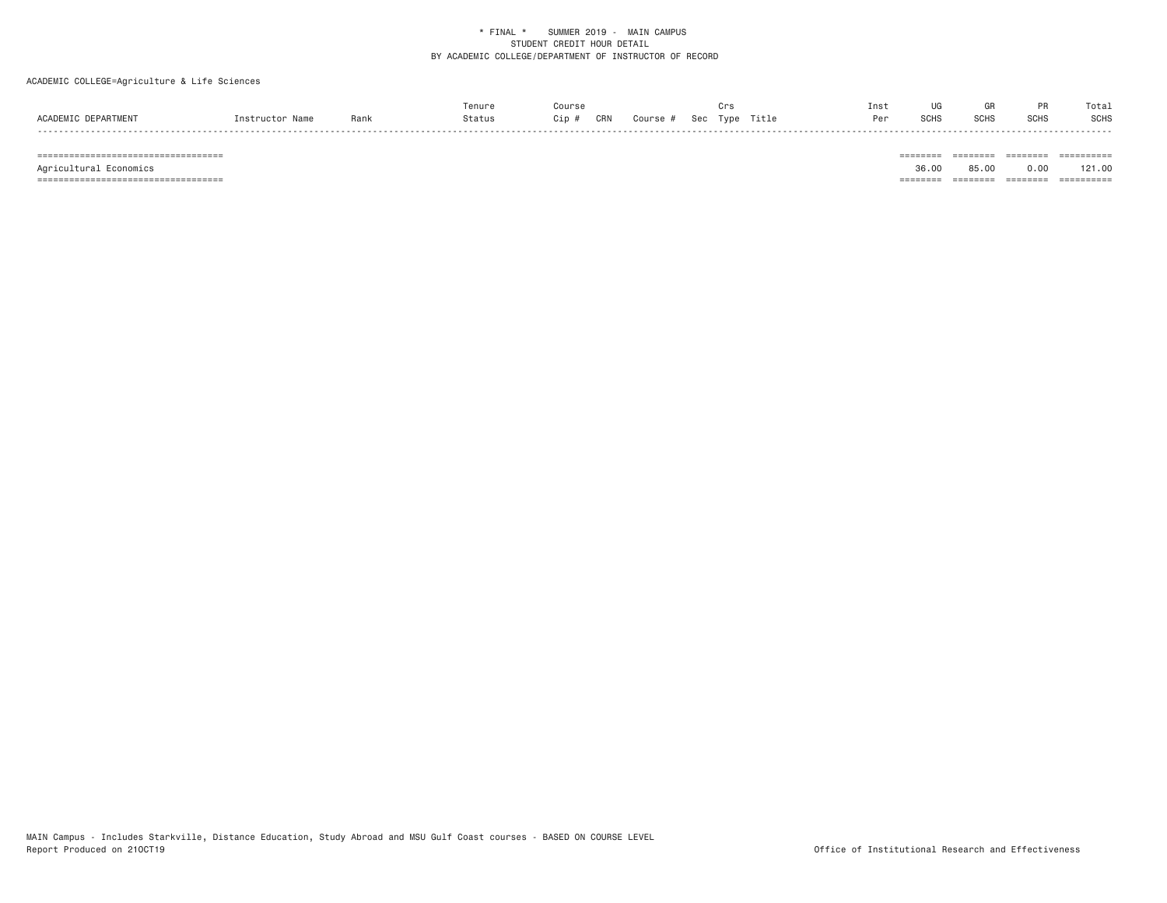# ACADEMIC COLLEGE=Agriculture & Life Sciences

| CRN<br><b>DEPARTMENT</b><br><b>ACADEMTC</b><br>Title<br>Status<br>Sec<br>Type<br>Course.<br>Rank<br>JiD.<br>$n$ ctructor | י הנ | o∪⊓c | <b>COLI</b><br>ווטט | <b>SCHL</b> | <b>SCHS</b> |
|--------------------------------------------------------------------------------------------------------------------------|------|------|---------------------|-------------|-------------|

=================================== ======== ======== ======== ==========

=================================== ======== ======== ======== ==========

Agricultural Economics 36.00 85.00 0.00 121.00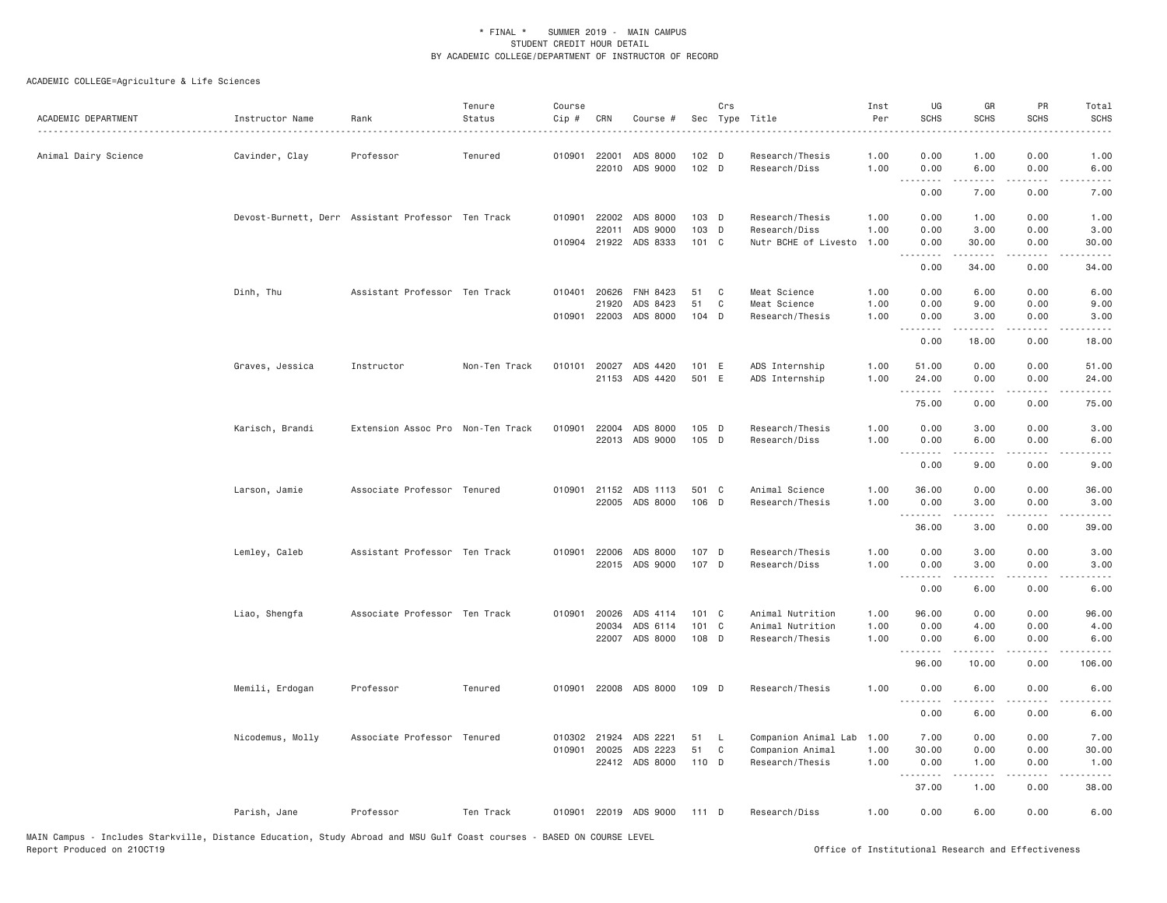| ACADEMIC DEPARTMENT  | Instructor Name  | Rank                                               | Tenure<br>Status | Course<br>Cip # | CRN          | Course #                   |                | Crs<br>Sec Type Title | .                                | Inst<br>Per<br>. | UG<br><b>SCHS</b> | GR<br><b>SCHS</b>   | PR<br><b>SCHS</b>                   | Total<br><b>SCHS</b><br>$\frac{1}{2} \left( \frac{1}{2} \right) \left( \frac{1}{2} \right) \left( \frac{1}{2} \right) \left( \frac{1}{2} \right)$ |
|----------------------|------------------|----------------------------------------------------|------------------|-----------------|--------------|----------------------------|----------------|-----------------------|----------------------------------|------------------|-------------------|---------------------|-------------------------------------|---------------------------------------------------------------------------------------------------------------------------------------------------|
| Animal Dairy Science | Cavinder, Clay   | Professor                                          | Tenured          | 010901          | 22001        | ADS 8000<br>22010 ADS 9000 | 102 D<br>102 D |                       | Research/Thesis<br>Research/Diss | 1.00<br>1.00     | 0.00<br>0.00      | 1.00<br>6.00        | 0.00<br>0.00                        | 1.00<br>6.00                                                                                                                                      |
|                      |                  |                                                    |                  |                 |              |                            |                |                       |                                  |                  | 0.00              | -----<br>7.00       | $\sim$ $\sim$ $\sim$ $\sim$<br>0.00 | -----<br>7.00                                                                                                                                     |
|                      |                  | Devost-Burnett, Derr Assistant Professor Ten Track |                  | 010901          | 22002        | ADS 8000                   | $103$ D        |                       | Research/Thesis                  | 1.00             | 0.00              | 1.00                | 0.00                                | 1.00                                                                                                                                              |
|                      |                  |                                                    |                  |                 | 22011        | ADS 9000                   | 103 D          |                       | Research/Diss                    | 1.00             | 0.00              | 3.00                | 0.00                                | 3.00                                                                                                                                              |
|                      |                  |                                                    |                  |                 |              | 010904 21922 ADS 8333      | 101 C          |                       | Nutr BCHE of Livesto             | 1.00             | 0.00              | 30.00               | 0.00                                | 30.00                                                                                                                                             |
|                      |                  |                                                    |                  |                 |              |                            |                |                       |                                  |                  | .<br>0.00         | -----<br>34.00      | .<br>0.00                           | .<br>34.00                                                                                                                                        |
|                      | Dinh, Thu        | Assistant Professor Ten Track                      |                  | 010401          | 20626        | FNH 8423                   | 51             | C                     | Meat Science                     | 1.00             | 0.00              | 6.00                | 0.00                                | 6.00                                                                                                                                              |
|                      |                  |                                                    |                  |                 | 21920        | ADS 8423                   | 51             | C                     | Meat Science                     | 1.00             | 0.00              | 9.00                | 0.00                                | 9.00                                                                                                                                              |
|                      |                  |                                                    |                  |                 |              | 010901 22003 ADS 8000      | 104 D          |                       | Research/Thesis                  | 1.00             | 0.00<br><b></b>   | 3.00<br>$- - - - -$ | 0.00<br>.                           | 3.00<br>$\frac{1}{2} \left( \frac{1}{2} \right) \left( \frac{1}{2} \right) \left( \frac{1}{2} \right) \left( \frac{1}{2} \right)$                 |
|                      |                  |                                                    |                  |                 |              |                            |                |                       |                                  |                  | 0.00              | 18.00               | 0.00                                | 18.00                                                                                                                                             |
|                      | Graves, Jessica  | Instructor                                         | Non-Ten Track    |                 |              | 010101 20027 ADS 4420      | 101 E          |                       | ADS Internship                   | 1.00             | 51.00             | 0.00                | 0.00                                | 51.00                                                                                                                                             |
|                      |                  |                                                    |                  |                 | 21153        | ADS 4420                   | 501 E          |                       | ADS Internship                   | 1.00             | 24.00<br>.        | 0.00                | 0.00<br>$- - -$                     | 24.00                                                                                                                                             |
|                      |                  |                                                    |                  |                 |              |                            |                |                       |                                  |                  | 75.00             | 0.00                | 0.00                                | 75.00                                                                                                                                             |
|                      | Karisch, Brandi  | Extension Assoc Pro Non-Ten Track                  |                  | 010901          | 22004        | ADS 8000                   | 105 D          |                       | Research/Thesis                  | 1.00             | 0.00              | 3.00                | 0.00                                | 3.00                                                                                                                                              |
|                      |                  |                                                    |                  |                 |              | 22013 ADS 9000             | 105 D          |                       | Research/Diss                    | 1.00             | 0.00              | 6.00                | 0.00                                | 6.00                                                                                                                                              |
|                      |                  |                                                    |                  |                 |              |                            |                |                       |                                  |                  | <u>.</u><br>0.00  | .<br>9.00           | .<br>0.00                           | $\frac{1}{2} \left( \frac{1}{2} \right) \left( \frac{1}{2} \right) \left( \frac{1}{2} \right) \left( \frac{1}{2} \right)$<br>9.00                 |
|                      | Larson, Jamie    | Associate Professor Tenured                        |                  | 010901          | 21152        | ADS 1113                   | 501 C          |                       | Animal Science                   | 1.00             | 36,00             | 0.00                | 0.00                                | 36.00                                                                                                                                             |
|                      |                  |                                                    |                  |                 |              | 22005 ADS 8000             | 106 D          |                       | Research/Thesis                  | 1.00             | 0.00              | 3.00                | 0.00                                | 3.00                                                                                                                                              |
|                      |                  |                                                    |                  |                 |              |                            |                |                       |                                  |                  | <b></b><br>36.00  | <u>.</u><br>3.00    | .<br>0.00                           | .<br>39.00                                                                                                                                        |
|                      | Lemley, Caleb    | Assistant Professor Ten Track                      |                  | 010901          | 22006        | ADS 8000                   | 107 D          |                       | Research/Thesis                  | 1.00             | 0.00              | 3.00                | 0.00                                | 3.00                                                                                                                                              |
|                      |                  |                                                    |                  |                 |              | 22015 ADS 9000             | 107 D          |                       | Research/Diss                    | 1.00             | 0.00              | 3.00                | 0.00                                | 3.00                                                                                                                                              |
|                      |                  |                                                    |                  |                 |              |                            |                |                       |                                  |                  | .<br>0.00         | .<br>6.00           | $- - -$<br>0.00                     | 6.00                                                                                                                                              |
|                      | Liao, Shengfa    | Associate Professor Ten Track                      |                  | 010901          | 20026        | ADS 4114                   | $101 \quad C$  |                       | Animal Nutrition                 | 1.00             | 96.00             | 0.00                | 0.00                                | 96.00                                                                                                                                             |
|                      |                  |                                                    |                  |                 | 20034        | ADS 6114                   | 101 C          |                       | Animal Nutrition                 | 1.00             | 0.00              | 4.00                | 0.00                                | 4.00                                                                                                                                              |
|                      |                  |                                                    |                  |                 |              | 22007 ADS 8000             | 108 D          |                       | Research/Thesis                  | 1.00             | 0.00<br>.         | 6.00<br>.           | 0.00<br>$\sim$ $\sim$ $\sim$        | 6.00                                                                                                                                              |
|                      |                  |                                                    |                  |                 |              |                            |                |                       |                                  |                  | 96.00             | 10.00               | 0.00                                | 106.00                                                                                                                                            |
|                      | Memili, Erdogan  | Professor                                          | Tenured          |                 |              | 010901 22008 ADS 8000      | 109 D          |                       | Research/Thesis                  | 1.00             | 0.00<br>.         | 6.00<br>-----       | 0.00<br>.                           | 6.00<br>$- - - -$                                                                                                                                 |
|                      |                  |                                                    |                  |                 |              |                            |                |                       |                                  |                  | 0.00              | 6.00                | 0.00                                | 6.00                                                                                                                                              |
|                      | Nicodemus, Molly | Associate Professor Tenured                        |                  |                 | 010302 21924 | ADS 2221                   | 51             | - L                   | Companion Animal Lab             | 1.00             | 7.00              | 0.00                | 0.00                                | 7.00                                                                                                                                              |
|                      |                  |                                                    |                  | 010901          | 20025        | ADS 2223                   | 51             | C                     | Companion Animal                 | 1.00             | 30.00             | 0.00                | 0.00                                | 30.00                                                                                                                                             |
|                      |                  |                                                    |                  |                 |              | 22412 ADS 8000             | 110 D          |                       | Research/Thesis                  | 1.00             | 0.00<br><u>.</u>  | 1.00                | 0.00                                | 1.00                                                                                                                                              |
|                      |                  |                                                    |                  |                 |              |                            |                |                       |                                  |                  | 37.00             | 1.00                | 0.00                                | 38.00                                                                                                                                             |
|                      | Parish, Jane     | Professor                                          | Ten Track        |                 |              | 010901 22019 ADS 9000      | 111 D          |                       | Research/Diss                    | 1,00             | 0.00              | 6.00                | 0.00                                | 6.00                                                                                                                                              |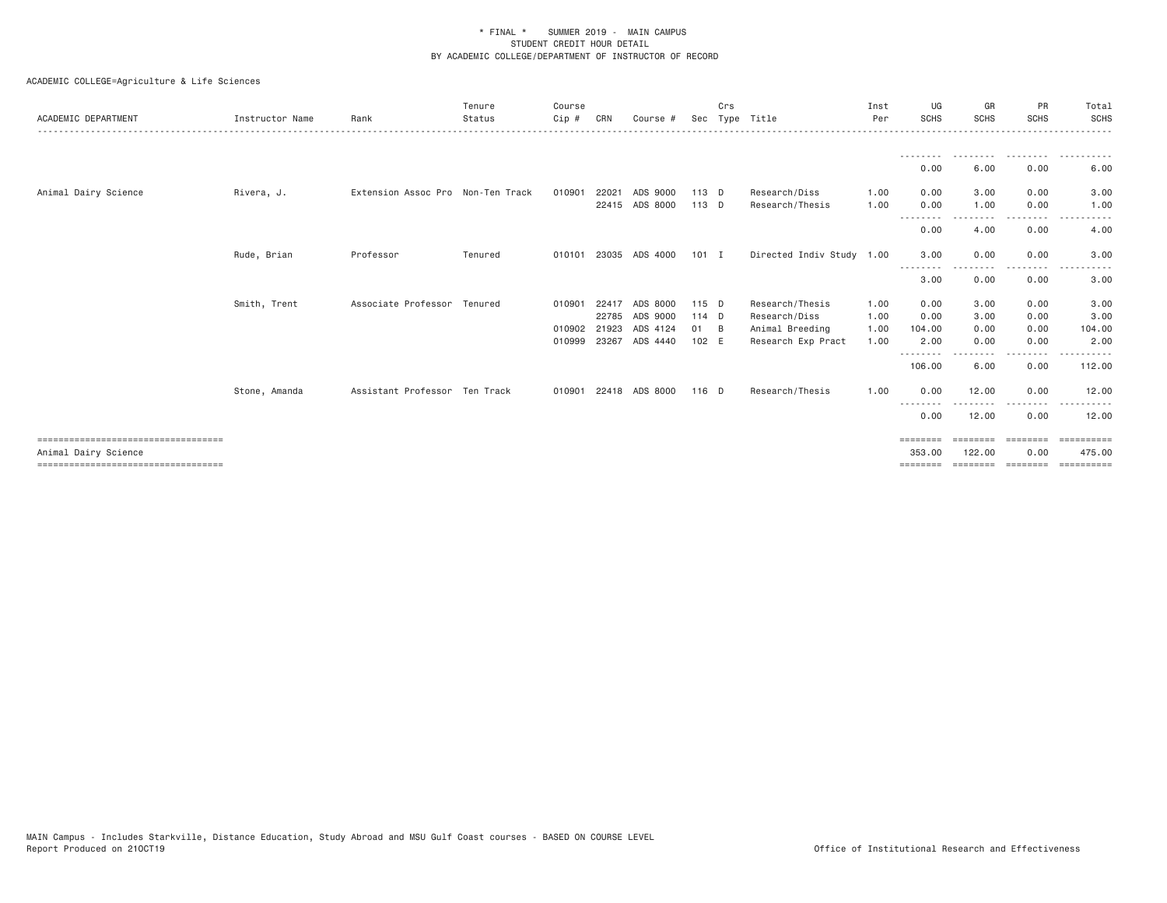| ACADEMIC DEPARTMENT                   | Instructor Name | Rank                              | Tenure<br>Status | Course<br>Cip # | CRN   | Course #       |         | Crs      | Sec Type Title            | Inst<br>Per | UG<br><b>SCHS</b> | GR<br><b>SCHS</b>     | PR<br><b>SCHS</b> | Total<br><b>SCHS</b> |
|---------------------------------------|-----------------|-----------------------------------|------------------|-----------------|-------|----------------|---------|----------|---------------------------|-------------|-------------------|-----------------------|-------------------|----------------------|
|                                       |                 |                                   |                  |                 |       |                |         |          |                           |             |                   |                       |                   |                      |
|                                       |                 |                                   |                  |                 |       |                |         |          |                           |             | 0.00              | 6.00                  | 0.00              | 6.00                 |
| Animal Dairy Science                  | Rivera, J.      | Extension Assoc Pro Non-Ten Track |                  | 010901          | 22021 | ADS 9000       | 113 D   |          | Research/Diss             | 1.00        | 0.00              | 3.00                  | 0.00              | 3.00                 |
|                                       |                 |                                   |                  |                 |       | 22415 ADS 8000 | $113$ D |          | Research/Thesis           | 1.00        | 0.00<br>- - - -   | 1.00                  | 0.00<br>- - - -   | 1.00                 |
|                                       |                 |                                   |                  |                 |       |                |         |          |                           |             | 0.00              | 4.00                  | 0.00              | 4.00                 |
|                                       | Rude, Brian     | Professor                         | Tenured          | 010101          |       | 23035 ADS 4000 | $101$ I |          | Directed Indiv Study 1.00 |             | 3.00<br>--------  | 0.00                  | 0.00<br>----      | 3.00                 |
|                                       |                 |                                   |                  |                 |       |                |         |          |                           |             | 3.00              | 0.00                  | 0.00              | 3.00                 |
|                                       | Smith, Trent    | Associate Professor Tenured       |                  | 010901          | 22417 | ADS 8000       | 115 D   |          | Research/Thesis           | 1.00        | 0.00              | 3.00                  | 0.00              | 3.00                 |
|                                       |                 |                                   |                  |                 | 22785 | ADS 9000       | 114 D   |          | Research/Diss             | 1.00        | 0.00              | 3.00                  | 0.00              | 3.00                 |
|                                       |                 |                                   |                  | 010902          | 21923 | ADS 4124       | 01      | <b>B</b> | Animal Breeding           | 1.00        | 104.00            | 0.00                  | 0.00              | 104.00               |
|                                       |                 |                                   |                  | 010999          | 23267 | ADS 4440       | 102 E   |          | Research Exp Pract        | 1.00        | 2.00<br>--------  | 0.00<br>-----         | 0.00<br>.         | 2.00                 |
|                                       |                 |                                   |                  |                 |       |                |         |          |                           |             | 106.00            | 6.00                  | 0.00              | 112.00               |
|                                       | Stone, Amanda   | Assistant Professor Ten Track     |                  | 010901          |       | 22418 ADS 8000 | 116 D   |          | Research/Thesis           | 1.00        | 0.00<br>--------  | 12.00<br>. <b>.</b> . | 0.00<br>.         | 12.00                |
|                                       |                 |                                   |                  |                 |       |                |         |          |                           |             | 0.00              | 12.00                 | 0.00              | 12.00                |
| ===================================   |                 |                                   |                  |                 |       |                |         |          |                           |             | ========          |                       | ========          | eesseesse            |
| Animal Dairy Science                  |                 |                                   |                  |                 |       |                |         |          |                           |             | 353,00            | 122,00                | 0.00              | 475.00               |
| ===================================== |                 |                                   |                  |                 |       |                |         |          |                           |             | $=$ = = = = = = = | ========              | ========          | ==========           |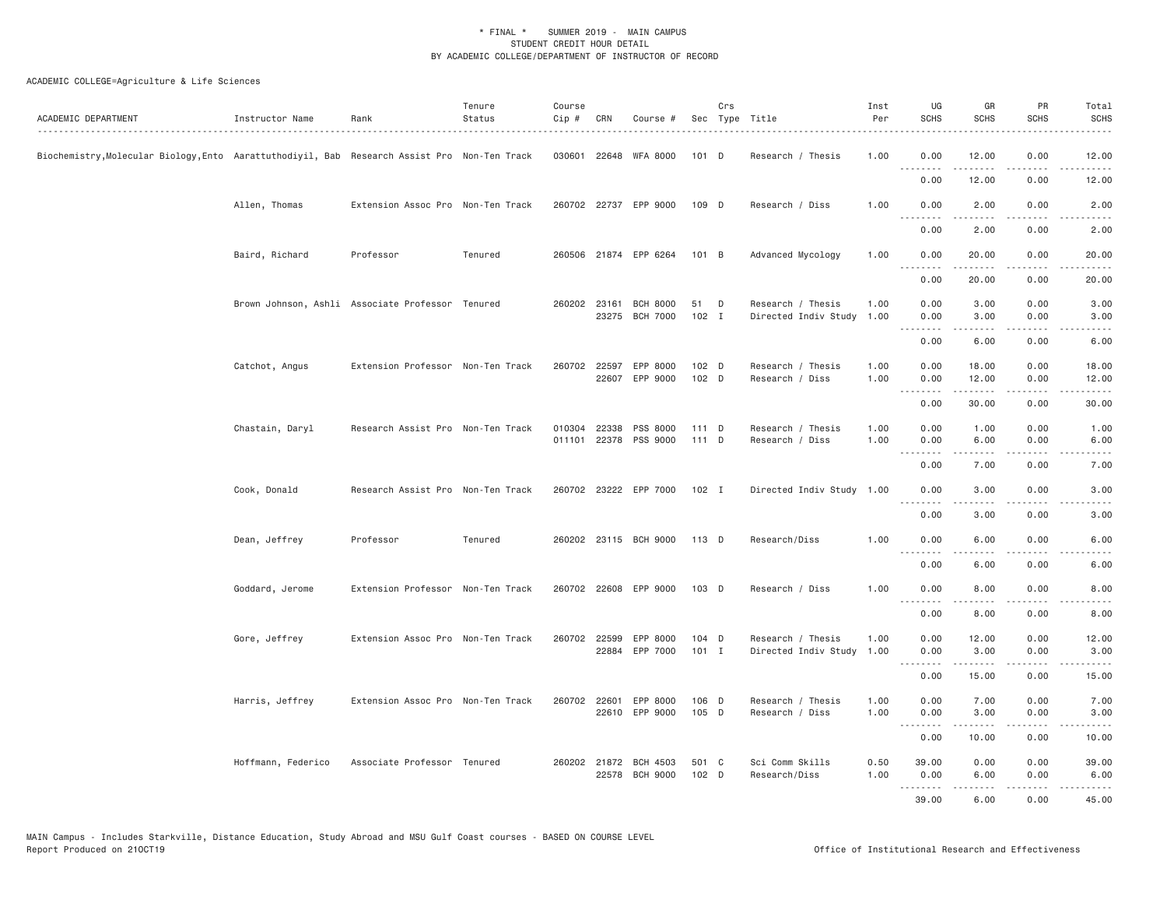| ACADEMIC DEPARTMENT                                                                           | Instructor Name    | Rank                                             | Tenure<br>Status<br>. | Course<br>Cip # | CRN | Course #                          |                  | Crs | Sec Type Title                                 | Inst<br>Per<br>. | UG<br><b>SCHS</b>    | GR<br>SCHS                                                                                                                                                    | <b>PR</b><br><b>SCHS</b>            | Total<br><b>SCHS</b><br>.          |
|-----------------------------------------------------------------------------------------------|--------------------|--------------------------------------------------|-----------------------|-----------------|-----|-----------------------------------|------------------|-----|------------------------------------------------|------------------|----------------------|---------------------------------------------------------------------------------------------------------------------------------------------------------------|-------------------------------------|------------------------------------|
| Biochemistry,Molecular Biology,Ento  Aarattuthodiyil, Bab  Research Assist Pro  Non-Ten Track |                    |                                                  |                       |                 |     | 030601 22648 WFA 8000             | 101 D            |     | Research / Thesis                              | 1.00             | 0.00<br><u>.</u>     | 12.00<br>.                                                                                                                                                    | 0.00<br>$\sim$ $\sim$ $\sim$ $\sim$ | 12.00<br>المتمامين                 |
|                                                                                               |                    |                                                  |                       |                 |     |                                   |                  |     |                                                |                  | 0.00                 | 12.00                                                                                                                                                         | 0.00                                | 12.00                              |
|                                                                                               | Allen, Thomas      | Extension Assoc Pro Non-Ten Track                |                       |                 |     | 260702 22737 EPP 9000             | 109 D            |     | Research / Diss                                | 1.00             | 0.00<br>.            | 2.00<br>-----                                                                                                                                                 | 0.00<br>.                           | 2.00<br>.                          |
|                                                                                               |                    |                                                  |                       |                 |     |                                   |                  |     |                                                |                  | 0.00                 | 2.00                                                                                                                                                          | 0.00                                | 2.00                               |
|                                                                                               | Baird, Richard     | Professor                                        | Tenured               |                 |     | 260506 21874 EPP 6264             | 101 B            |     | Advanced Mycology                              | 1.00             | 0.00<br>.            | 20.00<br>$\frac{1}{2}$                                                                                                                                        | 0.00<br>$- - - -$                   | 20.00<br>.                         |
|                                                                                               |                    |                                                  |                       |                 |     |                                   |                  |     |                                                |                  | 0.00                 | 20.00                                                                                                                                                         | 0.00                                | 20.00                              |
|                                                                                               |                    | Brown Johnson, Ashli Associate Professor Tenured |                       | 260202 23161    |     | <b>BCH 8000</b><br>23275 BCH 7000 | 51<br>$102$ I    | D   | Research / Thesis<br>Directed Indiv Study 1.00 | 1.00             | 0.00<br>0.00         | 3.00<br>3.00                                                                                                                                                  | 0.00<br>0.00                        | 3.00<br>3.00                       |
|                                                                                               |                    |                                                  |                       |                 |     |                                   |                  |     |                                                |                  | 0.00                 | .<br>6.00                                                                                                                                                     | $\sim$ $\sim$ $\sim$ $\sim$<br>0.00 | 6.00                               |
|                                                                                               | Catchot, Angus     | Extension Professor Non-Ten Track                |                       | 260702 22597    |     | EPP 8000<br>22607 EPP 9000        | 102 D<br>102 D   |     | Research / Thesis<br>Research / Diss           | 1.00<br>1.00     | 0.00<br>0.00         | 18.00<br>12.00                                                                                                                                                | 0.00<br>0.00                        | 18.00<br>12.00                     |
|                                                                                               |                    |                                                  |                       |                 |     |                                   |                  |     |                                                |                  |                      | .                                                                                                                                                             | $\sim$ $\sim$ $\sim$ $\sim$         | $\sim$ $\sim$ $\sim$ $\sim$ $\sim$ |
|                                                                                               |                    |                                                  |                       |                 |     |                                   |                  |     |                                                |                  | 0.00                 | 30.00                                                                                                                                                         | 0.00                                | 30.00                              |
|                                                                                               | Chastain, Daryl    | Research Assist Pro Non-Ten Track                |                       | 010304 22338    |     | PSS 8000<br>011101 22378 PSS 9000 | 111 D<br>111 D   |     | Research / Thesis<br>Research / Diss           | 1.00<br>1.00     | 0.00<br>0.00<br>---- | 1.00<br>6.00                                                                                                                                                  | 0.00<br>0.00<br>$  -$               | 1.00<br>6.00                       |
|                                                                                               |                    |                                                  |                       |                 |     |                                   |                  |     |                                                |                  | 0.00                 | 7.00                                                                                                                                                          | 0.00                                | 7.00                               |
|                                                                                               | Cook, Donald       | Research Assist Pro Non-Ten Track                |                       |                 |     | 260702 23222 EPP 7000             | $102$ I          |     | Directed Indiv Study 1.00                      |                  | 0.00<br>.            | 3.00<br>.                                                                                                                                                     | 0.00<br>$\sim$ $\sim$ $\sim$ $\sim$ | 3.00                               |
|                                                                                               |                    |                                                  |                       |                 |     |                                   |                  |     |                                                |                  | 0.00                 | 3.00                                                                                                                                                          | 0.00                                | 3.00                               |
|                                                                                               | Dean, Jeffrey      | Professor                                        | Tenured               |                 |     | 260202 23115 BCH 9000             | 113 D            |     | Research/Diss                                  | 1.00             | 0.00<br>.            | 6.00<br>.                                                                                                                                                     | 0.00<br>.                           | 6.00<br>$\frac{1}{2}$              |
|                                                                                               |                    |                                                  |                       |                 |     |                                   |                  |     |                                                |                  | 0.00                 | 6.00                                                                                                                                                          | 0.00                                | 6.00                               |
|                                                                                               | Goddard, Jerome    | Extension Professor Non-Ten Track                |                       |                 |     | 260702 22608 EPP 9000             | 103 D            |     | Research / Diss                                | 1.00             | 0.00<br><u>.</u>     | 8.00                                                                                                                                                          | 0.00                                | 8.00                               |
|                                                                                               |                    |                                                  |                       |                 |     |                                   |                  |     |                                                |                  | 0.00                 | 8.00                                                                                                                                                          | 0.00                                | 8.00                               |
|                                                                                               | Gore, Jeffrey      | Extension Assoc Pro Non-Ten Track                |                       | 260702 22599    |     | EPP 8000<br>22884 EPP 7000        | 104 D<br>$101$ I |     | Research / Thesis<br>Directed Indiv Study      | 1.00<br>1.00     | 0.00<br>0.00         | 12.00<br>3.00                                                                                                                                                 | 0.00<br>0.00                        | 12.00<br>3.00                      |
|                                                                                               |                    |                                                  |                       |                 |     |                                   |                  |     |                                                |                  | .<br>0.00            | .<br>15.00                                                                                                                                                    | .<br>0.00                           | .<br>15.00                         |
|                                                                                               | Harris, Jeffrey    | Extension Assoc Pro Non-Ten Track                |                       | 260702 22601    |     | EPP 8000<br>22610 EPP 9000        | 106 D<br>105 D   |     | Research / Thesis<br>Research / Diss           | 1.00<br>1.00     | 0.00<br>0.00         | 7.00<br>3.00                                                                                                                                                  | 0.00<br>0.00                        | 7.00<br>3.00                       |
|                                                                                               |                    |                                                  |                       |                 |     |                                   |                  |     |                                                |                  | 0.00                 | $\frac{1}{2} \left( \frac{1}{2} \right) \left( \frac{1}{2} \right) \left( \frac{1}{2} \right) \left( \frac{1}{2} \right) \left( \frac{1}{2} \right)$<br>10.00 | .<br>0.00                           | .<br>10.00                         |
|                                                                                               | Hoffmann, Federico | Associate Professor Tenured                      |                       |                 |     | 260202 21872 BCH 4503             | 501 C            |     | Sci Comm Skills                                | 0.50             | 39.00                | 0.00                                                                                                                                                          | 0.00                                | 39.00                              |
|                                                                                               |                    |                                                  |                       |                 |     | 22578 BCH 9000                    | $102$ D          |     | Research/Diss                                  | 1.00             | 0.00<br>.            | 6.00<br>$\frac{1}{2} \left( \frac{1}{2} \right) \left( \frac{1}{2} \right) \left( \frac{1}{2} \right) \left( \frac{1}{2} \right) \left( \frac{1}{2} \right)$  | 0.00<br>.                           | 6.00<br>.                          |
|                                                                                               |                    |                                                  |                       |                 |     |                                   |                  |     |                                                |                  | 39.00                | 6.00                                                                                                                                                          | 0.00                                | 45.00                              |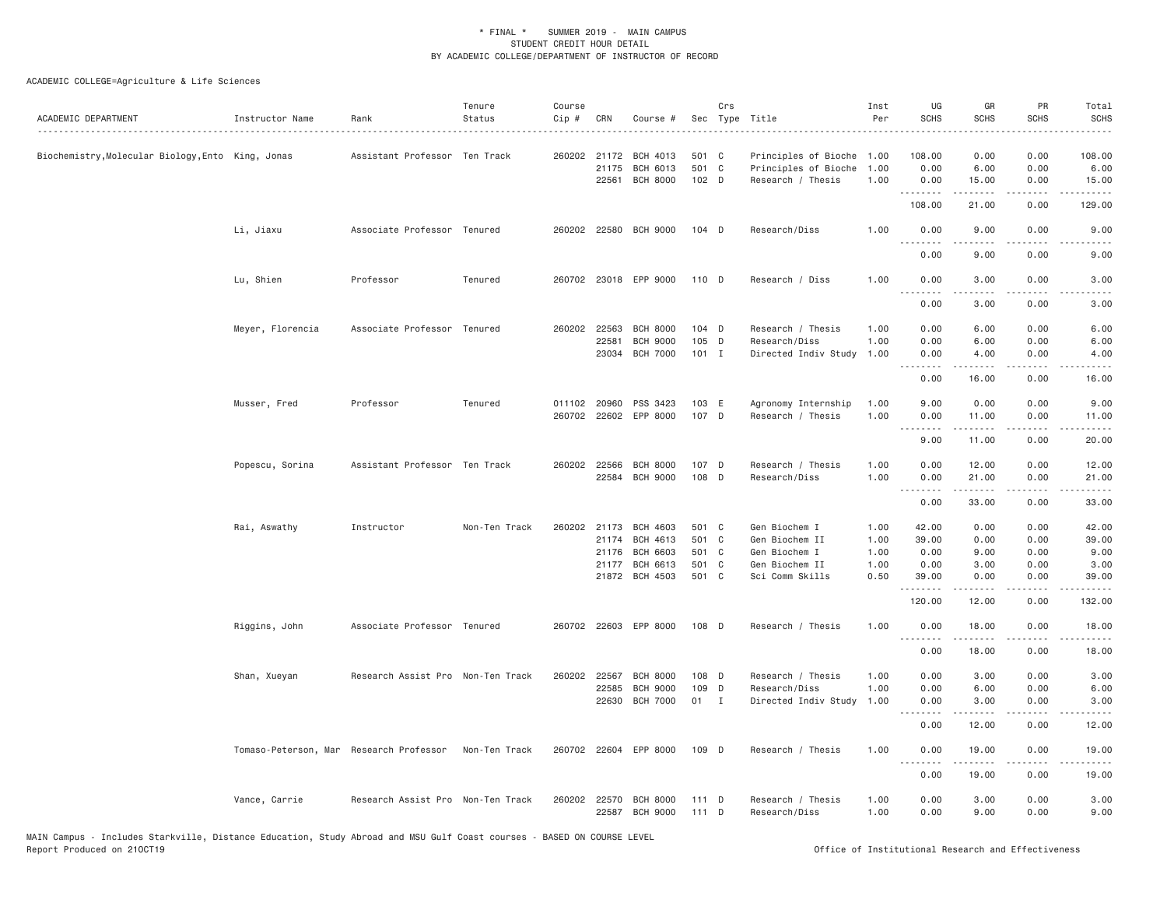| ACADEMIC DEPARTMENT                               | Instructor Name                         | Rank                              | Tenure<br>Status | Course<br>Cip # | CRN                            | Course #                                       |                         | Crs | Sec Type Title                                                    | Inst<br>Per          | UG<br><b>SCHS</b>                           | GR<br><b>SCHS</b>                                                                                                                                                      | PR<br><b>SCHS</b>                    | Total<br><b>SCHS</b>    |
|---------------------------------------------------|-----------------------------------------|-----------------------------------|------------------|-----------------|--------------------------------|------------------------------------------------|-------------------------|-----|-------------------------------------------------------------------|----------------------|---------------------------------------------|------------------------------------------------------------------------------------------------------------------------------------------------------------------------|--------------------------------------|-------------------------|
| Biochemistry, Molecular Biology, Ento King, Jonas |                                         | Assistant Professor Ten Track     |                  |                 | 260202 21172<br>21175<br>22561 | BCH 4013<br><b>BCH 6013</b><br><b>BCH 8000</b> | 501 C<br>501 C<br>102 D |     | Principles of Bioche<br>Principles of Bioche<br>Research / Thesis | 1.00<br>1.00<br>1.00 | 108.00<br>0.00<br>0.00                      | 0.00<br>6.00<br>15.00                                                                                                                                                  | 0.00<br>0.00<br>0.00                 | 108.00<br>6.00<br>15.00 |
|                                                   |                                         |                                   |                  |                 |                                |                                                |                         |     |                                                                   |                      | .<br>108.00                                 | .<br>21.00                                                                                                                                                             | .<br>0.00                            | .<br>129.00             |
|                                                   | Li, Jiaxu                               | Associate Professor Tenured       |                  |                 | 260202 22580                   | <b>BCH 9000</b>                                | $104$ D                 |     | Research/Diss                                                     | 1.00                 | 0.00<br>.                                   | 9.00<br>.                                                                                                                                                              | 0.00<br>$- - - -$                    | 9.00<br>$- - - -$       |
|                                                   |                                         |                                   |                  |                 |                                |                                                |                         |     |                                                                   |                      | 0.00                                        | 9.00                                                                                                                                                                   | 0.00                                 | 9.00                    |
|                                                   | Lu, Shien                               | Professor                         | Tenured          |                 |                                | 260702 23018 EPP 9000                          | 110 D                   |     | Research / Diss                                                   | 1.00                 | 0.00<br>$\sim$ $\sim$ $\sim$ $\sim$         | 3.00                                                                                                                                                                   | 0.00                                 | 3.00                    |
|                                                   |                                         |                                   |                  |                 |                                |                                                |                         |     |                                                                   |                      | 0.00                                        | 3.00                                                                                                                                                                   | 0.00                                 | 3.00                    |
|                                                   | Meyer, Florencia                        | Associate Professor Tenured       |                  |                 | 260202 22563                   | <b>BCH 8000</b>                                | 104 D                   |     | Research / Thesis                                                 | 1.00                 | 0.00                                        | 6.00                                                                                                                                                                   | 0.00                                 | 6.00                    |
|                                                   |                                         |                                   |                  |                 | 22581<br>23034                 | <b>BCH 9000</b><br><b>BCH 7000</b>             | 105 D<br>101 I          |     | Research/Diss<br>Directed Indiv Study                             | 1.00<br>1.00         | 0.00<br>0.00                                | 6.00<br>4.00                                                                                                                                                           | 0.00<br>0.00                         | 6.00<br>4.00            |
|                                                   |                                         |                                   |                  |                 |                                |                                                |                         |     |                                                                   |                      | .<br>0.00                                   | .<br>16.00                                                                                                                                                             | .<br>0.00                            | . د د د د<br>16.00      |
|                                                   | Musser, Fred                            | Professor                         | Tenured          |                 | 011102 20960                   | PSS 3423<br>260702 22602 EPP 8000              | 103 E<br>107 D          |     | Agronomy Internship<br>Research / Thesis                          | 1.00<br>1.00         | 9.00<br>0.00<br>.                           | 0.00<br>11.00<br>.                                                                                                                                                     | 0.00<br>0.00<br>.                    | 9.00<br>11.00<br>.      |
|                                                   |                                         |                                   |                  |                 |                                |                                                |                         |     |                                                                   |                      | 9.00                                        | 11.00                                                                                                                                                                  | 0.00                                 | 20.00                   |
|                                                   | Popescu, Sorina                         | Assistant Professor Ten Track     |                  |                 | 260202 22566<br>22584          | <b>BCH 8000</b><br><b>BCH 9000</b>             | 107 D<br>108 D          |     | Research / Thesis<br>Research/Diss                                | 1.00<br>1.00         | 0.00<br>0.00<br>$\sim$ $\sim$ $\sim$ $\sim$ | 12.00<br>21.00<br>$\frac{1}{2} \left( \frac{1}{2} \right) \left( \frac{1}{2} \right) \left( \frac{1}{2} \right) \left( \frac{1}{2} \right) \left( \frac{1}{2} \right)$ | 0.00<br>0.00<br>$\sim$ $\sim$ $\sim$ | 12.00<br>21.00          |
|                                                   |                                         |                                   |                  |                 |                                |                                                |                         |     |                                                                   |                      | 0.00                                        | 33.00                                                                                                                                                                  | 0.00                                 | 33.00                   |
|                                                   | Rai, Aswathy                            | Instructor                        | Non-Ten Track    | 260202 21173    |                                | BCH 4603                                       | 501 C                   |     | Gen Biochem I                                                     | 1.00                 | 42.00                                       | 0.00                                                                                                                                                                   | 0.00                                 | 42.00                   |
|                                                   |                                         |                                   |                  |                 | 21174                          | <b>BCH 4613</b>                                | 501 C                   |     | Gen Biochem II                                                    | 1.00                 | 39.00                                       | 0.00                                                                                                                                                                   | 0.00                                 | 39.00                   |
|                                                   |                                         |                                   |                  |                 | 21176<br>21177                 | <b>BCH 6603</b><br>BCH 6613                    | 501 C<br>501 C          |     | Gen Biochem I<br>Gen Biochem II                                   | 1.00<br>1.00         | 0.00<br>0.00                                | 9.00<br>3.00                                                                                                                                                           | 0.00<br>0.00                         | 9.00<br>3.00            |
|                                                   |                                         |                                   |                  |                 |                                | 21872 BCH 4503                                 | 501 C                   |     | Sci Comm Skills                                                   | 0.50                 | 39.00<br>.                                  | 0.00<br>$\frac{1}{2} \left( \frac{1}{2} \right) \left( \frac{1}{2} \right) \left( \frac{1}{2} \right) \left( \frac{1}{2} \right) \left( \frac{1}{2} \right)$           | 0.00<br>$\sim$ $\sim$ $\sim$ $\sim$  | 39.00<br>.              |
|                                                   |                                         |                                   |                  |                 |                                |                                                |                         |     |                                                                   |                      | 120.00                                      | 12.00                                                                                                                                                                  | 0.00                                 | 132.00                  |
|                                                   | Riggins, John                           | Associate Professor Tenured       |                  |                 |                                | 260702 22603 EPP 8000                          | 108 D                   |     | Research / Thesis                                                 | 1.00                 | 0.00<br>.                                   | 18.00<br>.                                                                                                                                                             | 0.00<br>.                            | 18.00<br>.              |
|                                                   |                                         |                                   |                  |                 |                                |                                                |                         |     |                                                                   |                      | 0.00                                        | 18.00                                                                                                                                                                  | 0.00                                 | 18.00                   |
|                                                   | Shan, Xueyan                            | Research Assist Pro Non-Ten Track |                  |                 | 260202 22567                   | <b>BCH 8000</b>                                | 108 D                   |     | Research / Thesis                                                 | 1.00                 | 0.00                                        | 3.00                                                                                                                                                                   | 0.00                                 | 3.00                    |
|                                                   |                                         |                                   |                  |                 | 22585                          | <b>BCH 9000</b>                                | 109 D                   |     | Research/Diss                                                     | 1.00                 | 0.00                                        | 6.00                                                                                                                                                                   | 0.00                                 | 6.00                    |
|                                                   |                                         |                                   |                  |                 |                                | 22630 BCH 7000                                 | 01 I                    |     | Directed Indiv Study                                              | 1.00                 | 0.00<br>.                                   | 3.00<br>$- - - - -$                                                                                                                                                    | 0.00<br>.                            | 3.00<br>.               |
|                                                   |                                         |                                   |                  |                 |                                |                                                |                         |     |                                                                   |                      | 0.00                                        | 12.00                                                                                                                                                                  | 0.00                                 | 12.00                   |
|                                                   | Tomaso-Peterson, Mar Research Professor |                                   | Non-Ten Track    |                 |                                | 260702 22604 EPP 8000                          | 109 D                   |     | Research / Thesis                                                 | 1.00                 | 0.00<br>.                                   | 19.00<br>.                                                                                                                                                             | 0.00<br>.                            | 19.00<br>.              |
|                                                   |                                         |                                   |                  |                 |                                |                                                |                         |     |                                                                   |                      | 0.00                                        | 19.00                                                                                                                                                                  | 0.00                                 | 19.00                   |
|                                                   | Vance, Carrie                           | Research Assist Pro Non-Ten Track |                  |                 | 260202 22570<br>22587          | <b>BCH 8000</b><br><b>BCH 9000</b>             | $111$ D<br>$111$ D      |     | Research / Thesis<br>Research/Diss                                | 1.00<br>1.00         | 0.00<br>0.00                                | 3.00<br>9.00                                                                                                                                                           | 0.00<br>0.00                         | 3.00<br>9.00            |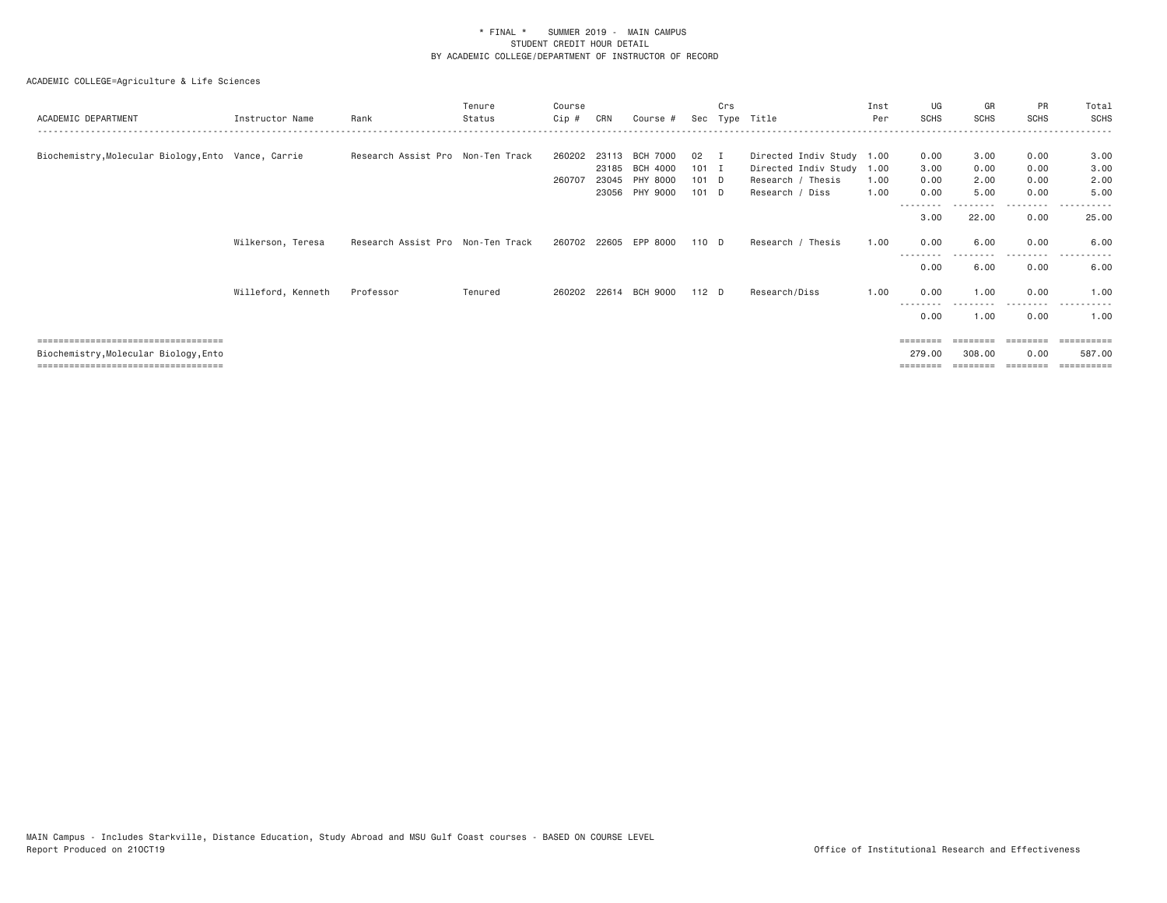| ACADEMIC DEPARTMENT                                 | Instructor Name    | Rank                              | Tenure<br>Status | Course<br>Cip # | CRN   | Course #              |         | Crs | Sec Type Title            | Inst<br>Per | UG<br><b>SCHS</b> | GR<br><b>SCHS</b> | PR<br><b>SCHS</b> | Total<br>SCHS |
|-----------------------------------------------------|--------------------|-----------------------------------|------------------|-----------------|-------|-----------------------|---------|-----|---------------------------|-------------|-------------------|-------------------|-------------------|---------------|
|                                                     |                    |                                   |                  |                 |       |                       |         |     |                           |             |                   |                   |                   |               |
| Biochemistry, Molecular Biology, Ento Vance, Carrie |                    | Research Assist Pro Non-Ten Track |                  | 260202          | 23113 | <b>BCH 7000</b>       | 02 I    |     | Directed Indiv Study 1.00 |             | 0.00              | 3.00              | 0.00              | 3.00          |
|                                                     |                    |                                   |                  |                 | 23185 | BCH 4000              | $101$ I |     | Directed Indiv Study 1.00 |             | 3.00              | 0.00              | 0.00              | 3.00          |
|                                                     |                    |                                   |                  | 260707          | 23045 | PHY 8000              | $101$ D |     | Research / Thesis         | 1.00        | 0.00              | 2.00              | 0.00              | 2.00          |
|                                                     |                    |                                   |                  |                 | 23056 | PHY 9000              | 101 D   |     | Research / Diss           | 1.00        | 0.00<br>--------  | 5.00<br>--------- | 0.00<br>.         | 5.00<br>.     |
|                                                     |                    |                                   |                  |                 |       |                       |         |     |                           |             | 3.00              | 22.00             | 0.00              | 25.00         |
|                                                     | Wilkerson, Teresa  | Research Assist Pro Non-Ten Track |                  |                 |       | 260702 22605 EPP 8000 | 110 D   |     | Research / Thesis         | 1.00        | 0.00              | 6.00              | 0.00<br>.         | 6.00<br>.     |
|                                                     |                    |                                   |                  |                 |       |                       |         |     |                           |             | 0.00              | 6.00              | 0.00              | 6.00          |
|                                                     | Willeford, Kenneth | Professor                         | Tenured          |                 |       | 260202 22614 BCH 9000 | 112 D   |     | Research/Diss             | 1.00        | 0.00              | 1,00              | 0.00<br>.         | 1.00          |
|                                                     |                    |                                   |                  |                 |       |                       |         |     |                           |             | 0.00              | 1,00              | 0.00              | 1.00          |
| =====================================               |                    |                                   |                  |                 |       |                       |         |     |                           |             | --------          |                   |                   | ---------     |
| Biochemistry, Molecular Biology, Ento               |                    |                                   |                  |                 |       |                       |         |     |                           |             | 279,00            | 308.00            | 0.00              | 587.00        |
| ====================================                |                    |                                   |                  |                 |       |                       |         |     |                           |             |                   |                   |                   |               |
|                                                     |                    |                                   |                  |                 |       |                       |         |     |                           |             |                   |                   |                   |               |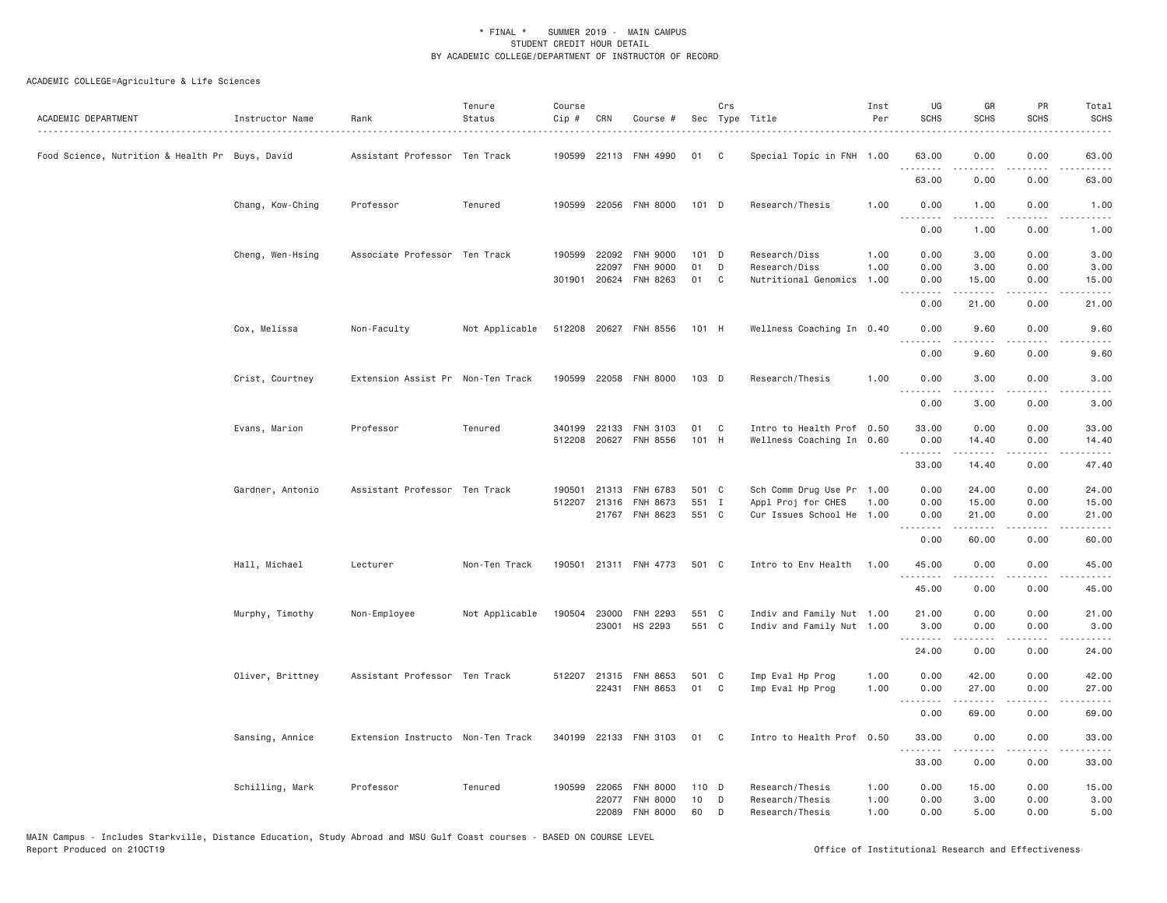| ACADEMIC DEPARTMENT                             | Instructor Name  | Rank                              | Tenure<br>Status | Course<br>Cip # | CRN          | Course #              |       | Crs          | Sec Type Title                     | Inst<br>Per  | UG<br><b>SCHS</b> | GR<br><b>SCHS</b>                                                                                                                                             | PR<br><b>SCHS</b>                   | Total<br><b>SCHS</b><br>$- - - - -$                                                                                                                           |
|-------------------------------------------------|------------------|-----------------------------------|------------------|-----------------|--------------|-----------------------|-------|--------------|------------------------------------|--------------|-------------------|---------------------------------------------------------------------------------------------------------------------------------------------------------------|-------------------------------------|---------------------------------------------------------------------------------------------------------------------------------------------------------------|
| Food Science, Nutrition & Health Pr Buys, David |                  | Assistant Professor Ten Track     |                  |                 |              | 190599 22113 FNH 4990 | 01    | C            | Special Topic in FNH 1.00          |              | 63.00             | 0.00                                                                                                                                                          | 0.00                                | 63.00                                                                                                                                                         |
|                                                 |                  |                                   |                  |                 |              |                       |       |              |                                    |              | 63.00             | 0.00                                                                                                                                                          | 0.00                                | 63.00                                                                                                                                                         |
|                                                 | Chang, Kow-Ching | Professor                         | Tenured          |                 |              | 190599 22056 FNH 8000 | 101 D |              | Research/Thesis                    | 1.00         | 0.00<br>.         | 1.00<br>.                                                                                                                                                     | 0.00                                | 1.00<br>.                                                                                                                                                     |
|                                                 |                  |                                   |                  |                 |              |                       |       |              |                                    |              | 0.00              | 1.00                                                                                                                                                          | 0.00                                | 1.00                                                                                                                                                          |
|                                                 | Cheng, Wen-Hsing | Associate Professor Ten Track     |                  | 190599          | 22092        | <b>FNH 9000</b>       | 101   | $\mathsf{D}$ | Research/Diss                      | 1.00         | 0.00              | 3.00                                                                                                                                                          | 0.00                                | 3.00                                                                                                                                                          |
|                                                 |                  |                                   |                  |                 | 22097        | <b>FNH 9000</b>       | 01    | D            | Research/Diss                      | 1.00         | 0.00              | 3.00                                                                                                                                                          | 0.00                                | 3.00                                                                                                                                                          |
|                                                 |                  |                                   |                  |                 |              | 301901 20624 FNH 8263 | 01    | C            | Nutritional Genomics               | 1.00         | 0.00              | 15.00                                                                                                                                                         | 0.00                                | 15.00                                                                                                                                                         |
|                                                 |                  |                                   |                  |                 |              |                       |       |              |                                    |              | <u>.</u><br>0.00  | 21.00                                                                                                                                                         | $- - - -$<br>0.00                   | $- - - - -$<br>21.00                                                                                                                                          |
|                                                 | Cox, Melissa     | Non-Faculty                       | Not Applicable   |                 |              | 512208 20627 FNH 8556 | 101 H |              | Wellness Coaching In 0.40          |              | 0.00              | 9.60                                                                                                                                                          | 0.00                                | 9.60                                                                                                                                                          |
|                                                 |                  |                                   |                  |                 |              |                       |       |              |                                    |              | .<br>0.00         | 9.60                                                                                                                                                          | 0.00                                | 9.60                                                                                                                                                          |
|                                                 | Crist, Courtney  | Extension Assist Pr Non-Ten Track |                  |                 |              | 190599 22058 FNH 8000 | 103 D |              | Research/Thesis                    | 1.00         | 0.00              | 3.00                                                                                                                                                          | 0.00                                | 3.00                                                                                                                                                          |
|                                                 |                  |                                   |                  |                 |              |                       |       |              |                                    |              | .                 | .                                                                                                                                                             | $\frac{1}{2}$                       | .                                                                                                                                                             |
|                                                 |                  |                                   |                  |                 |              |                       |       |              |                                    |              | 0.00              | 3.00                                                                                                                                                          | 0.00                                | 3.00                                                                                                                                                          |
|                                                 | Evans, Marion    | Professor                         | Tenured          | 340199          | 22133        | FNH 3103              | 01    | C            | Intro to Health Prof 0.50          |              | 33.00             | 0.00                                                                                                                                                          | 0.00                                | 33.00                                                                                                                                                         |
|                                                 |                  |                                   |                  | 512208          |              | 20627 FNH 8556        | 101 H |              | Wellness Coaching In 0.60          |              | 0.00              | 14.40                                                                                                                                                         | 0.00                                | 14.40                                                                                                                                                         |
|                                                 |                  |                                   |                  |                 |              |                       |       |              |                                    |              | .<br>33.00        | $\omega$ is a set of<br>14.40                                                                                                                                 | $\sim$ $\sim$ $\sim$ $\sim$<br>0.00 | $\sim$ $\sim$ $\sim$ $\sim$ $\sim$<br>47.40                                                                                                                   |
|                                                 | Gardner, Antonio | Assistant Professor Ten Track     |                  | 190501          | 21313        | FNH 6783              | 501 C |              | Sch Comm Drug Use Pr 1.00          |              | 0.00              | 24.00                                                                                                                                                         | 0.00                                | 24.00                                                                                                                                                         |
|                                                 |                  |                                   |                  | 512207          | 21316        | FNH 8673              | 551 I |              | Appl Proj for CHES                 | 1.00         | 0.00              | 15.00                                                                                                                                                         | 0.00                                | 15.00                                                                                                                                                         |
|                                                 |                  |                                   |                  |                 |              | 21767 FNH 8623        | 551 C |              | Cur Issues School He 1.00          |              | 0.00              | 21.00                                                                                                                                                         | 0.00                                | 21.00                                                                                                                                                         |
|                                                 |                  |                                   |                  |                 |              |                       |       |              |                                    |              | .<br>0.00         | $\frac{1}{2} \left( \frac{1}{2} \right) \left( \frac{1}{2} \right) \left( \frac{1}{2} \right) \left( \frac{1}{2} \right) \left( \frac{1}{2} \right)$<br>60.00 | $\sim$ $\sim$ $\sim$ $\sim$<br>0.00 | د د د د د<br>60.00                                                                                                                                            |
|                                                 | Hall, Michael    | Lecturer                          | Non-Ten Track    |                 |              | 190501 21311 FNH 4773 | 501 C |              | Intro to Env Health                | 1.00         | 45.00             | 0.00                                                                                                                                                          | 0.00                                | 45.00                                                                                                                                                         |
|                                                 |                  |                                   |                  |                 |              |                       |       |              |                                    |              | <b></b>           | -----                                                                                                                                                         | .                                   | .                                                                                                                                                             |
|                                                 |                  |                                   |                  |                 |              |                       |       |              |                                    |              | 45.00             | 0.00                                                                                                                                                          | 0.00                                | 45.00                                                                                                                                                         |
|                                                 | Murphy, Timothy  | Non-Employee                      | Not Applicable   | 190504          |              | 23000 FNH 2293        | 551 C |              | Indiv and Family Nut 1.00          |              | 21.00             | 0.00                                                                                                                                                          | 0.00                                | 21.00                                                                                                                                                         |
|                                                 |                  |                                   |                  |                 |              | 23001 HS 2293         | 551 C |              | Indiv and Family Nut 1.00          |              | 3.00<br>.         | 0.00<br>.                                                                                                                                                     | 0.00<br>.                           | 3.00<br>.                                                                                                                                                     |
|                                                 |                  |                                   |                  |                 |              |                       |       |              |                                    |              | 24.00             | 0.00                                                                                                                                                          | 0.00                                | 24.00                                                                                                                                                         |
|                                                 | Oliver, Brittney | Assistant Professor Ten Track     |                  |                 | 512207 21315 | FNH 8653              | 501 C |              | Imp Eval Hp Prog                   | 1.00         | 0.00              | 42.00                                                                                                                                                         | 0.00                                | 42.00                                                                                                                                                         |
|                                                 |                  |                                   |                  |                 |              | 22431 FNH 8653        | 01    | $\mathbf{C}$ | Imp Eval Hp Prog                   | 1.00         | 0.00              | 27.00                                                                                                                                                         | 0.00                                | 27.00                                                                                                                                                         |
|                                                 |                  |                                   |                  |                 |              |                       |       |              |                                    |              | $\cdots$<br>0.00  | -----<br>69.00                                                                                                                                                | $\sim$ $\sim$ $\sim$ $\sim$<br>0.00 | $\frac{1}{2} \left( \frac{1}{2} \right) \left( \frac{1}{2} \right) \left( \frac{1}{2} \right) \left( \frac{1}{2} \right) \left( \frac{1}{2} \right)$<br>69.00 |
|                                                 | Sansing, Annice  | Extension Instructo Non-Ten Track |                  |                 |              | 340199 22133 FNH 3103 | 01 C  |              | Intro to Health Prof 0.50          |              | 33.00             | 0.00                                                                                                                                                          | 0.00                                | 33.00                                                                                                                                                         |
|                                                 |                  |                                   |                  |                 |              |                       |       |              |                                    |              | .<br>33.00        | -----<br>0.00                                                                                                                                                 | .<br>0.00                           | .<br>33.00                                                                                                                                                    |
|                                                 |                  | Professor                         | Tenured          | 190599          | 22065        | <b>FNH 8000</b>       | 110 D |              |                                    |              | 0.00              | 15.00                                                                                                                                                         | 0.00                                |                                                                                                                                                               |
|                                                 | Schilling, Mark  |                                   |                  |                 | 22077        | <b>FNH 8000</b>       | 10    | D            | Research/Thesis<br>Research/Thesis | 1.00<br>1.00 | 0.00              | 3.00                                                                                                                                                          | 0.00                                | 15.00<br>3.00                                                                                                                                                 |
|                                                 |                  |                                   |                  |                 | 22089        | <b>FNH 8000</b>       | 60    | D            | Research/Thesis                    | 1.00         | 0.00              | 5.00                                                                                                                                                          | 0.00                                | 5.00                                                                                                                                                          |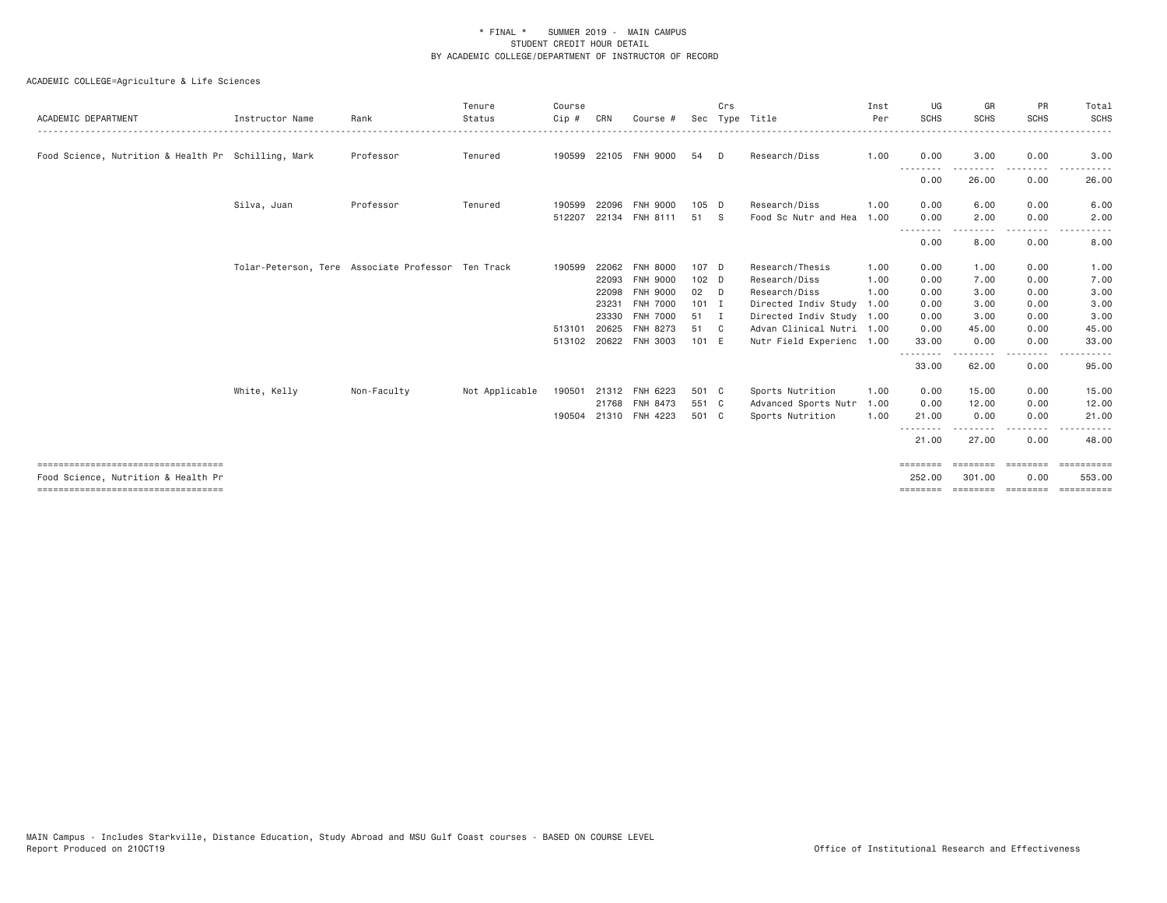| Food Science, Nutrition & Health Pr Schilling, Mark<br>Professor<br>Professor<br>Tolar-Peterson, Tere Associate Professor Ten Track | Tenured<br>Tenured | 190599<br>512207 | 22096<br>22134 | 190599 22105 FNH 9000<br><b>FNH 9000</b><br>FNH 8111 | 54<br>105 D                                                                      | D.             | Research/Diss                            | 1.00         | 0.00<br>--------<br>0.00                                       | 3.00<br>---------<br>26.00                   | 0.00<br>.<br>0.00 | 3.00<br>26.00                                                    |
|-------------------------------------------------------------------------------------------------------------------------------------|--------------------|------------------|----------------|------------------------------------------------------|----------------------------------------------------------------------------------|----------------|------------------------------------------|--------------|----------------------------------------------------------------|----------------------------------------------|-------------------|------------------------------------------------------------------|
|                                                                                                                                     |                    |                  |                |                                                      |                                                                                  |                |                                          |              |                                                                |                                              |                   |                                                                  |
|                                                                                                                                     |                    |                  |                |                                                      |                                                                                  |                |                                          |              |                                                                |                                              |                   |                                                                  |
|                                                                                                                                     |                    |                  |                |                                                      | 51 S                                                                             |                | Research/Diss<br>Food Sc Nutr and Hea    | 1.00<br>1.00 | 0.00<br>0.00                                                   | 6.00<br>2.00                                 | 0.00<br>0.00      | 6.00<br>2.00                                                     |
|                                                                                                                                     |                    |                  |                |                                                      |                                                                                  |                |                                          |              | - - - - - - - -<br>0.00                                        | 8.00                                         | ----<br>0.00      | 8.00                                                             |
|                                                                                                                                     |                    | 190599           | 22062          | <b>FNH 8000</b>                                      | 107 D                                                                            |                | Research/Thesis                          | 1.00         | 0.00                                                           | 1.00                                         | 0.00              | 1.00                                                             |
|                                                                                                                                     |                    |                  | 22093          | <b>FNH 9000</b>                                      | 102 D                                                                            |                | Research/Diss                            | 1.00         | 0.00                                                           | 7.00                                         | 0.00              | 7.00                                                             |
|                                                                                                                                     |                    |                  | 22098          | <b>FNH 9000</b>                                      | 02 D                                                                             |                | Research/Diss                            | 1.00         | 0.00                                                           | 3.00                                         | 0.00              | 3.00                                                             |
|                                                                                                                                     |                    |                  | 23231          | <b>FNH 7000</b>                                      | $101$ I                                                                          |                | Directed Indiv Study                     | 1.00         | 0.00                                                           | 3.00                                         | 0.00              | 3.00                                                             |
|                                                                                                                                     |                    |                  | 23330          | <b>FNH 7000</b>                                      | 51                                                                               | $\blacksquare$ | Directed Indiv Study 1.00                |              | 0.00                                                           | 3.00                                         | 0.00              | 3.00                                                             |
|                                                                                                                                     |                    |                  |                |                                                      |                                                                                  |                |                                          |              |                                                                |                                              |                   | 45.00                                                            |
|                                                                                                                                     |                    |                  |                |                                                      |                                                                                  |                |                                          |              |                                                                |                                              |                   | 33.00                                                            |
|                                                                                                                                     |                    |                  |                |                                                      |                                                                                  |                |                                          |              | 33.00                                                          | 62.00                                        | 0.00              | 95.00                                                            |
| Non-Faculty                                                                                                                         | Not Applicable     | 190501           |                |                                                      |                                                                                  |                | Sports Nutrition                         | 1.00         | 0.00                                                           | 15.00                                        | 0.00              | 15.00                                                            |
|                                                                                                                                     |                    |                  |                |                                                      |                                                                                  |                | Advanced Sports Nutr                     |              | 0.00                                                           | 12.00                                        | 0.00              | 12.00                                                            |
|                                                                                                                                     |                    | 190504           |                |                                                      |                                                                                  |                | Sports Nutrition                         | 1.00         | 21.00                                                          | 0.00                                         | 0.00              | 21.00                                                            |
|                                                                                                                                     |                    |                  |                |                                                      |                                                                                  |                |                                          |              | 21.00                                                          | 27.00                                        | 0.00              | 48.00                                                            |
|                                                                                                                                     |                    |                  |                |                                                      |                                                                                  |                |                                          |              | ========<br>252.00                                             | ========<br>301.00                           | 0.00              | EEEEEEEEE<br>553.00                                              |
|                                                                                                                                     |                    |                  | 513101         | 20625<br>513102                                      | FNH 8273<br>20622 FNH 3003<br>21312 FNH 6223<br>21768 FNH 8473<br>21310 FNH 4223 |                | 51 C<br>101 E<br>501 C<br>551 C<br>501 C |              | Advan Clinical Nutri 1.00<br>Nutr Field Experienc 1.00<br>1.00 | 0.00<br>33.00<br>- - - - - - - -<br>======== | 45.00<br>0.00     | 0.00<br>0.00<br>.<br>---------<br>EEEEEEEEE<br>================= |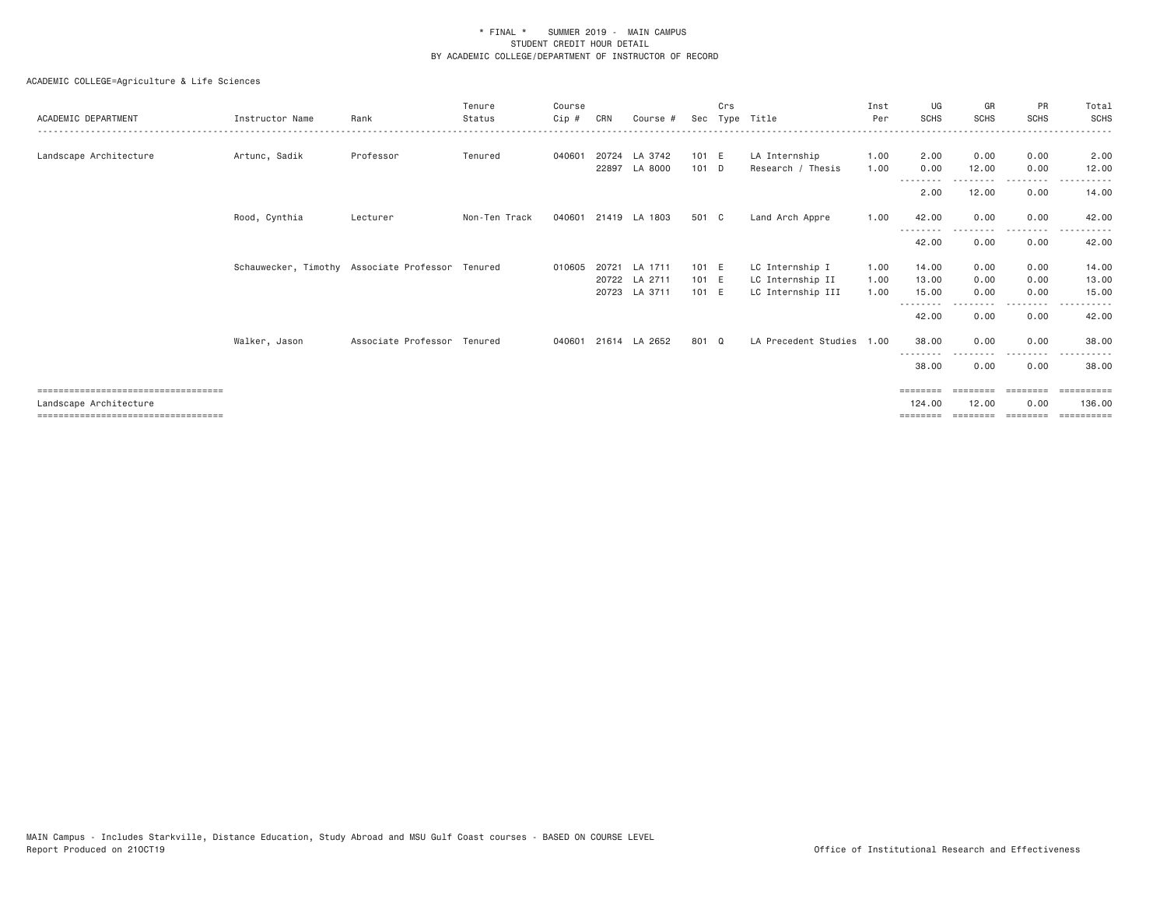| ACADEMIC DEPARTMENT                                                                                     | Instructor Name | Rank                                             | Tenure<br>Status | Course<br>Cip # | CRN   | Course #                                        | Sec                     | Crs<br>Type | Title                                                    | Inst<br>Per          | UG<br><b>SCHS</b>              | GR<br><b>SCHS</b>    | PR<br><b>SCHS</b>    | Total<br><b>SCHS</b>           |
|---------------------------------------------------------------------------------------------------------|-----------------|--------------------------------------------------|------------------|-----------------|-------|-------------------------------------------------|-------------------------|-------------|----------------------------------------------------------|----------------------|--------------------------------|----------------------|----------------------|--------------------------------|
| Landscape Architecture                                                                                  | Artunc, Sadik   | Professor                                        | Tenured          | 040601          | 22897 | 20724 LA 3742<br>LA 8000                        | 101 E<br>101 D          |             | LA Internship<br>Research / Thesis                       | 1.00<br>1.00         | 2.00<br>0.00                   | 0.00<br>12.00        | 0.00<br>0.00         | 2.00<br>12.00                  |
|                                                                                                         |                 |                                                  |                  |                 |       |                                                 |                         |             |                                                          |                      | --------<br>2.00               | 12.00                | . <u>.</u> .<br>0.00 | 14.00                          |
|                                                                                                         | Rood, Cynthia   | Lecturer                                         | Non-Ten Track    | 040601          |       | 21419 LA 1803                                   | 501 C                   |             | Land Arch Appre                                          | 1.00                 | 42.00                          | 0.00                 | 0.00                 | 42.00                          |
|                                                                                                         |                 |                                                  |                  |                 |       |                                                 |                         |             |                                                          |                      | 42.00                          | 0.00                 | ----<br>0.00         | 42.00                          |
|                                                                                                         |                 | Schauwecker, Timothy Associate Professor Tenured |                  | 010605          |       | 20721 LA 1711<br>20722 LA 2711<br>20723 LA 3711 | 101 E<br>101 E<br>101 E |             | LC Internship I<br>LC Internship II<br>LC Internship III | 1.00<br>1.00<br>1.00 | 14.00<br>13.00<br>15.00        | 0.00<br>0.00<br>0.00 | 0.00<br>0.00<br>0.00 | 14.00<br>13.00<br>15.00        |
|                                                                                                         |                 |                                                  |                  |                 |       |                                                 |                         |             |                                                          |                      | --------<br>42.00              | --------<br>0.00     | -------<br>0.00      | 42.00                          |
|                                                                                                         | Walker, Jason   | Associate Professor Tenured                      |                  | 040601          |       | 21614 LA 2652                                   | 801 Q                   |             | LA Precedent Studies 1.00                                |                      | 38.00                          | 0.00                 | 0.00                 | 38.00                          |
|                                                                                                         |                 |                                                  |                  |                 |       |                                                 |                         |             |                                                          |                      | --------<br>38,00              | 0.00                 | .<br>0.00            | 38,00                          |
| ====================================<br>Landscape Architecture<br>===================================== |                 |                                                  |                  |                 |       |                                                 |                         |             |                                                          |                      | ========<br>124,00<br>======== | 12.00                | 0.00                 | ==========<br>136,00<br>====== |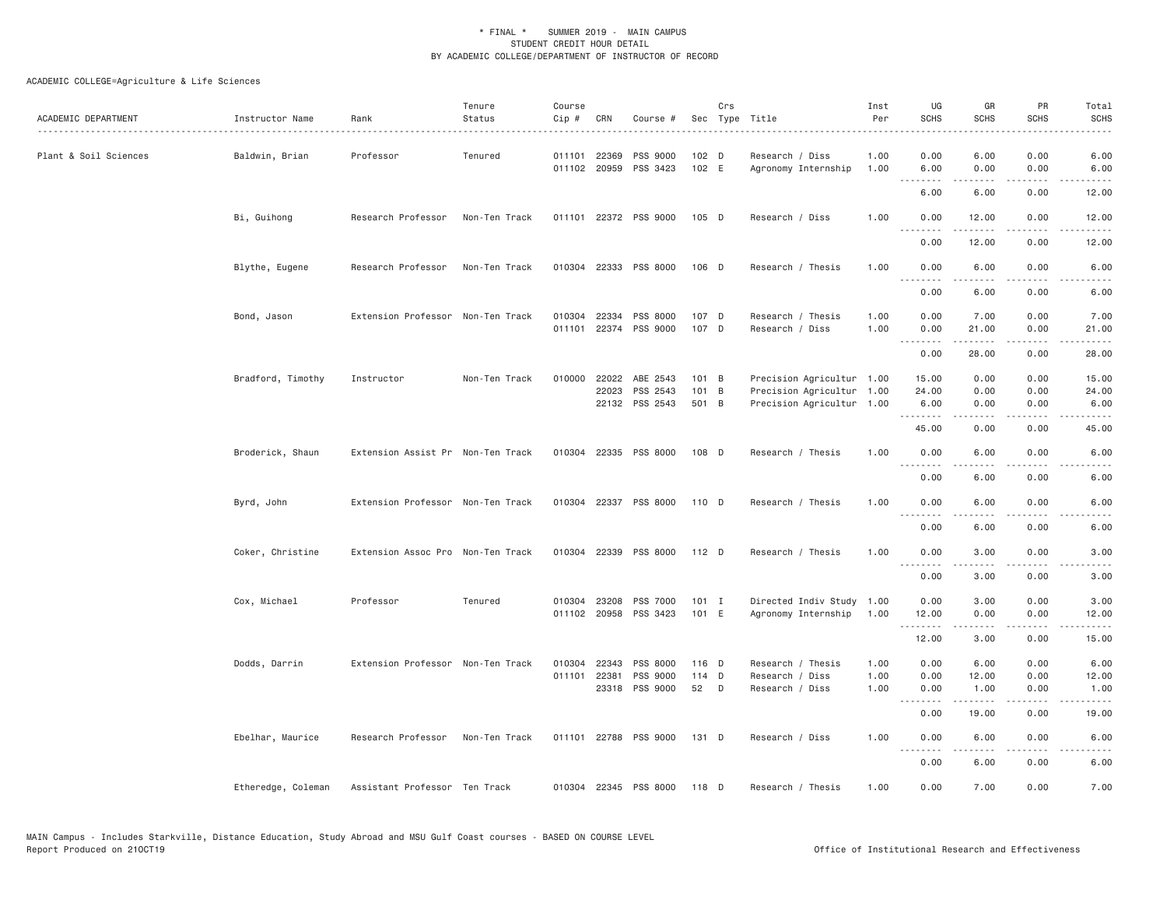| ACADEMIC DEPARTMENT   | Instructor Name    | Rank                              | Tenure<br>Status | Course<br>Cip #  | CRN                          | Course #                               |                         | Crs | Sec Type Title                                                                      | Inst<br>Per          | UG<br><b>SCHS</b>                                                                                                                 | GR<br><b>SCHS</b>                                                                                                                                                                                | PR<br><b>SCHS</b>    | Total<br><b>SCHS</b>   |
|-----------------------|--------------------|-----------------------------------|------------------|------------------|------------------------------|----------------------------------------|-------------------------|-----|-------------------------------------------------------------------------------------|----------------------|-----------------------------------------------------------------------------------------------------------------------------------|--------------------------------------------------------------------------------------------------------------------------------------------------------------------------------------------------|----------------------|------------------------|
| Plant & Soil Sciences | Baldwin, Brian     | Professor                         | Tenured          | 011101           | 22369<br>011102 20959        | PSS 9000<br>PSS 3423                   | 102 D<br>102 E          |     | Research / Diss<br>Agronomy Internship                                              | 1.00<br>1.00         | 0.00<br>6.00                                                                                                                      | 6.00<br>0.00                                                                                                                                                                                     | 0.00<br>0.00         | 6.00<br>6.00           |
|                       |                    |                                   |                  |                  |                              |                                        |                         |     |                                                                                     |                      | .<br>6.00                                                                                                                         | $\frac{1}{2} \left( \frac{1}{2} \right) \left( \frac{1}{2} \right) \left( \frac{1}{2} \right) \left( \frac{1}{2} \right) \left( \frac{1}{2} \right) \left( \frac{1}{2} \right)$<br>6.00          | .<br>0.00            | .<br>12.00             |
|                       | Bi, Guihong        | Research Professor                | Non-Ten Track    |                  |                              | 011101 22372 PSS 9000                  | 105 D                   |     | Research / Diss                                                                     | 1.00                 | 0.00                                                                                                                              | 12.00                                                                                                                                                                                            | 0.00                 | 12.00                  |
|                       |                    |                                   |                  |                  |                              |                                        |                         |     |                                                                                     |                      | <u>.</u><br>0.00                                                                                                                  | 12.00                                                                                                                                                                                            | 0.00                 | 12.00                  |
|                       | Blythe, Eugene     | Research Professor                | Non-Ten Track    |                  |                              | 010304 22333 PSS 8000                  | $106$ D                 |     | Research / Thesis                                                                   | 1.00                 | 0.00<br><u>.</u>                                                                                                                  | 6.00                                                                                                                                                                                             | 0.00                 | 6.00                   |
|                       |                    |                                   |                  |                  |                              |                                        |                         |     |                                                                                     |                      | 0.00                                                                                                                              | $- - - - -$<br>6.00                                                                                                                                                                              | $- - - -$<br>0.00    | ----<br>6.00           |
|                       | Bond, Jason        | Extension Professor Non-Ten Track |                  | 010304 22334     |                              | PSS 8000<br>011101 22374 PSS 9000      | 107 D<br>107 D          |     | Research / Thesis<br>Research / Diss                                                | 1.00<br>1.00         | 0.00<br>0.00<br>.                                                                                                                 | 7.00<br>21.00<br>$\frac{1}{2} \left( \frac{1}{2} \right) \left( \frac{1}{2} \right) \left( \frac{1}{2} \right) \left( \frac{1}{2} \right) \left( \frac{1}{2} \right) \left( \frac{1}{2} \right)$ | 0.00<br>0.00         | 7.00<br>21.00          |
|                       |                    |                                   |                  |                  |                              |                                        |                         |     |                                                                                     |                      | 0.00                                                                                                                              | 28.00                                                                                                                                                                                            | 0.00                 | 28.00                  |
|                       | Bradford, Timothy  | Instructor                        | Non-Ten Track    | 010000           | 22022<br>22023               | ABE 2543<br>PSS 2543<br>22132 PSS 2543 | 101 B<br>101 B<br>501 B |     | Precision Agricultur 1.00<br>Precision Agricultur 1.00<br>Precision Agricultur 1.00 |                      | 15.00<br>24.00<br>6.00                                                                                                            | 0.00<br>0.00<br>0.00                                                                                                                                                                             | 0.00<br>0.00<br>0.00 | 15.00<br>24.00<br>6.00 |
|                       |                    |                                   |                  |                  |                              |                                        |                         |     |                                                                                     |                      | .<br>45.00                                                                                                                        | 0.00                                                                                                                                                                                             | 0.00                 | 45.00                  |
|                       | Broderick, Shaun   | Extension Assist Pr Non-Ten Track |                  |                  |                              | 010304 22335 PSS 8000                  | 108 D                   |     | Research / Thesis                                                                   | 1.00                 | 0.00                                                                                                                              | 6.00                                                                                                                                                                                             | 0.00                 | 6.00                   |
|                       |                    |                                   |                  |                  |                              |                                        |                         |     |                                                                                     |                      | .<br>0.00                                                                                                                         | 6.00                                                                                                                                                                                             | 0.00                 | 6.00                   |
|                       | Byrd, John         | Extension Professor Non-Ten Track |                  |                  |                              | 010304 22337 PSS 8000                  | 110 D                   |     | Research / Thesis                                                                   | 1.00                 | 0.00<br>$\frac{1}{2} \left( \frac{1}{2} \right) \left( \frac{1}{2} \right) \left( \frac{1}{2} \right) \left( \frac{1}{2} \right)$ | 6.00                                                                                                                                                                                             | 0.00                 | 6.00                   |
|                       |                    |                                   |                  |                  |                              |                                        |                         |     |                                                                                     |                      | 0.00                                                                                                                              | 6.00                                                                                                                                                                                             | 0.00                 | 6.00                   |
|                       | Coker, Christine   | Extension Assoc Pro Non-Ten Track |                  | 010304 22339     |                              | PSS 8000                               | 112 D                   |     | Research / Thesis                                                                   | 1.00                 | 0.00<br>.                                                                                                                         | 3.00<br>$- - - - -$                                                                                                                                                                              | 0.00<br>.            | 3.00<br>$- - - -$      |
|                       |                    |                                   |                  |                  |                              |                                        |                         |     |                                                                                     |                      | 0.00                                                                                                                              | 3.00                                                                                                                                                                                             | 0.00                 | 3.00                   |
|                       | Cox, Michael       | Professor                         | Tenured          |                  | 010304 23208<br>011102 20958 | PSS 7000<br>PSS 3423                   | $101$ I<br>101 E        |     | Directed Indiv Study 1.00<br>Agronomy Internship                                    | 1.00                 | 0.00<br>12.00                                                                                                                     | 3.00<br>0.00                                                                                                                                                                                     | 0.00<br>0.00<br>.    | 3.00<br>12.00          |
|                       |                    |                                   |                  |                  |                              |                                        |                         |     |                                                                                     |                      | .<br>12.00                                                                                                                        | 3.00                                                                                                                                                                                             | 0.00                 | 15.00                  |
|                       | Dodds, Darrin      | Extension Professor Non-Ten Track |                  | 010304<br>011101 | 22343<br>22381               | PSS 8000<br>PSS 9000<br>23318 PSS 9000 | 116 D<br>114 D<br>52    | D   | Research / Thesis<br>Research / Diss<br>Research / Diss                             | 1.00<br>1.00<br>1.00 | 0.00<br>0.00<br>0.00                                                                                                              | 6.00<br>12.00<br>1.00                                                                                                                                                                            | 0.00<br>0.00<br>0.00 | 6.00<br>12.00<br>1.00  |
|                       |                    |                                   |                  |                  |                              |                                        |                         |     |                                                                                     |                      | .<br>0.00                                                                                                                         | .<br>19.00                                                                                                                                                                                       | $\cdots$<br>0.00     | .<br>19.00             |
|                       | Ebelhar, Maurice   | Research Professor                | Non-Ten Track    |                  |                              | 011101 22788 PSS 9000                  | 131 D                   |     | Research / Diss                                                                     | 1.00                 | 0.00                                                                                                                              | 6.00                                                                                                                                                                                             | 0.00                 | 6.00                   |
|                       |                    |                                   |                  |                  |                              |                                        |                         |     |                                                                                     |                      | .<br>0.00                                                                                                                         | $- - - - -$<br>6.00                                                                                                                                                                              | .<br>0.00            | 6.00                   |
|                       | Etheredge, Coleman | Assistant Professor Ten Track     |                  |                  |                              | 010304 22345 PSS 8000                  | 118 D                   |     | Research / Thesis                                                                   | 1.00                 | 0.00                                                                                                                              | 7.00                                                                                                                                                                                             | 0.00                 | 7.00                   |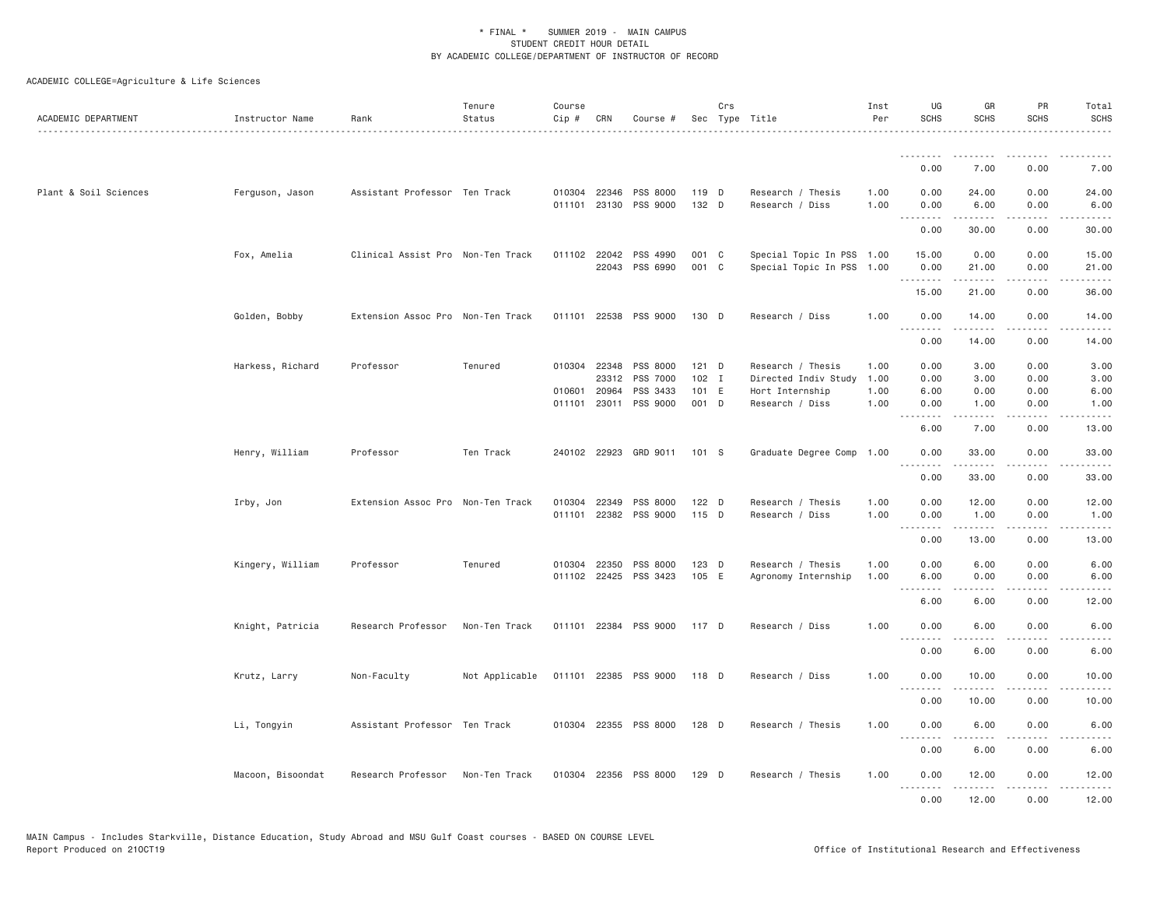| ACADEMIC DEPARTMENT   | Instructor Name   | Rank                              | Tenure<br>Status | Course<br>Cip # | CRN          | Course #                          |                | Crs | Sec Type Title                                         | Inst<br>Per  | UG<br><b>SCHS</b>            | GR<br><b>SCHS</b>                                                                                                                                             | PR<br><b>SCHS</b>     | Total<br><b>SCHS</b> |
|-----------------------|-------------------|-----------------------------------|------------------|-----------------|--------------|-----------------------------------|----------------|-----|--------------------------------------------------------|--------------|------------------------------|---------------------------------------------------------------------------------------------------------------------------------------------------------------|-----------------------|----------------------|
|                       |                   |                                   |                  |                 |              |                                   |                |     |                                                        |              | --------<br>0.00             | --------<br>7.00                                                                                                                                              | 0.00                  | 7.00                 |
|                       |                   |                                   |                  |                 |              |                                   |                |     |                                                        |              |                              |                                                                                                                                                               |                       |                      |
| Plant & Soil Sciences | Ferguson, Jason   | Assistant Professor Ten Track     |                  |                 | 010304 22346 | PSS 8000<br>011101 23130 PSS 9000 | 119 D<br>132 D |     | Research / Thesis<br>Research / Diss                   | 1.00<br>1.00 | 0.00<br>0.00<br>.            | 24.00<br>6.00<br>.                                                                                                                                            | 0.00<br>0.00<br>.     | 24.00<br>6.00<br>.   |
|                       |                   |                                   |                  |                 |              |                                   |                |     |                                                        |              | 0.00                         | 30.00                                                                                                                                                         | 0.00                  | 30.00                |
|                       | Fox, Amelia       | Clinical Assist Pro Non-Ten Track |                  |                 | 011102 22042 | PSS 4990<br>22043 PSS 6990        | 001 C<br>001 C |     | Special Topic In PSS 1.00<br>Special Topic In PSS 1.00 |              | 15.00<br>0.00                | 0.00<br>21.00                                                                                                                                                 | 0.00<br>0.00          | 15.00<br>21.00       |
|                       |                   |                                   |                  |                 |              |                                   |                |     |                                                        |              | .<br>15.00                   | 21.00                                                                                                                                                         | 0.00                  | 36.00                |
|                       | Golden, Bobby     | Extension Assoc Pro Non-Ten Track |                  |                 |              | 011101 22538 PSS 9000             | 130 D          |     | Research / Diss                                        | 1.00         | 0.00                         | 14.00                                                                                                                                                         | 0.00                  | 14.00                |
|                       |                   |                                   |                  |                 |              |                                   |                |     |                                                        |              | $  -$<br>.<br>0.00           | -----<br>14.00                                                                                                                                                | 0.00                  | 14.00                |
|                       | Harkess, Richard  | Professor                         | Tenured          |                 | 010304 22348 | PSS 8000                          | $121$ D        |     | Research / Thesis                                      | 1.00         | 0.00                         | 3.00                                                                                                                                                          | 0.00                  | 3.00                 |
|                       |                   |                                   |                  |                 | 23312        | PSS 7000                          | $102$ I        |     | Directed Indiv Study                                   | 1.00         | 0.00                         | 3.00                                                                                                                                                          | 0.00                  | 3.00                 |
|                       |                   |                                   |                  | 010601          | 20964        | PSS 3433                          | 101 E          |     | Hort Internship                                        | 1.00<br>1.00 | 6.00                         | 0.00                                                                                                                                                          | 0.00<br>0.00          | 6.00<br>1.00         |
|                       |                   |                                   |                  |                 |              | 011101 23011 PSS 9000             | 001 D          |     | Research / Diss                                        |              | 0.00<br>$ -$<br>.            | 1.00<br>$- - - - -$                                                                                                                                           | .                     |                      |
|                       |                   |                                   |                  |                 |              |                                   |                |     |                                                        |              | 6.00                         | 7.00                                                                                                                                                          | 0.00                  | 13.00                |
|                       | Henry, William    | Professor                         | Ten Track        |                 |              | 240102 22923 GRD 9011             | 101 S          |     | Graduate Degree Comp 1.00                              |              | 0.00<br>-----                | 33.00<br>$\frac{1}{2} \left( \frac{1}{2} \right) \left( \frac{1}{2} \right) \left( \frac{1}{2} \right) \left( \frac{1}{2} \right) \left( \frac{1}{2} \right)$ | 0.00<br>$\frac{1}{2}$ | 33.00<br>، د د د د . |
|                       |                   |                                   |                  |                 |              |                                   |                |     |                                                        |              | 0.00                         | 33.00                                                                                                                                                         | 0.00                  | 33.00                |
|                       | Irby, Jon         | Extension Assoc Pro Non-Ten Track |                  | 010304          | 22349        | PSS 8000                          | $122$ D        |     | Research / Thesis                                      | 1.00         | 0.00                         | 12.00                                                                                                                                                         | 0.00                  | 12.00                |
|                       |                   |                                   |                  |                 |              | 011101 22382 PSS 9000             | 115 D          |     | Research / Diss                                        | 1.00         | 0.00<br>.                    | 1.00                                                                                                                                                          | 0.00                  | 1.00                 |
|                       |                   |                                   |                  |                 |              |                                   |                |     |                                                        |              | 0.00                         | 13.00                                                                                                                                                         | 0.00                  | 13.00                |
|                       | Kingery, William  | Professor                         | Tenured          |                 | 010304 22350 | PSS 8000                          | $123$ D        |     | Research / Thesis                                      | 1.00         | 0.00                         | 6.00                                                                                                                                                          | 0.00                  | 6.00                 |
|                       |                   |                                   |                  |                 | 011102 22425 | PSS 3423                          | 105 E          |     | Agronomy Internship                                    | 1.00         | 6.00<br>.                    | 0.00<br>$\frac{1}{2} \left( \frac{1}{2} \right) \left( \frac{1}{2} \right) \left( \frac{1}{2} \right) \left( \frac{1}{2} \right) \left( \frac{1}{2} \right)$  | 0.00<br>.             | 6.00<br>.            |
|                       |                   |                                   |                  |                 |              |                                   |                |     |                                                        |              | 6.00                         | 6.00                                                                                                                                                          | 0.00                  | 12.00                |
|                       | Knight, Patricia  | Research Professor                | Non-Ten Track    |                 | 011101 22384 | PSS 9000                          | 117 D          |     | Research / Diss                                        | 1.00         | 0.00<br>$- - -$              | 6.00                                                                                                                                                          | 0.00                  | 6.00                 |
|                       |                   |                                   |                  |                 |              |                                   |                |     |                                                        |              | 0.00                         | 6.00                                                                                                                                                          | 0.00                  | 6.00                 |
|                       | Krutz, Larry      | Non-Faculty                       | Not Applicable   |                 |              | 011101 22385 PSS 9000             | 118 D          |     | Research / Diss                                        | 1.00         | 0.00<br>.                    | 10.00                                                                                                                                                         | 0.00                  | 10.00                |
|                       |                   |                                   |                  |                 |              |                                   |                |     |                                                        |              | 0.00                         | 10.00                                                                                                                                                         | 0.00                  | 10.00                |
|                       | Li, Tongyin       | Assistant Professor Ten Track     |                  |                 |              | 010304 22355 PSS 8000             | $128$ D        |     | Research / Thesis                                      | 1.00         | 0.00<br>$\sim$ $\sim$ $\sim$ | 6.00                                                                                                                                                          | 0.00                  | 6.00                 |
|                       |                   |                                   |                  |                 |              |                                   |                |     |                                                        |              | 0.00                         | 6.00                                                                                                                                                          | 0.00                  | 6.00                 |
|                       | Macoon, Bisoondat | Research Professor                | Non-Ten Track    |                 |              | 010304 22356 PSS 8000             | $129$ D        |     | Research / Thesis                                      | 1.00         | 0.00<br>.                    | 12.00<br>.                                                                                                                                                    | 0.00<br>.             | 12.00                |
|                       |                   |                                   |                  |                 |              |                                   |                |     |                                                        |              | 0.00                         | 12.00                                                                                                                                                         | 0.00                  | 12.00                |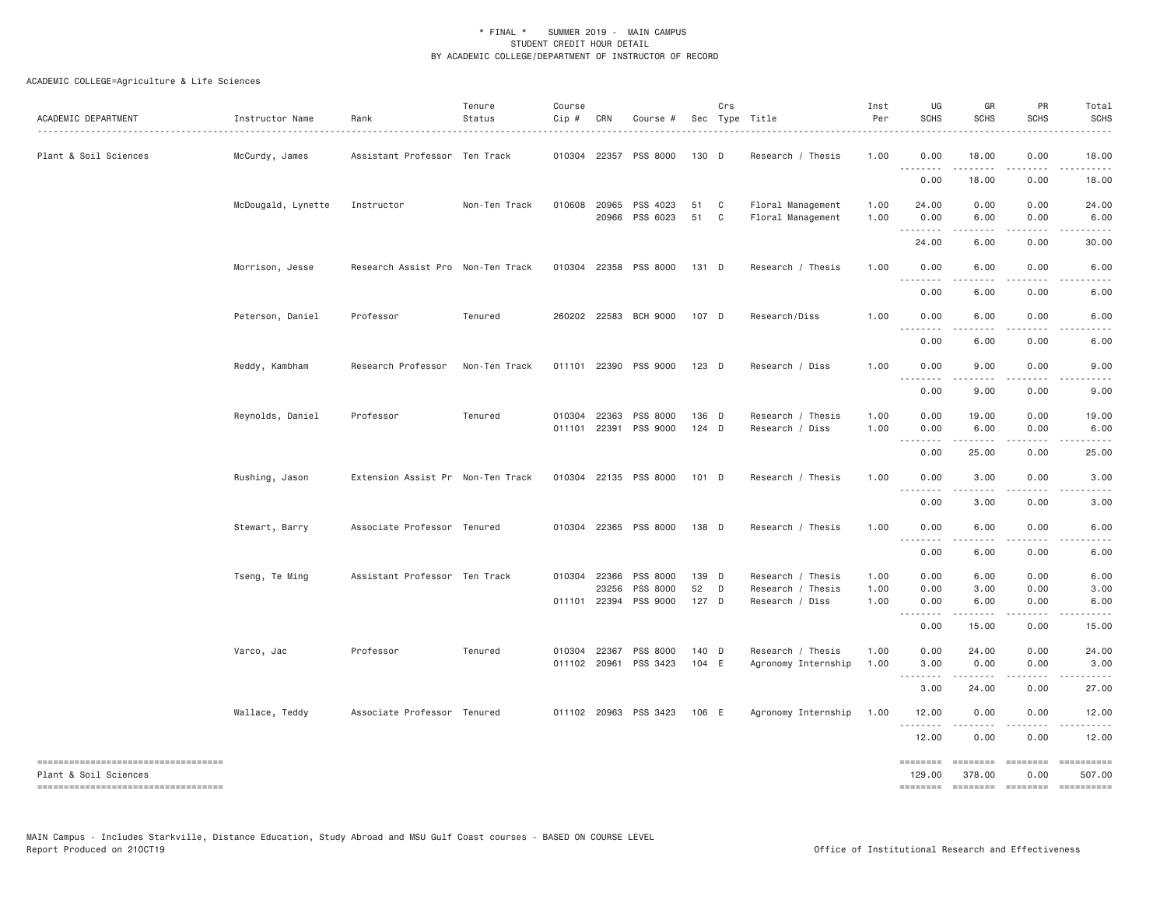| ACADEMIC DEPARTMENT                                         | Instructor Name    | Rank                              | Tenure<br>Status | Course<br>$Cip \#$ | CRN                          | Course #              |                  | Crs                          | Sec Type Title                         | Inst<br>Per  | UG<br><b>SCHS</b>                        | GR<br><b>SCHS</b>       | PR<br>SCHS                                                                                                                          | Total<br><b>SCHS</b> |
|-------------------------------------------------------------|--------------------|-----------------------------------|------------------|--------------------|------------------------------|-----------------------|------------------|------------------------------|----------------------------------------|--------------|------------------------------------------|-------------------------|-------------------------------------------------------------------------------------------------------------------------------------|----------------------|
| Plant & Soil Sciences                                       | McCurdy, James     | Assistant Professor Ten Track     |                  |                    |                              | 010304 22357 PSS 8000 | 130 D            |                              | Research / Thesis                      | 1.00         | 0.00<br>.                                | 18.00<br>. <b>.</b>     | 0.00<br>.                                                                                                                           | 18.00                |
|                                                             |                    |                                   |                  |                    |                              |                       |                  |                              |                                        |              | 0.00                                     | 18.00                   | 0.00                                                                                                                                | 18.00                |
|                                                             | McDougald, Lynette | Instructor                        | Non-Ten Track    |                    | 010608 20965<br>20966        | PSS 4023<br>PSS 6023  | 51<br>51         | $\mathbf{C}$<br>$\mathbf{C}$ | Floral Management<br>Floral Management | 1.00<br>1.00 | 24.00<br>0.00                            | 0.00<br>6.00            | 0.00<br>0.00                                                                                                                        | 24.00<br>6.00        |
|                                                             |                    |                                   |                  |                    |                              |                       |                  |                              |                                        |              | 24.00                                    | 6.00                    | 0.00                                                                                                                                | 30.00                |
|                                                             | Morrison, Jesse    | Research Assist Pro Non-Ten Track |                  |                    |                              | 010304 22358 PSS 8000 | 131 D            |                              | Research / Thesis                      | 1.00         | 0.00                                     | 6.00                    | 0.00                                                                                                                                | 6.00                 |
|                                                             |                    |                                   |                  |                    |                              |                       |                  |                              |                                        |              | $\sim$ $\sim$ $\sim$<br>.<br>0.00        | 6.00                    | 0.00                                                                                                                                | 6.00                 |
|                                                             | Peterson, Daniel   | Professor                         | Tenured          |                    |                              | 260202 22583 BCH 9000 | 107 D            |                              | Research/Diss                          | 1.00         | 0.00<br>- - - -<br>$  -$                 | 6.00<br>.               | 0.00<br>$- - - -$                                                                                                                   | 6.00                 |
|                                                             |                    |                                   |                  |                    |                              |                       |                  |                              |                                        |              | 0.00                                     | 6.00                    | 0.00                                                                                                                                | 6.00                 |
|                                                             | Reddy, Kambham     | Research Professor                | Non-Ten Track    |                    |                              | 011101 22390 PSS 9000 | 123 D            |                              | Research / Diss                        | 1.00         | 0.00<br>$\sim$ $\sim$                    | 9.00                    | 0.00                                                                                                                                | 9.00                 |
|                                                             |                    |                                   |                  |                    |                              |                       |                  |                              |                                        |              | 0.00                                     | 9.00                    | 0.00                                                                                                                                | 9.00                 |
|                                                             | Reynolds, Daniel   | Professor                         | Tenured          |                    | 010304 22363<br>011101 22391 | PSS 8000<br>PSS 9000  | 136 D<br>$124$ D |                              | Research / Thesis<br>Research / Diss   | 1.00<br>1.00 | 0.00<br>0.00                             | 19.00<br>6.00           | 0.00<br>0.00                                                                                                                        | 19.00<br>6.00        |
|                                                             |                    |                                   |                  |                    |                              |                       |                  |                              |                                        |              | .<br>$\sim$ $\sim$ $\sim$<br>0.00        | .<br>25.00              | .<br>0.00                                                                                                                           | 25.00                |
|                                                             | Rushing, Jason     | Extension Assist Pr Non-Ten Track |                  |                    |                              | 010304 22135 PSS 8000 | 101 D            |                              | Research / Thesis                      | 1,00         | 0.00<br>$ -$                             | 3,00                    | 0.00                                                                                                                                | 3.00                 |
|                                                             |                    |                                   |                  |                    |                              |                       |                  |                              |                                        |              | 0.00                                     | 3.00                    | 0.00                                                                                                                                | 3.00                 |
|                                                             | Stewart, Barry     | Associate Professor Tenured       |                  |                    |                              | 010304 22365 PSS 8000 | 138 D            |                              | Research / Thesis                      | 1.00         | 0.00                                     | 6.00                    | 0.00                                                                                                                                | 6.00                 |
|                                                             |                    |                                   |                  |                    |                              |                       |                  |                              |                                        |              | $\sim$ $\sim$ $\sim$<br>$  -$<br>0.00    | 6.00                    | 0.00                                                                                                                                | 6.00                 |
|                                                             | Tseng, Te Ming     | Assistant Professor Ten Track     |                  |                    | 010304 22366                 | PSS 8000              | 139 D            |                              | Research / Thesis                      | 1.00         | 0.00                                     | 6.00                    | 0.00                                                                                                                                | 6.00                 |
|                                                             |                    |                                   |                  |                    | 23256<br>011101 22394        | PSS 8000<br>PSS 9000  | 52<br>127 D      | $\mathsf{D}$                 | Research / Thesis<br>Research / Diss   | 1.00<br>1.00 | 0.00<br>0.00                             | 3.00<br>6.00            | 0.00<br>0.00                                                                                                                        | 3.00<br>6.00         |
|                                                             |                    |                                   |                  |                    |                              |                       |                  |                              |                                        |              | $\sim$ $\sim$ $\sim$<br>.<br>0.00        | $- - - - -$<br>15.00    | 0.00                                                                                                                                | 15.00                |
|                                                             | Varco, Jac         | Professor                         | Tenured          |                    | 010304 22367                 | PSS 8000              | 140 D            |                              | Research / Thesis                      | 1.00         | 0.00                                     | 24.00                   | 0.00                                                                                                                                | 24.00                |
|                                                             |                    |                                   |                  |                    | 011102 20961                 | PSS 3423              | 104 E            |                              | Agronomy Internship                    | 1.00         | 3.00<br>$\sim$ $\sim$ $\sim$<br>والمحامر | 0.00                    | 0.00                                                                                                                                | 3.00                 |
|                                                             |                    |                                   |                  |                    |                              |                       |                  |                              |                                        |              | 3.00                                     | 24.00                   | 0.00                                                                                                                                | 27.00                |
|                                                             | Wallace, Teddy     | Associate Professor Tenured       |                  |                    |                              | 011102 20963 PSS 3423 | 106 E            |                              | Agronomy Internship                    | 1.00         | 12.00                                    | 0.00<br>---------       | 0.00                                                                                                                                | 12.00                |
|                                                             |                    |                                   |                  |                    |                              |                       |                  |                              |                                        |              | 12.00                                    | 0.00                    | 0.00                                                                                                                                | 12.00                |
| ----------------------------------<br>Plant & Soil Sciences |                    |                                   |                  |                    |                              |                       |                  |                              |                                        |              | $= = = = = = = =$<br>129.00              | $= 222222222$<br>378.00 | $\begin{aligned} \mathcal{L} & = \mathcal{L} \mathcal{L} = \mathcal{L} \mathcal{L} = \mathcal{L} \mathcal{L} \end{aligned}$<br>0.00 | ==========<br>507.00 |
| -------------------------------------                       |                    |                                   |                  |                    |                              |                       |                  |                              |                                        |              | <b>EEEEEEE</b>                           | ========                | ========                                                                                                                            | ==========           |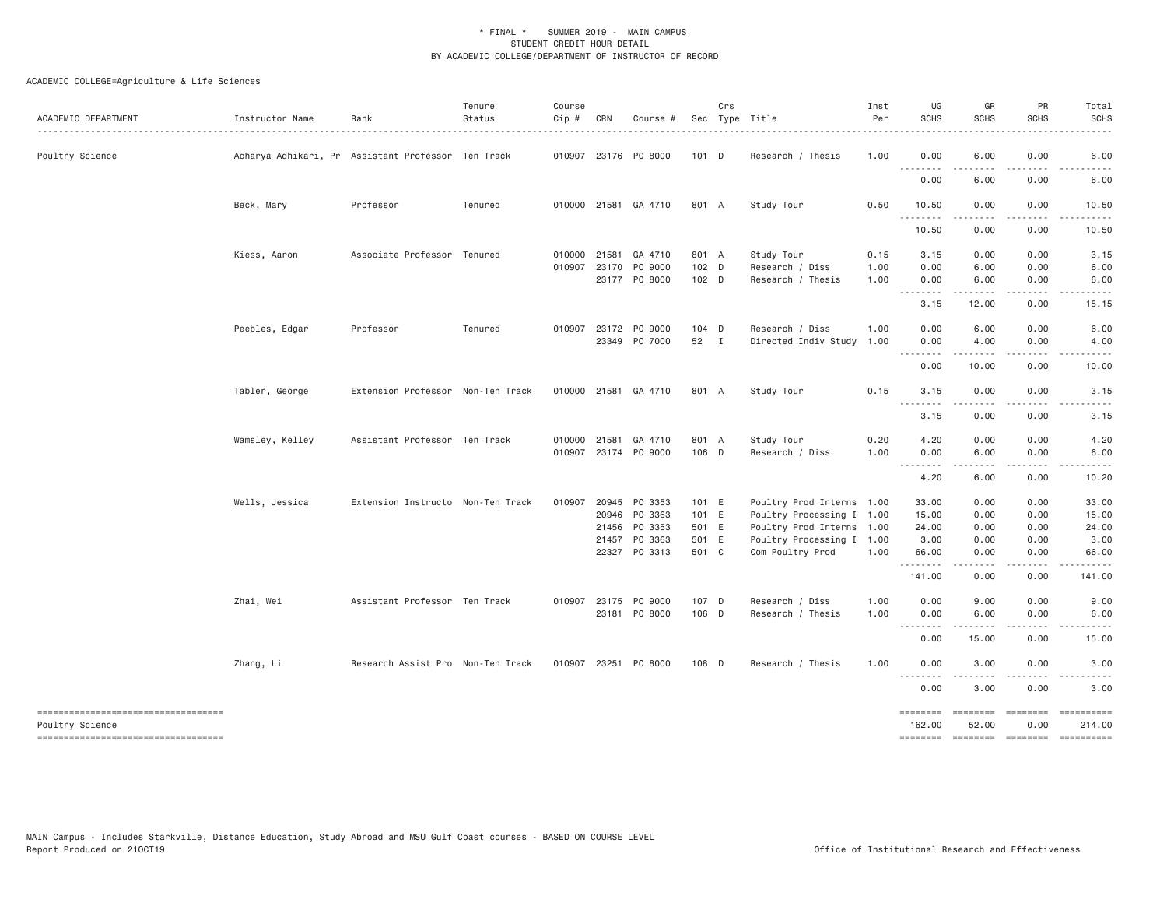| ACADEMIC DEPARTMENT                                   | Instructor Name | Rank                                               | Tenure<br>Status | Course<br>$Cip \#$ | CRN   | Course #                                     |                  | Crs | Sec Type Title                                | Inst<br>Per<br>. | UG<br><b>SCHS</b><br>.              | GR<br><b>SCHS</b>                                                                                                                                                | PR<br><b>SCHS</b>                     | Total<br><b>SCHS</b>                 |
|-------------------------------------------------------|-----------------|----------------------------------------------------|------------------|--------------------|-------|----------------------------------------------|------------------|-----|-----------------------------------------------|------------------|-------------------------------------|------------------------------------------------------------------------------------------------------------------------------------------------------------------|---------------------------------------|--------------------------------------|
| Poultry Science                                       |                 | Acharya Adhikari, Pr Assistant Professor Ten Track |                  |                    |       | 010907 23176 PO 8000                         | 101 D            |     | Research / Thesis                             | 1.00             | 0.00<br>.                           | 6.00                                                                                                                                                             | 0.00                                  | 6.00                                 |
|                                                       |                 |                                                    |                  |                    |       |                                              |                  |     |                                               |                  | 0.00                                | 6.00                                                                                                                                                             | 0.00                                  | 6.00                                 |
|                                                       | Beck, Mary      | Professor                                          | Tenured          |                    |       | 010000 21581 GA 4710                         | 801 A            |     | Study Tour                                    | 0.50             | 10.50<br>.                          | 0.00<br>$\mathcal{L}^{\mathcal{L}}\mathcal{L}^{\mathcal{L}}\mathcal{L}^{\mathcal{L}}\mathcal{L}^{\mathcal{L}}\mathcal{L}^{\mathcal{L}}\mathcal{L}^{\mathcal{L}}$ | 0.00<br>.                             | 10.50<br>.                           |
|                                                       |                 |                                                    |                  |                    |       |                                              |                  |     |                                               |                  | 10.50                               | 0.00                                                                                                                                                             | 0.00                                  | 10.50                                |
|                                                       | Kiess, Aaron    | Associate Professor Tenured                        |                  | 010000             | 21581 | GA 4710                                      | 801 A            |     | Study Tour                                    | 0.15             | 3.15                                | 0.00                                                                                                                                                             | 0.00                                  | 3.15                                 |
|                                                       |                 |                                                    |                  |                    |       | 010907 23170 PO 9000<br>23177 PO 8000        | 102 D<br>$102$ D |     | Research / Diss<br>Research / Thesis          | 1.00<br>1.00     | 0.00<br>0.00                        | 6.00<br>6.00                                                                                                                                                     | 0.00<br>0.00                          | 6.00<br>6.00                         |
|                                                       |                 |                                                    |                  |                    |       |                                              |                  |     |                                               |                  | $\sim$ $\sim$ $\sim$ $\sim$<br>3.15 | $- - - - -$<br>12.00                                                                                                                                             | 0.00                                  | 15.15                                |
|                                                       | Peebles, Edgar  | Professor                                          | Tenured          |                    |       | 010907 23172 PO 9000<br>23349 PO 7000        | $104$ D<br>52 I  |     | Research / Diss<br>Directed Indiv Study       | 1,00<br>1.00     | 0.00<br>0.00                        | 6.00<br>4.00                                                                                                                                                     | 0.00<br>0.00                          | 6.00<br>4.00                         |
|                                                       |                 |                                                    |                  |                    |       |                                              |                  |     |                                               |                  | .<br>0.00                           | $- - - - -$<br>10.00                                                                                                                                             | .<br>0.00                             | $\sim$ $\sim$ $\sim$ $\sim$<br>10.00 |
|                                                       | Tabler, George  | Extension Professor Non-Ten Track                  |                  |                    |       | 010000 21581 GA 4710                         | 801 A            |     | Study Tour                                    | 0.15             | 3.15                                | 0.00                                                                                                                                                             | 0.00                                  | 3.15                                 |
|                                                       |                 |                                                    |                  |                    |       |                                              |                  |     |                                               |                  | 3.15                                | .<br>0.00                                                                                                                                                        | 0.00                                  | 3.15                                 |
|                                                       |                 |                                                    |                  |                    |       |                                              |                  |     |                                               |                  |                                     |                                                                                                                                                                  |                                       |                                      |
|                                                       | Wamsley, Kelley | Assistant Professor Ten Track                      |                  |                    |       | 010000 21581 GA 4710<br>010907 23174 PO 9000 | 801 A<br>106 D   |     | Study Tour<br>Research / Diss                 | 0.20<br>1.00     | 4.20<br>0.00                        | 0.00<br>6.00                                                                                                                                                     | 0.00<br>0.00                          | 4.20<br>6.00                         |
|                                                       |                 |                                                    |                  |                    |       |                                              |                  |     |                                               |                  | .<br>4.20                           | $\cdots \cdots \cdots$<br>6.00                                                                                                                                   | .<br>0.00                             | .<br>10.20                           |
|                                                       | Wells, Jessica  | Extension Instructo Non-Ten Track                  |                  |                    |       | 010907 20945 PO 3353                         | 101 E            |     | Poultry Prod Interns 1.00                     |                  | 33.00                               | 0.00                                                                                                                                                             | 0.00                                  | 33.00                                |
|                                                       |                 |                                                    |                  |                    |       | 20946 PO 3363                                | 101 E            |     | Poultry Processing I 1.00                     |                  | 15.00                               | 0.00                                                                                                                                                             | 0.00                                  | 15.00                                |
|                                                       |                 |                                                    |                  |                    | 21456 | PO 3353                                      | 501 E            |     | Poultry Prod Interns 1.00                     |                  | 24.00                               | 0.00                                                                                                                                                             | 0.00                                  | 24.00                                |
|                                                       |                 |                                                    |                  |                    |       | 21457 PO 3363<br>22327 PO 3313               | 501 E<br>501 C   |     | Poultry Processing I 1.00<br>Com Poultry Prod | 1.00             | 3.00<br>66.00                       | 0.00<br>0.00                                                                                                                                                     | 0.00<br>0.00                          | 3.00<br>66.00                        |
|                                                       |                 |                                                    |                  |                    |       |                                              |                  |     |                                               |                  | .<br>141.00                         | 0.00                                                                                                                                                             | $\sim$ $\sim$ $\sim$<br>0.00          | 141.00                               |
|                                                       | Zhai, Wei       | Assistant Professor Ten Track                      |                  |                    |       | 010907 23175 PO 9000                         | 107 D            |     | Research / Diss                               | 1.00             | 0.00                                | 9.00                                                                                                                                                             | 0.00                                  | 9.00                                 |
|                                                       |                 |                                                    |                  |                    |       | 23181 PO 8000                                | 106 D            |     | Research / Thesis                             | 1.00             | 0.00<br>.                           | 6.00<br>.                                                                                                                                                        | 0.00                                  | 6.00                                 |
|                                                       |                 |                                                    |                  |                    |       |                                              |                  |     |                                               |                  | 0.00                                | 15.00                                                                                                                                                            | 0.00                                  | 15.00                                |
|                                                       | Zhang, Li       | Research Assist Pro Non-Ten Track                  |                  |                    |       | 010907 23251 P0 8000                         | 108 D            |     | Research / Thesis                             | 1.00             | 0.00<br>.                           | 3.00                                                                                                                                                             | 0.00                                  | 3.00                                 |
|                                                       |                 |                                                    |                  |                    |       |                                              |                  |     |                                               |                  | 0.00                                | 3.00                                                                                                                                                             | 0.00                                  | 3.00                                 |
| ----------------------------------<br>Poultry Science |                 |                                                    |                  |                    |       |                                              |                  |     |                                               |                  | ========<br>162.00                  | 52.00                                                                                                                                                            | ======== ======== ==========<br>0.00  | 214.00                               |
| -----------------------------------                   |                 |                                                    |                  |                    |       |                                              |                  |     |                                               |                  |                                     |                                                                                                                                                                  | ======== ======== ======== ========== |                                      |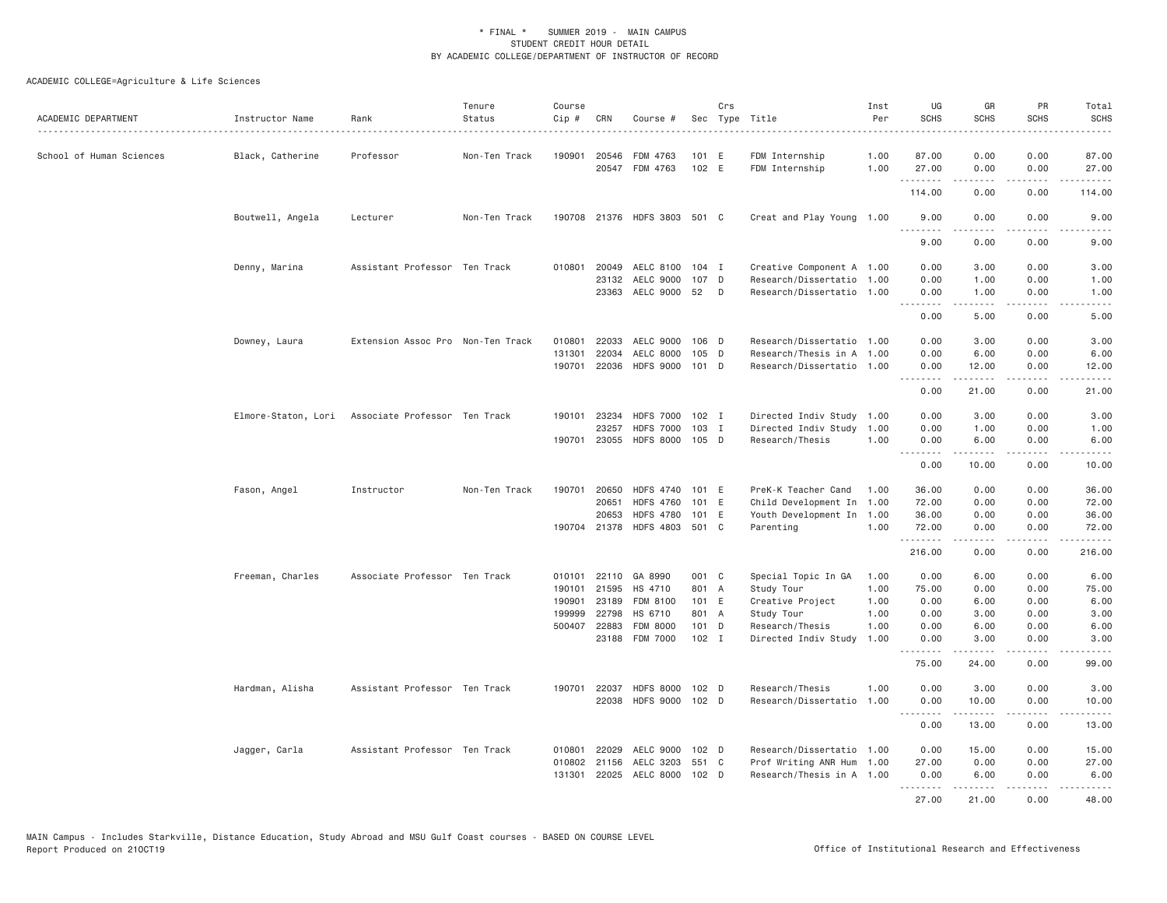| ACADEMIC DEPARTMENT      | Instructor Name  | Rank                                              | Tenure<br>Status | Course<br>Cip #  | CRN            | Course #                                         |                  | Crs | Sec Type Title                                         | Inst<br>Per  | UG<br><b>SCHS</b>                     | GR<br><b>SCHS</b>                                                                                                                                            | PR<br><b>SCHS</b> | Total<br><b>SCHS</b>   |
|--------------------------|------------------|---------------------------------------------------|------------------|------------------|----------------|--------------------------------------------------|------------------|-----|--------------------------------------------------------|--------------|---------------------------------------|--------------------------------------------------------------------------------------------------------------------------------------------------------------|-------------------|------------------------|
| School of Human Sciences | Black, Catherine | Professor                                         | Non-Ten Track    | 190901           | 20546          | FDM 4763<br>20547 FDM 4763                       | 101 E<br>102 E   |     | FDM Internship<br>FDM Internship                       | 1.00<br>1.00 | 87.00<br>27.00                        | 0.00<br>0.00                                                                                                                                                 | 0.00<br>0.00      | 87.00<br>27,00         |
|                          |                  |                                                   |                  |                  |                |                                                  |                  |     |                                                        |              | .<br>114.00                           | -----<br>0.00                                                                                                                                                | .<br>0.00         | .<br>114.00            |
|                          | Boutwell, Angela | Lecturer                                          | Non-Ten Track    |                  |                | 190708 21376 HDFS 3803 501 C                     |                  |     | Creat and Play Young 1.00                              |              | 9.00                                  | 0.00                                                                                                                                                         | 0.00              | 9.00                   |
|                          |                  |                                                   |                  |                  |                |                                                  |                  |     |                                                        |              | .<br>9.00                             | <b><i><u><u>.</u></u></i></b><br>0.00                                                                                                                        | .<br>0.00         | $\frac{1}{2}$<br>9.00  |
|                          | Denny, Marina    | Assistant Professor Ten Track                     |                  | 010801           | 20049          | AELC 8100                                        | $104$ I          |     | Creative Component A 1.00                              |              | 0.00                                  | 3,00                                                                                                                                                         | 0.00              | 3.00                   |
|                          |                  |                                                   |                  |                  | 23132          | AELC 9000<br>23363 AELC 9000 52                  | 107 D            | D   | Research/Dissertatio 1.00<br>Research/Dissertatio 1.00 |              | 0.00<br>0.00                          | 1.00<br>1.00                                                                                                                                                 | 0.00<br>0.00      | 1.00<br>1.00           |
|                          |                  |                                                   |                  |                  |                |                                                  |                  |     |                                                        |              | .<br>0.00                             | .<br>5.00                                                                                                                                                    | .<br>0.00         | المستبدا<br>5.00       |
|                          | Downey, Laura    | Extension Assoc Pro Non-Ten Track                 |                  | 010801           | 22033          | AELC 9000                                        | 106 D            |     | Research/Dissertatio 1.00                              |              | 0.00                                  | 3.00                                                                                                                                                         | 0.00              | 3.00                   |
|                          |                  |                                                   |                  | 131301<br>190701 | 22034<br>22036 | AELC 8000<br>HDFS 9000 101 D                     | 105 D            |     | Research/Thesis in A 1.00<br>Research/Dissertatio 1.00 |              | 0.00<br>0.00                          | 6.00<br>12.00                                                                                                                                                | 0.00<br>0.00      | 6.00<br>12.00          |
|                          |                  |                                                   |                  |                  |                |                                                  |                  |     |                                                        |              | .<br>0.00                             | .<br>21.00                                                                                                                                                   | .<br>0.00         | .<br>21.00             |
|                          |                  | Elmore-Staton, Lori Associate Professor Ten Track |                  | 190101           | 23234          | <b>HDFS 7000</b>                                 | 102 I            |     | Directed Indiv Study                                   | 1.00         | 0.00                                  | 3.00                                                                                                                                                         | 0.00              | 3.00                   |
|                          |                  |                                                   |                  |                  | 23257          | <b>HDFS 7000</b>                                 | $103$ I          |     | Directed Indiv Study                                   | 1.00         | 0.00                                  | 1.00                                                                                                                                                         | 0.00              | 1.00                   |
|                          |                  |                                                   |                  | 190701           | 23055          | <b>HDFS 8000</b>                                 | $105$ D          |     | Research/Thesis                                        | 1.00         | 0.00                                  | 6.00                                                                                                                                                         | 0.00              | 6.00                   |
|                          |                  |                                                   |                  |                  |                |                                                  |                  |     |                                                        |              | .<br>0.00                             | .<br>10.00                                                                                                                                                   | .<br>0.00         | $\frac{1}{2}$<br>10.00 |
|                          | Fason, Angel     | Instructor                                        | Non-Ten Track    | 190701           | 20650          | HDFS 4740 101 E                                  |                  |     | PreK-K Teacher Cand                                    | 1.00         | 36.00                                 | 0.00                                                                                                                                                         | 0.00              | 36,00                  |
|                          |                  |                                                   |                  |                  | 20651          | <b>HDFS 4760</b>                                 | 101              | E   | Child Development In 1.00                              |              | 72.00                                 | 0.00                                                                                                                                                         | 0.00              | 72.00                  |
|                          |                  |                                                   |                  |                  | 20653          | <b>HDFS 4780</b><br>190704 21378 HDFS 4803 501 C | 101 E            |     | Youth Development In<br>Parenting                      | 1.00<br>1.00 | 36.00<br>72.00                        | 0.00<br>0.00                                                                                                                                                 | 0.00<br>0.00      | 36.00<br>72.00         |
|                          |                  |                                                   |                  |                  |                |                                                  |                  |     |                                                        |              | .<br>216.00                           | -----<br>0.00                                                                                                                                                | .<br>0.00         | .<br>216.00            |
|                          |                  |                                                   |                  |                  |                |                                                  |                  |     |                                                        |              |                                       |                                                                                                                                                              |                   |                        |
|                          | Freeman, Charles | Associate Professor Ten Track                     |                  | 010101<br>190101 | 22110<br>21595 | GA 8990<br>HS 4710                               | 001 C<br>801 A   |     | Special Topic In GA<br>Study Tour                      | 1.00<br>1.00 | 0.00<br>75.00                         | 6.00<br>0.00                                                                                                                                                 | 0.00<br>0.00      | 6.00<br>75.00          |
|                          |                  |                                                   |                  | 190901           | 23189          | FDM 8100                                         | 101 E            |     | Creative Project                                       | 1.00         | 0.00                                  | 6.00                                                                                                                                                         | 0.00              | 6.00                   |
|                          |                  |                                                   |                  | 199999           | 22798          | HS 6710                                          | 801 A            |     | Study Tour                                             | 1.00         | 0.00                                  | 3.00                                                                                                                                                         | 0.00              | 3.00                   |
|                          |                  |                                                   |                  | 500407           | 22883          | <b>FDM 8000</b>                                  | $101$ D          |     | Research/Thesis                                        | 1.00         | 0.00                                  | 6.00                                                                                                                                                         | 0.00              | 6.00                   |
|                          |                  |                                                   |                  |                  |                | 23188 FDM 7000                                   | $102$ I          |     | Directed Indiv Study                                   | 1.00         | 0.00<br>.                             | 3.00<br>$\frac{1}{2} \left( \frac{1}{2} \right) \left( \frac{1}{2} \right) \left( \frac{1}{2} \right) \left( \frac{1}{2} \right) \left( \frac{1}{2} \right)$ | 0.00<br>.         | 3.00<br>$- - - - -$    |
|                          |                  |                                                   |                  |                  |                |                                                  |                  |     |                                                        |              | 75.00                                 | 24.00                                                                                                                                                        | 0.00              | 99.00                  |
|                          | Hardman, Alisha  | Assistant Professor Ten Track                     |                  | 190701           | 22037          | <b>HDFS 8000</b>                                 | 102 <sub>D</sub> |     | Research/Thesis                                        | 1.00         | 0.00                                  | 3.00                                                                                                                                                         | 0.00              | 3.00                   |
|                          |                  |                                                   |                  |                  | 22038          | <b>HDFS 9000</b>                                 | 102 <sub>D</sub> |     | Research/Dissertatio                                   | 1.00         | 0.00<br><b><i><u><u>.</u></u></i></b> | 10.00<br>.                                                                                                                                                   | 0.00<br>.         | 10.00<br>.             |
|                          |                  |                                                   |                  |                  |                |                                                  |                  |     |                                                        |              | 0.00                                  | 13.00                                                                                                                                                        | 0.00              | 13.00                  |
|                          | Jagger, Carla    | Assistant Professor Ten Track                     |                  | 010801           | 22029          | AELC 9000                                        | 102 <sub>D</sub> |     | Research/Dissertatio 1.00                              |              | 0.00                                  | 15.00                                                                                                                                                        | 0.00              | 15.00                  |
|                          |                  |                                                   |                  | 010802           | 21156          | AELC 3203                                        | 551 C            |     | Prof Writing ANR Hum 1.00                              |              | 27.00                                 | 0.00                                                                                                                                                         | 0.00              | 27.00                  |
|                          |                  |                                                   |                  | 131301           |                | 22025 AELC 8000 102 D                            |                  |     | Research/Thesis in A 1.00                              |              | 0.00<br>.                             | 6.00<br>.                                                                                                                                                    | 0.00<br>.         | 6.00<br>.              |
|                          |                  |                                                   |                  |                  |                |                                                  |                  |     |                                                        |              | 27,00                                 | 21.00                                                                                                                                                        | 0.00              | 48.00                  |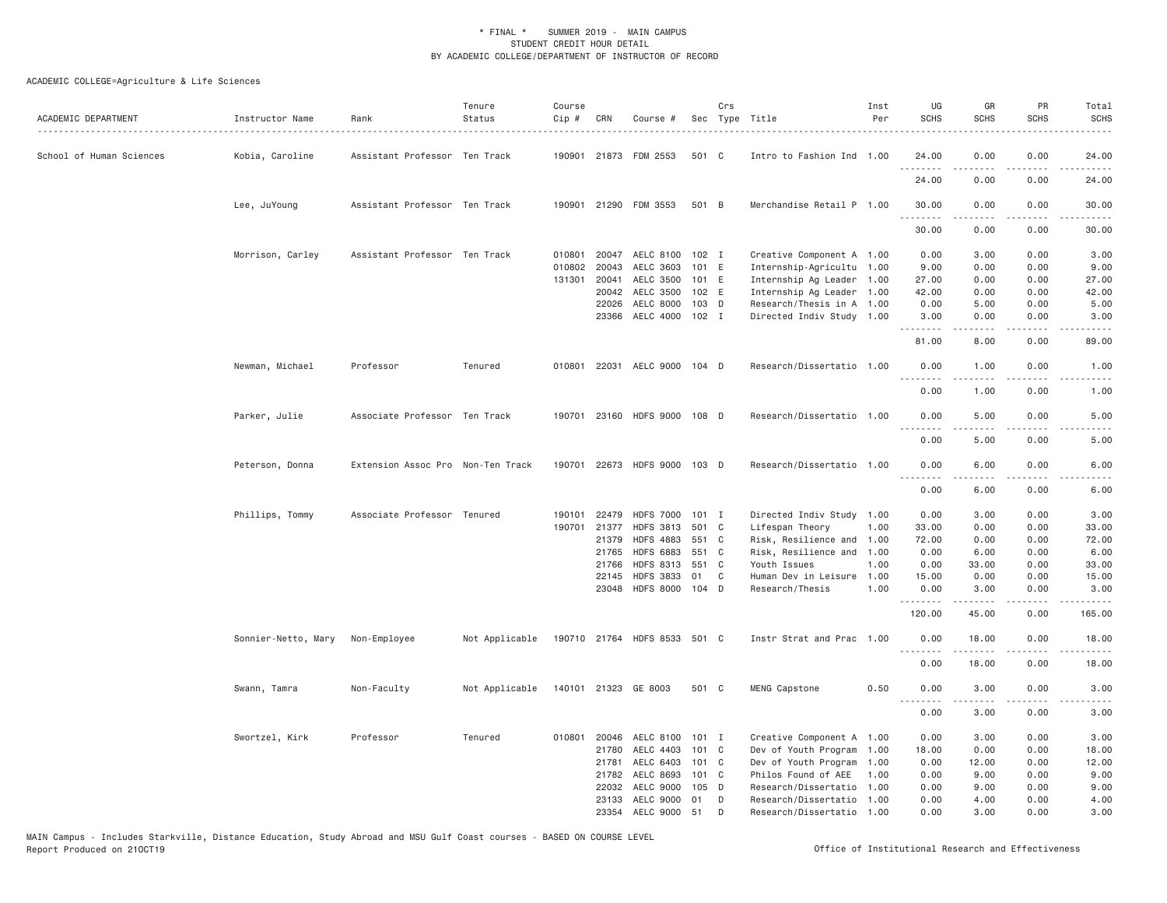| ACADEMIC DEPARTMENT      | Instructor Name     | Rank                              | Tenure<br>Status | Course<br>$Cip \#$ | CRN   | Course #                     |         | Crs | Sec Type Title            | Inst<br>Per | UG<br><b>SCHS</b>                                                                                      | GR<br><b>SCHS</b>             | PR<br><b>SCHS</b>                   | Total<br><b>SCHS</b><br>$\frac{1}{2}$                                                                                                                        |
|--------------------------|---------------------|-----------------------------------|------------------|--------------------|-------|------------------------------|---------|-----|---------------------------|-------------|--------------------------------------------------------------------------------------------------------|-------------------------------|-------------------------------------|--------------------------------------------------------------------------------------------------------------------------------------------------------------|
| School of Human Sciences | Kobia, Caroline     | Assistant Professor Ten Track     |                  |                    |       | 190901 21873 FDM 2553        | 501 C   |     | Intro to Fashion Ind 1.00 |             | 24.00                                                                                                  | 0.00                          | 0.00                                | 24.00                                                                                                                                                        |
|                          |                     |                                   |                  |                    |       |                              |         |     |                           |             | 24.00                                                                                                  | 0.00                          | 0.00                                | 24.00                                                                                                                                                        |
|                          | Lee, JuYoung        | Assistant Professor Ten Track     |                  |                    |       | 190901 21290 FDM 3553        | 501 B   |     | Merchandise Retail P 1.00 |             | 30.00<br>.                                                                                             | 0.00                          | 0.00<br>$\sim$ $\sim$ $\sim$ $\sim$ | 30.00                                                                                                                                                        |
|                          |                     |                                   |                  |                    |       |                              |         |     |                           |             | 30.00                                                                                                  | 0.00                          | 0.00                                | 30.00                                                                                                                                                        |
|                          | Morrison, Carley    | Assistant Professor Ten Track     |                  | 010801             | 20047 | AELC 8100                    | 102 I   |     | Creative Component A 1.00 |             | 0.00                                                                                                   | 3.00                          | 0.00                                | 3.00                                                                                                                                                         |
|                          |                     |                                   |                  | 010802             | 20043 | AELC 3603                    | 101 E   |     | Internship-Agricultu 1.00 |             | 9.00                                                                                                   | 0.00                          | 0.00                                | 9.00                                                                                                                                                         |
|                          |                     |                                   |                  | 131301             | 20041 | AELC 3500                    | 101 E   |     | Internship Ag Leader 1.00 |             | 27.00                                                                                                  | 0.00                          | 0.00                                | 27.00                                                                                                                                                        |
|                          |                     |                                   |                  |                    | 20042 | AELC 3500                    | 102 E   |     | Internship Ag Leader 1.00 |             | 42.00                                                                                                  | 0.00                          | 0.00                                | 42.00                                                                                                                                                        |
|                          |                     |                                   |                  |                    | 22026 | AELC 8000                    | $103$ D |     | Research/Thesis in A 1.00 |             | 0.00                                                                                                   | 5.00                          | 0.00                                | 5.00                                                                                                                                                         |
|                          |                     |                                   |                  |                    | 23366 | AELC 4000                    | $102$ I |     | Directed Indiv Study 1.00 |             | 3.00<br>.                                                                                              | 0.00<br>.                     | 0.00<br>$\frac{1}{2}$               | 3.00<br>.                                                                                                                                                    |
|                          |                     |                                   |                  |                    |       |                              |         |     |                           |             | 81.00                                                                                                  | 8.00                          | 0.00                                | 89.00                                                                                                                                                        |
|                          | Newman, Michael     | Professor                         | Tenured          |                    |       | 010801 22031 AELC 9000 104 D |         |     | Research/Dissertatio 1.00 |             | 0.00<br>.                                                                                              | 1.00                          | 0.00                                | 1.00                                                                                                                                                         |
|                          |                     |                                   |                  |                    |       |                              |         |     |                           |             | 0.00                                                                                                   | .<br>1,00                     | .<br>0.00                           | $\frac{1}{2}$<br>1.00                                                                                                                                        |
|                          | Parker, Julie       | Associate Professor Ten Track     |                  |                    |       | 190701 23160 HDFS 9000 108 D |         |     | Research/Dissertatio 1.00 |             | 0.00<br>.                                                                                              | 5.00                          | 0.00                                | 5.00                                                                                                                                                         |
|                          |                     |                                   |                  |                    |       |                              |         |     |                           |             | 0.00                                                                                                   | 5.00                          | 0.00                                | 5.00                                                                                                                                                         |
|                          | Peterson, Donna     | Extension Assoc Pro Non-Ten Track |                  |                    |       | 190701 22673 HDFS 9000 103 D |         |     | Research/Dissertatio 1.00 |             | 0.00<br><u>.</u>                                                                                       | 6.00<br>.                     | 0.00<br>.                           | 6.00<br>.                                                                                                                                                    |
|                          |                     |                                   |                  |                    |       |                              |         |     |                           |             | 0.00                                                                                                   | 6.00                          | 0.00                                | 6.00                                                                                                                                                         |
|                          | Phillips, Tommy     | Associate Professor Tenured       |                  | 190101             | 22479 | <b>HDFS 7000</b>             | 101 I   |     | Directed Indiv Study 1.00 |             | 0.00                                                                                                   | 3.00                          | 0.00                                | 3.00                                                                                                                                                         |
|                          |                     |                                   |                  | 190701             | 21377 | <b>HDFS 3813</b>             | 501 C   |     | Lifespan Theory           | 1.00        | 33.00                                                                                                  | 0.00                          | 0.00                                | 33.00                                                                                                                                                        |
|                          |                     |                                   |                  |                    | 21379 | <b>HDFS 4883</b>             | 551 C   |     | Risk, Resilience and      | 1.00        | 72.00                                                                                                  | 0.00                          | 0.00                                | 72.00                                                                                                                                                        |
|                          |                     |                                   |                  |                    | 21765 | <b>HDFS 6883</b>             | 551 C   |     | Risk, Resilience and 1.00 |             | 0.00                                                                                                   | 6.00                          | 0.00                                | 6.00                                                                                                                                                         |
|                          |                     |                                   |                  |                    | 21766 | <b>HDFS 8313</b>             | 551 C   |     | Youth Issues              | 1.00        | 0.00                                                                                                   | 33.00                         | 0.00                                | 33.00                                                                                                                                                        |
|                          |                     |                                   |                  |                    | 22145 | <b>HDFS 3833</b>             | 01      | C   | Human Dev in Leisure      | 1.00        | 15.00                                                                                                  | 0.00                          | 0.00                                | 15.00                                                                                                                                                        |
|                          |                     |                                   |                  |                    |       | 23048 HDFS 8000 104 D        |         |     | Research/Thesis           | 1.00        | 0.00<br>.                                                                                              | 3.00<br><b><i><u></u></i></b> | 0.00<br>.                           | 3.00<br>$\frac{1}{2} \left( \frac{1}{2} \right) \left( \frac{1}{2} \right) \left( \frac{1}{2} \right) \left( \frac{1}{2} \right) \left( \frac{1}{2} \right)$ |
|                          |                     |                                   |                  |                    |       |                              |         |     |                           |             | 120.00                                                                                                 | 45.00                         | 0.00                                | 165.00                                                                                                                                                       |
|                          | Sonnier-Netto, Mary | Non-Employee                      | Not Applicable   |                    |       | 190710 21764 HDFS 8533 501 C |         |     | Instr Strat and Prac 1.00 |             | 0.00                                                                                                   | 18.00<br>.                    | 0.00<br>.                           | 18.00<br>.                                                                                                                                                   |
|                          |                     |                                   |                  |                    |       |                              |         |     |                           |             | 0.00                                                                                                   | 18.00                         | 0.00                                | 18.00                                                                                                                                                        |
|                          | Swann, Tamra        | Non-Faculty                       | Not Applicable   |                    |       | 140101 21323 GE 8003         | 501 C   |     | MENG Capstone             | 0.50        | 0.00<br>$\frac{1}{2} \left( \frac{1}{2} \right) \left( \frac{1}{2} \right) \left( \frac{1}{2} \right)$ | 3.00                          | 0.00<br>$  -$                       | 3.00                                                                                                                                                         |
|                          |                     |                                   |                  |                    |       |                              |         |     |                           |             | 0.00                                                                                                   | 3,00                          | 0.00                                | 3.00                                                                                                                                                         |
|                          | Swortzel, Kirk      | Professor                         | Tenured          | 010801             |       | 20046 AELC 8100 101 I        |         |     | Creative Component A 1.00 |             | 0.00                                                                                                   | 3.00                          | 0.00                                | 3.00                                                                                                                                                         |
|                          |                     |                                   |                  |                    | 21780 | AELC 4403                    | 101 C   |     | Dev of Youth Program 1.00 |             | 18.00                                                                                                  | 0.00                          | 0.00                                | 18.00                                                                                                                                                        |
|                          |                     |                                   |                  |                    | 21781 | AELC 6403                    | 101 C   |     | Dev of Youth Program 1.00 |             | 0.00                                                                                                   | 12.00                         | 0.00                                | 12.00                                                                                                                                                        |
|                          |                     |                                   |                  |                    | 21782 | AELC 8693                    | 101 C   |     | Philos Found of AEE       | 1.00        | 0.00                                                                                                   | 9.00                          | 0.00                                | 9.00                                                                                                                                                         |
|                          |                     |                                   |                  |                    | 22032 | AELC 9000                    | 105 D   |     | Research/Dissertatio      | 1.00        | 0.00                                                                                                   | 9,00                          | 0.00                                | 9.00                                                                                                                                                         |
|                          |                     |                                   |                  |                    | 23133 | AELC 9000                    | 01      | D   | Research/Dissertatio      | 1.00        | 0.00                                                                                                   | 4.00                          | 0.00                                | 4.00                                                                                                                                                         |
|                          |                     |                                   |                  |                    |       | 23354 AELC 9000 51           |         | D   | Research/Dissertatio 1.00 |             | 0.00                                                                                                   | 3,00                          | 0.00                                | 3.00                                                                                                                                                         |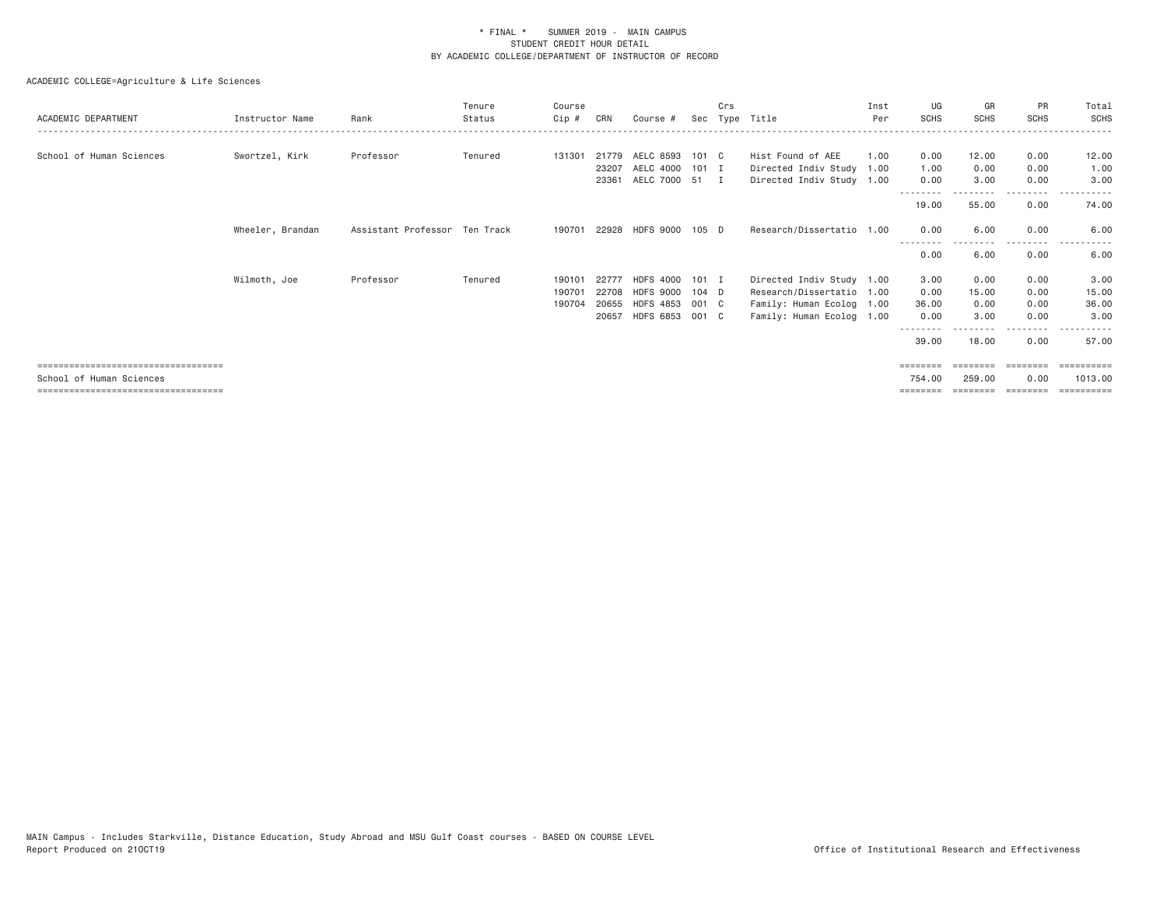| ACADEMIC DEPARTMENT                   | Instructor Name  | Rank                          | Tenure<br>Status | Course<br>Cip # | CRN   | Course #              |         | Crs          | Sec Type Title            | Inst<br>Per | UG<br><b>SCHS</b> | GR<br><b>SCHS</b> | <b>PR</b><br><b>SCHS</b> | Total<br><b>SCHS</b> |
|---------------------------------------|------------------|-------------------------------|------------------|-----------------|-------|-----------------------|---------|--------------|---------------------------|-------------|-------------------|-------------------|--------------------------|----------------------|
|                                       |                  |                               |                  |                 |       |                       |         |              |                           |             |                   |                   |                          |                      |
| School of Human Sciences              | Swortzel, Kirk   | Professor                     | Tenured          | 131301          | 21779 | AELC 8593 101 C       |         |              | Hist Found of AEE         | 1.00        | 0.00              | 12.00             | 0.00                     | 12.00                |
|                                       |                  |                               |                  |                 | 23207 | AELC 4000 101 I       |         |              | Directed Indiv Study 1.00 |             | 1.00              | 0.00              | 0.00                     | 1.00                 |
|                                       |                  |                               |                  |                 | 23361 | AELC 7000 51          |         | $\mathbf{I}$ | Directed Indiv Study 1.00 |             | 0.00              | 3.00              | 0.00                     | 3.00                 |
|                                       |                  |                               |                  |                 |       |                       |         |              |                           |             | 19.00             | 55.00             | 0.00                     | 74.00                |
|                                       | Wheeler, Brandan | Assistant Professor Ten Track |                  | 190701          |       | 22928 HDFS 9000 105 D |         |              | Research/Dissertatio 1.00 |             | 0.00              | 6.00              | 0.00                     | 6.00                 |
|                                       |                  |                               |                  |                 |       |                       |         |              |                           |             | 0.00              | 6.00              | 0.00                     | 6.00                 |
|                                       | Wilmoth, Joe     | Professor                     | Tenured          | 190101          | 22777 | HDFS 4000 101 I       |         |              | Directed Indiv Study 1.00 |             | 3.00              | 0.00              | 0.00                     | 3.00                 |
|                                       |                  |                               |                  | 190701          | 22708 | HDFS 9000             | $104$ D |              | Research/Dissertatio 1.00 |             | 0.00              | 15.00             | 0.00                     | 15.00                |
|                                       |                  |                               |                  | 190704          | 20655 | HDFS 4853 001 C       |         |              | Family: Human Ecolog 1.00 |             | 36.00             | 0.00              | 0.00                     | 36.00                |
|                                       |                  |                               |                  |                 | 20657 | HDFS 6853 001 C       |         |              | Family: Human Ecolog 1.00 |             | 0.00              | 3.00              | 0.00                     | 3.00                 |
|                                       |                  |                               |                  |                 |       |                       |         |              |                           |             | 39.00             | 18.00             | 0.00                     | 57.00                |
| ===================================   |                  |                               |                  |                 |       |                       |         |              |                           |             |                   |                   |                          | ---------            |
| School of Human Sciences              |                  |                               |                  |                 |       |                       |         |              |                           |             | 754.00            | 259,00            | 0.00                     | 1013.00              |
| ===================================== |                  |                               |                  |                 |       |                       |         |              |                           |             | ========          | ========          | ========                 | ==========           |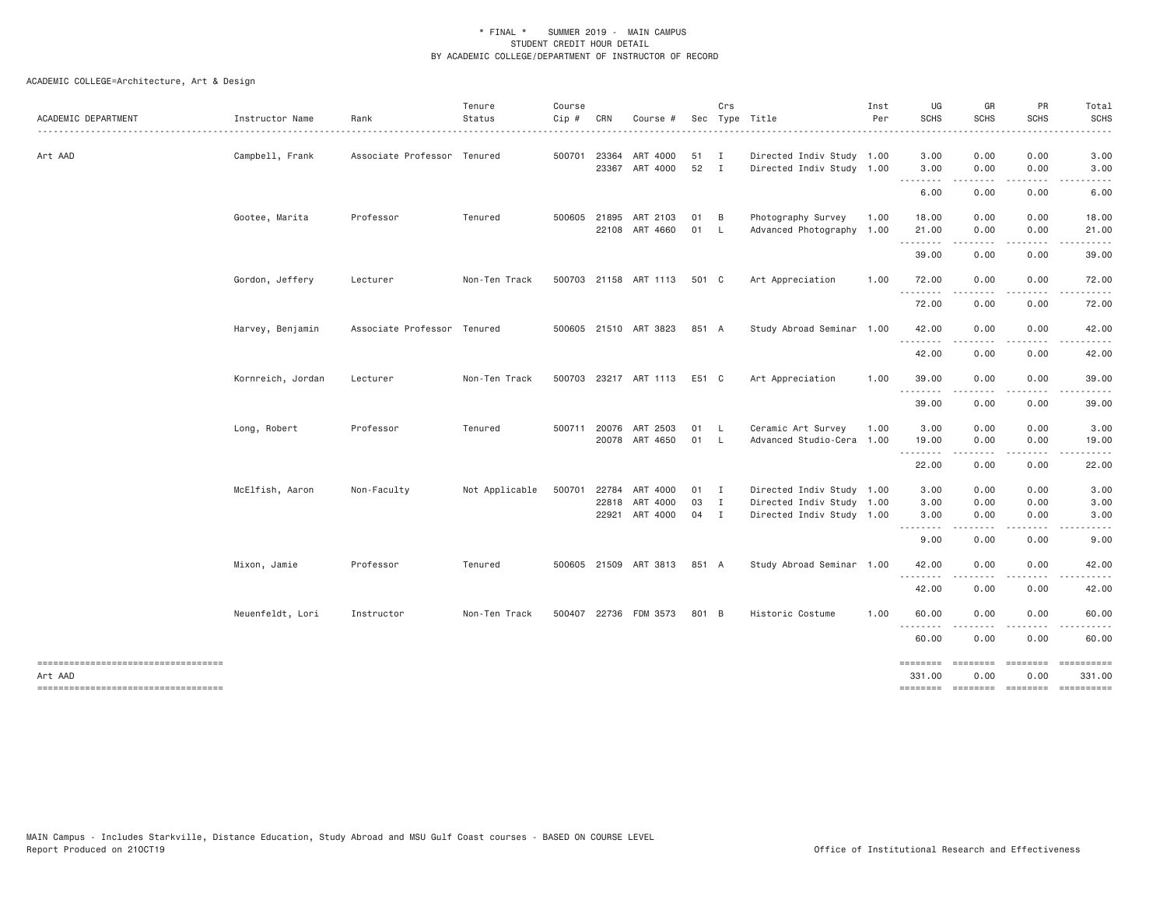| ACADEMIC DEPARTMENT                                                                     | Instructor Name   | Rank                        | Tenure<br>Status | Course<br>Cip # | CRN                   | Course #                               |                    | Crs                          | Sec Type Title                                                                      | Inst<br>Per | UG<br><b>SCHS</b>                 | GR<br><b>SCHS</b>                                                                                                                 | PR<br><b>SCHS</b>    | Total<br><b>SCHS</b> |
|-----------------------------------------------------------------------------------------|-------------------|-----------------------------|------------------|-----------------|-----------------------|----------------------------------------|--------------------|------------------------------|-------------------------------------------------------------------------------------|-------------|-----------------------------------|-----------------------------------------------------------------------------------------------------------------------------------|----------------------|----------------------|
| Art AAD                                                                                 | Campbell, Frank   | Associate Professor Tenured |                  |                 | 500701 23364          | ART 4000<br>23367 ART 4000             | 51<br>52           | $\mathbf{I}$<br>$\mathbf{I}$ | Directed Indiv Study 1.00<br>Directed Indiv Study 1.00                              |             | 3.00<br>3.00                      | 0.00<br>0.00                                                                                                                      | 0.00<br>0.00         | 3.00<br>3.00         |
|                                                                                         |                   |                             |                  |                 |                       |                                        |                    |                              |                                                                                     |             | .<br>6.00                         | 0.00                                                                                                                              | 0.00                 | 6.00                 |
|                                                                                         | Gootee, Marita    | Professor                   | Tenured          |                 | 500605 21895          | ART 2103<br>22108 ART 4660             | 01<br>01 L         | <b>B</b>                     | Photography Survey<br>Advanced Photography 1.00                                     | 1.00        | 18.00<br>21.00                    | 0.00<br>0.00                                                                                                                      | 0.00<br>0.00         | 18.00<br>21.00       |
|                                                                                         |                   |                             |                  |                 |                       |                                        |                    |                              |                                                                                     |             | .<br>39.00                        | 0.00                                                                                                                              | 0.00                 | 39.00                |
|                                                                                         | Gordon, Jeffery   | Lecturer                    | Non-Ten Track    |                 |                       | 500703 21158 ART 1113                  | 501 C              |                              | Art Appreciation                                                                    | 1.00        | 72.00                             | 0.00                                                                                                                              | 0.00                 | 72.00                |
|                                                                                         |                   |                             |                  |                 |                       |                                        |                    |                              |                                                                                     |             | <u>.</u><br>72.00                 | 0.00                                                                                                                              | 0.00                 | 72.00                |
|                                                                                         | Harvey, Benjamin  | Associate Professor Tenured |                  |                 |                       | 500605 21510 ART 3823                  | 851 A              |                              | Study Abroad Seminar 1.00                                                           |             | 42.00                             | 0.00                                                                                                                              | 0.00                 | 42.00                |
|                                                                                         |                   |                             |                  |                 |                       |                                        |                    |                              |                                                                                     |             | 42.00                             | 0.00                                                                                                                              | 0.00                 | 42.00                |
|                                                                                         | Kornreich, Jordan | Lecturer                    | Non-Ten Track    |                 |                       | 500703 23217 ART 1113 E51 C            |                    |                              | Art Appreciation                                                                    | 1.00        | 39.00                             | 0.00                                                                                                                              | 0.00                 | 39.00                |
|                                                                                         |                   |                             |                  |                 |                       |                                        |                    |                              |                                                                                     |             | $  -$<br>39.00                    | 0.00                                                                                                                              | 0.00                 | 39.00                |
|                                                                                         | Long, Robert      | Professor                   | Tenured          |                 | 500711 20076<br>20078 | ART 2503<br>ART 4650                   | 01<br>01 L         | $\mathsf{L}$                 | Ceramic Art Survey<br>Advanced Studio-Cera 1.00                                     | 1.00        | 3.00<br>19.00                     | 0.00<br>0.00                                                                                                                      | 0.00<br>0.00         | 3.00<br>19.00        |
|                                                                                         |                   |                             |                  |                 |                       |                                        |                    |                              |                                                                                     |             | .<br>22.00                        | . <u>.</u> .<br>0.00                                                                                                              | .<br>0.00            | ------<br>22.00      |
|                                                                                         | McElfish, Aaron   | Non-Faculty                 | Not Applicable   |                 | 500701 22784<br>22818 | ART 4000<br>ART 4000<br>22921 ART 4000 | 01 I<br>03<br>04 I | $\mathbf{I}$                 | Directed Indiv Study 1.00<br>Directed Indiv Study 1.00<br>Directed Indiv Study 1.00 |             | 3.00<br>3.00<br>3.00              | 0.00<br>0.00<br>0.00                                                                                                              | 0.00<br>0.00<br>0.00 | 3.00<br>3.00<br>3.00 |
|                                                                                         |                   |                             |                  |                 |                       |                                        |                    |                              |                                                                                     |             | .<br>9.00                         | $\frac{1}{2} \left( \frac{1}{2} \right) \left( \frac{1}{2} \right) \left( \frac{1}{2} \right) \left( \frac{1}{2} \right)$<br>0.00 | . <u>.</u> .<br>0.00 | 9.00                 |
|                                                                                         | Mixon, Jamie      | Professor                   | Tenured          |                 |                       | 500605 21509 ART 3813 851 A            |                    |                              | Study Abroad Seminar 1.00                                                           |             | 42.00                             | 0.00                                                                                                                              | 0.00                 | 42.00                |
|                                                                                         |                   |                             |                  |                 |                       |                                        |                    |                              |                                                                                     |             | <u>.</u><br>42.00                 | .<br>0.00                                                                                                                         | .<br>0.00            | .<br>42.00           |
|                                                                                         | Neuenfeldt, Lori  | Instructor                  | Non-Ten Track    |                 | 500407 22736          | FDM 3573                               | 801 B              |                              | Historic Costume                                                                    | 1.00        | 60.00                             | 0.00                                                                                                                              | 0.00                 | 60.00                |
|                                                                                         |                   |                             |                  |                 |                       |                                        |                    |                              |                                                                                     |             | <u> - - - - - - - -</u><br>60.00  | 0.00                                                                                                                              | 0.00                 | 60.00                |
| ----------------------------------<br>Art AAD<br>______________________________________ |                   |                             |                  |                 |                       |                                        |                    |                              |                                                                                     |             | ========<br>331.00<br>$=$ ======= | ========<br>0.00<br><b>EEEEEEE</b>                                                                                                | 0.00<br>========     | 331.00               |
|                                                                                         |                   |                             |                  |                 |                       |                                        |                    |                              |                                                                                     |             |                                   |                                                                                                                                   |                      |                      |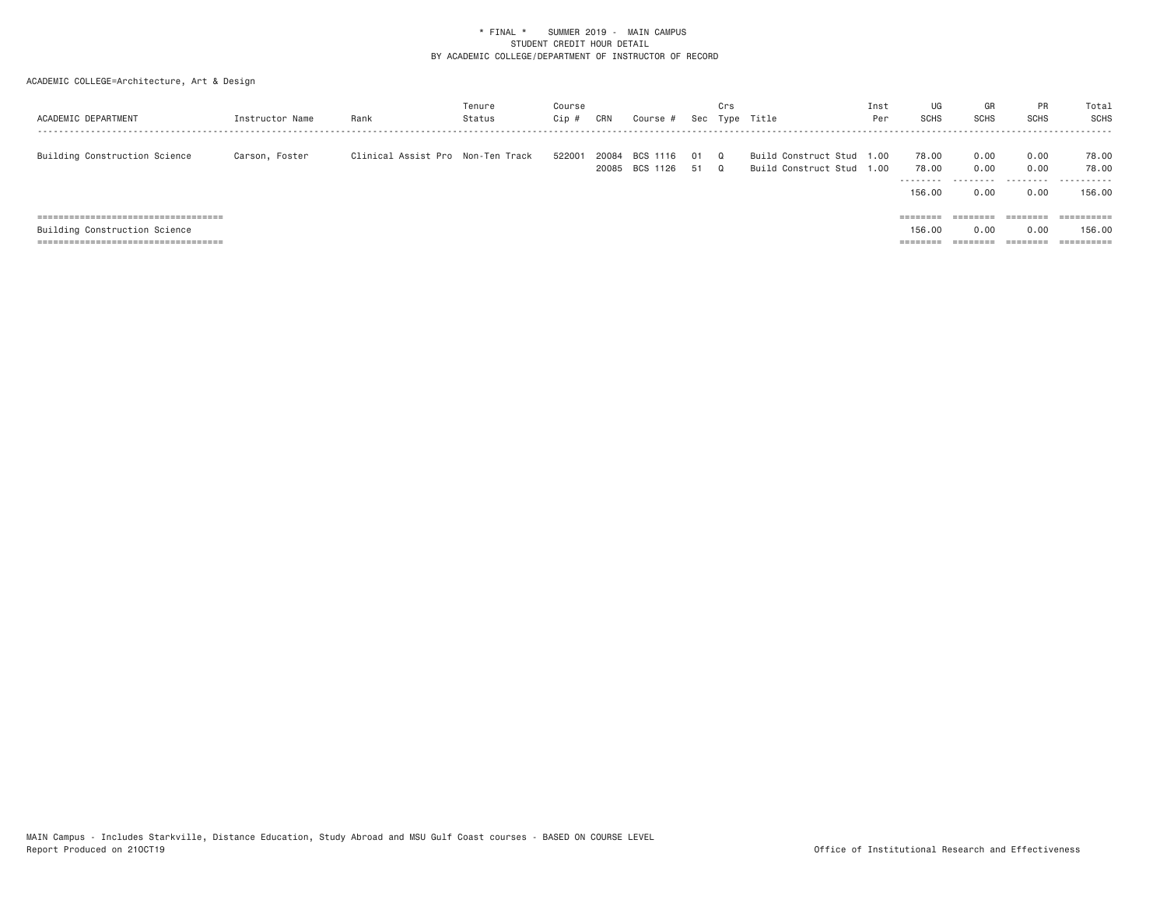| ACADEMIC DEPARTMENT                    | Instructor Name | Rank                              | Tenure<br>Status | Course<br>Cip : | CRN            | Course #             |            | Crs<br>Sec Type      | Title                                             | Inst<br>Per | UG<br>SCHS                  | GR<br><b>SCHS</b> | <b>PR</b><br>SCHS    | Total<br>SCHS                              |
|----------------------------------------|-----------------|-----------------------------------|------------------|-----------------|----------------|----------------------|------------|----------------------|---------------------------------------------------|-------------|-----------------------------|-------------------|----------------------|--------------------------------------------|
| Building Construction Science          | Carson, Foster  | Clinical Assist Pro Non-Ten Track |                  | 522001          | 20084<br>20085 | BCS 1116<br>BCS 1126 | - 01<br>51 | $\Omega$<br>$\Omega$ | Build Construct Stud<br>Build Construct Stud 1.00 | 1.00        | 78.00<br>78.00<br>--------- | 0.00<br>0.00<br>. | 0.00<br>0.00<br>.    | 78.00<br>78.00<br>- - - - - - -<br>$- - -$ |
|                                        |                 |                                   |                  |                 |                |                      |            |                      |                                                   |             | 156.00                      | 0.00              | 0.00                 | 156.00                                     |
| ====================================== |                 |                                   |                  |                 |                |                      |            |                      |                                                   |             | $=$ =======                 | ========          | ========             | $=$ = = = = = = = = =                      |
| Building Construction Science          |                 |                                   |                  |                 |                |                      |            |                      |                                                   |             | 156.00                      | 0.00              | 0.00                 | 156.00                                     |
|                                        |                 |                                   |                  |                 |                |                      |            |                      |                                                   |             | --------<br>--------        | --------          | --------<br>-------- | ==========                                 |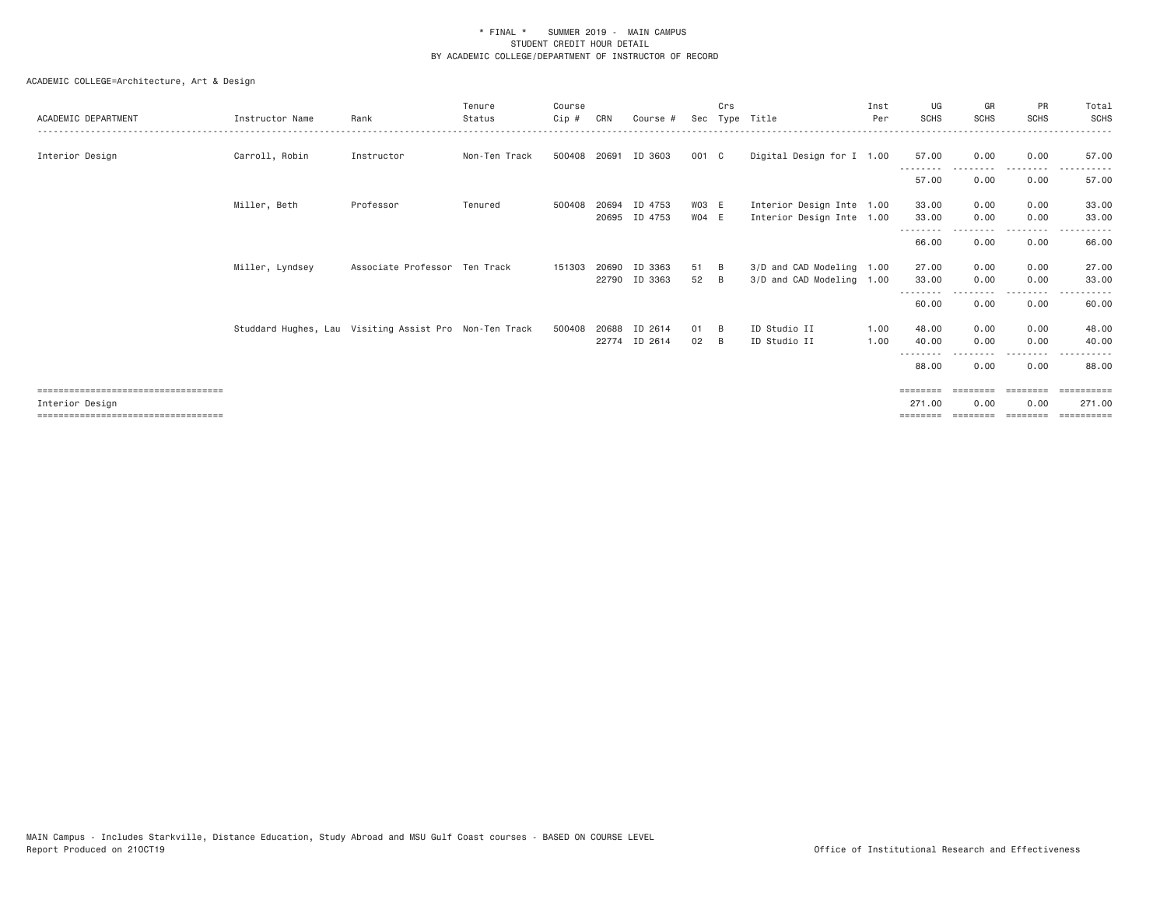| ACADEMIC DEPARTMENT                                     | Instructor Name                                        | Rank                          | Tenure<br>Status | Course<br>$C$ ip # | CRN   | Course #                 |          | Crs      | Sec Type Title                                         | Inst<br>Per | UG<br>SCHS                  | GR<br><b>SCHS</b> | PR<br><b>SCHS</b>      | Total<br><b>SCHS</b> |
|---------------------------------------------------------|--------------------------------------------------------|-------------------------------|------------------|--------------------|-------|--------------------------|----------|----------|--------------------------------------------------------|-------------|-----------------------------|-------------------|------------------------|----------------------|
| Interior Design                                         | Carroll, Robin                                         | Instructor                    | Non-Ten Track    | 500408 20691       |       | ID 3603                  | 001 C    |          | Digital Design for I 1.00                              |             | 57.00                       | 0.00              | 0.00                   | 57.00                |
|                                                         |                                                        |                               |                  |                    |       |                          |          |          |                                                        |             | ---------<br>57.00          | 0.00              | ---------<br>0.00      | 57.00                |
|                                                         | Miller, Beth                                           | Professor                     | Tenured          | 500408             | 20694 | ID 4753                  | WO3 E    |          | Interior Design Inte 1.00                              |             | 33.00                       | 0.00              | 0.00                   | 33.00                |
|                                                         |                                                        |                               |                  |                    | 20695 | ID 4753                  | WO4 E    |          | Interior Design Inte 1.00                              |             | 33.00<br>--------           | 0.00              | 0.00<br>. <b>.</b>     | 33.00                |
|                                                         |                                                        |                               |                  |                    |       |                          |          |          |                                                        |             | 66.00                       | 0.00              | 0.00                   | 66.00                |
|                                                         | Miller, Lyndsey                                        | Associate Professor Ten Track |                  | 151303             | 20690 | ID 3363<br>22790 ID 3363 | 51<br>52 | B<br>- B | 3/D and CAD Modeling 1.00<br>3/D and CAD Modeling 1.00 |             | 27.00<br>33,00              | 0.00<br>0.00      | 0.00<br>0.00           | 27.00<br>33.00       |
|                                                         |                                                        |                               |                  |                    |       |                          |          |          |                                                        |             | --------<br>60.00           | 0.00              | .<br>0.00              | 60.00                |
|                                                         | Studdard Hughes, Lau Visiting Assist Pro Non-Ten Track |                               |                  | 500408             | 20688 | ID 2614                  | 01       | B        | ID Studio II                                           | 1.00        | 48.00                       | 0.00              | 0.00                   | 48.00                |
|                                                         |                                                        |                               |                  |                    |       | 22774 ID 2614            | 02       | - B      | ID Studio II                                           | 1.00        | 40.00<br>- - - - - - - -    | 0.00              | 0.00                   | 40.00                |
|                                                         |                                                        |                               |                  |                    |       |                          |          |          |                                                        |             | 88.00                       | 0.00              | 0.00                   | 88.00                |
| ====================================<br>Interior Desian |                                                        |                               |                  |                    |       |                          |          |          |                                                        |             | $=$ = = = = = = =<br>271,00 | 0.00              | <b>EBEREES</b><br>0.00 | =========<br>271,00  |
| =====================================                   |                                                        |                               |                  |                    |       |                          |          |          |                                                        |             |                             |                   | ========               |                      |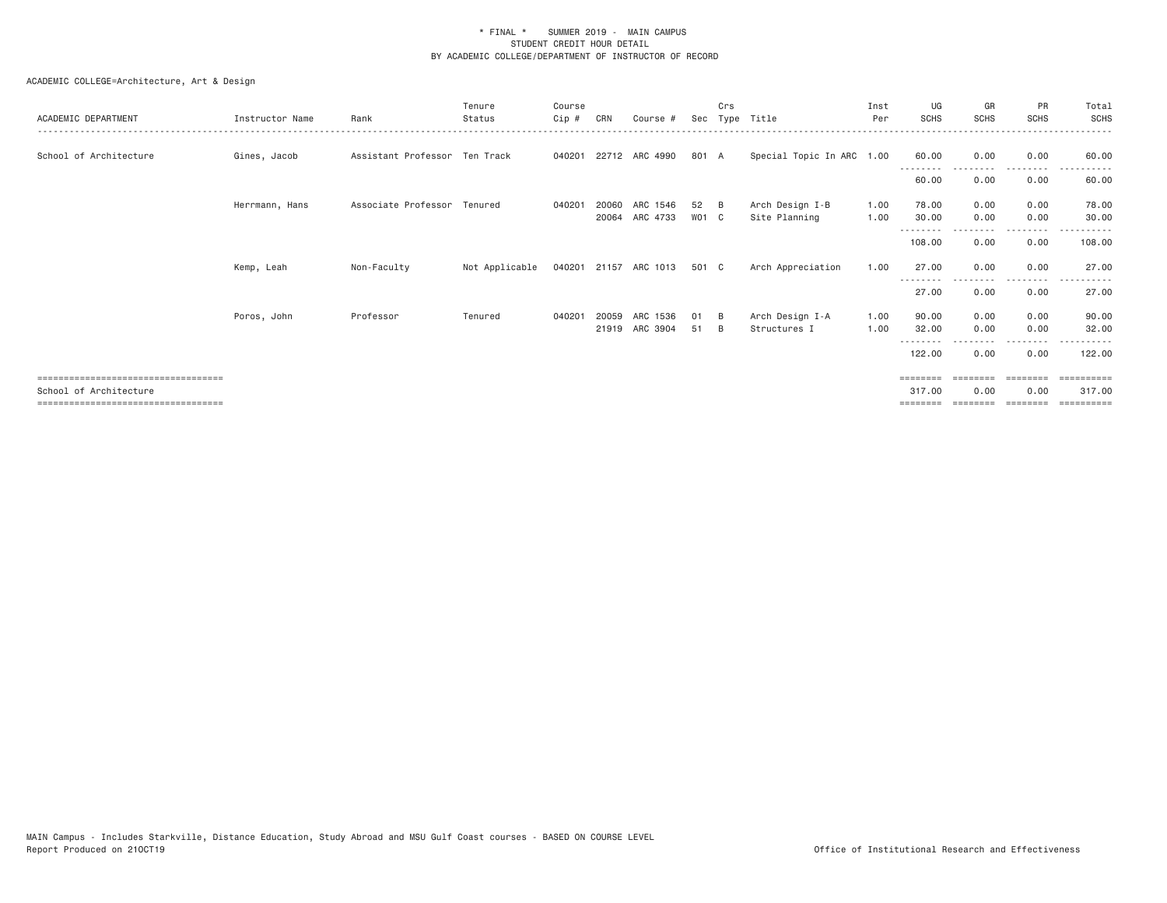ACADEMIC COLLEGE=Architecture, Art & Design

| ACADEMIC DEPARTMENT                                              | Instructor Name | Rank                          | Tenure<br>Status | Course<br>$Cip$ # | CRN   | Course #                   | Sec         | Crs        | Type Title                       | Inst<br>Per  | UG<br><b>SCHS</b>          | GR<br><b>SCHS</b> | PR<br><b>SCHS</b> | Total<br>SCHS       |
|------------------------------------------------------------------|-----------------|-------------------------------|------------------|-------------------|-------|----------------------------|-------------|------------|----------------------------------|--------------|----------------------------|-------------------|-------------------|---------------------|
| School of Architecture                                           | Gines, Jacob    | Assistant Professor Ten Track |                  |                   |       | 040201 22712 ARC 4990      | 801 A       |            | Special Topic In ARC 1.00        |              | 60.00<br>- - - - - - - - - | 0.00              | 0.00<br>--------- | 60.00               |
|                                                                  |                 |                               |                  |                   |       |                            |             |            |                                  |              | 60.00                      | 0.00              | 0.00              | 60.00               |
|                                                                  | Herrmann, Hans  | Associate Professor Tenured   |                  | 040201            | 20060 | ARC 1546<br>20064 ARC 4733 | 52<br>WO1 C | - B        | Arch Design I-B<br>Site Planning | 1.00<br>1.00 | 78.00<br>30.00             | 0.00<br>0.00      | 0.00<br>0.00      | 78.00<br>30.00      |
|                                                                  |                 |                               |                  |                   |       |                            |             |            |                                  |              | - - - - - - - -<br>108.00  | 0.00              | .<br>0.00         | 108.00              |
|                                                                  | Kemp, Leah      | Non-Faculty                   | Not Applicable   |                   |       | 040201 21157 ARC 1013      | 501 C       |            | Arch Appreciation                | 1.00         | 27.00                      | 0.00              | 0.00              | 27.00               |
|                                                                  |                 |                               |                  |                   |       |                            |             |            |                                  |              | 27.00                      | 0.00              | 0.00              | 27.00               |
|                                                                  | Poros, John     | Professor                     | Tenured          | 040201            | 20059 | ARC 1536<br>21919 ARC 3904 | 01<br>51    | - B<br>- B | Arch Design I-A<br>Structures I  | 1.00<br>1.00 | 90.00<br>32.00             | 0.00<br>0.00      | 0.00<br>0.00      | 90.00<br>32.00      |
|                                                                  |                 |                               |                  |                   |       |                            |             |            |                                  |              | 122.00                     | 0.00              | 0.00              | 122.00              |
| --------------------------------------                           |                 |                               |                  |                   |       |                            |             |            |                                  |              | ========                   |                   | ========          | =========           |
| School of Architecture<br>.===================================== |                 |                               |                  |                   |       |                            |             |            |                                  |              | 317,00                     | 0.00              | 0.00              | 317,00<br>--------- |
|                                                                  |                 |                               |                  |                   |       |                            |             |            |                                  |              |                            |                   |                   |                     |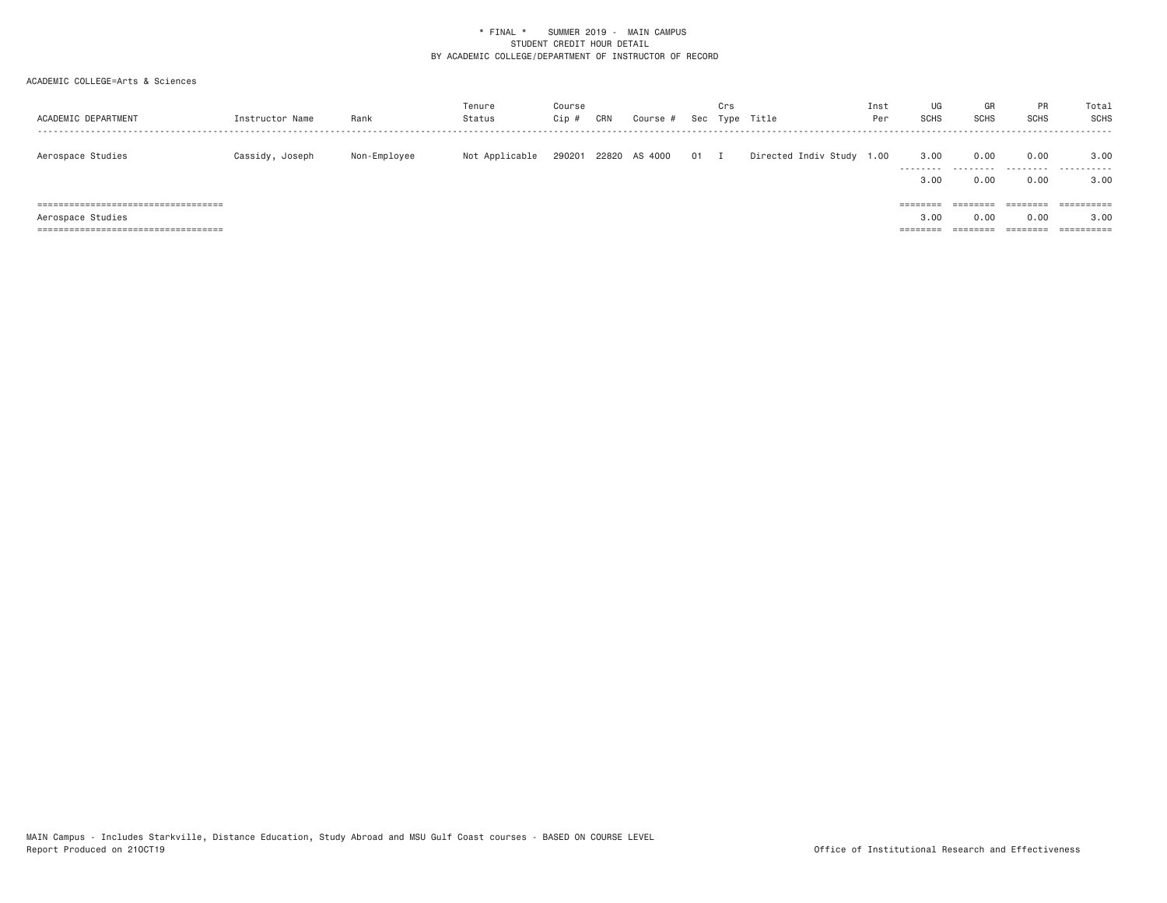| ACADEMIC DEPARTMENT                             | Instructor Name | Rank         | Tenure<br>Status | Course<br>Cip # | CRN | Course #      |              | Crs | Sec Type Title            | Inst<br>Per | UG<br>SCHS | GR<br><b>SCHS</b> | <b>PR</b><br><b>SCHS</b> | Total<br>SCHS         |
|-------------------------------------------------|-----------------|--------------|------------------|-----------------|-----|---------------|--------------|-----|---------------------------|-------------|------------|-------------------|--------------------------|-----------------------|
| Aerospace Studies                               | Cassidy, Joseph | Non-Employee | Not Applicable   | 290201          |     | 22820 AS 4000 | $01 \quad I$ |     | Directed Indiv Study 1.00 |             | 3.00<br>.  | 0.00              | 0.00<br>---------        | 3.00<br>.             |
| ======================================          |                 |              |                  |                 |     |               |              |     |                           |             | 3.00       | 0.00              | 0.00                     | 3,00<br>==========    |
|                                                 |                 |              |                  |                 |     |               |              |     |                           |             | ========   | $=$ = = = = = = = | ========                 |                       |
| Aerospace Studies                               |                 |              |                  |                 |     |               |              |     |                           |             | 3.00       | 0.00              | 0.00                     | 3,00                  |
| -------------------------------<br><b>EEEEE</b> |                 |              |                  |                 |     |               |              |     |                           |             |            | =======           | ========                 | $=$ = = = = = = = = = |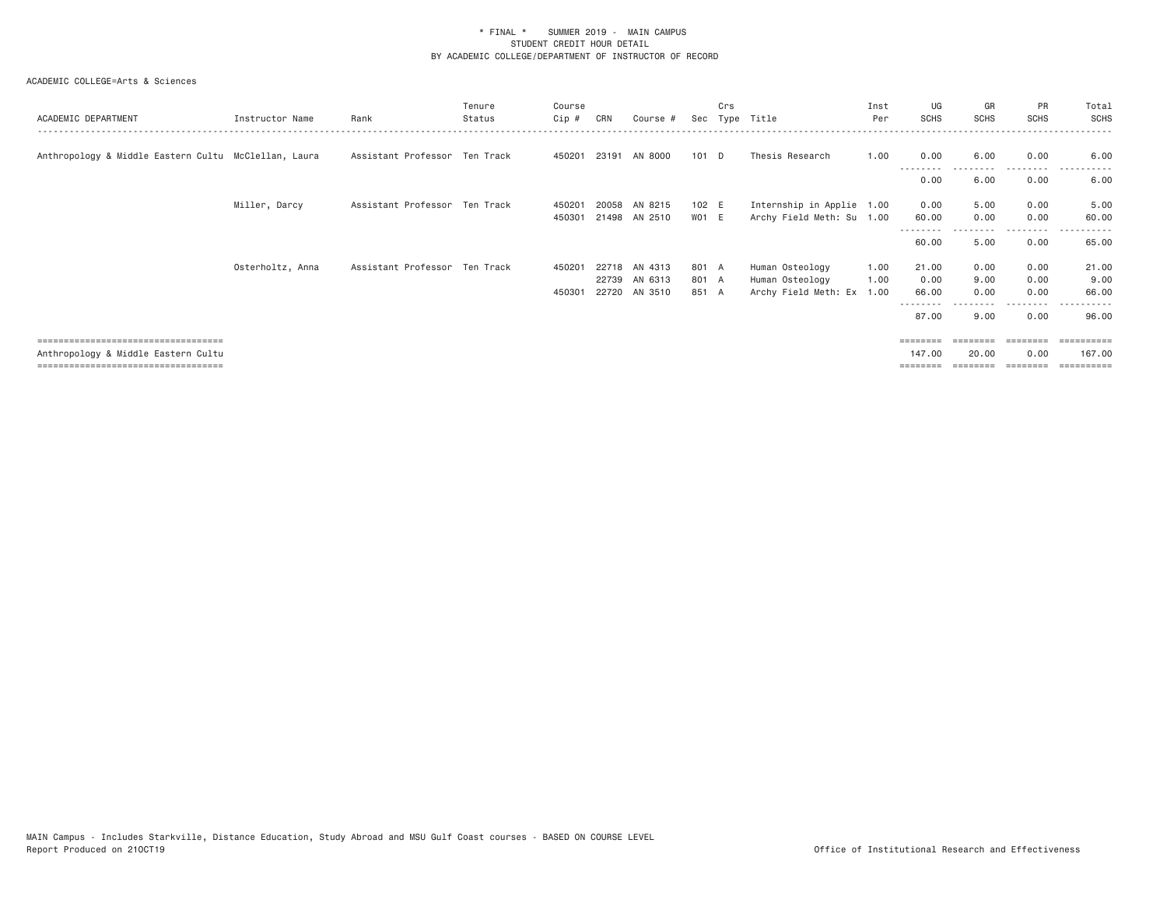| ACADEMIC DEPARTMENT                                                                                                 | Instructor Name  | Rank                          | Tenure<br>Status | Course<br>Cip #  | CRN   | Course #                                  | Sec                     | Crs | Type Title                                                 | Inst<br>Per          | UG<br><b>SCHS</b>      | GR<br><b>SCHS</b>    | PR<br><b>SCHS</b>    | Total<br>SCHS          |
|---------------------------------------------------------------------------------------------------------------------|------------------|-------------------------------|------------------|------------------|-------|-------------------------------------------|-------------------------|-----|------------------------------------------------------------|----------------------|------------------------|----------------------|----------------------|------------------------|
| Anthropology & Middle Eastern Cultu McClellan, Laura                                                                |                  | Assistant Professor Ten Track |                  |                  |       | 450201 23191 AN 8000                      | 101 D                   |     | Thesis Research                                            | 1.00                 | 0.00                   | 6.00                 | 0.00                 | 6.00                   |
|                                                                                                                     |                  |                               |                  |                  |       |                                           |                         |     |                                                            |                      | 0.00                   | 6.00                 | 0.00                 | 6.00                   |
|                                                                                                                     | Miller, Darcy    | Assistant Professor Ten Track |                  | 450201<br>450301 | 20058 | AN 8215<br>21498 AN 2510                  | 102 E<br>WO1 E          |     | Internship in Applie 1.00<br>Archy Field Meth: Su 1.00     |                      | 0.00<br>60.00          | 5.00<br>0.00         | 0.00<br>0.00         | 5.00<br>60.00          |
|                                                                                                                     |                  |                               |                  |                  |       |                                           |                         |     |                                                            |                      | 60.00                  | 5.00                 | 0.00                 | 65.00                  |
|                                                                                                                     | Osterholtz, Anna | Assistant Professor Ten Track |                  | 450201<br>450301 | 22739 | 22718 AN 4313<br>AN 6313<br>22720 AN 3510 | 801 A<br>801 A<br>851 A |     | Human Osteology<br>Human Osteology<br>Archy Field Meth: Ex | 1.00<br>1.00<br>1.00 | 21.00<br>0.00<br>66.00 | 0.00<br>9.00<br>0.00 | 0.00<br>0.00<br>0.00 | 21.00<br>9.00<br>66.00 |
|                                                                                                                     |                  |                               |                  |                  |       |                                           |                         |     |                                                            |                      | 87.00                  | 9.00                 | 0.00                 | 96.00                  |
| ====================================<br>Anthropology & Middle Eastern Cultu<br>.=================================== |                  |                               |                  |                  |       |                                           |                         |     |                                                            |                      | --------<br>147,00     | ========<br>20.00    | ========<br>0.00     | ==========<br>167.00   |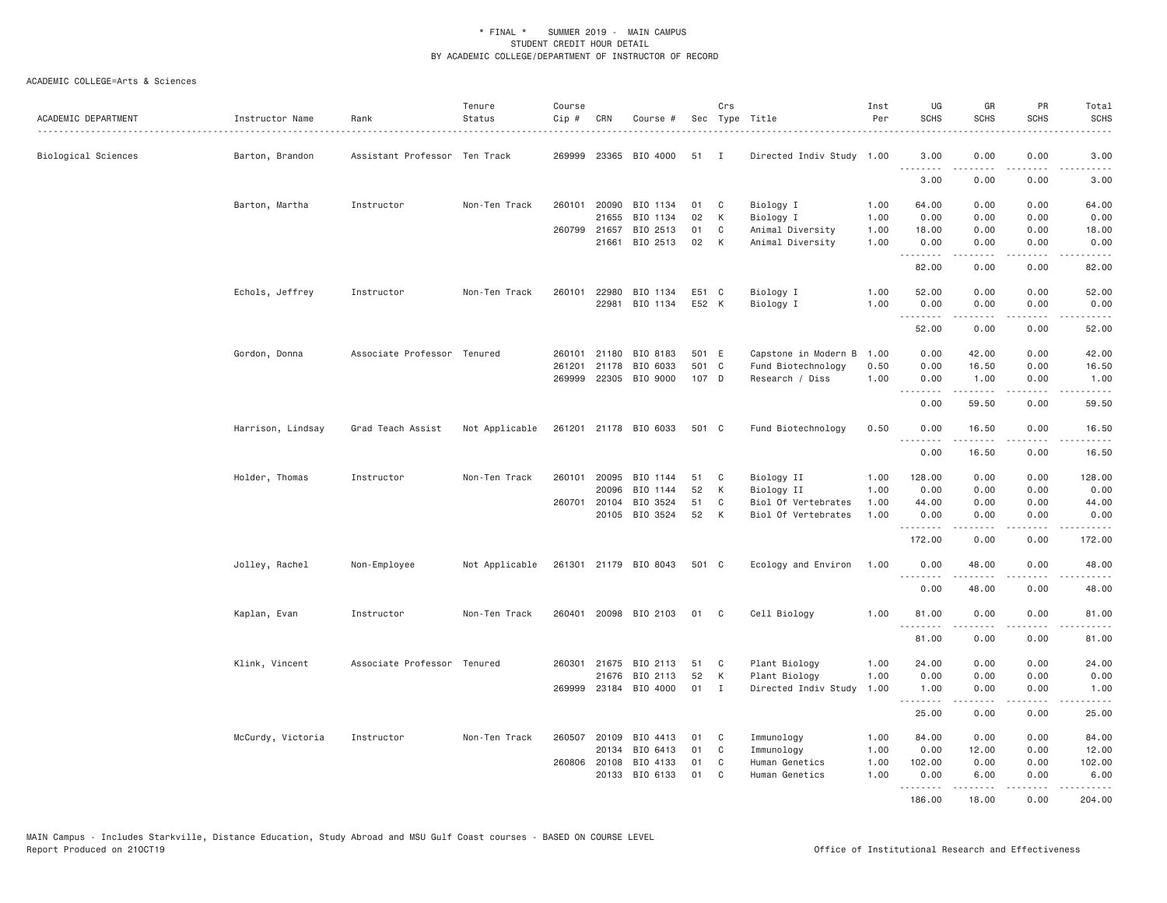| ACADEMIC DEPARTMENT | Instructor Name   | Rank                          | Tenure<br>Status | Course<br>Cip# | CRN          | Course #                          |          | Crs               | Sec Type Title<br>.              | Inst<br>Per  | UG<br><b>SCHS</b>             | GR<br><b>SCHS</b> | PR<br><b>SCHS</b>                   | Total<br><b>SCHS</b><br>.                                                                                                                                    |
|---------------------|-------------------|-------------------------------|------------------|----------------|--------------|-----------------------------------|----------|-------------------|----------------------------------|--------------|-------------------------------|-------------------|-------------------------------------|--------------------------------------------------------------------------------------------------------------------------------------------------------------|
| Biological Sciences | Barton, Brandon   | Assistant Professor Ten Track |                  | 269999         |              | 23365 BIO 4000                    | 51       | <b>I</b>          | Directed Indiv Study 1.00        |              | 3.00<br><b><i><u></u></i></b> | 0.00              | 0.00                                | 3.00                                                                                                                                                         |
|                     |                   |                               |                  |                |              |                                   |          |                   |                                  |              | 3.00                          | .<br>0.00         | $\sim$ $\sim$ $\sim$ $\sim$<br>0.00 | $\frac{1}{2} \left( \frac{1}{2} \right) \left( \frac{1}{2} \right) \left( \frac{1}{2} \right) \left( \frac{1}{2} \right) \left( \frac{1}{2} \right)$<br>3.00 |
|                     | Barton, Martha    | Instructor                    | Non-Ten Track    | 260101         | 21655        | 20090 BIO 1134<br>BIO 1134        | 01<br>02 | C<br>K            | Biology I                        | 1.00         | 64.00<br>0.00                 | 0.00<br>0.00      | 0.00<br>0.00                        | 64.00                                                                                                                                                        |
|                     |                   |                               |                  |                |              |                                   |          |                   | Biology I                        | 1.00         |                               |                   |                                     | 0.00                                                                                                                                                         |
|                     |                   |                               |                  | 260799         | 21657        | BIO 2513                          | 01<br>02 | C                 | Animal Diversity                 | 1.00         | 18.00                         | 0.00              | 0.00                                | 18.00                                                                                                                                                        |
|                     |                   |                               |                  |                | 21661        | BIO 2513                          |          | K                 | Animal Diversity                 | 1.00         | 0.00<br>.                     | 0.00<br>.         | 0.00<br>$\sim$ $\sim$ $\sim$ $\sim$ | 0.00<br>$\frac{1}{2} \left( \frac{1}{2} \right) \left( \frac{1}{2} \right) \left( \frac{1}{2} \right) \left( \frac{1}{2} \right) \left( \frac{1}{2} \right)$ |
|                     |                   |                               |                  |                |              |                                   |          |                   |                                  |              | 82.00                         | 0.00              | 0.00                                | 82.00                                                                                                                                                        |
|                     | Echols, Jeffrey   | Instructor                    | Non-Ten Track    | 260101         | 22980        | BIO 1134                          | E51 C    |                   | Biology I                        | 1.00         | 52.00                         | 0.00              | 0.00                                | 52.00                                                                                                                                                        |
|                     |                   |                               |                  |                | 22981        | BIO 1134                          | E52 K    |                   | Biology I                        | 1.00         | 0.00<br>.                     | 0.00              | 0.00                                | 0.00                                                                                                                                                         |
|                     |                   |                               |                  |                |              |                                   |          |                   |                                  |              | 52.00                         | 0.00              | 0.00                                | 52.00                                                                                                                                                        |
|                     | Gordon, Donna     | Associate Professor Tenured   |                  | 260101         |              | 21180 BIO 8183                    | 501 E    |                   | Capstone in Modern B             | 1.00         | 0.00                          | 42.00             | 0.00                                | 42.00                                                                                                                                                        |
|                     |                   |                               |                  | 261201         | 21178        | BIO 6033                          | 501 C    |                   | Fund Biotechnology               | 0.50         | 0.00                          | 16.50             | 0.00                                | 16.50                                                                                                                                                        |
|                     |                   |                               |                  | 269999         | 22305        | BIO 9000                          | 107 D    |                   | Research / Diss                  | 1.00         | 0.00<br>.                     | 1.00<br>.         | 0.00<br>$\sim$ $\sim$ $\sim$ $\sim$ | 1.00<br>$\frac{1}{2} \left( \frac{1}{2} \right) \left( \frac{1}{2} \right) \left( \frac{1}{2} \right) \left( \frac{1}{2} \right) \left( \frac{1}{2} \right)$ |
|                     |                   |                               |                  |                |              |                                   |          |                   |                                  |              | 0.00                          | 59.50             | 0.00                                | 59.50                                                                                                                                                        |
|                     | Harrison, Lindsay | Grad Teach Assist             | Not Applicable   |                |              | 261201 21178 BIO 6033             | 501 C    |                   | Fund Biotechnology               | 0.50         | 0.00                          | 16.50<br>.        | 0.00<br>.                           | 16.50<br>.                                                                                                                                                   |
|                     |                   |                               |                  |                |              |                                   |          |                   |                                  |              | 0.00                          | 16.50             | 0.00                                | 16.50                                                                                                                                                        |
|                     | Holder, Thomas    | Instructor                    | Non-Ten Track    | 260101         | 20095        | BIO 1144                          | 51       | C                 | Biology II                       | 1.00         | 128.00                        | 0.00              | 0.00                                | 128.00                                                                                                                                                       |
|                     |                   |                               |                  |                | 20096        | BIO 1144                          | 52       | К                 | Biology II                       | 1.00         | 0.00                          | 0.00              | 0.00                                | 0.00                                                                                                                                                         |
|                     |                   |                               |                  |                | 260701 20104 | BIO 3524                          | 51       | C                 | Biol Of Vertebrates              | 1.00         | 44.00                         | 0.00              | 0.00                                | 44.00                                                                                                                                                        |
|                     |                   |                               |                  |                |              | 20105 BIO 3524                    | 52       | K                 | Biol Of Vertebrates              | 1.00         | 0.00<br>. <i>.</i>            | 0.00<br>.         | 0.00<br>$\cdots$                    | 0.00<br>.                                                                                                                                                    |
|                     |                   |                               |                  |                |              |                                   |          |                   |                                  |              | 172.00                        | 0.00              | 0.00                                | 172.00                                                                                                                                                       |
|                     | Jolley, Rachel    | Non-Employee                  | Not Applicable   |                |              | 261301 21179 BIO 8043             | 501 C    |                   | Ecology and Environ              | 1.00         | 0.00<br>.                     | 48.00<br>.        | 0.00<br>.                           | 48.00<br>.                                                                                                                                                   |
|                     |                   |                               |                  |                |              |                                   |          |                   |                                  |              | 0.00                          | 48.00             | 0.00                                | 48.00                                                                                                                                                        |
|                     | Kaplan, Evan      | Instructor                    | Non-Ten Track    | 260401         |              | 20098 BIO 2103                    | 01       | $\mathbf{C}$      | Cell Biology                     | 1.00         | 81.00<br>.                    | 0.00<br>.         | 0.00<br>$\frac{1}{2}$               | 81.00<br>$\frac{1}{2}$                                                                                                                                       |
|                     |                   |                               |                  |                |              |                                   |          |                   |                                  |              | 81.00                         | 0.00              | 0.00                                | 81.00                                                                                                                                                        |
|                     | Klink, Vincent    | Associate Professor Tenured   |                  |                | 260301 21675 | BIO 2113                          | 51       | C                 | Plant Biology                    | 1.00         | 24.00                         | 0.00              | 0.00                                | 24.00                                                                                                                                                        |
|                     |                   |                               |                  |                |              | 21676 BIO 2113                    | 52       | К                 | Plant Biology                    | 1.00         | 0.00                          | 0.00              | 0.00                                | 0.00                                                                                                                                                         |
|                     |                   |                               |                  |                |              | 269999 23184 BIO 4000             | 01       | $\mathbf{I}$      | Directed Indiv Study             | 1.00         | 1.00<br>.                     | 0.00<br>.         | 0.00<br>.                           | 1.00<br>المستبدات                                                                                                                                            |
|                     |                   |                               |                  |                |              |                                   |          |                   |                                  |              | 25.00                         | 0.00              | 0.00                                | 25.00                                                                                                                                                        |
|                     | McCurdy, Victoria | Instructor                    | Non-Ten Track    | 260507         | 20109        | BIO 4413                          | 01       | C                 | Immunology                       | 1.00         | 84.00                         | 0.00              | 0.00                                | 84.00                                                                                                                                                        |
|                     |                   |                               |                  |                | 20134        | BIO 6413                          | 01       | C                 | Immunology                       | 1.00         | 0.00                          | 12.00             | 0.00                                | 12.00                                                                                                                                                        |
|                     |                   |                               |                  |                | 20133        | 260806 20108 BIO 4133<br>BIO 6133 | 01<br>01 | $\mathsf{C}$<br>C | Human Genetics<br>Human Genetics | 1.00<br>1.00 | 102.00<br>0.00                | 0.00<br>6.00      | 0.00<br>0.00                        | 102.00<br>6.00                                                                                                                                               |
|                     |                   |                               |                  |                |              |                                   |          |                   |                                  |              | .<br>186.00                   | 18,00             | .<br>0.00                           | 204,00                                                                                                                                                       |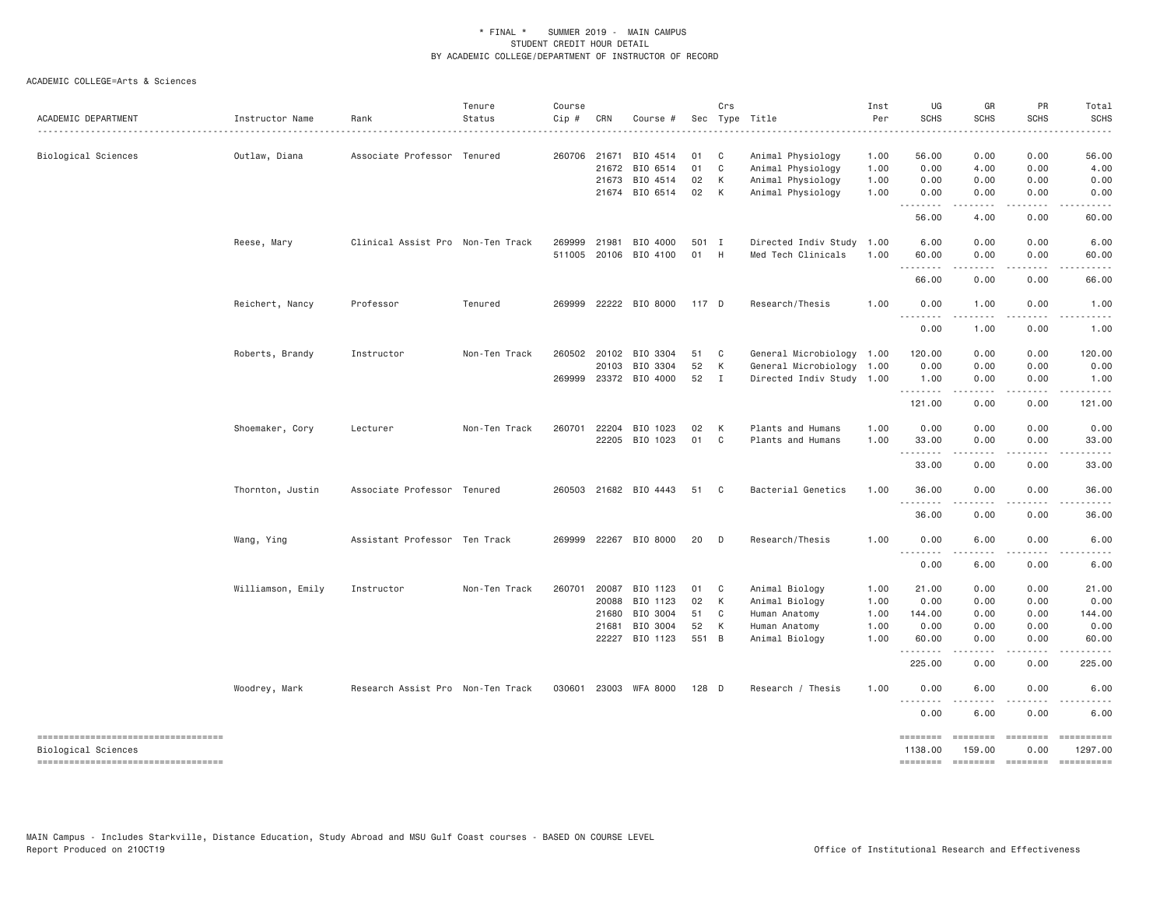| ACADEMIC DEPARTMENT                                                                              | Instructor Name   | Rank                              | Tenure<br>Status | Course<br>Cip #  | CRN                                              | Course #                                                 |                               | Crs                         | Sec Type Title                                                                       | Inst<br>Per                          | UG<br><b>SCHS</b>                             | GR<br><b>SCHS</b>                                                                                                                                                                            | PR<br><b>SCHS</b>                         | Total<br><b>SCHS</b>                                                                                                                                                                                                                                                                                                                                                                                                                                         |
|--------------------------------------------------------------------------------------------------|-------------------|-----------------------------------|------------------|------------------|--------------------------------------------------|----------------------------------------------------------|-------------------------------|-----------------------------|--------------------------------------------------------------------------------------|--------------------------------------|-----------------------------------------------|----------------------------------------------------------------------------------------------------------------------------------------------------------------------------------------------|-------------------------------------------|--------------------------------------------------------------------------------------------------------------------------------------------------------------------------------------------------------------------------------------------------------------------------------------------------------------------------------------------------------------------------------------------------------------------------------------------------------------|
| Biological Sciences                                                                              | Outlaw, Diana     | Associate Professor Tenured       |                  |                  | 260706 21671<br>21672<br>21673                   | BIO 4514<br>BIO 6514<br>BIO 4514<br>21674 BIO 6514       | 01<br>01<br>02<br>02          | $\mathbf{C}$<br>C<br>К<br>K | Animal Physiology<br>Animal Physiology<br>Animal Physiology<br>Animal Physiology     | 1.00<br>1.00<br>1.00<br>1.00         | 56.00<br>0.00<br>0.00<br>0.00                 | 0.00<br>4.00<br>0.00<br>0.00                                                                                                                                                                 | 0.00<br>0.00<br>0.00<br>0.00              | 56.00<br>4.00<br>0.00<br>0.00                                                                                                                                                                                                                                                                                                                                                                                                                                |
|                                                                                                  |                   |                                   |                  |                  |                                                  |                                                          |                               |                             |                                                                                      |                                      | .<br>56.00                                    | $\frac{1}{2} \left( \frac{1}{2} \right) \left( \frac{1}{2} \right) \left( \frac{1}{2} \right) \left( \frac{1}{2} \right) \left( \frac{1}{2} \right)$<br>4.00                                 | .<br>0.00                                 | $- - - - -$<br>60.00                                                                                                                                                                                                                                                                                                                                                                                                                                         |
|                                                                                                  | Reese, Mary       | Clinical Assist Pro Non-Ten Track |                  | 269999<br>511005 | 21981<br>20106                                   | BIO 4000<br>BIO 4100                                     | 501 I<br>01                   | H                           | Directed Indiv Study 1.00<br>Med Tech Clinicals                                      | 1.00                                 | 6.00<br>60.00                                 | 0.00<br>0.00                                                                                                                                                                                 | 0.00<br>0.00<br>.                         | 6.00<br>60.00                                                                                                                                                                                                                                                                                                                                                                                                                                                |
|                                                                                                  |                   |                                   |                  |                  |                                                  |                                                          |                               |                             |                                                                                      |                                      | .<br>66.00                                    | .<br>0.00                                                                                                                                                                                    | 0.00                                      | $- - - - -$<br>66.00                                                                                                                                                                                                                                                                                                                                                                                                                                         |
|                                                                                                  | Reichert, Nancy   | Professor                         | Tenured          |                  |                                                  | 269999 22222 BIO 8000                                    | 117 D                         |                             | Research/Thesis                                                                      | 1.00                                 | 0.00<br>$\sim$ $\sim$ $\sim$<br>$\frac{1}{2}$ | 1.00                                                                                                                                                                                         | 0.00                                      | 1.00                                                                                                                                                                                                                                                                                                                                                                                                                                                         |
|                                                                                                  |                   |                                   |                  |                  |                                                  |                                                          |                               |                             |                                                                                      |                                      | 0.00                                          | 1.00                                                                                                                                                                                         | 0.00                                      | 1.00                                                                                                                                                                                                                                                                                                                                                                                                                                                         |
|                                                                                                  | Roberts, Brandy   | Instructor                        | Non-Ten Track    | 260502           | 20102<br>20103                                   | BIO 3304<br>BIO 3304<br>269999 23372 BIO 4000            | 51<br>52<br>52 I              | $\mathbf{C}$<br>K           | General Microbiology 1.00<br>General Microbiology 1.00<br>Directed Indiv Study 1.00  |                                      | 120.00<br>0.00<br>1.00<br>.                   | 0.00<br>0.00<br>0.00<br>.                                                                                                                                                                    | 0.00<br>0.00<br>0.00<br>.                 | 120.00<br>0.00<br>1.00<br>.                                                                                                                                                                                                                                                                                                                                                                                                                                  |
|                                                                                                  |                   |                                   |                  |                  |                                                  |                                                          |                               |                             |                                                                                      |                                      | 121.00                                        | 0.00                                                                                                                                                                                         | 0.00                                      | 121.00                                                                                                                                                                                                                                                                                                                                                                                                                                                       |
|                                                                                                  | Shoemaker, Cory   | Lecturer                          | Non-Ten Track    |                  | 260701 22204<br>22205                            | BIO 1023<br>BIO 1023                                     | 02<br>01 C                    | K                           | Plants and Humans<br>Plants and Humans                                               | 1.00<br>1.00                         | 0.00<br>33.00<br><u>.</u>                     | 0.00<br>0.00<br>$- - - - -$                                                                                                                                                                  | 0.00<br>0.00<br>.                         | 0.00<br>33.00<br>. <u>.</u>                                                                                                                                                                                                                                                                                                                                                                                                                                  |
|                                                                                                  |                   |                                   |                  |                  |                                                  |                                                          |                               |                             |                                                                                      |                                      | 33.00                                         | 0.00                                                                                                                                                                                         | 0.00                                      | 33.00                                                                                                                                                                                                                                                                                                                                                                                                                                                        |
|                                                                                                  | Thornton, Justin  | Associate Professor Tenured       |                  |                  |                                                  | 260503 21682 BIO 4443                                    | 51                            | $\mathbf{C}$                | Bacterial Genetics                                                                   | 1.00                                 | 36.00<br>.                                    | 0.00                                                                                                                                                                                         | 0.00                                      | 36.00                                                                                                                                                                                                                                                                                                                                                                                                                                                        |
|                                                                                                  |                   |                                   |                  |                  |                                                  |                                                          |                               |                             |                                                                                      |                                      | 36.00                                         | 0.00                                                                                                                                                                                         | 0.00                                      | 36.00                                                                                                                                                                                                                                                                                                                                                                                                                                                        |
|                                                                                                  | Wang, Ying        | Assistant Professor Ten Track     |                  |                  |                                                  | 269999 22267 BIO 8000                                    | 20                            | D                           | Research/Thesis                                                                      | 1.00                                 | 0.00<br>.                                     | 6.00<br>$\frac{1}{2} \left( \frac{1}{2} \right) \left( \frac{1}{2} \right) \left( \frac{1}{2} \right) \left( \frac{1}{2} \right)$                                                            | 0.00                                      | 6.00                                                                                                                                                                                                                                                                                                                                                                                                                                                         |
|                                                                                                  |                   |                                   |                  |                  |                                                  |                                                          |                               |                             |                                                                                      |                                      | 0.00                                          | 6.00                                                                                                                                                                                         | 0.00                                      | 6.00                                                                                                                                                                                                                                                                                                                                                                                                                                                         |
|                                                                                                  | Williamson, Emily | Instructor                        | Non-Ten Track    |                  | 260701 20087<br>20088<br>21680<br>21681<br>22227 | BIO 1123<br>BIO 1123<br>BIO 3004<br>BIO 3004<br>BIO 1123 | 01<br>02<br>51<br>52<br>551 B | $\mathbf{C}$<br>K<br>C<br>К | Animal Biology<br>Animal Biology<br>Human Anatomy<br>Human Anatomy<br>Animal Biology | 1.00<br>1.00<br>1.00<br>1.00<br>1.00 | 21.00<br>0.00<br>144.00<br>0.00<br>60.00<br>. | 0.00<br>0.00<br>0.00<br>0.00<br>0.00<br>$\frac{1}{2} \left( \frac{1}{2} \right) \left( \frac{1}{2} \right) \left( \frac{1}{2} \right) \left( \frac{1}{2} \right) \left( \frac{1}{2} \right)$ | 0.00<br>0.00<br>0.00<br>0.00<br>0.00<br>. | 21.00<br>0.00<br>144.00<br>0.00<br>60.00<br>.                                                                                                                                                                                                                                                                                                                                                                                                                |
|                                                                                                  | Woodrey, Mark     | Research Assist Pro Non-Ten Track |                  |                  | 030601 23003                                     | WFA 8000                                                 | 128 D                         |                             | Research / Thesis                                                                    | 1.00                                 | 225.00<br>0.00                                | 0.00<br>6.00                                                                                                                                                                                 | 0.00<br>0.00                              | 225.00<br>6.00                                                                                                                                                                                                                                                                                                                                                                                                                                               |
|                                                                                                  |                   |                                   |                  |                  |                                                  |                                                          |                               |                             |                                                                                      |                                      | .<br>0.00                                     | 6.00                                                                                                                                                                                         | 0.00                                      | 6.00                                                                                                                                                                                                                                                                                                                                                                                                                                                         |
| -----------------------------------<br>Biological Sciences<br>---------------------------------- |                   |                                   |                  |                  |                                                  |                                                          |                               |                             |                                                                                      |                                      | ========<br>1138.00<br><b>EDEDEDED</b>        | ========<br>159.00<br>========                                                                                                                                                               | ========<br>0.00<br>$=$ ========          | ==========<br>1297.00<br>$\begin{minipage}{0.9\linewidth} \hspace*{-0.2cm} \textbf{1} & \textbf{2} & \textbf{3} & \textbf{5} & \textbf{6} & \textbf{7} & \textbf{8} \\ \textbf{1} & \textbf{2} & \textbf{3} & \textbf{5} & \textbf{5} & \textbf{7} & \textbf{8} & \textbf{8} \\ \textbf{2} & \textbf{3} & \textbf{4} & \textbf{5} & \textbf{6} & \textbf{7} & \textbf{8} & \textbf{8} \\ \textbf{3} & \textbf{5} & \textbf{5} & \textbf{5} & \textbf{6} & \$ |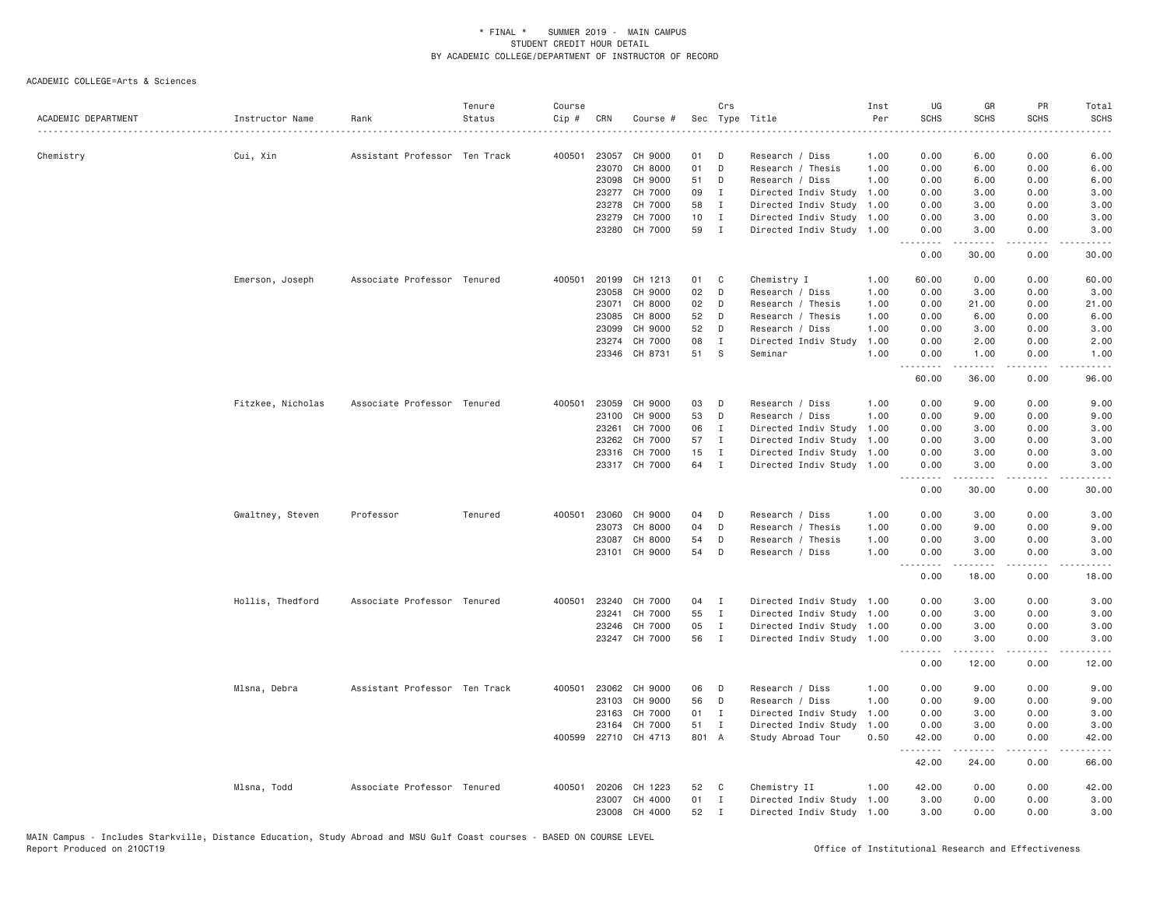| ACADEMIC DEPARTMENT | Instructor Name   | Rank                          | Tenure<br>Status | Course<br>Cip # | CRN   | Course #             |                 | Crs          | Sec Type Title            | Inst<br>Per | UG<br><b>SCHS</b> | GR<br><b>SCHS</b>                                                                                                                                            | PR<br><b>SCHS</b> | Total<br><b>SCHS</b>                                                                                                                                         |
|---------------------|-------------------|-------------------------------|------------------|-----------------|-------|----------------------|-----------------|--------------|---------------------------|-------------|-------------------|--------------------------------------------------------------------------------------------------------------------------------------------------------------|-------------------|--------------------------------------------------------------------------------------------------------------------------------------------------------------|
|                     |                   |                               |                  |                 |       |                      |                 |              |                           |             |                   |                                                                                                                                                              |                   |                                                                                                                                                              |
| Chemistry           | Cui, Xin          | Assistant Professor Ten Track |                  | 400501          | 23057 | CH 9000              | 01              | D            | Research / Diss           | 1.00        | 0.00              | 6.00                                                                                                                                                         | 0.00              | 6.00                                                                                                                                                         |
|                     |                   |                               |                  |                 | 23070 | CH 8000              | 01              | D            | Research / Thesis         | 1.00        | 0.00              | 6.00                                                                                                                                                         | 0.00              | 6.00                                                                                                                                                         |
|                     |                   |                               |                  |                 | 23098 | CH 9000              | 51              | D            | Research / Diss           | 1.00        | 0.00              | 6.00                                                                                                                                                         | 0.00              | 6.00                                                                                                                                                         |
|                     |                   |                               |                  |                 | 23277 | CH 7000              | 09              | $\mathbf{I}$ | Directed Indiv Study      | 1.00        | 0.00              | 3.00                                                                                                                                                         | 0.00              | 3.00                                                                                                                                                         |
|                     |                   |                               |                  |                 | 23278 | CH 7000              | 58              | $\mathbf{I}$ | Directed Indiv Study      | 1.00        | 0.00              | 3.00                                                                                                                                                         | 0.00              | 3.00                                                                                                                                                         |
|                     |                   |                               |                  |                 | 23279 | CH 7000              | 10 <sub>1</sub> | $\mathbf{I}$ | Directed Indiv Study      | 1.00        | 0.00              | 3.00                                                                                                                                                         | 0.00              | 3.00                                                                                                                                                         |
|                     |                   |                               |                  |                 | 23280 | CH 7000              | 59              | $\mathbf{I}$ | Directed Indiv Study      | 1.00        | 0.00<br>.         | 3.00<br>$\frac{1}{2} \left( \frac{1}{2} \right) \left( \frac{1}{2} \right) \left( \frac{1}{2} \right) \left( \frac{1}{2} \right) \left( \frac{1}{2} \right)$ | 0.00<br>.         | 3.00<br>$\frac{1}{2} \left( \frac{1}{2} \right) \left( \frac{1}{2} \right) \left( \frac{1}{2} \right) \left( \frac{1}{2} \right) \left( \frac{1}{2} \right)$ |
|                     |                   |                               |                  |                 |       |                      |                 |              |                           |             | 0.00              | 30.00                                                                                                                                                        | 0.00              | 30.00                                                                                                                                                        |
|                     | Emerson, Joseph   | Associate Professor Tenured   |                  | 400501          | 20199 | CH 1213              | 01              | C            | Chemistry I               | 1.00        | 60.00             | 0.00                                                                                                                                                         | 0.00              | 60.00                                                                                                                                                        |
|                     |                   |                               |                  |                 | 23058 | CH 9000              | 02              | D            | Research / Diss           | 1.00        | 0.00              | 3.00                                                                                                                                                         | 0.00              | 3.00                                                                                                                                                         |
|                     |                   |                               |                  |                 | 23071 | CH 8000              | 02              | D            | Research / Thesis         | 1.00        | 0.00              | 21.00                                                                                                                                                        | 0.00              | 21.00                                                                                                                                                        |
|                     |                   |                               |                  |                 | 23085 | CH 8000              | 52              | D            | Research / Thesis         | 1.00        | 0.00              | 6.00                                                                                                                                                         | 0.00              | 6.00                                                                                                                                                         |
|                     |                   |                               |                  |                 | 23099 | CH 9000              | 52              | D            | Research / Diss           | 1.00        | 0.00              | 3.00                                                                                                                                                         | 0.00              | 3.00                                                                                                                                                         |
|                     |                   |                               |                  |                 | 23274 | CH 7000              | 08              | $\mathbf{I}$ | Directed Indiv Study      | 1.00        | 0.00              | 2.00                                                                                                                                                         | 0.00              | 2.00                                                                                                                                                         |
|                     |                   |                               |                  |                 | 23346 | CH 8731              | 51              | <sub>S</sub> | Seminar                   | 1.00        | 0.00<br><u>.</u>  | 1.00<br>$\frac{1}{2}$                                                                                                                                        | 0.00<br>.         | 1.00<br>$- - - - -$                                                                                                                                          |
|                     |                   |                               |                  |                 |       |                      |                 |              |                           |             | 60.00             | 36.00                                                                                                                                                        | 0.00              | 96.00                                                                                                                                                        |
|                     | Fitzkee, Nicholas | Associate Professor Tenured   |                  | 400501          | 23059 | CH 9000              | 03              | D            | Research / Diss           | 1.00        | 0.00              | 9.00                                                                                                                                                         | 0.00              | 9.00                                                                                                                                                         |
|                     |                   |                               |                  |                 | 23100 | CH 9000              | 53              | D            | Research / Diss           | 1.00        | 0.00              | 9.00                                                                                                                                                         | 0.00              | 9.00                                                                                                                                                         |
|                     |                   |                               |                  |                 | 23261 | CH 7000              | 06              | $\mathbf{I}$ | Directed Indiv Study      | 1.00        | 0.00              | 3.00                                                                                                                                                         | 0.00              | 3.00                                                                                                                                                         |
|                     |                   |                               |                  |                 | 23262 | CH 7000              | 57              | $\mathbf{I}$ | Directed Indiv Study      | 1.00        | 0.00              | 3.00                                                                                                                                                         | 0.00              | 3.00                                                                                                                                                         |
|                     |                   |                               |                  |                 | 23316 | CH 7000              | 15              | $\mathbf{I}$ | Directed Indiv Study      | 1.00        | 0.00              | 3.00                                                                                                                                                         | 0.00              | 3.00                                                                                                                                                         |
|                     |                   |                               |                  |                 |       | 23317 CH 7000        | 64              | $\mathbf I$  | Directed Indiv Study      | 1.00        | 0.00<br>.         | 3.00<br>.                                                                                                                                                    | 0.00<br>.         | 3.00<br>$\frac{1}{2} \left( \frac{1}{2} \right) \left( \frac{1}{2} \right) \left( \frac{1}{2} \right) \left( \frac{1}{2} \right) \left( \frac{1}{2} \right)$ |
|                     |                   |                               |                  |                 |       |                      |                 |              |                           |             | 0.00              | 30.00                                                                                                                                                        | 0.00              | 30.00                                                                                                                                                        |
|                     | Gwaltney, Steven  | Professor                     | Tenured          | 400501          | 23060 | CH 9000              | 04              | D            | Research / Diss           | 1.00        | 0.00              | 3.00                                                                                                                                                         | 0.00              | 3.00                                                                                                                                                         |
|                     |                   |                               |                  |                 | 23073 | CH 8000              | 04              | D            | Research / Thesis         | 1.00        | 0.00              | 9.00                                                                                                                                                         | 0.00              | 9.00                                                                                                                                                         |
|                     |                   |                               |                  |                 | 23087 | CH 8000              | 54              | D            | Research / Thesis         | 1.00        | 0.00              | 3.00                                                                                                                                                         | 0.00              | 3.00                                                                                                                                                         |
|                     |                   |                               |                  |                 | 23101 | CH 9000              | 54              | D            | Research / Diss           | 1.00        | 0.00<br>.         | 3.00<br>$\frac{1}{2}$                                                                                                                                        | 0.00<br><u>.</u>  | 3.00<br>$- - - - -$                                                                                                                                          |
|                     |                   |                               |                  |                 |       |                      |                 |              |                           |             | 0.00              | 18.00                                                                                                                                                        | 0.00              | 18.00                                                                                                                                                        |
|                     | Hollis, Thedford  | Associate Professor Tenured   |                  | 400501          | 23240 | CH 7000              | 04              | I            | Directed Indiv Study      | 1.00        | 0.00              | 3.00                                                                                                                                                         | 0.00              | 3.00                                                                                                                                                         |
|                     |                   |                               |                  |                 | 23241 | CH 7000              | 55              | $\mathbf{I}$ | Directed Indiv Study      | 1.00        | 0.00              | 3.00                                                                                                                                                         | 0.00              | 3.00                                                                                                                                                         |
|                     |                   |                               |                  |                 | 23246 | CH 7000              | 05              | $\mathbf{I}$ | Directed Indiv Study      | 1.00        | 0.00              | 3.00                                                                                                                                                         | 0.00              | 3.00                                                                                                                                                         |
|                     |                   |                               |                  |                 |       | 23247 CH 7000        | 56              | $\mathbf{I}$ | Directed Indiv Study 1.00 |             | 0.00<br>.         | 3.00                                                                                                                                                         | 0.00<br>.         | 3.00<br>-----                                                                                                                                                |
|                     |                   |                               |                  |                 |       |                      |                 |              |                           |             | 0.00              | 12.00                                                                                                                                                        | 0.00              | 12.00                                                                                                                                                        |
|                     | Mlsna, Debra      | Assistant Professor Ten Track |                  | 400501          | 23062 | CH 9000              | 06              | D            | Research / Diss           | 1.00        | 0.00              | 9.00                                                                                                                                                         | 0.00              | 9.00                                                                                                                                                         |
|                     |                   |                               |                  |                 | 23103 | CH 9000              | 56              | D            | Research / Diss           | 1.00        | 0.00              | 9.00                                                                                                                                                         | 0.00              | 9.00                                                                                                                                                         |
|                     |                   |                               |                  |                 | 23163 | CH 7000              | 01              | $\mathbf{I}$ | Directed Indiv Study      | 1.00        | 0.00              | 3.00                                                                                                                                                         | 0.00              | 3.00                                                                                                                                                         |
|                     |                   |                               |                  |                 | 23164 | CH 7000              | 51              | $\mathbf{I}$ | Directed Indiv Study      | 1.00        | 0.00              | 3.00                                                                                                                                                         | 0.00              | 3.00                                                                                                                                                         |
|                     |                   |                               |                  |                 |       | 400599 22710 CH 4713 | 801 A           |              | Study Abroad Tour         | 0.50        | 42.00<br>.        | 0.00<br>.                                                                                                                                                    | 0.00<br>.         | 42.00<br>$    -$                                                                                                                                             |
|                     |                   |                               |                  |                 |       |                      |                 |              |                           |             | 42.00             | 24.00                                                                                                                                                        | 0.00              | 66.00                                                                                                                                                        |
|                     | Mlsna, Todd       | Associate Professor Tenured   |                  | 400501          | 20206 | CH 1223              | 52              | C            | Chemistry II              | 1.00        | 42.00             | 0.00                                                                                                                                                         | 0.00              | 42.00                                                                                                                                                        |
|                     |                   |                               |                  |                 | 23007 | CH 4000              | 01              | $\mathbf{I}$ | Directed Indiv Study      | 1.00        | 3,00              | 0.00                                                                                                                                                         | 0.00              | 3.00                                                                                                                                                         |
|                     |                   |                               |                  |                 | 23008 | CH 4000              | 52              | $\mathbf{I}$ | Directed Indiv Study 1.00 |             | 3,00              | 0.00                                                                                                                                                         | 0.00              | 3.00                                                                                                                                                         |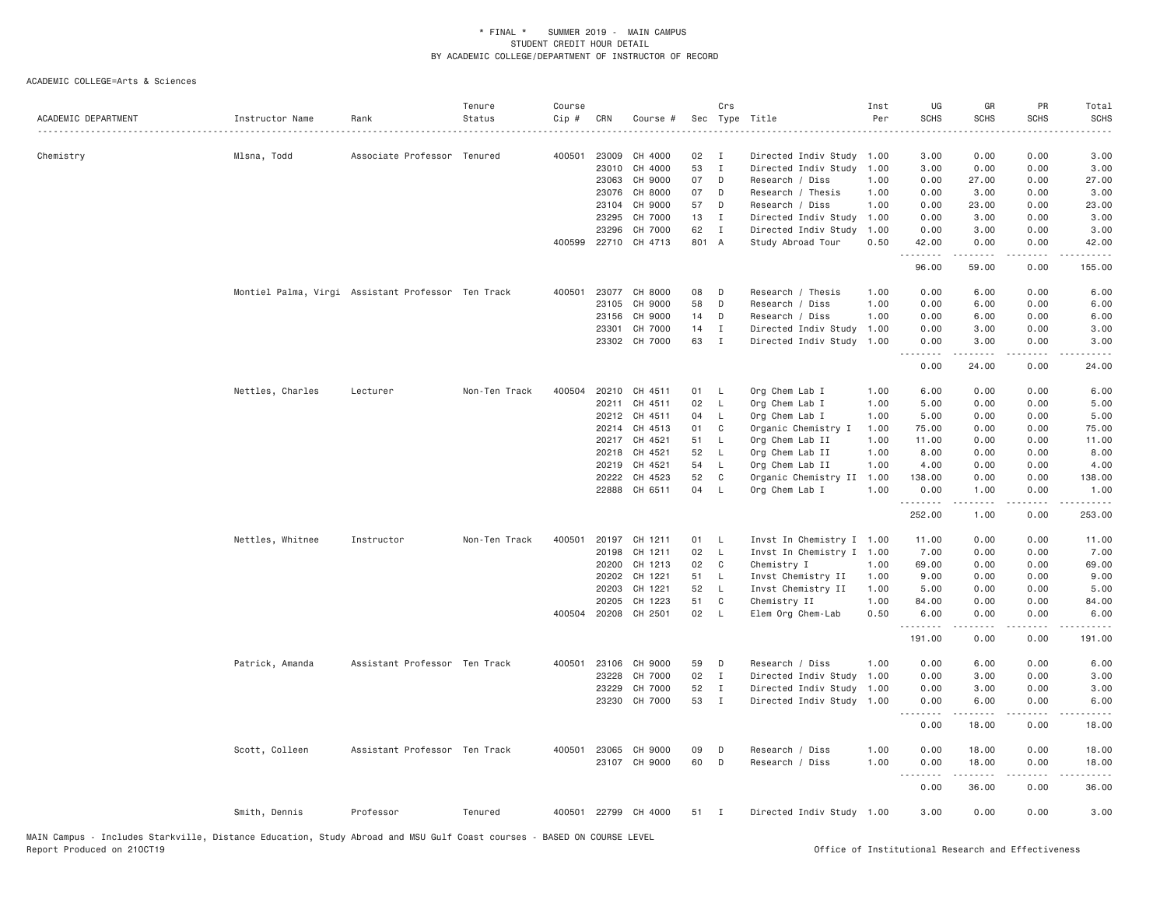| ACADEMIC DEPARTMENT | Instructor Name                                    | Rank                          | Tenure<br>Status | Course<br>Cip # | CRN   | Course #             |       | Crs          | Sec Type Title            | Inst<br>Per | UG<br><b>SCHS</b>                   | GR<br><b>SCHS</b>   | PR<br><b>SCHS</b>     | Total<br><b>SCHS</b><br>المتمام |
|---------------------|----------------------------------------------------|-------------------------------|------------------|-----------------|-------|----------------------|-------|--------------|---------------------------|-------------|-------------------------------------|---------------------|-----------------------|---------------------------------|
| Chemistry           | Mlsna, Todd                                        | Associate Professor Tenured   |                  | 400501          | 23009 | CH 4000              | 02    | $\mathbf{I}$ | Directed Indiv Study 1.00 |             | 3.00                                | 0.00                | 0.00                  | 3.00                            |
|                     |                                                    |                               |                  |                 | 23010 | CH 4000              | 53    | $\mathbf{I}$ | Directed Indiv Study      | 1.00        | 3.00                                | 0.00                | 0.00                  | 3.00                            |
|                     |                                                    |                               |                  |                 | 23063 | CH 9000              | 07    | D            | Research / Diss           | 1.00        | 0.00                                | 27.00               | 0.00                  | 27.00                           |
|                     |                                                    |                               |                  |                 | 23076 | CH 8000              | 07    | D            | Research / Thesis         | 1.00        | 0.00                                | 3.00                | 0.00                  | 3.00                            |
|                     |                                                    |                               |                  |                 | 23104 | CH 9000              | 57    | D            | Research / Diss           | 1.00        | 0.00                                | 23.00               | 0.00                  | 23.00                           |
|                     |                                                    |                               |                  |                 | 23295 | CH 7000              | 13    | Ι.           | Directed Indiv Study      | 1.00        | 0.00                                | 3.00                | 0.00                  | 3.00                            |
|                     |                                                    |                               |                  |                 | 23296 | CH 7000              | 62    | $\mathbf{I}$ | Directed Indiv Study      | 1.00        | 0.00                                | 3.00                | 0.00                  | 3.00                            |
|                     |                                                    |                               |                  |                 |       | 400599 22710 CH 4713 | 801 A |              | Study Abroad Tour         | 0.50        | 42.00<br>.                          | 0.00<br>$- - - - -$ | 0.00<br>.             | 42.00<br>د د د د                |
|                     |                                                    |                               |                  |                 |       |                      |       |              |                           |             | 96.00                               | 59.00               | 0.00                  | 155.00                          |
|                     | Montiel Palma, Virgi Assistant Professor Ten Track |                               |                  | 400501          |       | 23077 CH 8000        | 08    | D            | Research / Thesis         | 1.00        | 0.00                                | 6.00                | 0.00                  | 6.00                            |
|                     |                                                    |                               |                  |                 | 23105 | CH 9000              | 58    | D            | Research / Diss           | 1.00        | 0.00                                | 6.00                | 0.00                  | 6.00                            |
|                     |                                                    |                               |                  |                 | 23156 | CH 9000              | 14    | D            | Research / Diss           | 1.00        | 0.00                                | 6.00                | 0.00                  | 6.00                            |
|                     |                                                    |                               |                  |                 | 23301 | CH 7000              | 14    | $\mathbf{I}$ | Directed Indiv Study      | 1.00        | 0.00                                | 3.00                | 0.00                  | 3.00                            |
|                     |                                                    |                               |                  |                 |       | 23302 CH 7000        | 63    | $\mathbf{I}$ | Directed Indiv Study      | 1.00        | 0.00<br>.                           | 3.00<br>-----       | 0.00<br>.             | 3.00<br>.                       |
|                     |                                                    |                               |                  |                 |       |                      |       |              |                           |             | 0.00                                | 24.00               | 0.00                  | 24.00                           |
|                     | Nettles, Charles                                   | Lecturer                      | Non-Ten Track    | 400504          |       | 20210 CH 4511        | 01    | L            | Org Chem Lab I            | 1.00        | 6.00                                | 0.00                | 0.00                  | 6.00                            |
|                     |                                                    |                               |                  |                 | 20211 | CH 4511              | 02    | L            | Org Chem Lab I            | 1.00        | 5.00                                | 0.00                | 0.00                  | 5.00                            |
|                     |                                                    |                               |                  |                 | 20212 | CH 4511              | 04    | L.           | Org Chem Lab I            | 1.00        | 5.00                                | 0.00                | 0.00                  | 5.00                            |
|                     |                                                    |                               |                  |                 | 20214 | CH 4513              | 01    | C            | Organic Chemistry I       | 1.00        | 75.00                               | 0.00                | 0.00                  | 75.00                           |
|                     |                                                    |                               |                  |                 |       | 20217 CH 4521        | 51    | $\mathsf{L}$ | Org Chem Lab II           | 1.00        | 11.00                               | 0.00                | 0.00                  | 11.00                           |
|                     |                                                    |                               |                  |                 | 20218 | CH 4521              | 52    | $\mathsf{L}$ | Org Chem Lab II           | 1.00        | 8.00                                | 0.00                | 0.00                  | 8.00                            |
|                     |                                                    |                               |                  |                 | 20219 | CH 4521              | 54    | L            | Org Chem Lab II           | 1.00        | 4.00                                | 0.00                | 0.00                  | 4.00                            |
|                     |                                                    |                               |                  |                 | 20222 | CH 4523              | 52    | C            | Organic Chemistry II      | 1.00        | 138.00                              | 0.00                | 0.00                  | 138.00                          |
|                     |                                                    |                               |                  |                 |       | 22888 CH 6511        | 04    | L            | Org Chem Lab I            | 1.00        | 0.00<br>.                           | 1.00<br>.           | 0.00<br>$\frac{1}{2}$ | 1.00<br>.                       |
|                     |                                                    |                               |                  |                 |       |                      |       |              |                           |             | 252.00                              | 1.00                | 0.00                  | 253.00                          |
|                     | Nettles, Whitnee                                   | Instructor                    | Non-Ten Track    | 400501          |       | 20197 CH 1211        | 01    | L            | Invst In Chemistry I 1.00 |             | 11.00                               | 0.00                | 0.00                  | 11.00                           |
|                     |                                                    |                               |                  |                 | 20198 | CH 1211              | 02    | $\mathsf{L}$ | Invst In Chemistry I      | 1.00        | 7.00                                | 0.00                | 0.00                  | 7.00                            |
|                     |                                                    |                               |                  |                 | 20200 | CH 1213              | 02    | C            | Chemistry I               | 1.00        | 69.00                               | 0.00                | 0.00                  | 69.00                           |
|                     |                                                    |                               |                  |                 | 20202 | CH 1221              | 51    | L            | Invst Chemistry II        | 1.00        | 9.00                                | 0.00                | 0.00                  | 9.00                            |
|                     |                                                    |                               |                  |                 | 20203 | CH 1221              | 52    | $\mathsf{L}$ | Invst Chemistry II        | 1.00        | 5.00                                | 0.00                | 0.00                  | 5.00                            |
|                     |                                                    |                               |                  |                 | 20205 | CH 1223              | 51    | C            | Chemistry II              | 1.00        | 84.00                               | 0.00                | 0.00                  | 84.00                           |
|                     |                                                    |                               |                  |                 |       | 400504 20208 CH 2501 | 02    | $\mathsf{L}$ | Elem Org Chem-Lab         | 0.50        | 6.00<br><u>.</u>                    | 0.00<br><u>.</u>    | 0.00<br>.             | 6.00<br>.                       |
|                     |                                                    |                               |                  |                 |       |                      |       |              |                           |             | 191.00                              | 0.00                | 0.00                  | 191.00                          |
|                     | Patrick, Amanda                                    | Assistant Professor Ten Track |                  | 400501          | 23106 | CH 9000              | 59    | D            | Research / Diss           | 1.00        | 0.00                                | 6.00                | 0.00                  | 6.00                            |
|                     |                                                    |                               |                  |                 | 23228 | CH 7000              | 02    | Ι.           | Directed Indiv Study      | 1.00        | 0.00                                | 3.00                | 0.00                  | 3.00                            |
|                     |                                                    |                               |                  |                 | 23229 | CH 7000              | 52    | $\mathbf{I}$ | Directed Indiv Study      | 1.00        | 0.00                                | 3.00                | 0.00                  | 3.00                            |
|                     |                                                    |                               |                  |                 | 23230 | CH 7000              | 53    | $\mathbf{I}$ | Directed Indiv Study      | 1.00        | 0.00                                | 6.00                | 0.00                  | 6.00                            |
|                     |                                                    |                               |                  |                 |       |                      |       |              |                           |             | $\sim$ $\sim$ $\sim$ $\sim$<br>0.00 | 18.00               | .<br>0.00             | 18.00                           |
|                     | Scott, Colleen                                     | Assistant Professor Ten Track |                  | 400501          |       | 23065 CH 9000        | 09    | D            | Research / Diss           | 1.00        | 0.00                                | 18.00               | 0.00                  | 18.00                           |
|                     |                                                    |                               |                  |                 |       | 23107 CH 9000        | 60    | D            | Research / Diss           | 1.00        | 0.00                                | 18.00               | 0.00                  | 18.00                           |
|                     |                                                    |                               |                  |                 |       |                      |       |              |                           |             | .<br>0.00                           | .<br>36.00          | .<br>0.00             | .<br>36.00                      |
|                     | Smith, Dennis                                      | Professor                     | Tenured          |                 |       | 400501 22799 CH 4000 | 51    | $\mathbf{I}$ | Directed Indiv Study 1.00 |             | 3.00                                | 0.00                | 0.00                  | 3.00                            |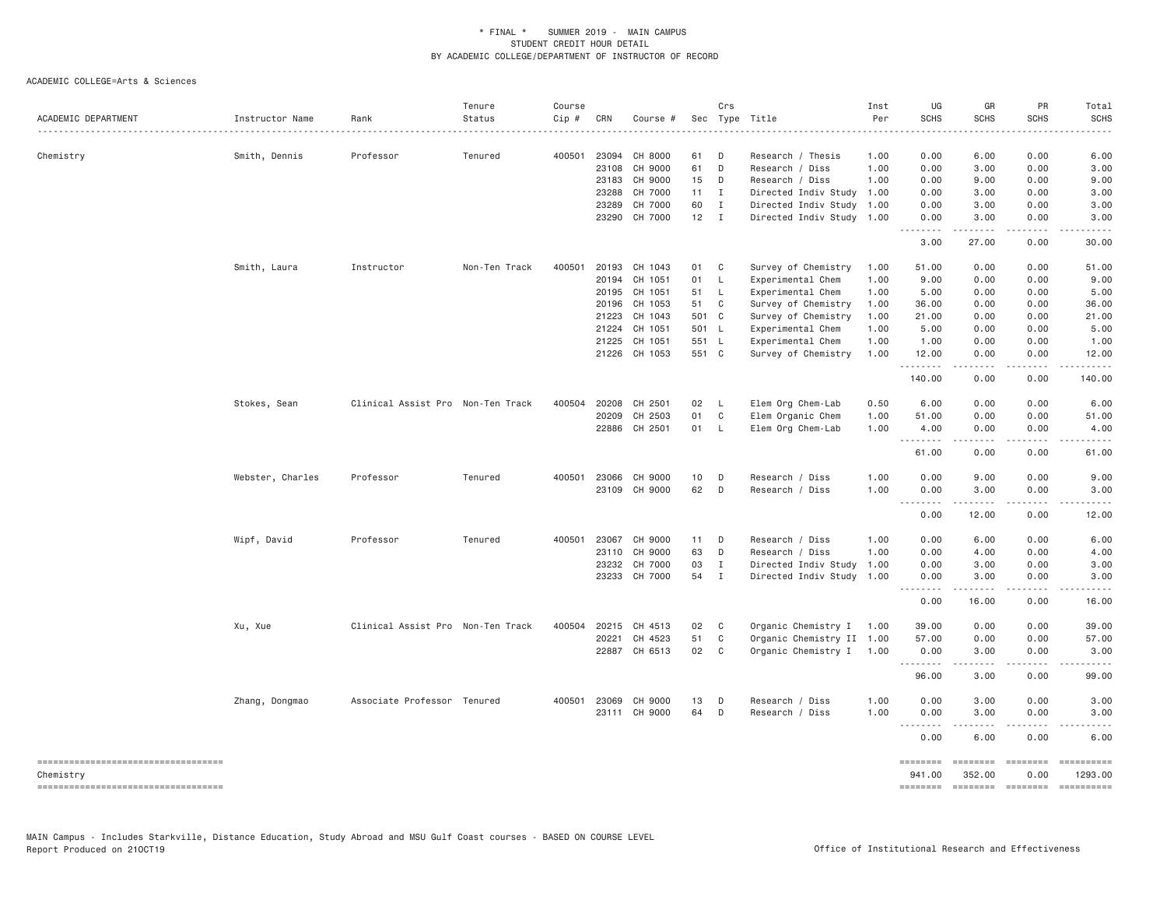| ACADEMIC DEPARTMENT                             | Instructor Name  | Rank                              | Tenure<br>Status | Course<br>Cip # | CRN   | Course #      |              | Crs          | Sec Type Title            | Inst<br>Per<br>. | UG<br><b>SCHS</b><br>. | GR<br><b>SCHS</b>        | PR<br><b>SCHS</b>     | Total<br><b>SCHS</b>  |
|-------------------------------------------------|------------------|-----------------------------------|------------------|-----------------|-------|---------------|--------------|--------------|---------------------------|------------------|------------------------|--------------------------|-----------------------|-----------------------|
| Chemistry                                       | Smith, Dennis    | Professor                         | Tenured          | 400501          | 23094 | CH 8000       | 61           | D            | Research / Thesis         | 1.00             | 0.00                   | 6.00                     | 0.00                  | 6.00                  |
|                                                 |                  |                                   |                  |                 | 23108 | CH 9000       | 61           | D            | Research / Diss           | 1.00             | 0.00                   | 3.00                     | 0.00                  | 3.00                  |
|                                                 |                  |                                   |                  |                 | 23183 | CH 9000       | 15           | D            | Research / Diss           | 1.00             | 0.00                   | 9.00                     | 0.00                  | 9.00                  |
|                                                 |                  |                                   |                  |                 | 23288 | CH 7000       | 11           | $\mathbf{I}$ | Directed Indiv Study      | 1.00             | 0.00                   | 3.00                     | 0.00                  | 3.00                  |
|                                                 |                  |                                   |                  |                 | 23289 | CH 7000       | 60           | I            | Directed Indiv Study 1.00 |                  | 0.00                   | 3.00                     | 0.00                  | 3.00                  |
|                                                 |                  |                                   |                  |                 | 23290 | CH 7000       | $12 \quad I$ |              | Directed Indiv Study 1.00 |                  | 0.00<br>.              | 3.00<br>. <u>.</u>       | 0.00<br>.             | 3.00                  |
|                                                 |                  |                                   |                  |                 |       |               |              |              |                           |                  | 3.00                   | 27.00                    | 0.00                  | 30.00                 |
|                                                 | Smith, Laura     | Instructor                        | Non-Ten Track    | 400501          | 20193 | CH 1043       | 01           | C            | Survey of Chemistry       | 1.00             | 51.00                  | 0.00                     | 0.00                  | 51.00                 |
|                                                 |                  |                                   |                  |                 | 20194 | CH 1051       | 01           | $\mathsf{L}$ | Experimental Chem         | 1.00             | 9.00                   | 0.00                     | 0.00                  | 9.00                  |
|                                                 |                  |                                   |                  |                 | 20195 | CH 1051       | 51           | L            | Experimental Chem         | 1.00             | 5.00                   | 0.00                     | 0.00                  | 5.00                  |
|                                                 |                  |                                   |                  |                 | 20196 | CH 1053       | 51           | C            | Survey of Chemistry       | 1.00             | 36.00                  | 0.00                     | 0.00                  | 36.00                 |
|                                                 |                  |                                   |                  |                 | 21223 | CH 1043       | 501 C        |              | Survey of Chemistry       | 1.00             | 21.00                  | 0.00                     | 0.00                  | 21.00                 |
|                                                 |                  |                                   |                  |                 | 21224 | CH 1051       | 501 L        |              | Experimental Chem         | 1.00             | 5.00                   | 0.00                     | 0.00                  | 5.00                  |
|                                                 |                  |                                   |                  |                 | 21225 | CH 1051       | 551 L        |              | Experimental Chem         | 1.00             | 1.00                   | 0.00                     | 0.00                  | 1.00                  |
|                                                 |                  |                                   |                  |                 |       | 21226 CH 1053 | 551 C        |              | Survey of Chemistry       | 1.00             | 12.00<br>.             | 0.00<br>-----            | 0.00<br>.             | 12.00<br>.            |
|                                                 |                  |                                   |                  |                 |       |               |              |              |                           |                  | 140.00                 | 0.00                     | 0.00                  | 140.00                |
|                                                 | Stokes, Sean     | Clinical Assist Pro Non-Ten Track |                  | 400504          | 20208 | CH 2501       | 02           | $\mathsf{L}$ | Elem Org Chem-Lab         | 0.50             | 6.00                   | 0.00                     | 0.00                  | 6.00                  |
|                                                 |                  |                                   |                  |                 | 20209 | CH 2503       | 01           | C            | Elem Organic Chem         | 1.00             | 51.00                  | 0.00                     | 0.00                  | 51.00                 |
|                                                 |                  |                                   |                  |                 | 22886 | CH 2501       | 01           | - L          | Elem Org Chem-Lab         | 1.00             | 4.00                   | 0.00                     | 0.00                  | 4.00                  |
|                                                 |                  |                                   |                  |                 |       |               |              |              |                           |                  | -----<br>61.00         | 0.00                     | .<br>0.00             | 61.00                 |
|                                                 | Webster, Charles | Professor                         | Tenured          | 400501          | 23066 | CH 9000       | 10           | D            | Research / Diss           | 1.00             | 0.00                   | 9.00                     | 0.00                  | 9.00                  |
|                                                 |                  |                                   |                  |                 | 23109 | CH 9000       | 62           | D            | Research / Diss           | 1.00             | 0.00                   | 3.00                     | 0.00                  | 3.00                  |
|                                                 |                  |                                   |                  |                 |       |               |              |              |                           |                  | $  -$                  |                          |                       |                       |
|                                                 |                  |                                   |                  |                 |       |               |              |              |                           |                  | 0.00                   | 12.00                    | 0.00                  | 12.00                 |
|                                                 | Wipf, David      | Professor                         | Tenured          | 400501          | 23067 | CH 9000       | 11           | D            | Research / Diss           | 1.00             | 0.00                   | 6.00                     | 0.00                  | 6.00                  |
|                                                 |                  |                                   |                  |                 | 23110 | CH 9000       | 63           | D            | Research / Diss           | 1.00             | 0.00                   | 4.00                     | 0.00                  | 4.00                  |
|                                                 |                  |                                   |                  |                 | 23232 | CH 7000       | 03           | $\mathbf{I}$ | Directed Indiv Study      | 1.00             | 0.00                   | 3.00                     | 0.00                  | 3.00                  |
|                                                 |                  |                                   |                  |                 |       | 23233 CH 7000 | 54 I         |              | Directed Indiv Study 1.00 |                  | 0.00<br>.              | 3.00<br>.                | 0.00<br>.             | 3.00<br>.             |
|                                                 |                  |                                   |                  |                 |       |               |              |              |                           |                  | 0.00                   | 16.00                    | 0.00                  | 16.00                 |
|                                                 | Xu, Xue          | Clinical Assist Pro Non-Ten Track |                  | 400504          | 20215 | CH 4513       | 02           | $\mathbf{C}$ | Organic Chemistry I 1.00  |                  | 39.00                  | 0.00                     | 0.00                  | 39.00                 |
|                                                 |                  |                                   |                  |                 | 20221 | CH 4523       | 51           | $\mathbf{C}$ | Organic Chemistry II 1.00 |                  | 57.00                  | 0.00                     | 0.00                  | 57.00                 |
|                                                 |                  |                                   |                  |                 |       | 22887 CH 6513 | 02           | $\mathbf{C}$ | Organic Chemistry I 1.00  |                  | 0.00<br>.              | 3.00<br><b>.</b>         | 0.00<br>د د د د       | 3.00                  |
|                                                 |                  |                                   |                  |                 |       |               |              |              |                           |                  | 96.00                  | 3.00                     | 0.00                  | 99.00                 |
|                                                 | Zhang, Dongmao   | Associate Professor Tenured       |                  | 400501          | 23069 | CH 9000       | 13           | D            | Research / Diss           | 1.00             | 0.00                   | 3.00                     | 0.00                  | 3.00                  |
|                                                 |                  |                                   |                  |                 |       | 23111 CH 9000 | 64           | D            | Research / Diss           | 1.00             | 0.00<br>.              | 3.00<br>.                | 0.00<br>.             | 3.00                  |
|                                                 |                  |                                   |                  |                 |       |               |              |              |                           |                  | 0.00                   | 6.00                     | 0.00                  | 6.00                  |
| ----------------------------------<br>Chemistry |                  |                                   |                  |                 |       |               |              |              |                           |                  | ========<br>941.00     | <b>EDEDEED</b><br>352.00 | $= 222222222$<br>0.00 | ==========<br>1293.00 |
| ====================================            |                  |                                   |                  |                 |       |               |              |              |                           |                  |                        |                          |                       |                       |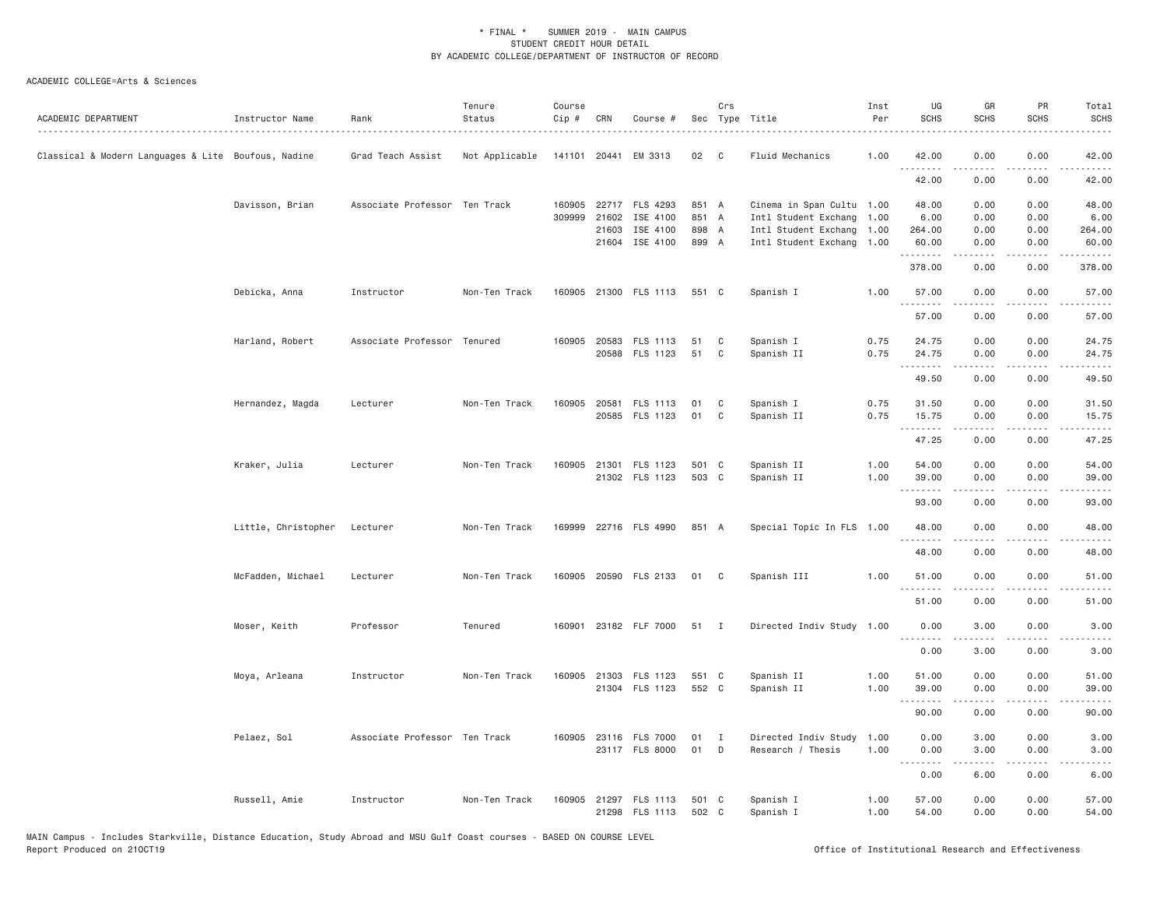| ACADEMIC DEPARTMENT                                 | Instructor Name              | Rank                          | Tenure<br>Status | Course<br>Cip # | CRN   | Course #                                |                | Crs               | Sec Type Title                                    | Inst<br>Per  | UG<br><b>SCHS</b> | GR<br><b>SCHS</b>   | PR<br><b>SCHS</b>                   | Total<br><b>SCHS</b> |
|-----------------------------------------------------|------------------------------|-------------------------------|------------------|-----------------|-------|-----------------------------------------|----------------|-------------------|---------------------------------------------------|--------------|-------------------|---------------------|-------------------------------------|----------------------|
| Classical & Modern Languages & Lite Boufous, Nadine |                              | Grad Teach Assist             | Not Applicable   |                 |       | 141101 20441 EM 3313                    | 02             | $\mathbf{C}$      | Fluid Mechanics                                   | 1.00         | 42.00             | 0.00                | 0.00                                | 42.00                |
|                                                     |                              |                               |                  |                 |       |                                         |                |                   |                                                   |              | 42.00             | 0.00                | 0.00                                | 42.00                |
|                                                     | Davisson, Brian              | Associate Professor Ten Track |                  | 309999          | 21602 | 160905 22717 FLS 4293<br>ISE 4100       | 851 A<br>851 A |                   | Cinema in Span Cultu 1.00<br>Intl Student Exchang | 1.00         | 48.00<br>6.00     | 0.00<br>0.00        | 0.00<br>0.00                        | 48.00<br>6.00        |
|                                                     |                              |                               |                  |                 | 21603 | ISE 4100<br>21604 ISE 4100              | 898 A<br>899 A |                   | Intl Student Exchang<br>Intl Student Exchang 1.00 | 1.00         | 264.00<br>60.00   | 0.00<br>0.00        | 0.00<br>0.00                        | 264.00<br>60.00      |
|                                                     |                              |                               |                  |                 |       |                                         |                |                   |                                                   |              | .<br>378.00       | $- - - - -$<br>0.00 | .<br>0.00                           | .<br>378.00          |
|                                                     | Debicka, Anna                | Instructor                    | Non-Ten Track    |                 |       | 160905 21300 FLS 1113                   | 551 C          |                   | Spanish I                                         | 1.00         | 57.00<br>.        | 0.00                | 0.00                                | 57.00                |
|                                                     |                              |                               |                  |                 |       |                                         |                |                   |                                                   |              | 57.00             | 0.00                | 0.00                                | 57.00                |
|                                                     | Harland, Robert              | Associate Professor Tenured   |                  |                 |       | 160905 20583 FLS 1113<br>20588 FLS 1123 | 51<br>51       | C<br>C            | Spanish I<br>Spanish II                           | 0.75<br>0.75 | 24.75<br>24.75    | 0.00<br>0.00        | 0.00<br>0.00                        | 24.75<br>24.75       |
|                                                     |                              |                               |                  |                 |       |                                         |                |                   |                                                   |              | .<br>49.50        | .<br>0.00           | .<br>0.00                           | .<br>49.50           |
|                                                     | Hernandez, Magda             | Lecturer                      | Non-Ten Track    |                 |       | 160905 20581 FLS 1113<br>20585 FLS 1123 | 01<br>01       | C<br>C            | Spanish I<br>Spanish II                           | 0.75<br>0.75 | 31.50<br>15.75    | 0.00<br>0.00        | 0.00<br>0.00                        | 31.50<br>15.75       |
|                                                     |                              |                               |                  |                 |       |                                         |                |                   |                                                   |              | .<br>47.25        | <u>.</u><br>0.00    | 0.00                                | .<br>47.25           |
|                                                     | Kraker, Julia                | Lecturer                      | Non-Ten Track    |                 |       | 160905 21301 FLS 1123<br>21302 FLS 1123 | 501 C<br>503 C |                   | Spanish II<br>Spanish II                          | 1.00<br>1.00 | 54.00<br>39.00    | 0.00<br>0.00        | 0.00<br>0.00                        | 54.00<br>39.00       |
|                                                     |                              |                               |                  |                 |       |                                         |                |                   |                                                   |              | .<br>93.00        | 0.00                | $\sim$ $\sim$ $\sim$ $\sim$<br>0.00 | 93.00                |
|                                                     | Little, Christopher Lecturer |                               | Non-Ten Track    |                 |       | 169999 22716 FLS 4990                   | 851 A          |                   | Special Topic In FLS 1.00                         |              | 48.00<br>.        | 0.00<br>$- - - - -$ | 0.00<br>.                           | 48.00<br>.           |
|                                                     |                              |                               |                  |                 |       |                                         |                |                   |                                                   |              | 48.00             | 0.00                | 0.00                                | 48.00                |
|                                                     | McFadden, Michael            | Lecturer                      | Non-Ten Track    |                 |       | 160905 20590 FLS 2133                   | 01             | C                 | Spanish III                                       | 1.00         | 51.00<br>.        | 0.00<br>-----       | 0.00<br>$\sim$ $\sim$ $\sim$        | 51.00<br>.           |
|                                                     |                              |                               |                  |                 |       |                                         |                |                   |                                                   |              | 51.00             | 0.00                | 0.00                                | 51.00                |
|                                                     | Moser, Keith                 | Professor                     | Tenured          |                 |       | 160901 23182 FLF 7000                   | 51 I           |                   | Directed Indiv Study 1.00                         |              | 0.00<br>.         | 3.00<br>$- - - - -$ | 0.00<br>$\frac{1}{2}$               | 3.00<br>.            |
|                                                     |                              |                               |                  |                 |       |                                         |                |                   |                                                   |              | 0.00              | 3.00                | 0.00                                | 3.00                 |
|                                                     | Moya, Arleana                | Instructor                    | Non-Ten Track    | 160905          |       | 21303 FLS 1123<br>21304 FLS 1123        | 551 C<br>552 C |                   | Spanish II<br>Spanish II                          | 1.00<br>1.00 | 51.00<br>39.00    | 0.00<br>0.00        | 0.00<br>0.00                        | 51.00<br>39.00       |
|                                                     |                              |                               |                  |                 |       |                                         |                |                   |                                                   |              | .<br>90.00        | -----<br>0.00       | $\sim$ $\sim$ $\sim$ $\sim$<br>0.00 | .<br>90.00           |
|                                                     | Pelaez, Sol                  | Associate Professor Ten Track |                  |                 |       | 160905 23116 FLS 7000<br>23117 FLS 8000 | 01<br>01       | $\mathbf{I}$<br>D | Directed Indiv Study<br>Research / Thesis         | 1.00<br>1.00 | 0.00<br>0.00      | 3.00<br>3.00        | 0.00<br>0.00                        | 3.00<br>3.00         |
|                                                     |                              |                               |                  |                 |       |                                         |                |                   |                                                   |              | .<br>0.00         | .<br>6.00           | .<br>0.00                           | 6.00                 |
|                                                     | Russell, Amie                | Instructor                    | Non-Ten Track    |                 |       | 160905 21297 FLS 1113<br>21298 FLS 1113 | 501 C<br>502 C |                   | Spanish I<br>Spanish I                            | 1.00<br>1.00 | 57.00<br>54.00    | 0.00<br>0.00        | 0.00<br>0.00                        | 57.00<br>54.00       |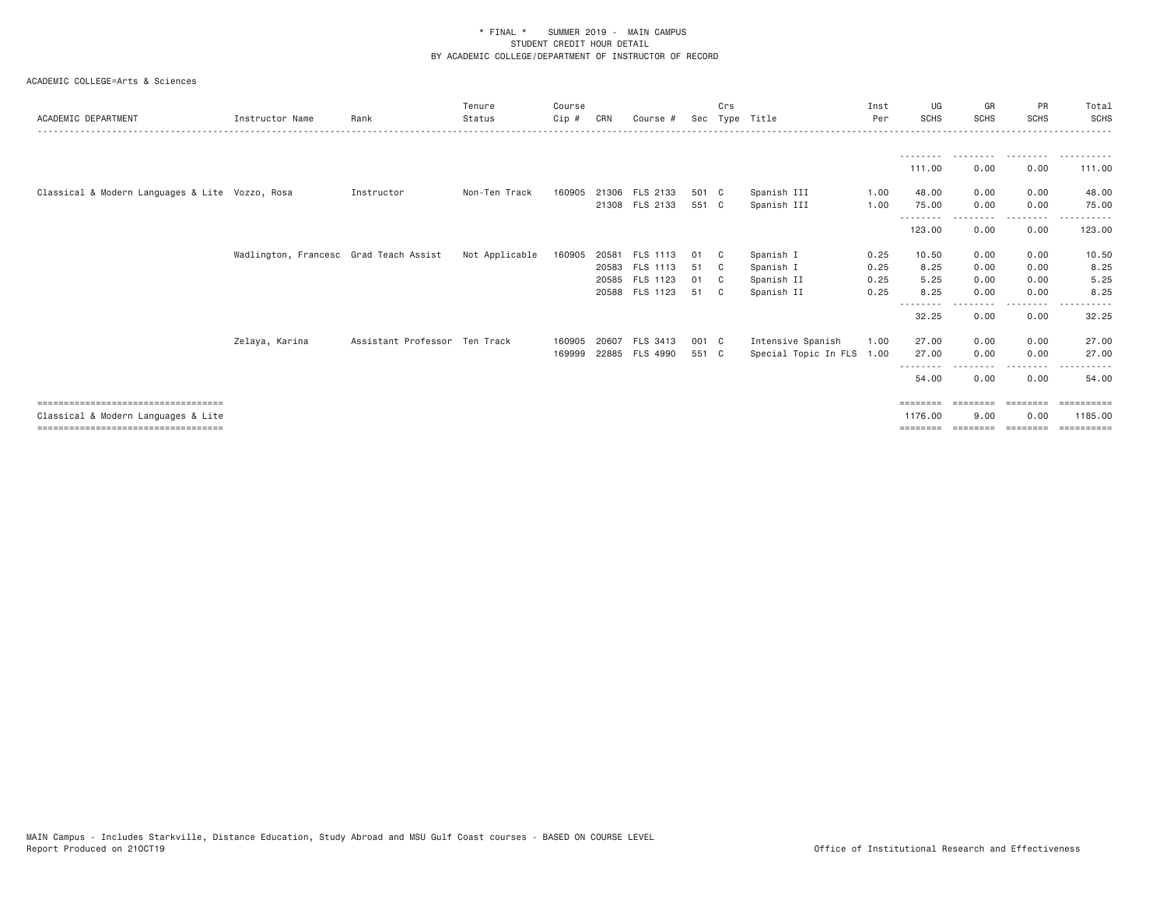| ACADEMIC DEPARTMENT                             | Instructor Name                        | Rank                          | Tenure<br>Status | Course<br>Cip# | CRN   | Course #       |       | Crs          | Sec Type Title            | Inst<br>Per | UG<br><b>SCHS</b> | GR<br><b>SCHS</b> | PR<br><b>SCHS</b> | Total<br>SCHS    |
|-------------------------------------------------|----------------------------------------|-------------------------------|------------------|----------------|-------|----------------|-------|--------------|---------------------------|-------------|-------------------|-------------------|-------------------|------------------|
|                                                 |                                        |                               |                  |                |       |                |       |              |                           |             | --------          | .                 | .                 | . <u>.</u> .     |
|                                                 |                                        |                               |                  |                |       |                |       |              |                           |             | 111.00            | 0.00              | 0.00              | 111.00           |
| Classical & Modern Languages & Lite Vozzo, Rosa |                                        | Instructor                    | Non-Ten Track    | 160905         |       | 21306 FLS 2133 | 501 C |              | Spanish III               | 1,00        | 48.00             | 0.00              | 0.00              | 48.00            |
|                                                 |                                        |                               |                  |                |       | 21308 FLS 2133 | 551 C |              | Spanish III               | 1.00        | 75.00             | 0.00              | 0.00              | 75.00            |
|                                                 |                                        |                               |                  |                |       |                |       |              |                           |             | 123.00            | 0.00              | --------<br>0.00  | ------<br>123.00 |
|                                                 | Wadlington, Francesc Grad Teach Assist |                               | Not Applicable   | 160905         |       | 20581 FLS 1113 | 01    | $\mathbf{C}$ | Spanish I                 | 0.25        | 10.50             | 0.00              | 0.00              | 10.50            |
|                                                 |                                        |                               |                  |                |       | 20583 FLS 1113 | 51 C  |              | Spanish I                 | 0.25        | 8.25              | 0.00              | 0.00              | 8.25             |
|                                                 |                                        |                               |                  |                |       | 20585 FLS 1123 | 01    | $\mathbb{C}$ | Spanish II                | 0.25        | 5.25              | 0.00              | 0.00              | 5.25             |
|                                                 |                                        |                               |                  |                |       | 20588 FLS 1123 | 51 C  |              | Spanish II                | 0.25        | 8.25              | 0.00              | 0.00              | 8.25             |
|                                                 |                                        |                               |                  |                |       |                |       |              |                           |             | --------<br>32.25 | 0.00              | ----<br>0.00      | 32.25            |
|                                                 | Zelaya, Karina                         | Assistant Professor Ten Track |                  | 160905         | 20607 | FLS 3413       | 001 C |              | Intensive Spanish         | 1.00        | 27.00             | 0.00              | 0.00              | 27.00            |
|                                                 |                                        |                               |                  | 169999         |       | 22885 FLS 4990 | 551 C |              | Special Topic In FLS 1.00 |             | 27.00             | 0.00              | 0.00              | 27.00            |
|                                                 |                                        |                               |                  |                |       |                |       |              |                           |             | 54.00             | 0.00              | 0.00              | 54.00            |
| ======================================          |                                        |                               |                  |                |       |                |       |              |                           |             | ========          |                   | ========          |                  |
| Classical & Modern Languages & Lite             |                                        |                               |                  |                |       |                |       |              |                           |             | 1176.00           | 9,00              | 0.00              | 1185,00          |
| ====================================            |                                        |                               |                  |                |       |                |       |              |                           |             | ========          |                   | ========          | eessesses        |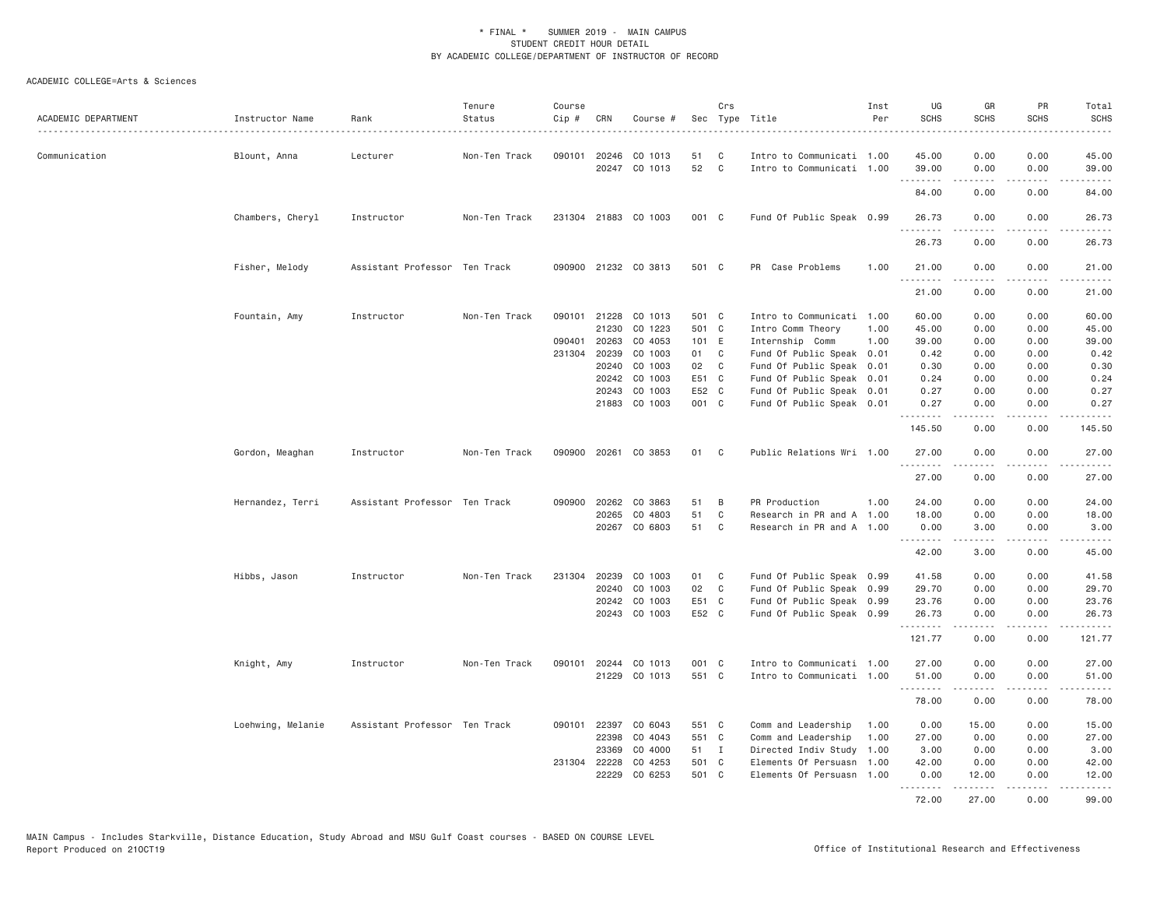| ACADEMIC DEPARTMENT | Instructor Name   | Rank                          | Tenure<br>Status | Course<br>Cip # | CRN          | Course #             |       | Crs          | Sec Type Title<br>.       | Inst<br>Per | UG<br><b>SCHS</b> | GR<br><b>SCHS</b> | PR<br><b>SCHS</b>            | Total<br><b>SCHS</b><br>$\frac{1}{2} \left( \frac{1}{2} \right) \left( \frac{1}{2} \right) \left( \frac{1}{2} \right) \left( \frac{1}{2} \right) \left( \frac{1}{2} \right) \left( \frac{1}{2} \right)$ |
|---------------------|-------------------|-------------------------------|------------------|-----------------|--------------|----------------------|-------|--------------|---------------------------|-------------|-------------------|-------------------|------------------------------|---------------------------------------------------------------------------------------------------------------------------------------------------------------------------------------------------------|
| Communication       | Blount, Anna      | Lecturer                      | Non-Ten Track    | 090101          | 20246        | CO 1013              | 51    | C            | Intro to Communicati 1.00 |             | 45.00             | 0.00              | 0.00                         | 45.00                                                                                                                                                                                                   |
|                     |                   |                               |                  |                 |              | 20247 CO 1013        | 52    | C            | Intro to Communicati 1.00 |             | 39.00<br>-------- | 0.00<br>-----     | 0.00<br>-----                | 39.00<br>.                                                                                                                                                                                              |
|                     |                   |                               |                  |                 |              |                      |       |              |                           |             | 84.00             | 0.00              | 0.00                         | 84.00                                                                                                                                                                                                   |
|                     | Chambers, Cheryl  | Instructor                    | Non-Ten Track    |                 | 231304 21883 | CO 1003              | 001 C |              | Fund Of Public Speak 0.99 |             | 26.73<br>.        | 0.00<br>.         | 0.00<br>.                    | 26.73<br>.                                                                                                                                                                                              |
|                     |                   |                               |                  |                 |              |                      |       |              |                           |             | 26.73             | 0.00              | 0.00                         | 26.73                                                                                                                                                                                                   |
|                     | Fisher, Melody    | Assistant Professor Ten Track |                  |                 |              | 090900 21232 CO 3813 | 501 C |              | PR Case Problems          | 1.00        | 21.00             | 0.00              | 0.00                         | 21.00<br>.                                                                                                                                                                                              |
|                     |                   |                               |                  |                 |              |                      |       |              |                           |             | 21.00             | 0.00              | 0.00                         | 21.00                                                                                                                                                                                                   |
|                     | Fountain, Amy     | Instructor                    | Non-Ten Track    |                 | 090101 21228 | CO 1013              | 501 C |              | Intro to Communicati 1.00 |             | 60.00             | 0.00              | 0.00                         | 60.00                                                                                                                                                                                                   |
|                     |                   |                               |                  |                 | 21230        | CO 1223              | 501 C |              | Intro Comm Theory         | 1.00        | 45.00             | 0.00              | 0.00                         | 45.00                                                                                                                                                                                                   |
|                     |                   |                               |                  | 090401          | 20263        | CO 4053              | 101 E |              | Internship Comm           | 1.00        | 39.00             | 0.00              | 0.00                         | 39.00                                                                                                                                                                                                   |
|                     |                   |                               |                  |                 | 231304 20239 | CO 1003              | 01    | C            | Fund Of Public Speak 0.01 |             | 0.42              | 0.00              | 0.00                         | 0.42                                                                                                                                                                                                    |
|                     |                   |                               |                  |                 | 20240        | CO 1003              | 02 C  |              | Fund Of Public Speak      | 0.01        | 0.30              | 0.00              | 0.00                         | 0.30                                                                                                                                                                                                    |
|                     |                   |                               |                  |                 | 20242        | CO 1003              | E51 C |              | Fund Of Public Speak      | 0.01        | 0.24              | 0.00              | 0.00                         | 0.24                                                                                                                                                                                                    |
|                     |                   |                               |                  |                 | 20243        | CO 1003              | E52 C |              | Fund Of Public Speak 0.01 |             | 0.27              | 0.00              | 0.00                         | 0.27                                                                                                                                                                                                    |
|                     |                   |                               |                  |                 |              | 21883 CO 1003        | 001 C |              | Fund Of Public Speak 0.01 |             | 0.27<br><u>.</u>  | 0.00<br>.         | 0.00<br>.                    | 0.27<br>.                                                                                                                                                                                               |
|                     |                   |                               |                  |                 |              |                      |       |              |                           |             | 145.50            | 0.00              | 0.00                         | 145.50                                                                                                                                                                                                  |
|                     | Gordon, Meaghan   | Instructor                    | Non-Ten Track    |                 |              | 090900 20261 CO 3853 | 01    | C            | Public Relations Wri 1.00 |             | 27.00<br>.        | 0.00              | 0.00<br>.                    | 27.00<br>.                                                                                                                                                                                              |
|                     |                   |                               |                  |                 |              |                      |       |              |                           |             | 27.00             | 0.00              | 0.00                         | 27.00                                                                                                                                                                                                   |
|                     | Hernandez, Terri  | Assistant Professor Ten Track |                  | 090900          | 20262        | CO 3863              | 51    | B            | PR Production             | 1.00        | 24.00             | 0.00              | 0.00                         | 24.00                                                                                                                                                                                                   |
|                     |                   |                               |                  |                 | 20265        | CO 4803              | 51    | C            | Research in PR and A 1.00 |             | 18.00             | 0.00              | 0.00                         | 18.00                                                                                                                                                                                                   |
|                     |                   |                               |                  |                 |              | 20267 CO 6803        | 51    | C            | Research in PR and A 1.00 |             | 0.00<br>.         | 3.00<br>.         | 0.00<br>.                    | 3.00<br>.                                                                                                                                                                                               |
|                     |                   |                               |                  |                 |              |                      |       |              |                           |             | 42.00             | 3.00              | 0.00                         | 45.00                                                                                                                                                                                                   |
|                     | Hibbs, Jason      | Instructor                    | Non-Ten Track    | 231304          | 20239        | CO 1003              | 01    | C            | Fund Of Public Speak 0.99 |             | 41.58             | 0.00              | 0.00                         | 41.58                                                                                                                                                                                                   |
|                     |                   |                               |                  |                 | 20240        | CO 1003              | 02    | $\mathbf{C}$ | Fund Of Public Speak 0.99 |             | 29.70             | 0.00              | 0.00                         | 29.70                                                                                                                                                                                                   |
|                     |                   |                               |                  |                 | 20242        | CO 1003              | E51 C |              | Fund Of Public Speak 0.99 |             | 23.76             | 0.00              | 0.00                         | 23.76                                                                                                                                                                                                   |
|                     |                   |                               |                  |                 | 20243        | CO 1003              | E52 C |              | Fund Of Public Speak 0.99 |             | 26.73<br>.        | 0.00<br>.         | 0.00<br>.                    | 26.73<br>.                                                                                                                                                                                              |
|                     |                   |                               |                  |                 |              |                      |       |              |                           |             | 121.77            | 0.00              | 0.00                         | 121.77                                                                                                                                                                                                  |
|                     | Knight, Amy       | Instructor                    | Non-Ten Track    | 090101          |              | 20244 CO 1013        | 001 C |              | Intro to Communicati 1.00 |             | 27.00             | 0.00              | 0.00                         | 27.00                                                                                                                                                                                                   |
|                     |                   |                               |                  |                 |              | 21229 CO 1013        | 551 C |              | Intro to Communicati 1.00 |             | 51.00<br>.        | 0.00              | 0.00<br>$\sim$ $\sim$ $\sim$ | 51.00<br>د د د د د                                                                                                                                                                                      |
|                     |                   |                               |                  |                 |              |                      |       |              |                           |             | 78.00             | 0.00              | 0.00                         | 78.00                                                                                                                                                                                                   |
|                     | Loehwing, Melanie | Assistant Professor Ten Track |                  |                 | 090101 22397 | CO 6043              | 551 C |              | Comm and Leadership       | 1.00        | 0.00              | 15.00             | 0.00                         | 15.00                                                                                                                                                                                                   |
|                     |                   |                               |                  |                 | 22398        | CO 4043              | 551 C |              | Comm and Leadership       | 1.00        | 27.00             | 0.00              | 0.00                         | 27.00                                                                                                                                                                                                   |
|                     |                   |                               |                  |                 | 23369        | CO 4000              | 51 I  |              | Directed Indiv Study      | 1.00        | 3.00              | 0.00              | 0.00                         | 3.00                                                                                                                                                                                                    |
|                     |                   |                               |                  |                 | 231304 22228 | CO 4253              | 501 C |              | Elements Of Persuasn      | 1.00        | 42.00             | 0.00              | 0.00                         | 42.00                                                                                                                                                                                                   |
|                     |                   |                               |                  |                 | 22229        | CO 6253              | 501 C |              | Elements Of Persuasn      | 1.00        | 0.00<br>.         | 12.00<br>.        | 0.00<br>.                    | 12.00<br>.                                                                                                                                                                                              |
|                     |                   |                               |                  |                 |              |                      |       |              |                           |             | 72.00             | 27.00             | 0.00                         | 99.00                                                                                                                                                                                                   |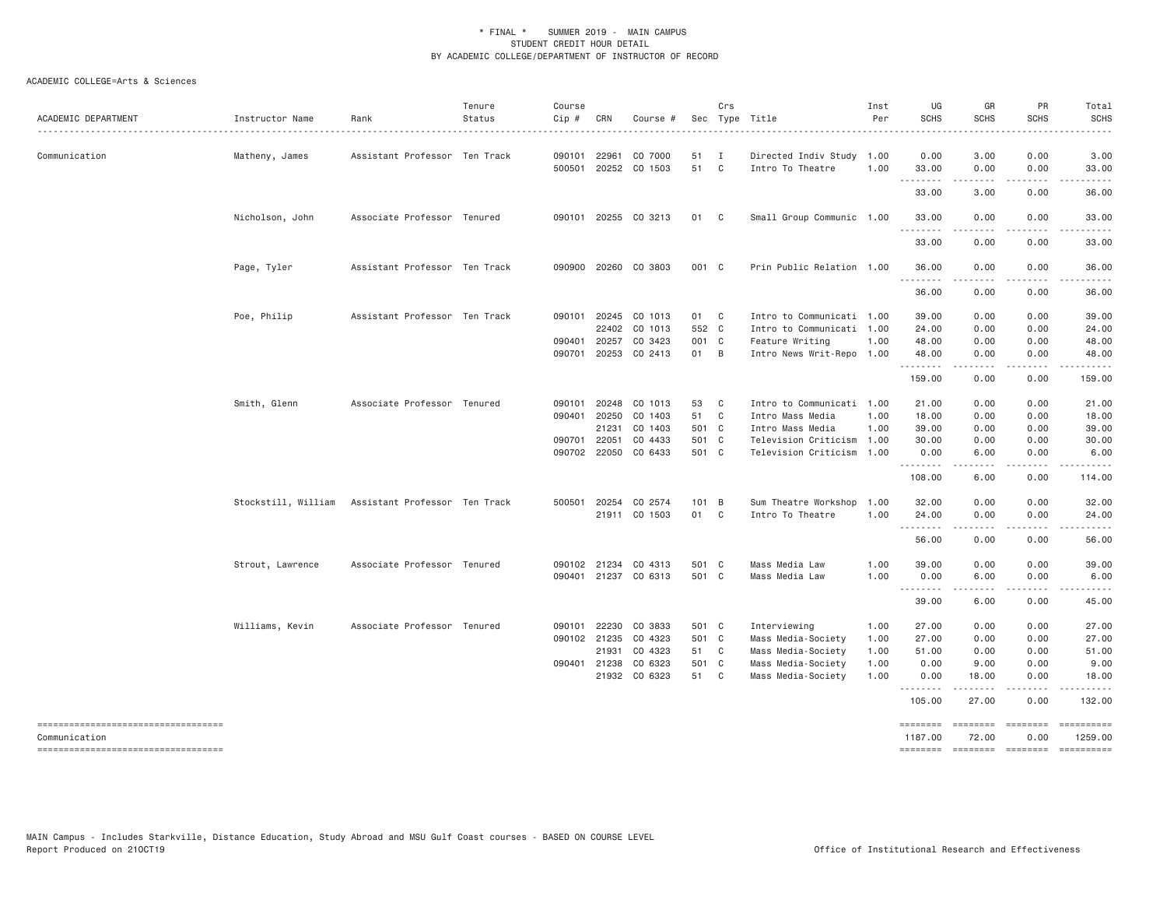| ACADEMIC DEPARTMENT                                     | Instructor Name  | Rank                                              | Tenure<br>Status<br>. | Course<br>Cip #              | CRN                   | Course #                 |                | Crs                          | Sec Type Title                                         | Inst<br>Per  | UG<br><b>SCHS</b>          | GR<br><b>SCHS</b><br>.  | PR<br><b>SCHS</b>           | Total<br><b>SCHS</b><br>. |
|---------------------------------------------------------|------------------|---------------------------------------------------|-----------------------|------------------------------|-----------------------|--------------------------|----------------|------------------------------|--------------------------------------------------------|--------------|----------------------------|-------------------------|-----------------------------|---------------------------|
| Communication                                           | Matheny, James   | Assistant Professor Ten Track                     |                       | 090101<br>500501             | 22961                 | CO 7000<br>20252 CO 1503 | 51<br>51       | $\mathbf{I}$<br>$\mathbf{C}$ | Directed Indiv Study 1.00<br>Intro To Theatre          | 1.00         | 0.00<br>33.00              | 3.00<br>0.00            | 0.00<br>0.00                | 3.00<br>33.00             |
|                                                         |                  |                                                   |                       |                              |                       |                          |                |                              |                                                        |              | .<br>33.00                 | 3.00                    | 0.00                        | 36.00                     |
|                                                         | Nicholson, John  | Associate Professor Tenured                       |                       |                              |                       | 090101 20255 CO 3213     | 01 C           |                              | Small Group Communic 1.00                              |              | 33.00                      | 0.00                    | 0.00                        | 33.00                     |
|                                                         |                  |                                                   |                       |                              |                       |                          |                |                              |                                                        |              | 33.00                      | 0.00                    | 0.00                        | 33.00                     |
|                                                         | Page, Tyler      | Assistant Professor Ten Track                     |                       |                              |                       | 090900 20260 CO 3803     | 001 C          |                              | Prin Public Relation 1.00                              |              | 36.00<br>.                 | 0.00<br>.               | 0.00<br>.                   | 36.00<br>.                |
|                                                         |                  |                                                   |                       |                              |                       |                          |                |                              |                                                        |              | 36.00                      | 0.00                    | 0.00                        | 36.00                     |
|                                                         | Poe, Philip      | Assistant Professor Ten Track                     |                       |                              | 090101 20245<br>22402 | CO 1013<br>CO 1013       | 01 C<br>552 C  |                              | Intro to Communicati 1.00<br>Intro to Communicati 1.00 |              | 39.00<br>24.00             | 0.00<br>0.00            | 0.00<br>0.00                | 39.00<br>24.00            |
|                                                         |                  |                                                   |                       | 090401                       | 20257                 | CO 3423                  | 001 C          |                              | Feature Writing                                        | 1.00         | 48.00                      | 0.00                    | 0.00                        | 48.00                     |
|                                                         |                  |                                                   |                       | 090701                       |                       | 20253 CO 2413            | 01 B           |                              | Intro News Writ-Repo 1.00                              |              | 48.00<br>.                 | 0.00<br>.               | 0.00<br>.                   | 48.00                     |
|                                                         |                  |                                                   |                       |                              |                       |                          |                |                              |                                                        |              | 159.00                     | 0.00                    | 0.00                        | 159.00                    |
|                                                         | Smith, Glenn     | Associate Professor Tenured                       |                       | 090101                       | 20248                 | CO 1013                  | 53             | $\mathbf{C}$                 | Intro to Communicati 1.00                              |              | 21.00                      | 0.00                    | 0.00                        | 21.00                     |
|                                                         |                  |                                                   |                       | 090401                       | 20250                 | CO 1403                  | 51             | $\mathbf{C}$                 | Intro Mass Media                                       | 1.00         | 18.00                      | 0.00                    | 0.00                        | 18.00                     |
|                                                         |                  |                                                   |                       |                              | 21231                 | CO 1403                  | 501 C          |                              | Intro Mass Media                                       | 1.00         | 39.00                      | 0.00                    | 0.00                        | 39.00                     |
|                                                         |                  |                                                   |                       | 090701 22051<br>090702 22050 |                       | CO 4433<br>CO 6433       | 501 C<br>501 C |                              | Television Criticism 1.00<br>Television Criticism 1.00 |              | 30.00<br>0.00              | 0.00<br>6.00            | 0.00<br>0.00                | 30.00<br>6.00             |
|                                                         |                  |                                                   |                       |                              |                       |                          |                |                              |                                                        |              | .<br>108.00                | -----<br>6.00           | .<br>0.00                   | 114.00                    |
|                                                         |                  | Stockstill, William Assistant Professor Ten Track |                       | 500501                       | 20254                 | CO 2574                  | 101 B          |                              | Sum Theatre Workshop                                   | 1.00         | 32.00                      | 0.00                    | 0.00                        | 32.00                     |
|                                                         |                  |                                                   |                       |                              |                       | 21911 CO 1503            | 01             | $\mathbf{C}$                 | Intro To Theatre                                       | 1.00         | 24.00<br>.                 | 0.00                    | 0.00<br>.                   | 24.00<br>.                |
|                                                         |                  |                                                   |                       |                              |                       |                          |                |                              |                                                        |              | 56.00                      | 0.00                    | 0.00                        | 56.00                     |
|                                                         | Strout, Lawrence | Associate Professor Tenured                       |                       |                              |                       | 090102 21234 CO 4313     | 501 C          |                              | Mass Media Law                                         | 1.00         | 39.00                      | 0.00                    | 0.00                        | 39.00                     |
|                                                         |                  |                                                   |                       |                              |                       | 090401 21237 CO 6313     | 501 C          |                              | Mass Media Law                                         | 1.00         | 0.00<br>.                  | 6.00<br>.               | 0.00<br>.                   | 6.00<br>.                 |
|                                                         |                  |                                                   |                       |                              |                       |                          |                |                              |                                                        |              | 39.00                      | 6.00                    | 0.00                        | 45.00                     |
|                                                         | Williams, Kevin  | Associate Professor Tenured                       |                       | 090101                       | 22230                 | CO 3833                  | 501 C          |                              | Interviewing                                           | 1.00         | 27.00                      | 0.00                    | 0.00                        | 27.00                     |
|                                                         |                  |                                                   |                       | 090102 21235                 |                       | CO 4323                  | 501 C          |                              | Mass Media-Society                                     | 1.00         | 27.00                      | 0.00                    | 0.00                        | 27.00                     |
|                                                         |                  |                                                   |                       |                              | 21931                 | CO 4323                  | 51 C           |                              | Mass Media-Society                                     | 1.00         | 51.00                      | 0.00                    | 0.00                        | 51.00                     |
|                                                         |                  |                                                   |                       | 090401 21238                 |                       | CO 6323<br>21932 CO 6323 | 501 C<br>51 C  |                              | Mass Media-Society<br>Mass Media-Society               | 1.00<br>1,00 | 0.00<br>0.00               | 9.00<br>18.00           | 0.00<br>0.00                | 9.00<br>18.00             |
|                                                         |                  |                                                   |                       |                              |                       |                          |                |                              |                                                        |              | .<br>105.00                | .<br>27.00              | 0.00                        | 132.00                    |
| ======================================<br>Communication |                  |                                                   |                       |                              |                       |                          |                |                              |                                                        |              | <b>SESSESSE</b><br>1187.00 | <b>ESSESSE</b><br>72.00 | <b>EEEEEEE</b><br>0.00      | ==========<br>1259.00     |
| ------------------------------------                    |                  |                                                   |                       |                              |                       |                          |                |                              |                                                        |              | ========                   |                         | ======== ======== ========= |                           |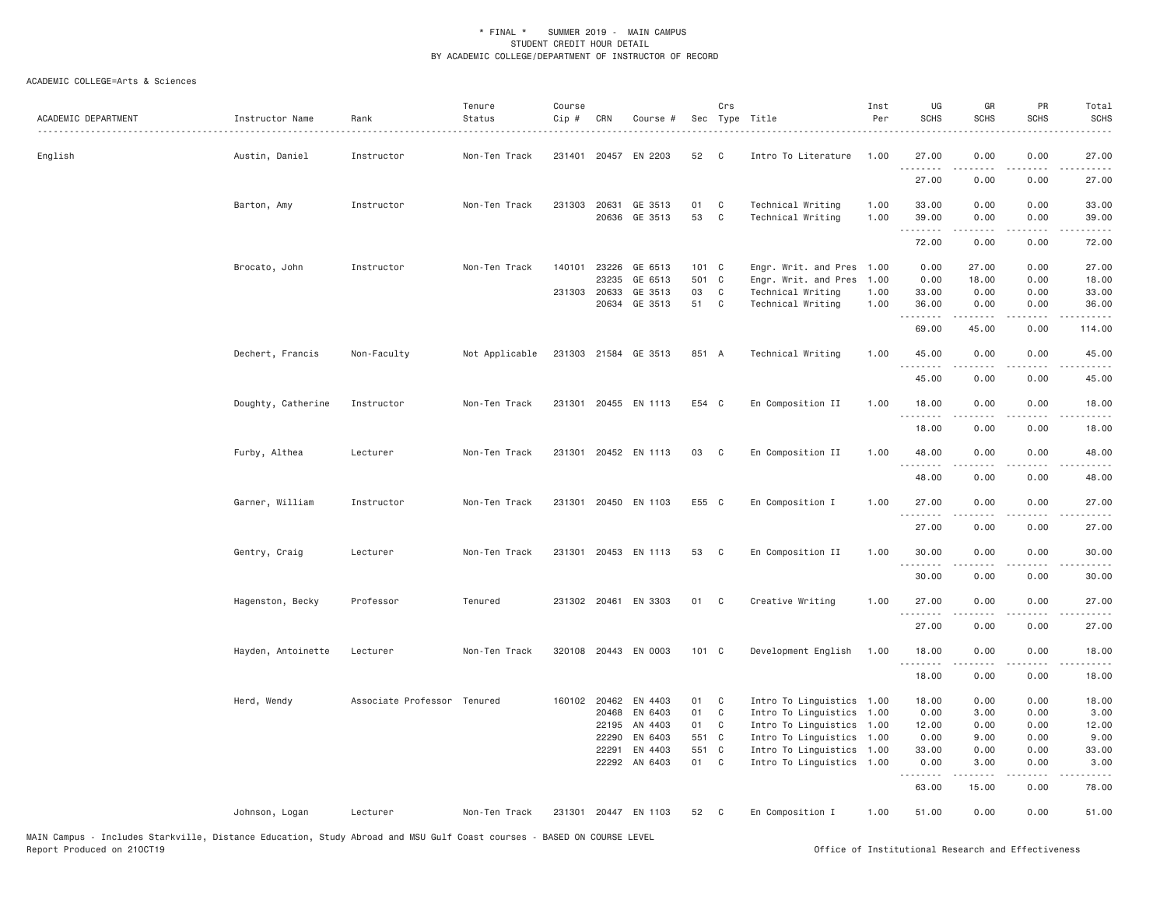| ACADEMIC DEPARTMENT | Instructor Name    | Rank                        | Tenure<br>Status | Course<br>Cip # | CRN                   | Course #             |             | Crs               | Sec Type Title                               | Inst<br>Per  | UG<br><b>SCHS</b> | GR<br><b>SCHS</b>                                                                                                                                             | PR<br><b>SCHS</b>     | Total<br><b>SCHS</b>   |
|---------------------|--------------------|-----------------------------|------------------|-----------------|-----------------------|----------------------|-------------|-------------------|----------------------------------------------|--------------|-------------------|---------------------------------------------------------------------------------------------------------------------------------------------------------------|-----------------------|------------------------|
| English             | Austin, Daniel     | Instructor                  | Non-Ten Track    |                 |                       | 231401 20457 EN 2203 | 52          | $\mathbf{C}$      | Intro To Literature                          | 1.00         | 27.00<br>.        | 0.00                                                                                                                                                          | 0.00                  | 27.00                  |
|                     |                    |                             |                  |                 |                       |                      |             |                   |                                              |              | 27.00             | 0.00                                                                                                                                                          | 0.00                  | 27.00                  |
|                     | Barton, Amy        | Instructor                  | Non-Ten Track    |                 | 231303 20631          | GE 3513              | 01          | C                 | Technical Writing                            | 1.00         | 33.00             | 0.00                                                                                                                                                          | 0.00                  | 33.00                  |
|                     |                    |                             |                  |                 | 20636                 | GE 3513              | 53          | C                 | Technical Writing                            | 1.00         | 39.00<br>.        | 0.00                                                                                                                                                          | 0.00                  | 39.00                  |
|                     |                    |                             |                  |                 |                       |                      |             |                   |                                              |              | 72.00             | 0.00                                                                                                                                                          | 0.00                  | 72.00                  |
|                     | Brocato, John      | Instructor                  | Non-Ten Track    |                 | 140101 23226          | GE 6513              | 101 C       |                   | Engr. Writ. and Pres                         | 1.00         | 0.00              | 27.00                                                                                                                                                         | 0.00                  | 27.00                  |
|                     |                    |                             |                  |                 | 23235                 | GE 6513              | 501 C<br>03 |                   | Engr. Writ. and Pres                         | 1.00         | 0.00              | 18.00                                                                                                                                                         | 0.00                  | 18.00                  |
|                     |                    |                             |                  |                 | 231303 20633<br>20634 | GE 3513<br>GE 3513   | 51          | C<br>$\mathbf{C}$ | Technical Writing<br>Technical Writing       | 1.00<br>1.00 | 33.00<br>36.00    | 0.00<br>0.00                                                                                                                                                  | 0.00<br>0.00          | 33.00<br>36.00         |
|                     |                    |                             |                  |                 |                       |                      |             |                   |                                              |              | .<br>69.00        | .<br>45.00                                                                                                                                                    | $\frac{1}{2}$<br>0.00 | .<br>114.00            |
|                     | Dechert, Francis   | Non-Faculty                 | Not Applicable   |                 |                       | 231303 21584 GE 3513 | 851 A       |                   | Technical Writing                            | 1.00         | 45.00             | 0.00                                                                                                                                                          | 0.00                  | 45.00                  |
|                     |                    |                             |                  |                 |                       |                      |             |                   |                                              |              | .<br>45.00        | .<br>0.00                                                                                                                                                     | $  -$<br>0.00         | $\frac{1}{2}$<br>45.00 |
|                     | Doughty, Catherine | Instructor                  | Non-Ten Track    |                 |                       | 231301 20455 EN 1113 | E54 C       |                   | En Composition II                            | 1.00         | 18.00             | 0.00                                                                                                                                                          | 0.00                  | 18.00                  |
|                     |                    |                             |                  |                 |                       |                      |             |                   |                                              |              | .<br>18.00        | 0.00                                                                                                                                                          | 0.00                  | 18.00                  |
|                     | Furby, Althea      | Lecturer                    | Non-Ten Track    |                 |                       | 231301 20452 EN 1113 | 03          | $\mathbf{C}$      | En Composition II                            | 1.00         | 48.00             | 0.00                                                                                                                                                          | 0.00                  | 48.00                  |
|                     |                    |                             |                  |                 |                       |                      |             |                   |                                              |              | .<br>48.00        | -----<br>0.00                                                                                                                                                 | .<br>0.00             | .<br>48.00             |
|                     | Garner, William    | Instructor                  | Non-Ten Track    |                 |                       | 231301 20450 EN 1103 | E55 C       |                   | En Composition I                             | 1.00         | 27.00             | 0.00                                                                                                                                                          | 0.00                  | 27.00                  |
|                     |                    |                             |                  |                 |                       |                      |             |                   |                                              |              | .<br>27.00        | .<br>0.00                                                                                                                                                     | $   -$<br>0.00        | .<br>27.00             |
|                     | Gentry, Craig      | Lecturer                    | Non-Ten Track    |                 |                       | 231301 20453 EN 1113 | 53          | C                 | En Composition II                            | 1.00         | 30.00<br>.        | 0.00                                                                                                                                                          | 0.00<br>$- - -$       | 30.00                  |
|                     |                    |                             |                  |                 |                       |                      |             |                   |                                              |              | 30.00             | 0.00                                                                                                                                                          | 0.00                  | 30.00                  |
|                     | Hagenston, Becky   | Professor                   | Tenured          |                 |                       | 231302 20461 EN 3303 | 01          | C                 | Creative Writing                             | 1.00         | 27.00             | 0.00                                                                                                                                                          | 0.00                  | 27.00                  |
|                     |                    |                             |                  |                 |                       |                      |             |                   |                                              |              | .<br>27.00        | .<br>0.00                                                                                                                                                     | 0.00                  | المتمامين<br>27.00     |
|                     | Hayden, Antoinette | Lecturer                    | Non-Ten Track    |                 |                       | 320108 20443 EN 0003 | 101 C       |                   | Development English                          | 1.00         | 18.00<br>.        | 0.00<br>.                                                                                                                                                     | 0.00<br>$- - - -$     | 18.00<br>.             |
|                     |                    |                             |                  |                 |                       |                      |             |                   |                                              |              | 18.00             | 0.00                                                                                                                                                          | 0.00                  | 18.00                  |
|                     | Herd, Wendy        | Associate Professor Tenured |                  |                 | 160102 20462          | EN 4403              | 01          | C                 | Intro To Linguistics                         | 1.00         | 18.00             | 0.00                                                                                                                                                          | 0.00                  | 18.00                  |
|                     |                    |                             |                  |                 | 20468                 | EN 6403              | 01          | C                 | Intro To Linguistics 1.00                    |              | 0.00              | 3.00                                                                                                                                                          | 0.00                  | 3.00                   |
|                     |                    |                             |                  |                 | 22195<br>22290        | AN 4403<br>EN 6403   | 01<br>551 C | C                 | Intro To Linguistics                         | 1.00<br>1.00 | 12.00             | 0.00                                                                                                                                                          | 0.00<br>0.00          | 12.00                  |
|                     |                    |                             |                  |                 | 22291                 | EN 4403              | 551 C       |                   | Intro To Linguistics<br>Intro To Linguistics | 1.00         | 0.00<br>33.00     | 9.00<br>0.00                                                                                                                                                  | 0.00                  | 9.00<br>33.00          |
|                     |                    |                             |                  |                 |                       | 22292 AN 6403        | 01 C        |                   | Intro To Linguistics                         | 1.00         | 0.00              | 3.00                                                                                                                                                          | 0.00                  | 3.00                   |
|                     |                    |                             |                  |                 |                       |                      |             |                   |                                              |              | .<br>63.00        | $\frac{1}{2} \left( \frac{1}{2} \right) \left( \frac{1}{2} \right) \left( \frac{1}{2} \right) \left( \frac{1}{2} \right) \left( \frac{1}{2} \right)$<br>15.00 | 0.00                  | .<br>78.00             |
|                     | Johnson, Logan     | Lecturer                    | Non-Ten Track    |                 |                       | 231301 20447 EN 1103 | 52          | C.                | En Composition I                             | 1.00         | 51.00             | 0.00                                                                                                                                                          | 0.00                  | 51.00                  |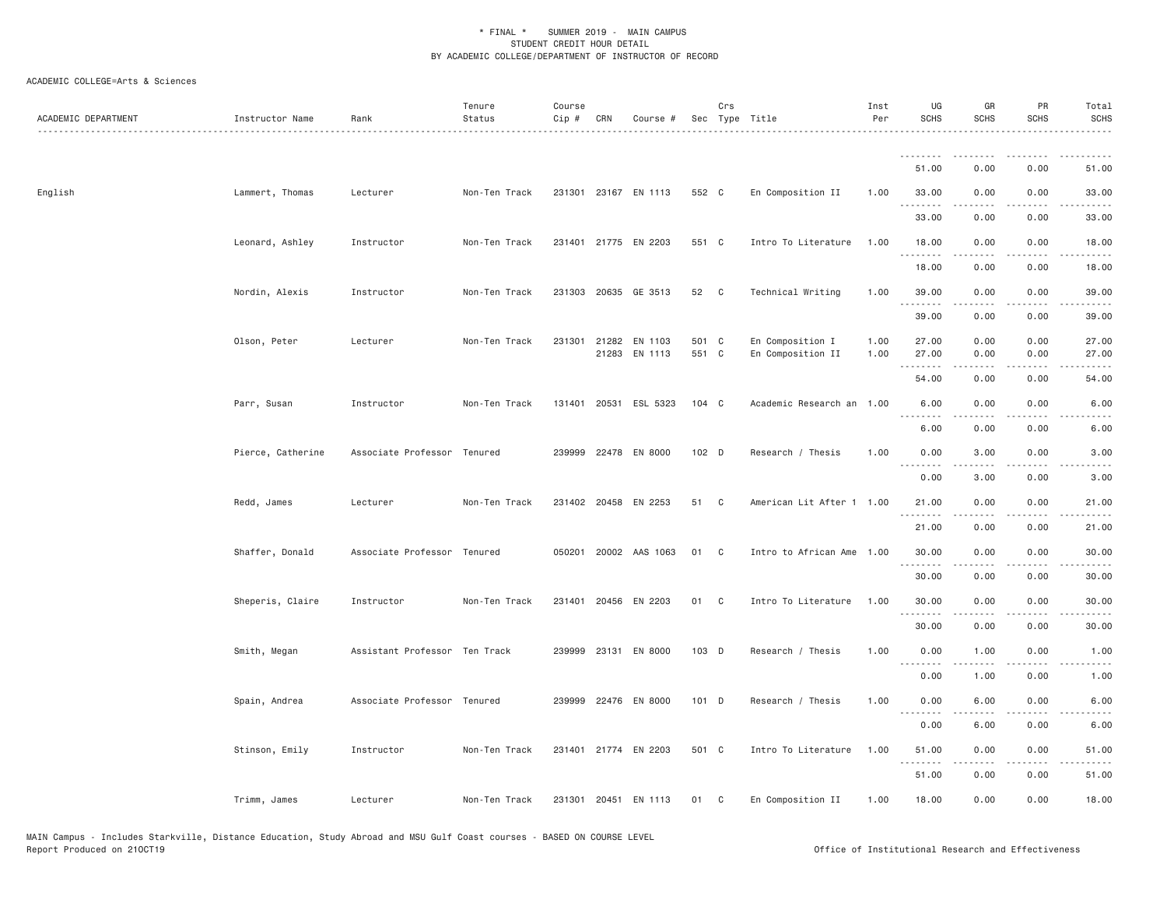| ACADEMIC DEPARTMENT | Instructor Name   | Rank                          | Tenure<br>Status | Course<br>Cip # | CRN | Course #                              |                | Crs                        | Sec Type Title                        | Inst<br>Per  | UG<br><b>SCHS</b>          | GR<br><b>SCHS</b> | PR<br>SCHS   | Total<br><b>SCHS</b> |
|---------------------|-------------------|-------------------------------|------------------|-----------------|-----|---------------------------------------|----------------|----------------------------|---------------------------------------|--------------|----------------------------|-------------------|--------------|----------------------|
|                     |                   |                               |                  |                 |     |                                       |                |                            |                                       |              | .                          |                   |              |                      |
|                     |                   |                               |                  |                 |     |                                       |                |                            |                                       |              | 51.00                      | 0.00              | 0.00         | 51.00                |
| English             | Lammert, Thomas   | Lecturer                      | Non-Ten Track    |                 |     | 231301 23167 EN 1113                  | 552 C          |                            | En Composition II                     | 1.00         | 33.00                      | 0.00              | 0.00         | 33.00                |
|                     |                   |                               |                  |                 |     |                                       |                |                            |                                       |              | 33.00                      | 0.00              | 0.00         | 33.00                |
|                     | Leonard, Ashley   | Instructor                    | Non-Ten Track    |                 |     | 231401 21775 EN 2203                  | 551 C          |                            | Intro To Literature                   | 1.00         | 18.00                      | 0.00              | 0.00         | 18.00                |
|                     |                   |                               |                  |                 |     |                                       |                |                            |                                       |              | 18.00                      | 0.00              | 0.00         | 18.00                |
|                     | Nordin, Alexis    | Instructor                    | Non-Ten Track    |                 |     | 231303 20635 GE 3513                  | 52             | $\overline{\phantom{a}}$ C | Technical Writing                     | 1.00         | 39.00<br><u>.</u>          | 0.00<br><u>.</u>  | 0.00<br>.    | 39.00<br>.           |
|                     |                   |                               |                  |                 |     |                                       |                |                            |                                       |              | 39.00                      | 0.00              | 0.00         | 39.00                |
|                     | Olson, Peter      | Lecturer                      | Non-Ten Track    |                 |     | 231301 21282 EN 1103<br>21283 EN 1113 | 501 C<br>551 C |                            | En Composition I<br>En Composition II | 1.00<br>1.00 | 27.00<br>27.00<br><u>.</u> | 0.00<br>0.00      | 0.00<br>0.00 | 27.00<br>27.00       |
|                     |                   |                               |                  |                 |     |                                       |                |                            |                                       |              | 54.00                      | 0.00              | 0.00         | 54.00                |
|                     | Parr, Susan       | Instructor                    | Non-Ten Track    |                 |     | 131401 20531 ESL 5323                 | 104 C          |                            | Academic Research an 1.00             |              | 6.00<br>.                  | 0.00              | 0.00         | 6.00                 |
|                     |                   |                               |                  |                 |     |                                       |                |                            |                                       |              | 6.00                       | 0.00              | 0.00         | 6.00                 |
|                     | Pierce, Catherine | Associate Professor Tenured   |                  |                 |     | 239999 22478 EN 8000                  | $102$ D        |                            | Research / Thesis                     | 1.00         | 0.00<br>.                  | 3.00              | 0.00         | 3.00                 |
|                     |                   |                               |                  |                 |     |                                       |                |                            |                                       |              | 0.00                       | 3.00              | 0.00         | 3.00                 |
|                     | Redd, James       | Lecturer                      | Non-Ten Track    |                 |     | 231402 20458 EN 2253                  | 51 C           |                            | American Lit After 1 1.00             |              | 21.00<br>.                 | 0.00<br>.         | 0.00<br>.    | 21.00<br>.           |
|                     |                   |                               |                  |                 |     |                                       |                |                            |                                       |              | 21.00                      | 0.00              | 0.00         | 21.00                |
|                     | Shaffer, Donald   | Associate Professor Tenured   |                  |                 |     | 050201 20002 AAS 1063                 | 01             | C.                         | Intro to African Ame                  | 1.00         | 30.00<br>$  -$             | 0.00              | 0.00         | 30.00                |
|                     |                   |                               |                  |                 |     |                                       |                |                            |                                       |              | 30.00                      | 0.00              | 0.00         | 30.00                |
|                     | Sheperis, Claire  | Instructor                    | Non-Ten Track    |                 |     | 231401 20456 EN 2203                  | 01 C           |                            | Intro To Literature                   | 1.00         | 30.00                      | 0.00              | 0.00         | 30.00                |
|                     |                   |                               |                  |                 |     |                                       |                |                            |                                       |              | 30.00                      | 0.00              | 0.00         | 30.00                |
|                     | Smith, Megan      | Assistant Professor Ten Track |                  |                 |     | 239999 23131 EN 8000                  | 103 D          |                            | Research / Thesis                     | 1.00         | 0.00<br>. <b>.</b>         | 1.00              | 0.00         | 1.00                 |
|                     |                   |                               |                  |                 |     |                                       |                |                            |                                       |              | 0.00                       | 1.00              | 0.00         | 1.00                 |
|                     | Spain, Andrea     | Associate Professor Tenured   |                  |                 |     | 239999 22476 EN 8000                  | 101 D          |                            | Research / Thesis                     | 1.00         | 0.00<br>$\sim$ $\sim$      | 6.00              | 0.00         | 6.00                 |
|                     |                   |                               |                  |                 |     |                                       |                |                            |                                       |              | 0.00                       | 6.00              | 0.00         | 6.00                 |
|                     | Stinson, Emily    | Instructor                    | Non-Ten Track    |                 |     | 231401 21774 EN 2203                  | 501 C          |                            | Intro To Literature                   | 1.00         | 51.00                      | 0.00              | 0.00         | 51.00                |
|                     |                   |                               |                  |                 |     |                                       |                |                            |                                       |              | .<br>51.00                 | -----<br>0.00     | .<br>0.00    | 51.00                |
|                     | Trimm, James      | Lecturer                      | Non-Ten Track    |                 |     | 231301 20451 EN 1113                  | 01             | C                          | En Composition II                     | 1.00         | 18.00                      | 0.00              | 0.00         | 18.00                |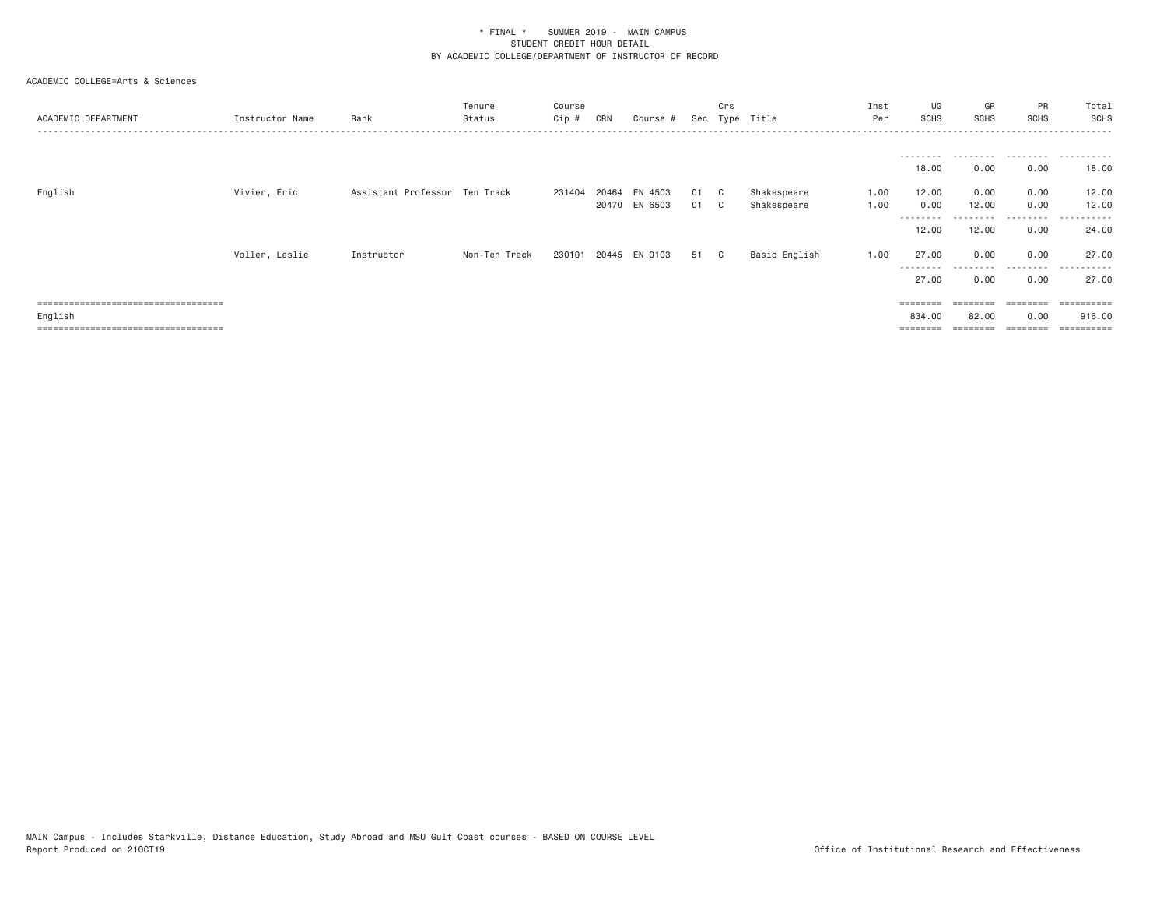| ACADEMIC DEPARTMENT                   | Instructor Name | Rank                          | Tenure<br>Status | Course<br>Cip # | CRN | Course #      |    | Crs | Sec Type Title | Inst<br>Per | UG<br><b>SCHS</b>  | GR<br>SCHS         | PR<br><b>SCHS</b> | Total<br><b>SCHS</b> |
|---------------------------------------|-----------------|-------------------------------|------------------|-----------------|-----|---------------|----|-----|----------------|-------------|--------------------|--------------------|-------------------|----------------------|
|                                       |                 |                               |                  |                 |     |               |    |     |                |             |                    |                    |                   |                      |
|                                       |                 |                               |                  |                 |     |               |    |     |                |             | 18.00              | 0.00               | 0.00              | 18.00                |
| English                               | Vivier, Eric    | Assistant Professor Ten Track |                  | 231404          |     | 20464 EN 4503 | 01 | C.  | Shakespeare    | 1.00        | 12.00              | 0.00               | 0.00              | 12.00                |
|                                       |                 |                               |                  |                 |     | 20470 EN 6503 | 01 | C.  | Shakespeare    | 1.00        | 0.00               | 12.00              | 0.00              | 12.00                |
|                                       |                 |                               |                  |                 |     |               |    |     |                |             | ---------<br>12.00 | ---------<br>12.00 | .<br>0.00         | .<br>24.00           |
|                                       | Voller, Leslie  | Instructor                    | Non-Ten Track    | 230101          |     | 20445 EN 0103 | 51 | C.  | Basic English  | 1.00        | 27.00              | 0.00               | 0.00              | 27.00                |
|                                       |                 |                               |                  |                 |     |               |    |     |                |             | ---------<br>27.00 | .<br>0.00          | .<br>0.00         | .<br>27.00           |
| ===================================== |                 |                               |                  |                 |     |               |    |     |                |             |                    |                    |                   |                      |
| English                               |                 |                               |                  |                 |     |               |    |     |                |             | 834,00             | 82.00              | 0.00              | 916,00               |
| =============================         |                 |                               |                  |                 |     |               |    |     |                |             |                    |                    | ========          | ==========           |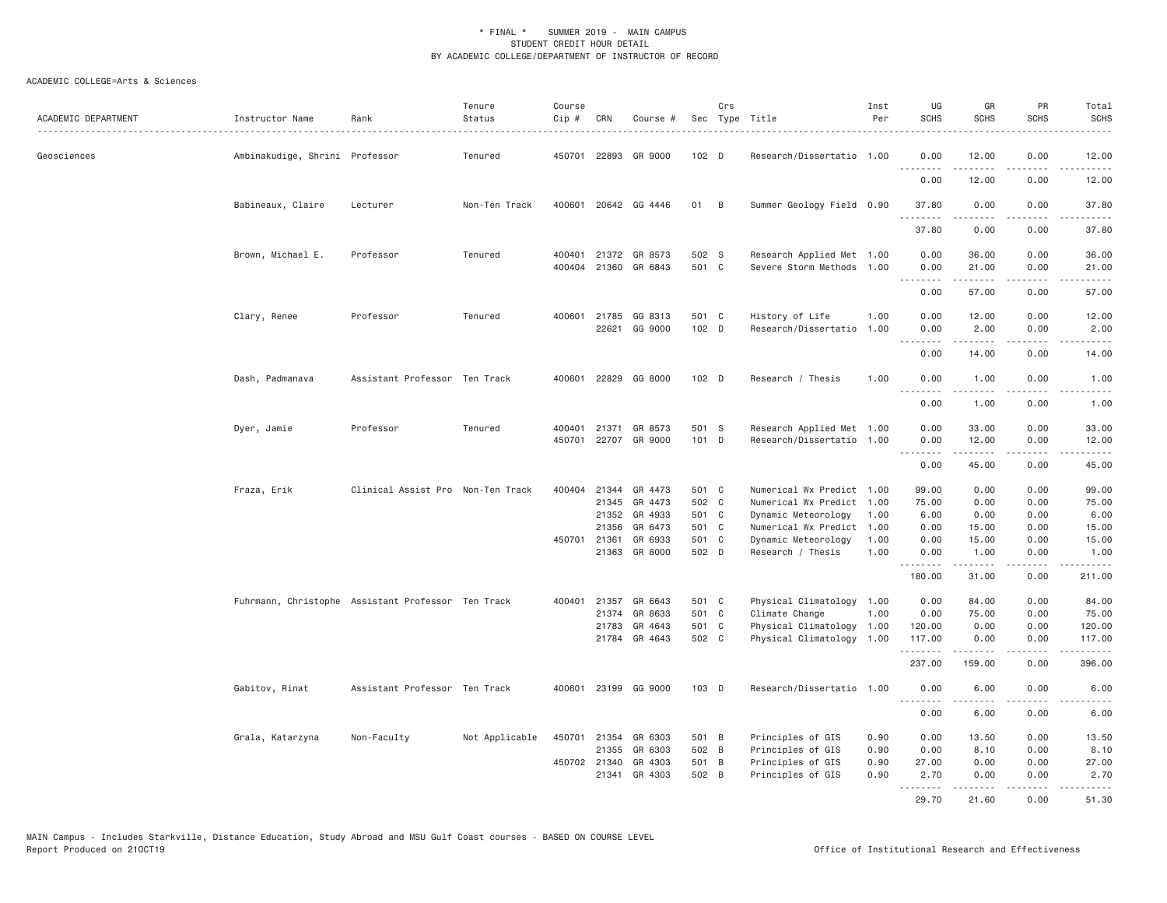| ACADEMIC DEPARTMENT | Instructor Name                | Rank                                               | Tenure<br>Status | Course<br>Cip#   | CRN          | Course #                 |                           | Crs | Sec Type Title                                    | Inst<br>Per  | UG<br><b>SCHS</b>                   | GR<br><b>SCHS</b>   | PR<br><b>SCHS</b>                   | Total<br>SCHS<br>$\frac{1}{2}$                                                                                                                                |
|---------------------|--------------------------------|----------------------------------------------------|------------------|------------------|--------------|--------------------------|---------------------------|-----|---------------------------------------------------|--------------|-------------------------------------|---------------------|-------------------------------------|---------------------------------------------------------------------------------------------------------------------------------------------------------------|
| Geosciences         | Ambinakudige, Shrini Professor |                                                    | Tenured          | 450701           | 22893        | GR 9000                  | 102 D                     |     | Research/Dissertatio 1.00                         |              | 0.00<br>.                           | 12.00<br>د د د د د  | 0.00                                | 12.00<br>. د د د د                                                                                                                                            |
|                     |                                |                                                    |                  |                  |              |                          |                           |     |                                                   |              | 0.00                                | 12.00               | 0.00                                | 12.00                                                                                                                                                         |
|                     | Babineaux, Claire              | Lecturer                                           | Non-Ten Track    | 400601           |              | 20642 GG 4446            | 01                        | B   | Summer Geology Field 0.90                         |              | 37.80                               | 0.00                | 0.00<br>.                           | 37.80                                                                                                                                                         |
|                     |                                |                                                    |                  |                  |              |                          |                           |     |                                                   |              | 37.80                               | 0.00                | 0.00                                | 37.80                                                                                                                                                         |
|                     | Brown, Michael E.              | Professor                                          | Tenured          | 400401<br>400404 | 21372        | GR 8573<br>21360 GR 6843 | 502 S<br>501 C            |     | Research Applied Met 1.00<br>Severe Storm Methods | 1.00         | 0.00<br>0.00                        | 36.00<br>21.00      | 0.00<br>0.00                        | 36.00<br>21.00                                                                                                                                                |
|                     |                                |                                                    |                  |                  |              |                          |                           |     |                                                   |              | .                                   |                     | $\sim$ $\sim$ $\sim$                | المتماما                                                                                                                                                      |
|                     |                                |                                                    |                  |                  |              |                          |                           |     |                                                   |              | 0.00                                | 57.00               | 0.00                                | 57.00                                                                                                                                                         |
|                     | Clary, Renee                   | Professor                                          | Tenured          |                  | 400601 21785 | GG 8313<br>22621 GG 9000 | 501 C<br>102 <sub>D</sub> |     | History of Life<br>Research/Dissertatio           | 1.00<br>1,00 | 0.00<br>0.00                        | 12.00<br>2.00       | 0.00<br>0.00                        | 12.00<br>2.00                                                                                                                                                 |
|                     |                                |                                                    |                  |                  |              |                          |                           |     |                                                   |              | .<br>0.00                           | 14.00               | .<br>0.00                           | $\frac{1}{2} \left( \frac{1}{2} \right) \left( \frac{1}{2} \right) \left( \frac{1}{2} \right) \left( \frac{1}{2} \right) \left( \frac{1}{2} \right)$<br>14.00 |
|                     | Dash, Padmanava                | Assistant Professor Ten Track                      |                  | 400601           |              | 22829 GG 8000            | 102 D                     |     | Research / Thesis                                 | 1,00         | 0.00<br>$\sim$ $\sim$ $\sim$ $\sim$ | 1.00<br>$- - - - -$ | 0.00<br>$\frac{1}{2}$               | 1.00<br>$\frac{1}{2}$                                                                                                                                         |
|                     |                                |                                                    |                  |                  |              |                          |                           |     |                                                   |              | 0.00                                | 1.00                | 0.00                                | 1.00                                                                                                                                                          |
|                     | Dyer, Jamie                    | Professor                                          | Tenured          | 400401           | 21371        | GR 8573                  | 501 S                     |     | Research Applied Met 1.00                         |              | 0.00                                | 33.00               | 0.00                                | 33.00                                                                                                                                                         |
|                     |                                |                                                    |                  | 450701           |              | 22707 GR 9000            | 101 D                     |     | Research/Dissertatio 1.00                         |              | 0.00<br><u>.</u>                    | 12.00<br>.          | 0.00<br>$\sim$ $\sim$ $\sim$ $\sim$ | 12.00<br>$\sim$ $\sim$ $\sim$ $\sim$                                                                                                                          |
|                     |                                |                                                    |                  |                  |              |                          |                           |     |                                                   |              | 0.00                                | 45.00               | 0.00                                | 45.00                                                                                                                                                         |
|                     | Fraza, Erik                    | Clinical Assist Pro Non-Ten Track                  |                  |                  |              | 400404 21344 GR 4473     | 501 C                     |     | Numerical Wx Predict 1.00                         |              | 99.00                               | 0.00                | 0.00                                | 99.00                                                                                                                                                         |
|                     |                                |                                                    |                  |                  | 21345        | GR 4473                  | 502 C                     |     | Numerical Wx Predict 1.00                         |              | 75.00                               | 0.00                | 0.00                                | 75.00                                                                                                                                                         |
|                     |                                |                                                    |                  |                  | 21352        | GR 4933                  | 501 C                     |     | Dynamic Meteorology                               | 1.00         | 6.00                                | 0.00                | 0.00                                | 6.00                                                                                                                                                          |
|                     |                                |                                                    |                  |                  | 21356        | GR 6473                  | 501 C                     |     | Numerical Wx Predict 1.00                         |              | 0.00                                | 15.00               | 0.00                                | 15.00                                                                                                                                                         |
|                     |                                |                                                    |                  | 450701           | 21361        | GR 6933                  | 501 C                     |     | Dynamic Meteorology                               | 1.00         | 0.00                                | 15.00               | 0.00                                | 15.00                                                                                                                                                         |
|                     |                                |                                                    |                  |                  | 21363        | GR 8000                  | 502 D                     |     | Research / Thesis                                 | 1.00         | 0.00<br>.                           | 1.00<br>المتمالين   | 0.00<br>.                           | 1.00<br><u>.</u>                                                                                                                                              |
|                     |                                |                                                    |                  |                  |              |                          |                           |     |                                                   |              | 180.00                              | 31.00               | 0.00                                | 211.00                                                                                                                                                        |
|                     |                                | Fuhrmann, Christophe Assistant Professor Ten Track |                  | 400401           | 21357        | GR 6643                  | 501 C                     |     | Physical Climatology 1.00                         |              | 0.00                                | 84.00               | 0.00                                | 84.00                                                                                                                                                         |
|                     |                                |                                                    |                  |                  | 21374        | GR 8633                  | 501 C                     |     | Climate Change                                    | 1.00         | 0.00                                | 75.00               | 0.00                                | 75.00                                                                                                                                                         |
|                     |                                |                                                    |                  |                  | 21783        | GR 4643                  | 501 C                     |     | Physical Climatology 1.00                         |              | 120.00                              | 0.00                | 0.00                                | 120.00                                                                                                                                                        |
|                     |                                |                                                    |                  |                  |              | 21784 GR 4643            | 502 C                     |     | Physical Climatology 1.00                         |              | 117.00<br>.                         | 0.00<br>.           | 0.00<br>.                           | 117.00<br>.                                                                                                                                                   |
|                     |                                |                                                    |                  |                  |              |                          |                           |     |                                                   |              | 237.00                              | 159.00              | 0.00                                | 396.00                                                                                                                                                        |
|                     | Gabitov, Rinat                 | Assistant Professor Ten Track                      |                  |                  |              | 400601 23199 GG 9000     | 103 D                     |     | Research/Dissertatio 1.00                         |              | 0.00<br>.                           | 6.00<br>.           | 0.00<br>.                           | 6.00<br>$\frac{1}{2}$                                                                                                                                         |
|                     |                                |                                                    |                  |                  |              |                          |                           |     |                                                   |              | 0.00                                | 6.00                | 0.00                                | 6.00                                                                                                                                                          |
|                     | Grala, Katarzyna               | Non-Faculty                                        | Not Applicable   | 450701           |              | 21354 GR 6303            | 501 B                     |     | Principles of GIS                                 | 0.90         | 0.00                                | 13.50               | 0.00                                | 13.50                                                                                                                                                         |
|                     |                                |                                                    |                  |                  | 21355        | GR 6303                  | 502 B                     |     | Principles of GIS                                 | 0.90         | 0.00                                | 8.10                | 0.00                                | 8.10                                                                                                                                                          |
|                     |                                |                                                    |                  |                  | 450702 21340 | GR 4303                  | 501 B                     |     | Principles of GIS                                 | 0.90         | 27.00                               | 0.00                | 0.00                                | 27.00                                                                                                                                                         |
|                     |                                |                                                    |                  |                  | 21341        | GR 4303                  | 502 B                     |     | Principles of GIS                                 | 0.90         | 2.70<br>.                           | 0.00<br>.           | 0.00<br>.                           | 2.70<br>.                                                                                                                                                     |
|                     |                                |                                                    |                  |                  |              |                          |                           |     |                                                   |              | 29.70                               | 21.60               | 0.00                                | 51.30                                                                                                                                                         |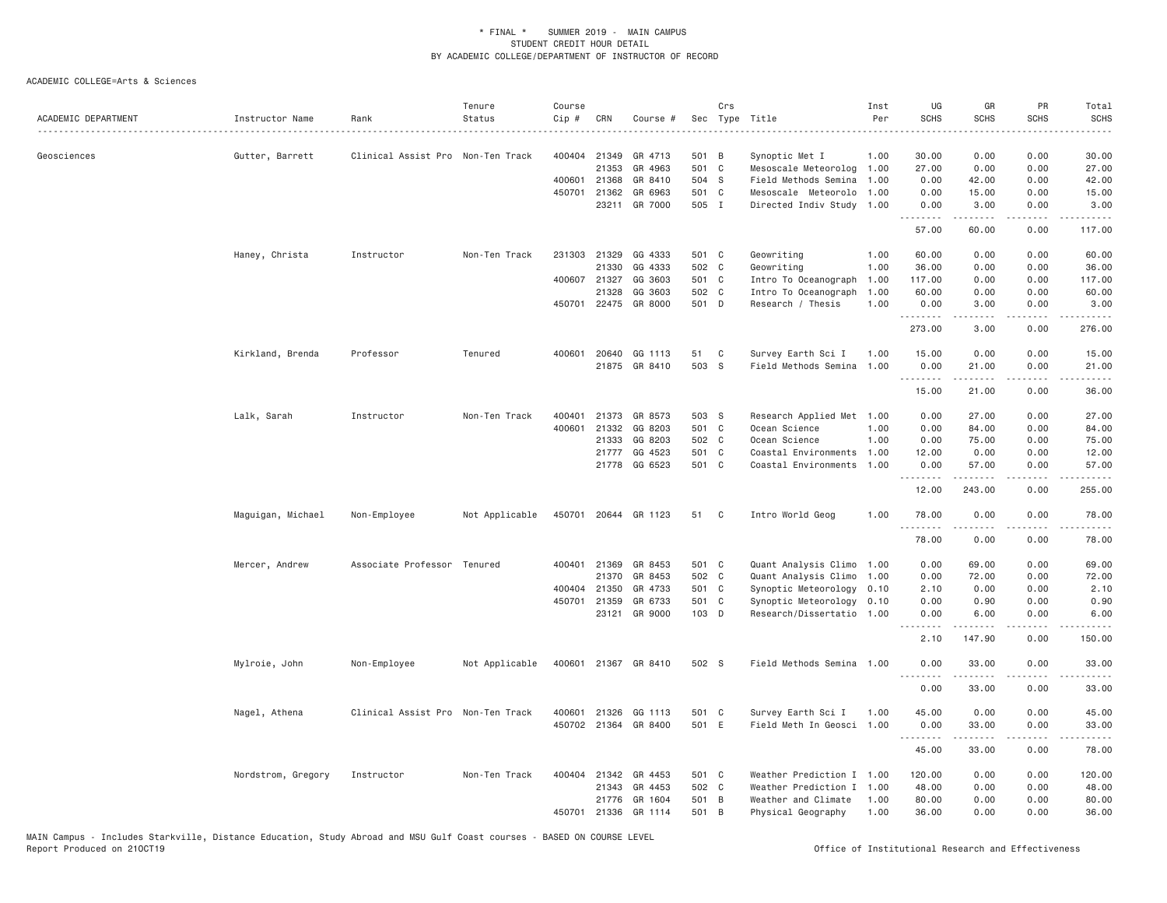| ACADEMIC DEPARTMENT | Instructor Name    | Rank                              | Tenure<br>Status | Course<br>Cip # | CRN          | Course #             |       | Crs | Sec Type Title            | Inst<br>Per | UG<br><b>SCHS</b>     | GR<br><b>SCHS</b>    | PR<br><b>SCHS</b>                   | Total<br><b>SCHS</b><br>$\sim$ $\sim$ $\sim$ $\sim$ |
|---------------------|--------------------|-----------------------------------|------------------|-----------------|--------------|----------------------|-------|-----|---------------------------|-------------|-----------------------|----------------------|-------------------------------------|-----------------------------------------------------|
| Geosciences         | Gutter, Barrett    | Clinical Assist Pro Non-Ten Track |                  |                 | 400404 21349 | GR 4713              | 501 B |     | Synoptic Met I            | 1.00        | 30.00                 | 0.00                 | 0.00                                | 30.00                                               |
|                     |                    |                                   |                  |                 | 21353        | GR 4963              | 501   | C   | Mesoscale Meteorolog      | 1.00        | 27.00                 | 0.00                 | 0.00                                | 27.00                                               |
|                     |                    |                                   |                  | 400601          | 21368        | GR 8410              | 504 S |     | Field Methods Semina      | 1.00        | 0.00                  | 42.00                | 0.00                                | 42.00                                               |
|                     |                    |                                   |                  |                 | 450701 21362 | GR 6963              | 501 C |     | Mesoscale Meteorolo       | 1.00        | 0.00                  | 15.00                | 0.00                                | 15.00                                               |
|                     |                    |                                   |                  |                 | 23211        | GR 7000              | 505 I |     | Directed Indiv Study 1.00 |             | 0.00<br>.             | 3.00<br>.            | 0.00<br>.                           | 3.00<br>.                                           |
|                     |                    |                                   |                  |                 |              |                      |       |     |                           |             | 57.00                 | 60.00                | 0.00                                | 117.00                                              |
|                     | Haney, Christa     | Instructor                        | Non-Ten Track    | 231303          | 21329        | GG 4333              | 501 C |     | Geowriting                | 1.00        | 60.00                 | 0.00                 | 0.00                                | 60.00                                               |
|                     |                    |                                   |                  |                 | 21330        | GG 4333              | 502 C |     | Geowriting                | 1.00        | 36.00                 | 0.00                 | 0.00                                | 36.00                                               |
|                     |                    |                                   |                  | 400607          | 21327        | GG 3603              | 501 C |     | Intro To Oceanograph      | 1.00        | 117.00                | 0.00                 | 0.00                                | 117.00                                              |
|                     |                    |                                   |                  |                 | 21328        | GG 3603              | 502 C |     | Intro To Oceanograph      | 1.00        | 60.00                 | 0.00                 | 0.00                                | 60.00                                               |
|                     |                    |                                   |                  |                 |              | 450701 22475 GR 8000 | 501 D |     | Research / Thesis         | 1.00        | 0.00<br><u>.</u>      | 3.00<br>-----        | 0.00<br>.                           | 3.00<br>.                                           |
|                     |                    |                                   |                  |                 |              |                      |       |     |                           |             | 273.00                | 3.00                 | 0.00                                | 276.00                                              |
|                     | Kirkland, Brenda   | Professor                         | Tenured          | 400601          | 20640        | GG 1113              | 51    | C   | Survey Earth Sci I        | 1.00        | 15.00                 | 0.00                 | 0.00                                | 15.00                                               |
|                     |                    |                                   |                  |                 | 21875        | GR 8410              | 503 S |     | Field Methods Semina      | 1.00        | 0.00                  | 21.00                | 0.00                                | 21.00                                               |
|                     |                    |                                   |                  |                 |              |                      |       |     |                           |             | .                     |                      | $\sim$ $\sim$ $\sim$                | المتمامين                                           |
|                     |                    |                                   |                  |                 |              |                      |       |     |                           |             | 15.00                 | 21.00                | 0.00                                | 36.00                                               |
|                     | Lalk, Sarah        | Instructor                        | Non-Ten Track    | 400401          | 21373        | GR 8573              | 503 S |     | Research Applied Met 1.00 |             | 0.00                  | 27.00                | 0.00                                | 27.00                                               |
|                     |                    |                                   |                  | 400601          | 21332        | GG 8203              | 501 C |     | Ocean Science             | 1.00        | 0.00                  | 84.00                | 0.00                                | 84.00                                               |
|                     |                    |                                   |                  |                 | 21333        | GG 8203              | 502 C |     | Ocean Science             | 1.00        | 0.00                  | 75.00                | 0.00                                | 75.00                                               |
|                     |                    |                                   |                  |                 | 21777        | GG 4523              | 501 C |     | Coastal Environments      | 1.00        | 12.00                 | 0.00                 | 0.00                                | 12.00                                               |
|                     |                    |                                   |                  |                 | 21778        | GG 6523              | 501 C |     | Coastal Environments      | 1.00        | 0.00<br>.             | 57.00<br>.           | 0.00<br>$\sim$ $\sim$ $\sim$ $\sim$ | 57.00<br>.                                          |
|                     |                    |                                   |                  |                 |              |                      |       |     |                           |             | 12.00                 | 243.00               | 0.00                                | 255.00                                              |
|                     | Maguigan, Michael  | Non-Employee                      | Not Applicable   | 450701          |              | 20644 GR 1123        | 51    | C   | Intro World Geog          | 1.00        | 78.00<br>.            | 0.00<br>-----        | 0.00<br>.                           | 78.00<br>.                                          |
|                     |                    |                                   |                  |                 |              |                      |       |     |                           |             | 78.00                 | 0.00                 | 0.00                                | 78.00                                               |
|                     | Mercer, Andrew     | Associate Professor Tenured       |                  |                 | 400401 21369 | GR 8453              | 501 C |     | Quant Analysis Climo      | 1.00        | 0.00                  | 69.00                | 0.00                                | 69.00                                               |
|                     |                    |                                   |                  |                 | 21370        | GR 8453              | 502 C |     | Quant Analysis Climo      | 1.00        | 0.00                  | 72.00                | 0.00                                | 72.00                                               |
|                     |                    |                                   |                  | 400404          | 21350        | GR 4733              | 501 C |     | Synoptic Meteorology      | 0.10        | 2.10                  | 0.00                 | 0.00                                | 2.10                                                |
|                     |                    |                                   |                  | 450701          | 21359        | GR 6733              | 501 C |     | Synoptic Meteorology 0.10 |             | 0.00                  | 0.90                 | 0.00                                | 0.90                                                |
|                     |                    |                                   |                  |                 | 23121        | GR 9000              | 103 D |     | Research/Dissertatio 1.00 |             | 0.00<br>$\frac{1}{2}$ | 6.00<br>$- - - - -$  | 0.00<br>.                           | 6.00<br>.                                           |
|                     |                    |                                   |                  |                 |              |                      |       |     |                           |             | 2.10                  | 147.90               | 0.00                                | 150.00                                              |
|                     | Mylroie, John      | Non-Employee                      | Not Applicable   |                 |              | 400601 21367 GR 8410 | 502 S |     | Field Methods Semina 1.00 |             | 0.00                  | 33,00<br>.           | 0.00<br>$\sim$ $\sim$ $\sim$ $\sim$ | 33.00<br>الداعات الدار                              |
|                     |                    |                                   |                  |                 |              |                      |       |     |                           |             | 0.00                  | 33.00                | 0.00                                | 33.00                                               |
|                     | Nagel, Athena      | Clinical Assist Pro Non-Ten Track |                  | 400601          | 21326        | GG 1113              | 501 C |     | Survey Earth Sci I        | 1.00        | 45.00                 | 0.00                 | 0.00                                | 45.00                                               |
|                     |                    |                                   |                  |                 |              | 450702 21364 GR 8400 | 501 E |     | Field Meth In Geosci 1.00 |             | 0.00                  | 33.00                | 0.00                                | 33.00                                               |
|                     |                    |                                   |                  |                 |              |                      |       |     |                           |             | .<br>45.00            | $- - - - -$<br>33.00 | .<br>0.00                           | .<br>78.00                                          |
|                     | Nordstrom, Gregory | Instructor                        | Non-Ten Track    |                 | 400404 21342 | GR 4453              | 501 C |     | Weather Prediction I      | 1.00        | 120.00                | 0.00                 | 0.00                                | 120.00                                              |
|                     |                    |                                   |                  |                 | 21343        | GR 4453              | 502 C |     | Weather Prediction I      | 1.00        | 48.00                 | 0.00                 | 0.00                                | 48.00                                               |
|                     |                    |                                   |                  |                 | 21776        | GR 1604              | 501 B |     | Weather and Climate       | 1.00        | 80.00                 | 0.00                 | 0.00                                | 80.00                                               |
|                     |                    |                                   |                  | 450701          | 21336        | GR 1114              | 501 B |     | Physical Geography        | 1.00        | 36.00                 | 0.00                 | 0.00                                | 36.00                                               |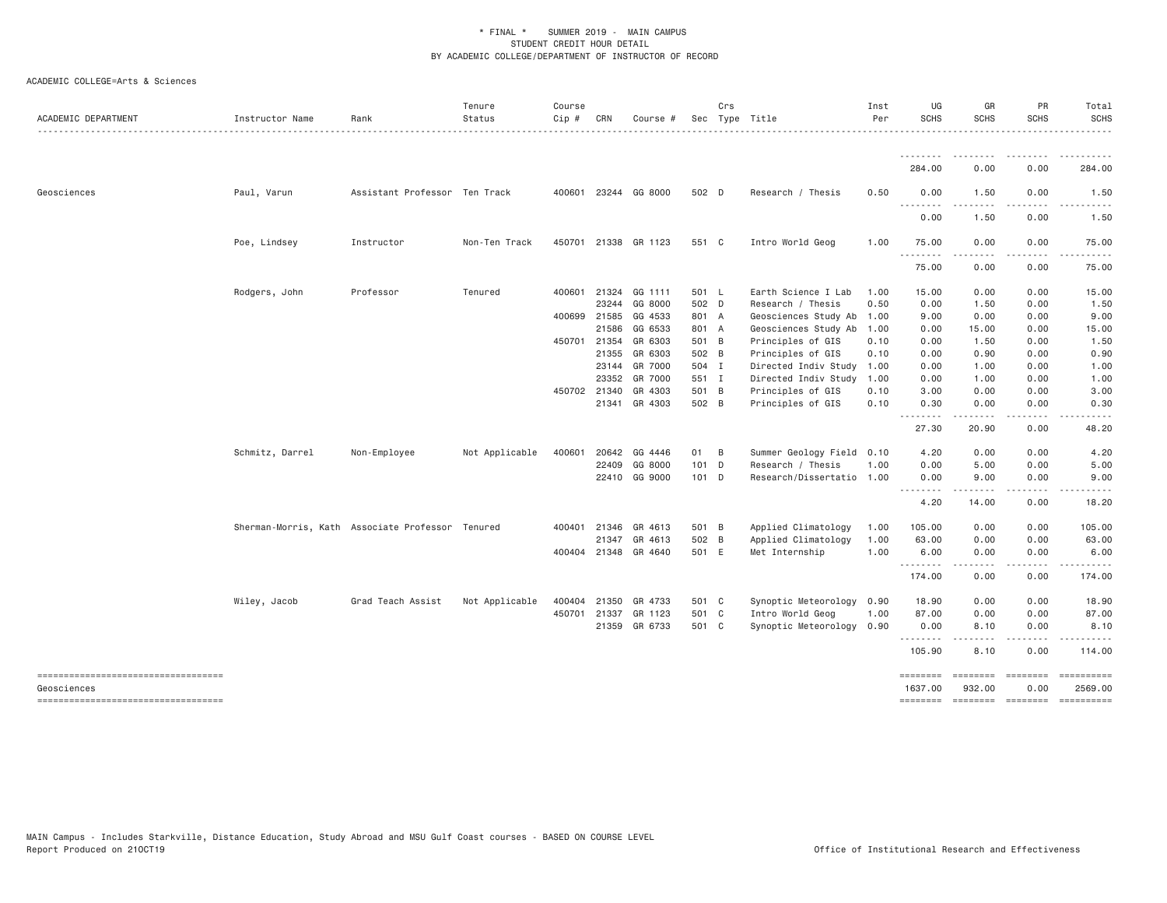| ACADEMIC DEPARTMENT                               | Instructor Name | Rank                                             | Tenure<br>Status | Course<br>Cip # | CRN          | Course #             |                | Crs | Sec Type Title                         | Inst<br>Per  | UG<br><b>SCHS</b>   | GR<br><b>SCHS</b>  | PR<br><b>SCHS</b>      | Total<br><b>SCHS</b> |
|---------------------------------------------------|-----------------|--------------------------------------------------|------------------|-----------------|--------------|----------------------|----------------|-----|----------------------------------------|--------------|---------------------|--------------------|------------------------|----------------------|
|                                                   |                 |                                                  |                  |                 |              |                      |                |     |                                        |              |                     |                    |                        |                      |
|                                                   |                 |                                                  |                  |                 |              |                      |                |     |                                        |              | 284.00              | 0.00               | 0.00                   | 284.00               |
| Geosciences                                       | Paul, Varun     | Assistant Professor Ten Track                    |                  |                 |              | 400601 23244 GG 8000 | 502 D          |     | Research / Thesis                      | 0.50         | 0.00                | 1.50               | 0.00                   | 1.50                 |
|                                                   |                 |                                                  |                  |                 |              |                      |                |     |                                        |              | 0.00                | 1.50               | 0.00                   | 1.50                 |
|                                                   | Poe, Lindsey    | Instructor                                       | Non-Ten Track    |                 |              | 450701 21338 GR 1123 | 551 C          |     | Intro World Geog                       | 1,00         | 75.00<br>.          | 0.00               | 0.00                   | 75.00                |
|                                                   |                 |                                                  |                  |                 |              |                      |                |     |                                        |              | 75.00               | 0.00               | 0.00                   | 75.00                |
|                                                   | Rodgers, John   | Professor                                        | Tenured          |                 | 400601 21324 | GG 1111              | 501 L          |     | Earth Science I Lab                    | 1.00         | 15.00               | 0.00               | 0.00                   | 15.00                |
|                                                   |                 |                                                  |                  |                 | 23244        | GG 8000              | 502 D          |     | Research / Thesis                      | 0.50         | 0.00                | 1.50               | 0.00                   | 1.50                 |
|                                                   |                 |                                                  |                  |                 | 400699 21585 | GG 4533              | 801 A          |     | Geosciences Study Ab                   | 1.00         | 9.00                | 0.00               | 0.00                   | 9.00                 |
|                                                   |                 |                                                  |                  |                 | 21586        | GG 6533              | 801 A          |     | Geosciences Study Ab                   | 1.00         | 0.00                | 15.00              | 0.00                   | 15.00                |
|                                                   |                 |                                                  |                  |                 | 450701 21354 | GR 6303              | 501 B          |     | Principles of GIS                      | 0.10         | 0.00                | 1.50               | 0.00                   | 1.50                 |
|                                                   |                 |                                                  |                  |                 | 21355        | GR 6303              | 502 B          |     | Principles of GIS                      | 0.10         | 0.00                | 0.90               | 0.00                   | 0.90                 |
|                                                   |                 |                                                  |                  |                 |              | 23144 GR 7000        | 504 I          |     | Directed Indiv Study                   | 1.00         | 0.00                | 1.00               | 0.00                   | 1.00                 |
|                                                   |                 |                                                  |                  |                 | 23352        | GR 7000<br>GR 4303   | 551 I<br>501 B |     | Directed Indiv Study                   | 1.00         | 0.00                | 1.00               | 0.00                   | 1.00                 |
|                                                   |                 |                                                  |                  |                 | 450702 21340 | 21341 GR 4303        | 502 B          |     | Principles of GIS<br>Principles of GIS | 0.10<br>0.10 | 3.00<br>0.30        | 0.00<br>0.00       | 0.00<br>0.00           | 3.00<br>0.30         |
|                                                   |                 |                                                  |                  |                 |              |                      |                |     |                                        |              | .<br>27.30          | 20.90              | 0.00                   | 48.20                |
|                                                   | Schmitz, Darrel | Non-Employee                                     | Not Applicable   | 400601          | 20642        | GG 4446              | 01 B           |     | Summer Geology Field 0.10              |              | 4.20                | 0.00               | 0.00                   | 4.20                 |
|                                                   |                 |                                                  |                  |                 | 22409        | GG 8000              | 101 D          |     | Research / Thesis                      | 1.00         | 0.00                | 5.00               | 0.00                   | 5.00                 |
|                                                   |                 |                                                  |                  |                 |              | 22410 GG 9000        | $101$ D        |     | Research/Dissertatio 1.00              |              | 0.00<br>.           | 9.00               | 0.00                   | 9.00                 |
|                                                   |                 |                                                  |                  |                 |              |                      |                |     |                                        |              | 4.20                | 14.00              | 0.00                   | 18.20                |
|                                                   |                 | Sherman-Morris, Kath Associate Professor Tenured |                  |                 | 400401 21346 | GR 4613              | 501 B          |     | Applied Climatology                    | 1.00         | 105.00              | 0.00               | 0.00                   | 105.00               |
|                                                   |                 |                                                  |                  |                 | 21347        | GR 4613              | 502 B          |     | Applied Climatology                    | 1.00         | 63.00               | 0.00               | 0.00                   | 63.00                |
|                                                   |                 |                                                  |                  |                 |              | 400404 21348 GR 4640 | 501 E          |     | Met Internship                         | 1.00         | 6.00<br><u>.</u>    | 0.00<br>.          | 0.00                   | 6.00                 |
|                                                   |                 |                                                  |                  |                 |              |                      |                |     |                                        |              | 174.00              | 0.00               | 0.00                   | 174.00               |
|                                                   | Wiley, Jacob    | Grad Teach Assist                                | Not Applicable   | 400404          | 21350        | GR 4733              | 501 C          |     | Synoptic Meteorology 0.90              |              | 18.90               | 0.00               | 0.00                   | 18.90                |
|                                                   |                 |                                                  |                  |                 | 450701 21337 | GR 1123              | 501 C          |     | Intro World Geog                       | 1.00         | 87.00               | 0.00               | 0.00                   | 87.00                |
|                                                   |                 |                                                  |                  |                 |              | 21359 GR 6733        | 501 C          |     | Synoptic Meteorology 0.90              |              | 0.00<br>.           | 8.10               | 0.00                   | 8.10                 |
|                                                   |                 |                                                  |                  |                 |              |                      |                |     |                                        |              | 105.90              | 8.10               | 0.00                   | 114.00               |
| ----------------------------------<br>Geosciences |                 |                                                  |                  |                 |              |                      |                |     |                                        |              | ========<br>1637.00 | ========<br>932.00 | <b>EDEDEED</b><br>0.00 | 2569.00              |
| ----------------------------------                |                 |                                                  |                  |                 |              |                      |                |     |                                        |              | ========            | $=$ ========       | <b>ESSESSES</b>        | $=$ ==========       |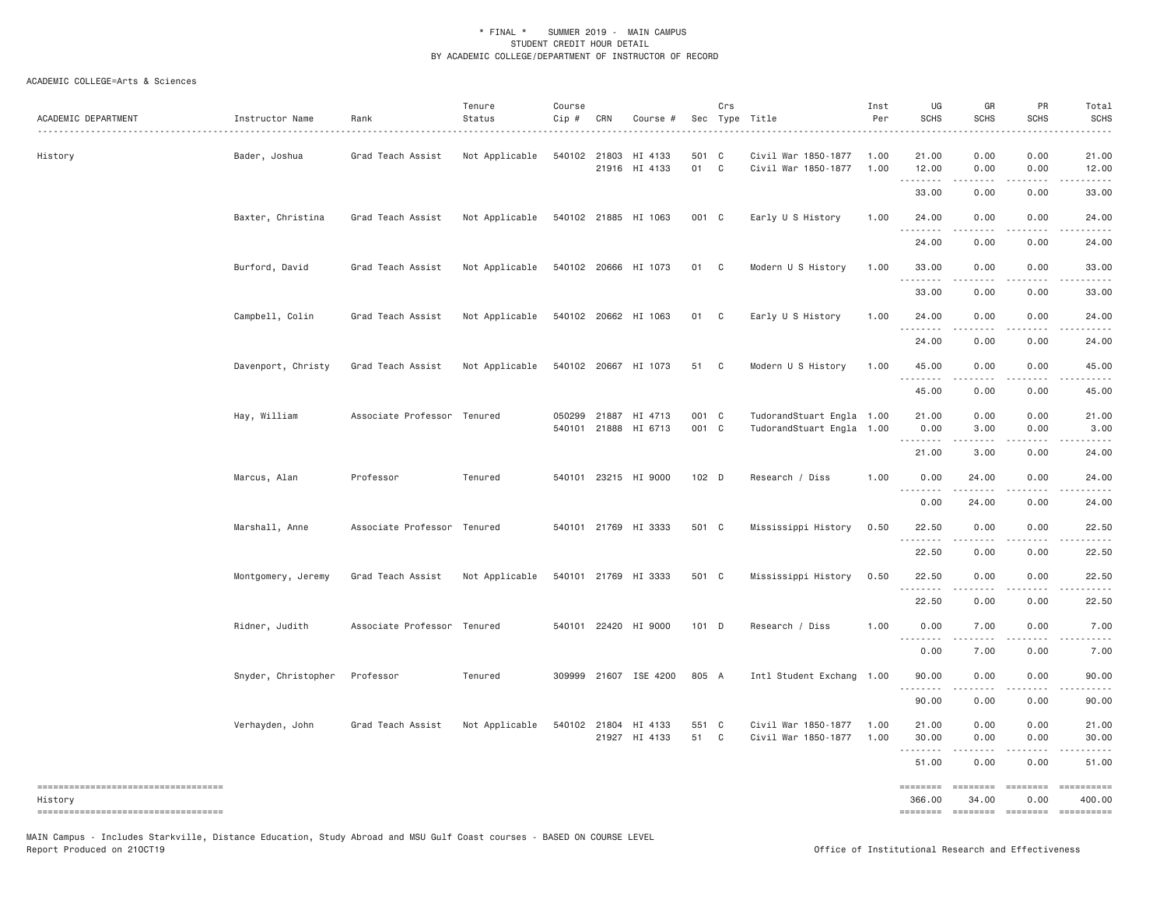| ACADEMIC DEPARTMENT                             | Instructor Name     | Rank<br>.                   | Tenure<br>Status | Course<br>Cip # | CRN          | Course #                 |                  | Crs          | Sec Type Title<br>.                        | Inst<br>Per  | UG<br><b>SCHS</b>                | GR<br><b>SCHS</b>                        | PR<br><b>SCHS</b>    | Total<br><b>SCHS</b> |
|-------------------------------------------------|---------------------|-----------------------------|------------------|-----------------|--------------|--------------------------|------------------|--------------|--------------------------------------------|--------------|----------------------------------|------------------------------------------|----------------------|----------------------|
| History                                         | Bader, Joshua       | Grad Teach Assist           | Not Applicable   |                 | 540102 21803 | HI 4133<br>21916 HI 4133 | 501 C<br>01 C    |              | Civil War 1850-1877<br>Civil War 1850-1877 | 1.00<br>1.00 | 21.00<br>12.00                   | 0.00<br>0.00                             | 0.00<br>0.00         | 21.00<br>12.00       |
|                                                 |                     |                             |                  |                 |              |                          |                  |              |                                            |              | $\sim$ $\sim$ .<br>33.00         | 0.00                                     | 0.00                 | 33.00                |
|                                                 | Baxter, Christina   | Grad Teach Assist           | Not Applicable   |                 |              | 540102 21885 HI 1063     | 001 C            |              | Early U S History                          | 1.00         | 24.00                            | 0.00                                     | 0.00                 | 24.00                |
|                                                 |                     |                             |                  |                 |              |                          |                  |              |                                            |              | <u> - - - - - - - -</u><br>24.00 | .<br>0.00                                | .<br>0.00            | 24.00                |
|                                                 | Burford, David      | Grad Teach Assist           | Not Applicable   |                 |              | 540102 20666 HI 1073     | 01 C             |              | Modern U S History                         | 1.00         | 33.00                            | 0.00                                     | 0.00                 | 33.00                |
|                                                 |                     |                             |                  |                 |              |                          |                  |              |                                            |              | .<br>33.00                       | 0.00                                     | .<br>0.00            | 33.00                |
|                                                 | Campbell, Colin     | Grad Teach Assist           | Not Applicable   |                 |              | 540102 20662 HI 1063     | 01 C             |              | Early U S History                          | 1.00         | 24.00                            | 0.00                                     | 0.00                 | 24.00                |
|                                                 |                     |                             |                  |                 |              |                          |                  |              |                                            |              | .<br>24.00                       | .<br>0.00                                | .<br>0.00            | $   -$<br>24.00      |
|                                                 | Davenport, Christy  | Grad Teach Assist           | Not Applicable   |                 |              | 540102 20667 HI 1073     | 51               | $\mathbf{C}$ | Modern U S History                         | 1.00         | 45.00                            | 0.00                                     | 0.00                 | 45.00                |
|                                                 |                     |                             |                  |                 |              |                          |                  |              |                                            |              | .<br>45.00                       | .<br>0.00                                | .<br>0.00            | $- - - - -$<br>45.00 |
|                                                 | Hay, William        | Associate Professor Tenured |                  |                 | 050299 21887 | HI 4713                  | 001 C            |              | TudorandStuart Engla 1.00                  |              | 21.00                            | 0.00                                     | 0.00                 | 21.00                |
|                                                 |                     |                             |                  |                 | 540101 21888 | HI 6713                  | 001 C            |              | TudorandStuart Engla 1.00                  |              | 0.00<br>.                        | 3.00                                     | 0.00                 | 3.00                 |
|                                                 |                     |                             |                  |                 |              |                          |                  |              |                                            |              | 21.00                            | 3.00                                     | 0.00                 | 24.00                |
|                                                 | Marcus, Alan        | Professor                   | Tenured          |                 |              | 540101 23215 HI 9000     | 102 <sub>D</sub> |              | Research / Diss                            | 1.00         | 0.00                             | 24.00                                    | 0.00                 | 24.00                |
|                                                 |                     |                             |                  |                 |              |                          |                  |              |                                            |              | 0.00                             | 24.00                                    | 0.00                 | 24.00                |
|                                                 | Marshall, Anne      | Associate Professor Tenured |                  |                 |              | 540101 21769 HI 3333     | 501 C            |              | Mississippi History                        | 0.50         | 22.50<br>.                       | 0.00<br><u>.</u>                         | 0.00<br>.            | 22.50<br>$- - - - -$ |
|                                                 |                     |                             |                  |                 |              |                          |                  |              |                                            |              | 22.50                            | 0.00                                     | 0.00                 | 22.50                |
|                                                 | Montgomery, Jeremy  | Grad Teach Assist           | Not Applicable   |                 |              | 540101 21769 HI 3333     | 501 C            |              | Mississippi History                        | 0.50         | 22.50                            | 0.00                                     | 0.00                 | 22.50                |
|                                                 |                     |                             |                  |                 |              |                          |                  |              |                                            |              | .<br>22.50                       | 0.00                                     | 0.00                 | 22.50                |
|                                                 | Ridner, Judith      | Associate Professor Tenured |                  |                 |              | 540101 22420 HI 9000     | $101$ D          |              | Research / Diss                            | 1.00         | 0.00                             | 7.00                                     | 0.00                 | 7.00                 |
|                                                 |                     |                             |                  |                 |              |                          |                  |              |                                            |              | 0.00                             | 7.00                                     | 0.00                 | 7.00                 |
|                                                 | Snyder, Christopher | Professor                   | Tenured          |                 |              | 309999 21607 ISE 4200    | 805 A            |              | Intl Student Exchang 1.00                  |              | 90.00                            | 0.00                                     | 0.00                 | 90.00                |
|                                                 |                     |                             |                  |                 |              |                          |                  |              |                                            |              | .<br>90.00                       | $- - - - -$<br>0.00                      | .<br>0.00            | 90.00                |
|                                                 | Verhayden, John     | Grad Teach Assist           | Not Applicable   |                 | 540102 21804 | HI 4133                  | 551 C            |              | Civil War 1850-1877                        | 1.00         | 21.00                            | 0.00                                     | 0.00                 | 21.00                |
|                                                 |                     |                             |                  |                 | 21927        | HI 4133                  | 51               | C            | Civil War 1850-1877                        | 1.00         | 30.00<br>.                       | 0.00                                     | 0.00                 | 30.00                |
|                                                 |                     |                             |                  |                 |              |                          |                  |              |                                            |              | 51.00                            | 0.00                                     | 0.00                 | 51.00                |
| ====================================<br>History |                     |                             |                  |                 |              |                          |                  |              |                                            |              | ========<br>366.00               | $=$ $=$ $=$ $=$ $=$ $=$ $=$ $=$<br>34.00 | $=$ ========<br>0.00 | ==========<br>400.00 |
|                                                 |                     |                             |                  |                 |              |                          |                  |              |                                            |              |                                  |                                          |                      | ==========           |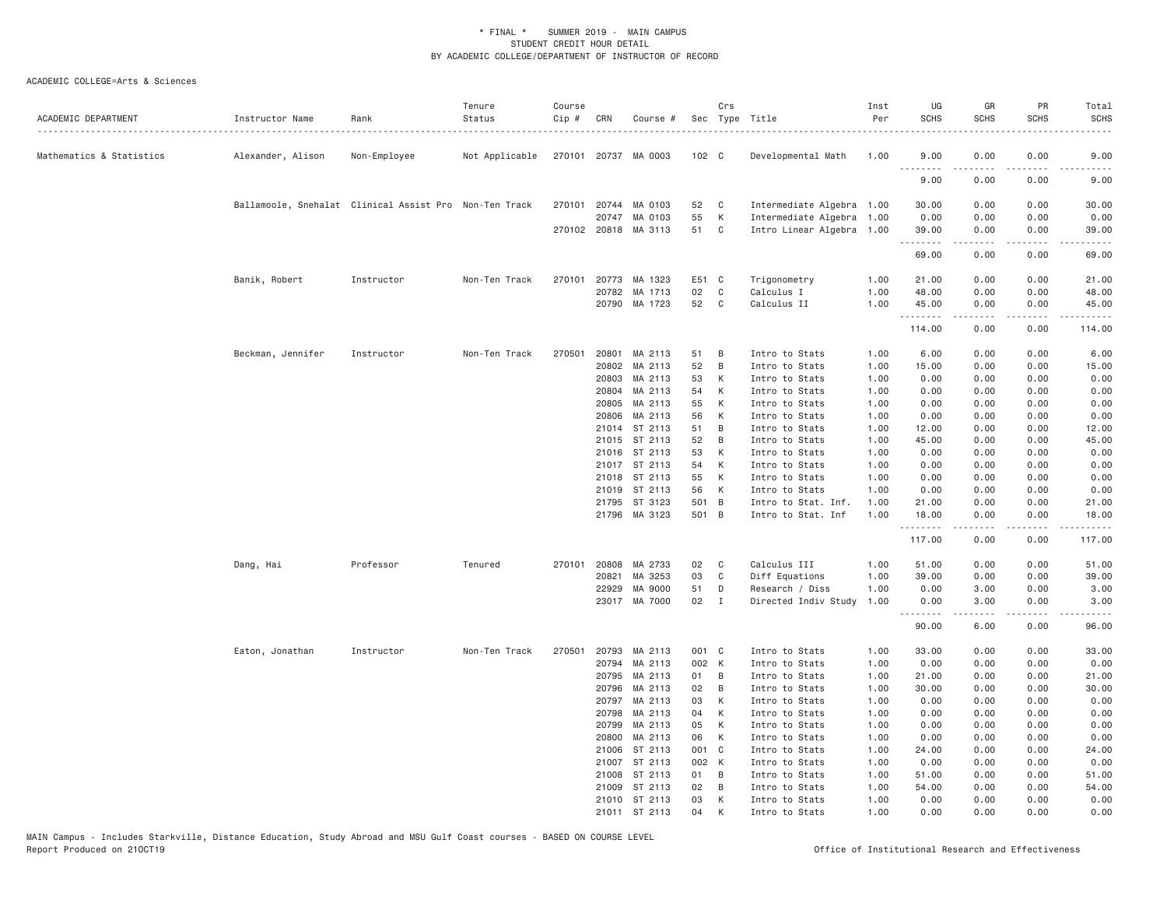| ACADEMIC DEPARTMENT      | Instructor Name                                        | Rank         | Tenure<br>Status | Course<br>Cip # | CRN          | Course #             |                  | Crs          | Sec Type Title            | Inst<br>Per | UG<br><b>SCHS</b> | GR<br>SCHS       | PR<br><b>SCHS</b> | Total<br><b>SCHS</b>  |
|--------------------------|--------------------------------------------------------|--------------|------------------|-----------------|--------------|----------------------|------------------|--------------|---------------------------|-------------|-------------------|------------------|-------------------|-----------------------|
| Mathematics & Statistics | Alexander, Alison                                      | Non-Employee | Not Applicable   |                 |              | 270101 20737 MA 0003 | 102 <sub>c</sub> |              | Developmental Math        | 1.00        | 9.00              | 0.00             | 0.00              | 9.00                  |
|                          |                                                        |              |                  |                 |              |                      |                  |              |                           |             | .<br>9.00         | .<br>0.00        | 0.00              | 9.00                  |
|                          | Ballamoole, Snehalat Clinical Assist Pro Non-Ten Track |              |                  |                 | 270101 20744 | MA 0103              | 52               | C            | Intermediate Algebra 1.00 |             | 30.00             | 0.00             | 0.00              | 30.00                 |
|                          |                                                        |              |                  |                 | 20747        | MA 0103              | 55               | К            | Intermediate Algebra      | 1.00        | 0.00              | 0.00             | 0.00              | 0.00                  |
|                          |                                                        |              |                  |                 |              | 270102 20818 MA 3113 | 51               | C            | Intro Linear Algebra 1.00 |             | 39.00<br>.        | 0.00<br>.        | 0.00<br>.         | 39.00<br>المتمامين    |
|                          |                                                        |              |                  |                 |              |                      |                  |              |                           |             | 69.00             | 0.00             | 0.00              | 69.00                 |
|                          | Banik, Robert                                          | Instructor   | Non-Ten Track    | 270101          | 20773        | MA 1323              | E51 C            |              | Trigonometry              | 1.00        | 21.00             | 0.00             | 0.00              | 21.00                 |
|                          |                                                        |              |                  |                 | 20782        | MA 1713              | 02               | C            | Calculus I                | 1.00        | 48.00             | 0.00             | 0.00              | 48.00                 |
|                          |                                                        |              |                  |                 |              | 20790 MA 1723        | 52               | C            | Calculus II               | 1.00        | 45.00             | 0.00<br>-----    | 0.00<br>.         | 45.00<br>.            |
|                          |                                                        |              |                  |                 |              |                      |                  |              |                           |             | 114.00            | 0.00             | 0.00              | 114.00                |
|                          | Beckman, Jennifer                                      | Instructor   | Non-Ten Track    | 270501          | 20801        | MA 2113              | 51               | B            | Intro to Stats            | 1.00        | 6.00              | 0.00             | 0.00              | 6.00                  |
|                          |                                                        |              |                  |                 | 20802        | MA 2113              | 52               | B            | Intro to Stats            | 1.00        | 15.00             | 0.00             | 0.00              | 15.00                 |
|                          |                                                        |              |                  |                 | 20803        | MA 2113              | 53               | К            | Intro to Stats            | 1.00        | 0.00              | 0.00             | 0.00              | 0.00                  |
|                          |                                                        |              |                  |                 | 20804        | MA 2113              | 54               | К            | Intro to Stats            | 1.00        | 0.00              | 0.00             | 0.00              | 0.00                  |
|                          |                                                        |              |                  |                 | 20805        | MA 2113              | 55               | К            | Intro to Stats            | 1.00        | 0.00              | 0.00             | 0.00              | 0.00                  |
|                          |                                                        |              |                  |                 | 20806        | MA 2113              | 56               | К            | Intro to Stats            | 1.00        | 0.00              | 0.00             | 0.00              | 0.00                  |
|                          |                                                        |              |                  |                 |              | 21014 ST 2113        | 51               | B            | Intro to Stats            | 1.00        | 12.00             | 0.00             | 0.00              | 12.00                 |
|                          |                                                        |              |                  |                 | 21015        | ST 2113              | 52               | B            | Intro to Stats            | 1.00        | 45.00             | 0.00             | 0.00              | 45.00                 |
|                          |                                                        |              |                  |                 | 21016        | ST 2113              | 53               | К            | Intro to Stats            | 1.00        | 0.00              | 0.00             | 0.00              | 0.00                  |
|                          |                                                        |              |                  |                 |              | 21017 ST 2113        | 54               | К            | Intro to Stats            | 1.00        | 0.00              | 0.00             | 0.00              | 0.00                  |
|                          |                                                        |              |                  |                 | 21018        | ST 2113              | 55               | К            | Intro to Stats            | 1.00        | 0.00              | 0.00             | 0.00              | 0.00                  |
|                          |                                                        |              |                  |                 | 21019        | ST 2113              | 56               | К            | Intro to Stats            | 1.00        | 0.00              | 0.00             | 0.00              | 0.00                  |
|                          |                                                        |              |                  |                 | 21795        | ST 3123              | 501 B            |              | Intro to Stat. Inf.       | 1.00        | 21.00             | 0.00             | 0.00              | 21.00                 |
|                          |                                                        |              |                  |                 |              | 21796 MA 3123        | 501 B            |              | Intro to Stat. Inf        | 1.00        | 18.00<br>-------- | 0.00<br>-----    | 0.00<br>.         | 18.00<br>.            |
|                          |                                                        |              |                  |                 |              |                      |                  |              |                           |             | 117.00            | 0.00             | 0.00              | 117.00                |
|                          | Dang, Hai                                              | Professor    | Tenured          | 270101          | 20808        | MA 2733              | 02               | C            | Calculus III              | 1.00        | 51.00             | 0.00             | 0.00              | 51.00                 |
|                          |                                                        |              |                  |                 | 20821        | MA 3253              | 03               | C            | Diff Equations            | 1.00        | 39.00             | 0.00             | 0.00              | 39.00                 |
|                          |                                                        |              |                  |                 | 22929        | MA 9000              | 51               | D            | Research / Diss           | 1.00        | 0.00              | 3.00             | 0.00              | 3.00                  |
|                          |                                                        |              |                  |                 |              | 23017 MA 7000        | 02               | $\mathbf{I}$ | Directed Indiv Study      | 1.00        | 0.00<br>.         | 3.00<br><u>.</u> | 0.00<br>.         | 3.00<br>$\frac{1}{2}$ |
|                          |                                                        |              |                  |                 |              |                      |                  |              |                           |             | 90.00             | 6.00             | 0.00              | 96.00                 |
|                          | Eaton, Jonathan                                        | Instructor   | Non-Ten Track    | 270501          |              | 20793 MA 2113        | 001 C            |              | Intro to Stats            | 1.00        | 33.00             | 0.00             | 0.00              | 33.00                 |
|                          |                                                        |              |                  |                 | 20794        | MA 2113              | 002 K            |              | Intro to Stats            | 1.00        | 0.00              | 0.00             | 0.00              | 0.00                  |
|                          |                                                        |              |                  |                 | 20795        | MA 2113              | 01               | B            | Intro to Stats            | 1.00        | 21.00             | 0.00             | 0.00              | 21.00                 |
|                          |                                                        |              |                  |                 | 20796        | MA 2113              | 02               | B            | Intro to Stats            | 1.00        | 30.00             | 0.00             | 0.00              | 30.00                 |
|                          |                                                        |              |                  |                 | 20797        | MA 2113              | 03               | К            | Intro to Stats            | 1.00        | 0.00              | 0.00             | 0.00              | 0.00                  |
|                          |                                                        |              |                  |                 | 20798        | MA 2113              | 04               | К            | Intro to Stats            | 1.00        | 0.00              | 0.00             | 0.00              | 0.00                  |
|                          |                                                        |              |                  |                 | 20799        | MA 2113              | 05               | K            | Intro to Stats            | 1.00        | 0.00              | 0.00             | 0.00              | 0.00                  |
|                          |                                                        |              |                  |                 | 20800        | MA 2113              | 06               | К            | Intro to Stats            | 1.00        | 0.00              | 0.00             | 0.00              | 0.00                  |
|                          |                                                        |              |                  |                 | 21006        | ST 2113              | 001 C            |              | Intro to Stats            | 1.00        | 24.00             | 0.00             | 0.00              | 24.00                 |
|                          |                                                        |              |                  |                 | 21007        | ST 2113              | 002 K            |              | Intro to Stats            | 1.00        | 0.00              | 0.00             | 0.00              | 0.00                  |
|                          |                                                        |              |                  |                 | 21008        | ST 2113              | 01               | B            | Intro to Stats            | 1.00        | 51.00             | 0.00             | 0.00              | 51.00                 |
|                          |                                                        |              |                  |                 | 21009        | ST 2113              | 02               | B            | Intro to Stats            | 1.00        | 54.00             | 0.00             | 0.00              | 54.00                 |
|                          |                                                        |              |                  |                 |              | 21010 ST 2113        | 03               | К            | Intro to Stats            | 1.00        | 0.00              | 0.00             | 0.00              | 0.00                  |
|                          |                                                        |              |                  |                 |              | 21011 ST 2113        | 04               | K            | Intro to Stats            | 1.00        | 0.00              | 0.00             | 0.00              | 0.00                  |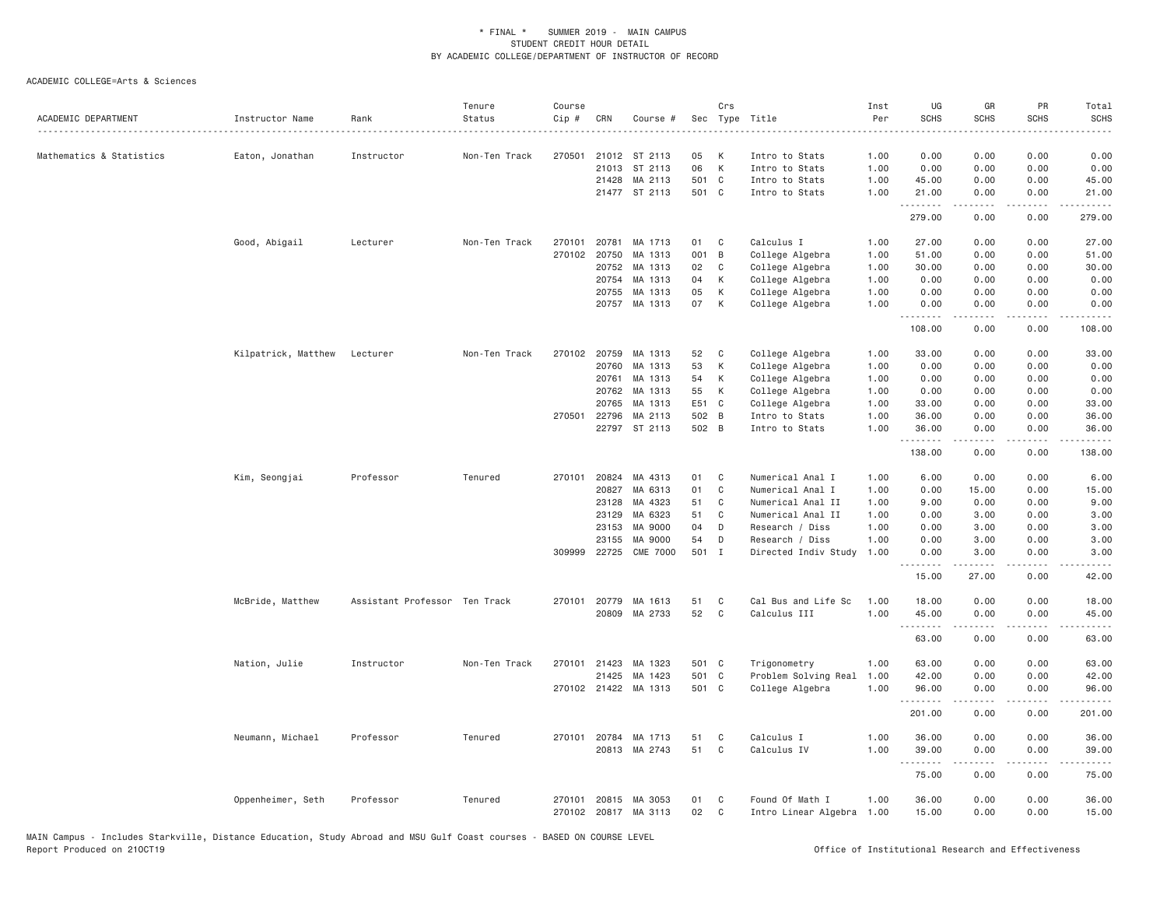| ACADEMIC DEPARTMENT      | Instructor Name     | Rank<br>.                     | Tenure<br>Status | Course<br>Cip # | CRN          | Course #                              |          | Crs          | Sec Type Title                               | Inst<br>Per<br>$\sim$ $\sim$ $\sim$ $\sim$ | UG<br><b>SCHS</b> | GR<br><b>SCHS</b> | PR<br><b>SCHS</b>                   | Total<br><b>SCHS</b> |
|--------------------------|---------------------|-------------------------------|------------------|-----------------|--------------|---------------------------------------|----------|--------------|----------------------------------------------|--------------------------------------------|-------------------|-------------------|-------------------------------------|----------------------|
| Mathematics & Statistics | Eaton, Jonathan     | Instructor                    | Non-Ten Track    | 270501          |              | 21012 ST 2113                         | 05       | К            | Intro to Stats                               | 1.00                                       | 0.00              | 0.00              | 0.00                                | 0.00                 |
|                          |                     |                               |                  |                 | 21013        | ST 2113                               | 06       | K            | Intro to Stats                               | 1.00                                       | 0.00              | 0.00              | 0.00                                | 0.00                 |
|                          |                     |                               |                  |                 | 21428        | MA 2113                               | 501 C    |              | Intro to Stats                               | 1.00                                       | 45.00             | 0.00              | 0.00                                | 45.00                |
|                          |                     |                               |                  |                 |              | 21477 ST 2113                         | 501 C    |              | Intro to Stats                               | 1.00                                       | 21.00<br>.        | 0.00              | 0.00                                | 21.00<br>.           |
|                          |                     |                               |                  |                 |              |                                       |          |              |                                              |                                            | 279.00            | 0.00              | 0.00                                | 279.00               |
|                          | Good, Abigail       | Lecturer                      | Non-Ten Track    | 270101          | 20781        | MA 1713                               | 01       | $\mathbf{C}$ | Calculus I                                   | 1.00                                       | 27.00             | 0.00              | 0.00                                | 27.00                |
|                          |                     |                               |                  | 270102          | 20750        | MA 1313                               | 001 B    |              | College Algebra                              | 1.00                                       | 51.00             | 0.00              | 0.00                                | 51.00                |
|                          |                     |                               |                  |                 | 20752        | MA 1313                               | 02       | C            | College Algebra                              | 1.00                                       | 30.00             | 0.00              | 0.00                                | 30.00                |
|                          |                     |                               |                  |                 | 20754        | MA 1313                               | 04       | K            | College Algebra                              | 1.00                                       | 0.00              | 0.00              | 0.00                                | 0.00                 |
|                          |                     |                               |                  |                 | 20755        | MA 1313                               | 05       | К            | College Algebra                              | 1.00                                       | 0.00              | 0.00              | 0.00                                | 0.00                 |
|                          |                     |                               |                  |                 |              | 20757 MA 1313                         | 07       | K            | College Algebra                              | 1.00                                       | 0.00<br>.         | 0.00<br>-----     | 0.00<br>.                           | 0.00<br><u>.</u>     |
|                          |                     |                               |                  |                 |              |                                       |          |              |                                              |                                            | 108.00            | 0.00              | 0.00                                | 108.00               |
|                          | Kilpatrick, Matthew | Lecturer                      | Non-Ten Track    | 270102          | 20759        | MA 1313                               | 52       | C            | College Algebra                              | 1.00                                       | 33.00             | 0.00              | 0.00                                | 33.00                |
|                          |                     |                               |                  |                 | 20760        | MA 1313                               | 53       | К            | College Algebra                              | 1.00                                       | 0.00              | 0.00              | 0.00                                | 0.00                 |
|                          |                     |                               |                  |                 | 20761        | MA 1313                               | 54       | K            | College Algebra                              | 1.00                                       | 0.00              | 0.00              | 0.00                                | 0.00                 |
|                          |                     |                               |                  |                 | 20762        | MA 1313                               | 55       | К            | College Algebra                              | 1.00                                       | 0.00              | 0.00              | 0.00                                | 0.00                 |
|                          |                     |                               |                  |                 | 20765        | MA 1313                               | E51 C    |              | College Algebra                              | 1.00                                       | 33.00             | 0.00              | 0.00                                | 33.00                |
|                          |                     |                               |                  |                 | 270501 22796 | MA 2113                               | 502 B    |              | Intro to Stats                               | 1.00                                       | 36.00             | 0.00              | 0.00                                | 36.00                |
|                          |                     |                               |                  |                 |              | 22797 ST 2113                         | 502 B    |              | Intro to Stats                               | 1.00                                       | 36.00             | 0.00              | 0.00                                | 36.00                |
|                          |                     |                               |                  |                 |              |                                       |          |              |                                              |                                            | .<br>138.00       | .<br>0.00         | $\sim$ $\sim$ $\sim$ $\sim$<br>0.00 | .<br>138.00          |
|                          | Kim, Seongjai       | Professor                     | Tenured          | 270101          | 20824        | MA 4313                               | 01       | C            | Numerical Anal I                             | 1.00                                       | 6.00              | 0.00              | 0.00                                | 6.00                 |
|                          |                     |                               |                  |                 | 20827        | MA 6313                               | 01       | C            | Numerical Anal I                             | 1.00                                       | 0.00              | 15.00             | 0.00                                | 15.00                |
|                          |                     |                               |                  |                 | 23128        | MA 4323                               | 51       | C            | Numerical Anal II                            | 1.00                                       | 9.00              | 0.00              | 0.00                                | 9.00                 |
|                          |                     |                               |                  |                 | 23129        | MA 6323                               | 51       | C            | Numerical Anal II                            | 1.00                                       | 0.00              | 3.00              | 0.00                                | 3.00                 |
|                          |                     |                               |                  |                 | 23153        | MA 9000                               | 04       | D            | Research / Diss                              | 1.00                                       | 0.00              | 3.00              | 0.00                                | 3.00                 |
|                          |                     |                               |                  |                 | 23155        | MA 9000                               | 54       | D            | Research / Diss                              | 1.00                                       | 0.00              | 3.00              | 0.00                                | 3.00                 |
|                          |                     |                               |                  |                 |              | 309999 22725 CME 7000                 | 501 I    |              | Directed Indiv Study                         | 1.00                                       | 0.00              | 3.00              | 0.00                                | 3.00                 |
|                          |                     |                               |                  |                 |              |                                       |          |              |                                              |                                            | .<br>15.00        | -----<br>27.00    | د د د د<br>0.00                     | 42.00                |
|                          | McBride, Matthew    | Assistant Professor Ten Track |                  |                 | 270101 20779 | MA 1613                               | 51       | C            | Cal Bus and Life Sc                          | 1.00                                       | 18.00             | 0.00              | 0.00                                | 18.00                |
|                          |                     |                               |                  |                 |              | 20809 MA 2733                         | 52       | C            | Calculus III                                 | 1.00                                       | 45.00             | 0.00              | 0.00                                | 45.00                |
|                          |                     |                               |                  |                 |              |                                       |          |              |                                              |                                            | <u>.</u><br>63.00 | .<br>0.00         | .<br>0.00                           | .<br>63.00           |
|                          | Nation, Julie       | Instructor                    | Non-Ten Track    |                 | 270101 21423 | MA 1323                               | 501 C    |              | Trigonometry                                 | 1.00                                       | 63.00             | 0.00              | 0.00                                | 63.00                |
|                          |                     |                               |                  |                 | 21425        | MA 1423                               | 501 C    |              | Problem Solving Real                         | 1.00                                       | 42.00             | 0.00              | 0.00                                | 42.00                |
|                          |                     |                               |                  |                 |              | 270102 21422 MA 1313                  | 501 C    |              | College Algebra                              | 1,00                                       | 96.00             | 0.00              | 0.00                                | 96.00                |
|                          |                     |                               |                  |                 |              |                                       |          |              |                                              |                                            | .<br>201.00       | .<br>0.00         | .<br>0.00                           | .<br>201.00          |
|                          | Neumann, Michael    | Professor                     | Tenured          | 270101          | 20784        | MA 1713                               | 51       | C            | Calculus I                                   | 1.00                                       | 36.00             | 0.00              | 0.00                                | 36.00                |
|                          |                     |                               |                  |                 |              | 20813 MA 2743                         | 51       | $\mathbb C$  | Calculus IV                                  | 1.00                                       | 39.00             | 0.00              | 0.00                                | 39.00                |
|                          |                     |                               |                  |                 |              |                                       |          |              |                                              |                                            | .<br>75.00        | .<br>0.00         | .<br>0.00                           | د د د د د<br>75.00   |
|                          | Oppenheimer, Seth   | Professor                     | Tenured          | 270101          |              | 20815 MA 3053<br>270102 20817 MA 3113 | 01<br>02 | C<br>C       | Found Of Math I<br>Intro Linear Algebra 1.00 | 1.00                                       | 36.00<br>15.00    | 0.00<br>0.00      | 0.00<br>0.00                        | 36.00<br>15.00       |
|                          |                     |                               |                  |                 |              |                                       |          |              |                                              |                                            |                   |                   |                                     |                      |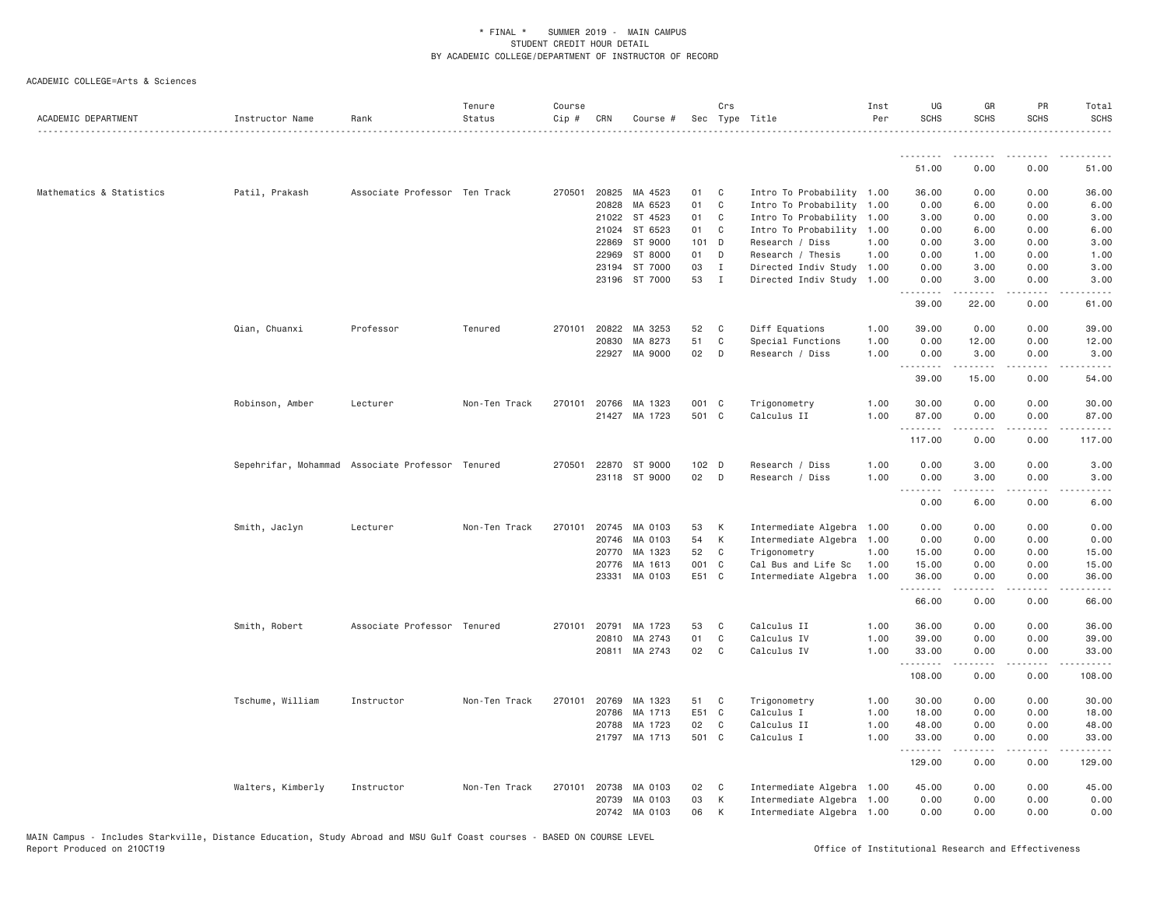| ACADEMIC DEPARTMENT      | Instructor Name                                  | Rank                          | Tenure<br>Status | Course<br>Cip # | CRN          | Course #      |                  | Crs          | Sec Type Title            | Inst<br>Per | UG<br><b>SCHS</b> | GR<br><b>SCHS</b>   | <b>PR</b><br><b>SCHS</b>            | Total<br><b>SCHS</b>                        |
|--------------------------|--------------------------------------------------|-------------------------------|------------------|-----------------|--------------|---------------|------------------|--------------|---------------------------|-------------|-------------------|---------------------|-------------------------------------|---------------------------------------------|
|                          |                                                  |                               |                  |                 |              |               |                  |              |                           |             | .                 | .                   | .                                   |                                             |
|                          |                                                  |                               |                  |                 |              |               |                  |              |                           |             | 51.00             | 0.00                | 0.00                                | 51.00                                       |
| Mathematics & Statistics | Patil, Prakash                                   | Associate Professor Ten Track |                  | 270501          | 20825        | MA 4523       | 01               | C            | Intro To Probability 1.00 |             | 36.00             | 0.00                | 0.00                                | 36.00                                       |
|                          |                                                  |                               |                  |                 | 20828        | MA 6523       | 01               | C            | Intro To Probability 1.00 |             | 0.00              | 6.00                | 0.00                                | 6.00                                        |
|                          |                                                  |                               |                  |                 | 21022        | ST 4523       | 01 C             |              | Intro To Probability 1.00 |             | 3.00              | 0.00                | 0.00                                | 3.00                                        |
|                          |                                                  |                               |                  |                 | 21024        | ST 6523       | 01               | $\mathbb{C}$ | Intro To Probability 1.00 |             | 0.00              | 6.00                | 0.00                                | 6.00                                        |
|                          |                                                  |                               |                  |                 | 22869        | ST 9000       | 101 D            |              | Research / Diss           | 1.00        | 0.00              | 3.00                | 0.00                                | 3.00                                        |
|                          |                                                  |                               |                  |                 | 22969        | ST 8000       | 01               | D            | Research / Thesis         | 1.00        | 0.00              | 1.00                | 0.00                                | 1.00                                        |
|                          |                                                  |                               |                  |                 | 23194        | ST 7000       | 03               | I            | Directed Indiv Study 1.00 |             | 0.00              | 3.00                | 0.00                                | 3.00                                        |
|                          |                                                  |                               |                  |                 | 23196        | ST 7000       | 53               | $\mathbf{I}$ | Directed Indiv Study      | 1.00        | 0.00<br>.         | 3.00                | 0.00                                | 3.00                                        |
|                          |                                                  |                               |                  |                 |              |               |                  |              |                           |             | 39.00             | 22.00               | 0.00                                | 61.00                                       |
|                          | Qian, Chuanxi                                    | Professor                     | Tenured          | 270101          | 20822        | MA 3253       | 52               | $\mathbf{C}$ | Diff Equations            | 1.00        | 39.00             | 0.00                | 0.00                                | 39.00                                       |
|                          |                                                  |                               |                  |                 | 20830        | MA 8273       | 51               | C            | Special Functions         | 1.00        | 0.00              | 12.00               | 0.00                                | 12.00                                       |
|                          |                                                  |                               |                  |                 |              | 22927 MA 9000 | 02               | D            | Research / Diss           | 1.00        | 0.00<br>.         | 3.00<br>.           | 0.00<br>.                           | 3.00<br>.                                   |
|                          |                                                  |                               |                  |                 |              |               |                  |              |                           |             | 39.00             | 15.00               | 0.00                                | 54.00                                       |
|                          | Robinson, Amber                                  | Lecturer                      | Non-Ten Track    | 270101          | 20766        | MA 1323       | 001 C            |              | Trigonometry              | 1.00        | 30.00             | 0.00                | 0.00                                | 30.00                                       |
|                          |                                                  |                               |                  |                 |              | 21427 MA 1723 | 501 C            |              | Calculus II               | 1.00        | 87.00<br>.        | 0.00<br>$- - - - -$ | 0.00<br>.                           | 87.00                                       |
|                          |                                                  |                               |                  |                 |              |               |                  |              |                           |             | 117.00            | 0.00                | 0.00                                | 117.00                                      |
|                          | Sepehrifar, Mohammad Associate Professor Tenured |                               |                  | 270501          |              | 22870 ST 9000 | 102 <sub>D</sub> |              | Research / Diss           | 1.00        | 0.00              | 3.00                | 0.00                                | 3.00                                        |
|                          |                                                  |                               |                  |                 |              | 23118 ST 9000 | 02 D             |              | Research / Diss           | 1.00        | 0.00<br>.         | 3.00                | 0.00                                | 3,00                                        |
|                          |                                                  |                               |                  |                 |              |               |                  |              |                           |             | 0.00              | 6.00                | 0.00                                | 6.00                                        |
|                          | Smith, Jaclyn                                    | Lecturer                      | Non-Ten Track    | 270101          |              | 20745 MA 0103 | 53               | K            | Intermediate Algebra 1.00 |             | 0.00              | 0.00                | 0.00                                | 0.00                                        |
|                          |                                                  |                               |                  |                 | 20746        | MA 0103       | 54               | K            | Intermediate Algebra 1.00 |             | 0.00              | 0.00                | 0.00                                | 0.00                                        |
|                          |                                                  |                               |                  |                 | 20770        | MA 1323       | 52               | C            | Trigonometry              | 1.00        | 15.00             | 0.00                | 0.00                                | 15.00                                       |
|                          |                                                  |                               |                  |                 | 20776        | MA 1613       | 001 C            |              | Cal Bus and Life Sc       | 1.00        | 15.00             | 0.00                | 0.00                                | 15.00                                       |
|                          |                                                  |                               |                  |                 | 23331        | MA 0103       | E51 C            |              | Intermediate Algebra 1.00 |             | 36.00<br>.        | 0.00<br>.           | 0.00<br>$\sim$ $\sim$ $\sim$ $\sim$ | 36.00<br>$\sim$ $\sim$ $\sim$ $\sim$ $\sim$ |
|                          |                                                  |                               |                  |                 |              |               |                  |              |                           |             | 66.00             | 0.00                | 0.00                                | 66.00                                       |
|                          | Smith, Robert                                    | Associate Professor Tenured   |                  | 270101          | 20791        | MA 1723       | 53               | C            | Calculus II               | 1.00        | 36.00             | 0.00                | 0.00                                | 36.00                                       |
|                          |                                                  |                               |                  |                 | 20810        | MA 2743       | 01               | C            | Calculus IV               | 1.00        | 39.00             | 0.00                | 0.00                                | 39.00                                       |
|                          |                                                  |                               |                  |                 |              | 20811 MA 2743 | 02               | C            | Calculus IV               | 1.00        | 33.00<br>.        | 0.00<br>.           | 0.00<br>$\sim$ $\sim$ $\sim$ $\sim$ | 33.00                                       |
|                          |                                                  |                               |                  |                 |              |               |                  |              |                           |             | 108.00            | 0.00                | 0.00                                | 108.00                                      |
|                          | Tschume, William                                 | Instructor                    | Non-Ten Track    | 270101          | 20769        | MA 1323       | 51 C             |              | Trigonometry              | 1.00        | 30.00             | 0.00                | 0.00                                | 30.00                                       |
|                          |                                                  |                               |                  |                 | 20786        | MA 1713       | E51 C            |              | Calculus I                | 1.00        | 18.00             | 0.00                | 0.00                                | 18.00                                       |
|                          |                                                  |                               |                  |                 | 20788        | MA 1723       | 02               | C            | Calculus II               | 1.00        | 48.00             | 0.00                | 0.00                                | 48.00                                       |
|                          |                                                  |                               |                  |                 |              | 21797 MA 1713 | 501 C            |              | Calculus I                | 1.00        | 33.00<br>.        | 0.00                | 0.00                                | 33.00                                       |
|                          |                                                  |                               |                  |                 |              |               |                  |              |                           |             | 129.00            | 0.00                | 0.00                                | 129.00                                      |
|                          | Walters, Kimberly                                | Instructor                    | Non-Ten Track    |                 | 270101 20738 | MA 0103       | 02               | $\mathbf{C}$ | Intermediate Algebra 1.00 |             | 45.00             | 0.00                | 0.00                                | 45.00                                       |
|                          |                                                  |                               |                  |                 | 20739        | MA 0103       | 03               | K            | Intermediate Algebra 1.00 |             | 0.00              | 0.00                | 0.00                                | 0.00                                        |
|                          |                                                  |                               |                  |                 |              | 20742 MA 0103 | 06               | K            | Intermediate Algebra 1.00 |             | 0.00              | 0.00                | 0.00                                | 0.00                                        |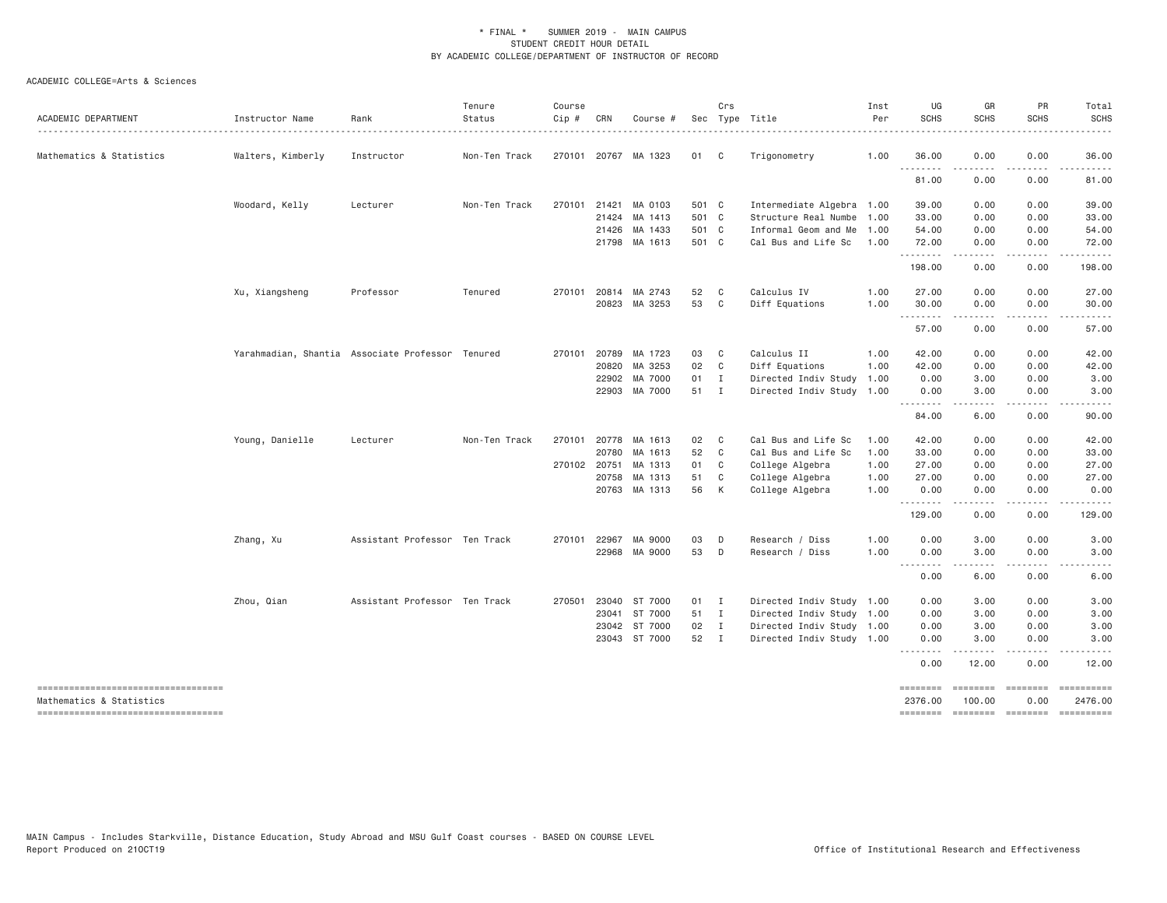| ACADEMIC DEPARTMENT                                            | Instructor Name   | Rank                                             | Tenure<br>Status | Course<br>Cip# | CRN          | Course #             |       | Crs          | Sec Type Title            | Inst<br>Per | UG<br><b>SCHS</b>   | GR<br><b>SCHS</b>                                                                                                                                            | PR<br><b>SCHS</b>                                                                                                                 | Total<br><b>SCHS</b>  |
|----------------------------------------------------------------|-------------------|--------------------------------------------------|------------------|----------------|--------------|----------------------|-------|--------------|---------------------------|-------------|---------------------|--------------------------------------------------------------------------------------------------------------------------------------------------------------|-----------------------------------------------------------------------------------------------------------------------------------|-----------------------|
| Mathematics & Statistics                                       | Walters, Kimberly | Instructor                                       | Non-Ten Track    |                |              | 270101 20767 MA 1323 | 01    | $\mathbf{C}$ | Trigonometry              | 1.00        | 36.00               | 0.00                                                                                                                                                         | 0.00                                                                                                                              | 36.00                 |
|                                                                |                   |                                                  |                  |                |              |                      |       |              |                           |             | .<br>81.00          | 0.00                                                                                                                                                         | 0.00                                                                                                                              | 81.00                 |
|                                                                | Woodard, Kelly    | Lecturer                                         | Non-Ten Track    |                | 270101 21421 | MA 0103              | 501 C |              | Intermediate Algebra 1.00 |             | 39.00               | 0.00                                                                                                                                                         | 0.00                                                                                                                              | 39.00                 |
|                                                                |                   |                                                  |                  |                | 21424        | MA 1413              | 501 C |              | Structure Real Numbe 1.00 |             | 33.00               | 0.00                                                                                                                                                         | 0.00                                                                                                                              | 33.00                 |
|                                                                |                   |                                                  |                  |                | 21426        | MA 1433              | 501 C |              | Informal Geom and Me      | 1.00        | 54.00               | 0.00                                                                                                                                                         | 0.00                                                                                                                              | 54.00                 |
|                                                                |                   |                                                  |                  |                |              | 21798 MA 1613        | 501 C |              | Cal Bus and Life Sc       | 1.00        | 72.00<br>.          | 0.00                                                                                                                                                         | 0.00                                                                                                                              | 72.00<br>.            |
|                                                                |                   |                                                  |                  |                |              |                      |       |              |                           |             | 198.00              | 0.00                                                                                                                                                         | 0.00                                                                                                                              | 198.00                |
|                                                                | Xu, Xiangsheng    | Professor                                        | Tenured          |                | 270101 20814 | MA 2743              | 52 C  |              | Calculus IV               | 1.00        | 27.00               | 0.00                                                                                                                                                         | 0.00                                                                                                                              | 27.00                 |
|                                                                |                   |                                                  |                  |                |              | 20823 MA 3253        | 53    | $\mathbf{C}$ | Diff Equations            | 1.00        | 30.00<br>.          | 0.00<br>.                                                                                                                                                    | 0.00<br>$\frac{1}{2} \left( \frac{1}{2} \right) \left( \frac{1}{2} \right) \left( \frac{1}{2} \right) \left( \frac{1}{2} \right)$ | 30.00                 |
|                                                                |                   |                                                  |                  |                |              |                      |       |              |                           |             | 57.00               | 0.00                                                                                                                                                         | 0.00                                                                                                                              | 57.00                 |
|                                                                |                   | Yarahmadian, Shantia Associate Professor Tenured |                  |                | 270101 20789 | MA 1723              | 03    | $\mathbf{C}$ | Calculus II               | 1.00        | 42.00               | 0.00                                                                                                                                                         | 0.00                                                                                                                              | 42.00                 |
|                                                                |                   |                                                  |                  |                | 20820        | MA 3253              | 02 C  |              | Diff Equations            | 1.00        | 42.00               | 0.00                                                                                                                                                         | 0.00                                                                                                                              | 42.00                 |
|                                                                |                   |                                                  |                  |                | 22902        | MA 7000              | 01    | $\mathbf{I}$ | Directed Indiv Study      | 1.00        | 0.00                | 3.00                                                                                                                                                         | 0.00                                                                                                                              | 3.00                  |
|                                                                |                   |                                                  |                  |                |              | 22903 MA 7000        | 51 I  |              | Directed Indiv Study 1.00 |             | 0.00                | 3.00                                                                                                                                                         | 0.00                                                                                                                              | 3.00                  |
|                                                                |                   |                                                  |                  |                |              |                      |       |              |                           |             | ---------<br>84.00  | <u>.</u><br>6.00                                                                                                                                             | .<br>0.00                                                                                                                         | .<br>90.00            |
|                                                                | Young, Danielle   | Lecturer                                         | Non-Ten Track    |                | 270101 20778 | MA 1613              | 02 C  |              | Cal Bus and Life Sc       | 1.00        | 42.00               | 0.00                                                                                                                                                         | 0.00                                                                                                                              | 42.00                 |
|                                                                |                   |                                                  |                  |                | 20780        | MA 1613              | 52    | $\mathbf{C}$ | Cal Bus and Life Sc       | 1.00        | 33.00               | 0.00                                                                                                                                                         | 0.00                                                                                                                              | 33.00                 |
|                                                                |                   |                                                  |                  |                | 270102 20751 | MA 1313              | 01 C  |              | College Algebra           | 1.00        | 27.00               | 0.00                                                                                                                                                         | 0.00                                                                                                                              | 27.00                 |
|                                                                |                   |                                                  |                  |                | 20758        | MA 1313              | 51    | C            | College Algebra           | 1.00        | 27.00               | 0.00                                                                                                                                                         | 0.00                                                                                                                              | 27.00                 |
|                                                                |                   |                                                  |                  |                |              | 20763 MA 1313        | 56    | K            | College Algebra           | 1.00        | 0.00<br>.           | 0.00<br>.                                                                                                                                                    | 0.00<br>$\cdots$                                                                                                                  | 0.00<br>.             |
|                                                                |                   |                                                  |                  |                |              |                      |       |              |                           |             | 129.00              | 0.00                                                                                                                                                         | 0.00                                                                                                                              | 129.00                |
|                                                                | Zhang, Xu         | Assistant Professor Ten Track                    |                  |                | 270101 22967 | MA 9000              | 03    | D            | Research / Diss           | 1.00        | 0.00                | 3.00                                                                                                                                                         | 0.00                                                                                                                              | 3.00                  |
|                                                                |                   |                                                  |                  |                |              | 22968 MA 9000        | 53 D  |              | Research / Diss           | 1.00        | 0.00                | 3.00<br>$\frac{1}{2} \left( \frac{1}{2} \right) \left( \frac{1}{2} \right) \left( \frac{1}{2} \right) \left( \frac{1}{2} \right) \left( \frac{1}{2} \right)$ | 0.00<br>.                                                                                                                         | 3.00<br>. <b>.</b>    |
|                                                                |                   |                                                  |                  |                |              |                      |       |              |                           |             | .<br>0.00           | 6.00                                                                                                                                                         | 0.00                                                                                                                              | 6.00                  |
|                                                                | Zhou, Qian        | Assistant Professor Ten Track                    |                  |                | 270501 23040 | ST 7000              | 01 I  |              | Directed Indiv Study 1.00 |             | 0.00                | 3.00                                                                                                                                                         | 0.00                                                                                                                              | 3.00                  |
|                                                                |                   |                                                  |                  |                | 23041        | ST 7000              | 51 I  |              | Directed Indiv Study 1.00 |             | 0.00                | 3.00                                                                                                                                                         | 0.00                                                                                                                              | 3.00                  |
|                                                                |                   |                                                  |                  |                | 23042        | ST 7000              | 02 I  |              | Directed Indiv Study 1.00 |             | 0.00                | 3.00                                                                                                                                                         | 0.00                                                                                                                              | 3.00                  |
|                                                                |                   |                                                  |                  |                |              | 23043 ST 7000        | 52 I  |              | Directed Indiv Study 1.00 |             | 0.00<br>.           | 3.00<br>$\frac{1}{2} \left( \frac{1}{2} \right) \left( \frac{1}{2} \right) \left( \frac{1}{2} \right) \left( \frac{1}{2} \right) \left( \frac{1}{2} \right)$ | 0.00<br>.                                                                                                                         | 3.00<br>$- - - - -$   |
|                                                                |                   |                                                  |                  |                |              |                      |       |              |                           |             | 0.00                | 12.00                                                                                                                                                        | 0.00                                                                                                                              | 12.00                 |
| ----------------------------------<br>Mathematics & Statistics |                   |                                                  |                  |                |              |                      |       |              |                           |             | ========<br>2376.00 | ========<br>100.00                                                                                                                                           | $= 222222222$<br>0.00                                                                                                             | ==========<br>2476.00 |
| ----------------------------------                             |                   |                                                  |                  |                |              |                      |       |              |                           |             | ========            | <b>EDESSER</b>                                                                                                                                               | $=$ ========                                                                                                                      |                       |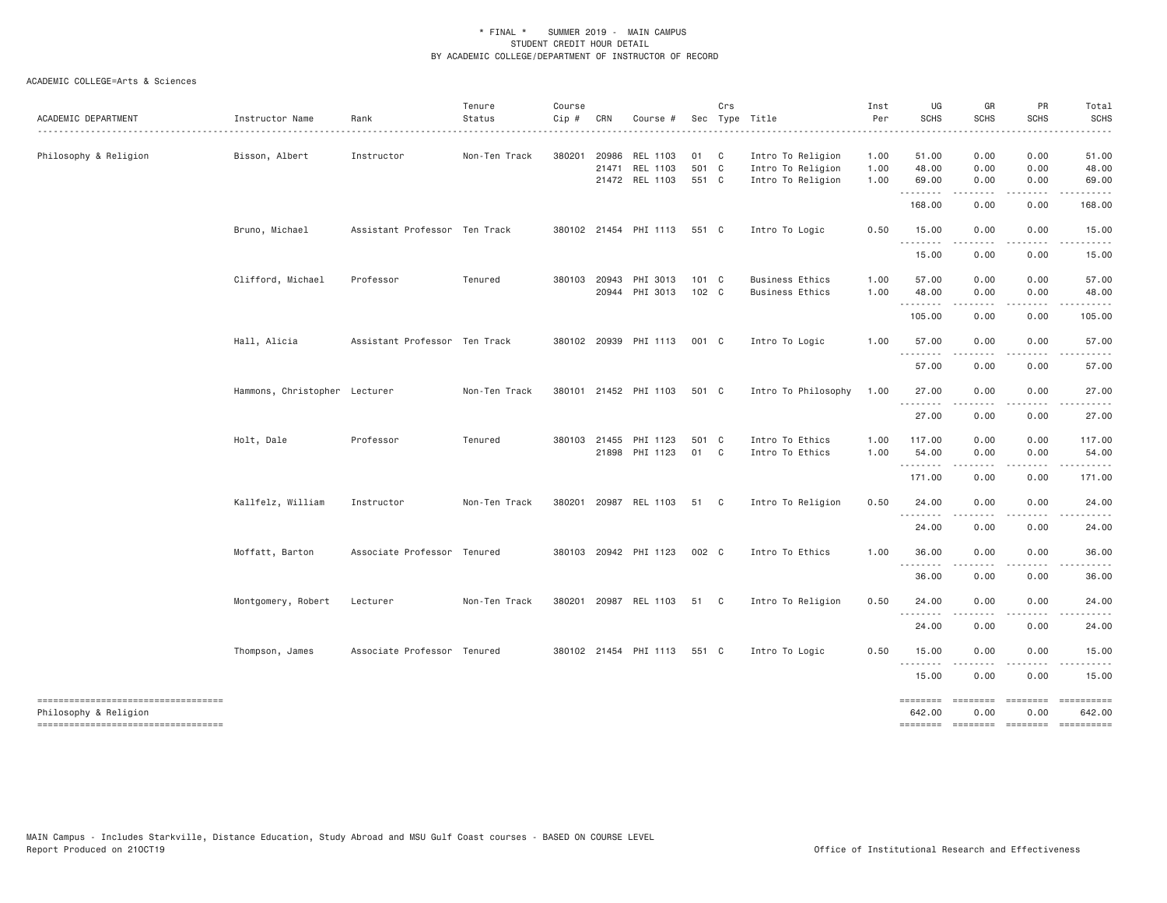| ACADEMIC DEPARTMENT                                                                                | Instructor Name               | Rank<br>.                     | Tenure<br>Status | Course<br>Cip # | CRN          | Course #                                     |                        | Crs | Sec Type Title                                              | Inst<br>Per          | UG<br><b>SCHS</b>              | GR<br>SCHS                    | PR<br><b>SCHS</b>                                        | Total<br><b>SCHS</b><br>. |
|----------------------------------------------------------------------------------------------------|-------------------------------|-------------------------------|------------------|-----------------|--------------|----------------------------------------------|------------------------|-----|-------------------------------------------------------------|----------------------|--------------------------------|-------------------------------|----------------------------------------------------------|---------------------------|
| Philosophy & Religion                                                                              | Bisson, Albert                | Instructor                    | Non-Ten Track    | 380201          | 20986        | REL 1103<br>21471 REL 1103<br>21472 REL 1103 | 01 C<br>501 C<br>551 C |     | Intro To Religion<br>Intro To Religion<br>Intro To Religion | 1.00<br>1.00<br>1.00 | 51.00<br>48.00<br>69.00        | 0.00<br>0.00<br>0.00          | 0.00<br>0.00<br>0.00                                     | 51.00<br>48.00<br>69.00   |
|                                                                                                    |                               |                               |                  |                 |              |                                              |                        |     |                                                             |                      | <u>.</u><br>168.00             | 0.00                          | 0.00                                                     | 168.00                    |
|                                                                                                    | Bruno, Michael                | Assistant Professor Ten Track |                  |                 |              | 380102 21454 PHI 1113 551 C                  |                        |     | Intro To Logic                                              | 0.50                 | 15.00<br>.                     | 0.00<br>.                     | 0.00<br>.                                                | 15.00                     |
|                                                                                                    |                               |                               |                  |                 |              |                                              |                        |     |                                                             |                      | 15.00                          | 0.00                          | 0.00                                                     | 15.00                     |
|                                                                                                    | Clifford, Michael             | Professor                     | Tenured          | 380103 20943    |              | PHI 3013<br>20944 PHI 3013                   | 101 C<br>102 C         |     | <b>Business Ethics</b><br><b>Business Ethics</b>            | 1.00<br>1.00         | 57.00<br>48.00                 | 0.00<br>0.00<br>.             | 0.00<br>0.00<br>.                                        | 57.00<br>48.00<br>.       |
|                                                                                                    |                               |                               |                  |                 |              |                                              |                        |     |                                                             |                      | 105.00                         | 0.00                          | 0.00                                                     | 105.00                    |
|                                                                                                    | Hall, Alicia                  | Assistant Professor Ten Track |                  |                 |              | 380102 20939 PHI 1113                        | 001 C                  |     | Intro To Logic                                              | 1.00                 | 57.00<br><u>.</u>              | 0.00                          | 0.00                                                     | 57.00                     |
|                                                                                                    |                               |                               |                  |                 |              |                                              |                        |     |                                                             |                      | 57.00                          | 0.00                          | 0.00                                                     | 57.00                     |
|                                                                                                    | Hammons, Christopher Lecturer |                               | Non-Ten Track    |                 |              | 380101 21452 PHI 1103                        | 501 C                  |     | Intro To Philosophy                                         | 1.00                 | 27.00<br>.                     | 0.00                          | 0.00                                                     | 27.00                     |
|                                                                                                    |                               |                               |                  |                 |              |                                              |                        |     |                                                             |                      | 27.00                          | 0.00                          | 0.00                                                     | 27.00                     |
|                                                                                                    | Holt, Dale                    | Professor                     | Tenured          |                 | 380103 21455 | PHI 1123<br>21898 PHI 1123                   | 501 C<br>01 C          |     | Intro To Ethics<br>Intro To Ethics                          | 1.00<br>1.00         | 117.00<br>54.00<br>.           | 0.00<br>0.00<br>$\frac{1}{2}$ | 0.00<br>0.00                                             | 117.00<br>54.00           |
|                                                                                                    |                               |                               |                  |                 |              |                                              |                        |     |                                                             |                      | 171.00                         | 0.00                          | 0.00                                                     | 171.00                    |
|                                                                                                    | Kallfelz, William             | Instructor                    | Non-Ten Track    |                 |              | 380201 20987 REL 1103                        | 51 C                   |     | Intro To Religion                                           | 0.50                 | 24.00<br>.                     | 0.00                          | 0.00                                                     | 24.00                     |
|                                                                                                    |                               |                               |                  |                 |              |                                              |                        |     |                                                             |                      | 24.00                          | 0.00                          | 0.00                                                     | 24.00                     |
|                                                                                                    | Moffatt, Barton               | Associate Professor Tenured   |                  |                 |              | 380103 20942 PHI 1123                        | 002 C                  |     | Intro To Ethics                                             | 1.00                 | 36.00<br>.                     | 0.00                          | 0.00                                                     | 36.00                     |
|                                                                                                    |                               |                               |                  |                 |              |                                              |                        |     |                                                             |                      | 36.00                          | 0.00                          | 0.00                                                     | 36.00                     |
|                                                                                                    | Montgomery, Robert            | Lecturer                      | Non-Ten Track    |                 |              | 380201 20987 REL 1103                        | 51 C                   |     | Intro To Religion                                           | 0.50                 | 24.00                          | 0.00                          | 0.00                                                     | 24.00                     |
|                                                                                                    |                               |                               |                  |                 |              |                                              |                        |     |                                                             |                      | 24.00                          | 0.00                          | 0.00                                                     | 24.00                     |
|                                                                                                    | Thompson, James               | Associate Professor Tenured   |                  |                 |              | 380102 21454 PHI 1113                        | 551 C                  |     | Intro To Logic                                              | 0.50                 | 15.00<br><u>.</u>              | 0.00                          | 0.00                                                     | 15.00                     |
|                                                                                                    |                               |                               |                  |                 |              |                                              |                        |     |                                                             |                      | 15.00                          | 0.00                          | 0.00                                                     | 15.00                     |
| -----------------------------------<br>Philosophy & Religion<br>---------------------------------- |                               |                               |                  |                 |              |                                              |                        |     |                                                             |                      | ========<br>642.00<br>======== | ========<br>0.00              | -------- ---------<br>0.00<br>-------- ------- --------- | 642.00                    |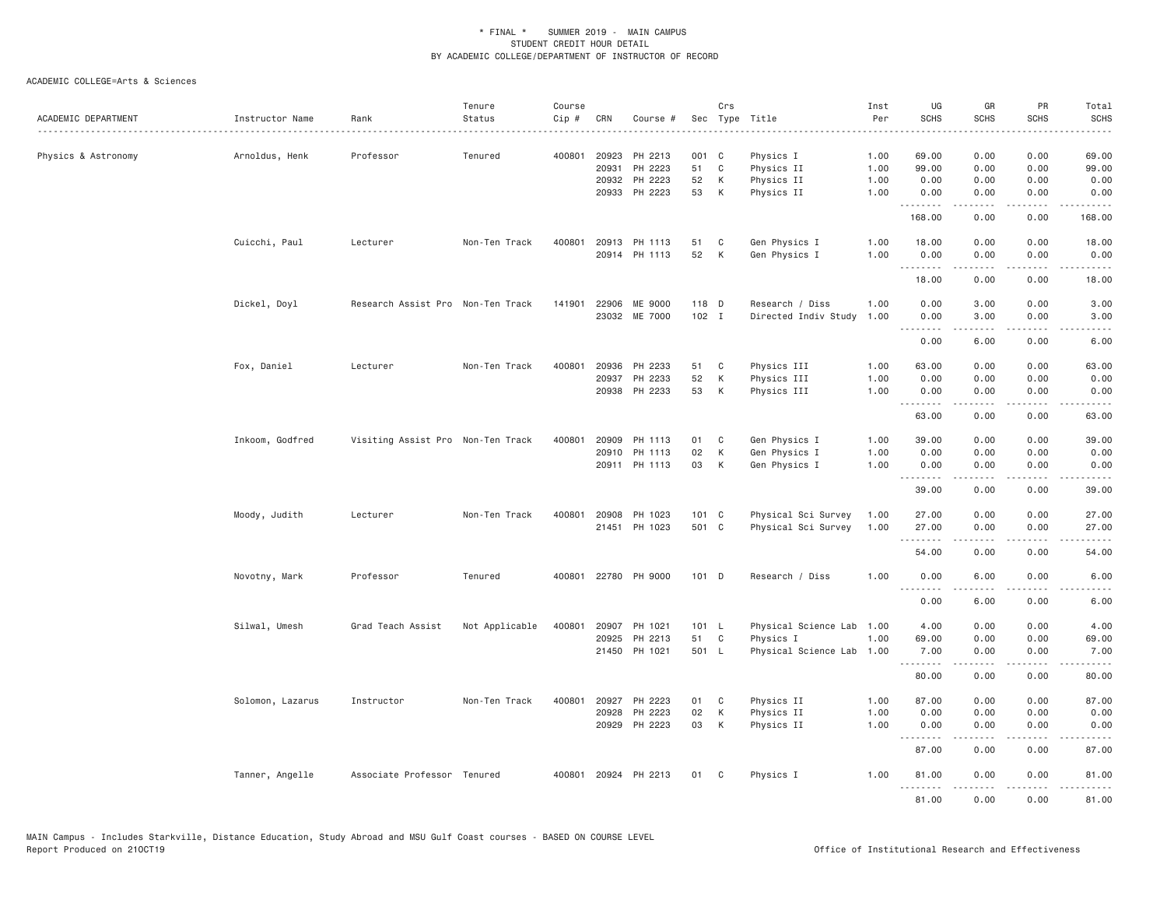| ACADEMIC DEPARTMENT | Instructor Name  | Rank                              | Tenure<br>Status | Course<br>$Cip \#$ | CRN   | Course #             |       | Crs          | Sec Type Title            | Inst<br>Per | UG<br><b>SCHS</b>  | GR<br><b>SCHS</b> | PR<br><b>SCHS</b>                   | Total<br>SCHS<br>.                                                                                                                                           |
|---------------------|------------------|-----------------------------------|------------------|--------------------|-------|----------------------|-------|--------------|---------------------------|-------------|--------------------|-------------------|-------------------------------------|--------------------------------------------------------------------------------------------------------------------------------------------------------------|
| Physics & Astronomy | Arnoldus, Henk   | Professor                         | Tenured          |                    |       | 400801 20923 PH 2213 | 001 C |              | Physics I                 | 1.00        | 69.00              | 0.00              | 0.00                                | 69.00                                                                                                                                                        |
|                     |                  |                                   |                  |                    | 20931 | PH 2223              | 51    | $\mathbb C$  | Physics II                | 1.00        | 99.00              | 0.00              | 0.00                                | 99.00                                                                                                                                                        |
|                     |                  |                                   |                  |                    | 20932 | PH 2223              | 52    | K            | Physics II                | 1.00        | 0.00               | 0.00              | 0.00                                | 0.00                                                                                                                                                         |
|                     |                  |                                   |                  |                    |       | 20933 PH 2223        | 53    | K            | Physics II                | 1.00        | 0.00<br>.          | 0.00<br>.         | 0.00<br>.                           | 0.00<br>.                                                                                                                                                    |
|                     |                  |                                   |                  |                    |       |                      |       |              |                           |             | 168.00             | 0.00              | 0.00                                | 168.00                                                                                                                                                       |
|                     | Cuicchi, Paul    | Lecturer                          | Non-Ten Track    | 400801             |       | 20913 PH 1113        | 51    | C            | Gen Physics I             | 1.00        | 18.00              | 0.00              | 0.00                                | 18.00                                                                                                                                                        |
|                     |                  |                                   |                  |                    |       | 20914 PH 1113        | 52    | К            | Gen Physics I             | 1.00        | 0.00               | 0.00<br>.         | 0.00<br>.                           | 0.00<br>وبالمستريث                                                                                                                                           |
|                     |                  |                                   |                  |                    |       |                      |       |              |                           |             | 18.00              | 0.00              | 0.00                                | 18.00                                                                                                                                                        |
|                     | Dickel, Doyl     | Research Assist Pro Non-Ten Track |                  | 141901             |       | 22906 ME 9000        | 118 D |              | Research / Diss           | 1.00        | 0.00               | 3.00              | 0.00                                | 3.00                                                                                                                                                         |
|                     |                  |                                   |                  |                    |       | 23032 ME 7000        | 102 I |              | Directed Indiv Study      | 1.00        | 0.00               | 3.00              | 0.00                                | 3.00                                                                                                                                                         |
|                     |                  |                                   |                  |                    |       |                      |       |              |                           |             | 0.00               | -----<br>6.00     | .<br>0.00                           | وبالمستريث<br>6.00                                                                                                                                           |
|                     | Fox, Daniel      | Lecturer                          | Non-Ten Track    | 400801             |       | 20936 PH 2233        | 51    | C            | Physics III               | 1.00        | 63.00              | 0.00              | 0.00                                | 63.00                                                                                                                                                        |
|                     |                  |                                   |                  |                    |       | 20937 PH 2233        | 52    | К            | Physics III               | 1.00        | 0.00               | 0.00              | 0.00                                | 0.00                                                                                                                                                         |
|                     |                  |                                   |                  |                    |       | 20938 PH 2233        | 53    | K            | Physics III               | 1.00        | 0.00<br>.          | 0.00              | 0.00<br>$- - - -$                   | 0.00<br>$\frac{1}{2}$                                                                                                                                        |
|                     |                  |                                   |                  |                    |       |                      |       |              |                           |             | 63.00              | 0.00              | 0.00                                | 63.00                                                                                                                                                        |
|                     | Inkoom, Godfred  | Visiting Assist Pro Non-Ten Track |                  | 400801             | 20909 | PH 1113              | 01    | C            | Gen Physics I             | 1.00        | 39.00              | 0.00              | 0.00                                | 39.00                                                                                                                                                        |
|                     |                  |                                   |                  |                    |       | 20910 PH 1113        | 02    | K            | Gen Physics I             | 1.00        | 0.00               | 0.00              | 0.00                                | 0.00                                                                                                                                                         |
|                     |                  |                                   |                  |                    |       | 20911 PH 1113        | 03    | K            | Gen Physics I             | 1.00        | 0.00<br>.          | 0.00<br>.         | 0.00<br>$\frac{1}{2}$               | 0.00<br>$\frac{1}{2}$                                                                                                                                        |
|                     |                  |                                   |                  |                    |       |                      |       |              |                           |             | 39.00              | 0.00              | 0.00                                | 39.00                                                                                                                                                        |
|                     | Moody, Judith    | Lecturer                          | Non-Ten Track    |                    |       | 400801 20908 PH 1023 | 101 C |              | Physical Sci Survey       | 1.00        | 27.00              | 0.00              | 0.00                                | 27.00                                                                                                                                                        |
|                     |                  |                                   |                  |                    |       | 21451 PH 1023        | 501 C |              | Physical Sci Survey       | 1.00        | 27.00              | 0.00              | 0.00                                | 27.00                                                                                                                                                        |
|                     |                  |                                   |                  |                    |       |                      |       |              |                           |             | <u>.</u><br>54.00  | 0.00              | $\sim$ $\sim$ $\sim$ $\sim$<br>0.00 | 54.00                                                                                                                                                        |
|                     | Novotny, Mark    | Professor                         | Tenured          |                    |       | 400801 22780 PH 9000 | 101 D |              | Research / Diss           | 1.00        | 0.00<br>.          | 6.00<br>.         | 0.00<br>.                           | 6.00<br>$\frac{1}{2} \left( \frac{1}{2} \right) \left( \frac{1}{2} \right) \left( \frac{1}{2} \right) \left( \frac{1}{2} \right) \left( \frac{1}{2} \right)$ |
|                     |                  |                                   |                  |                    |       |                      |       |              |                           |             | 0.00               | 6.00              | 0.00                                | 6.00                                                                                                                                                         |
|                     | Silwal, Umesh    | Grad Teach Assist                 | Not Applicable   | 400801             | 20907 | PH 1021              | 101 L |              | Physical Science Lab 1.00 |             | 4.00               | 0.00              | 0.00                                | 4.00                                                                                                                                                         |
|                     |                  |                                   |                  |                    | 20925 | PH 2213              | 51    | $\mathbf{C}$ | Physics I                 | 1.00        | 69.00              | 0.00              | 0.00                                | 69.00                                                                                                                                                        |
|                     |                  |                                   |                  |                    |       | 21450 PH 1021        | 501 L |              | Physical Science Lab 1.00 |             | 7.00<br><u>.</u>   | 0.00<br>.         | 0.00<br>.                           | 7.00<br>.                                                                                                                                                    |
|                     |                  |                                   |                  |                    |       |                      |       |              |                           |             | 80.00              | 0.00              | 0.00                                | 80.00                                                                                                                                                        |
|                     | Solomon, Lazarus | Instructor                        | Non-Ten Track    | 400801             |       | 20927 PH 2223        | 01    | C            | Physics II                | 1.00        | 87.00              | 0.00              | 0.00                                | 87.00                                                                                                                                                        |
|                     |                  |                                   |                  |                    | 20928 | PH 2223              | 02    | K            | Physics II                | 1.00        | 0.00               | 0.00              | 0.00                                | 0.00                                                                                                                                                         |
|                     |                  |                                   |                  |                    |       | 20929 PH 2223        | 03    | K            | Physics II                | 1.00        | 0.00<br>. <i>.</i> | 0.00<br>.         | 0.00<br>$- - - -$                   | 0.00<br>-----                                                                                                                                                |
|                     |                  |                                   |                  |                    |       |                      |       |              |                           |             | 87.00              | 0.00              | 0.00                                | 87.00                                                                                                                                                        |
|                     | Tanner, Angelle  | Associate Professor Tenured       |                  |                    |       | 400801 20924 PH 2213 | 01 C  |              | Physics I                 | 1.00        | 81.00<br>.         | 0.00<br><b>.</b>  | 0.00<br>.                           | 81.00<br><u>.</u>                                                                                                                                            |
|                     |                  |                                   |                  |                    |       |                      |       |              |                           |             | 81.00              | 0.00              | 0.00                                | 81.00                                                                                                                                                        |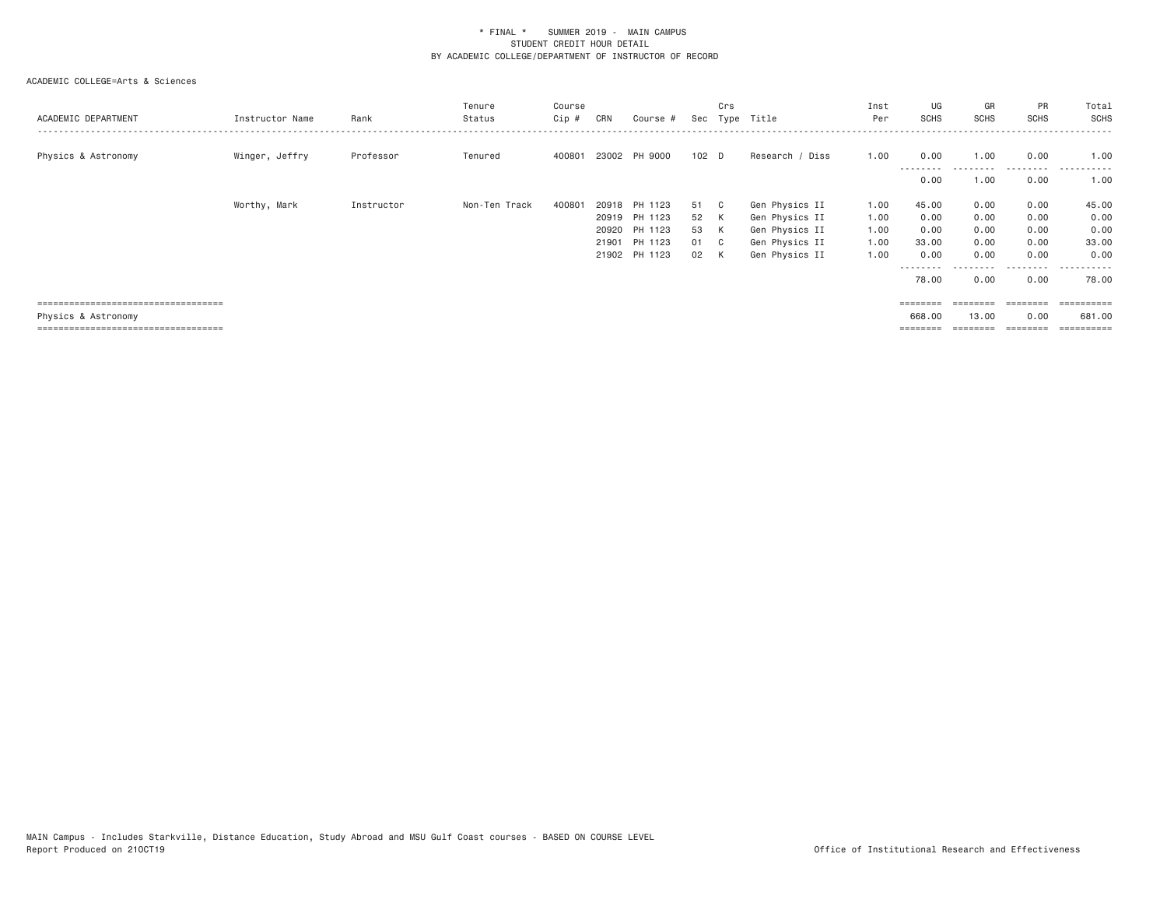| ACADEMIC DEPARTMENT                   | Instructor Name | Rank       | Tenure<br>Status | Course<br>$Cip$ # | CRN | Course #                       |          | Crs    | Sec Type Title                   | Inst<br>Per  | UG<br>SCHS         | GR<br>SCHS   | PR<br><b>SCHS</b> | Total<br>SCHS                    |
|---------------------------------------|-----------------|------------|------------------|-------------------|-----|--------------------------------|----------|--------|----------------------------------|--------------|--------------------|--------------|-------------------|----------------------------------|
| Physics & Astronomy                   | Winger, Jeffry  | Professor  | Tenured          | 400801            |     | 23002 PH 9000                  | 102 D    |        | Research / Diss                  | 1.00         | 0.00<br>---------  | 1.00         | 0.00              | 1.00<br>.                        |
|                                       |                 |            |                  |                   |     |                                |          |        |                                  |              | 0.00               | 1,00         | 0.00              | 1.00                             |
|                                       | Worthy, Mark    | Instructor | Non-Ten Track    | 400801            |     | 20918 PH 1123                  | 51       |        | Gen Physics II                   | 1.00         | 45.00              | 0.00         | 0.00              | 45.00                            |
|                                       |                 |            |                  |                   |     | 20919 PH 1123<br>20920 PH 1123 | 52<br>53 | K<br>K | Gen Physics II<br>Gen Physics II | 1.00<br>1.00 | 0.00<br>0.00       | 0.00<br>0.00 | 0.00<br>0.00      | 0.00<br>0.00                     |
|                                       |                 |            |                  |                   |     | 21901 PH 1123                  | 01 C     |        | Gen Physics II                   | 1.00         | 33.00              | 0.00         | 0.00              | 33.00                            |
|                                       |                 |            |                  |                   |     | 21902 PH 1123                  | 02 K     |        | Gen Physics II                   | 1.00         | 0.00               | 0.00         | 0.00              | 0.00                             |
|                                       |                 |            |                  |                   |     |                                |          |        |                                  |              | ---------<br>78.00 | 0.00         | 0.00              | . <u>.</u> .<br>$- - -$<br>78.00 |
| ===================================== |                 |            |                  |                   |     |                                |          |        |                                  |              | ========           | ========     |                   | ==========                       |
| Physics & Astronomy                   |                 |            |                  |                   |     |                                |          |        |                                  |              | 668,00             | 13,00        | 0.00              | 681,00                           |
| ====================================  |                 |            |                  |                   |     |                                |          |        |                                  |              |                    | ========     | ========          | ==========                       |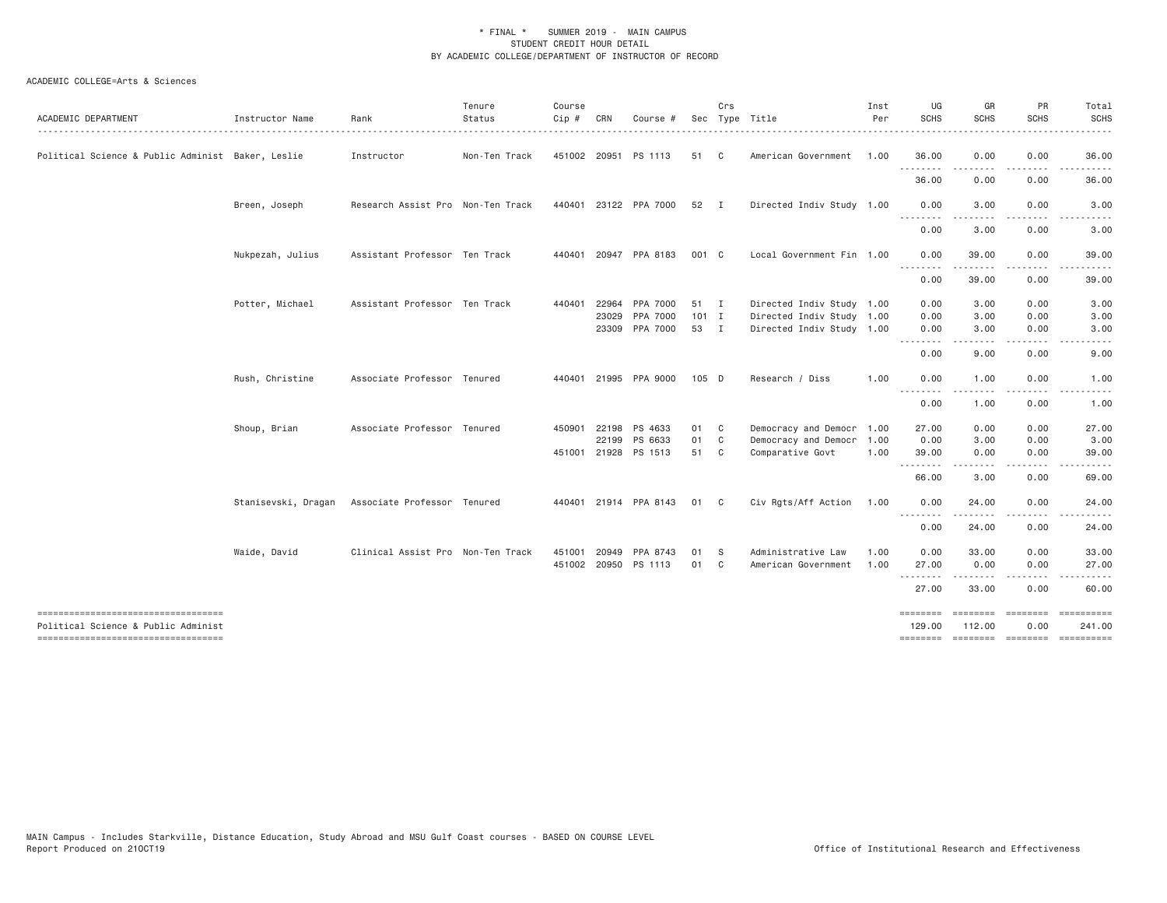| ACADEMIC DEPARTMENT                                                       | Instructor Name     | Rank                              | Tenure<br>Status | Course<br>Cip # | CRN            | Course #                               |                         | Crs            | Sec Type Title                                                                      | Inst<br>Per | UG<br><b>SCHS</b>                                                                                                                                 | GR<br>SCHS                      | PR<br><b>SCHS</b>    | Total<br><b>SCHS</b> |
|---------------------------------------------------------------------------|---------------------|-----------------------------------|------------------|-----------------|----------------|----------------------------------------|-------------------------|----------------|-------------------------------------------------------------------------------------|-------------|---------------------------------------------------------------------------------------------------------------------------------------------------|---------------------------------|----------------------|----------------------|
| Political Science & Public Administ Baker, Leslie                         |                     | Instructor                        | Non-Ten Track    |                 |                | 451002 20951 PS 1113                   | 51                      | C.             | American Government                                                                 | 1.00        | 36.00                                                                                                                                             | 0.00                            | 0.00                 | 36.00                |
|                                                                           |                     |                                   |                  |                 |                |                                        |                         |                |                                                                                     |             | .<br>36.00                                                                                                                                        | 0.00                            | 0.00                 | 36.00                |
|                                                                           | Breen, Joseph       | Research Assist Pro Non-Ten Track |                  |                 |                | 440401 23122 PPA 7000                  | 52 I                    |                | Directed Indiv Study 1.00                                                           |             | 0.00                                                                                                                                              | 3,00                            | 0.00                 | 3.00                 |
|                                                                           |                     |                                   |                  |                 |                |                                        |                         |                |                                                                                     |             | .<br>0.00                                                                                                                                         | $\cdots$<br>3.00                | .<br>0.00            | 3.00                 |
|                                                                           | Nukpezah, Julius    | Assistant Professor Ten Track     |                  |                 |                | 440401 20947 PPA 8183                  | 001 C                   |                | Local Government Fin 1.00                                                           |             | 0.00<br>.                                                                                                                                         | 39.00                           | 0.00<br>$\cdots$     | 39.00                |
|                                                                           |                     |                                   |                  |                 |                |                                        |                         |                |                                                                                     |             | 0.00                                                                                                                                              | 39.00                           | 0.00                 | 39.00                |
|                                                                           | Potter, Michael     | Assistant Professor Ten Track     |                  | 440401          | 22964<br>23029 | PPA 7000<br>PPA 7000<br>23309 PPA 7000 | 51 I<br>$101$ I<br>53 I |                | Directed Indiv Study 1.00<br>Directed Indiv Study 1.00<br>Directed Indiv Study 1.00 |             | 0.00<br>0.00<br>0.00<br>$\frac{1}{2} \left( \frac{1}{2} \right) \left( \frac{1}{2} \right) \left( \frac{1}{2} \right) \left( \frac{1}{2} \right)$ | 3.00<br>3.00<br>3.00<br>- - - - | 0.00<br>0.00<br>0.00 | 3.00<br>3.00<br>3.00 |
|                                                                           |                     |                                   |                  |                 |                |                                        |                         |                |                                                                                     |             | 0.00                                                                                                                                              | 9.00                            | 0.00                 | 9.00                 |
|                                                                           | Rush, Christine     | Associate Professor Tenured       |                  |                 |                | 440401 21995 PPA 9000                  | 105 D                   |                | Research / Diss                                                                     | 1.00        | 0.00<br><u> - - - - - - - -</u>                                                                                                                   | 1.00                            | 0.00                 | 1.00                 |
|                                                                           |                     |                                   |                  |                 |                |                                        |                         |                |                                                                                     |             | 0.00                                                                                                                                              | 1.00                            | 0.00                 | 1.00                 |
|                                                                           | Shoup, Brian        | Associate Professor Tenured       |                  | 450901          | 22198          | PS 4633                                | 01                      | $\overline{c}$ | Democracy and Democr 1.00                                                           |             | 27.00                                                                                                                                             | 0.00                            | 0.00                 | 27.00                |
|                                                                           |                     |                                   |                  |                 |                | 22199 PS 6633                          | 01                      | C              | Democracy and Democr 1.00                                                           |             | 0.00                                                                                                                                              | 3.00                            | 0.00                 | 3.00                 |
|                                                                           |                     |                                   |                  |                 |                | 451001 21928 PS 1513                   | 51                      | $\mathbf{C}$   | Comparative Govt                                                                    | 1.00        | 39.00<br>.                                                                                                                                        | 0.00                            | 0.00                 | 39.00                |
|                                                                           |                     |                                   |                  |                 |                |                                        |                         |                |                                                                                     |             | 66.00                                                                                                                                             | 3.00                            | 0.00                 | 69.00                |
|                                                                           | Stanisevski, Dragan | Associate Professor Tenured       |                  |                 |                | 440401 21914 PPA 8143                  | 01 C                    |                | Civ Rgts/Aff Action                                                                 | 1.00        | 0.00<br><u>.</u>                                                                                                                                  | 24.00<br>.                      | 0.00<br>.            | 24.00                |
|                                                                           |                     |                                   |                  |                 |                |                                        |                         |                |                                                                                     |             | 0.00                                                                                                                                              | 24.00                           | 0.00                 | 24.00                |
|                                                                           | Waide, David        | Clinical Assist Pro Non-Ten Track |                  | 451001 20949    |                | PPA 8743                               | 01                      | <b>S</b>       | Administrative Law                                                                  | 1.00        | 0.00                                                                                                                                              | 33.00                           | 0.00                 | 33.00                |
|                                                                           |                     |                                   |                  |                 |                | 451002 20950 PS 1113                   | 01                      | C              | American Government                                                                 | 1.00        | 27.00<br>.                                                                                                                                        | 0.00                            | 0.00                 | 27.00                |
|                                                                           |                     |                                   |                  |                 |                |                                        |                         |                |                                                                                     |             | 27.00                                                                                                                                             | 33.00                           | 0.00                 | 60.00                |
| ----------------------------------<br>Political Science & Public Administ |                     |                                   |                  |                 |                |                                        |                         |                |                                                                                     |             | ========<br>129.00                                                                                                                                | ========<br>112.00              | ========<br>0.00     | ----------<br>241.00 |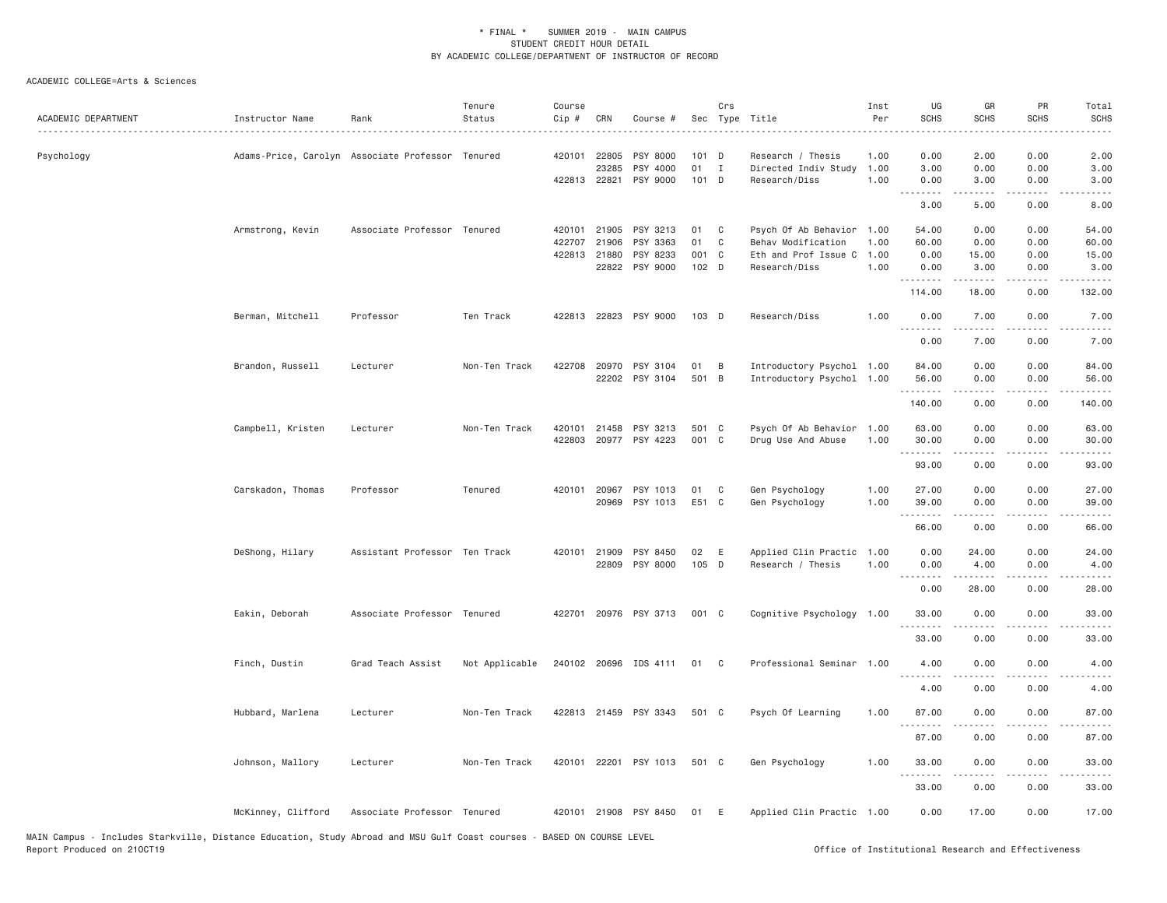| ACADEMIC DEPARTMENT | Instructor Name    | Rank                                             | Tenure<br>Status | Course<br>Cip # | CRN                                   | Course #                                           |                            | Crs                          | Sec Type Title                                                                           | Inst<br>Per          | UG<br><b>SCHS</b>                                                                                                                                                      | GR<br><b>SCHS</b>                                                                                                                                          | PR<br><b>SCHS</b>                 | Total<br><b>SCHS</b>                             |
|---------------------|--------------------|--------------------------------------------------|------------------|-----------------|---------------------------------------|----------------------------------------------------|----------------------------|------------------------------|------------------------------------------------------------------------------------------|----------------------|------------------------------------------------------------------------------------------------------------------------------------------------------------------------|------------------------------------------------------------------------------------------------------------------------------------------------------------|-----------------------------------|--------------------------------------------------|
| Psychology          |                    | Adams-Price, Carolyn Associate Professor Tenured |                  |                 | 420101 22805<br>23285<br>422813 22821 | PSY 8000<br>PSY 4000<br>PSY 9000                   | $101$ D<br>01<br>$101$ D   | $\mathbf I$                  | Research / Thesis<br>Directed Indiv Study<br>Research/Diss                               | 1.00<br>1.00<br>1.00 | 0.00<br>3.00<br>0.00                                                                                                                                                   | 2.00<br>0.00<br>3.00                                                                                                                                       | 0.00<br>0.00<br>0.00              | 2.00<br>3.00<br>3.00                             |
|                     |                    |                                                  |                  |                 |                                       |                                                    |                            |                              |                                                                                          |                      | .<br>3.00                                                                                                                                                              | $- - - - -$<br>5.00                                                                                                                                        | .<br>0.00                         | ----<br>8.00                                     |
|                     | Armstrong, Kevin   | Associate Professor Tenured                      |                  | 422707          | 420101 21905<br>21906<br>422813 21880 | PSY 3213<br>PSY 3363<br>PSY 8233<br>22822 PSY 9000 | 01<br>01<br>001 C<br>102 D | $\mathbb{C}$<br>$\mathbf{C}$ | Psych Of Ab Behavior 1.00<br>Behav Modification<br>Eth and Prof Issue C<br>Research/Diss | 1.00<br>1.00<br>1.00 | 54.00<br>60.00<br>0.00<br>0.00<br>.                                                                                                                                    | 0.00<br>0.00<br>15.00<br>3.00<br>$\begin{array}{cccccccccccccc} \bullet & \bullet & \bullet & \bullet & \bullet & \bullet & \bullet & \bullet \end{array}$ | 0.00<br>0.00<br>0.00<br>0.00<br>. | 54.00<br>60.00<br>15.00<br>3.00<br>$- - - - - -$ |
|                     |                    |                                                  |                  |                 |                                       |                                                    |                            |                              |                                                                                          |                      | 114.00                                                                                                                                                                 | 18.00                                                                                                                                                      | 0.00                              | 132.00                                           |
|                     | Berman, Mitchell   | Professor                                        | Ten Track        |                 |                                       | 422813 22823 PSY 9000                              | $103$ D                    |                              | Research/Diss                                                                            | 1.00                 | 0.00<br>.                                                                                                                                                              | 7.00<br>$- - - - -$                                                                                                                                        | 0.00<br>$\frac{1}{2}$             | 7.00<br>.                                        |
|                     | Brandon, Russell   | Lecturer                                         | Non-Ten Track    |                 |                                       | 422708 20970 PSY 3104<br>22202 PSY 3104            | 01<br>501 B                | B                            | Introductory Psychol 1.00<br>Introductory Psychol 1.00                                   |                      | 0.00<br>84.00<br>56.00                                                                                                                                                 | 7.00<br>0.00<br>0.00                                                                                                                                       | 0.00<br>0.00<br>0.00              | 7.00<br>84.00<br>56.00                           |
|                     |                    |                                                  |                  |                 |                                       |                                                    |                            |                              |                                                                                          |                      | .<br>140.00                                                                                                                                                            | $- - - - -$<br>0.00                                                                                                                                        | .<br>0.00                         | .<br>140.00                                      |
|                     | Campbell, Kristen  | Lecturer                                         | Non-Ten Track    |                 |                                       | 420101 21458 PSY 3213<br>422803 20977 PSY 4223     | 501 C<br>001 C             |                              | Psych Of Ab Behavior<br>Drug Use And Abuse                                               | 1.00<br>1.00         | 63.00<br>30.00<br>$\frac{1}{2} \left( \frac{1}{2} \right) \left( \frac{1}{2} \right) \left( \frac{1}{2} \right) \left( \frac{1}{2} \right) \left( \frac{1}{2} \right)$ | 0.00<br>0.00                                                                                                                                               | 0.00<br>0.00                      | 63.00<br>30.00                                   |
|                     |                    |                                                  |                  |                 |                                       |                                                    |                            |                              |                                                                                          |                      | 93.00                                                                                                                                                                  | 0.00                                                                                                                                                       | 0.00                              | 93.00                                            |
|                     | Carskadon, Thomas  | Professor                                        | Tenured          |                 | 420101 20967<br>20969                 | PSY 1013<br>PSY 1013                               | 01<br>E51 C                | C                            | Gen Psychology<br>Gen Psychology                                                         | 1.00<br>1.00         | 27.00<br>39.00<br>.                                                                                                                                                    | 0.00<br>0.00<br>-----                                                                                                                                      | 0.00<br>0.00                      | 27.00<br>39.00<br>.                              |
|                     |                    |                                                  |                  |                 |                                       |                                                    |                            |                              |                                                                                          |                      | 66.00                                                                                                                                                                  | 0.00                                                                                                                                                       | 0.00                              | 66.00                                            |
|                     | DeShong, Hilary    | Assistant Professor Ten Track                    |                  |                 | 420101 21909                          | PSY 8450<br>22809 PSY 8000                         | 02<br>105 D                | E                            | Applied Clin Practic 1.00<br>Research / Thesis                                           | 1.00                 | 0.00<br>0.00<br>.                                                                                                                                                      | 24.00<br>4.00<br>.                                                                                                                                         | 0.00<br>0.00<br>.                 | 24.00<br>4.00<br>.                               |
|                     |                    |                                                  |                  |                 |                                       |                                                    |                            |                              |                                                                                          |                      | 0.00                                                                                                                                                                   | 28.00                                                                                                                                                      | 0.00                              | 28.00                                            |
|                     | Eakin, Deborah     | Associate Professor Tenured                      |                  |                 |                                       | 422701 20976 PSY 3713                              | 001 C                      |                              | Cognitive Psychology 1.00                                                                |                      | 33.00<br>.                                                                                                                                                             | 0.00<br>$\frac{1}{2}$                                                                                                                                      | 0.00<br>.                         | 33.00<br>.                                       |
|                     |                    |                                                  |                  |                 |                                       |                                                    |                            |                              |                                                                                          |                      | 33.00                                                                                                                                                                  | 0.00                                                                                                                                                       | 0.00                              | 33.00                                            |
|                     | Finch, Dustin      | Grad Teach Assist                                | Not Applicable   |                 |                                       | 240102 20696 IDS 4111                              | 01                         | $\mathbf{C}$                 | Professional Seminar 1.00                                                                |                      | 4.00<br>.                                                                                                                                                              | 0.00<br><u>.</u>                                                                                                                                           | 0.00<br>$- - - -$                 | 4.00<br>$\cdots$                                 |
|                     |                    |                                                  |                  |                 |                                       |                                                    |                            |                              |                                                                                          |                      | 4.00                                                                                                                                                                   | 0.00                                                                                                                                                       | 0.00                              | 4.00                                             |
|                     | Hubbard, Marlena   | Lecturer                                         | Non-Ten Track    |                 |                                       | 422813 21459 PSY 3343                              | 501 C                      |                              | Psych Of Learning                                                                        | 1.00                 | 87.00<br>.                                                                                                                                                             | 0.00<br>$- - - - -$                                                                                                                                        | 0.00<br>.                         | 87.00<br>.                                       |
|                     |                    |                                                  |                  |                 |                                       |                                                    |                            |                              |                                                                                          |                      | 87.00                                                                                                                                                                  | 0.00                                                                                                                                                       | 0.00                              | 87.00                                            |
|                     | Johnson, Mallory   | Lecturer                                         | Non-Ten Track    |                 |                                       | 420101 22201 PSY 1013                              | 501 C                      |                              | Gen Psychology                                                                           | 1.00                 | 33.00<br>.                                                                                                                                                             | 0.00<br>.                                                                                                                                                  | 0.00<br>$\frac{1}{2}$             | 33.00<br>.                                       |
|                     |                    |                                                  |                  |                 |                                       |                                                    |                            |                              |                                                                                          |                      | 33.00                                                                                                                                                                  | 0.00                                                                                                                                                       | 0.00                              | 33.00                                            |
|                     | McKinney, Clifford | Associate Professor Tenured                      |                  |                 |                                       | 420101 21908 PSY 8450                              | 01                         | E                            | Applied Clin Practic 1.00                                                                |                      | 0.00                                                                                                                                                                   | 17.00                                                                                                                                                      | 0.00                              | 17.00                                            |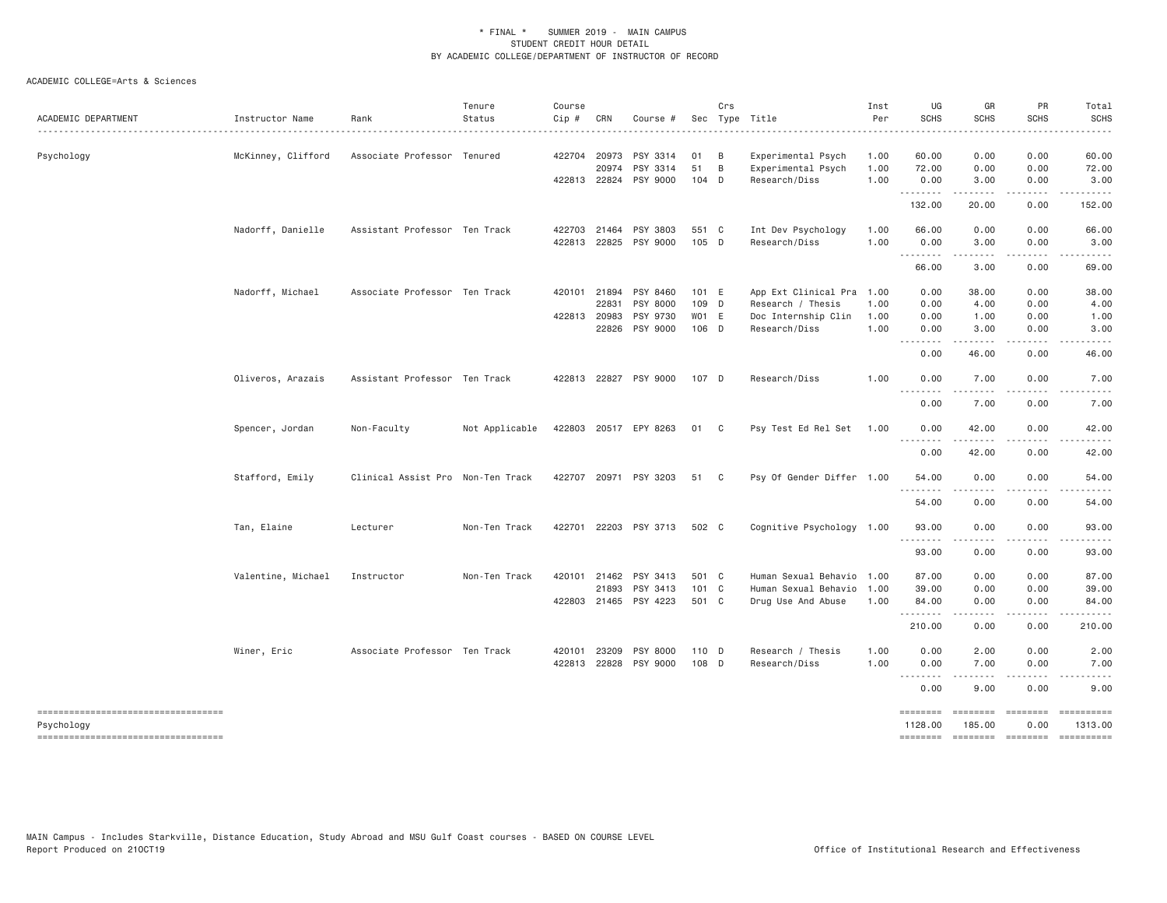| ACADEMIC DEPARTMENT                                 | Instructor Name    | Rank                              | Tenure<br>Status | Course<br>Cip # | CRN          | Course #                   |       | Crs            | Sec Type Title            | Inst<br>Per | UG<br><b>SCHS</b>   | GR<br><b>SCHS</b>  | PR<br><b>SCHS</b>  | Total<br><b>SCHS</b><br>.   |
|-----------------------------------------------------|--------------------|-----------------------------------|------------------|-----------------|--------------|----------------------------|-------|----------------|---------------------------|-------------|---------------------|--------------------|--------------------|-----------------------------|
| Psychology                                          | McKinney, Clifford | Associate Professor Tenured       |                  |                 | 422704 20973 | PSY 3314                   | 01    | $\overline{B}$ | Experimental Psych        | 1.00        | 60.00               | 0.00               | 0.00               | 60.00                       |
|                                                     |                    |                                   |                  |                 | 20974        | PSY 3314                   | 51    | B              | Experimental Psych        | 1.00        | 72.00               | 0.00               | 0.00               | 72.00                       |
|                                                     |                    |                                   |                  |                 | 422813 22824 | PSY 9000                   | 104 D |                | Research/Diss             | 1.00        | 0.00<br>.           | 3.00<br>.          | 0.00<br>.          | 3.00<br>.                   |
|                                                     |                    |                                   |                  |                 |              |                            |       |                |                           |             | 132.00              | 20.00              | 0.00               | 152.00                      |
|                                                     | Nadorff, Danielle  | Assistant Professor Ten Track     |                  |                 | 422703 21464 | PSY 3803                   | 551 C |                | Int Dev Psychology        | 1.00        | 66.00               | 0.00               | 0.00               | 66.00                       |
|                                                     |                    |                                   |                  |                 | 422813 22825 | PSY 9000                   | 105 D |                | Research/Diss             | 1.00        | 0.00<br>--------    | 3.00               | 0.00               | 3.00                        |
|                                                     |                    |                                   |                  |                 |              |                            |       |                |                           |             | 66.00               | 3.00               | 0.00               | 69.00                       |
|                                                     | Nadorff, Michael   | Associate Professor Ten Track     |                  |                 | 420101 21894 | PSY 8460                   | 101 E |                | App Ext Clinical Pra      | 1.00        | 0.00                | 38.00              | 0.00               | 38.00                       |
|                                                     |                    |                                   |                  |                 | 22831        | PSY 8000                   | 109 D |                | Research / Thesis         | 1.00        | 0.00                | 4.00               | 0.00               | 4.00                        |
|                                                     |                    |                                   |                  |                 | 422813 20983 | PSY 9730                   | WO1 E |                | Doc Internship Clin       | 1.00        | 0.00                | 1.00               | 0.00               | 1.00                        |
|                                                     |                    |                                   |                  |                 | 22826        | PSY 9000                   | 106 D |                | Research/Diss             | 1.00        | 0.00<br>--------    | 3.00               | 0.00               | 3.00                        |
|                                                     |                    |                                   |                  |                 |              |                            |       |                |                           |             | 0.00                | 46.00              | 0.00               | 46.00                       |
|                                                     | Oliveros, Arazais  | Assistant Professor Ten Track     |                  |                 |              | 422813 22827 PSY 9000      | 107 D |                | Research/Diss             | 1.00        | 0.00                | 7.00               | 0.00               | 7.00                        |
|                                                     |                    |                                   |                  |                 |              |                            |       |                |                           |             | <u>.</u><br>0.00    | .<br>7.00          | .<br>0.00          | -----<br>7.00               |
|                                                     | Spencer, Jordan    | Non-Faculty                       | Not Applicable   |                 |              | 422803 20517 EPY 8263 01 C |       |                | Psy Test Ed Rel Set 1.00  |             | 0.00                | 42.00              | 0.00               | 42.00                       |
|                                                     |                    |                                   |                  |                 |              |                            |       |                |                           |             | .<br>0.00           | .<br>42.00         | .<br>0.00          | . <u>.</u><br>42.00         |
|                                                     | Stafford, Emily    | Clinical Assist Pro Non-Ten Track |                  |                 |              | 422707 20971 PSY 3203      | 51 C  |                | Psy Of Gender Differ 1.00 |             | 54.00<br>.          | 0.00<br>- - - - -  | 0.00               | 54.00<br>-----              |
|                                                     |                    |                                   |                  |                 |              |                            |       |                |                           |             | 54.00               | 0.00               | 0.00               | 54.00                       |
|                                                     | Tan, Elaine        | Lecturer                          | Non-Ten Track    |                 |              | 422701 22203 PSY 3713      | 502 C |                | Cognitive Psychology 1.00 |             | 93.00<br><u>.</u>   | 0.00               | 0.00               | 93.00                       |
|                                                     |                    |                                   |                  |                 |              |                            |       |                |                           |             | 93.00               | 0.00               | 0.00               | 93.00                       |
|                                                     | Valentine, Michael | Instructor                        | Non-Ten Track    |                 | 420101 21462 | PSY 3413                   | 501 C |                | Human Sexual Behavio 1.00 |             | 87.00               | 0.00               | 0.00               | 87.00                       |
|                                                     |                    |                                   |                  |                 | 21893        | PSY 3413                   | 101 C |                | Human Sexual Behavio      | 1.00        | 39.00               | 0.00               | 0.00               | 39.00                       |
|                                                     |                    |                                   |                  |                 |              | 422803 21465 PSY 4223      | 501 C |                | Drug Use And Abuse        | 1.00        | 84.00<br>.          | 0.00<br>.          | 0.00<br>.          | 84.00<br>.                  |
|                                                     |                    |                                   |                  |                 |              |                            |       |                |                           |             | 210.00              | 0.00               | 0.00               | 210.00                      |
|                                                     | Winer, Eric        | Associate Professor Ten Track     |                  |                 | 420101 23209 | PSY 8000                   | 110 D |                | Research / Thesis         | 1.00        | 0.00                | 2.00               | 0.00               | 2.00                        |
|                                                     |                    |                                   |                  |                 | 422813 22828 | PSY 9000                   | 108 D |                | Research/Diss             | 1.00        | 0.00<br>.           | 7.00<br>.          | 0.00<br>.          | 7.00<br>-----               |
|                                                     |                    |                                   |                  |                 |              |                            |       |                |                           |             | 0.00                | 9.00               | 0.00               | 9.00                        |
| =====================================<br>Psychology |                    |                                   |                  |                 |              |                            |       |                |                           |             | ========<br>1128.00 | ========<br>185.00 | ========<br>0.00   | $= 222222222222$<br>1313.00 |
| -----------------------------------                 |                    |                                   |                  |                 |              |                            |       |                |                           |             | ========            |                    | ================== | ==========                  |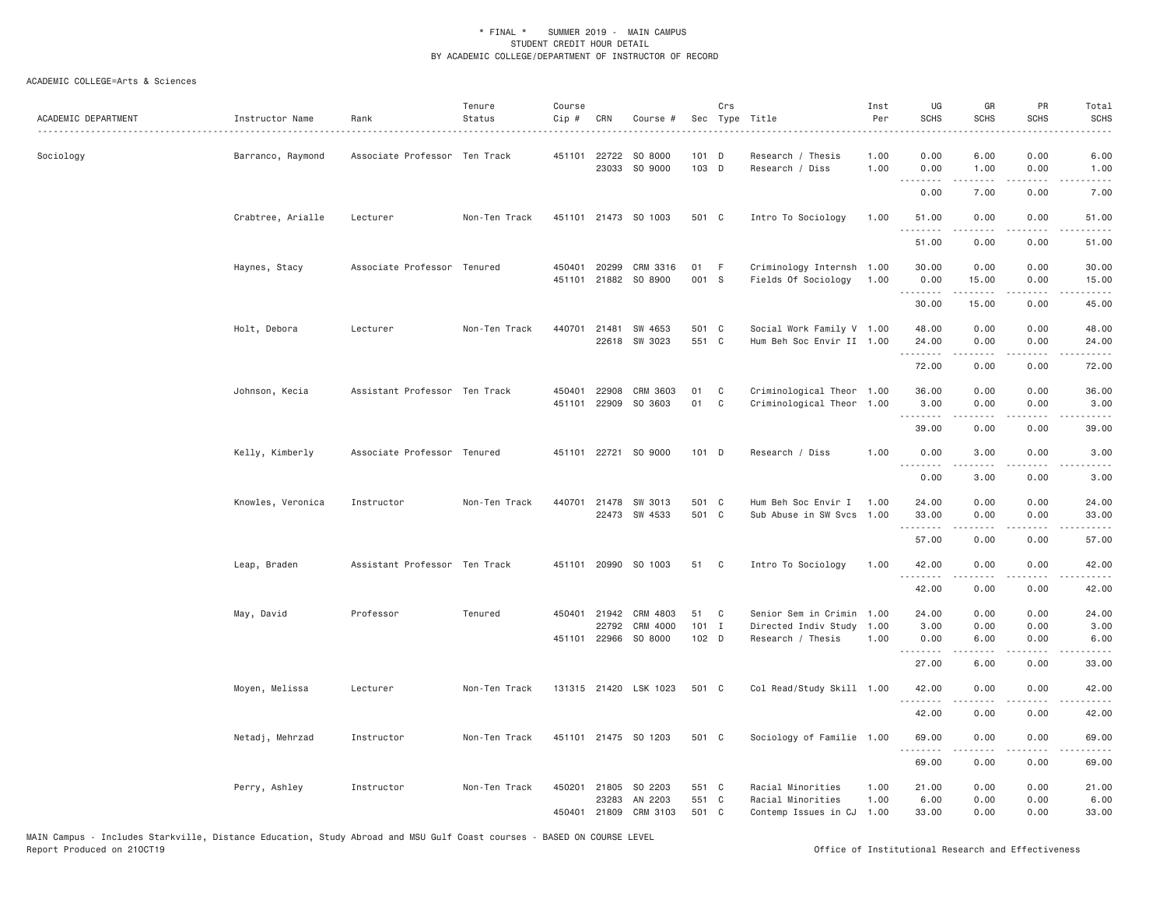| ACADEMIC DEPARTMENT | Instructor Name   | Rank                          | Tenure<br>Status | Course<br>Cip #  | CRN                                   | Course #                        |                         | Crs          | Sec Type Title                                                    | Inst<br>Per          | UG<br><b>SCHS</b>      | GR<br><b>SCHS</b>    | PR<br><b>SCHS</b>                   | Total<br><b>SCHS</b><br>$\frac{1}{2} \left( \frac{1}{2} \right) \left( \frac{1}{2} \right) \left( \frac{1}{2} \right) \left( \frac{1}{2} \right)$ |
|---------------------|-------------------|-------------------------------|------------------|------------------|---------------------------------------|---------------------------------|-------------------------|--------------|-------------------------------------------------------------------|----------------------|------------------------|----------------------|-------------------------------------|---------------------------------------------------------------------------------------------------------------------------------------------------|
| Sociology           | Barranco, Raymond | Associate Professor Ten Track |                  |                  | 451101 22722<br>23033                 | SO 8000<br>SO 9000              | $101$ D<br>103 D        |              | Research / Thesis<br>Research / Diss                              | 1.00<br>1.00         | 0.00<br>0.00           | 6.00<br>1.00         | 0.00<br>0.00                        | 6.00<br>1.00                                                                                                                                      |
|                     |                   |                               |                  |                  |                                       |                                 |                         |              |                                                                   |                      | .<br>0.00              | .<br>7.00            | $- - - -$<br>0.00                   | $\frac{1}{2} \left( \frac{1}{2} \right) \left( \frac{1}{2} \right) \left( \frac{1}{2} \right) \left( \frac{1}{2} \right)$<br>7.00                 |
|                     | Crabtree, Arialle | Lecturer                      | Non-Ten Track    |                  |                                       | 451101 21473 SO 1003            | 501 C                   |              | Intro To Sociology                                                | 1.00                 | 51.00<br>.             | 0.00                 | 0.00                                | 51.00                                                                                                                                             |
|                     |                   |                               |                  |                  |                                       |                                 |                         |              |                                                                   |                      | 51.00                  | $- - - - -$<br>0.00  | .<br>0.00                           | .<br>51.00                                                                                                                                        |
|                     | Haynes, Stacy     | Associate Professor Tenured   |                  |                  | 450401 20299<br>451101 21882          | CRM 3316<br>SO 8900             | 01<br>001 S             | -F           | Criminology Internsh 1.00<br>Fields Of Sociology                  | 1.00                 | 30.00<br>0.00          | 0.00<br>15.00        | 0.00<br>0.00                        | 30.00<br>15.00                                                                                                                                    |
|                     |                   |                               |                  |                  |                                       |                                 |                         |              |                                                                   |                      | .<br>30.00             | 15.00                | .<br>0.00                           | 45.00                                                                                                                                             |
|                     | Holt, Debora      | Lecturer                      | Non-Ten Track    |                  | 440701 21481                          | SW 4653<br>22618 SW 3023        | 501 C<br>551 C          |              | Social Work Family V 1.00<br>Hum Beh Soc Envir II 1.00            |                      | 48.00<br>24.00         | 0.00<br>0.00         | 0.00<br>0.00                        | 48.00<br>24.00                                                                                                                                    |
|                     |                   |                               |                  |                  |                                       |                                 |                         |              |                                                                   |                      | .<br>72.00             | $- - - - -$<br>0.00  | $\frac{1}{2}$<br>0.00               | .<br>72.00                                                                                                                                        |
|                     | Johnson, Kecia    | Assistant Professor Ten Track |                  | 450401<br>451101 | 22908<br>22909                        | CRM 3603<br>SO 3603             | 01<br>01                | C<br>C       | Criminological Theor 1.00<br>Criminological Theor                 | 1.00                 | 36.00<br>3.00          | 0.00<br>0.00         | 0.00<br>0.00                        | 36.00<br>3.00                                                                                                                                     |
|                     |                   |                               |                  |                  |                                       |                                 |                         |              |                                                                   |                      | .<br>39.00             | .<br>0.00            | $\sim$ $\sim$ $\sim$ $\sim$<br>0.00 | المستبدا<br>39.00                                                                                                                                 |
|                     | Kelly, Kimberly   | Associate Professor Tenured   |                  |                  |                                       | 451101 22721 SO 9000            | $101$ D                 |              | Research / Diss                                                   | 1.00                 | 0.00                   | 3.00                 | 0.00                                | 3.00                                                                                                                                              |
|                     |                   |                               |                  |                  |                                       |                                 |                         |              |                                                                   |                      | .<br>0.00              | .<br>3.00            | $  -$<br>0.00                       | .<br>3.00                                                                                                                                         |
|                     | Knowles, Veronica | Instructor                    | Non-Ten Track    |                  | 440701 21478                          | SW 3013<br>22473 SW 4533        | 501 C<br>501 C          |              | Hum Beh Soc Envir I<br>Sub Abuse in SW Svcs 1.00                  | 1.00                 | 24.00<br>33.00         | 0.00<br>0.00         | 0.00<br>0.00                        | 24.00<br>33.00                                                                                                                                    |
|                     |                   |                               |                  |                  |                                       |                                 |                         |              |                                                                   |                      | .<br>57.00             | $- - - - -$<br>0.00  | $\cdots$<br>0.00                    | .<br>57.00                                                                                                                                        |
|                     | Leap, Braden      | Assistant Professor Ten Track |                  |                  |                                       | 451101 20990 SO 1003            | 51 C                    |              | Intro To Sociology                                                | 1,00                 | 42.00                  | 0.00                 | 0.00                                | 42.00                                                                                                                                             |
|                     |                   |                               |                  |                  |                                       |                                 |                         |              |                                                                   |                      | .<br>42.00             | -----<br>0.00        | $\sim$ $\sim$ $\sim$<br>0.00        | د د د د<br>42.00                                                                                                                                  |
|                     | May, David        | Professor                     | Tenured          |                  | 450401 21942<br>22792<br>451101 22966 | CRM 4803<br>CRM 4000<br>SO 8000 | 51<br>$101$ I<br>102 D  | $\mathbf{C}$ | Senior Sem in Crimin<br>Directed Indiv Study<br>Research / Thesis | 1.00<br>1.00<br>1.00 | 24.00<br>3.00<br>0.00  | 0.00<br>0.00<br>6.00 | 0.00<br>0.00<br>0.00                | 24.00<br>3.00<br>6.00                                                                                                                             |
|                     |                   |                               |                  |                  |                                       |                                 |                         |              |                                                                   |                      | 27.00                  | 6.00                 | 0.00                                | 33.00                                                                                                                                             |
|                     | Moyen, Melissa    | Lecturer                      | Non-Ten Track    |                  |                                       | 131315 21420 LSK 1023           | 501 C                   |              | Col Read/Study Skill 1.00                                         |                      | 42.00<br>.             | 0.00                 | 0.00                                | 42.00                                                                                                                                             |
|                     |                   |                               |                  |                  |                                       |                                 |                         |              |                                                                   |                      | 42.00                  | 0.00                 | 0.00                                | 42.00                                                                                                                                             |
|                     | Netadj, Mehrzad   | Instructor                    | Non-Ten Track    |                  |                                       | 451101 21475 SO 1203            | 501 C                   |              | Sociology of Familie 1.00                                         |                      | 69.00                  | 0.00                 | 0.00                                | 69.00                                                                                                                                             |
|                     |                   |                               |                  |                  |                                       |                                 |                         |              |                                                                   |                      | .<br>69.00             | -----<br>0.00        | .<br>0.00                           | 69.00                                                                                                                                             |
|                     | Perry, Ashley     | Instructor                    | Non-Ten Track    |                  | 450201 21805<br>23283<br>450401 21809 | SO 2203<br>AN 2203<br>CRM 3103  | 551 C<br>551 C<br>501 C |              | Racial Minorities<br>Racial Minorities<br>Contemp Issues in CJ    | 1.00<br>1.00<br>1.00 | 21.00<br>6.00<br>33.00 | 0.00<br>0.00<br>0.00 | 0.00<br>0.00<br>0.00                | 21.00<br>6.00<br>33.00                                                                                                                            |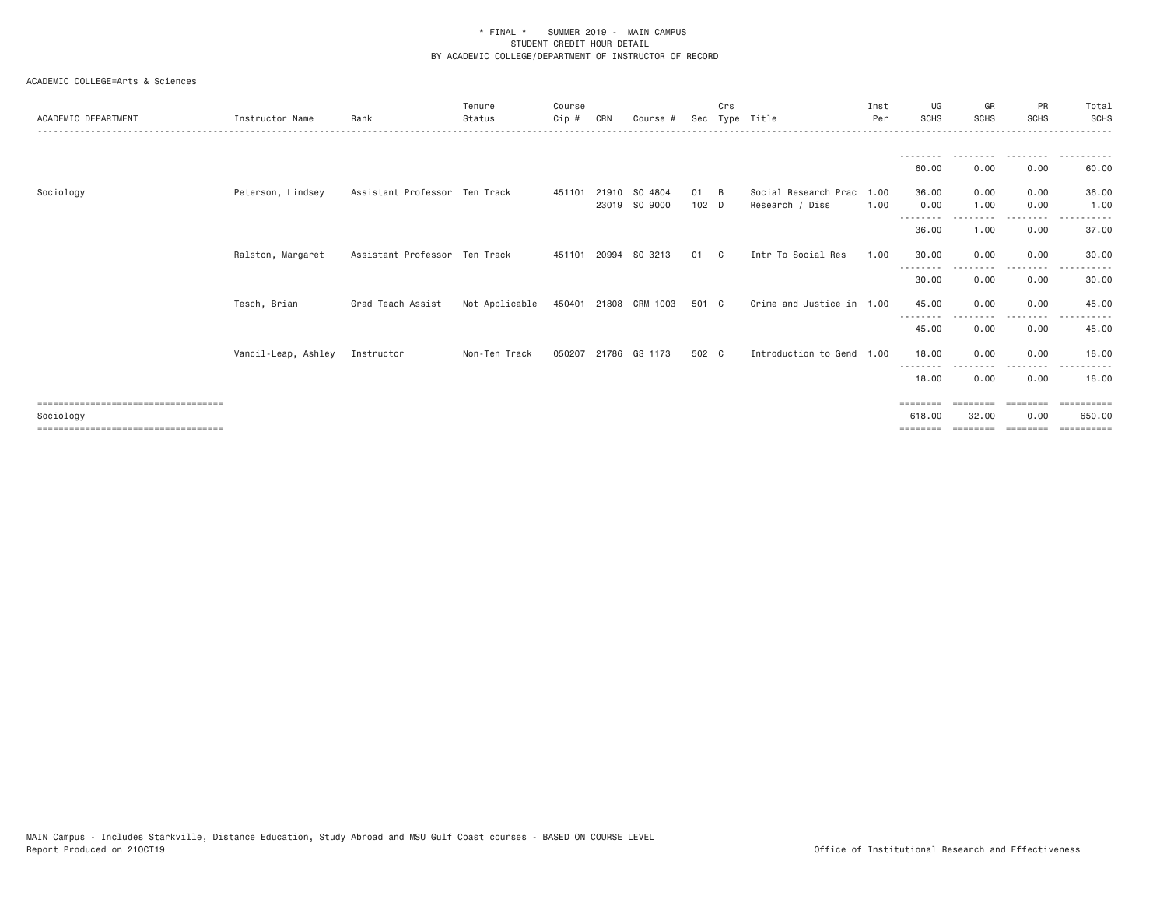| ACADEMIC DEPARTMENT                                | Instructor Name     | Rank                          | Tenure<br>Status | Course<br>Cip# | CRN | Course #              |         | Crs | Sec Type Title            | Inst<br>Per | UG<br><b>SCHS</b>  | GR<br><b>SCHS</b> | PR<br><b>SCHS</b> | Total<br>SCHS         |
|----------------------------------------------------|---------------------|-------------------------------|------------------|----------------|-----|-----------------------|---------|-----|---------------------------|-------------|--------------------|-------------------|-------------------|-----------------------|
|                                                    |                     |                               |                  |                |     |                       |         |     |                           |             | ---------          | .                 | .                 | .                     |
|                                                    |                     |                               |                  |                |     |                       |         |     |                           |             | 60.00              | 0.00              | 0.00              | 60.00                 |
| Sociology                                          | Peterson, Lindsey   | Assistant Professor Ten Track |                  |                |     | 451101 21910 SO 4804  | 01 B    |     | Social Research Prac      | 1.00        | 36.00              | 0.00              | 0.00              | 36.00                 |
|                                                    |                     |                               |                  |                |     | 23019 SO 9000         | $102$ D |     | Research / Diss           | 1.00        | 0.00<br>--------   | 1.00              | 0.00<br>--------  | 1.00                  |
|                                                    |                     |                               |                  |                |     |                       |         |     |                           |             | 36.00              | 1.00              | 0.00              | 37.00                 |
|                                                    | Ralston, Margaret   | Assistant Professor Ten Track |                  | 451101 20994   |     | SO 3213               | 01      | C.  | Intr To Social Res        | 1.00        | 30.00              | 0.00              | 0.00              | 30.00                 |
|                                                    |                     |                               |                  |                |     |                       |         |     |                           |             | 30.00              | 0.00              | 0.00              | 30.00                 |
|                                                    | Tesch, Brian        | Grad Teach Assist             | Not Applicable   |                |     | 450401 21808 CRM 1003 | 501 C   |     | Crime and Justice in 1.00 |             | 45.00              | 0.00              | 0.00              | 45.00                 |
|                                                    |                     |                               |                  |                |     |                       |         |     |                           |             | 45.00              | 0.00              | 0.00              | 45.00                 |
|                                                    | Vancil-Leap, Ashley | Instructor                    | Non-Ten Track    | 050207         |     | 21786 GS 1173         | 502 C   |     | Introduction to Gend 1.00 |             | 18,00<br>--------  | 0.00              | 0.00              | 18.00                 |
|                                                    |                     |                               |                  |                |     |                       |         |     |                           |             | 18.00              | 0.00              | 0.00              | 18,00                 |
| ------------------------------------               |                     |                               |                  |                |     |                       |         |     |                           |             | $=$ = = = = = = =  | ========          | <b>CONCOCO</b>    | <b>CONSIDERED</b>     |
| Sociology<br>===================================== |                     |                               |                  |                |     |                       |         |     |                           |             | 618,00<br>======== | 32.00<br>======== | 0.00<br>--------- | 650,00<br>----------- |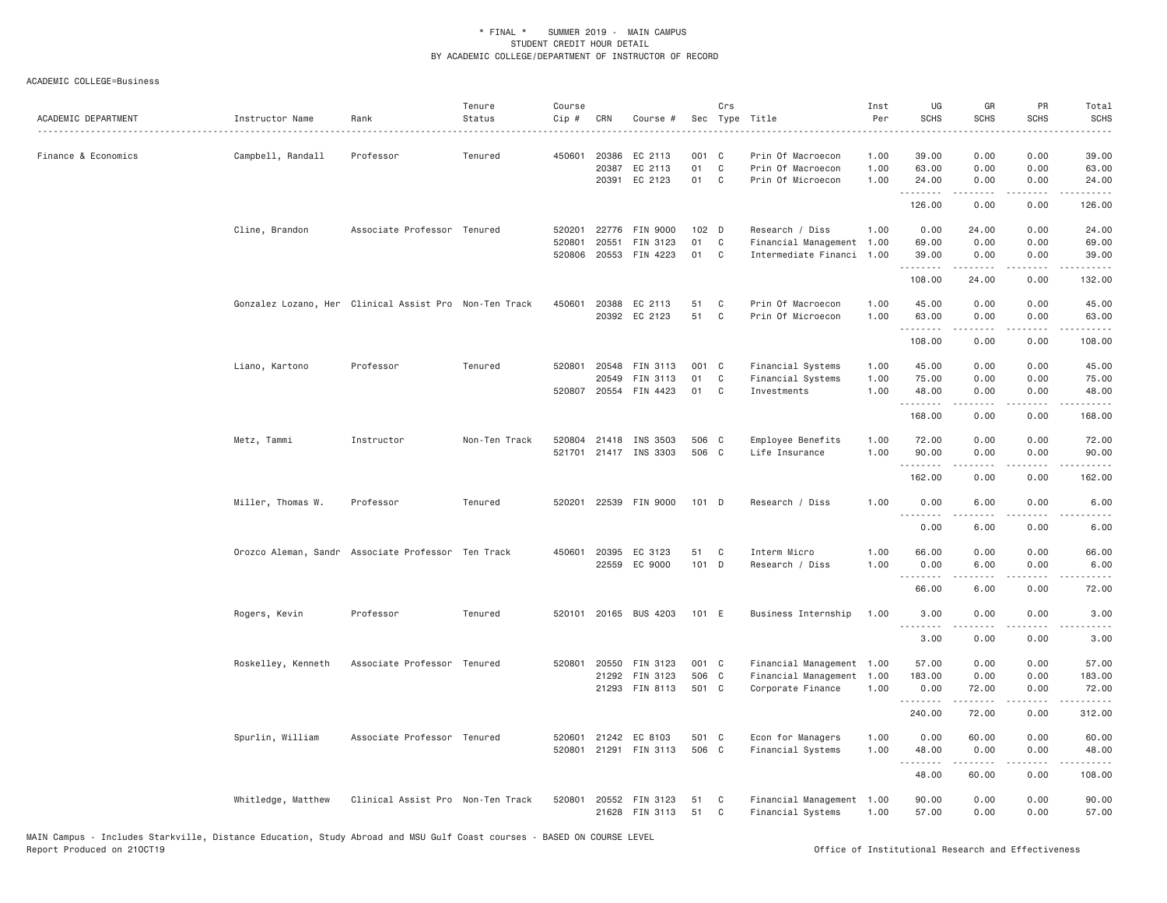| ACADEMIC DEPARTMENT | Instructor Name    | Rank                                                   | Tenure<br>Status | Course<br>Cip #              | CRN   | Course #                                                   |                         | Crs                 | Sec Type Title<br>_______________________________                         | Inst<br>Per          | UG<br><b>SCHS</b>       | GR<br><b>SCHS</b>                                                                                                                                                    | PR<br>SCHS            | Total<br><b>SCHS</b><br>.                                  |
|---------------------|--------------------|--------------------------------------------------------|------------------|------------------------------|-------|------------------------------------------------------------|-------------------------|---------------------|---------------------------------------------------------------------------|----------------------|-------------------------|----------------------------------------------------------------------------------------------------------------------------------------------------------------------|-----------------------|------------------------------------------------------------|
| Finance & Economics | Campbell, Randall  | Professor                                              | Tenured          | 450601 20386                 | 20387 | EC 2113<br>EC 2113<br>20391 EC 2123                        | 001 C<br>01<br>01       | C<br>C              | Prin Of Macroecon<br>Prin Of Macroecon<br>Prin Of Microecon               | 1.00<br>1.00<br>1.00 | 39.00<br>63.00<br>24.00 | 0.00<br>0.00<br>0.00                                                                                                                                                 | 0.00<br>0.00<br>0.00  | 39.00<br>63.00<br>24.00                                    |
|                     |                    |                                                        |                  |                              |       |                                                            |                         |                     |                                                                           |                      | .<br>126.00             | .<br>0.00                                                                                                                                                            | .<br>0.00             | .<br>126.00                                                |
|                     | Cline, Brandon     | Associate Professor Tenured                            |                  | 520801                       | 20551 | 520201 22776 FIN 9000<br>FIN 3123<br>520806 20553 FIN 4223 | 102 D<br>01<br>01       | C <sub>1</sub><br>C | Research / Diss<br>Financial Management 1.00<br>Intermediate Financi 1.00 | 1.00                 | 0.00<br>69.00<br>39.00  | 24.00<br>0.00<br>0.00                                                                                                                                                | 0.00<br>0.00<br>0.00  | 24.00<br>69.00<br>39.00                                    |
|                     |                    |                                                        |                  |                              |       |                                                            |                         |                     |                                                                           |                      | .<br>108.00             | .<br>24.00                                                                                                                                                           | $\frac{1}{2}$<br>0.00 | <u>.</u><br>132.00                                         |
|                     |                    | Gonzalez Lozano, Her Clinical Assist Pro Non-Ten Track |                  | 450601 20388                 |       | EC 2113<br>20392 EC 2123                                   | 51<br>51                | C<br>C              | Prin Of Macroecon<br>Prin Of Microecon                                    | 1.00<br>1.00         | 45.00<br>63.00          | 0.00<br>0.00                                                                                                                                                         | 0.00<br>0.00          | 45.00<br>63.00                                             |
|                     |                    |                                                        |                  |                              |       |                                                            |                         |                     |                                                                           |                      | .<br>108.00             | -----<br>0.00                                                                                                                                                        | .<br>0.00             | .<br>108.00                                                |
|                     | Liano, Kartono     | Professor                                              | Tenured          | 520801 20548<br>520807 20554 | 20549 | FIN 3113<br>FIN 3113<br>FIN 4423                           | 001 C<br>01<br>01       | C<br>C              | Financial Systems<br>Financial Systems<br>Investments                     | 1.00<br>1.00<br>1.00 | 45.00<br>75.00<br>48.00 | 0.00<br>0.00<br>0.00                                                                                                                                                 | 0.00<br>0.00<br>0.00  | 45.00<br>75.00<br>48.00                                    |
|                     |                    |                                                        |                  |                              |       |                                                            |                         |                     |                                                                           |                      | .<br>168.00             | .<br>0.00                                                                                                                                                            | $\frac{1}{2}$<br>0.00 | .<br>168.00                                                |
|                     | Metz, Tammi        | Instructor                                             | Non-Ten Track    |                              |       | 520804 21418 INS 3503<br>521701 21417 INS 3303             | 506 C<br>506 C          |                     | Employee Benefits<br>Life Insurance                                       | 1.00<br>1.00         | 72.00<br>90.00<br>.     | 0.00<br>0.00<br>$\frac{1}{2} \left( \frac{1}{2} \right) \left( \frac{1}{2} \right) \left( \frac{1}{2} \right) \left( \frac{1}{2} \right) \left( \frac{1}{2} \right)$ | 0.00<br>0.00<br>.     | 72.00<br>90.00<br>$\omega = \omega \omega + \omega \omega$ |
|                     |                    |                                                        |                  |                              |       |                                                            |                         |                     |                                                                           |                      | 162.00                  | 0.00                                                                                                                                                                 | 0.00                  | 162.00                                                     |
|                     | Miller, Thomas W.  | Professor                                              | Tenured          | 520201                       |       | 22539 FIN 9000                                             | $101$ D                 |                     | Research / Diss                                                           | 1.00                 | 0.00<br>.               | 6.00<br>د د د د                                                                                                                                                      | 0.00<br>$  -$         | 6.00<br>$- - - -$                                          |
|                     |                    |                                                        |                  |                              |       |                                                            |                         |                     |                                                                           |                      | 0.00                    | 6.00                                                                                                                                                                 | 0.00                  | 6.00                                                       |
|                     |                    | Orozco Aleman, Sandr Associate Professor Ten Track     |                  | 450601 20395                 |       | EC 3123<br>22559 EC 9000                                   | 51<br>101 D             | C                   | Interm Micro<br>Research / Diss                                           | 1.00<br>1.00         | 66.00<br>0.00<br>.      | 0.00<br>6.00<br><u>.</u>                                                                                                                                             | 0.00<br>0.00          | 66.00<br>6.00<br>.                                         |
|                     |                    |                                                        |                  |                              |       |                                                            |                         |                     |                                                                           |                      | 66.00                   | 6.00                                                                                                                                                                 | 0.00                  | 72.00                                                      |
|                     | Rogers, Kevin      | Professor                                              | Tenured          |                              |       | 520101 20165 BUS 4203                                      | 101 E                   |                     | Business Internship                                                       | 1.00                 | 3.00<br>.               | 0.00                                                                                                                                                                 | 0.00<br>$- - - -$     | 3.00                                                       |
|                     |                    |                                                        |                  |                              |       |                                                            |                         |                     |                                                                           |                      | 3.00                    | 0.00                                                                                                                                                                 | 0.00                  | 3.00                                                       |
|                     | Roskelley, Kenneth | Associate Professor Tenured                            |                  | 520801 20550                 | 21292 | FIN 3123<br>FIN 3123<br>21293 FIN 8113                     | 001 C<br>506 C<br>501 C |                     | Financial Management 1.00<br>Financial Management<br>Corporate Finance    | 1.00<br>1.00         | 57.00<br>183.00<br>0.00 | 0.00<br>0.00<br>72.00                                                                                                                                                | 0.00<br>0.00<br>0.00  | 57.00<br>183.00<br>72.00                                   |
|                     |                    |                                                        |                  |                              |       |                                                            |                         |                     |                                                                           |                      | .<br>240.00             | $- - - - -$<br>72.00                                                                                                                                                 | .<br>0.00             | .<br>312.00                                                |
|                     | Spurlin, William   | Associate Professor Tenured                            |                  | 520601                       |       | 21242 EC 8103<br>520801 21291 FIN 3113                     | 501 C<br>506 C          |                     | Econ for Managers<br>Financial Systems                                    | 1.00<br>1.00         | 0.00<br>48.00<br>.      | 60.00<br>0.00                                                                                                                                                        | 0.00<br>0.00          | 60.00<br>48.00                                             |
|                     |                    |                                                        |                  |                              |       |                                                            |                         |                     |                                                                           |                      | 48.00                   | 60.00                                                                                                                                                                | 0.00                  | 108.00                                                     |
|                     | Whitledge, Matthew | Clinical Assist Pro Non-Ten Track                      |                  |                              | 21628 | 520801 20552 FIN 3123<br>FIN 3113                          | 51<br>51                | C<br>C              | Financial Management 1.00<br>Financial Systems                            | 1.00                 | 90.00<br>57.00          | 0.00<br>0.00                                                                                                                                                         | 0.00<br>0.00          | 90.00<br>57.00                                             |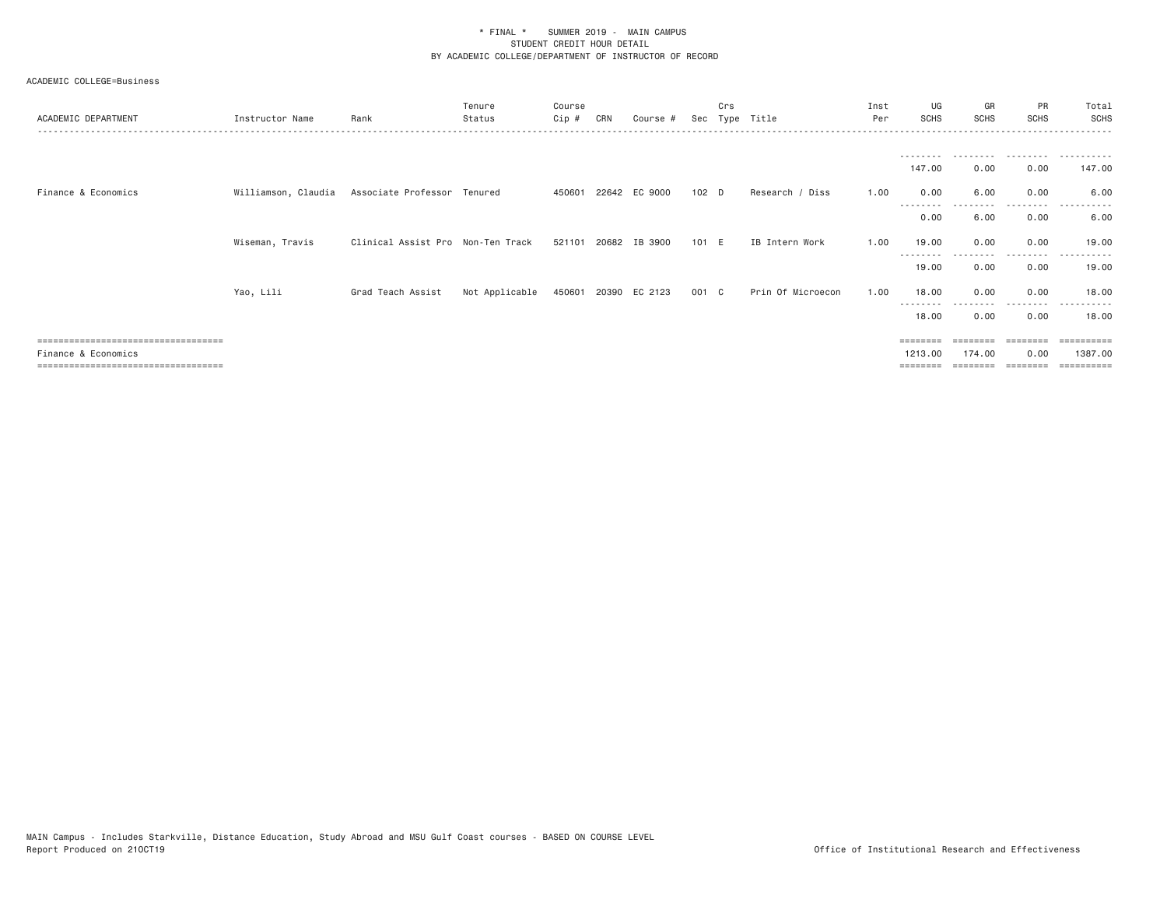| ACADEMIC DEPARTMENT                                    | Instructor Name | Rank                                            | Tenure<br>Status | Course<br>Cip # | CRN   | Course #             | Sec   | Crs | Type Title        | Inst<br>Per | UG<br><b>SCHS</b>  | GR<br>SCHS        | PR<br><b>SCHS</b> | Total<br><b>SCHS</b>  |
|--------------------------------------------------------|-----------------|-------------------------------------------------|------------------|-----------------|-------|----------------------|-------|-----|-------------------|-------------|--------------------|-------------------|-------------------|-----------------------|
|                                                        |                 |                                                 |                  |                 |       |                      |       |     |                   |             |                    |                   |                   |                       |
|                                                        |                 |                                                 |                  |                 |       |                      |       |     |                   |             | 147.00             | 0.00              | 0.00              | 147.00                |
| Finance & Economics                                    |                 | Williamson, Claudia Associate Professor Tenured |                  | 450601          |       | 22642 EC 9000        | 102 D |     | Research / Diss   | 1.00        | 0.00               | 6.00<br>--------- | 0.00<br>--------  | 6.00<br>-----         |
|                                                        |                 |                                                 |                  |                 |       |                      |       |     |                   |             | --------<br>0.00   | 6.00              | 0.00              | 6.00                  |
|                                                        | Wiseman, Travis | Clinical Assist Pro Non-Ten Track               |                  | 521101          | 20682 | IB 3900              | 101 E |     | IB Intern Work    | 1.00        | 19.00              | 0.00              | 0.00              | 19.00                 |
|                                                        |                 |                                                 |                  |                 |       |                      |       |     |                   |             | 19.00              | 0.00              | --------<br>0.00  | 19.00                 |
|                                                        | Yao, Lili       | Grad Teach Assist                               | Not Applicable   |                 |       | 450601 20390 EC 2123 | 001 C |     | Prin Of Microecon | 1.00        | 18.00              | 0.00              | 0.00              | 18.00                 |
|                                                        |                 |                                                 |                  |                 |       |                      |       |     |                   |             | 18.00              | 0.00              | 0.00              | 18.00                 |
| ====================================                   |                 |                                                 |                  |                 |       |                      |       |     |                   |             | ========           |                   |                   | $=$ = = = = = = = = = |
| Finance & Economics<br>=============================== |                 |                                                 |                  |                 |       |                      |       |     |                   |             | 1213,00<br>======= | 174.00            | 0.00              | 1387,00<br>=========  |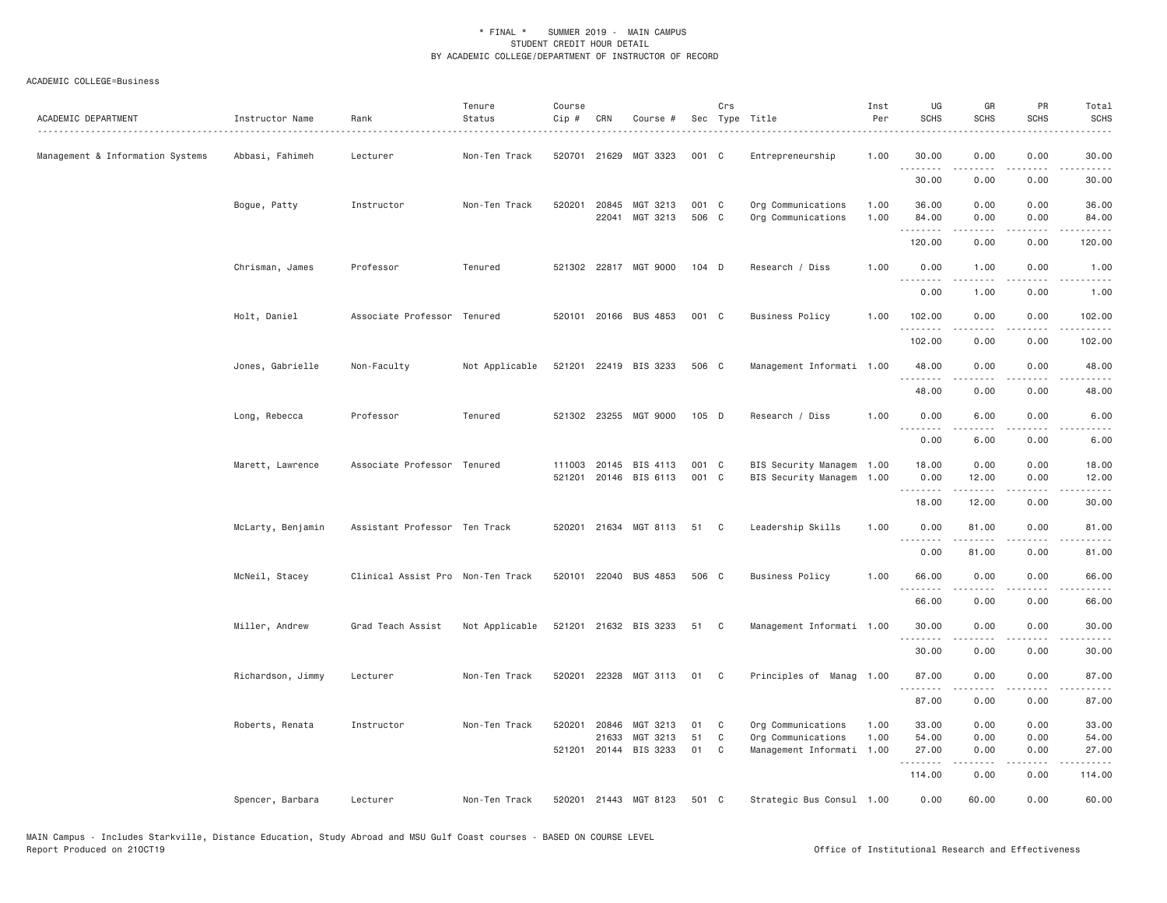| ACADEMIC DEPARTMENT              | Instructor Name<br>. | Rank                              | Tenure<br>Status | Course<br>Cip # | CRN            | Course #                          |                | Crs    | Sec Type Title                                  | Inst<br>Per  | UG<br><b>SCHS</b>                                                                                                                 | GR<br><b>SCHS</b>    | PR<br><b>SCHS</b>                   | Total<br><b>SCHS</b>                        |
|----------------------------------|----------------------|-----------------------------------|------------------|-----------------|----------------|-----------------------------------|----------------|--------|-------------------------------------------------|--------------|-----------------------------------------------------------------------------------------------------------------------------------|----------------------|-------------------------------------|---------------------------------------------|
| Management & Information Systems | Abbasi, Fahimeh      | Lecturer                          | Non-Ten Track    | 520701          | 21629          | MGT 3323                          | 001 C          |        | Entrepreneurship                                | 1.00         | 30.00<br>.                                                                                                                        | 0.00                 | 0.00                                | 30.00                                       |
|                                  |                      |                                   |                  |                 |                |                                   |                |        |                                                 |              | 30.00                                                                                                                             | 0.00                 | 0.00                                | 30.00                                       |
|                                  | Bogue, Patty         | Instructor                        | Non-Ten Track    | 520201          | 20845<br>22041 | MGT 3213<br>MGT 3213              | 001 C<br>506 C |        | Org Communications<br>Org Communications        | 1.00<br>1.00 | 36.00<br>84.00                                                                                                                    | 0.00<br>0.00         | 0.00<br>0.00                        | 36.00<br>84.00                              |
|                                  |                      |                                   |                  |                 |                |                                   |                |        |                                                 |              | .<br>120.00                                                                                                                       | .<br>0.00            | .<br>0.00                           | .<br>120.00                                 |
|                                  | Chrisman, James      | Professor                         | Tenured          |                 |                | 521302 22817 MGT 9000             | $104$ D        |        | Research / Diss                                 | 1.00         | 0.00<br>$\sim$ $\sim$ $\sim$ $\sim$                                                                                               | 1.00                 | 0.00                                | 1.00                                        |
|                                  |                      |                                   |                  |                 |                |                                   |                |        |                                                 |              | 0.00                                                                                                                              | 1.00                 | 0.00                                | 1.00                                        |
|                                  | Holt, Daniel         | Associate Professor Tenured       |                  |                 |                | 520101 20166 BUS 4853             | 001 C          |        | <b>Business Policy</b>                          | 1.00         | 102.00                                                                                                                            | 0.00                 | 0.00                                | 102.00                                      |
|                                  |                      |                                   |                  |                 |                |                                   |                |        |                                                 |              | 102.00                                                                                                                            | 0.00                 | 0.00                                | 102.00                                      |
|                                  | Jones, Gabrielle     | Non-Faculty                       | Not Applicable   |                 |                | 521201 22419 BIS 3233             | 506 C          |        | Management Informati 1.00                       |              | 48.00                                                                                                                             | 0.00                 | 0.00                                | 48.00                                       |
|                                  |                      |                                   |                  |                 |                |                                   |                |        |                                                 |              | 48.00                                                                                                                             | 0.00                 | 0.00                                | 48.00                                       |
|                                  | Long, Rebecca        | Professor                         | Tenured          |                 |                | 521302 23255 MGT 9000             | 105 D          |        | Research / Diss                                 | 1.00         | 0.00                                                                                                                              | 6.00                 | 0.00                                | 6.00                                        |
|                                  |                      |                                   |                  |                 |                |                                   |                |        |                                                 |              | $\frac{1}{2} \left( \frac{1}{2} \right) \left( \frac{1}{2} \right) \left( \frac{1}{2} \right) \left( \frac{1}{2} \right)$<br>0.00 | .<br>6.00            | $- - - -$<br>0.00                   | ----<br>6.00                                |
|                                  | Marett, Lawrence     | Associate Professor Tenured       |                  | 111003          |                | 20145 BIS 4113                    | 001 C          |        | BIS Security Managem 1.00                       |              | 18.00                                                                                                                             | 0.00                 | 0.00                                | 18.00                                       |
|                                  |                      |                                   |                  | 521201          |                | 20146 BIS 6113                    | 001 C          |        | BIS Security Managem                            | 1.00         | 0.00<br><u>.</u>                                                                                                                  | 12.00                | 0.00                                | 12.00                                       |
|                                  |                      |                                   |                  |                 |                |                                   |                |        |                                                 |              | 18.00                                                                                                                             | 12.00                | 0.00                                | 30.00                                       |
|                                  | McLarty, Benjamin    | Assistant Professor Ten Track     |                  |                 |                | 520201 21634 MGT 8113             | 51             | C      | Leadership Skills                               | 1.00         | 0.00<br>.                                                                                                                         | 81.00<br>$- - - - -$ | 0.00<br>$- - - -$                   | 81.00<br>.                                  |
|                                  |                      |                                   |                  |                 |                |                                   |                |        |                                                 |              | 0.00                                                                                                                              | 81.00                | 0.00                                | 81.00                                       |
|                                  | McNeil, Stacey       | Clinical Assist Pro Non-Ten Track |                  |                 |                | 520101 22040 BUS 4853             | 506 C          |        | <b>Business Policy</b>                          | 1.00         | 66.00                                                                                                                             | 0.00                 | 0.00                                | 66.00                                       |
|                                  |                      |                                   |                  |                 |                |                                   |                |        |                                                 |              | 66.00                                                                                                                             | 0.00                 | 0.00                                | 66.00                                       |
|                                  | Miller, Andrew       | Grad Teach Assist                 | Not Applicable   |                 |                | 521201 21632 BIS 3233             | 51             | C      | Management Informati 1.00                       |              | 30.00<br>.                                                                                                                        | 0.00<br>.            | 0.00<br>$\sim$ $\sim$ $\sim$ $\sim$ | 30.00<br>$\sim$ $\sim$ $\sim$ $\sim$ $\sim$ |
|                                  |                      |                                   |                  |                 |                |                                   |                |        |                                                 |              | 30.00                                                                                                                             | 0.00                 | 0.00                                | 30.00                                       |
|                                  | Richardson, Jimmy    | Lecturer                          | Non-Ten Track    | 520201          | 22328          | MGT 3113                          | 01             | C      | Principles of Manag 1.00                        |              | 87.00<br>.                                                                                                                        | 0.00                 | 0.00<br>.                           | 87.00                                       |
|                                  |                      |                                   |                  |                 |                |                                   |                |        |                                                 |              | 87.00                                                                                                                             | 0.00                 | 0.00                                | 87.00                                       |
|                                  | Roberts, Renata      | Instructor                        | Non-Ten Track    | 520201          | 20846          | MGT 3213                          | 01             | C      | Org Communications                              | 1.00         | 33.00                                                                                                                             | 0.00                 | 0.00                                | 33.00                                       |
|                                  |                      |                                   |                  |                 | 21633          | MGT 3213<br>521201 20144 BIS 3233 | 51<br>01       | C<br>C | Org Communications<br>Management Informati 1.00 | 1.00         | 54.00<br>27,00                                                                                                                    | 0.00<br>0.00         | 0.00<br>0.00                        | 54.00<br>27.00                              |
|                                  |                      |                                   |                  |                 |                |                                   |                |        |                                                 |              | .                                                                                                                                 | .                    | .                                   | .                                           |
|                                  |                      |                                   |                  |                 |                |                                   |                |        |                                                 |              | 114.00                                                                                                                            | 0.00                 | 0.00                                | 114.00                                      |
|                                  | Spencer, Barbara     | Lecturer                          | Non-Ten Track    | 520201          |                | 21443 MGT 8123                    | 501            | C      | Strategic Bus Consul 1.00                       |              | 0.00                                                                                                                              | 60.00                | 0.00                                | 60.00                                       |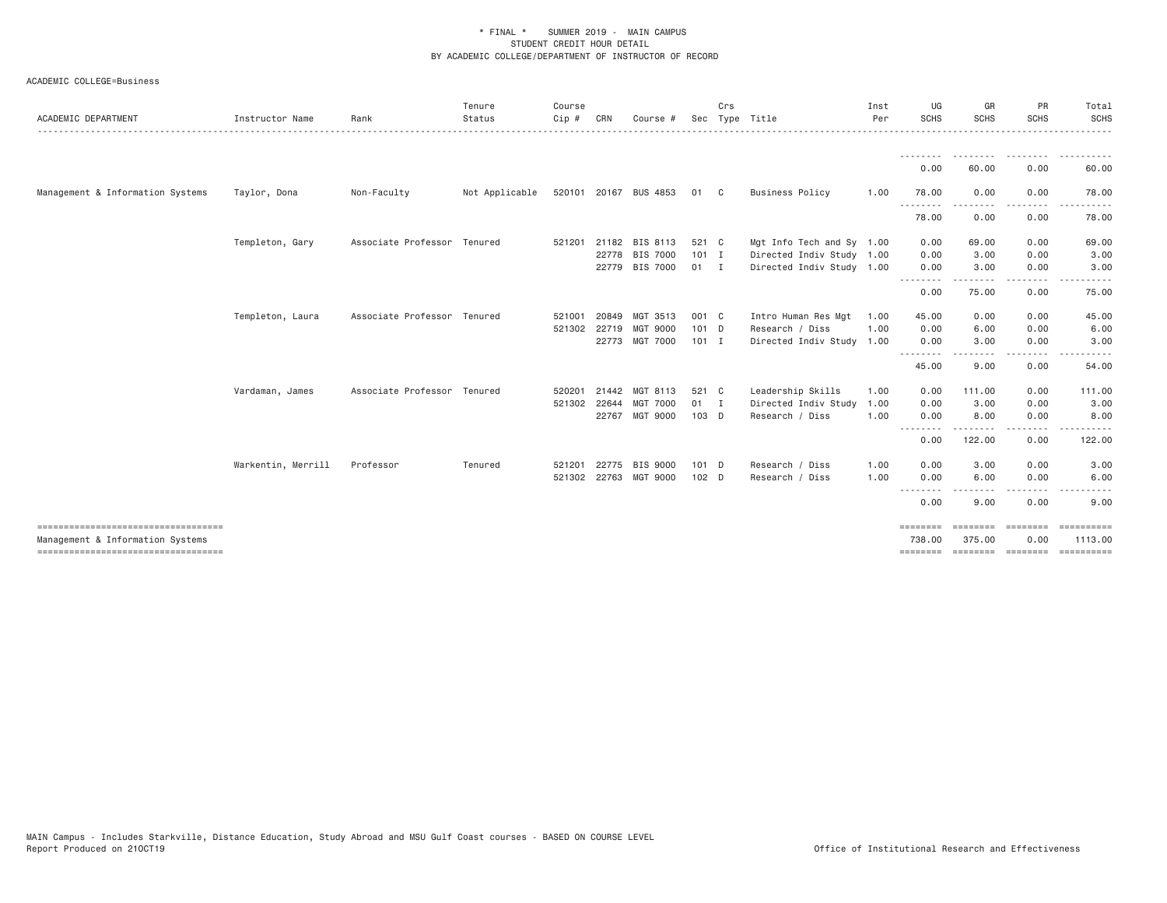| ACADEMIC DEPARTMENT              | Instructor Name    | Rank                        | Tenure<br>Status | Course<br>Cip #        | CRN                   | Course #                                            |                                | Crs<br>Sec Type Title |                                                                                     | Inst<br>Per          | UG<br><b>SCHS</b>           | GR<br><b>SCHS</b>      | PR<br><b>SCHS</b>      | Total<br><b>SCHS</b>      |
|----------------------------------|--------------------|-----------------------------|------------------|------------------------|-----------------------|-----------------------------------------------------|--------------------------------|-----------------------|-------------------------------------------------------------------------------------|----------------------|-----------------------------|------------------------|------------------------|---------------------------|
|                                  |                    |                             |                  |                        |                       |                                                     |                                |                       |                                                                                     |                      | 0.00                        | 60.00                  | 0.00                   | 60.00                     |
| Management & Information Systems | Taylor, Dona       | Non-Faculty                 | Not Applicable   |                        |                       | 520101 20167 BUS 4853                               | 01 C                           |                       | <b>Business Policy</b>                                                              | 1.00                 | 78.00                       | 0.00                   | 0.00                   | 78.00                     |
|                                  |                    |                             |                  |                        |                       |                                                     |                                |                       |                                                                                     |                      | <u>.</u><br>78.00           | 0.00                   | 0.00                   | 78.00                     |
|                                  | Templeton, Gary    | Associate Professor Tenured |                  | 521201                 | 22778                 | 21182 BIS 8113<br><b>BIS 7000</b><br>22779 BIS 7000 | 521 C<br>$101$ I<br>01 I       |                       | Mgt Info Tech and Sy 1.00<br>Directed Indiv Study 1.00<br>Directed Indiv Study 1.00 |                      | 0.00<br>0.00<br>0.00        | 69.00<br>3.00<br>3.00  | 0.00<br>0.00<br>0.00   | 69.00<br>3.00<br>3.00     |
|                                  |                    |                             |                  |                        |                       |                                                     |                                |                       |                                                                                     |                      | .<br>0.00                   | 75.00                  | 0.00                   | 75.00                     |
|                                  | Templeton, Laura   | Associate Professor Tenured |                  | 521001<br>521302 22719 | 20849                 | MGT 3513<br><b>MGT 9000</b><br>22773 MGT 7000       | 001 C<br>101 D<br>$101$ I      |                       | Intro Human Res Mgt<br>Research / Diss<br>Directed Indiv Study 1.00                 | 1.00<br>1.00         | 45.00<br>0.00<br>0.00       | 0.00<br>6.00<br>3.00   | 0.00<br>0.00<br>0.00   | 45.00<br>6.00<br>3.00     |
|                                  |                    |                             |                  |                        |                       |                                                     |                                |                       |                                                                                     |                      | .<br>45.00                  | 9.00                   | 0.00                   | 54.00                     |
|                                  | Vardaman, James    | Associate Professor Tenured |                  | 520201<br>521302 22644 | 21442<br>22767        | MGT 8113<br><b>MGT 7000</b><br>MGT 9000             | 521 C<br>$01 \quad I$<br>103 D |                       | Leadership Skills<br>Directed Indiv Study<br>Research / Diss                        | 1.00<br>1.00<br>1.00 | 0.00<br>0.00<br>0.00        | 111.00<br>3.00<br>8.00 | 0.00<br>0.00<br>0.00   | 111.00<br>3.00<br>8.00    |
|                                  |                    |                             |                  |                        |                       |                                                     |                                |                       |                                                                                     |                      | .<br>0.00                   | .<br>122.00            | 0.00                   | 122.00                    |
|                                  | Warkentin, Merrill | Professor                   | Tenured          | 521201                 | 22775<br>521302 22763 | <b>BIS 9000</b><br>MGT 9000                         | 101 D<br>$102$ D               |                       | Research / Diss<br>Research / Diss                                                  | 1.00<br>1.00         | 0.00<br>0.00                | 3.00<br>6.00           | 0.00<br>0.00           | 3.00<br>6.00              |
|                                  |                    |                             |                  |                        |                       |                                                     |                                |                       |                                                                                     |                      | .<br>0.00                   | 9.00                   | 0.00                   | 9.00                      |
| Management & Information Systems |                    |                             |                  |                        |                       |                                                     |                                |                       |                                                                                     |                      | $=$ = = = = = = =<br>738.00 | --------<br>375.00     | <b>EEEEEEE</b><br>0.00 | $=$ ==========<br>1113.00 |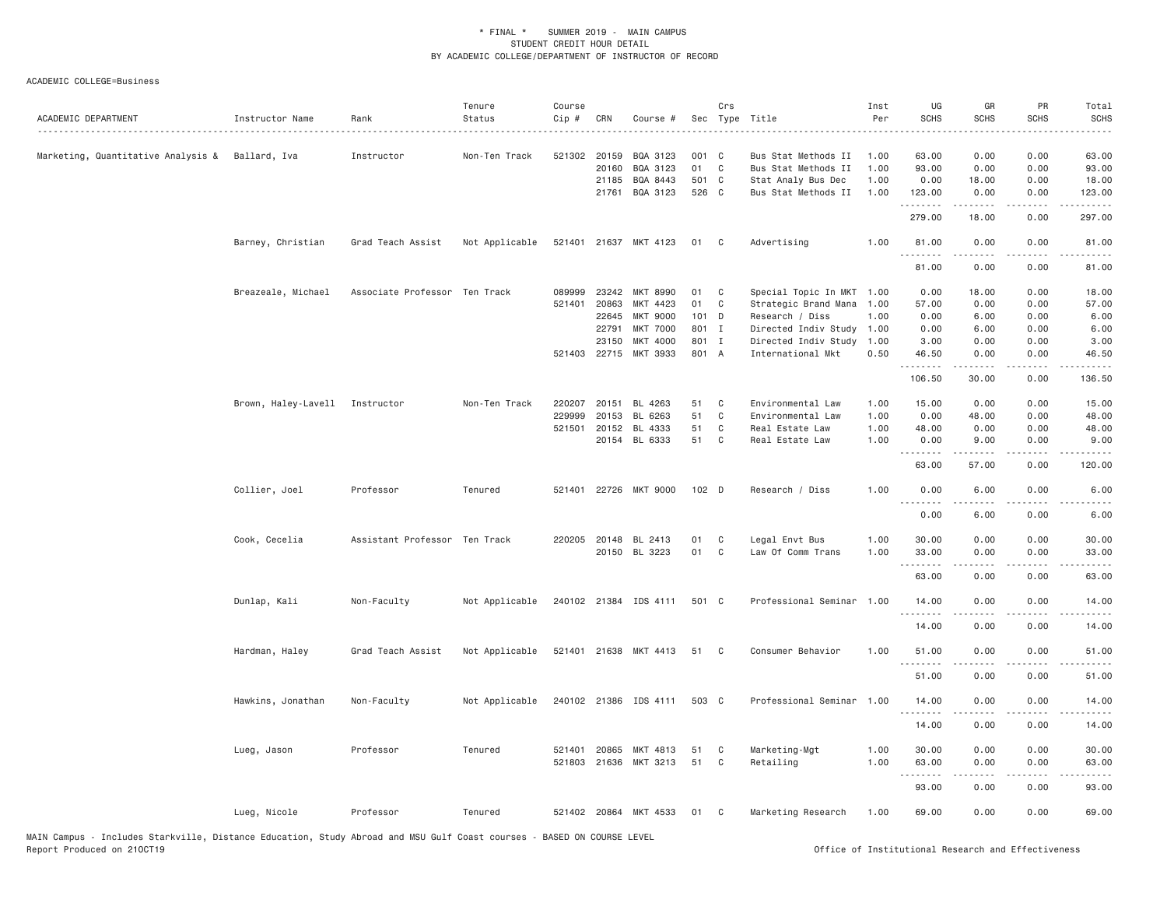| ACADEMIC DEPARTMENT                             | Instructor Name                | Rank                          | Tenure<br>Status | Course<br>Cip #            | CRN                                                       | Course #                                                                           |                                              | Crs              | Sec Type Title                                                                                                                            | Inst<br>Per<br>.                     | UG<br><b>SCHS</b>                              | GR<br><b>SCHS</b>                             | PR<br><b>SCHS</b>                            | Total<br><b>SCHS</b><br>.                           |
|-------------------------------------------------|--------------------------------|-------------------------------|------------------|----------------------------|-----------------------------------------------------------|------------------------------------------------------------------------------------|----------------------------------------------|------------------|-------------------------------------------------------------------------------------------------------------------------------------------|--------------------------------------|------------------------------------------------|-----------------------------------------------|----------------------------------------------|-----------------------------------------------------|
| Marketing, Quantitative Analysis & Ballard, Iva |                                | Instructor                    | Non-Ten Track    | 521302 20159               | 20160<br>21185                                            | BQA 3123<br>BQA 3123<br>BQA 8443                                                   | 001 C<br>01<br>501 C                         | $\mathbb C$      | Bus Stat Methods II<br>Bus Stat Methods II<br>Stat Analy Bus Dec                                                                          | 1.00<br>1.00<br>1.00                 | 63.00<br>93.00<br>0.00                         | 0.00<br>0.00<br>18.00                         | 0.00<br>0.00<br>0.00                         | 63.00<br>93.00<br>18.00                             |
|                                                 |                                |                               |                  |                            | 21761                                                     | BQA 3123                                                                           | 526 C                                        |                  | Bus Stat Methods II                                                                                                                       | 1.00                                 | 123.00<br><b><i><u></u></i></b><br>279.00      | 0.00<br>18.00                                 | 0.00<br>.<br>0.00                            | 123.00<br>.<br>297.00                               |
|                                                 | Barney, Christian              | Grad Teach Assist             | Not Applicable   |                            |                                                           | 521401 21637 MKT 4123                                                              | 01                                           | C                | Advertising                                                                                                                               | 1.00                                 | 81.00<br>.                                     | 0.00                                          | 0.00<br>$\frac{1}{2}$                        | 81.00<br>.                                          |
|                                                 |                                |                               |                  |                            |                                                           |                                                                                    |                                              |                  |                                                                                                                                           |                                      | 81.00                                          | 0.00                                          | 0.00                                         | 81.00                                               |
|                                                 | Breazeale, Michael             | Associate Professor Ten Track |                  | 089999<br>521401           | 23242<br>20863<br>22645<br>22791<br>23150<br>521403 22715 | MKT 8990<br>MKT 4423<br><b>MKT 9000</b><br><b>MKT 7000</b><br>MKT 4000<br>MKT 3933 | 01<br>01<br>101 D<br>801 I<br>801 I<br>801 A | C<br>C           | Special Topic In MKT 1.00<br>Strategic Brand Mana<br>Research / Diss<br>Directed Indiv Study<br>Directed Indiv Study<br>International Mkt | 1.00<br>1.00<br>1.00<br>1.00<br>0.50 | 0.00<br>57.00<br>0.00<br>0.00<br>3.00<br>46.50 | 18.00<br>0.00<br>6.00<br>6.00<br>0.00<br>0.00 | 0.00<br>0.00<br>0.00<br>0.00<br>0.00<br>0.00 | 18.00<br>57.00<br>6.00<br>6.00<br>3.00<br>46.50     |
|                                                 |                                |                               |                  |                            |                                                           |                                                                                    |                                              |                  |                                                                                                                                           |                                      | .<br>106.50                                    | <u>.</u><br>30.00                             | $- - - -$<br>0.00                            | .<br>136.50                                         |
|                                                 | Brown, Haley-Lavell Instructor |                               | Non-Ten Track    | 220207<br>229999<br>521501 | 20151<br>20153<br>20152                                   | BL 4263<br>BL 6263<br>BL 4333<br>20154 BL 6333                                     | 51<br>51<br>51<br>51                         | C<br>C<br>C<br>C | Environmental Law<br>Environmental Law<br>Real Estate Law<br>Real Estate Law                                                              | 1.00<br>1.00<br>1.00<br>1.00         | 15.00<br>0.00<br>48.00<br>0.00<br>.<br>63.00   | 0.00<br>48.00<br>0.00<br>9.00<br>.<br>57.00   | 0.00<br>0.00<br>0.00<br>0.00<br>.<br>0.00    | 15.00<br>48.00<br>48.00<br>9.00<br>22222.<br>120.00 |
|                                                 | Collier, Joel                  | Professor                     | Tenured          | 521401                     |                                                           | 22726 MKT 9000                                                                     | 102 D                                        |                  | Research / Diss                                                                                                                           | 1.00                                 | 0.00<br><b></b>                                | 6.00<br>.                                     | 0.00<br>$- - -$                              | 6.00<br>$- - - -$                                   |
|                                                 |                                |                               |                  |                            |                                                           |                                                                                    |                                              |                  |                                                                                                                                           |                                      | 0.00                                           | 6.00                                          | 0.00                                         | 6.00                                                |
|                                                 | Cook, Cecelia                  | Assistant Professor Ten Track |                  |                            |                                                           | 220205 20148 BL 2413<br>20150 BL 3223                                              | 01<br>01                                     | C<br>C           | Legal Envt Bus<br>Law Of Comm Trans                                                                                                       | 1.00<br>1.00                         | 30.00<br>33.00<br>.                            | 0.00<br>0.00<br>.                             | 0.00<br>0.00<br>.                            | 30.00<br>33.00<br>الداعات الدار                     |
|                                                 | Dunlap, Kali                   | Non-Faculty                   | Not Applicable   |                            |                                                           | 240102 21384 IDS 4111                                                              | 501 C                                        |                  | Professional Seminar 1.00                                                                                                                 |                                      | 63.00<br>14.00                                 | 0.00<br>0.00                                  | 0.00<br>0.00                                 | 63.00<br>14.00                                      |
|                                                 |                                |                               |                  |                            |                                                           |                                                                                    |                                              |                  |                                                                                                                                           |                                      | .<br>14.00                                     | 0.00                                          | $\sim$ $\sim$ $\sim$ $\sim$<br>0.00          | .<br>14.00                                          |
|                                                 | Hardman, Haley                 | Grad Teach Assist             | Not Applicable   |                            |                                                           | 521401 21638 MKT 4413                                                              | 51                                           | C                | Consumer Behavior                                                                                                                         | 1.00                                 | 51.00                                          | 0.00                                          | 0.00                                         | 51.00                                               |
|                                                 |                                |                               |                  |                            |                                                           |                                                                                    |                                              |                  |                                                                                                                                           |                                      | .<br>51.00                                     | .<br>0.00                                     | .<br>0.00                                    | .<br>51.00                                          |
|                                                 | Hawkins, Jonathan              | Non-Faculty                   | Not Applicable   |                            |                                                           | 240102 21386 IDS 4111                                                              | 503 C                                        |                  | Professional Seminar 1.00                                                                                                                 |                                      | 14.00<br>.                                     | 0.00<br>.                                     | 0.00<br>$\sim$ $\sim$ $\sim$ $\sim$          | 14.00<br>.                                          |
|                                                 | Lueg, Jason                    | Professor                     | Tenured          | 521401                     | 20865                                                     | MKT 4813                                                                           | 51                                           | C                | Marketing-Mgt                                                                                                                             | 1.00                                 | 14.00<br>30.00                                 | 0.00<br>0.00                                  | 0.00<br>0.00                                 | 14.00<br>30.00                                      |
|                                                 |                                |                               |                  |                            |                                                           | 521803 21636 MKT 3213                                                              | 51                                           | C                | Retailing                                                                                                                                 | 1.00                                 | 63.00<br><u>.</u>                              | 0.00                                          | 0.00                                         | 63.00                                               |
|                                                 |                                |                               |                  |                            |                                                           |                                                                                    |                                              |                  |                                                                                                                                           |                                      | 93.00                                          | 0.00                                          | 0.00                                         | 93.00                                               |
|                                                 | Lueg, Nicole                   | Professor                     | Tenured          |                            |                                                           | 521402 20864 MKT 4533                                                              | 01                                           | C                | Marketing Research                                                                                                                        | 1.00                                 | 69.00                                          | 0.00                                          | 0.00                                         | 69,00                                               |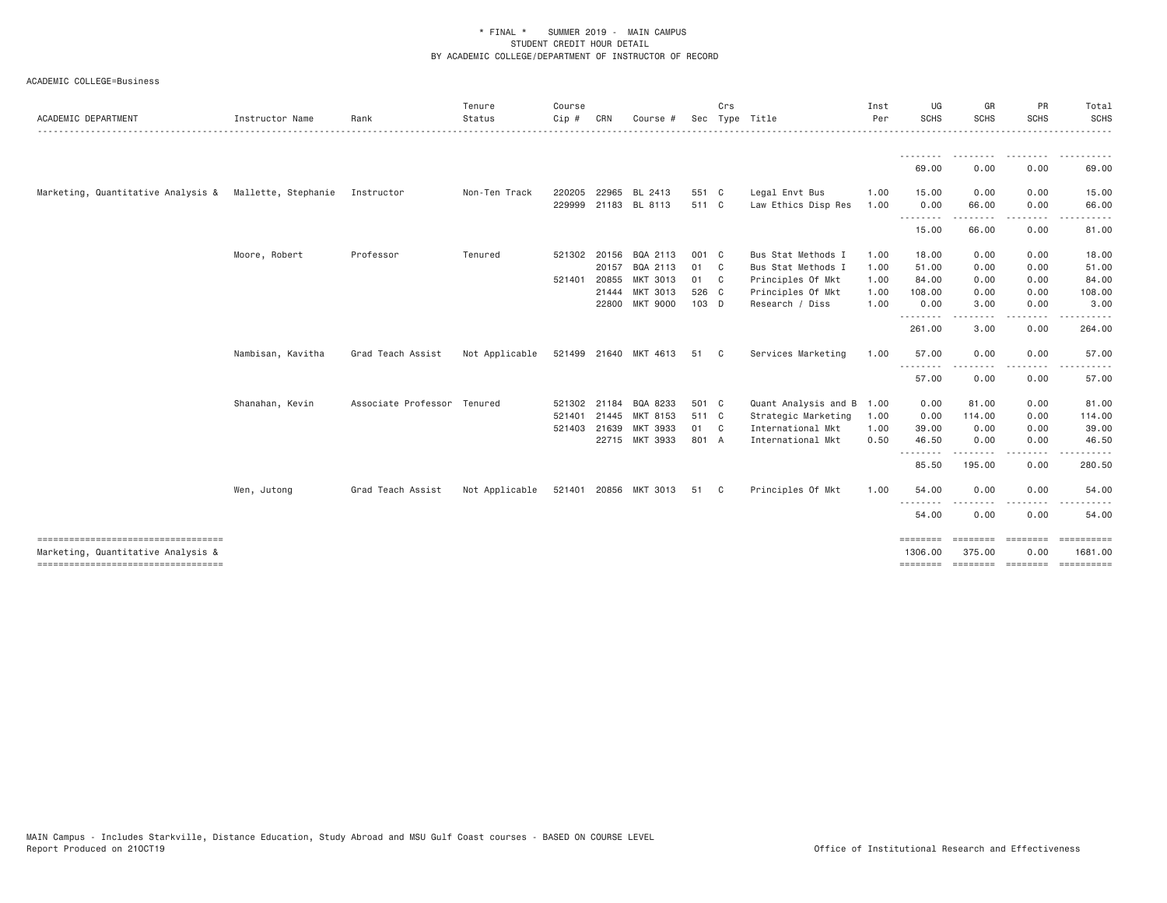ACADEMIC COLLEGE=Business

| ACADEMIC DEPARTMENT                                    | Instructor Name   | Rank                        | Tenure<br>Status | Course<br>Cip # | CRN   | Course #              |       | Crs | Sec Type Title       | Inst<br>Per | UG<br><b>SCHS</b>                | GR<br><b>SCHS</b>    | PR<br><b>SCHS</b> | Total<br><b>SCHS</b>                            |
|--------------------------------------------------------|-------------------|-----------------------------|------------------|-----------------|-------|-----------------------|-------|-----|----------------------|-------------|----------------------------------|----------------------|-------------------|-------------------------------------------------|
|                                                        |                   |                             |                  |                 |       |                       |       |     |                      |             | --------                         |                      |                   |                                                 |
|                                                        |                   |                             |                  |                 |       |                       |       |     |                      |             | 69.00                            | 0.00                 | 0.00              | 69.00                                           |
| Marketing, Quantitative Analysis & Mallette, Stephanie |                   | Instructor                  | Non-Ten Track    | 220205          | 22965 | BL 2413               | 551 C |     | Legal Envt Bus       | 1.00        | 15.00                            | 0.00                 | 0.00              | 15.00                                           |
|                                                        |                   |                             |                  |                 |       | 229999 21183 BL 8113  | 511 C |     | Law Ethics Disp Res  | 1.00        | 0.00<br>.                        | 66.00<br>-----       | 0.00              | 66.00                                           |
|                                                        |                   |                             |                  |                 |       |                       |       |     |                      |             | 15.00                            | 66.00                | 0.00              | 81.00                                           |
|                                                        | Moore, Robert     | Professor                   | Tenured          | 521302 20156    |       | BQA 2113              | 001 C |     | Bus Stat Methods I   | 1.00        | 18.00                            | 0.00                 | 0.00              | 18.00                                           |
|                                                        |                   |                             |                  |                 | 20157 | BQA 2113              | 01 C  |     | Bus Stat Methods I   | 1.00        | 51.00                            | 0.00                 | 0.00              | 51.00                                           |
|                                                        |                   |                             |                  | 521401 20855    |       | MKT 3013              | 01 C  |     | Principles Of Mkt    | 1.00        | 84.00                            | 0.00                 | 0.00              | 84.00                                           |
|                                                        |                   |                             |                  |                 | 21444 | MKT 3013              | 526 C |     | Principles Of Mkt    | 1.00        | 108.00                           | 0.00                 | 0.00              | 108.00                                          |
|                                                        |                   |                             |                  |                 | 22800 | <b>MKT 9000</b>       | 103 D |     | Research / Diss      | 1.00        | 0.00                             | 3.00                 | 0.00              | 3.00                                            |
|                                                        |                   |                             |                  |                 |       |                       |       |     |                      |             | 261.00                           | 3.00                 | 0.00              | 264.00                                          |
|                                                        | Nambisan, Kavitha | Grad Teach Assist           | Not Applicable   |                 |       | 521499 21640 MKT 4613 | 51 C  |     | Services Marketing   | 1.00        | 57.00                            | 0.00                 | 0.00              | 57.00                                           |
|                                                        |                   |                             |                  |                 |       |                       |       |     |                      |             | $\cdots$<br>57.00                | 0.00                 | 0.00              | 57.00                                           |
|                                                        | Shanahan, Kevin   | Associate Professor Tenured |                  | 521302 21184    |       | BQA 8233              | 501 C |     | Quant Analysis and B | 1.00        | 0.00                             | 81.00                | 0.00              | 81.00                                           |
|                                                        |                   |                             |                  | 521401 21445    |       | MKT 8153              | 511 C |     | Strategic Marketing  | 1.00        | 0.00                             | 114.00               | 0.00              | 114.00                                          |
|                                                        |                   |                             |                  | 521403 21639    |       | MKT 3933              | 01 C  |     | International Mkt    | 1.00        | 39.00                            | 0.00                 | 0.00              | 39.00                                           |
|                                                        |                   |                             |                  |                 |       | 22715 MKT 3933        | 801 A |     | International Mkt    | 0.50        | 46.50                            | 0.00                 | 0.00              | 46.50                                           |
|                                                        |                   |                             |                  |                 |       |                       |       |     |                      |             | <u>.</u><br>85.50                | .<br>195.00          | .<br>0.00         | .<br>280.50                                     |
|                                                        | Wen, Jutong       | Grad Teach Assist           | Not Applicable   |                 |       | 521401 20856 MKT 3013 | 51 C  |     | Principles Of Mkt    | 1.00        | 54.00                            | 0.00                 | 0.00              | 54.00                                           |
|                                                        |                   |                             |                  |                 |       |                       |       |     |                      |             | <u> - - - - - - - -</u><br>54.00 | . <u>. .</u><br>0.00 | .<br>0.00         | 54.00                                           |
|                                                        |                   |                             |                  |                 |       |                       |       |     |                      |             | $=$ =======                      | ========             | ========          | ==========                                      |
| Marketing, Quantitative Analysis &                     |                   |                             |                  |                 |       |                       |       |     |                      |             | 1306.00                          | 375.00               | 0.00              | 1681.00<br>======== ======== ======== ========= |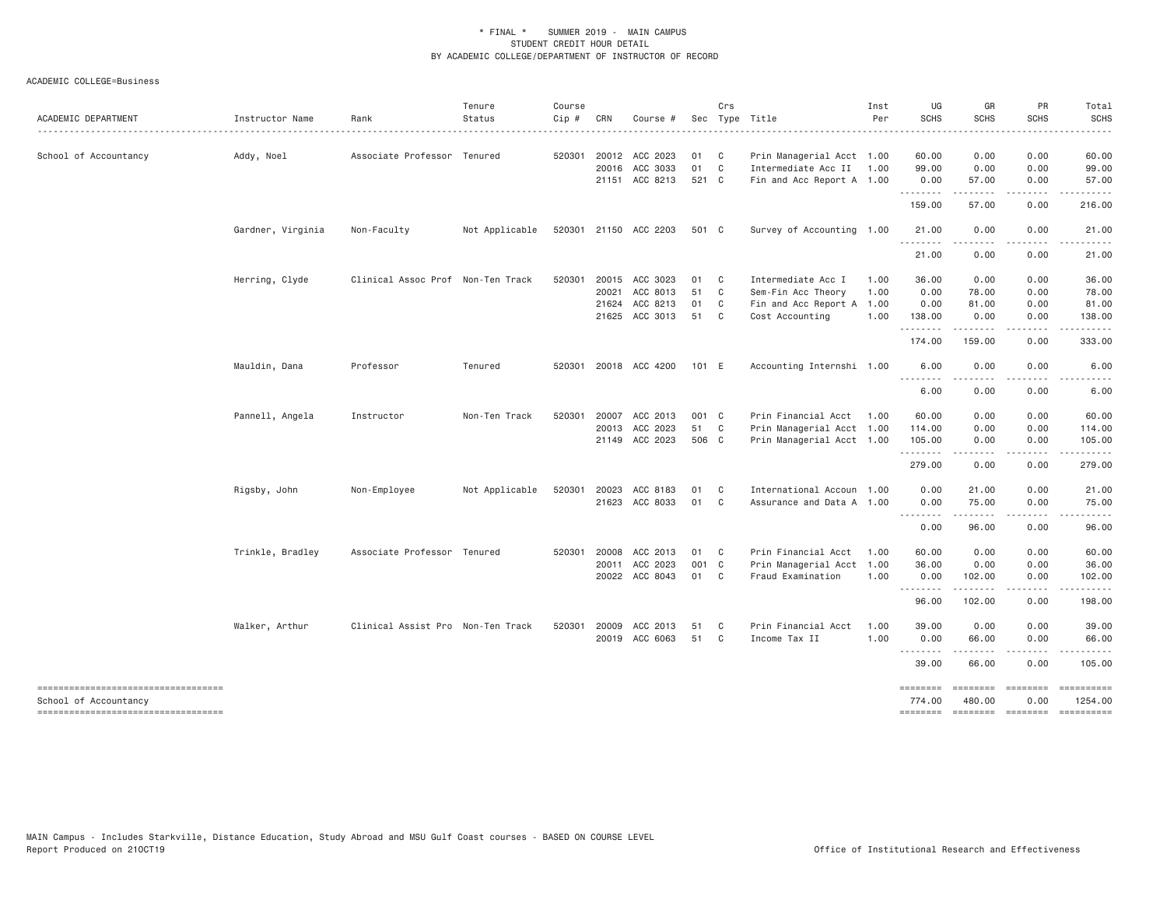ACADEMIC COLLEGE=Business

| ACADEMIC DEPARTMENT                                          | Instructor Name<br>. | Rank                              | Tenure<br>Status | Course<br>Cip # | CRN          | Course #              |       | Crs            | Sec Type Title            | Inst<br>Per | UG<br><b>SCHS</b>                                                                                                                                                                                                                                                                                                                                                                                                                                                                                | GR<br>SCHS            | PR<br>SCHS                                                                                                                                                                                                                                                                                                                                                                                                                                                                             | Total<br><b>SCHS</b>  |
|--------------------------------------------------------------|----------------------|-----------------------------------|------------------|-----------------|--------------|-----------------------|-------|----------------|---------------------------|-------------|--------------------------------------------------------------------------------------------------------------------------------------------------------------------------------------------------------------------------------------------------------------------------------------------------------------------------------------------------------------------------------------------------------------------------------------------------------------------------------------------------|-----------------------|----------------------------------------------------------------------------------------------------------------------------------------------------------------------------------------------------------------------------------------------------------------------------------------------------------------------------------------------------------------------------------------------------------------------------------------------------------------------------------------|-----------------------|
| School of Accountancy                                        |                      | Associate Professor Tenured       | .                |                 |              | 520301 20012 ACC 2023 | 01    | $\mathbf{C}$   | Prin Managerial Acct 1.00 |             | $\frac{1}{2} \left( \frac{1}{2} \right) \left( \frac{1}{2} \right) \left( \frac{1}{2} \right) \left( \frac{1}{2} \right) \left( \frac{1}{2} \right) \left( \frac{1}{2} \right)$                                                                                                                                                                                                                                                                                                                  | 0.00                  | 0.00                                                                                                                                                                                                                                                                                                                                                                                                                                                                                   | 60.00                 |
|                                                              | Addy, Noel           |                                   |                  |                 |              | 20016 ACC 3033        | 01    | C              | Intermediate Acc II 1.00  |             | 60.00<br>99.00                                                                                                                                                                                                                                                                                                                                                                                                                                                                                   | 0.00                  | 0.00                                                                                                                                                                                                                                                                                                                                                                                                                                                                                   | 99.00                 |
|                                                              |                      |                                   |                  |                 |              | 21151 ACC 8213        | 521 C |                | Fin and Acc Report A 1.00 |             | 0.00                                                                                                                                                                                                                                                                                                                                                                                                                                                                                             | 57.00                 | 0.00                                                                                                                                                                                                                                                                                                                                                                                                                                                                                   | 57.00                 |
|                                                              |                      |                                   |                  |                 |              |                       |       |                |                           |             | $\begin{array}{cccccccccccccc} \multicolumn{2}{c}{} & \multicolumn{2}{c}{} & \multicolumn{2}{c}{} & \multicolumn{2}{c}{} & \multicolumn{2}{c}{} & \multicolumn{2}{c}{} & \multicolumn{2}{c}{} & \multicolumn{2}{c}{} & \multicolumn{2}{c}{} & \multicolumn{2}{c}{} & \multicolumn{2}{c}{} & \multicolumn{2}{c}{} & \multicolumn{2}{c}{} & \multicolumn{2}{c}{} & \multicolumn{2}{c}{} & \multicolumn{2}{c}{} & \multicolumn{2}{c}{} & \multicolumn{2}{c}{} & \multicolumn{2}{c}{} & \$<br>159.00 | . <u>.</u> .<br>57.00 | .<br>0.00                                                                                                                                                                                                                                                                                                                                                                                                                                                                              | 216.00                |
|                                                              | Gardner, Virginia    | Non-Faculty                       | Not Applicable   |                 |              | 520301 21150 ACC 2203 | 501 C |                | Survey of Accounting 1.00 |             | 21.00                                                                                                                                                                                                                                                                                                                                                                                                                                                                                            | 0.00                  | 0.00                                                                                                                                                                                                                                                                                                                                                                                                                                                                                   | 21.00                 |
|                                                              |                      |                                   |                  |                 |              |                       |       |                |                           |             | 21.00                                                                                                                                                                                                                                                                                                                                                                                                                                                                                            | 0.00                  | .<br>0.00                                                                                                                                                                                                                                                                                                                                                                                                                                                                              | 21.00                 |
|                                                              | Herring, Clyde       | Clinical Assoc Prof Non-Ten Track |                  | 520301          | 20015        | ACC 3023              | 01    | $\mathbf{C}$   | Intermediate Acc I        | 1.00        | 36.00                                                                                                                                                                                                                                                                                                                                                                                                                                                                                            | 0.00                  | 0.00                                                                                                                                                                                                                                                                                                                                                                                                                                                                                   | 36.00                 |
|                                                              |                      |                                   |                  |                 | 20021        | ACC 8013              | 51    | C              | Sem-Fin Acc Theory        | 1.00        | 0.00                                                                                                                                                                                                                                                                                                                                                                                                                                                                                             | 78.00                 | 0.00                                                                                                                                                                                                                                                                                                                                                                                                                                                                                   | 78.00                 |
|                                                              |                      |                                   |                  |                 | 21624        | ACC 8213              | 01    | C <sub>1</sub> | Fin and Acc Report A 1.00 |             | 0.00                                                                                                                                                                                                                                                                                                                                                                                                                                                                                             | 81.00                 | 0.00                                                                                                                                                                                                                                                                                                                                                                                                                                                                                   | 81.00                 |
|                                                              |                      |                                   |                  |                 |              | 21625 ACC 3013        | 51 C  |                | Cost Accounting           | 1.00        | 138.00<br>.                                                                                                                                                                                                                                                                                                                                                                                                                                                                                      | 0.00                  | 0.00<br>.                                                                                                                                                                                                                                                                                                                                                                                                                                                                              | 138.00<br>.           |
|                                                              |                      |                                   |                  |                 |              |                       |       |                |                           |             | 174.00                                                                                                                                                                                                                                                                                                                                                                                                                                                                                           | 159.00                | 0.00                                                                                                                                                                                                                                                                                                                                                                                                                                                                                   | 333.00                |
|                                                              | Mauldin, Dana        | Professor                         | Tenured          |                 |              | 520301 20018 ACC 4200 | 101 E |                | Accounting Internshi 1.00 |             | 6.00                                                                                                                                                                                                                                                                                                                                                                                                                                                                                             | 0.00                  | 0.00                                                                                                                                                                                                                                                                                                                                                                                                                                                                                   | 6.00                  |
|                                                              |                      |                                   |                  |                 |              |                       |       |                |                           |             | 6.00                                                                                                                                                                                                                                                                                                                                                                                                                                                                                             | .<br>0.00             | .<br>0.00                                                                                                                                                                                                                                                                                                                                                                                                                                                                              | 6.00                  |
|                                                              | Pannell, Angela      | Instructor                        | Non-Ten Track    | 520301          | 20007        | ACC 2013              | 001 C |                | Prin Financial Acct 1.00  |             | 60.00                                                                                                                                                                                                                                                                                                                                                                                                                                                                                            | 0.00                  | 0.00                                                                                                                                                                                                                                                                                                                                                                                                                                                                                   | 60.00                 |
|                                                              |                      |                                   |                  |                 | 20013        | ACC 2023              | 51 C  |                | Prin Managerial Acct 1.00 |             | 114.00                                                                                                                                                                                                                                                                                                                                                                                                                                                                                           | 0.00                  | 0.00                                                                                                                                                                                                                                                                                                                                                                                                                                                                                   | 114.00                |
|                                                              |                      |                                   |                  |                 |              | 21149 ACC 2023        | 506 C |                | Prin Managerial Acct 1.00 |             | 105.00<br>. <b>.</b> .                                                                                                                                                                                                                                                                                                                                                                                                                                                                           | 0.00<br>.             | 0.00<br>.                                                                                                                                                                                                                                                                                                                                                                                                                                                                              | 105.00<br>------      |
|                                                              |                      |                                   |                  |                 |              |                       |       |                |                           |             | 279.00                                                                                                                                                                                                                                                                                                                                                                                                                                                                                           | 0.00                  | 0.00                                                                                                                                                                                                                                                                                                                                                                                                                                                                                   | 279.00                |
|                                                              | Rigsby, John         | Non-Employee                      | Not Applicable   |                 | 520301 20023 | ACC 8183              | 01    | $\mathbf{C}$   | International Accoun 1.00 |             | 0.00                                                                                                                                                                                                                                                                                                                                                                                                                                                                                             | 21.00                 | 0.00                                                                                                                                                                                                                                                                                                                                                                                                                                                                                   | 21.00                 |
|                                                              |                      |                                   |                  |                 |              | 21623 ACC 8033        | 01 C  |                | Assurance and Data A 1.00 |             | 0.00<br>.                                                                                                                                                                                                                                                                                                                                                                                                                                                                                        | 75.00<br><b></b>      | 0.00<br>$- - - - -$                                                                                                                                                                                                                                                                                                                                                                                                                                                                    | 75.00<br>.            |
|                                                              |                      |                                   |                  |                 |              |                       |       |                |                           |             | 0.00                                                                                                                                                                                                                                                                                                                                                                                                                                                                                             | 96.00                 | 0.00                                                                                                                                                                                                                                                                                                                                                                                                                                                                                   | 96.00                 |
|                                                              | Trinkle, Bradley     | Associate Professor Tenured       |                  |                 | 520301 20008 | ACC 2013              | 01 C  |                | Prin Financial Acct       | 1.00        | 60.00                                                                                                                                                                                                                                                                                                                                                                                                                                                                                            | 0.00                  | 0.00                                                                                                                                                                                                                                                                                                                                                                                                                                                                                   | 60.00                 |
|                                                              |                      |                                   |                  |                 |              | 20011 ACC 2023        | 001 C |                | Prin Managerial Acct 1.00 |             | 36.00                                                                                                                                                                                                                                                                                                                                                                                                                                                                                            | 0.00                  | 0.00                                                                                                                                                                                                                                                                                                                                                                                                                                                                                   | 36.00                 |
|                                                              |                      |                                   |                  |                 |              | 20022 ACC 8043        | 01 C  |                | Fraud Examination         | 1.00        | 0.00<br>.                                                                                                                                                                                                                                                                                                                                                                                                                                                                                        | 102.00                | 0.00                                                                                                                                                                                                                                                                                                                                                                                                                                                                                   | 102.00                |
|                                                              |                      |                                   |                  |                 |              |                       |       |                |                           |             | 96.00                                                                                                                                                                                                                                                                                                                                                                                                                                                                                            | 102.00                | 0.00                                                                                                                                                                                                                                                                                                                                                                                                                                                                                   | 198.00                |
|                                                              | Walker, Arthur       | Clinical Assist Pro Non-Ten Track |                  | 520301          | 20009        | ACC 2013              | 51    | $\mathbf{C}$   | Prin Financial Acct       | 1.00        | 39.00                                                                                                                                                                                                                                                                                                                                                                                                                                                                                            | 0.00                  | 0.00                                                                                                                                                                                                                                                                                                                                                                                                                                                                                   | 39.00                 |
|                                                              |                      |                                   |                  |                 |              | 20019 ACC 6063        | 51    | $\mathbf{C}$   | Income Tax II             | 1.00        | 0.00<br>.                                                                                                                                                                                                                                                                                                                                                                                                                                                                                        | 66.00<br>. <u>.</u> . | 0.00<br>.                                                                                                                                                                                                                                                                                                                                                                                                                                                                              | 66.00                 |
|                                                              |                      |                                   |                  |                 |              |                       |       |                |                           |             | 39.00                                                                                                                                                                                                                                                                                                                                                                                                                                                                                            | 66.00                 | 0.00                                                                                                                                                                                                                                                                                                                                                                                                                                                                                   | 105.00                |
| -----------------------------------                          |                      |                                   |                  |                 |              |                       |       |                |                           |             | ========                                                                                                                                                                                                                                                                                                                                                                                                                                                                                         | ========              | $\begin{array}{cccccccccc} \multicolumn{3}{c}{} & \multicolumn{3}{c}{} & \multicolumn{3}{c}{} & \multicolumn{3}{c}{} & \multicolumn{3}{c}{} & \multicolumn{3}{c}{} & \multicolumn{3}{c}{} & \multicolumn{3}{c}{} & \multicolumn{3}{c}{} & \multicolumn{3}{c}{} & \multicolumn{3}{c}{} & \multicolumn{3}{c}{} & \multicolumn{3}{c}{} & \multicolumn{3}{c}{} & \multicolumn{3}{c}{} & \multicolumn{3}{c}{} & \multicolumn{3}{c}{} & \multicolumn{3}{c}{} & \multicolumn{3}{c}{} & \mult$ | ==========            |
| School of Accountancy<br>----------------------------------- |                      |                                   |                  |                 |              |                       |       |                |                           |             | 774.00<br>========                                                                                                                                                                                                                                                                                                                                                                                                                                                                               | 480.00<br>========    | 0.00<br>========                                                                                                                                                                                                                                                                                                                                                                                                                                                                       | 1254.00<br>========== |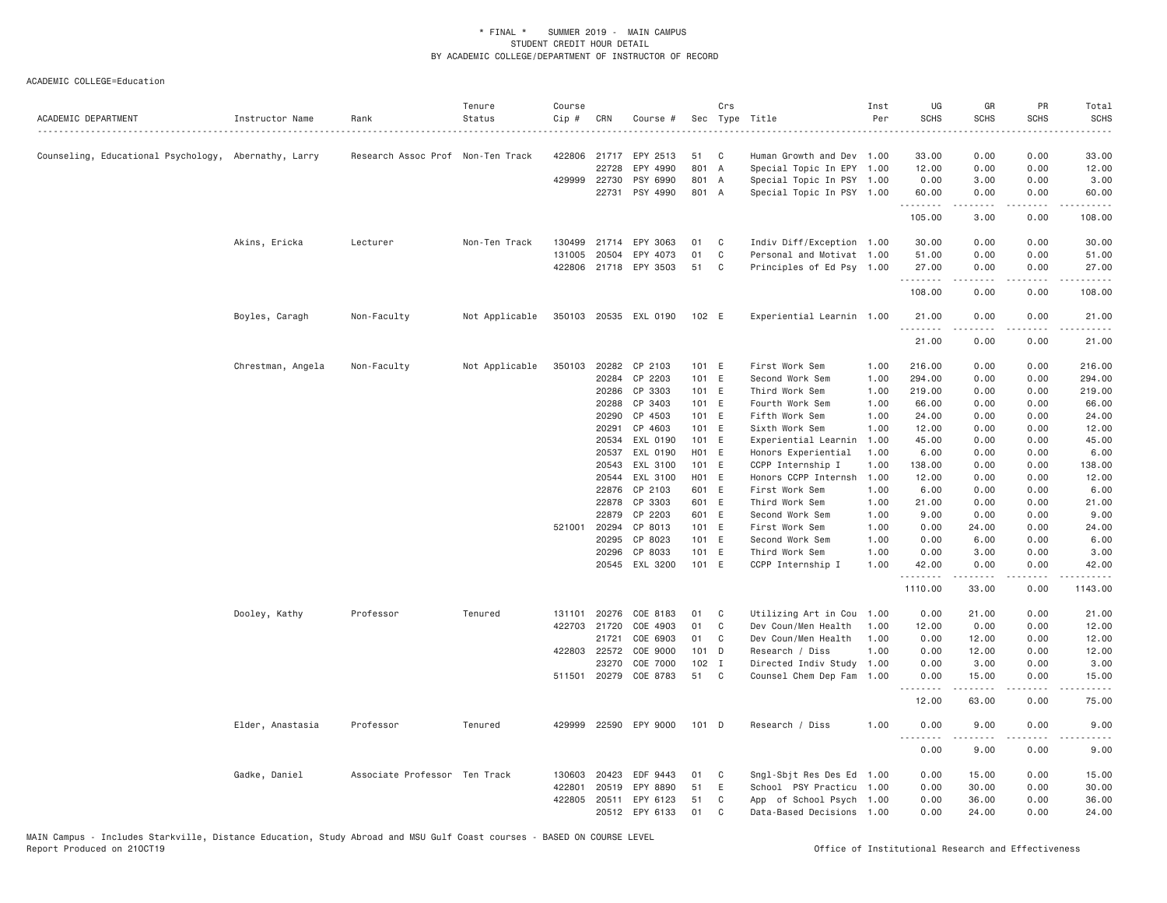| ACADEMIC DEPARTMENT                                  | Instructor Name   | Rank                              | Tenure<br>Status | Course<br>Cip # | CRN          | Course #              |                | Crs         | Sec Type Title                    | Inst<br>Per  | UG<br><b>SCHS</b>     | GR<br><b>SCHS</b> | PR<br><b>SCHS</b>                   | Total<br><b>SCHS</b>     |
|------------------------------------------------------|-------------------|-----------------------------------|------------------|-----------------|--------------|-----------------------|----------------|-------------|-----------------------------------|--------------|-----------------------|-------------------|-------------------------------------|--------------------------|
| Counseling, Educational Psychology, Abernathy, Larry |                   | Research Assoc Prof Non-Ten Track |                  |                 |              | 422806 21717 EPY 2513 | 51             | C           | Human Growth and Dev 1.00         |              | 33.00                 | 0.00              | 0.00                                | 33.00                    |
|                                                      |                   |                                   |                  |                 | 22728        | EPY 4990              | 801 A          |             | Special Topic In EPY 1.00         |              | 12.00                 | 0.00              | 0.00                                | 12.00                    |
|                                                      |                   |                                   |                  |                 | 429999 22730 | PSY 6990              | 801 A          |             | Special Topic In PSY 1.00         |              | 0.00                  | 3.00              | 0.00                                | 3.00                     |
|                                                      |                   |                                   |                  |                 | 22731        | PSY 4990              | 801 A          |             | Special Topic In PSY 1.00         |              | 60.00                 | 0.00              | 0.00                                | 60.00                    |
|                                                      |                   |                                   |                  |                 |              |                       |                |             |                                   |              | .<br>105.00           | .<br>3.00         | $\sim$ $\sim$ $\sim$ $\sim$<br>0.00 | .<br>108.00              |
|                                                      | Akins, Ericka     | Lecturer                          | Non-Ten Track    | 130499          |              | 21714 EPY 3063        | 01             | C           | Indiv Diff/Exception 1.00         |              | 30.00                 | 0.00              | 0.00                                | 30.00                    |
|                                                      |                   |                                   |                  | 131005          | 20504        | EPY 4073              | 01             | $\mathbb C$ | Personal and Motivat 1.00         |              | 51.00                 | 0.00              | 0.00                                | 51.00                    |
|                                                      |                   |                                   |                  |                 |              | 422806 21718 EPY 3503 | 51             | C           | Principles of Ed Psy 1.00         |              | 27.00                 | 0.00              | 0.00                                | 27.00                    |
|                                                      |                   |                                   |                  |                 |              |                       |                |             |                                   |              | 108.00                | .<br>0.00         | .<br>0.00                           | .<br>108.00              |
|                                                      | Boyles, Caragh    | Non-Faculty                       | Not Applicable   |                 |              | 350103 20535 EXL 0190 | 102 E          |             | Experiential Learnin 1.00         |              | 21.00                 | 0.00              | 0.00                                | 21.00                    |
|                                                      |                   |                                   |                  |                 |              |                       |                |             |                                   |              | .<br>21.00            | -----<br>0.00     | .<br>0.00                           | .<br>21.00               |
|                                                      | Chrestman, Angela | Non-Faculty                       | Not Applicable   | 350103          | 20282        | CP 2103               | 101 E          |             | First Work Sem                    | 1.00         | 216.00                | 0.00              | 0.00                                | 216.00                   |
|                                                      |                   |                                   |                  |                 | 20284        | CP 2203               | 101 E          |             | Second Work Sem                   | 1.00         | 294.00                | 0.00              | 0.00                                | 294.00                   |
|                                                      |                   |                                   |                  |                 | 20286        | CP 3303               | 101 E          |             | Third Work Sem                    | 1.00         | 219.00                | 0.00              | 0.00                                | 219.00                   |
|                                                      |                   |                                   |                  |                 | 20288        | CP 3403               | 101 E          |             | Fourth Work Sem                   | 1.00         | 66.00                 | 0.00              | 0.00                                | 66.00                    |
|                                                      |                   |                                   |                  |                 | 20290        | CP 4503               | 101 E          |             | Fifth Work Sem                    | 1.00         | 24.00                 | 0.00              | 0.00                                | 24.00                    |
|                                                      |                   |                                   |                  |                 | 20291        | CP 4603               | 101 E          |             | Sixth Work Sem                    | 1.00         | 12.00                 | 0.00              | 0.00                                | 12.00                    |
|                                                      |                   |                                   |                  |                 | 20534        | EXL 0190              | 101 E          |             | Experiential Learnin              | 1.00         | 45.00                 | 0.00              | 0.00                                | 45.00                    |
|                                                      |                   |                                   |                  |                 | 20537        | EXL 0190              | H01 E          |             | Honors Experiential               | 1.00         | 6.00                  | 0.00              | 0.00                                | 6.00                     |
|                                                      |                   |                                   |                  |                 | 20543        | EXL 3100              | 101 E          |             | CCPP Internship I                 | 1.00         | 138.00                | 0.00              | 0.00                                | 138.00                   |
|                                                      |                   |                                   |                  |                 | 20544        | EXL 3100              | H01 E          |             | Honors CCPP Internsh              | 1.00         | 12.00                 | 0.00              | 0.00                                | 12.00                    |
|                                                      |                   |                                   |                  |                 | 22876        | CP 2103               | 601 E          |             | First Work Sem                    | 1.00         | 6.00                  | 0.00              | 0.00                                | 6.00                     |
|                                                      |                   |                                   |                  |                 | 22878        | CP 3303               | 601 E          |             | Third Work Sem                    | 1.00         | 21.00                 | 0.00              | 0.00                                | 21.00                    |
|                                                      |                   |                                   |                  | 521001 20294    | 22879        | CP 2203<br>CP 8013    | 601 E<br>101 E |             | Second Work Sem<br>First Work Sem | 1.00<br>1.00 | 9.00<br>0.00          | 0.00<br>24.00     | 0.00<br>0.00                        | 9.00<br>24.00            |
|                                                      |                   |                                   |                  |                 | 20295        | CP 8023               | 101 E          |             | Second Work Sem                   | 1.00         | 0.00                  | 6.00              | 0.00                                | 6.00                     |
|                                                      |                   |                                   |                  |                 | 20296        | CP 8033               | 101 E          |             | Third Work Sem                    | 1.00         | 0.00                  | 3.00              | 0.00                                | 3.00                     |
|                                                      |                   |                                   |                  |                 |              | 20545 EXL 3200        | 101 E          |             | CCPP Internship I                 | 1.00         | 42.00                 | 0.00              | 0.00                                | 42.00                    |
|                                                      |                   |                                   |                  |                 |              |                       |                |             |                                   |              | .<br>1110.00          | .<br>33.00        | .<br>0.00                           | $- - - - - -$<br>1143.00 |
|                                                      | Dooley, Kathy     | Professor                         | Tenured          | 131101          | 20276        | COE 8183              | 01             | C           | Utilizing Art in Cou              | 1.00         | 0.00                  | 21.00             | 0.00                                | 21.00                    |
|                                                      |                   |                                   |                  |                 | 422703 21720 | COE 4903              | 01             | C           | Dev Coun/Men Health               | 1.00         | 12.00                 | 0.00              | 0.00                                | 12.00                    |
|                                                      |                   |                                   |                  |                 | 21721        | COE 6903              | 01             | C           | Dev Coun/Men Health               | 1.00         | 0.00                  | 12.00             | 0.00                                | 12.00                    |
|                                                      |                   |                                   |                  |                 | 422803 22572 | COE 9000              | 101 D          |             | Research / Diss                   | 1.00         | 0.00                  | 12.00             | 0.00                                | 12.00                    |
|                                                      |                   |                                   |                  |                 | 23270        | COE 7000              | $102$ I        |             | Directed Indiv Study              | 1.00         | 0.00                  | 3.00              | 0.00                                | 3.00                     |
|                                                      |                   |                                   |                  |                 |              | 511501 20279 COE 8783 | 51             | C           | Counsel Chem Dep Fam              | 1.00         | 0.00<br>.             | 15.00<br>-----    | 0.00                                | 15.00                    |
|                                                      |                   |                                   |                  |                 |              |                       |                |             |                                   |              | 12.00                 | 63.00             | 0.00                                | 75.00                    |
|                                                      | Elder, Anastasia  | Professor                         | Tenured          |                 |              | 429999 22590 EPY 9000 | $101$ D        |             | Research / Diss                   | 1.00         | 0.00<br>$  -$<br>---- | 9.00              | 0.00<br>$\frac{1}{2}$               | 9.00                     |
|                                                      |                   |                                   |                  |                 |              |                       |                |             |                                   |              | 0.00                  | 9.00              | 0.00                                | 9.00                     |
|                                                      | Gadke, Daniel     | Associate Professor Ten Track     |                  | 130603          | 20423        | EDF 9443              | 01             | C           | Sngl-Sbjt Res Des Ed              | 1.00         | 0.00                  | 15.00             | 0.00                                | 15.00                    |
|                                                      |                   |                                   |                  | 422801          | 20519        | EPY 8890              | 51             | Ε           | School PSY Practicu 1.00          |              | 0.00                  | 30.00             | 0.00                                | 30.00                    |
|                                                      |                   |                                   |                  |                 |              | 422805 20511 EPY 6123 | 51             | C           | App of School Psych 1.00          |              | 0.00                  | 36.00             | 0.00                                | 36.00                    |
|                                                      |                   |                                   |                  |                 | 20512        | EPY 6133              | 01             | C           | Data-Based Decisions 1.00         |              | 0.00                  | 24,00             | 0.00                                | 24.00                    |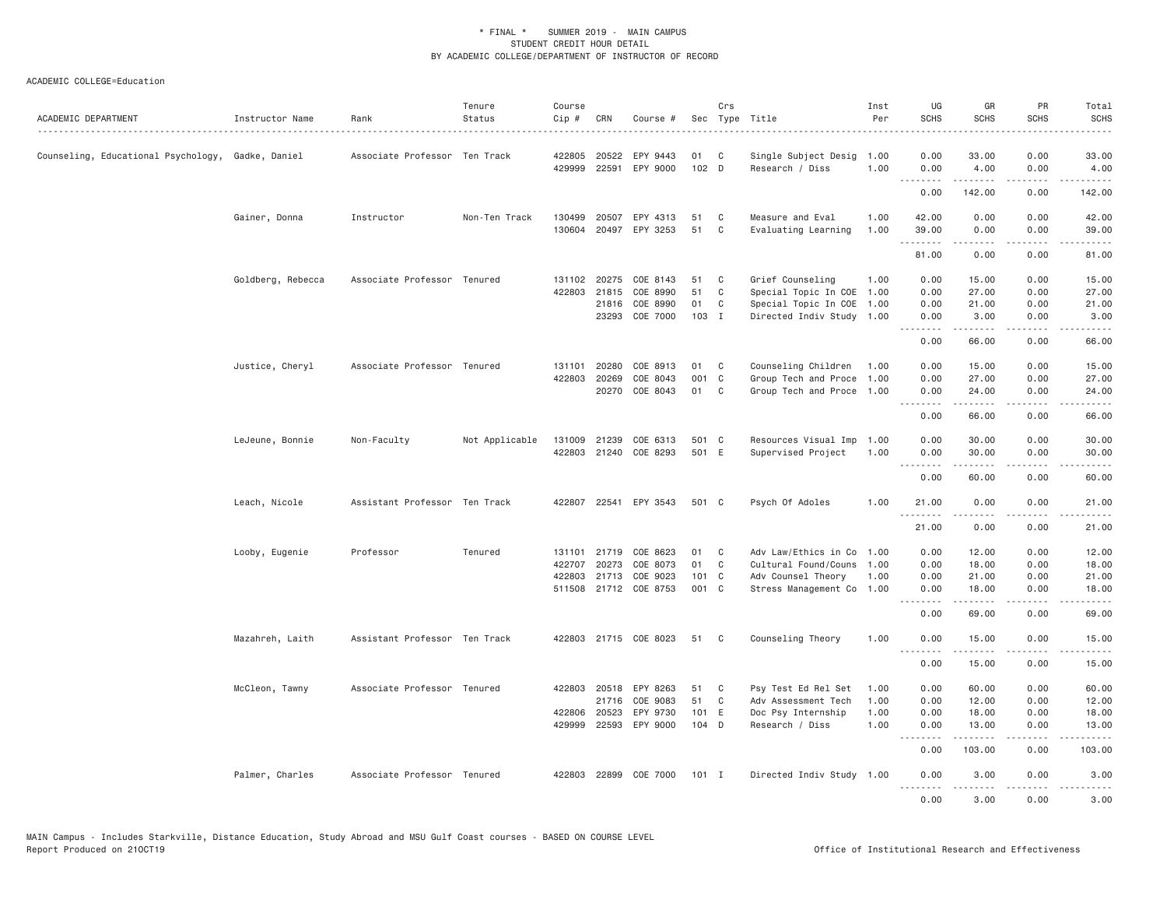| ACADEMIC DEPARTMENT                               | Instructor Name   | Rank                          | Tenure<br>Status | Course<br>Cip #  | CRN          | Course #                   | Sec           | Crs          | Type Title                              | Inst<br>Per  | UG<br><b>SCHS</b> | GR<br><b>SCHS</b> | PR<br><b>SCHS</b>                   | Total<br>SCHS<br>.                                                                                                                                            |
|---------------------------------------------------|-------------------|-------------------------------|------------------|------------------|--------------|----------------------------|---------------|--------------|-----------------------------------------|--------------|-------------------|-------------------|-------------------------------------|---------------------------------------------------------------------------------------------------------------------------------------------------------------|
| Counseling, Educational Psychology, Gadke, Daniel |                   | Associate Professor Ten Track |                  | 422805<br>429999 | 20522        | EPY 9443<br>22591 EPY 9000 | 01<br>$102$ D | C            | Single Subject Desig<br>Research / Diss | 1.00<br>1.00 | 0.00<br>0.00      | 33.00<br>4.00     | 0.00<br>0.00                        | 33.00<br>4.00                                                                                                                                                 |
|                                                   |                   |                               |                  |                  |              |                            |               |              |                                         |              | 0.00              | 142.00            | $\sim$ $\sim$ $\sim$<br>0.00        | 142.00                                                                                                                                                        |
|                                                   | Gainer, Donna     | Instructor                    | Non-Ten Track    | 130499           | 20507        | EPY 4313                   | 51            | C            | Measure and Eval                        | 1.00         | 42.00             | 0.00              | 0.00                                | 42.00                                                                                                                                                         |
|                                                   |                   |                               |                  | 130604           | 20497        | EPY 3253                   | 51            | C            | Evaluating Learning                     | 1.00         | 39.00<br>.        | 0.00              | 0.00<br>$\frac{1}{2}$               | 39.00<br>$- - - - -$                                                                                                                                          |
|                                                   |                   |                               |                  |                  |              |                            |               |              |                                         |              | 81.00             | 0.00              | 0.00                                | 81.00                                                                                                                                                         |
|                                                   | Goldberg, Rebecca | Associate Professor Tenured   |                  | 131102           | 20275        | COE 8143                   | 51            | C            | Grief Counseling                        | 1.00         | 0.00              | 15.00             | 0.00                                | 15.00                                                                                                                                                         |
|                                                   |                   |                               |                  | 422803           | 21815        | COE 8990                   | 51            | C            | Special Topic In COE                    | 1.00         | 0.00              | 27.00             | 0.00                                | 27.00                                                                                                                                                         |
|                                                   |                   |                               |                  |                  | 21816        | COE 8990                   | 01            | C            | Special Topic In COE                    | 1.00         | 0.00              | 21.00             | 0.00                                | 21.00                                                                                                                                                         |
|                                                   |                   |                               |                  |                  |              | 23293 COE 7000             | 103 I         |              | Directed Indiv Study 1.00               |              | 0.00<br>.         | 3.00<br>.         | 0.00<br>.                           | 3.00<br>.                                                                                                                                                     |
|                                                   |                   |                               |                  |                  |              |                            |               |              |                                         |              | 0.00              | 66.00             | 0.00                                | 66.00                                                                                                                                                         |
|                                                   | Justice, Cheryl   | Associate Professor Tenured   |                  | 131101           | 20280        | COE 8913                   | 01            | C            | Counseling Children                     | 1.00         | 0.00              | 15.00             | 0.00                                | 15.00                                                                                                                                                         |
|                                                   |                   |                               |                  | 422803           | 20269        | COE 8043                   | 001 C         |              | Group Tech and Proce                    | 1.00         | 0.00              | 27.00             | 0.00                                | 27.00                                                                                                                                                         |
|                                                   |                   |                               |                  |                  |              | 20270 COE 8043             | 01            | C            | Group Tech and Proce 1.00               |              | 0.00<br>.         | 24.00<br>.        | 0.00<br>.                           | 24.00<br>.                                                                                                                                                    |
|                                                   |                   |                               |                  |                  |              |                            |               |              |                                         |              | 0.00              | 66.00             | 0.00                                | 66.00                                                                                                                                                         |
|                                                   | LeJeune, Bonnie   | Non-Faculty                   | Not Applicable   | 131009           | 21239        | COE 6313                   | 501 C         |              | Resources Visual Imp 1.00               |              | 0.00              | 30.00             | 0.00                                | 30.00                                                                                                                                                         |
|                                                   |                   |                               |                  | 422803           |              | 21240 COE 8293             | 501 E         |              | Supervised Project                      | 1.00         | 0.00<br>.         | 30.00<br>.        | 0.00<br>.                           | 30.00<br>$\frac{1}{2} \left( \frac{1}{2} \right) \left( \frac{1}{2} \right) \left( \frac{1}{2} \right) \left( \frac{1}{2} \right) \left( \frac{1}{2} \right)$ |
|                                                   |                   |                               |                  |                  |              |                            |               |              |                                         |              | 0.00              | 60.00             | 0.00                                | 60.00                                                                                                                                                         |
|                                                   | Leach, Nicole     | Assistant Professor Ten Track |                  | 422807           |              | 22541 EPY 3543             | 501 C         |              | Psych Of Adoles                         | 1.00         | 21.00             | 0.00              | 0.00                                | 21.00                                                                                                                                                         |
|                                                   |                   |                               |                  |                  |              |                            |               |              |                                         |              | .<br>21.00        | .<br>0.00         | $- - - -$<br>0.00                   | $\frac{1}{2} \left( \frac{1}{2} \right) \left( \frac{1}{2} \right) \left( \frac{1}{2} \right) \left( \frac{1}{2} \right) \left( \frac{1}{2} \right)$<br>21.00 |
|                                                   | Looby, Eugenie    | Professor                     | Tenured          |                  | 131101 21719 | COE 8623                   | 01            | C            | Adv Law/Ethics in Co                    | 1.00         | 0.00              | 12.00             | 0.00                                | 12.00                                                                                                                                                         |
|                                                   |                   |                               |                  | 422707           | 20273        | COE 8073                   | 01            | $\mathsf{C}$ | Cultural Found/Couns                    | 1.00         | 0.00              | 18.00             | 0.00                                | 18.00                                                                                                                                                         |
|                                                   |                   |                               |                  | 422803           |              | 21713 COE 9023             | 101 C         |              | Adv Counsel Theory                      | 1.00         | 0.00              | 21.00             | 0.00                                | 21.00                                                                                                                                                         |
|                                                   |                   |                               |                  | 511508           |              | 21712 COE 8753             | 001 C         |              | Stress Management Co                    | 1.00         | 0.00<br><u>.</u>  | 18.00<br>.        | 0.00<br>.                           | 18.00<br>$- - - - -$                                                                                                                                          |
|                                                   |                   |                               |                  |                  |              |                            |               |              |                                         |              | 0.00              | 69.00             | 0.00                                | 69.00                                                                                                                                                         |
|                                                   | Mazahreh, Laith   | Assistant Professor Ten Track |                  |                  |              | 422803 21715 COE 8023      | 51            | C            | Counseling Theory                       | 1.00         | 0.00              | 15.00             | 0.00<br>.                           | 15.00                                                                                                                                                         |
|                                                   |                   |                               |                  |                  |              |                            |               |              |                                         |              | .<br>0.00         | .<br>15.00        | 0.00                                | .<br>15.00                                                                                                                                                    |
|                                                   | McCleon, Tawny    | Associate Professor Tenured   |                  |                  |              | 422803 20518 EPY 8263      | 51            | C            | Psy Test Ed Rel Set                     | 1.00         | 0.00              | 60.00             | 0.00                                | 60.00                                                                                                                                                         |
|                                                   |                   |                               |                  |                  | 21716        | COE 9083                   | 51            | C            | Adv Assessment Tech                     | 1.00         | 0.00              | 12.00             | 0.00                                | 12.00                                                                                                                                                         |
|                                                   |                   |                               |                  | 422806           | 20523        | EPY 9730                   | 101 E         |              | Doc Psy Internship                      | 1.00         | 0.00              | 18.00             | 0.00                                | 18.00                                                                                                                                                         |
|                                                   |                   |                               |                  | 429999           |              | 22593 EPY 9000             | 104 D         |              | Research / Diss                         | 1.00         | 0.00              | 13.00             | 0.00<br>$\sim$ $\sim$ $\sim$ $\sim$ | 13.00                                                                                                                                                         |
|                                                   |                   |                               |                  |                  |              |                            |               |              |                                         |              | 0.00              | 103.00            | 0.00                                | 103.00                                                                                                                                                        |
|                                                   | Palmer, Charles   | Associate Professor Tenured   |                  |                  |              | 422803 22899 COE 7000      | $101$ I       |              | Directed Indiv Study 1.00               |              | 0.00<br>.         | 3.00<br>.         | 0.00<br>$\sim$ $\sim$ $\sim$ $\sim$ | 3.00<br>$\frac{1}{2} \left( \frac{1}{2} \right) \left( \frac{1}{2} \right) \left( \frac{1}{2} \right) \left( \frac{1}{2} \right) \left( \frac{1}{2} \right)$  |
|                                                   |                   |                               |                  |                  |              |                            |               |              |                                         |              | 0.00              | 3,00              | 0.00                                | 3,00                                                                                                                                                          |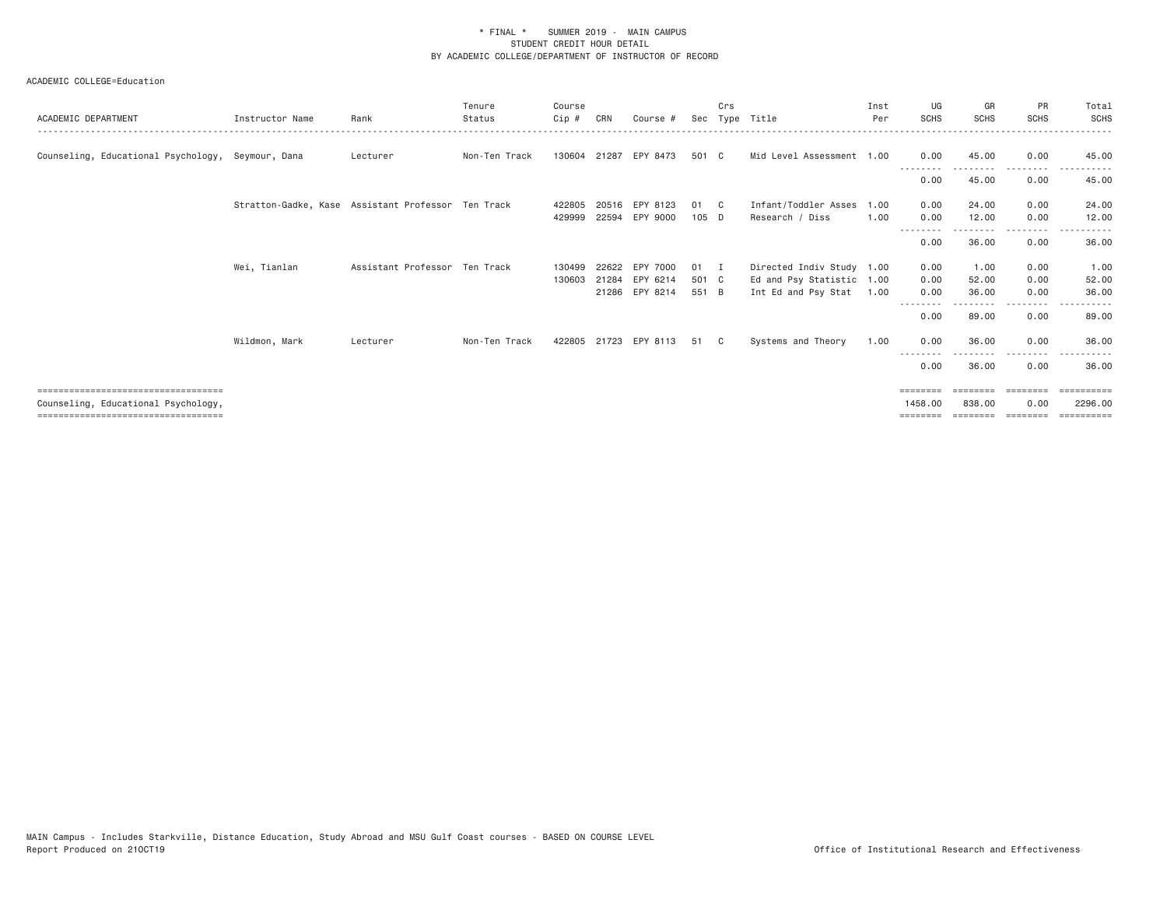| ACADEMIC DEPARTMENT                               | Instructor Name | Rank                                               | Tenure<br>Status | Course<br>$C$ ip # | CRN   | Course #       | Sec     | Crs          | Tvpe Title                | Inst<br>Per | UG<br><b>SCHS</b>       | GR<br><b>SCHS</b> | <b>PR</b><br><b>SCHS</b> | Total<br><b>SCHS</b>  |
|---------------------------------------------------|-----------------|----------------------------------------------------|------------------|--------------------|-------|----------------|---------|--------------|---------------------------|-------------|-------------------------|-------------------|--------------------------|-----------------------|
| Counseling, Educational Psychology, Seymour, Dana |                 | Lecturer                                           | Non-Ten Track    | 130604 21287       |       | EPY 8473       | 501 C   |              | Mid Level Assessment 1.00 |             | 0.00                    | 45.00             | 0.00<br>.                | 45.00                 |
|                                                   |                 |                                                    |                  |                    |       |                |         |              |                           |             | 0.00                    | 45.00             | 0.00                     | 45.00                 |
|                                                   |                 | Stratton-Gadke, Kase Assistant Professor Ten Track |                  | 422805             |       | 20516 EPY 8123 | 01      | $\mathbf{C}$ | Infant/Toddler Asses      | 1.00        | 0.00                    | 24.00             | 0.00                     | 24.00                 |
|                                                   |                 |                                                    |                  | 429999             | 22594 | EPY 9000       | $105$ D |              | Research / Diss           | 1.00        | 0.00                    | 12.00             | 0.00                     | 12.00                 |
|                                                   |                 |                                                    |                  |                    |       |                |         |              |                           |             | 0.00                    | 36.00             | 0.00                     | 36.00                 |
|                                                   | Wei, Tianlan    | Assistant Professor Ten Track                      |                  | 130499             | 22622 | EPY 7000       | 01      | - I          | Directed Indiv Study 1.00 |             | 0.00                    | 1.00              | 0.00                     | 1.00                  |
|                                                   |                 |                                                    |                  | 130603             | 21284 | EPY 6214       | 501 C   |              | Ed and Psy Statistic 1.00 |             | 0.00                    | 52.00             | 0.00                     | 52.00                 |
|                                                   |                 |                                                    |                  |                    |       | 21286 EPY 8214 | 551 B   |              | Int Ed and Psy Stat       | 1.00        | 0.00                    | 36,00             | 0.00<br>.                | 36.00                 |
|                                                   |                 |                                                    |                  |                    |       |                |         |              |                           |             | 0.00                    | 89.00             | 0.00                     | 89.00                 |
|                                                   | Wildmon, Mark   | Lecturer                                           | Non-Ten Track    | 422805             | 21723 | EPY 8113       | 51      |              | Systems and Theory        | 1.00        | 0.00                    | 36.00             | 0.00                     | 36.00                 |
|                                                   |                 |                                                    |                  |                    |       |                |         |              |                           |             | <u>--------</u><br>0.00 | 36.00             | 0.00                     | 36.00                 |
| =====================================             |                 |                                                    |                  |                    |       |                |         |              |                           |             | ========                |                   |                          | eeeeeeee              |
| Counseling, Educational Psychology,               |                 |                                                    |                  |                    |       |                |         |              |                           |             | 1458,00                 | 838,00            | 0.00                     | 2296.00               |
| ===================================               |                 |                                                    |                  |                    |       |                |         |              |                           |             |                         | --------          | eeeeeee                  | $=$ = = = = = = = = = |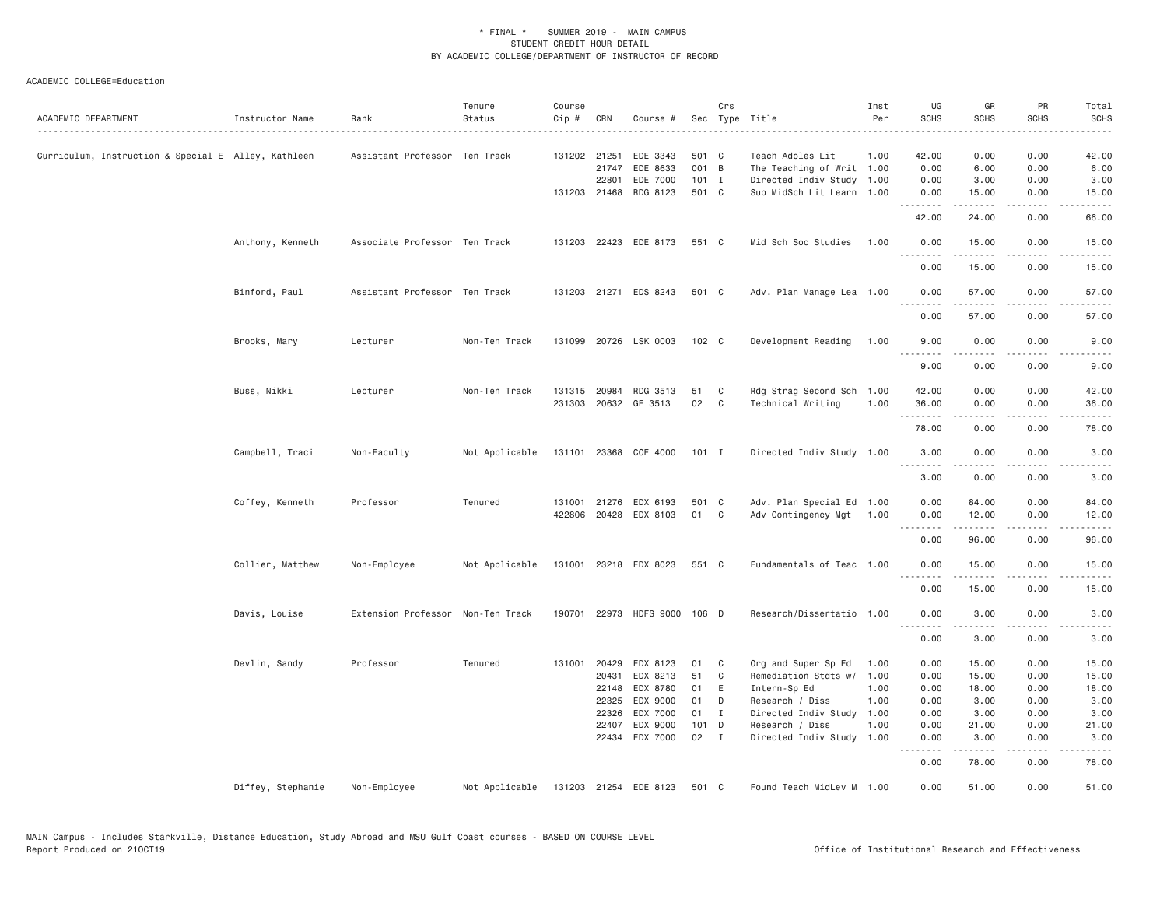| ACADEMIC DEPARTMENT                                 | Instructor Name   | Rank                              | Tenure<br>Status | Course<br>Cip #  | CRN          | Course #                     |         | Crs          | Sec Type Title                                   | Inst<br>Per | UG<br><b>SCHS</b> | GR<br>SCHS           | PR<br><b>SCHS</b>     | Total<br><b>SCHS</b>                                                                                                                                          |
|-----------------------------------------------------|-------------------|-----------------------------------|------------------|------------------|--------------|------------------------------|---------|--------------|--------------------------------------------------|-------------|-------------------|----------------------|-----------------------|---------------------------------------------------------------------------------------------------------------------------------------------------------------|
| Curriculum, Instruction & Special E Alley, Kathleen |                   | Assistant Professor Ten Track     |                  |                  | 131202 21251 | EDE 3343                     | 501 C   |              | Teach Adoles Lit                                 | 1.00        | 42.00             | 0.00                 | 0.00                  | 42.00                                                                                                                                                         |
|                                                     |                   |                                   |                  |                  | 21747        | EDE 8633                     | 001 B   |              | The Teaching of Writ 1.00                        |             | 0.00              | 6.00                 | 0.00                  | 6.00                                                                                                                                                          |
|                                                     |                   |                                   |                  |                  | 22801        | EDE 7000                     | $101$ I |              | Directed Indiv Study 1.00                        |             | 0.00              | 3.00                 | 0.00                  | 3.00                                                                                                                                                          |
|                                                     |                   |                                   |                  |                  | 131203 21468 | RDG 8123                     | 501 C   |              | Sup MidSch Lit Learn 1.00                        |             | 0.00<br>.         | 15.00<br>.           | 0.00<br>.             | 15.00<br>$\frac{1}{2} \left( \frac{1}{2} \right) \left( \frac{1}{2} \right) \left( \frac{1}{2} \right) \left( \frac{1}{2} \right) \left( \frac{1}{2} \right)$ |
|                                                     |                   |                                   |                  |                  |              |                              |         |              |                                                  |             | 42.00             | 24.00                | 0.00                  | 66.00                                                                                                                                                         |
|                                                     | Anthony, Kenneth  | Associate Professor Ten Track     |                  |                  |              | 131203 22423 EDE 8173        | 551 C   |              | Mid Sch Soc Studies                              | 1.00        | 0.00<br>.         | 15.00<br>$- - - - -$ | 0.00<br>$- - - -$     | 15.00<br>$- - - -$                                                                                                                                            |
|                                                     |                   |                                   |                  |                  |              |                              |         |              |                                                  |             | 0.00              | 15.00                | 0.00                  | 15.00                                                                                                                                                         |
|                                                     | Binford, Paul     | Assistant Professor Ten Track     |                  |                  |              | 131203 21271 EDS 8243        | 501 C   |              | Adv. Plan Manage Lea 1.00                        |             | 0.00<br>.         | 57.00                | 0.00<br>.             | 57.00<br>$- - - - -$                                                                                                                                          |
|                                                     |                   |                                   |                  |                  |              |                              |         |              |                                                  |             | 0.00              | 57.00                | 0.00                  | 57.00                                                                                                                                                         |
|                                                     | Brooks, Mary      | Lecturer                          | Non-Ten Track    |                  |              | 131099 20726 LSK 0003        | 102 C   |              | Development Reading                              | 1.00        | 9.00<br>.         | 0.00                 | 0.00                  | 9.00                                                                                                                                                          |
|                                                     |                   |                                   |                  |                  |              |                              |         |              |                                                  |             | 9.00              | 0.00                 | 0.00                  | 9.00                                                                                                                                                          |
|                                                     | Buss, Nikki       | Lecturer                          | Non-Ten Track    |                  |              | 131315 20984 RDG 3513        | 51      | C            | Rdg Strag Second Sch 1.00                        |             | 42.00             | 0.00                 | 0.00                  | 42.00                                                                                                                                                         |
|                                                     |                   |                                   |                  | 231303           |              | 20632 GE 3513                | 02      | C            | Technical Writing                                | 1.00        | 36.00             | 0.00                 | 0.00                  | 36.00                                                                                                                                                         |
|                                                     |                   |                                   |                  |                  |              |                              |         |              |                                                  |             | .<br>78.00        | .<br>0.00            | $\frac{1}{2}$<br>0.00 | $\frac{1}{2} \left( \frac{1}{2} \right) \left( \frac{1}{2} \right) \left( \frac{1}{2} \right) \left( \frac{1}{2} \right) \left( \frac{1}{2} \right)$<br>78.00 |
|                                                     | Campbell, Traci   | Non-Faculty                       | Not Applicable   |                  |              | 131101 23368 COE 4000        | $101$ I |              | Directed Indiv Study 1.00                        |             | 3.00              | 0.00                 | 0.00                  | 3.00                                                                                                                                                          |
|                                                     |                   |                                   |                  |                  |              |                              |         |              |                                                  |             | .<br>3.00         | 0.00                 | 0.00                  | 3.00                                                                                                                                                          |
|                                                     |                   | Professor                         | Tenured          |                  |              | 21276 EDX 6193               | 501 C   |              |                                                  |             | 0.00              | 84.00                | 0.00                  | 84.00                                                                                                                                                         |
|                                                     | Coffey, Kenneth   |                                   |                  | 131001<br>422806 |              | 20428 EDX 8103               | 01      | C            | Adv. Plan Special Ed 1.00<br>Adv Contingency Mgt | 1.00        | 0.00              | 12.00                | 0.00                  | 12.00                                                                                                                                                         |
|                                                     |                   |                                   |                  |                  |              |                              |         |              |                                                  |             | .                 | .                    | .                     | $\sim$ $\sim$ $\sim$ $\sim$                                                                                                                                   |
|                                                     |                   |                                   |                  |                  |              |                              |         |              |                                                  |             | 0.00              | 96.00                | 0.00                  | 96.00                                                                                                                                                         |
|                                                     | Collier, Matthew  | Non-Employee                      | Not Applicable   |                  |              | 131001 23218 EDX 8023        | 551 C   |              | Fundamentals of Teac 1.00                        |             | 0.00<br><u>.</u>  | 15.00                | 0.00                  | 15.00<br>$- - - - -$                                                                                                                                          |
|                                                     |                   |                                   |                  |                  |              |                              |         |              |                                                  |             | 0.00              | 15.00                | 0.00                  | 15.00                                                                                                                                                         |
|                                                     | Davis, Louise     | Extension Professor Non-Ten Track |                  |                  |              | 190701 22973 HDFS 9000 106 D |         |              | Research/Dissertatio 1.00                        |             | 0.00              | 3.00                 | 0.00<br>.             | 3.00                                                                                                                                                          |
|                                                     |                   |                                   |                  |                  |              |                              |         |              |                                                  |             | 0.00              | 3.00                 | 0.00                  | 3.00                                                                                                                                                          |
|                                                     | Devlin, Sandy     | Professor                         | Tenured          |                  | 131001 20429 | EDX 8123                     | 01      | C            | Org and Super Sp Ed                              | 1.00        | 0.00              | 15.00                | 0.00                  | 15.00                                                                                                                                                         |
|                                                     |                   |                                   |                  |                  | 20431        | EDX 8213                     | 51      | C            | Remediation Stdts w/                             | 1.00        | 0.00              | 15.00                | 0.00                  | 15.00                                                                                                                                                         |
|                                                     |                   |                                   |                  |                  | 22148        | EDX 8780                     | 01      | E            | Intern-Sp Ed                                     | 1.00        | 0.00              | 18.00                | 0.00                  | 18.00                                                                                                                                                         |
|                                                     |                   |                                   |                  |                  | 22325        | EDX 9000                     | 01      | D            | Research / Diss                                  | 1.00        | 0.00              | 3.00                 | 0.00                  | 3.00                                                                                                                                                          |
|                                                     |                   |                                   |                  |                  | 22326        | EDX 7000                     | 01      | $\mathbf{I}$ | Directed Indiv Study                             | 1.00        | 0.00              | 3.00                 | 0.00                  | 3.00                                                                                                                                                          |
|                                                     |                   |                                   |                  |                  | 22407        | EDX 9000                     | 101 D   |              | Research / Diss                                  | 1.00        | 0.00              | 21.00                | 0.00                  | 21.00                                                                                                                                                         |
|                                                     |                   |                                   |                  |                  |              | 22434 EDX 7000               | 02 I    |              | Directed Indiv Study 1.00                        |             | 0.00<br>.         | 3.00<br>.            | 0.00<br>.             | 3.00<br>د د د د د                                                                                                                                             |
|                                                     |                   |                                   |                  |                  |              |                              |         |              |                                                  |             | 0.00              | 78.00                | 0.00                  | 78.00                                                                                                                                                         |
|                                                     | Diffey, Stephanie | Non-Employee                      | Not Applicable   |                  |              | 131203 21254 EDE 8123        | 501 C   |              | Found Teach MidLev M 1.00                        |             | 0.00              | 51.00                | 0.00                  | 51.00                                                                                                                                                         |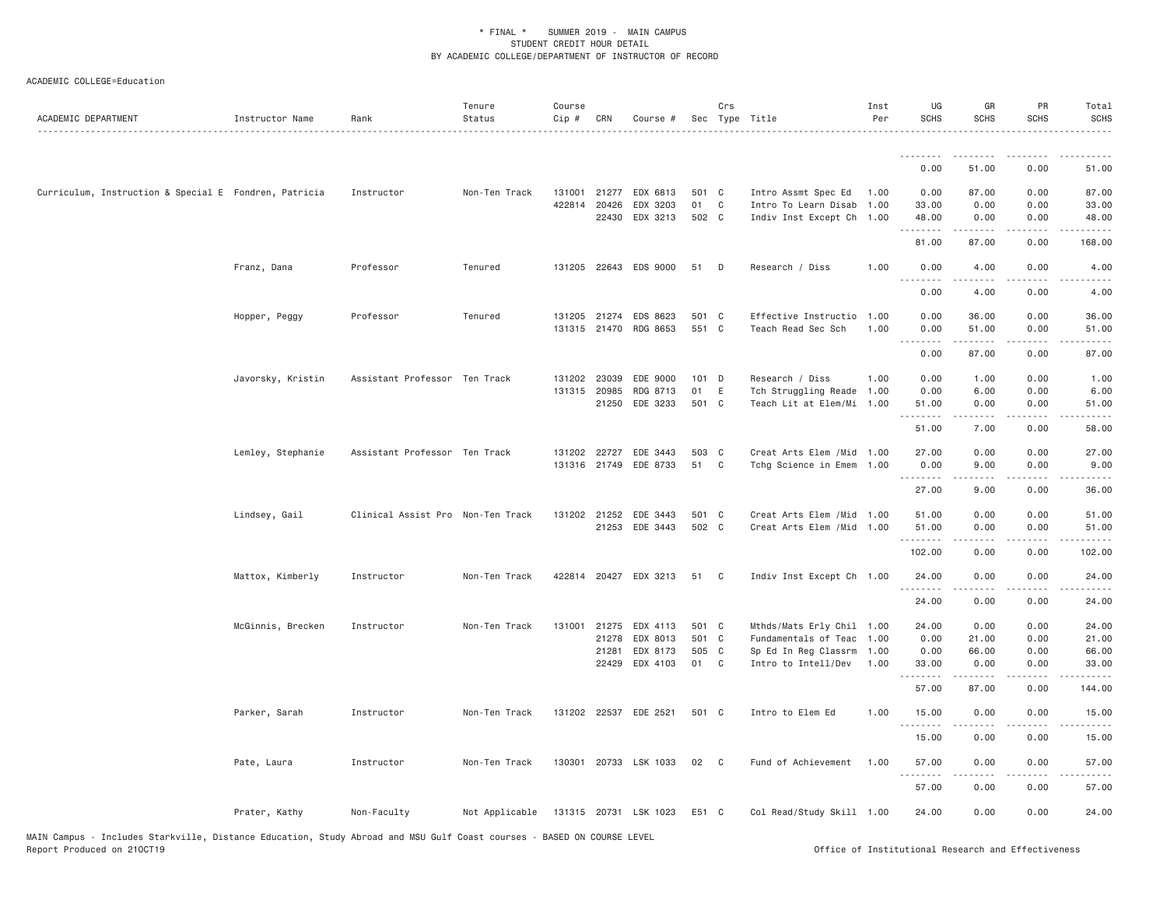| ACADEMIC DEPARTMENT                                   | Instructor Name   | Rank                              | Tenure<br>Status | Course<br>Cip # | CRN                          | Course #              |               | Crs            | Sec Type Title                               | Inst<br>Per | UG<br><b>SCHS</b>                                                                                                                 | GR<br>SCHS                                                                                                                           | PR<br>SCHS   | Total<br><b>SCHS</b> |
|-------------------------------------------------------|-------------------|-----------------------------------|------------------|-----------------|------------------------------|-----------------------|---------------|----------------|----------------------------------------------|-------------|-----------------------------------------------------------------------------------------------------------------------------------|--------------------------------------------------------------------------------------------------------------------------------------|--------------|----------------------|
|                                                       |                   |                                   |                  |                 |                              |                       |               |                |                                              |             | <u>.</u>                                                                                                                          |                                                                                                                                      |              |                      |
|                                                       |                   |                                   |                  |                 |                              |                       |               |                |                                              |             | 0.00                                                                                                                              | 51.00                                                                                                                                | 0.00         | 51.00                |
| Curriculum, Instruction & Special E Fondren, Patricia |                   | Instructor                        | Non-Ten Track    |                 | 131001 21277                 | EDX 6813              | 501 C         |                | Intro Assmt Spec Ed                          | 1.00        | 0.00                                                                                                                              | 87.00                                                                                                                                | 0.00         | 87.00                |
|                                                       |                   |                                   |                  |                 | 422814 20426                 | EDX 3203              | 01            | C <sub>1</sub> | Intro To Learn Disab 1.00                    |             | 33.00                                                                                                                             | 0.00                                                                                                                                 | 0.00         | 33.00                |
|                                                       |                   |                                   |                  |                 |                              | 22430 EDX 3213        | 502 C         |                | Indiv Inst Except Ch 1.00                    |             | 48.00<br>.                                                                                                                        | 0.00<br>.                                                                                                                            | 0.00<br>.    | 48.00                |
|                                                       |                   |                                   |                  |                 |                              |                       |               |                |                                              |             | 81.00                                                                                                                             | 87.00                                                                                                                                | 0.00         | 168.00               |
|                                                       | Franz, Dana       | Professor                         | Tenured          |                 |                              | 131205 22643 EDS 9000 | 51            | $\Box$         | Research / Diss                              | 1.00        | 0.00<br>$\frac{1}{2} \left( \frac{1}{2} \right) \left( \frac{1}{2} \right) \left( \frac{1}{2} \right) \left( \frac{1}{2} \right)$ | 4.00<br>.                                                                                                                            | 0.00<br>.    | 4.00                 |
|                                                       |                   |                                   |                  |                 |                              |                       |               |                |                                              |             | 0.00                                                                                                                              | 4.00                                                                                                                                 | 0.00         | 4.00                 |
|                                                       | Hopper, Peggy     | Professor                         | Tenured          |                 | 131205 21274                 | EDS 8623              | 501 C         |                | Effective Instructio 1.00                    |             | 0.00                                                                                                                              | 36.00                                                                                                                                | 0.00         | 36.00                |
|                                                       |                   |                                   |                  |                 | 131315 21470                 | RDG 8653              | 551 C         |                | Teach Read Sec Sch                           | 1.00        | 0.00                                                                                                                              | 51.00                                                                                                                                | 0.00         | 51.00                |
|                                                       |                   |                                   |                  |                 |                              |                       |               |                |                                              |             | .<br>0.00                                                                                                                         | .<br>87.00                                                                                                                           | .<br>0.00    | 87.00                |
|                                                       |                   |                                   |                  |                 |                              |                       |               |                |                                              |             |                                                                                                                                   |                                                                                                                                      |              |                      |
|                                                       | Javorsky, Kristin | Assistant Professor Ten Track     |                  |                 | 131202 23039<br>131315 20985 | EDE 9000<br>RDG 8713  | $101$ D<br>01 | E              | Research / Diss<br>Tch Struggling Reade 1.00 | 1.00        | 0.00<br>0.00                                                                                                                      | 1.00<br>6.00                                                                                                                         | 0.00<br>0.00 | 1.00<br>6.00         |
|                                                       |                   |                                   |                  |                 |                              | 21250 EDE 3233        | 501 C         |                | Teach Lit at Elem/Mi 1.00                    |             | 51.00                                                                                                                             | 0.00                                                                                                                                 | 0.00         | 51.00                |
|                                                       |                   |                                   |                  |                 |                              |                       |               |                |                                              |             | .<br>51.00                                                                                                                        | 7.00                                                                                                                                 | 0.00         | 58.00                |
|                                                       |                   |                                   |                  |                 |                              |                       |               |                |                                              |             |                                                                                                                                   |                                                                                                                                      |              |                      |
|                                                       | Lemley, Stephanie | Assistant Professor Ten Track     |                  |                 | 131202 22727<br>131316 21749 | EDE 3443<br>EDE 8733  | 503 C<br>51   | C              | Creat Arts Elem / Mid 1.00                   |             | 27.00                                                                                                                             | 0.00<br>9.00                                                                                                                         | 0.00<br>0.00 | 27.00<br>9.00        |
|                                                       |                   |                                   |                  |                 |                              |                       |               |                | Tchg Science in Emem 1.00                    |             | 0.00<br>.                                                                                                                         | $\mathcal{L}^{\mathcal{A}}\left( \mathcal{A}^{\mathcal{A}}\right) =\mathcal{L}^{\mathcal{A}}\left( \mathcal{A}^{\mathcal{A}}\right)$ | .            | $- - - - -$          |
|                                                       |                   |                                   |                  |                 |                              |                       |               |                |                                              |             | 27.00                                                                                                                             | 9.00                                                                                                                                 | 0.00         | 36.00                |
|                                                       | Lindsey, Gail     | Clinical Assist Pro Non-Ten Track |                  |                 | 131202 21252                 | EDE 3443              | 501 C         |                | Creat Arts Elem / Mid 1.00                   |             | 51.00                                                                                                                             | 0.00                                                                                                                                 | 0.00         | 51.00                |
|                                                       |                   |                                   |                  |                 |                              | 21253 EDE 3443        | 502 C         |                | Creat Arts Elem / Mid 1.00                   |             | 51.00                                                                                                                             | 0.00                                                                                                                                 | 0.00         | 51.00                |
|                                                       |                   |                                   |                  |                 |                              |                       |               |                |                                              |             | .<br>102.00                                                                                                                       | 0.00                                                                                                                                 | 0.00         | 102.00               |
|                                                       |                   |                                   |                  |                 |                              |                       |               |                |                                              |             |                                                                                                                                   |                                                                                                                                      |              |                      |
|                                                       | Mattox, Kimberly  | Instructor                        | Non-Ten Track    |                 |                              | 422814 20427 EDX 3213 | 51            | $\mathbf{C}$   | Indiv Inst Except Ch 1.00                    |             | 24.00                                                                                                                             | 0.00                                                                                                                                 | 0.00         | 24.00                |
|                                                       |                   |                                   |                  |                 |                              |                       |               |                |                                              |             | 24.00                                                                                                                             | 0.00                                                                                                                                 | 0.00         | 24.00                |
|                                                       | McGinnis, Brecken | Instructor                        | Non-Ten Track    |                 | 131001 21275                 | EDX 4113              | 501 C         |                | Mthds/Mats Erly Chil 1.00                    |             | 24.00                                                                                                                             | 0.00                                                                                                                                 | 0.00         | 24.00                |
|                                                       |                   |                                   |                  |                 | 21278                        | EDX 8013              | 501 C         |                | Fundamentals of Teac 1.00                    |             | 0.00                                                                                                                              | 21.00                                                                                                                                | 0.00         | 21.00                |
|                                                       |                   |                                   |                  |                 | 21281                        | EDX 8173              | 505 C         |                | Sp Ed In Reg Classrm 1.00                    |             | 0.00                                                                                                                              | 66.00                                                                                                                                | 0.00         | 66.00                |
|                                                       |                   |                                   |                  |                 | 22429                        | EDX 4103              | 01 C          |                | Intro to Intell/Dev                          | 1.00        | 33.00                                                                                                                             | 0.00                                                                                                                                 | 0.00         | 33.00                |
|                                                       |                   |                                   |                  |                 |                              |                       |               |                |                                              |             | 57.00                                                                                                                             | 87.00                                                                                                                                | 0.00         | 144.00               |
|                                                       | Parker, Sarah     | Instructor                        | Non-Ten Track    |                 |                              | 131202 22537 EDE 2521 | 501 C         |                | Intro to Elem Ed                             | 1.00        | 15.00                                                                                                                             | 0.00                                                                                                                                 | 0.00         | 15.00                |
|                                                       |                   |                                   |                  |                 |                              |                       |               |                |                                              |             | 15.00                                                                                                                             | 0.00                                                                                                                                 | 0.00         | 15.00                |
|                                                       | Pate, Laura       | Instructor                        | Non-Ten Track    |                 | 130301 20733                 | LSK 1033              | 02            | $\mathbf{C}$   | Fund of Achievement                          | 1.00        | 57.00                                                                                                                             | 0.00                                                                                                                                 | 0.00         | 57.00                |
|                                                       |                   |                                   |                  |                 |                              |                       |               |                |                                              |             | .<br>57.00                                                                                                                        | 0.00                                                                                                                                 | 0.00         | 57.00                |
|                                                       | Prater, Kathy     | Non-Faculty                       | Not Applicable   |                 |                              | 131315 20731 LSK 1023 | E51 C         |                | Col Read/Study Skill 1.00                    |             | 24.00                                                                                                                             | 0.00                                                                                                                                 | 0.00         | 24.00                |
|                                                       |                   |                                   |                  |                 |                              |                       |               |                |                                              |             |                                                                                                                                   |                                                                                                                                      |              |                      |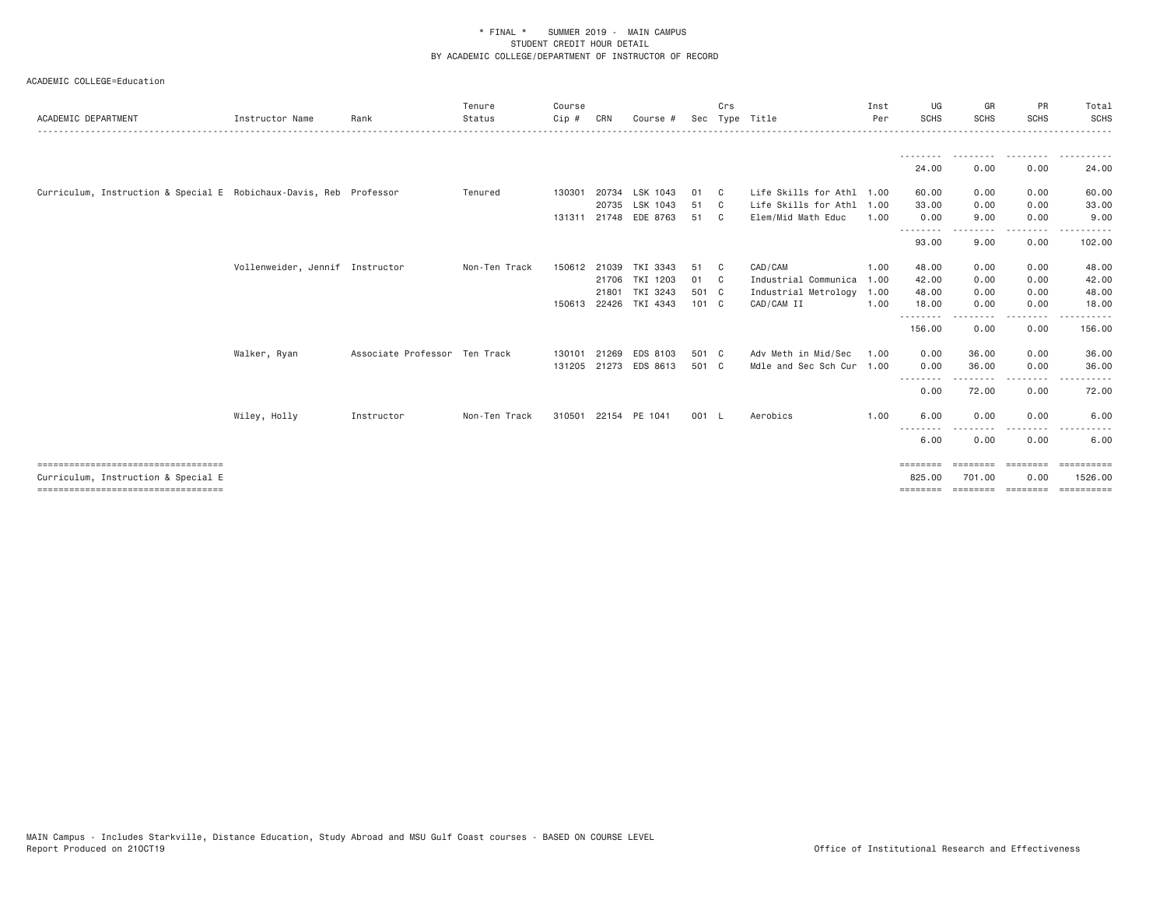| ACADEMIC DEPARTMENT                                                | Instructor Name                 | Rank                          | Tenure<br>Status | Course<br>Cip # | CRN   | Course #              |       | Crs          | Sec Type Title            | Inst<br>Per | UG<br>SCHS               | GR<br><b>SCHS</b> | PR<br><b>SCHS</b>                                                                                                                 | Total<br><b>SCHS</b> |
|--------------------------------------------------------------------|---------------------------------|-------------------------------|------------------|-----------------|-------|-----------------------|-------|--------------|---------------------------|-------------|--------------------------|-------------------|-----------------------------------------------------------------------------------------------------------------------------------|----------------------|
|                                                                    |                                 |                               |                  |                 |       |                       |       |              |                           |             |                          | .                 | .                                                                                                                                 | .                    |
|                                                                    |                                 |                               |                  |                 |       |                       |       |              |                           |             | 24.00                    | 0.00              | 0.00                                                                                                                              | 24.00                |
| Curriculum, Instruction & Special E Robichaux-Davis, Reb Professor |                                 |                               | Tenured          | 130301          | 20734 | LSK 1043              | 01    | $\mathbf{C}$ | Life Skills for Athl 1.00 |             | 60.00                    | 0.00              | 0.00                                                                                                                              | 60.00                |
|                                                                    |                                 |                               |                  |                 | 20735 | LSK 1043              | 51    | $\mathbf{C}$ | Life Skills for Athl 1.00 |             | 33.00                    | 0.00              | 0.00                                                                                                                              | 33.00                |
|                                                                    |                                 |                               |                  |                 |       | 131311 21748 EDE 8763 | 51 C  |              | Elem/Mid Math Educ        | 1.00        | 0.00                     | 9.00              | 0.00                                                                                                                              | 9.00                 |
|                                                                    |                                 |                               |                  |                 |       |                       |       |              |                           |             | - - - - - - - -<br>93.00 | 9.00              | 0.00                                                                                                                              | 102.00               |
|                                                                    | Vollenweider, Jennif Instructor |                               | Non-Ten Track    |                 |       | 150612 21039 TKI 3343 | 51    | $\mathbf{C}$ | CAD/CAM                   | 1.00        | 48.00                    | 0.00              | 0.00                                                                                                                              | 48.00                |
|                                                                    |                                 |                               |                  |                 |       | 21706 TKI 1203        | 01 C  |              | Industrial Communica      | 1.00        | 42.00                    | 0.00              | 0.00                                                                                                                              | 42.00                |
|                                                                    |                                 |                               |                  |                 | 21801 | TKI 3243              | 501 C |              | Industrial Metrology 1.00 |             | 48.00                    | 0.00              | 0.00                                                                                                                              | 48.00                |
|                                                                    |                                 |                               |                  |                 |       | 150613 22426 TKI 4343 | 101 C |              | CAD/CAM II                | 1.00        | 18.00                    | 0.00              | 0.00                                                                                                                              | 18.00                |
|                                                                    |                                 |                               |                  |                 |       |                       |       |              |                           |             | .<br>156.00              | 0.00              | $\frac{1}{2} \left( \frac{1}{2} \right) \left( \frac{1}{2} \right) \left( \frac{1}{2} \right) \left( \frac{1}{2} \right)$<br>0.00 | 156.00               |
|                                                                    | Walker, Ryan                    | Associate Professor Ten Track |                  | 130101          | 21269 | EDS 8103              | 501 C |              | Adv Meth in Mid/Sec       | 1.00        | 0.00                     | 36.00             | 0.00                                                                                                                              | 36.00                |
|                                                                    |                                 |                               |                  |                 |       | 131205 21273 EDS 8613 | 501 C |              | Mdle and Sec Sch Cur 1.00 |             | 0.00                     | 36.00             | 0.00                                                                                                                              | 36.00                |
|                                                                    |                                 |                               |                  |                 |       |                       |       |              |                           |             | - - - - - - - -<br>0.00  | 72.00             | 0.00                                                                                                                              | 72.00                |
|                                                                    | Wiley, Holly                    | Instructor                    | Non-Ten Track    |                 |       | 310501 22154 PE 1041  | 001 L |              | Aerobics                  | 1.00        | 6.00                     | 0.00              | 0.00                                                                                                                              | 6.00                 |
|                                                                    |                                 |                               |                  |                 |       |                       |       |              |                           |             | --------<br>6.00         | 0.00              | 0.00                                                                                                                              | 6.00                 |
| ------------------------------------                               |                                 |                               |                  |                 |       |                       |       |              |                           |             | ========                 |                   | $=$ =======                                                                                                                       | ==========           |
| Curriculum, Instruction & Special E                                |                                 |                               |                  |                 |       |                       |       |              |                           |             | 825,00                   | 701.00            | 0.00                                                                                                                              | 1526,00              |
| ====================================                               |                                 |                               |                  |                 |       |                       |       |              |                           |             | ========                 |                   |                                                                                                                                   |                      |
|                                                                    |                                 |                               |                  |                 |       |                       |       |              |                           |             |                          |                   |                                                                                                                                   |                      |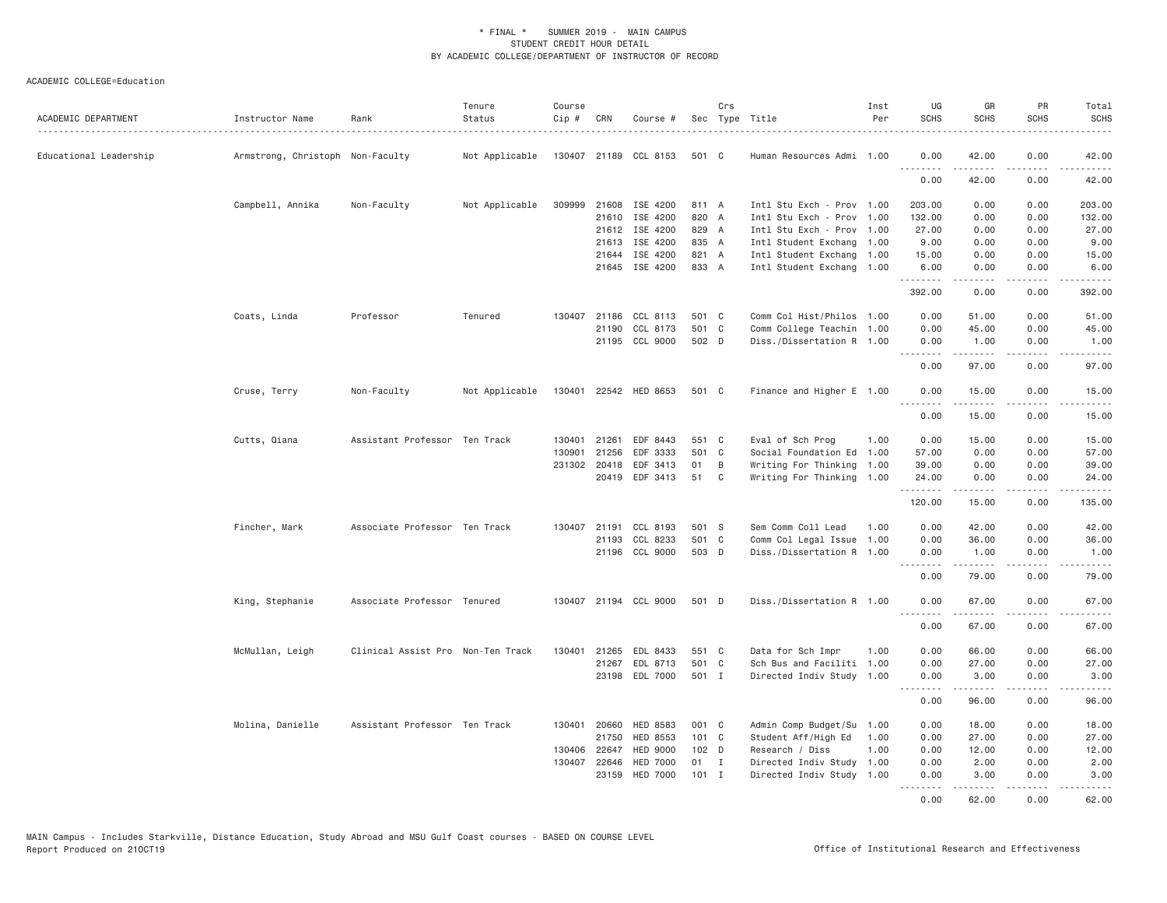| ACADEMIC DEPARTMENT    | Instructor Name                  | Rank                              | Tenure<br>Status | Course<br>Cip # | CRN          | Course #              |               | Crs | Sec Type Title            | Inst<br>Per | UG<br><b>SCHS</b> | GR<br><b>SCHS</b>                                                                                                                                            | PR<br><b>SCHS</b>                   | Total<br><b>SCHS</b>  |
|------------------------|----------------------------------|-----------------------------------|------------------|-----------------|--------------|-----------------------|---------------|-----|---------------------------|-------------|-------------------|--------------------------------------------------------------------------------------------------------------------------------------------------------------|-------------------------------------|-----------------------|
| Educational Leadership | Armstrong, Christoph Non-Faculty |                                   | Not Applicable   |                 |              | 130407 21189 CCL 8153 | 501 C         |     | Human Resources Admi 1.00 |             | 0.00<br><u>.</u>  | 42.00<br>.                                                                                                                                                   | 0.00<br>$- - - -$                   | 42.00<br>.            |
|                        |                                  |                                   |                  |                 |              |                       |               |     |                           |             | 0.00              | 42.00                                                                                                                                                        | 0.00                                | 42.00                 |
|                        | Campbell, Annika                 | Non-Faculty                       | Not Applicable   |                 |              | 309999 21608 ISE 4200 | 811 A         |     | Intl Stu Exch - Prov 1.00 |             | 203.00            | 0.00                                                                                                                                                         | 0.00                                | 203.00                |
|                        |                                  |                                   |                  |                 | 21610        | ISE 4200              | 820 A         |     | Intl Stu Exch - Prov      | 1.00        | 132.00            | 0.00                                                                                                                                                         | 0.00                                | 132.00                |
|                        |                                  |                                   |                  |                 |              | 21612 ISE 4200        | 829 A         |     | Intl Stu Exch - Prov 1.00 |             | 27.00             | 0.00                                                                                                                                                         | 0.00                                | 27.00                 |
|                        |                                  |                                   |                  |                 | 21613        | ISE 4200              | 835 A         |     | Intl Student Exchang 1.00 |             | 9.00              | 0.00                                                                                                                                                         | 0.00                                | 9.00                  |
|                        |                                  |                                   |                  |                 | 21644        | ISE 4200              | 821 A         |     | Intl Student Exchang 1.00 |             | 15.00             | 0.00                                                                                                                                                         | 0.00                                | 15.00                 |
|                        |                                  |                                   |                  |                 |              | 21645 ISE 4200        | 833 A         |     | Intl Student Exchang 1.00 |             | 6.00<br>.         | 0.00                                                                                                                                                         | 0.00<br>$- - - -$                   | 6.00<br>.             |
|                        |                                  |                                   |                  |                 |              |                       |               |     |                           |             | 392.00            | 0.00                                                                                                                                                         | 0.00                                | 392.00                |
|                        | Coats, Linda                     | Professor                         | Tenured          |                 |              | 130407 21186 CCL 8113 | 501 C         |     | Comm Col Hist/Philos 1.00 |             | 0.00              | 51.00                                                                                                                                                        | 0.00                                | 51.00                 |
|                        |                                  |                                   |                  |                 |              | 21190 CCL 8173        | 501 C         |     | Comm College Teachin 1.00 |             | 0.00              | 45.00                                                                                                                                                        | 0.00                                | 45.00                 |
|                        |                                  |                                   |                  |                 |              | 21195 CCL 9000        | 502 D         |     | Diss./Dissertation R 1.00 |             | 0.00              | 1.00<br>$\frac{1}{2} \left( \frac{1}{2} \right) \left( \frac{1}{2} \right) \left( \frac{1}{2} \right) \left( \frac{1}{2} \right) \left( \frac{1}{2} \right)$ | 0.00<br>.                           | 1.00<br>.             |
|                        |                                  |                                   |                  |                 |              |                       |               |     |                           |             | 0.00              | 97.00                                                                                                                                                        | 0.00                                | 97.00                 |
|                        | Cruse, Terry                     | Non-Faculty                       | Not Applicable   |                 |              | 130401 22542 HED 8653 | 501 C         |     | Finance and Higher E 1.00 |             | 0.00<br>.         | 15.00<br>.                                                                                                                                                   | 0.00<br>.                           | 15.00<br>.            |
|                        |                                  |                                   |                  |                 |              |                       |               |     |                           |             | 0.00              | 15.00                                                                                                                                                        | 0.00                                | 15.00                 |
|                        | Cutts, Qiana                     | Assistant Professor Ten Track     |                  | 130401          | 21261        | EDF 8443              | 551 C         |     | Eval of Sch Prog          | 1.00        | 0.00              | 15.00                                                                                                                                                        | 0.00                                | 15.00                 |
|                        |                                  |                                   |                  | 130901          | 21256        | EDF 3333              | 501 C         |     | Social Foundation Ed 1.00 |             | 57.00             | 0.00                                                                                                                                                         | 0.00                                | 57.00                 |
|                        |                                  |                                   |                  |                 | 231302 20418 | EDF 3413              | 01            | B   | Writing For Thinking      | 1.00        | 39.00             | 0.00                                                                                                                                                         | 0.00                                | 39.00                 |
|                        |                                  |                                   |                  |                 |              | 20419 EDF 3413        | 51            | C   | Writing For Thinking 1.00 |             | 24.00<br>.        | 0.00<br><u>.</u>                                                                                                                                             | 0.00<br>.                           | 24.00<br>.            |
|                        |                                  |                                   |                  |                 |              |                       |               |     |                           |             | 120.00            | 15.00                                                                                                                                                        | 0.00                                | 135.00                |
|                        | Fincher, Mark                    | Associate Professor Ten Track     |                  |                 | 130407 21191 | CCL 8193              | 501 S         |     | Sem Comm Coll Lead        | 1.00        | 0.00              | 42.00                                                                                                                                                        | 0.00                                | 42.00                 |
|                        |                                  |                                   |                  |                 | 21193        | CCL 8233              | 501 C         |     | Comm Col Legal Issue      | 1.00        | 0.00              | 36.00                                                                                                                                                        | 0.00                                | 36.00                 |
|                        |                                  |                                   |                  |                 |              | 21196 CCL 9000        | 503 D         |     | Diss./Dissertation R 1.00 |             | 0.00<br><u>.</u>  | 1.00<br>.                                                                                                                                                    | 0.00<br>.                           | 1.00<br>.             |
|                        |                                  |                                   |                  |                 |              |                       |               |     |                           |             | 0.00              | 79.00                                                                                                                                                        | 0.00                                | 79.00                 |
|                        | King, Stephanie                  | Associate Professor Tenured       |                  |                 |              | 130407 21194 CCL 9000 | 501 D         |     | Diss./Dissertation R 1.00 |             | 0.00<br>.         | 67.00<br>.                                                                                                                                                   | 0.00<br>.                           | 67.00<br>.            |
|                        |                                  |                                   |                  |                 |              |                       |               |     |                           |             | 0.00              | 67.00                                                                                                                                                        | 0.00                                | 67.00                 |
|                        | McMullan, Leigh                  | Clinical Assist Pro Non-Ten Track |                  | 130401          | 21265        | EDL 8433              | 551 C         |     | Data for Sch Impr         | 1.00        | 0.00              | 66.00                                                                                                                                                        | 0.00                                | 66.00                 |
|                        |                                  |                                   |                  |                 | 21267        | EDL 8713              | 501 C         |     | Sch Bus and Faciliti 1.00 |             | 0.00              | 27.00                                                                                                                                                        | 0.00                                | 27.00                 |
|                        |                                  |                                   |                  |                 |              | 23198 EDL 7000        | 501 I         |     | Directed Indiv Study 1.00 |             | 0.00<br>.         | 3.00<br>$\frac{1}{2} \left( \frac{1}{2} \right) \left( \frac{1}{2} \right) \left( \frac{1}{2} \right) \left( \frac{1}{2} \right) \left( \frac{1}{2} \right)$ | 0.00<br>$\sim$ $\sim$ $\sim$ $\sim$ | 3.00                  |
|                        |                                  |                                   |                  |                 |              |                       |               |     |                           |             | 0.00              | 96.00                                                                                                                                                        | 0.00                                | 96.00                 |
|                        | Molina, Danielle                 | Assistant Professor Ten Track     |                  |                 | 130401 20660 | HED 8583              | 001 C         |     | Admin Comp Budget/Su      | 1.00        | 0.00              | 18.00                                                                                                                                                        | 0.00                                | 18.00                 |
|                        |                                  |                                   |                  |                 | 21750        | HED 8553              | $101 \quad C$ |     | Student Aff/High Ed       | 1.00        | 0.00              | 27.00                                                                                                                                                        | 0.00                                | 27.00                 |
|                        |                                  |                                   |                  |                 | 130406 22647 | <b>HED 9000</b>       | 102 D         |     | Research / Diss           | 1.00        | 0.00              | 12.00                                                                                                                                                        | 0.00                                | 12.00                 |
|                        |                                  |                                   |                  |                 | 130407 22646 | <b>HED 7000</b>       | 01 I          |     | Directed Indiv Study 1.00 |             | 0.00              | 2.00                                                                                                                                                         | 0.00                                | 2.00                  |
|                        |                                  |                                   |                  |                 | 23159        | <b>HED 7000</b>       | $101$ I       |     | Directed Indiv Study 1.00 |             | 0.00<br>.         | 3.00<br>$\frac{1}{2}$                                                                                                                                        | 0.00<br>.                           | 3.00<br>الداعات الدار |
|                        |                                  |                                   |                  |                 |              |                       |               |     |                           |             | 0.00              | 62.00                                                                                                                                                        | 0.00                                | 62.00                 |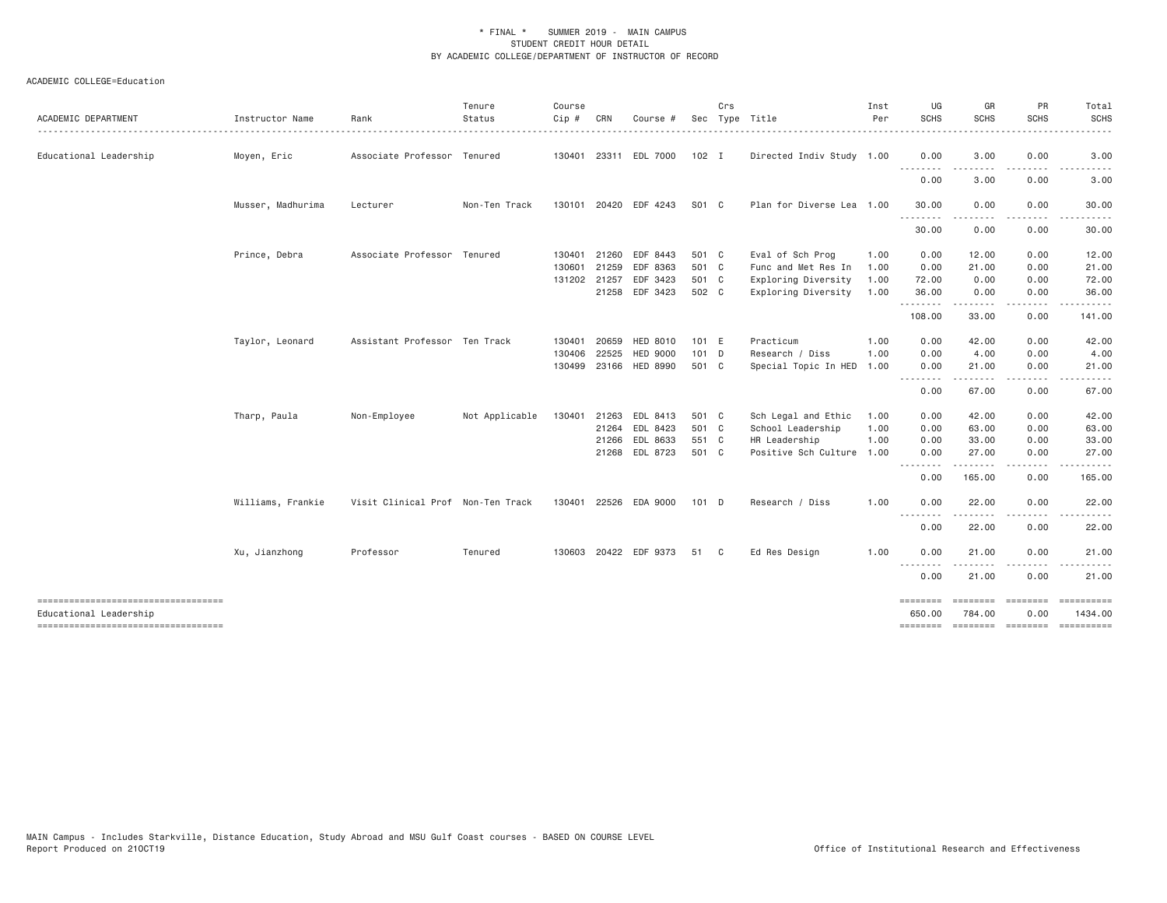| ACADEMIC DEPARTMENT                                          | Instructor Name   | Rank                              | Tenure<br>Status | Course<br>Cip # | CRN   | Course #                   |                | Crs | Sec Type Title                             | Inst<br>Per  | UG<br><b>SCHS</b>                       | GR<br><b>SCHS</b>            | PR<br>SCHS           | Total<br><b>SCHS</b> |
|--------------------------------------------------------------|-------------------|-----------------------------------|------------------|-----------------|-------|----------------------------|----------------|-----|--------------------------------------------|--------------|-----------------------------------------|------------------------------|----------------------|----------------------|
| Educational Leadership                                       | Moyen, Eric       | Associate Professor Tenured       |                  |                 |       | 130401 23311 EDL 7000      | 102 I          |     | Directed Indiv Study 1.00                  |              | 0.00                                    | 3.00                         | 0.00                 | 3.00                 |
|                                                              |                   |                                   |                  |                 |       |                            |                |     |                                            |              | $\sim$ $\sim$ $\sim$<br>د د د د<br>0.00 | 3.00                         | 0.00                 | 3.00                 |
|                                                              | Musser, Madhurima | Lecturer                          | Non-Ten Track    |                 |       | 130101 20420 EDF 4243      | S01 C          |     | Plan for Diverse Lea 1.00                  |              | 30.00                                   | 0.00                         | 0.00                 | 30.00                |
|                                                              |                   |                                   |                  |                 |       |                            |                |     |                                            |              | <u>.</u><br>30.00                       | 0.00                         | $\cdots$<br>0.00     | 30.00                |
|                                                              | Prince, Debra     | Associate Professor Tenured       |                  | 130401 21260    |       | EDF 8443                   | 501 C          |     | Eval of Sch Prog                           | 1.00         | 0.00                                    | 12.00                        | 0.00                 | 12.00                |
|                                                              |                   |                                   |                  | 130601          | 21259 | EDF 8363                   | 501 C          |     | Func and Met Res In                        | 1.00         | 0.00                                    | 21.00                        | 0.00                 | 21.00                |
|                                                              |                   |                                   |                  | 131202 21257    |       | EDF 3423<br>21258 EDF 3423 | 501 C<br>502 C |     | Exploring Diversity<br>Exploring Diversity | 1.00<br>1.00 | 72.00<br>36.00                          | 0.00<br>0.00                 | 0.00<br>0.00         | 72.00<br>36.00       |
|                                                              |                   |                                   |                  |                 |       |                            |                |     |                                            |              | .<br>108.00                             | .<br>33.00                   | .<br>0.00            | 141.00               |
|                                                              | Taylor, Leonard   | Assistant Professor Ten Track     |                  | 130401          | 20659 | <b>HED 8010</b>            | 101 E          |     | Practicum                                  | 1.00         | 0.00                                    | 42.00                        | 0.00                 | 42.00                |
|                                                              |                   |                                   |                  | 130406          | 22525 | <b>HED 9000</b>            | $101$ D        |     | Research / Diss                            | 1.00         | 0.00                                    | 4.00                         | 0.00                 | 4.00                 |
|                                                              |                   |                                   |                  | 130499 23166    |       | <b>HED 8990</b>            | 501 C          |     | Special Topic In HED                       | 1.00         | 0.00<br>.                               | 21.00<br>.                   | 0.00<br>. <u>.</u> . | 21.00                |
|                                                              |                   |                                   |                  |                 |       |                            |                |     |                                            |              | 0.00                                    | 67.00                        | 0.00                 | 67.00                |
|                                                              | Tharp, Paula      | Non-Employee                      | Not Applicable   | 130401          | 21263 | EDL 8413                   | 501 C          |     | Sch Legal and Ethic                        | 1.00         | 0.00                                    | 42.00                        | 0.00                 | 42.00                |
|                                                              |                   |                                   |                  |                 |       | 21264 EDL 8423             | 501 C          |     | School Leadership                          | 1.00         | 0.00                                    | 63.00                        | 0.00                 | 63.00                |
|                                                              |                   |                                   |                  |                 | 21266 | EDL 8633<br>21268 EDL 8723 | 551 C<br>501 C |     | HR Leadership<br>Positive Sch Culture 1.00 | 1.00         | 0.00<br>0.00                            | 33.00<br>27.00               | 0.00<br>0.00         | 33.00<br>27.00       |
|                                                              |                   |                                   |                  |                 |       |                            |                |     |                                            |              | .                                       |                              |                      |                      |
|                                                              |                   |                                   |                  |                 |       |                            |                |     |                                            |              | 0.00                                    | 165.00                       | 0.00                 | 165.00               |
|                                                              | Williams, Frankie | Visit Clinical Prof Non-Ten Track |                  |                 |       | 130401 22526 EDA 9000      | 101 D          |     | Research / Diss                            | 1.00         | 0.00<br>.                               | 22.00                        | 0.00                 | 22.00                |
|                                                              |                   |                                   |                  |                 |       |                            |                |     |                                            |              | 0.00                                    | 22.00                        | 0.00                 | 22.00                |
|                                                              | Xu, Jianzhong     | Professor                         | Tenured          |                 |       | 130603 20422 EDF 9373      | 51 C           |     | Ed Res Design                              | 1.00         | 0.00                                    | 21.00                        | 0.00                 | 21.00                |
|                                                              |                   |                                   |                  |                 |       |                            |                |     |                                            |              | .<br>0.00                               | 21.00                        | 0.00                 | 21.00                |
| ----------------------------------<br>Educational Leadership |                   |                                   |                  |                 |       |                            |                |     |                                            |              | ========<br>650.00                      | --------- --------<br>784,00 | 0.00                 | 1434.00              |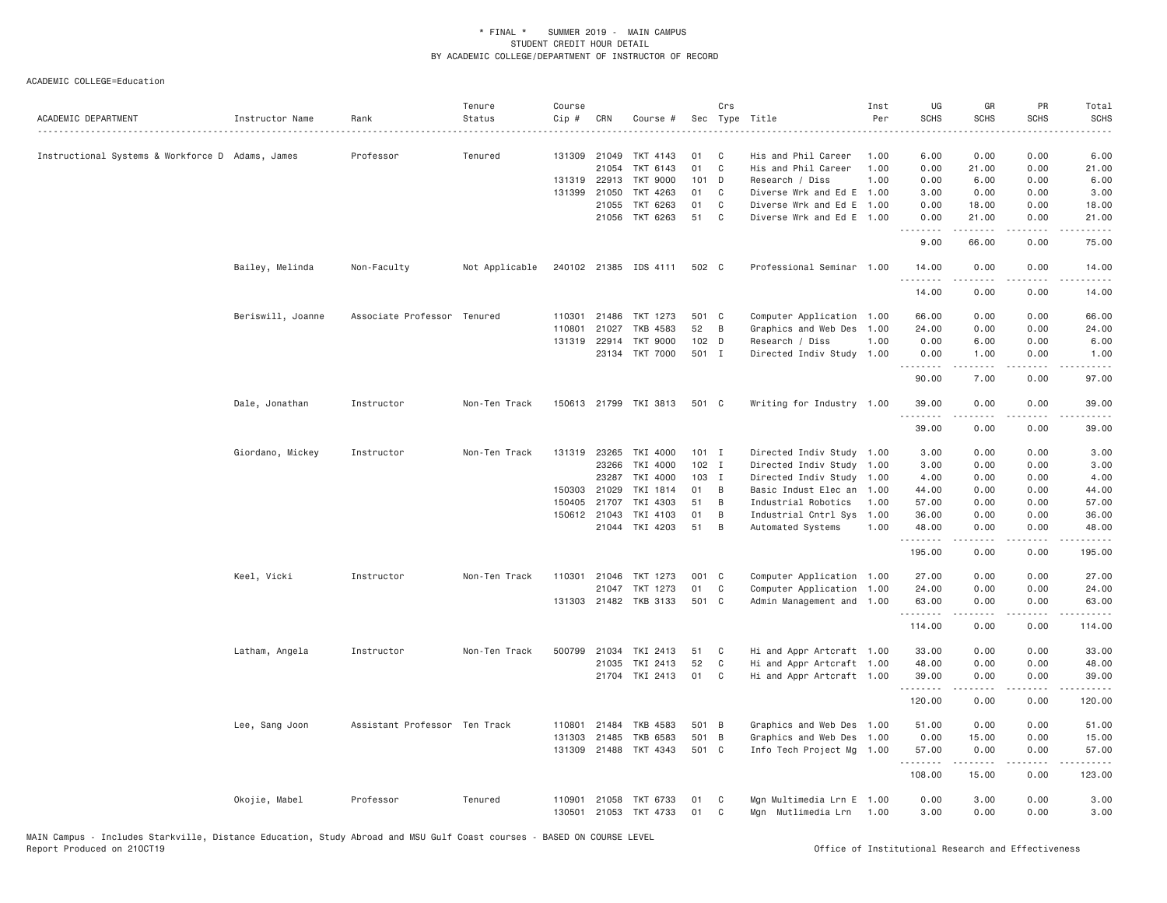| ACADEMIC DEPARTMENT                              | Instructor Name   | Rank                          | Tenure<br>Status | Course<br>Cip# | CRN          | Course #              | Sec   | Crs            | Type Title                | Inst<br>Per | UG<br><b>SCHS</b>              | GR<br><b>SCHS</b>    | PR<br><b>SCHS</b>                   | Total<br><b>SCHS</b><br>.                                                                                                                                     |
|--------------------------------------------------|-------------------|-------------------------------|------------------|----------------|--------------|-----------------------|-------|----------------|---------------------------|-------------|--------------------------------|----------------------|-------------------------------------|---------------------------------------------------------------------------------------------------------------------------------------------------------------|
| Instructional Systems & Workforce D Adams, James |                   | Professor                     | Tenured          | 131309         | 21049        | TKT 4143              | 01    | C              | His and Phil Career       | 1,00        | 6.00                           | 0.00                 | 0.00                                | 6.00                                                                                                                                                          |
|                                                  |                   |                               |                  |                | 21054        | <b>TKT</b><br>6143    | 01    | $\mathsf{C}$   | His and Phil Career       | 1.00        | 0.00                           | 21.00                | 0.00                                | 21.00                                                                                                                                                         |
|                                                  |                   |                               |                  |                | 131319 22913 | TKT 9000              | 101   | D              | Research / Diss           | 1.00        | 0.00                           | 6.00                 | 0.00                                | 6.00                                                                                                                                                          |
|                                                  |                   |                               |                  | 131399         | 21050        | TKT 4263              | 01    | C              | Diverse Wrk and Ed E      | 1.00        | 3.00                           | 0.00                 | 0.00                                | 3.00                                                                                                                                                          |
|                                                  |                   |                               |                  |                | 21055        | TKT 6263              | 01    | C              | Diverse Wrk and Ed E 1.00 |             | 0.00                           | 18.00                | 0.00                                | 18.00                                                                                                                                                         |
|                                                  |                   |                               |                  |                |              | 21056 TKT 6263        | 51    | C              | Diverse Wrk and Ed E 1.00 |             | 0.00<br><u>.</u>               | 21.00<br>$- - - - -$ | 0.00<br>.                           | 21.00<br>$\frac{1}{2} \left( \frac{1}{2} \right) \left( \frac{1}{2} \right) \left( \frac{1}{2} \right) \left( \frac{1}{2} \right)$                            |
|                                                  |                   |                               |                  |                |              |                       |       |                |                           |             | 9.00                           | 66.00                | 0.00                                | 75.00                                                                                                                                                         |
|                                                  | Bailey, Melinda   | Non-Faculty                   | Not Applicable   |                |              | 240102 21385 IDS 4111 | 502 C |                | Professional Seminar 1.00 |             | 14.00<br><u>.</u>              | 0.00<br>.            | 0.00<br>$- - - -$                   | 14.00<br>$    -$                                                                                                                                              |
|                                                  |                   |                               |                  |                |              |                       |       |                |                           |             | 14.00                          | 0.00                 | 0.00                                | 14.00                                                                                                                                                         |
|                                                  | Beriswill, Joanne | Associate Professor           | Tenured          | 110301         | 21486        | TKT 1273              | 501 C |                | Computer Application 1.00 |             | 66.00                          | 0.00                 | 0.00                                | 66.00                                                                                                                                                         |
|                                                  |                   |                               |                  | 110801         | 21027        | TKB 4583              | 52    | B              | Graphics and Web Des      | 1.00        | 24.00                          | 0.00                 | 0.00                                | 24.00                                                                                                                                                         |
|                                                  |                   |                               |                  | 131319         | 22914        | TKT 9000              | 102 D |                | Research / Diss           | 1.00        | 0.00                           | 6.00                 | 0.00                                | 6.00                                                                                                                                                          |
|                                                  |                   |                               |                  |                |              | 23134 TKT 7000        | 501 I |                | Directed Indiv Study 1.00 |             | 0.00<br><b></b>                | 1.00<br>-----        | 0.00<br>.                           | 1.00<br>$- - - - -$                                                                                                                                           |
|                                                  |                   |                               |                  |                |              |                       |       |                |                           |             | 90.00                          | 7.00                 | 0.00                                | 97.00                                                                                                                                                         |
|                                                  | Dale, Jonathan    | Instructor                    | Non-Ten Track    |                |              | 150613 21799 TKI 3813 | 501 C |                | Writing for Industry 1.00 |             | 39.00<br>.                     | 0.00                 | 0.00<br>$\sim$ $\sim$ $\sim$ $\sim$ | 39.00<br>$\frac{1}{2} \left( \frac{1}{2} \right) \left( \frac{1}{2} \right) \left( \frac{1}{2} \right) \left( \frac{1}{2} \right) \left( \frac{1}{2} \right)$ |
|                                                  |                   |                               |                  |                |              |                       |       |                |                           |             | 39.00                          | 0.00                 | 0.00                                | 39.00                                                                                                                                                         |
|                                                  | Giordano, Mickey  | Instructor                    | Non-Ten Track    | 131319         | 23265        | TKI 4000              |       | $101$ I        | Directed Indiv Study 1.00 |             | 3.00                           | 0.00                 | 0.00                                | 3.00                                                                                                                                                          |
|                                                  |                   |                               |                  |                | 23266        | TKI 4000              |       | $102$ I        | Directed Indiv Study 1.00 |             | 3.00                           | 0.00                 | 0.00                                | 3.00                                                                                                                                                          |
|                                                  |                   |                               |                  |                | 23287        | TKI 4000              | 103 I |                | Directed Indiv Study 1.00 |             | 4.00                           | 0.00                 | 0.00                                | 4.00                                                                                                                                                          |
|                                                  |                   |                               |                  | 150303         | 21029        | TKI 1814              | 01    | B              | Basic Indust Elec an      | 1.00        | 44.00                          | 0.00                 | 0.00                                | 44.00                                                                                                                                                         |
|                                                  |                   |                               |                  | 150405         | 21707        | TKI 4303              | 51    | B              | Industrial Robotics       | 1.00        | 57.00                          | 0.00                 | 0.00                                | 57.00                                                                                                                                                         |
|                                                  |                   |                               |                  |                | 150612 21043 | TKI 4103              | 01    | B              | Industrial Cntrl Sys      | 1.00        | 36.00                          | 0.00                 | 0.00                                | 36.00                                                                                                                                                         |
|                                                  |                   |                               |                  |                |              | 21044 TKI 4203        | 51    | B              | Automated Systems         | 1.00        | 48.00<br><u>.</u>              | 0.00<br>.            | 0.00<br>.                           | 48.00<br>.                                                                                                                                                    |
|                                                  |                   |                               |                  |                |              |                       |       |                |                           |             | 195.00                         | 0.00                 | 0.00                                | 195.00                                                                                                                                                        |
|                                                  | Keel, Vicki       | Instructor                    | Non-Ten Track    |                |              | 110301 21046 TKT 1273 | 001 C |                | Computer Application 1.00 |             | 27.00                          | 0.00                 | 0.00                                | 27.00                                                                                                                                                         |
|                                                  |                   |                               |                  |                | 21047        | TKT 1273              | 01    | C              | Computer Application 1.00 |             | 24.00                          | 0.00                 | 0.00                                | 24.00                                                                                                                                                         |
|                                                  |                   |                               |                  |                |              | 131303 21482 TKB 3133 | 501 C |                | Admin Management and 1.00 |             | 63.00                          | 0.00<br>.            | 0.00<br>.                           | 63.00<br>.                                                                                                                                                    |
|                                                  |                   |                               |                  |                |              |                       |       |                |                           |             | 114.00                         | 0.00                 | 0.00                                | 114.00                                                                                                                                                        |
|                                                  | Latham, Angela    | Instructor                    | Non-Ten Track    | 500799         | 21034        | TKI 2413              | 51    | C              | Hi and Appr Artcraft 1.00 |             | 33.00                          | 0.00                 | 0.00                                | 33.00                                                                                                                                                         |
|                                                  |                   |                               |                  |                | 21035        | TKI 2413              | 52    | $\mathbb C$    | Hi and Appr Artcraft 1.00 |             | 48.00                          | 0.00                 | 0.00                                | 48.00                                                                                                                                                         |
|                                                  |                   |                               |                  |                | 21704        | TKI 2413              | 01    | C              | Hi and Appr Artcraft 1.00 |             | 39.00<br><b><i><u></u></i></b> | 0.00<br>.            | 0.00<br>$\sim$ $\sim$ $\sim$ $\sim$ | 39.00<br>.                                                                                                                                                    |
|                                                  |                   |                               |                  |                |              |                       |       |                |                           |             | 120.00                         | 0.00                 | 0.00                                | 120.00                                                                                                                                                        |
|                                                  | Lee, Sang Joon    | Assistant Professor Ten Track |                  | 110801         | 21484        | TKB 4583              | 501   | B              | Graphics and Web Des 1.00 |             | 51.00                          | 0.00                 | 0.00                                | 51.00                                                                                                                                                         |
|                                                  |                   |                               |                  | 131303         | 21485        | TKB 6583              | 501   | $\overline{B}$ | Graphics and Web Des      | 1.00        | 0.00                           | 15.00                | 0.00                                | 15.00                                                                                                                                                         |
|                                                  |                   |                               |                  | 131309         |              | 21488 TKT 4343        | 501 C |                | Info Tech Project Mg 1.00 |             | 57.00<br>.                     | 0.00<br>.            | 0.00<br>.                           | 57.00<br>.                                                                                                                                                    |
|                                                  |                   |                               |                  |                |              |                       |       |                |                           |             | 108.00                         | 15.00                | 0.00                                | 123.00                                                                                                                                                        |
|                                                  | Okojie, Mabel     | Professor                     | Tenured          | 110901         | 21058        | TKT 6733              | 01    | C              | Mgn Multimedia Lrn E 1.00 |             | 0.00                           | 3.00                 | 0.00                                | 3.00                                                                                                                                                          |
|                                                  |                   |                               |                  | 130501         | 21053        | TKT 4733              | 01    | C              | Mgn Mutlimedia Lrn        | 1.00        | 3.00                           | 0.00                 | 0.00                                | 3.00                                                                                                                                                          |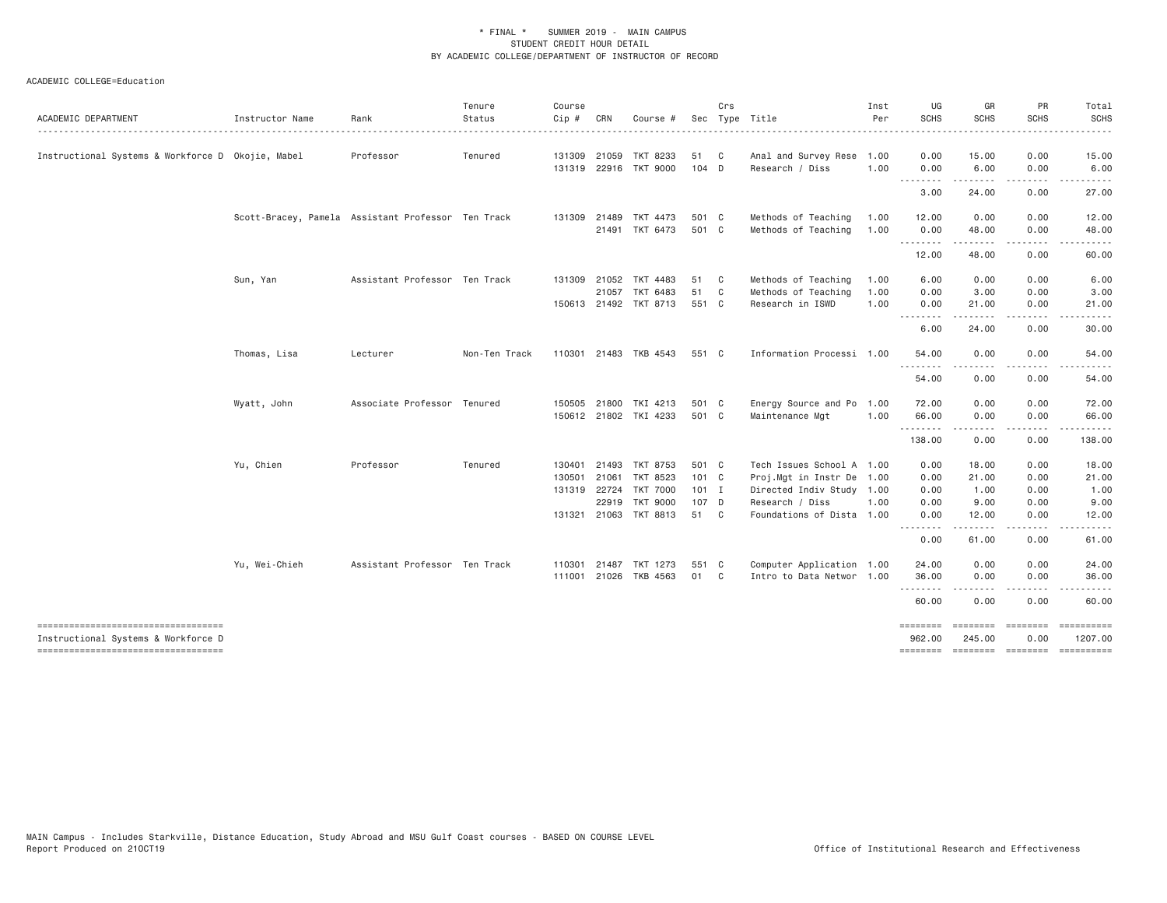| ACADEMIC DEPARTMENT                                                                                                 | Instructor Name | Rank                                               | Tenure<br>Status | Course<br>Cip #                  | CRN                          | Course #                                                                            |                                          | Crs               | Sec Type Title                                                                                                                 | Inst<br>Per  | UG<br><b>SCHS</b>                    | GR<br><b>SCHS</b>                                                                                                                                                                                                                                                                                                                             | PR<br><b>SCHS</b>                    | Total<br><b>SCHS</b><br>-----                                                                                                               |
|---------------------------------------------------------------------------------------------------------------------|-----------------|----------------------------------------------------|------------------|----------------------------------|------------------------------|-------------------------------------------------------------------------------------|------------------------------------------|-------------------|--------------------------------------------------------------------------------------------------------------------------------|--------------|--------------------------------------|-----------------------------------------------------------------------------------------------------------------------------------------------------------------------------------------------------------------------------------------------------------------------------------------------------------------------------------------------|--------------------------------------|---------------------------------------------------------------------------------------------------------------------------------------------|
| Instructional Systems & Workforce D Okojie, Mabel                                                                   |                 | Professor                                          | Tenured          |                                  | 131309 21059<br>131319 22916 | TKT 8233<br><b>TKT 9000</b>                                                         | 51<br>$104$ D                            | C <sub>c</sub>    | Anal and Survey Rese<br>Research / Diss                                                                                        | 1.00<br>1.00 | 0.00<br>0.00                         | 15.00<br>6.00                                                                                                                                                                                                                                                                                                                                 | 0.00<br>0.00                         | 15.00<br>6.00                                                                                                                               |
|                                                                                                                     |                 |                                                    |                  |                                  |                              |                                                                                     |                                          |                   |                                                                                                                                |              | .<br>3.00                            | <u>.</u><br>24.00                                                                                                                                                                                                                                                                                                                             | .<br>0.00                            | .<br>27.00                                                                                                                                  |
|                                                                                                                     |                 | Scott-Bracey, Pamela Assistant Professor Ten Track |                  | 131309                           | 21489<br>21491               | TKT 4473<br>TKT 6473                                                                | 501 C<br>501 C                           |                   | Methods of Teaching<br>Methods of Teaching                                                                                     | 1.00<br>1.00 | 12.00<br>0.00                        | 0.00<br>48.00                                                                                                                                                                                                                                                                                                                                 | 0.00<br>0.00                         | 12.00<br>48.00                                                                                                                              |
|                                                                                                                     |                 |                                                    |                  |                                  |                              |                                                                                     |                                          |                   |                                                                                                                                |              | .<br>12.00                           | .<br>48.00                                                                                                                                                                                                                                                                                                                                    | $- - - -$<br>0.00                    | 60.00                                                                                                                                       |
|                                                                                                                     | Sun, Yan        | Assistant Professor Ten Track                      |                  |                                  | 131309 21052<br>21057        | TKT 4483<br>TKT 6483                                                                | 51<br>51                                 | C<br>$\mathbf{C}$ | Methods of Teaching<br>Methods of Teaching                                                                                     | 1.00<br>1.00 | 6.00<br>0.00                         | 0.00<br>3.00                                                                                                                                                                                                                                                                                                                                  | 0.00<br>0.00                         | 6.00<br>3.00                                                                                                                                |
|                                                                                                                     |                 |                                                    |                  |                                  |                              | 150613 21492 TKT 8713                                                               | 551 C                                    |                   | Research in ISWD                                                                                                               | 1.00         | 0.00<br>.<br>6.00                    | 21,00<br>.<br>24.00                                                                                                                                                                                                                                                                                                                           | 0.00<br>$  -$<br>0.00                | 21.00<br>.<br>30.00                                                                                                                         |
|                                                                                                                     | Thomas, Lisa    | Lecturer                                           | Non-Ten Track    |                                  |                              | 110301 21483 TKB 4543                                                               | 551 C                                    |                   | Information Processi 1.00                                                                                                      |              | 54.00                                | 0.00                                                                                                                                                                                                                                                                                                                                          | 0.00                                 | 54.00                                                                                                                                       |
|                                                                                                                     |                 |                                                    |                  |                                  |                              |                                                                                     |                                          |                   |                                                                                                                                |              | <u>.</u><br>54.00                    | 0.00                                                                                                                                                                                                                                                                                                                                          | 0.00                                 | 54.00                                                                                                                                       |
|                                                                                                                     | Wyatt, John     | Associate Professor Tenured                        |                  | 150505 21800                     |                              | TKI 4213<br>150612 21802 TKI 4233                                                   | 501 C<br>501 C                           |                   | Energy Source and Po<br>Maintenance Mgt                                                                                        | 1.00<br>1.00 | 72.00<br>66.00                       | 0.00<br>0.00                                                                                                                                                                                                                                                                                                                                  | 0.00<br>0.00                         | 72.00<br>66.00                                                                                                                              |
|                                                                                                                     |                 |                                                    |                  |                                  |                              |                                                                                     |                                          |                   |                                                                                                                                |              | .<br>138.00                          | $\frac{1}{2} \left( \frac{1}{2} \right) \left( \frac{1}{2} \right) \left( \frac{1}{2} \right) \left( \frac{1}{2} \right) \left( \frac{1}{2} \right) \left( \frac{1}{2} \right)$<br>0.00                                                                                                                                                       | .<br>0.00                            | .<br>138.00                                                                                                                                 |
|                                                                                                                     | Yu, Chien       | Professor                                          | Tenured          | 130401<br>130501<br>131319 22724 | 21493<br>21061<br>22919      | TKT 8753<br>TKT 8523<br><b>TKT 7000</b><br><b>TKT 9000</b><br>131321 21063 TKT 8813 | 501 C<br>101 C<br>$101$ I<br>107 D<br>51 | $\mathbf{C}$      | Tech Issues School A 1.00<br>Proj.Mgt in Instr De<br>Directed Indiv Study 1.00<br>Research / Diss<br>Foundations of Dista 1.00 | 1.00<br>1.00 | 0.00<br>0.00<br>0.00<br>0.00<br>0.00 | 18.00<br>21.00<br>1.00<br>9.00<br>12.00                                                                                                                                                                                                                                                                                                       | 0.00<br>0.00<br>0.00<br>0.00<br>0.00 | 18.00<br>21.00<br>1.00<br>9.00<br>12.00                                                                                                     |
|                                                                                                                     |                 |                                                    |                  |                                  |                              |                                                                                     |                                          |                   |                                                                                                                                |              | .<br>0.00                            | $\frac{1}{2} \left( \begin{array}{ccc} 1 & 0 & 0 & 0 \\ 0 & 0 & 0 & 0 \\ 0 & 0 & 0 & 0 \\ 0 & 0 & 0 & 0 \\ 0 & 0 & 0 & 0 \\ 0 & 0 & 0 & 0 \\ 0 & 0 & 0 & 0 \\ 0 & 0 & 0 & 0 \\ 0 & 0 & 0 & 0 \\ 0 & 0 & 0 & 0 \\ 0 & 0 & 0 & 0 & 0 \\ 0 & 0 & 0 & 0 & 0 \\ 0 & 0 & 0 & 0 & 0 \\ 0 & 0 & 0 & 0 & 0 \\ 0 & 0 & 0 & 0 & 0 \\ 0 & 0 & 0$<br>61.00 | .<br>0.00                            | .<br>61.00                                                                                                                                  |
|                                                                                                                     | Yu, Wei-Chieh   | Assistant Professor Ten Track                      |                  | 110301<br>111001 21026           | 21487                        | TKT 1273<br>TKB 4563                                                                | 551 C<br>01                              | $\mathbf{C}$      | Computer Application 1.00<br>Intro to Data Networ 1.00                                                                         |              | 24.00<br>36.00<br>.                  | 0.00<br>0.00                                                                                                                                                                                                                                                                                                                                  | 0.00<br>0.00<br>$- - -$              | 24.00<br>36.00<br>$\frac{1}{2} \left( \frac{1}{2} \right) \left( \frac{1}{2} \right) \left( \frac{1}{2} \right) \left( \frac{1}{2} \right)$ |
|                                                                                                                     |                 |                                                    |                  |                                  |                              |                                                                                     |                                          |                   |                                                                                                                                |              | 60.00                                | 0.00                                                                                                                                                                                                                                                                                                                                          | 0.00                                 | 60.00                                                                                                                                       |
| -------------------------------------<br>Instructional Systems & Workforce D<br>----------------------------------- |                 |                                                    |                  |                                  |                              |                                                                                     |                                          |                   |                                                                                                                                |              | ========<br>962.00<br>========       | ========<br>245.00<br>--------- --------                                                                                                                                                                                                                                                                                                      | eeeeeee<br>0.00                      | 1207.00                                                                                                                                     |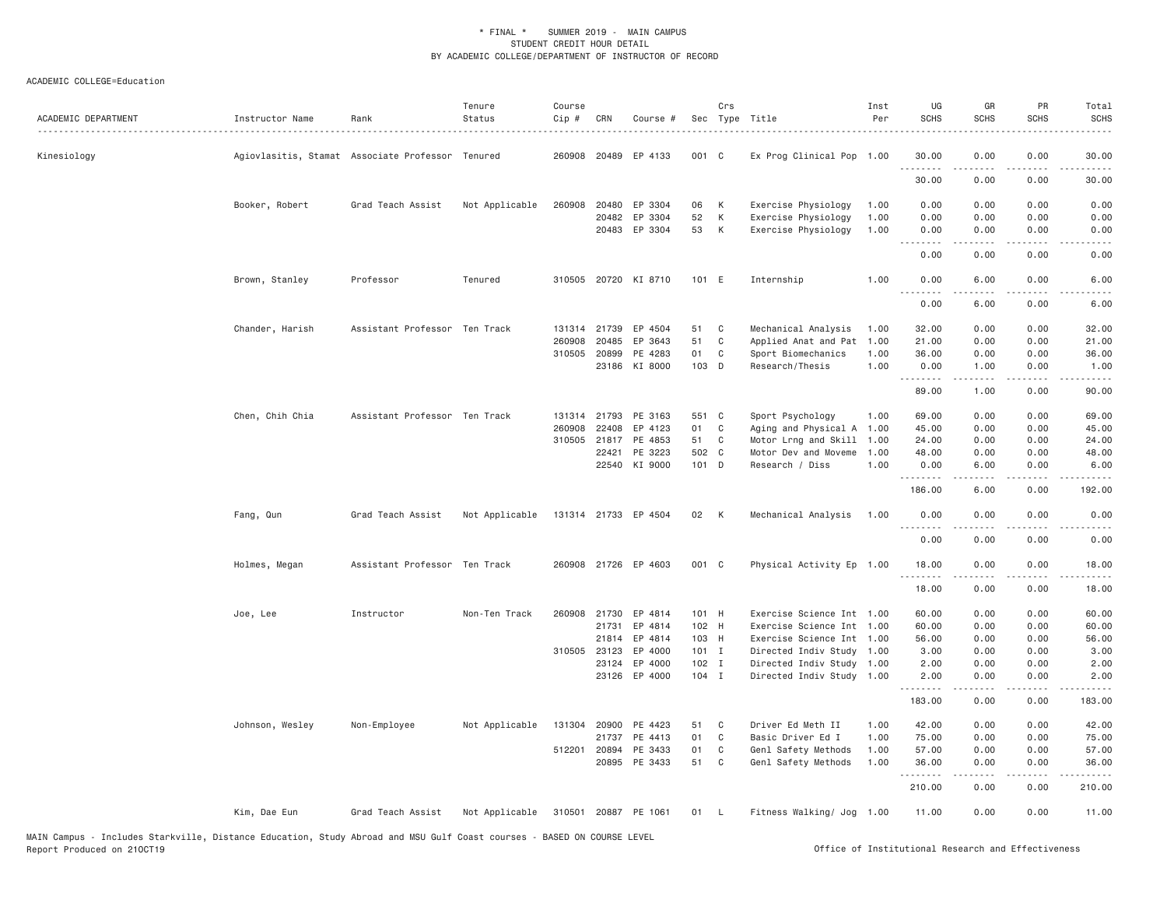| ACADEMIC DEPARTMENT | Instructor Name                                  | Rank                          | Tenure<br>Status | Course<br>Cip # | CRN   | Course #             |         | Crs<br>Sec Type Title |                           | Inst<br>Per | UG<br><b>SCHS</b>     | GR<br><b>SCHS</b> | PR<br><b>SCHS</b>                   | Total<br><b>SCHS</b>                                                                                                                                         |
|---------------------|--------------------------------------------------|-------------------------------|------------------|-----------------|-------|----------------------|---------|-----------------------|---------------------------|-------------|-----------------------|-------------------|-------------------------------------|--------------------------------------------------------------------------------------------------------------------------------------------------------------|
| Kinesiology         | Agiovlasitis, Stamat Associate Professor Tenured |                               |                  |                 |       | 260908 20489 EP 4133 | 001 C   |                       | Ex Prog Clinical Pop 1.00 |             | 30.00<br>.            | 0.00              | 0.00                                | 30.00<br>$\frac{1}{2} \frac{1}{2} \frac{1}{2} \frac{1}{2} \frac{1}{2} \frac{1}{2} \frac{1}{2}$                                                               |
|                     |                                                  |                               |                  |                 |       |                      |         |                       |                           |             | 30.00                 | 0.00              | 0.00                                | 30.00                                                                                                                                                        |
|                     | Booker, Robert                                   | Grad Teach Assist             | Not Applicable   | 260908          | 20480 | EP 3304              | 06      | К                     | Exercise Physiology       | 1.00        | 0.00                  | 0.00              | 0.00                                | 0.00                                                                                                                                                         |
|                     |                                                  |                               |                  |                 | 20482 | EP 3304              | 52      | К                     | Exercise Physiology       | 1.00        | 0.00                  | 0.00              | 0.00                                | 0.00                                                                                                                                                         |
|                     |                                                  |                               |                  |                 |       | 20483 EP 3304        | 53      | К                     | Exercise Physiology       | 1.00        | 0.00                  | 0.00<br>.         | 0.00<br>.                           | 0.00<br>$\frac{1}{2} \left( \frac{1}{2} \right) \left( \frac{1}{2} \right) \left( \frac{1}{2} \right) \left( \frac{1}{2} \right) \left( \frac{1}{2} \right)$ |
|                     |                                                  |                               |                  |                 |       |                      |         |                       |                           |             | 0.00                  | 0.00              | 0.00                                | 0.00                                                                                                                                                         |
|                     | Brown, Stanley                                   | Professor                     | Tenured          | 310505          |       | 20720 KI 8710        | 101 E   |                       | Internship                | 1.00        | 0.00<br>.             | 6.00<br>.         | 0.00<br>$\sim$ $\sim$ $\sim$ $\sim$ | 6.00<br>.                                                                                                                                                    |
|                     |                                                  |                               |                  |                 |       |                      |         |                       |                           |             | 0.00                  | 6.00              | 0.00                                | 6.00                                                                                                                                                         |
|                     | Chander, Harish                                  | Assistant Professor Ten Track |                  | 131314          | 21739 | EP 4504              | 51      | C                     | Mechanical Analysis       | 1.00        | 32.00                 | 0.00              | 0.00                                | 32.00                                                                                                                                                        |
|                     |                                                  |                               |                  | 260908          | 20485 | EP 3643              | 51      | $\mathbb C$           | Applied Anat and Pat      | 1.00        | 21.00                 | 0.00              | 0.00                                | 21.00                                                                                                                                                        |
|                     |                                                  |                               |                  | 310505          | 20899 | PE 4283              | 01      | $\mathbb C$           | Sport Biomechanics        | 1.00        | 36.00                 | 0.00              | 0.00                                | 36.00                                                                                                                                                        |
|                     |                                                  |                               |                  |                 | 23186 | KI 8000              | 103 D   |                       | Research/Thesis           | 1.00        | 0.00                  | 1.00<br>.         | 0.00<br>$\sim$ $\sim$ $\sim$ $\sim$ | 1.00<br>$\sim$ $\sim$ $\sim$ $\sim$                                                                                                                          |
|                     |                                                  |                               |                  |                 |       |                      |         |                       |                           |             | 89.00                 | 1.00              | 0.00                                | 90.00                                                                                                                                                        |
|                     | Chen, Chih Chia                                  | Assistant Professor Ten Track |                  | 131314          | 21793 | PE 3163              | 551 C   |                       | Sport Psychology          | 1.00        | 69.00                 | 0.00              | 0.00                                | 69.00                                                                                                                                                        |
|                     |                                                  |                               |                  | 260908          | 22408 | EP 4123              | 01      | C                     | Aging and Physical A      | 1.00        | 45.00                 | 0.00              | 0.00                                | 45.00                                                                                                                                                        |
|                     |                                                  |                               |                  | 310505          | 21817 | PE 4853              | 51      | C                     | Motor Lrng and Skill      | 1.00        | 24.00                 | 0.00              | 0.00                                | 24.00                                                                                                                                                        |
|                     |                                                  |                               |                  |                 | 22421 | PE 3223              | 502 C   |                       | Motor Dev and Moveme      | 1.00        | 48.00                 | 0.00              | 0.00                                | 48.00                                                                                                                                                        |
|                     |                                                  |                               |                  |                 |       | 22540 KI 9000        | 101 D   |                       | Research / Diss           | 1.00        | 0.00<br>.             | 6.00<br>.         | 0.00<br>$\sim$ $\sim$ $\sim$ $\sim$ | 6.00<br>$    -$                                                                                                                                              |
|                     |                                                  |                               |                  |                 |       |                      |         |                       |                           |             | 186.00                | 6.00              | 0.00                                | 192.00                                                                                                                                                       |
|                     | Fang, Qun                                        | Grad Teach Assist             | Not Applicable   |                 |       | 131314 21733 EP 4504 | 02      | K                     | Mechanical Analysis       | 1.00        | 0.00                  | 0.00              | 0.00                                | 0.00                                                                                                                                                         |
|                     |                                                  |                               |                  |                 |       |                      |         |                       |                           |             | $\frac{1}{2}$<br>0.00 | 0.00              | .<br>0.00                           | .<br>0.00                                                                                                                                                    |
|                     | Holmes, Megan                                    | Assistant Professor Ten Track |                  |                 |       | 260908 21726 EP 4603 | 001 C   |                       | Physical Activity Ep 1.00 |             | 18.00                 | 0.00              | 0.00                                | 18.00                                                                                                                                                        |
|                     |                                                  |                               |                  |                 |       |                      |         |                       |                           |             | 18.00                 | 0.00              | 0.00                                | 18.00                                                                                                                                                        |
|                     | Joe, Lee                                         | Instructor                    | Non-Ten Track    |                 |       | 260908 21730 EP 4814 | 101 H   |                       | Exercise Science Int 1.00 |             | 60.00                 | 0.00              | 0.00                                | 60.00                                                                                                                                                        |
|                     |                                                  |                               |                  |                 | 21731 | EP 4814              | 102 H   |                       | Exercise Science Int 1.00 |             | 60.00                 | 0.00              | 0.00                                | 60.00                                                                                                                                                        |
|                     |                                                  |                               |                  |                 | 21814 | EP 4814              | 103 H   |                       | Exercise Science Int      | 1.00        | 56.00                 | 0.00              | 0.00                                | 56.00                                                                                                                                                        |
|                     |                                                  |                               |                  | 310505          | 23123 | EP 4000              | $101$ I |                       | Directed Indiv Study      | 1.00        | 3.00                  | 0.00              | 0.00                                | 3.00                                                                                                                                                         |
|                     |                                                  |                               |                  |                 | 23124 | EP 4000              | $102$ I |                       | Directed Indiv Study 1.00 |             | 2.00                  | 0.00              | 0.00                                | 2.00                                                                                                                                                         |
|                     |                                                  |                               |                  |                 |       | 23126 EP 4000        | $104$ I |                       | Directed Indiv Study 1.00 |             | 2.00<br>.             | 0.00<br>.         | 0.00<br>$\sim$ $\sim$ $\sim$        | 2.00<br>$\sim$ $\sim$ $\sim$ $\sim$                                                                                                                          |
|                     |                                                  |                               |                  |                 |       |                      |         |                       |                           |             | 183.00                | 0.00              | 0.00                                | 183.00                                                                                                                                                       |
|                     | Johnson, Wesley                                  | Non-Employee                  | Not Applicable   |                 |       | 131304 20900 PE 4423 | 51      | C                     | Driver Ed Meth II         | 1.00        | 42.00                 | 0.00              | 0.00                                | 42.00                                                                                                                                                        |
|                     |                                                  |                               |                  |                 | 21737 | PE 4413              | 01      | C                     | Basic Driver Ed I         | 1.00        | 75.00                 | 0.00              | 0.00                                | 75.00                                                                                                                                                        |
|                     |                                                  |                               |                  | 512201 20894    |       | PE 3433              | 01      | $\mathbf{C}$          | Genl Safety Methods       | 1.00        | 57.00                 | 0.00              | 0.00                                | 57.00                                                                                                                                                        |
|                     |                                                  |                               |                  |                 |       | 20895 PE 3433        | 51      | C                     | Genl Safety Methods       | 1.00        | 36.00<br>. <i>.</i>   | 0.00<br>.         | 0.00<br>$- - - -$                   | 36.00<br>.                                                                                                                                                   |
|                     |                                                  |                               |                  |                 |       |                      |         |                       |                           |             | 210.00                | 0.00              | 0.00                                | 210.00                                                                                                                                                       |
|                     | Kim, Dae Eun                                     | Grad Teach Assist             | Not Applicable   |                 |       | 310501 20887 PE 1061 | 01 L    |                       | Fitness Walking/ Jog 1.00 |             | 11.00                 | 0.00              | 0.00                                | 11.00                                                                                                                                                        |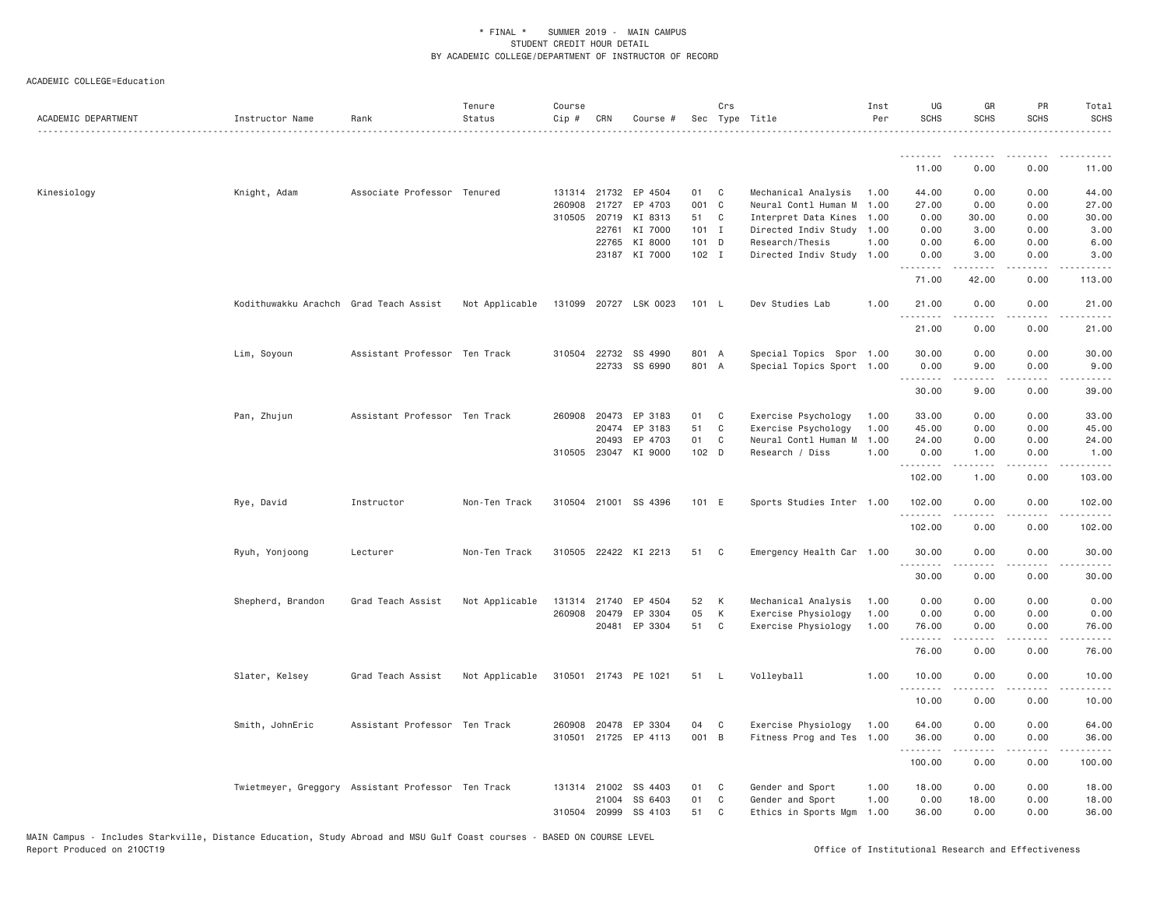| ACADEMIC DEPARTMENT | Instructor Name                        | Rank                                               | Tenure<br>Status | Course<br>$Cip$ # | CRN          | Course #              |         | Crs          | Sec Type Title            | Inst<br>Per | UG<br><b>SCHS</b> | GR<br><b>SCHS</b>     | PR<br><b>SCHS</b>                   | Total<br><b>SCHS</b>                                                                                                                                                                      |
|---------------------|----------------------------------------|----------------------------------------------------|------------------|-------------------|--------------|-----------------------|---------|--------------|---------------------------|-------------|-------------------|-----------------------|-------------------------------------|-------------------------------------------------------------------------------------------------------------------------------------------------------------------------------------------|
|                     |                                        |                                                    |                  |                   |              |                       |         |              |                           |             | .                 | ---------             |                                     |                                                                                                                                                                                           |
|                     |                                        |                                                    |                  |                   |              |                       |         |              |                           |             | 11.00             | 0.00                  | 0.00                                | 11.00                                                                                                                                                                                     |
| Kinesiology         | Knight, Adam                           | Associate Professor Tenured                        |                  |                   | 131314 21732 | EP 4504               | 01      | $\mathbf{C}$ | Mechanical Analysis       | 1.00        | 44.00             | 0.00                  | 0.00                                | 44.00                                                                                                                                                                                     |
|                     |                                        |                                                    |                  | 260908            | 21727        | EP 4703               | 001 C   |              | Neural Contl Human M      | 1.00        | 27.00             | 0.00                  | 0.00                                | 27.00                                                                                                                                                                                     |
|                     |                                        |                                                    |                  |                   | 310505 20719 | KI 8313               | 51 C    |              | Interpret Data Kines 1.00 |             | 0.00              | 30.00                 | 0.00                                | 30.00                                                                                                                                                                                     |
|                     |                                        |                                                    |                  |                   | 22761        | KI 7000               | $101$ I |              | Directed Indiv Study 1.00 |             | 0.00              | 3.00                  | 0.00                                | 3.00                                                                                                                                                                                      |
|                     |                                        |                                                    |                  |                   | 22765        | KI 8000               | $101$ D |              | Research/Thesis           | 1.00        | 0.00              | 6.00                  | 0.00                                | 6.00                                                                                                                                                                                      |
|                     |                                        |                                                    |                  |                   |              | 23187 KI 7000         | 102 I   |              | Directed Indiv Study 1.00 |             | 0.00<br>.         | 3.00<br>.             | 0.00<br>.                           | 3.00<br>$- - - - - -$                                                                                                                                                                     |
|                     |                                        |                                                    |                  |                   |              |                       |         |              |                           |             | 71.00             | 42.00                 | 0.00                                | 113.00                                                                                                                                                                                    |
|                     | Kodithuwakku Arachch Grad Teach Assist |                                                    | Not Applicable   |                   |              | 131099 20727 LSK 0023 | 101 L   |              | Dev Studies Lab           | 1.00        | 21.00<br>.        | 0.00<br>-----         | 0.00<br>$\sim$ $\sim$ $\sim$ $\sim$ | 21.00<br>د د د د د                                                                                                                                                                        |
|                     |                                        |                                                    |                  |                   |              |                       |         |              |                           |             | 21.00             | 0.00                  | 0.00                                | 21.00                                                                                                                                                                                     |
|                     | Lim, Soyoun                            | Assistant Professor Ten Track                      |                  |                   | 310504 22732 | SS 4990               | 801 A   |              | Special Topics Spor 1.00  |             | 30.00             | 0.00                  | 0.00                                | 30.00                                                                                                                                                                                     |
|                     |                                        |                                                    |                  |                   |              | 22733 SS 6990         | 801 A   |              | Special Topics Sport 1.00 |             | 0.00              | 9.00                  | 0.00                                | 9.00                                                                                                                                                                                      |
|                     |                                        |                                                    |                  |                   |              |                       |         |              |                           |             | .                 | $\omega$ is a set of  | .                                   | .                                                                                                                                                                                         |
|                     |                                        |                                                    |                  |                   |              |                       |         |              |                           |             | 30.00             | 9.00                  | 0.00                                | 39.00                                                                                                                                                                                     |
|                     | Pan, Zhujun                            | Assistant Professor Ten Track                      |                  |                   | 260908 20473 | EP 3183               | 01      | C            | Exercise Psychology       | 1.00        | 33.00             | 0.00                  | 0.00                                | 33.00                                                                                                                                                                                     |
|                     |                                        |                                                    |                  |                   | 20474        | EP 3183               | 51 C    |              | Exercise Psychology       | 1.00        | 45.00             | 0.00                  | 0.00                                | 45.00                                                                                                                                                                                     |
|                     |                                        |                                                    |                  |                   | 20493        | EP 4703               | 01      | $\mathbf C$  | Neural Contl Human M      | 1.00        | 24.00             | 0.00                  | 0.00                                | 24.00                                                                                                                                                                                     |
|                     |                                        |                                                    |                  |                   |              | 310505 23047 KI 9000  | 102 D   |              | Research / Diss           | 1.00        | 0.00<br>.         | 1.00<br>$- - - - -$   | 0.00<br>.                           | 1.00<br>.                                                                                                                                                                                 |
|                     |                                        |                                                    |                  |                   |              |                       |         |              |                           |             | 102.00            | 1.00                  | 0.00                                | 103.00                                                                                                                                                                                    |
|                     | Rye, David                             | Instructor                                         | Non-Ten Track    |                   |              | 310504 21001 SS 4396  | 101 E   |              | Sports Studies Inter 1.00 |             | 102.00<br>.       | 0.00<br>-----         | 0.00                                | 102.00<br>$\frac{1}{2} \left( \frac{1}{2} \right) \left( \frac{1}{2} \right) \left( \frac{1}{2} \right) \left( \frac{1}{2} \right) \left( \frac{1}{2} \right) \left( \frac{1}{2} \right)$ |
|                     |                                        |                                                    |                  |                   |              |                       |         |              |                           |             | 102.00            | 0.00                  | 0.00                                | 102.00                                                                                                                                                                                    |
|                     | Ryuh, Yonjoong                         | Lecturer                                           | Non-Ten Track    |                   |              | 310505 22422 KI 2213  | 51      | $\mathbf{C}$ | Emergency Health Car 1.00 |             | 30.00             | 0.00                  | 0.00                                | 30.00                                                                                                                                                                                     |
|                     |                                        |                                                    |                  |                   |              |                       |         |              |                           |             | .<br>30.00        | 0.00                  | 0.00                                | 30.00                                                                                                                                                                                     |
|                     | Shepherd, Brandon                      | Grad Teach Assist                                  | Not Applicable   |                   | 131314 21740 | EP 4504               | 52      | <b>K</b>     | Mechanical Analysis       | 1.00        | 0.00              | 0.00                  | 0.00                                | 0.00                                                                                                                                                                                      |
|                     |                                        |                                                    |                  | 260908            | 20479        | EP 3304               | 05      | K            | Exercise Physiology       | 1.00        | 0.00              | 0.00                  | 0.00                                | 0.00                                                                                                                                                                                      |
|                     |                                        |                                                    |                  |                   |              | 20481 EP 3304         | 51 C    |              | Exercise Physiology       | 1.00        | 76.00             | 0.00                  | 0.00                                | 76.00                                                                                                                                                                                     |
|                     |                                        |                                                    |                  |                   |              |                       |         |              |                           |             | <u>.</u><br>76.00 | 0.00                  | 0.00                                | 76.00                                                                                                                                                                                     |
|                     | Slater, Kelsey                         | Grad Teach Assist                                  | Not Applicable   |                   |              | 310501 21743 PE 1021  | 51      | - L          | Volleyball                | 1.00        | 10.00             | 0.00                  | 0.00                                | 10.00                                                                                                                                                                                     |
|                     |                                        |                                                    |                  |                   |              |                       |         |              |                           |             | .<br>10.00        | 0.00                  | 0.00                                | 10.00                                                                                                                                                                                     |
|                     |                                        |                                                    |                  |                   |              |                       |         |              |                           |             |                   |                       |                                     |                                                                                                                                                                                           |
|                     | Smith, JohnEric                        | Assistant Professor Ten Track                      |                  |                   |              | 260908 20478 EP 3304  | 04      | $\mathbf{C}$ | Exercise Physiology       | 1.00        | 64.00             | 0.00                  | 0.00                                | 64.00                                                                                                                                                                                     |
|                     |                                        |                                                    |                  |                   |              | 310501 21725 EP 4113  | 001 B   |              | Fitness Prog and Tes 1.00 |             | 36.00<br>.        | 0.00<br>$\frac{1}{2}$ | 0.00<br>.                           | 36.00<br>.                                                                                                                                                                                |
|                     |                                        |                                                    |                  |                   |              |                       |         |              |                           |             | 100.00            | 0.00                  | 0.00                                | 100.00                                                                                                                                                                                    |
|                     |                                        | Twietmeyer, Greggory Assistant Professor Ten Track |                  |                   | 131314 21002 | SS 4403               | 01      | C            | Gender and Sport          | 1.00        | 18.00             | 0.00                  | 0.00                                | 18.00                                                                                                                                                                                     |
|                     |                                        |                                                    |                  |                   | 21004        | SS 6403               | 01      | C            | Gender and Sport          | 1.00        | 0.00              | 18.00                 | 0.00                                | 18.00                                                                                                                                                                                     |
|                     |                                        |                                                    |                  | 310504            | 20999        | SS 4103               | 51      | C            | Ethics in Sports Mgm      | 1.00        | 36.00             | 0.00                  | 0.00                                | 36.00                                                                                                                                                                                     |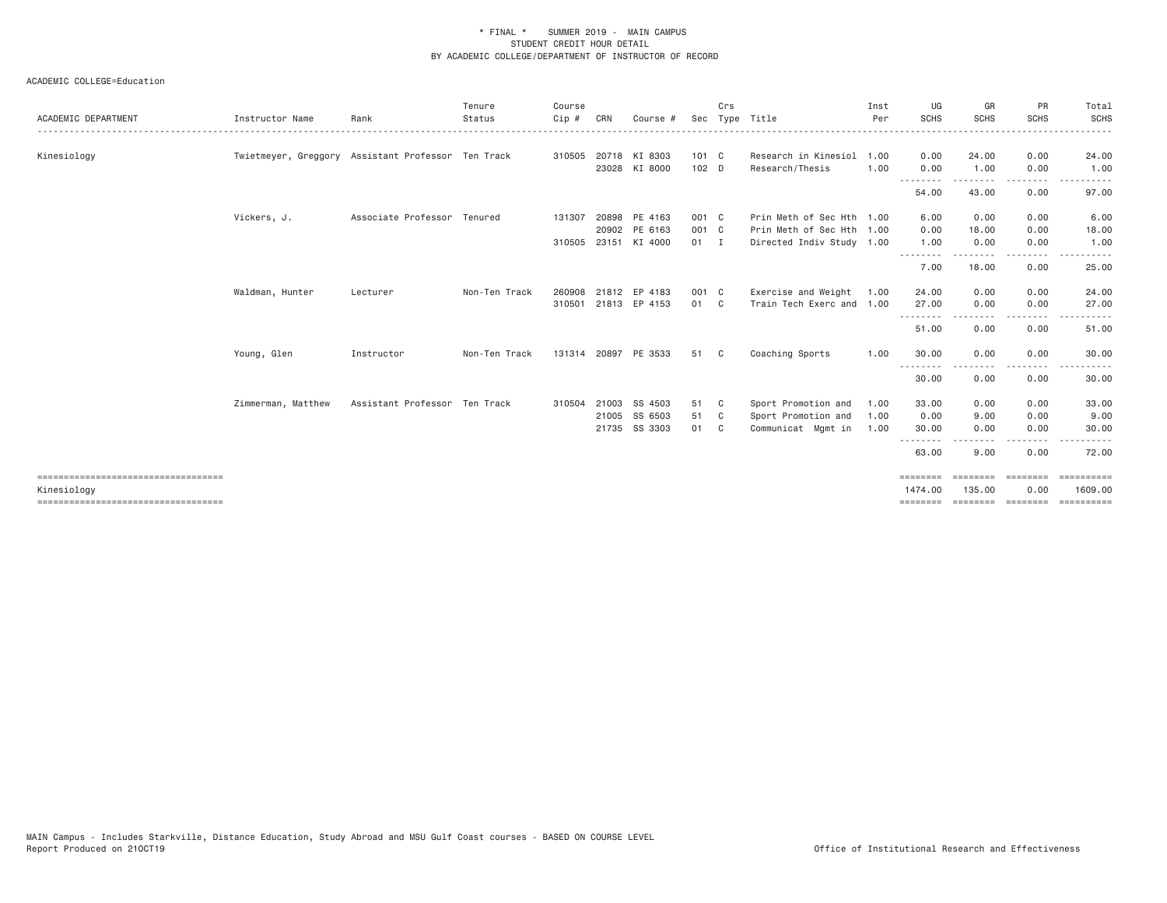| Rank       | Tenure<br>Status | Course<br>Cip#                                                                                                     | CRN | Course #       |                                                                                                                                                                                              | Crs            |                                                                                                     | Inst<br>Per    | UG<br><b>SCHS</b>                                 | GR<br><b>SCHS</b>                                                                                            | PR<br><b>SCHS</b>                                                                                                                 | Total<br><b>SCHS</b>                                                                                                                          |
|------------|------------------|--------------------------------------------------------------------------------------------------------------------|-----|----------------|----------------------------------------------------------------------------------------------------------------------------------------------------------------------------------------------|----------------|-----------------------------------------------------------------------------------------------------|----------------|---------------------------------------------------|--------------------------------------------------------------------------------------------------------------|-----------------------------------------------------------------------------------------------------------------------------------|-----------------------------------------------------------------------------------------------------------------------------------------------|
|            |                  |                                                                                                                    |     |                |                                                                                                                                                                                              |                | Research/Thesis                                                                                     | 1.00<br>1.00   | 0.00<br>0.00                                      | 24.00<br>1.00                                                                                                | 0.00<br>0.00                                                                                                                      | 24.00<br>1.00                                                                                                                                 |
|            |                  |                                                                                                                    |     |                |                                                                                                                                                                                              |                |                                                                                                     |                | --------<br>54.00                                 | --------<br>43.00                                                                                            | --------<br>0.00                                                                                                                  | 97.00                                                                                                                                         |
|            |                  | 131307                                                                                                             |     |                |                                                                                                                                                                                              |                |                                                                                                     |                | 6.00                                              | 0.00                                                                                                         | 0.00                                                                                                                              | 6.00                                                                                                                                          |
|            |                  |                                                                                                                    |     |                |                                                                                                                                                                                              |                |                                                                                                     |                | 1.00                                              | 0.00                                                                                                         | 0.00                                                                                                                              | 18.00<br>1.00                                                                                                                                 |
|            |                  |                                                                                                                    |     |                |                                                                                                                                                                                              |                |                                                                                                     |                | - - - -<br>7.00                                   | 18.00                                                                                                        | <u>.</u><br>0.00                                                                                                                  | ----------<br>25.00                                                                                                                           |
| Lecturer   | Non-Ten Track    | 260908                                                                                                             |     |                |                                                                                                                                                                                              |                | Exercise and Weight                                                                                 | 1.00           | 24.00<br>27.00                                    | 0.00<br>0.00                                                                                                 | 0.00<br>0.00                                                                                                                      | 24.00<br>27.00                                                                                                                                |
|            |                  |                                                                                                                    |     |                |                                                                                                                                                                                              |                |                                                                                                     |                | .<br>51.00                                        | -----<br>0.00                                                                                                | .<br>0.00                                                                                                                         | . <b>.</b> .<br>51.00                                                                                                                         |
| Instructor | Non-Ten Track    |                                                                                                                    |     |                | 51                                                                                                                                                                                           |                | Coaching Sports                                                                                     | 1.00           | 30.00                                             | 0.00                                                                                                         | 0.00                                                                                                                              | 30.00                                                                                                                                         |
|            |                  |                                                                                                                    |     |                |                                                                                                                                                                                              |                |                                                                                                     |                | 30.00                                             | 0.00                                                                                                         | $\frac{1}{2} \left( \frac{1}{2} \right) \left( \frac{1}{2} \right) \left( \frac{1}{2} \right) \left( \frac{1}{2} \right)$<br>0.00 | 30.00                                                                                                                                         |
|            |                  | 310504                                                                                                             |     | SS 4503        | 51<br>51                                                                                                                                                                                     | $\mathbf{C}$   | Sport Promotion and<br>Sport Promotion and                                                          | 1.00<br>1.00   | 33.00<br>0.00                                     | 0.00<br>9.00                                                                                                 | 0.00<br>0.00                                                                                                                      | 33.00<br>9.00                                                                                                                                 |
|            |                  |                                                                                                                    |     |                | 01                                                                                                                                                                                           | C <sub>c</sub> | Communicat Mgmt in                                                                                  | 1.00           | 30.00                                             | 0.00                                                                                                         | 0.00                                                                                                                              | 30.00                                                                                                                                         |
|            |                  |                                                                                                                    |     |                |                                                                                                                                                                                              |                |                                                                                                     |                | 63.00                                             | 9.00                                                                                                         | 0.00                                                                                                                              | 72.00                                                                                                                                         |
|            |                  |                                                                                                                    |     |                |                                                                                                                                                                                              |                |                                                                                                     |                | ========<br>1474.00                               | ========<br>135.00                                                                                           | ========<br>0.00                                                                                                                  | 1609,00                                                                                                                                       |
|            |                  | Twietmeyer, Greggory Assistant Professor Ten Track<br>Associate Professor Tenured<br>Assistant Professor Ten Track |     | 20902<br>21003 | 310505 20718 KI 8303<br>23028 KI 8000<br>20898 PE 4163<br>PE 6163<br>310505 23151 KI 4000<br>21812 EP 4183<br>310501 21813 EP 4153<br>131314 20897 PE 3533<br>21005 SS 6503<br>21735 SS 3303 |                | 101 C<br>$102$ D<br>001 C<br>001 C<br>$01 \quad I$<br>001 C<br>01 C<br>$\mathbf{C}$<br>$\mathbf{C}$ | Sec Type Title | Research in Kinesiol<br>Train Tech Exerc and 1.00 | Prin Meth of Sec Hth 1.00<br>Prin Meth of Sec Hth 1.00<br>0.00<br>Directed Indiv Study 1.00<br>.<br>======== | 18.00<br>========                                                                                                                 | 0.00<br>$\frac{1}{2} \left( \frac{1}{2} \right) \left( \frac{1}{2} \right) \left( \frac{1}{2} \right) \left( \frac{1}{2} \right)$<br>======== |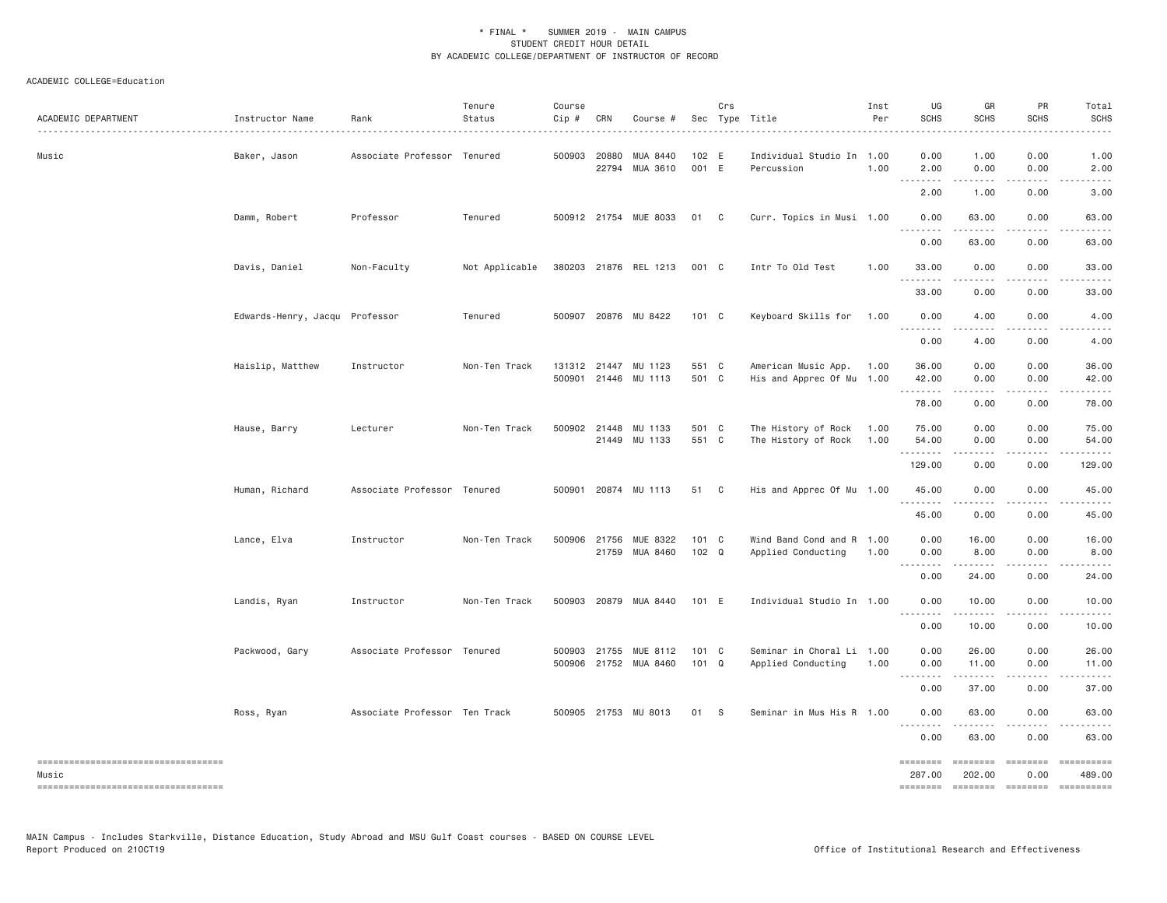| ACADEMIC DEPARTMENT                                                                   | Instructor Name                | Rank                          | Tenure<br>Status | Course<br>Cip # | CRN          | Course #                                       |                        | Crs | Sec Type Title                                   | Inst<br>Per  | UG<br><b>SCHS</b>                                                                                                                                                                                                                                                                                                                                                                                                                                                                                                 | GR<br><b>SCHS</b>                     | PR<br>SCHS                                                                                                                                                                                                                                                                                                                                                                                                                                                                                                                                                                                                                                                                                                                                                                                                                                                                                                                                                                               | Total<br><b>SCHS</b>                                                                                                                                                                    |
|---------------------------------------------------------------------------------------|--------------------------------|-------------------------------|------------------|-----------------|--------------|------------------------------------------------|------------------------|-----|--------------------------------------------------|--------------|-------------------------------------------------------------------------------------------------------------------------------------------------------------------------------------------------------------------------------------------------------------------------------------------------------------------------------------------------------------------------------------------------------------------------------------------------------------------------------------------------------------------|---------------------------------------|------------------------------------------------------------------------------------------------------------------------------------------------------------------------------------------------------------------------------------------------------------------------------------------------------------------------------------------------------------------------------------------------------------------------------------------------------------------------------------------------------------------------------------------------------------------------------------------------------------------------------------------------------------------------------------------------------------------------------------------------------------------------------------------------------------------------------------------------------------------------------------------------------------------------------------------------------------------------------------------|-----------------------------------------------------------------------------------------------------------------------------------------------------------------------------------------|
| Music                                                                                 | Baker, Jason                   | Associate Professor Tenured   |                  |                 | 500903 20880 | MUA 8440<br>22794 MUA 3610                     | 102 E<br>001 E         |     | Individual Studio In 1.00<br>Percussion          | 1.00         | 0.00<br>2.00                                                                                                                                                                                                                                                                                                                                                                                                                                                                                                      | 1.00<br>0.00                          | 0.00<br>0.00<br>-----                                                                                                                                                                                                                                                                                                                                                                                                                                                                                                                                                                                                                                                                                                                                                                                                                                                                                                                                                                    | 1.00<br>2.00                                                                                                                                                                            |
|                                                                                       |                                |                               |                  |                 |              |                                                |                        |     |                                                  |              | $\frac{1}{2} \left( \frac{1}{2} \right) \left( \frac{1}{2} \right) \left( \frac{1}{2} \right) \left( \frac{1}{2} \right) \left( \frac{1}{2} \right) \left( \frac{1}{2} \right) \left( \frac{1}{2} \right)$<br>$\sim$ $\sim$ $\sim$<br>2.00                                                                                                                                                                                                                                                                        | .<br>1.00                             | 0.00                                                                                                                                                                                                                                                                                                                                                                                                                                                                                                                                                                                                                                                                                                                                                                                                                                                                                                                                                                                     | $\frac{1}{2} \left( \frac{1}{2} \right) \left( \frac{1}{2} \right) \left( \frac{1}{2} \right) \left( \frac{1}{2} \right) \left( \frac{1}{2} \right) \left( \frac{1}{2} \right)$<br>3.00 |
|                                                                                       | Damm, Robert                   | Professor                     | Tenured          |                 |              | 500912 21754 MUE 8033                          | 01 C                   |     | Curr. Topics in Musi 1.00                        |              | 0.00                                                                                                                                                                                                                                                                                                                                                                                                                                                                                                              | 63.00                                 | 0.00                                                                                                                                                                                                                                                                                                                                                                                                                                                                                                                                                                                                                                                                                                                                                                                                                                                                                                                                                                                     | 63.00                                                                                                                                                                                   |
|                                                                                       |                                |                               |                  |                 |              |                                                |                        |     |                                                  |              | .<br>0.00                                                                                                                                                                                                                                                                                                                                                                                                                                                                                                         | 63.00                                 | 0.00                                                                                                                                                                                                                                                                                                                                                                                                                                                                                                                                                                                                                                                                                                                                                                                                                                                                                                                                                                                     | 63.00                                                                                                                                                                                   |
|                                                                                       | Davis, Daniel                  | Non-Faculty                   | Not Applicable   |                 |              | 380203 21876 REL 1213                          | 001 C                  |     | Intr To Old Test                                 | 1.00         | 33.00<br>.                                                                                                                                                                                                                                                                                                                                                                                                                                                                                                        | 0.00<br>.                             | 0.00                                                                                                                                                                                                                                                                                                                                                                                                                                                                                                                                                                                                                                                                                                                                                                                                                                                                                                                                                                                     | 33.00                                                                                                                                                                                   |
|                                                                                       |                                |                               |                  |                 |              |                                                |                        |     |                                                  |              | 33.00                                                                                                                                                                                                                                                                                                                                                                                                                                                                                                             | 0.00                                  | 0.00                                                                                                                                                                                                                                                                                                                                                                                                                                                                                                                                                                                                                                                                                                                                                                                                                                                                                                                                                                                     | 33.00                                                                                                                                                                                   |
|                                                                                       | Edwards-Henry, Jacqu Professor |                               | Tenured          |                 |              | 500907 20876 MU 8422                           | $101 \quad C$          |     | Keyboard Skills for                              | 1.00         | 0.00<br>$  -$<br>$- - - - -$                                                                                                                                                                                                                                                                                                                                                                                                                                                                                      | 4.00<br>.                             | 0.00<br>.                                                                                                                                                                                                                                                                                                                                                                                                                                                                                                                                                                                                                                                                                                                                                                                                                                                                                                                                                                                | 4.00<br>-----                                                                                                                                                                           |
|                                                                                       |                                |                               |                  |                 |              |                                                |                        |     |                                                  |              | 0.00                                                                                                                                                                                                                                                                                                                                                                                                                                                                                                              | 4.00                                  | 0.00                                                                                                                                                                                                                                                                                                                                                                                                                                                                                                                                                                                                                                                                                                                                                                                                                                                                                                                                                                                     | 4.00                                                                                                                                                                                    |
|                                                                                       | Haislip, Matthew               | Instructor                    | Non-Ten Track    |                 |              | 131312 21447 MU 1123<br>500901 21446 MU 1113   | 551 C<br>501 C         |     | American Music App.<br>His and Apprec Of Mu 1.00 | 1.00         | 36.00<br>42.00                                                                                                                                                                                                                                                                                                                                                                                                                                                                                                    | 0.00<br>0.00                          | 0.00<br>0.00                                                                                                                                                                                                                                                                                                                                                                                                                                                                                                                                                                                                                                                                                                                                                                                                                                                                                                                                                                             | 36.00<br>42.00                                                                                                                                                                          |
|                                                                                       |                                |                               |                  |                 |              |                                                |                        |     |                                                  |              | .<br>78.00                                                                                                                                                                                                                                                                                                                                                                                                                                                                                                        | 0.00                                  | 0.00                                                                                                                                                                                                                                                                                                                                                                                                                                                                                                                                                                                                                                                                                                                                                                                                                                                                                                                                                                                     | 78.00                                                                                                                                                                                   |
|                                                                                       | Hause, Barry                   | Lecturer                      | Non-Ten Track    |                 |              | 500902 21448 MU 1133<br>21449 MU 1133          | 501 C<br>551 C         |     | The History of Rock<br>The History of Rock       | 1.00<br>1.00 | 75.00<br>54.00                                                                                                                                                                                                                                                                                                                                                                                                                                                                                                    | 0.00<br>0.00                          | 0.00<br>0.00                                                                                                                                                                                                                                                                                                                                                                                                                                                                                                                                                                                                                                                                                                                                                                                                                                                                                                                                                                             | 75.00<br>54.00                                                                                                                                                                          |
|                                                                                       |                                |                               |                  |                 |              |                                                |                        |     |                                                  |              | .<br>129.00                                                                                                                                                                                                                                                                                                                                                                                                                                                                                                       | .<br>0.00                             | .<br>0.00                                                                                                                                                                                                                                                                                                                                                                                                                                                                                                                                                                                                                                                                                                                                                                                                                                                                                                                                                                                | 129.00                                                                                                                                                                                  |
|                                                                                       | Human, Richard                 | Associate Professor Tenured   |                  | 500901          |              | 20874 MU 1113                                  | 51 C                   |     | His and Apprec Of Mu 1.00                        |              | 45.00<br>.                                                                                                                                                                                                                                                                                                                                                                                                                                                                                                        | 0.00                                  | 0.00                                                                                                                                                                                                                                                                                                                                                                                                                                                                                                                                                                                                                                                                                                                                                                                                                                                                                                                                                                                     | 45.00                                                                                                                                                                                   |
|                                                                                       |                                |                               |                  |                 |              |                                                |                        |     |                                                  |              | 45.00                                                                                                                                                                                                                                                                                                                                                                                                                                                                                                             | 0.00                                  | 0.00                                                                                                                                                                                                                                                                                                                                                                                                                                                                                                                                                                                                                                                                                                                                                                                                                                                                                                                                                                                     | 45.00                                                                                                                                                                                   |
|                                                                                       | Lance, Elva                    | Instructor                    | Non-Ten Track    |                 |              | 500906 21756 MUE 8322<br>21759 MUA 8460        | 101 C<br>102 Q         |     | Wind Band Cond and R 1.00<br>Applied Conducting  | 1.00         | 0.00<br>0.00                                                                                                                                                                                                                                                                                                                                                                                                                                                                                                      | 16.00<br>8.00                         | 0.00<br>0.00<br>.                                                                                                                                                                                                                                                                                                                                                                                                                                                                                                                                                                                                                                                                                                                                                                                                                                                                                                                                                                        | 16.00<br>8.00<br>.                                                                                                                                                                      |
|                                                                                       |                                |                               |                  |                 |              |                                                |                        |     |                                                  |              | $\cdots \cdots \cdots \cdots$<br>0.00                                                                                                                                                                                                                                                                                                                                                                                                                                                                             | .<br>24,00                            | 0.00                                                                                                                                                                                                                                                                                                                                                                                                                                                                                                                                                                                                                                                                                                                                                                                                                                                                                                                                                                                     | 24.00                                                                                                                                                                                   |
|                                                                                       | Landis, Ryan                   | Instructor                    | Non-Ten Track    |                 |              | 500903 20879 MUA 8440                          | 101 E                  |     | Individual Studio In 1.00                        |              | 0.00                                                                                                                                                                                                                                                                                                                                                                                                                                                                                                              | 10.00<br>.                            | 0.00                                                                                                                                                                                                                                                                                                                                                                                                                                                                                                                                                                                                                                                                                                                                                                                                                                                                                                                                                                                     | 10.00                                                                                                                                                                                   |
|                                                                                       |                                |                               |                  |                 |              |                                                |                        |     |                                                  |              | 0.00                                                                                                                                                                                                                                                                                                                                                                                                                                                                                                              | 10.00                                 | 0.00                                                                                                                                                                                                                                                                                                                                                                                                                                                                                                                                                                                                                                                                                                                                                                                                                                                                                                                                                                                     | 10.00                                                                                                                                                                                   |
|                                                                                       | Packwood, Gary                 | Associate Professor Tenured   |                  |                 |              | 500903 21755 MUE 8112<br>500906 21752 MUA 8460 | 101 C<br>$101 \quad Q$ |     | Seminar in Choral Li 1.00<br>Applied Conducting  | 1.00         | 0.00<br>0.00<br><u>.</u>                                                                                                                                                                                                                                                                                                                                                                                                                                                                                          | 26.00<br>11.00<br>.                   | 0.00<br>0.00<br>.                                                                                                                                                                                                                                                                                                                                                                                                                                                                                                                                                                                                                                                                                                                                                                                                                                                                                                                                                                        | 26.00<br>11.00<br>.                                                                                                                                                                     |
|                                                                                       |                                |                               |                  |                 |              |                                                |                        |     |                                                  |              | 0.00                                                                                                                                                                                                                                                                                                                                                                                                                                                                                                              | 37.00                                 | 0.00                                                                                                                                                                                                                                                                                                                                                                                                                                                                                                                                                                                                                                                                                                                                                                                                                                                                                                                                                                                     | 37.00                                                                                                                                                                                   |
|                                                                                       | Ross, Ryan                     | Associate Professor Ten Track |                  |                 |              | 500905 21753 MU 8013                           | 01 S                   |     | Seminar in Mus His R 1.00                        |              | 0.00<br><u>.</u>                                                                                                                                                                                                                                                                                                                                                                                                                                                                                                  | 63.00                                 | 0.00                                                                                                                                                                                                                                                                                                                                                                                                                                                                                                                                                                                                                                                                                                                                                                                                                                                                                                                                                                                     | 63.00                                                                                                                                                                                   |
|                                                                                       |                                |                               |                  |                 |              |                                                |                        |     |                                                  |              | 0.00                                                                                                                                                                                                                                                                                                                                                                                                                                                                                                              | 63.00                                 | 0.00                                                                                                                                                                                                                                                                                                                                                                                                                                                                                                                                                                                                                                                                                                                                                                                                                                                                                                                                                                                     | 63.00                                                                                                                                                                                   |
| ----------------------------------<br>Music<br>====================================== |                                |                               |                  |                 |              |                                                |                        |     |                                                  |              | <b>EEEEEEEE</b><br>287.00<br>$\begin{array}{cccccc} \multicolumn{2}{c}{} & \multicolumn{2}{c}{} & \multicolumn{2}{c}{} & \multicolumn{2}{c}{} & \multicolumn{2}{c}{} & \multicolumn{2}{c}{} & \multicolumn{2}{c}{} & \multicolumn{2}{c}{} & \multicolumn{2}{c}{} & \multicolumn{2}{c}{} & \multicolumn{2}{c}{} & \multicolumn{2}{c}{} & \multicolumn{2}{c}{} & \multicolumn{2}{c}{} & \multicolumn{2}{c}{} & \multicolumn{2}{c}{} & \multicolumn{2}{c}{} & \multicolumn{2}{c}{} & \multicolumn{2}{c}{} & \multic$ | ========<br>202.00<br>$= 1.122222222$ | $\begin{array}{cccccccccc} \multicolumn{3}{c}{} & \multicolumn{3}{c}{} & \multicolumn{3}{c}{} & \multicolumn{3}{c}{} & \multicolumn{3}{c}{} & \multicolumn{3}{c}{} & \multicolumn{3}{c}{} & \multicolumn{3}{c}{} & \multicolumn{3}{c}{} & \multicolumn{3}{c}{} & \multicolumn{3}{c}{} & \multicolumn{3}{c}{} & \multicolumn{3}{c}{} & \multicolumn{3}{c}{} & \multicolumn{3}{c}{} & \multicolumn{3}{c}{} & \multicolumn{3}{c}{} & \multicolumn{3}{c}{} & \multicolumn{3}{c}{} & \mult$<br>0.00<br>$\begin{array}{cccccccccc} \multicolumn{2}{c}{} & \multicolumn{2}{c}{} & \multicolumn{2}{c}{} & \multicolumn{2}{c}{} & \multicolumn{2}{c}{} & \multicolumn{2}{c}{} & \multicolumn{2}{c}{} & \multicolumn{2}{c}{} & \multicolumn{2}{c}{} & \multicolumn{2}{c}{} & \multicolumn{2}{c}{} & \multicolumn{2}{c}{} & \multicolumn{2}{c}{} & \multicolumn{2}{c}{} & \multicolumn{2}{c}{} & \multicolumn{2}{c}{} & \multicolumn{2}{c}{} & \multicolumn{2}{c}{} & \multicolumn{2}{c}{} & \mult$ | ==========<br>489.00<br>==========                                                                                                                                                      |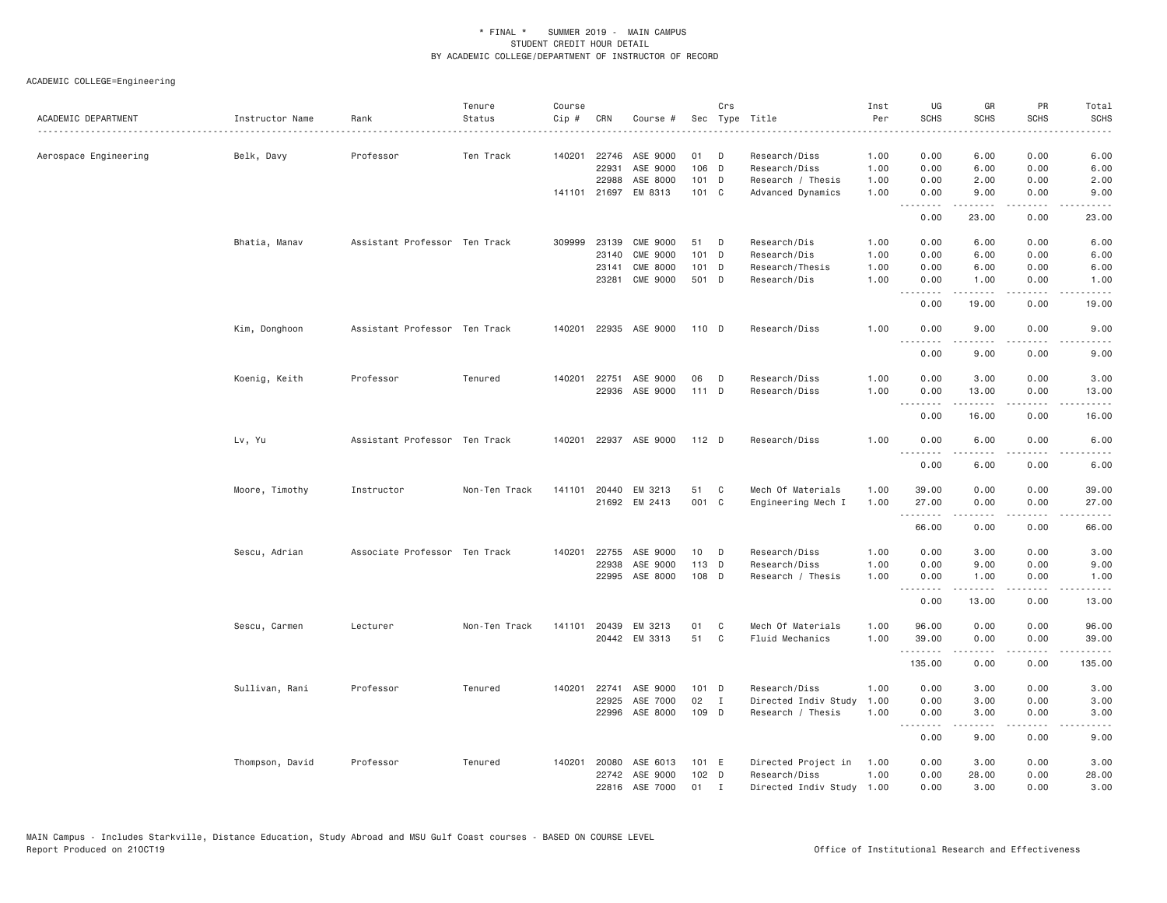| ACADEMIC DEPARTMENT   | Instructor Name<br><u>.</u> | Rank                          | Tenure<br>Status | Course<br>Cip # | CRN          | Course #              |         | Crs          | Sec Type Title            | Inst<br>Per | UG<br><b>SCHS</b>                                                                                                                 | GR<br><b>SCHS</b> | PR<br><b>SCHS</b>                   | Total<br><b>SCHS</b>                |
|-----------------------|-----------------------------|-------------------------------|------------------|-----------------|--------------|-----------------------|---------|--------------|---------------------------|-------------|-----------------------------------------------------------------------------------------------------------------------------------|-------------------|-------------------------------------|-------------------------------------|
| Aerospace Engineering | Belk, Davy                  | Professor                     | Ten Track        | 140201          |              | 22746 ASE 9000        | 01      | D            | Research/Diss             | 1.00        | 0.00                                                                                                                              | 6.00              | 0.00                                | 6.00                                |
|                       |                             |                               |                  |                 | 22931        | ASE 9000              | 106 D   |              | Research/Diss             | 1.00        | 0.00                                                                                                                              | 6.00              | 0.00                                | 6.00                                |
|                       |                             |                               |                  |                 | 22988        | ASE 8000              | $101$ D |              | Research / Thesis         | 1.00        | 0.00                                                                                                                              | 2.00              | 0.00                                | 2.00                                |
|                       |                             |                               |                  |                 | 141101 21697 | EM 8313               | 101 C   |              | Advanced Dynamics         | 1.00        | 0.00<br>.                                                                                                                         | 9.00<br>.         | 0.00<br>$- - - -$                   | 9.00<br>$- - - -$                   |
|                       |                             |                               |                  |                 |              |                       |         |              |                           |             | 0.00                                                                                                                              | 23.00             | 0.00                                | 23.00                               |
|                       | Bhatia, Manav               | Assistant Professor Ten Track |                  |                 | 309999 23139 | <b>CME 9000</b>       | 51      | D            | Research/Dis              | 1.00        | 0.00                                                                                                                              | 6.00              | 0.00                                | 6.00                                |
|                       |                             |                               |                  |                 | 23140        | <b>CME 9000</b>       | $101$ D |              | Research/Dis              | 1.00        | 0.00                                                                                                                              | 6.00              | 0.00                                | 6.00                                |
|                       |                             |                               |                  |                 | 23141        | <b>CME 8000</b>       | 101 D   |              | Research/Thesis           | 1.00        | 0.00                                                                                                                              | 6.00              | 0.00                                | 6.00                                |
|                       |                             |                               |                  |                 | 23281        | <b>CME 9000</b>       | 501 D   |              | Research/Dis              | 1.00        | 0.00                                                                                                                              | 1.00<br>-----     | 0.00<br>$\sim$ $\sim$ $\sim$ $\sim$ | 1.00<br>$\sim$ $\sim$ $\sim$ $\sim$ |
|                       |                             |                               |                  |                 |              |                       |         |              |                           |             | 0.00                                                                                                                              | 19.00             | 0.00                                | 19.00                               |
|                       | Kim, Donghoon               | Assistant Professor Ten Track |                  | 140201          |              | 22935 ASE 9000        | 110 D   |              | Research/Diss             | 1.00        | 0.00                                                                                                                              | 9.00              | 0.00                                | 9.00                                |
|                       |                             |                               |                  |                 |              |                       |         |              |                           |             | .<br>0.00                                                                                                                         | .<br>9.00         | 0.00                                | 9.00                                |
|                       | Koenig, Keith               | Professor                     | Tenured          | 140201          | 22751        | ASE 9000              | 06      | D            | Research/Diss             | 1.00        | 0.00                                                                                                                              | 3.00              | 0.00                                | 3.00                                |
|                       |                             |                               |                  |                 |              | 22936 ASE 9000        | 111 D   |              | Research/Diss             | 1.00        | 0.00                                                                                                                              | 13.00<br>.        | 0.00<br>.                           | 13.00<br>.                          |
|                       |                             |                               |                  |                 |              |                       |         |              |                           |             | 0.00                                                                                                                              | 16.00             | 0.00                                | 16.00                               |
|                       | Lv, Yu                      | Assistant Professor Ten Track |                  | 140201          |              | 22937 ASE 9000        | 112 D   |              | Research/Diss             | 1.00        | 0.00<br>$\frac{1}{2} \left( \frac{1}{2} \right) \left( \frac{1}{2} \right) \left( \frac{1}{2} \right) \left( \frac{1}{2} \right)$ | 6.00              | 0.00                                | 6.00                                |
|                       |                             |                               |                  |                 |              |                       |         |              |                           |             | 0.00                                                                                                                              | 6.00              | 0.00                                | 6.00                                |
|                       | Moore, Timothy              | Instructor                    | Non-Ten Track    | 141101          | 20440        | EM 3213               | 51      | C            | Mech Of Materials         | 1.00        | 39.00                                                                                                                             | 0.00              | 0.00                                | 39.00                               |
|                       |                             |                               |                  |                 |              | 21692 EM 2413         | 001 C   |              | Engineering Mech I        | 1.00        | 27.00                                                                                                                             | 0.00              | 0.00                                | 27.00                               |
|                       |                             |                               |                  |                 |              |                       |         |              |                           |             | .                                                                                                                                 | -----             | .                                   | .                                   |
|                       |                             |                               |                  |                 |              |                       |         |              |                           |             | 66.00                                                                                                                             | 0.00              | 0.00                                | 66.00                               |
|                       | Sescu, Adrian               | Associate Professor Ten Track |                  | 140201          | 22755        | ASE 9000              | 10      | D            | Research/Diss             | 1.00        | 0.00                                                                                                                              | 3.00              | 0.00                                | 3.00                                |
|                       |                             |                               |                  |                 | 22938        | ASE 9000              | 113 D   |              | Research/Diss             | 1.00        | 0.00                                                                                                                              | 9.00              | 0.00                                | 9.00                                |
|                       |                             |                               |                  |                 |              | 22995 ASE 8000        | 108 D   |              | Research / Thesis         | 1.00        | 0.00<br>.                                                                                                                         | 1.00<br>.         | 0.00<br>.                           | 1.00<br>.                           |
|                       |                             |                               |                  |                 |              |                       |         |              |                           |             | 0.00                                                                                                                              | 13.00             | 0.00                                | 13.00                               |
|                       | Sescu, Carmen               | Lecturer                      | Non-Ten Track    | 141101          | 20439        | EM 3213               | 01      | C            | Mech Of Materials         | 1.00        | 96.00                                                                                                                             | 0.00              | 0.00                                | 96.00                               |
|                       |                             |                               |                  |                 |              | 20442 EM 3313         | 51      | C            | Fluid Mechanics           | 1.00        | 39.00                                                                                                                             | 0.00              | 0.00                                | 39.00                               |
|                       |                             |                               |                  |                 |              |                       |         |              |                           |             | 135.00                                                                                                                            | 0.00              | 0.00                                | 135.00                              |
|                       | Sullivan, Rani              | Professor                     | Tenured          |                 |              | 140201 22741 ASE 9000 | 101 D   |              | Research/Diss             | 1.00        | 0.00                                                                                                                              | 3.00              | 0.00                                | 3.00                                |
|                       |                             |                               |                  |                 | 22925        | ASE 7000              | 02      | $\mathbf{I}$ | Directed Indiv Study      | 1.00        | 0.00                                                                                                                              | 3.00              | 0.00                                | 3.00                                |
|                       |                             |                               |                  |                 | 22996        | ASE 8000              | 109 D   |              | Research / Thesis         | 1.00        | 0.00<br>.                                                                                                                         | 3.00<br>.         | 0.00                                | 3.00                                |
|                       |                             |                               |                  |                 |              |                       |         |              |                           |             | 0.00                                                                                                                              | 9.00              | 0.00                                | 9.00                                |
|                       | Thompson, David             | Professor                     | Tenured          | 140201          | 20080        | ASE 6013              | 101 E   |              | Directed Project in       | 1.00        | 0.00                                                                                                                              | 3.00              | 0.00                                | 3.00                                |
|                       |                             |                               |                  |                 |              | 22742 ASE 9000        | $102$ D |              | Research/Diss             | 1.00        | 0.00                                                                                                                              | 28.00             | 0.00                                | 28.00                               |
|                       |                             |                               |                  |                 |              | 22816 ASE 7000        | 01      | $\mathbf{I}$ | Directed Indiv Study 1.00 |             | 0.00                                                                                                                              | 3.00              | 0.00                                | 3.00                                |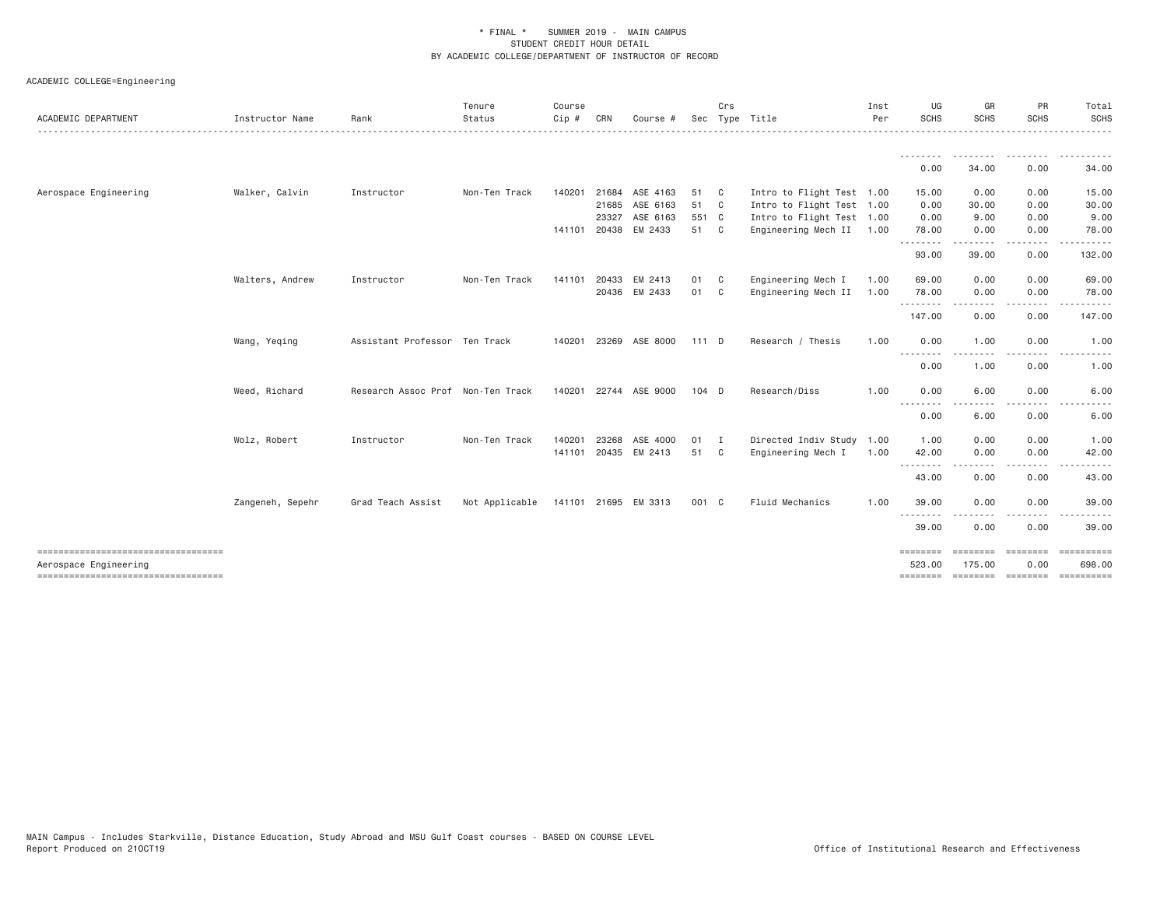| <b>ACADEMIC DEPARTMENT</b>           | Instructor Name  | Rank                              | Tenure<br>Status | Course<br>$Cip$ # | CRN   | Course #             |         | Crs            | Sec Type Title            | Inst<br>Per | UG<br><b>SCHS</b> | GR<br><b>SCHS</b> | PR<br><b>SCHS</b>      | Total<br>SCHS        |
|--------------------------------------|------------------|-----------------------------------|------------------|-------------------|-------|----------------------|---------|----------------|---------------------------|-------------|-------------------|-------------------|------------------------|----------------------|
|                                      |                  |                                   |                  |                   |       |                      |         |                |                           |             | 0.00              | .<br>34.00        | 0.00                   | 34.00                |
| Aerospace Engineering                | Walker, Calvin   | Instructor                        | Non-Ten Track    | 140201            | 21684 | ASE 4163             | 51      | C <sub>c</sub> | Intro to Flight Test 1.00 |             | 15.00             | 0.00              | 0.00                   | 15.00                |
|                                      |                  |                                   |                  |                   |       | 21685 ASE 6163       | 51 C    |                | Intro to Flight Test 1.00 |             | 0.00              | 30.00             | 0.00                   | 30.00                |
|                                      |                  |                                   |                  |                   | 23327 | ASE 6163             | 551 C   |                | Intro to Flight Test 1.00 |             | 0.00              | 9.00              | 0.00                   | 9.00                 |
|                                      |                  |                                   |                  |                   |       | 141101 20438 EM 2433 | 51 C    |                | Engineering Mech II 1.00  |             | 78.00             | 0.00              | 0.00                   | 78.00                |
|                                      |                  |                                   |                  |                   |       |                      |         |                |                           |             | .<br>93.00        | -----<br>39.00    | .<br>0.00              | 132.00               |
|                                      | Walters, Andrew  | Instructor                        | Non-Ten Track    | 141101            | 20433 | EM 2413              | 01      | $\mathbf{C}$   | Engineering Mech I        | 1.00        | 69.00             | 0.00              | 0.00                   | 69.00                |
|                                      |                  |                                   |                  |                   |       | 20436 EM 2433        | 01      | C              | Engineering Mech II       | 1.00        | 78.00             | 0.00              | 0.00                   | 78.00                |
|                                      |                  |                                   |                  |                   |       |                      |         |                |                           |             | .<br>147.00       | -----<br>0.00     | .<br>0.00              | .<br>147.00          |
|                                      | Wang, Yeqing     | Assistant Professor Ten Track     |                  | 140201            |       | 23269 ASE 8000       | $111$ D |                | Research / Thesis         | 1.00        | 0.00              | 1.00              | 0.00                   | 1.00                 |
|                                      |                  |                                   |                  |                   |       |                      |         |                |                           |             | .<br>0.00         | -----<br>1.00     | $\frac{1}{2}$<br>0.00  | 1.00                 |
|                                      | Weed, Richard    | Research Assoc Prof Non-Ten Track |                  | 140201            |       | 22744 ASE 9000       | $104$ D |                | Research/Diss             | 1.00        | 0.00              | 6.00              | 0.00                   | 6.00                 |
|                                      |                  |                                   |                  |                   |       |                      |         |                |                           |             | --------<br>0.00  | 6.00              | 0.00                   | 6.00                 |
|                                      | Wolz, Robert     | Instructor                        | Non-Ten Track    | 140201            | 23268 | ASE 4000             | 01      | I              | Directed Indiv Study 1.00 |             | 1.00              | 0.00              | 0.00                   | 1.00                 |
|                                      |                  |                                   |                  | 141101            |       | 20435 EM 2413        | 51      | C              | Engineering Mech I        | 1.00        | 42.00             | 0.00              | 0.00                   | 42.00                |
|                                      |                  |                                   |                  |                   |       |                      |         |                |                           |             | <u>.</u><br>43.00 | 0.00              | 0.00                   | 43.00                |
|                                      | Zangeneh, Sepehr | Grad Teach Assist                 | Not Applicable   |                   |       | 141101 21695 EM 3313 | 001 C   |                | Fluid Mechanics           | 1.00        | 39.00             | 0.00              | 0.00                   | 39.00                |
|                                      |                  |                                   |                  |                   |       |                      |         |                |                           |             | - - - -<br>39.00  | 0.00              | 0.00                   | 39.00                |
| Aerospace Engineering                |                  |                                   |                  |                   |       |                      |         |                |                           |             | 523,00            | 175.00            | <b>BEBEERE</b><br>0.00 | ==========<br>698,00 |
| ------------------------------------ |                  |                                   |                  |                   |       |                      |         |                |                           |             | ========          |                   | =================      |                      |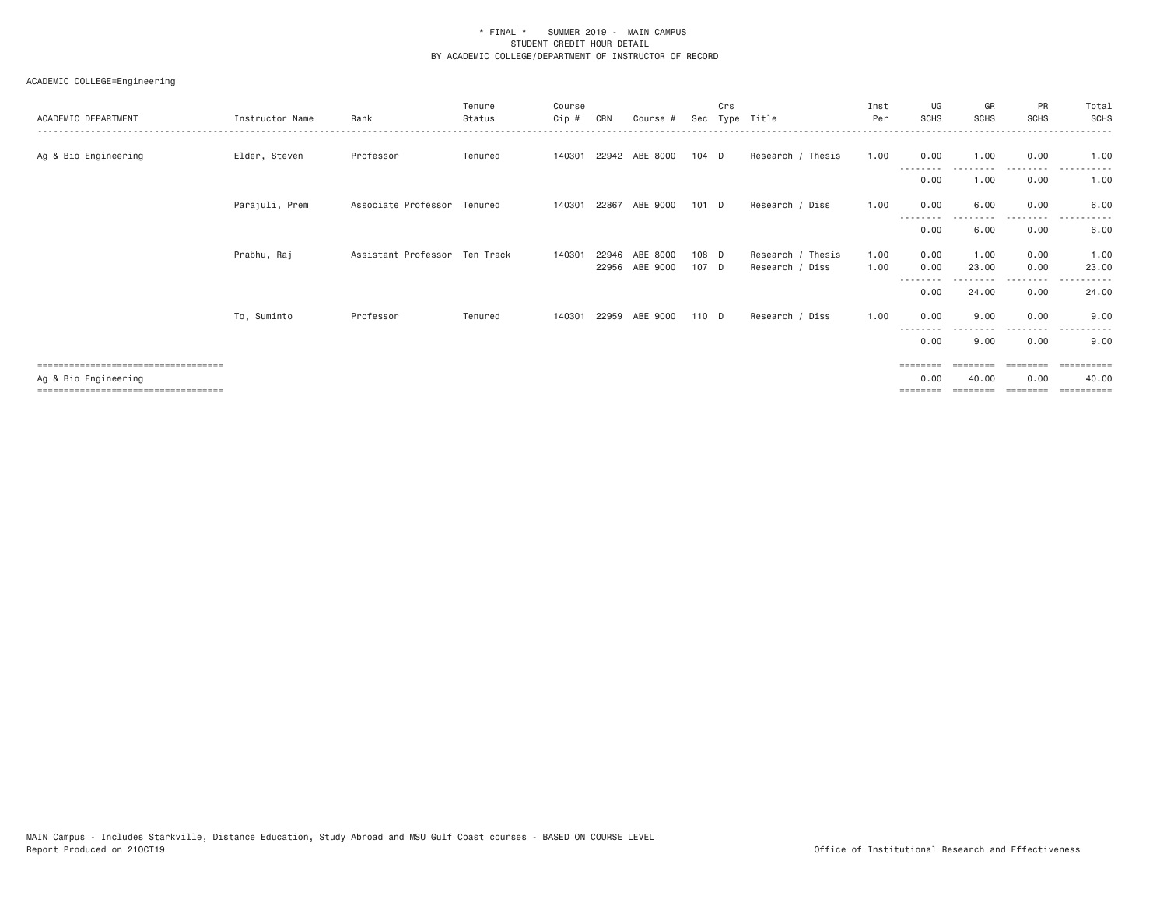| ACADEMIC DEPARTMENT                                                                                   | Instructor Name | Rank                          | Tenure<br>Status | Course<br>Cip # | CRN   | Course #       |         | Crs | Sec Type Title    | Inst<br>Per | UG<br><b>SCHS</b>            | GR<br>SCHS                    | PR<br>SCHS       | Total<br><b>SCHS</b><br>. <u>.</u> .         |
|-------------------------------------------------------------------------------------------------------|-----------------|-------------------------------|------------------|-----------------|-------|----------------|---------|-----|-------------------|-------------|------------------------------|-------------------------------|------------------|----------------------------------------------|
| Ag & Bio Engineering                                                                                  | Elder, Steven   | Professor                     | Tenured          | 140301          |       | 22942 ABE 8000 | 104 D   |     | Research / Thesis | 1.00        | 0.00                         | 1.00                          | 0.00             | 1.00                                         |
|                                                                                                       |                 |                               |                  |                 |       |                |         |     |                   |             | $\cdots$<br>0.00             | 1.00                          | 0.00             | 1.00                                         |
|                                                                                                       | Parajuli, Prem  | Associate Professor Tenured   |                  | 140301          | 22867 | ABE 9000       | $101$ D |     | Research / Diss   | 1.00        | 0.00                         | 6.00                          | 0.00             | 6.00                                         |
|                                                                                                       |                 |                               |                  |                 |       |                |         |     |                   |             | --------<br>0.00             | 6.00                          | -----<br>0.00    | 6.00                                         |
|                                                                                                       | Prabhu, Raj     | Assistant Professor Ten Track |                  | 140301          | 22946 | ABE 8000       | 108 D   |     | Research / Thesis | 1.00        | 0.00                         | 1.00                          | 0.00             | 1.00                                         |
|                                                                                                       |                 |                               |                  |                 |       | 22956 ABE 9000 | 107 D   |     | Research / Diss   | 1.00        | 0.00<br>--------             | 23.00                         | 0.00<br>.        | 23.00<br>.                                   |
|                                                                                                       |                 |                               |                  |                 |       |                |         |     |                   |             | 0.00                         | 24.00                         | 0.00             | 24.00                                        |
|                                                                                                       | To, Suminto     | Professor                     | Tenured          | 140301          |       | 22959 ABE 9000 | 110 D   |     | Research / Diss   | 1.00        | 0.00                         | 9.00                          | 0.00             | 9.00                                         |
|                                                                                                       |                 |                               |                  |                 |       |                |         |     |                   |             | 0.00                         | 9.00                          | 0.00             | 9.00                                         |
| ====================================<br>Ag & Bio Engineering<br>===================================== |                 |                               |                  |                 |       |                |         |     |                   |             | ========<br>0.00<br>======== | ========<br>40.00<br>======== | 0.00<br>======== | ==========<br>40.00<br>$=$ = = = = = = = = = |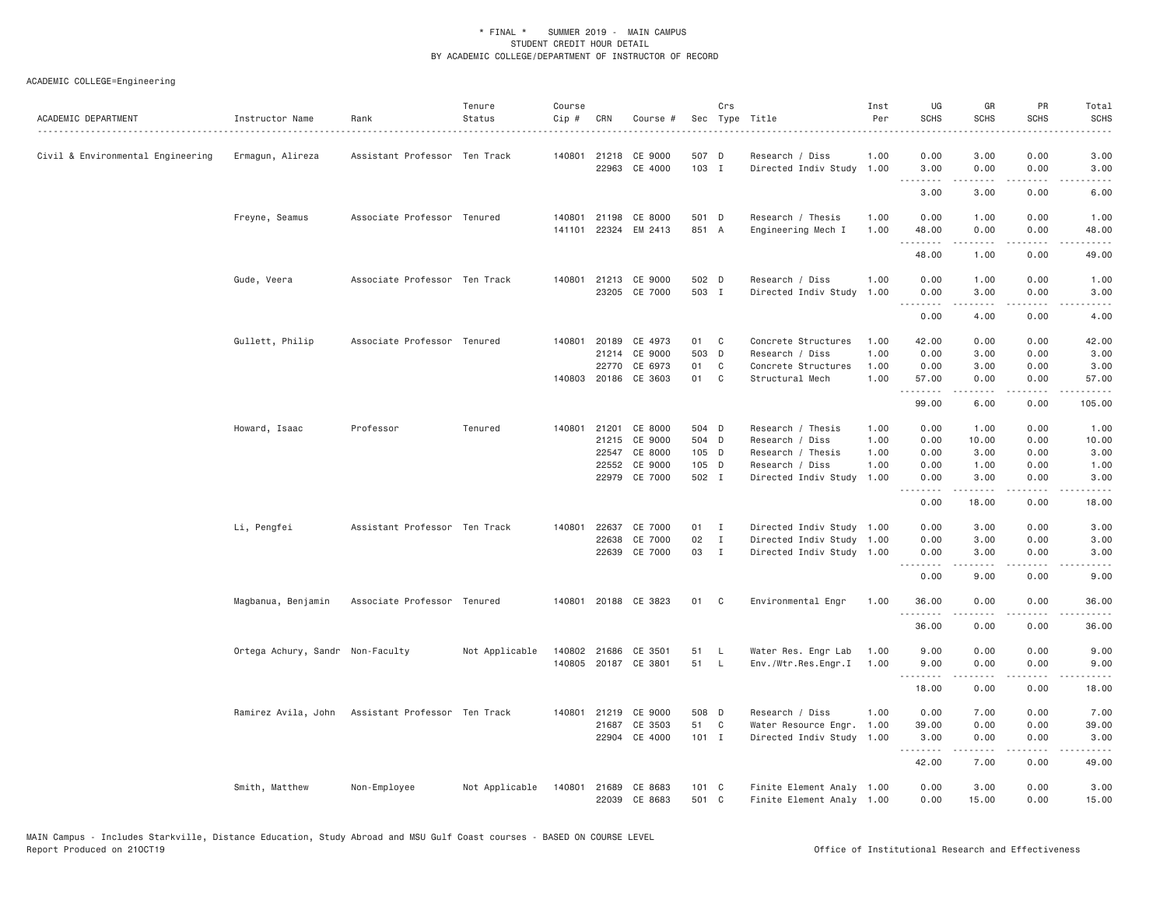| ACADEMIC DEPARTMENT               | Instructor Name                                   | Rank                          | Tenure<br>Status | Course<br>Cip# | CRN   | Course #                              |                        | Crs          | Sec Type Title                                         | Inst<br>Per  | UG<br><b>SCHS</b>             | GR<br><b>SCHS</b>                                                                                                                                            | PR<br><b>SCHS</b>                   | Total<br><b>SCHS</b><br>$- - - - -$                                                                                                                           |
|-----------------------------------|---------------------------------------------------|-------------------------------|------------------|----------------|-------|---------------------------------------|------------------------|--------------|--------------------------------------------------------|--------------|-------------------------------|--------------------------------------------------------------------------------------------------------------------------------------------------------------|-------------------------------------|---------------------------------------------------------------------------------------------------------------------------------------------------------------|
| Civil & Environmental Engineering | Ermagun, Alireza                                  | Assistant Professor Ten Track |                  |                |       | 140801 21218 CE 9000<br>22963 CE 4000 | 507 D<br>103 I         |              | Research / Diss<br>Directed Indiv Study 1.00           | 1.00         | 0.00<br>3.00                  | 3.00<br>0.00                                                                                                                                                 | 0.00<br>0.00                        | 3.00<br>3,00                                                                                                                                                  |
|                                   |                                                   |                               |                  |                |       |                                       |                        |              |                                                        |              | .                             | <u>.</u>                                                                                                                                                     | بالمحام                             | .                                                                                                                                                             |
|                                   |                                                   |                               |                  |                |       |                                       |                        |              |                                                        |              | 3.00                          | 3.00                                                                                                                                                         | 0.00                                | 6.00                                                                                                                                                          |
|                                   | Freyne, Seamus                                    | Associate Professor Tenured   |                  | 140801         | 21198 | CE 8000                               | 501 D                  |              | Research / Thesis                                      | 1.00         | 0.00                          | 1.00                                                                                                                                                         | 0.00                                | 1.00                                                                                                                                                          |
|                                   |                                                   |                               |                  |                |       | 141101 22324 EM 2413                  | 851 A                  |              | Engineering Mech I                                     | 1.00         | 48.00<br>.                    | 0.00<br>.                                                                                                                                                    | 0.00<br>.                           | 48.00<br>$    -$                                                                                                                                              |
|                                   |                                                   |                               |                  |                |       |                                       |                        |              |                                                        |              | 48.00                         | 1.00                                                                                                                                                         | 0.00                                | 49.00                                                                                                                                                         |
|                                   | Gude, Veera                                       | Associate Professor Ten Track |                  |                |       | 140801 21213 CE 9000                  | 502 D                  |              | Research / Diss                                        | 1.00         | 0.00                          | 1.00                                                                                                                                                         | 0.00                                | 1.00                                                                                                                                                          |
|                                   |                                                   |                               |                  |                |       | 23205 CE 7000                         | 503 I                  |              | Directed Indiv Study                                   | 1.00         | 0.00<br>.                     | 3.00<br>.                                                                                                                                                    | 0.00<br>.                           | 3.00<br>-----                                                                                                                                                 |
|                                   |                                                   |                               |                  |                |       |                                       |                        |              |                                                        |              | 0.00                          | 4.00                                                                                                                                                         | 0.00                                | 4.00                                                                                                                                                          |
|                                   | Gullett, Philip                                   | Associate Professor Tenured   |                  | 140801         |       | 20189 CE 4973                         | 01                     | C            | Concrete Structures                                    | 1.00         | 42.00                         | 0.00                                                                                                                                                         | 0.00                                | 42.00                                                                                                                                                         |
|                                   |                                                   |                               |                  |                | 21214 | CE 9000                               | 503 D                  |              | Research / Diss                                        | 1.00         | 0.00                          | 3.00                                                                                                                                                         | 0.00                                | 3.00                                                                                                                                                          |
|                                   |                                                   |                               |                  |                | 22770 | CE 6973                               | 01                     | C            | Concrete Structures                                    | 1.00         | 0.00                          | 3.00                                                                                                                                                         | 0.00                                | 3.00                                                                                                                                                          |
|                                   |                                                   |                               |                  |                |       | 140803 20186 CE 3603                  | 01                     | C            | Structural Mech                                        | 1.00         | 57.00<br>.                    | 0.00<br>.                                                                                                                                                    | 0.00<br>.                           | 57.00<br>.                                                                                                                                                    |
|                                   |                                                   |                               |                  |                |       |                                       |                        |              |                                                        |              | 99.00                         | 6.00                                                                                                                                                         | 0.00                                | 105.00                                                                                                                                                        |
|                                   | Howard, Isaac                                     | Professor                     | Tenured          | 140801         | 21201 | CE 8000                               | 504 D                  |              | Research / Thesis                                      | 1.00         | 0.00                          | 1.00                                                                                                                                                         | 0.00                                | 1.00                                                                                                                                                          |
|                                   |                                                   |                               |                  |                |       | 21215 CE 9000                         | 504 D                  |              | Research / Diss                                        | 1.00         | 0.00                          | 10.00                                                                                                                                                        | 0.00                                | 10.00                                                                                                                                                         |
|                                   |                                                   |                               |                  |                | 22552 | 22547 CE 8000                         | 105 D                  |              | Research / Thesis                                      | 1.00<br>1.00 | 0.00                          | 3.00                                                                                                                                                         | 0.00<br>0.00                        | 3.00<br>1.00                                                                                                                                                  |
|                                   |                                                   |                               |                  |                |       | CE 9000<br>22979 CE 7000              | 105 D<br>502 I         |              | Research / Diss<br>Directed Indiv Study                | 1.00         | 0.00<br>0.00                  | 1.00<br>3,00                                                                                                                                                 | 0.00                                | 3,00                                                                                                                                                          |
|                                   |                                                   |                               |                  |                |       |                                       |                        |              |                                                        |              | .<br>0.00                     | .<br>18.00                                                                                                                                                   | $\sim$ $\sim$ $\sim$ $\sim$<br>0.00 | $\frac{1}{2} \left( \frac{1}{2} \right) \left( \frac{1}{2} \right) \left( \frac{1}{2} \right) \left( \frac{1}{2} \right) \left( \frac{1}{2} \right)$<br>18.00 |
|                                   | Li, Pengfei                                       | Assistant Professor Ten Track |                  | 140801         |       | 22637 CE 7000                         | 01 I                   |              | Directed Indiv Study 1.00                              |              | 0.00                          | 3.00                                                                                                                                                         | 0.00                                | 3.00                                                                                                                                                          |
|                                   |                                                   |                               |                  |                | 22638 | CE 7000                               | 02                     | $\mathbf{I}$ | Directed Indiv Study 1.00                              |              | 0.00                          | 3.00                                                                                                                                                         | 0.00                                | 3.00                                                                                                                                                          |
|                                   |                                                   |                               |                  |                |       | 22639 CE 7000                         | 03                     | $\mathbf{I}$ | Directed Indiv Study 1.00                              |              | 0.00                          | 3.00                                                                                                                                                         | 0.00                                | 3.00                                                                                                                                                          |
|                                   |                                                   |                               |                  |                |       |                                       |                        |              |                                                        |              | .<br>0.00                     | 9.00                                                                                                                                                         | $\sim$ $\sim$ $\sim$ $\sim$<br>0.00 | 9.00                                                                                                                                                          |
|                                   | Magbanua, Benjamin                                | Associate Professor Tenured   |                  |                |       | 140801 20188 CE 3823                  | 01                     | $\mathbf{C}$ | Environmental Engr                                     | 1.00         | 36.00                         | 0.00                                                                                                                                                         | 0.00                                | 36.00                                                                                                                                                         |
|                                   |                                                   |                               |                  |                |       |                                       |                        |              |                                                        |              | <u>.</u><br>36.00             | .<br>0.00                                                                                                                                                    | $- - - -$<br>0.00                   | $- - - - -$<br>36.00                                                                                                                                          |
|                                   | Ortega Achury, Sandr Non-Faculty                  |                               | Not Applicable   |                |       | 140802 21686 CE 3501                  | 51                     | <b>L</b>     | Water Res. Engr Lab                                    | 1.00         | 9.00                          | 0.00                                                                                                                                                         | 0.00                                | 9.00                                                                                                                                                          |
|                                   |                                                   |                               |                  | 140805         |       | 20187 CE 3801                         | 51                     | $\mathsf{L}$ | Env./Wtr.Res.Engr.I                                    | 1.00         | 9.00                          | 0.00                                                                                                                                                         | 0.00                                | 9.00                                                                                                                                                          |
|                                   |                                                   |                               |                  |                |       |                                       |                        |              |                                                        |              | .<br>18.00                    | .<br>0.00                                                                                                                                                    | $   -$<br>0.00                      | -----<br>18.00                                                                                                                                                |
|                                   | Ramirez Avila, John Assistant Professor Ten Track |                               |                  |                |       | 140801 21219 CE 9000                  | 508 D                  |              | Research / Diss                                        | 1.00         | 0.00                          | 7.00                                                                                                                                                         | 0.00                                | 7.00                                                                                                                                                          |
|                                   |                                                   |                               |                  |                | 21687 | CE 3503                               | 51                     | C            | Water Resource Engr.                                   | 1.00         | 39.00                         | 0.00                                                                                                                                                         | 0.00                                | 39.00                                                                                                                                                         |
|                                   |                                                   |                               |                  |                |       | 22904 CE 4000                         | $101$ I                |              | Directed Indiv Study                                   | 1.00         | 3.00<br><b><i><u></u></i></b> | 0.00<br>$\frac{1}{2} \left( \frac{1}{2} \right) \left( \frac{1}{2} \right) \left( \frac{1}{2} \right) \left( \frac{1}{2} \right) \left( \frac{1}{2} \right)$ | 0.00<br>-----                       | 3.00<br>د د د د د                                                                                                                                             |
|                                   |                                                   |                               |                  |                |       |                                       |                        |              |                                                        |              | 42.00                         | 7.00                                                                                                                                                         | 0.00                                | 49.00                                                                                                                                                         |
|                                   | Smith, Matthew                                    | Non-Employee                  | Not Applicable   | 140801         |       | 21689 CE 8683<br>22039 CE 8683        | $101 \quad C$<br>501 C |              | Finite Element Analy 1.00<br>Finite Element Analy 1.00 |              | 0.00<br>0.00                  | 3.00<br>15.00                                                                                                                                                | 0.00<br>0.00                        | 3.00<br>15.00                                                                                                                                                 |
|                                   |                                                   |                               |                  |                |       |                                       |                        |              |                                                        |              |                               |                                                                                                                                                              |                                     |                                                                                                                                                               |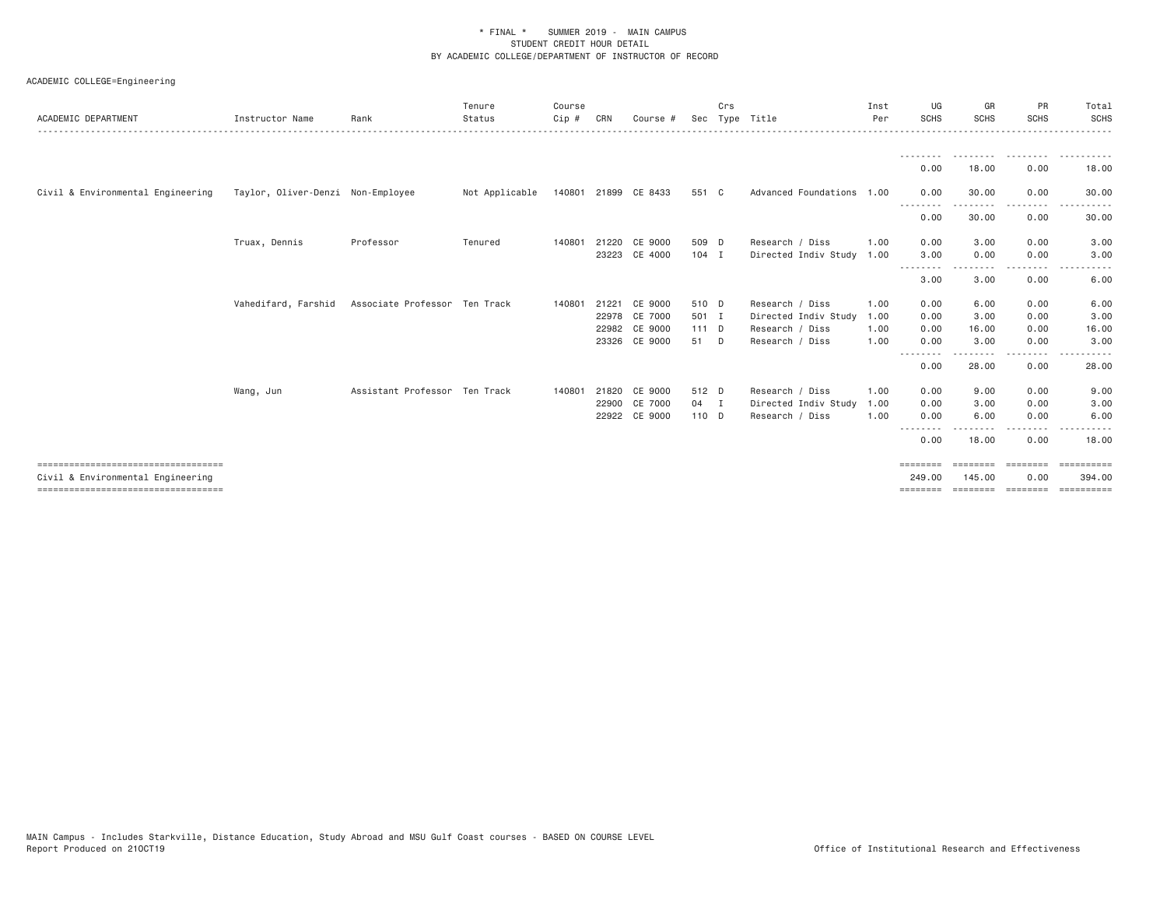| ACADEMIC DEPARTMENT                                                       | Instructor Name                   | Rank                          | Tenure<br>Status | Course<br>Cip # | CRN   | Course #             |         | Crs | Sec Type Title            | Inst<br>Per | UG<br><b>SCHS</b>  | GR<br><b>SCHS</b>              | PR<br><b>SCHS</b>  | Total<br><b>SCHS</b>  |
|---------------------------------------------------------------------------|-----------------------------------|-------------------------------|------------------|-----------------|-------|----------------------|---------|-----|---------------------------|-------------|--------------------|--------------------------------|--------------------|-----------------------|
|                                                                           |                                   |                               |                  |                 |       |                      |         |     |                           |             |                    | ---------                      | .                  | .                     |
|                                                                           |                                   |                               |                  |                 |       |                      |         |     |                           |             | 0.00               | 18,00                          | 0.00               | 18.00                 |
| Civil & Environmental Engineering                                         | Taylor, Oliver-Denzi Non-Employee |                               | Not Applicable   |                 |       | 140801 21899 CE 8433 | 551 C   |     | Advanced Foundations 1.00 |             | 0.00<br>.          | 30.00                          | 0.00               | 30.00                 |
|                                                                           |                                   |                               |                  |                 |       |                      |         |     |                           |             | 0.00               | 30.00                          | ----<br>0.00       | 30.00                 |
|                                                                           | Truax, Dennis                     | Professor                     | Tenured          | 140801          | 21220 | CE 9000              | 509 D   |     | Research / Diss           | 1,00        | 0.00               | 3.00                           | 0.00               | 3.00                  |
|                                                                           |                                   |                               |                  |                 |       | 23223 CE 4000        | $104$ I |     | Directed Indiv Study 1.00 |             | 3.00<br>---------  | 0.00<br>--------               | 0.00<br>. <b>.</b> | 3.00                  |
|                                                                           |                                   |                               |                  |                 |       |                      |         |     |                           |             | 3.00               | 3.00                           | 0.00               | 6.00                  |
|                                                                           | Vahedifard, Farshid               | Associate Professor Ten Track |                  | 140801          | 21221 | CE 9000              | 510 D   |     | Research / Diss           | 1.00        | 0.00               | 6.00                           | 0.00               | 6.00                  |
|                                                                           |                                   |                               |                  |                 |       | 22978 CE 7000        | 501 I   |     | Directed Indiv Study      | 1.00        | 0.00               | 3.00                           | 0.00               | 3.00                  |
|                                                                           |                                   |                               |                  |                 |       | 22982 CE 9000        | $111$ D |     | Research / Diss           | 1,00        | 0.00               | 16.00                          | 0.00               | 16.00                 |
|                                                                           |                                   |                               |                  |                 |       | 23326 CE 9000        | 51 D    |     | Research / Diss           | 1.00        | 0.00<br>--------   | 3.00<br>$\cdots \cdots \cdots$ | 0.00<br>.          | 3.00                  |
|                                                                           |                                   |                               |                  |                 |       |                      |         |     |                           |             | 0.00               | 28.00                          | 0.00               | 28.00                 |
|                                                                           | Wang, Jun                         | Assistant Professor Ten Track |                  | 140801          | 21820 | CE 9000              | 512 D   |     | Research / Diss           | 1.00        | 0.00               | 9.00                           | 0.00               | 9.00                  |
|                                                                           |                                   |                               |                  |                 | 22900 | CE 7000              | 04 I    |     | Directed Indiv Study      | 1.00        | 0.00               | 3.00                           | 0.00               | 3.00                  |
|                                                                           |                                   |                               |                  |                 |       | 22922 CE 9000        | 110 D   |     | Research / Diss           | 1.00        | 0.00               | 6.00                           | 0.00               | 6.00                  |
|                                                                           |                                   |                               |                  |                 |       |                      |         |     |                           |             | 0.00               | 18.00                          | 0.00               | 18.00                 |
| ====================================                                      |                                   |                               |                  |                 |       |                      |         |     |                           |             | ========           | <b>EBBERSE</b>                 | ========           | ==========            |
| Civil & Environmental Engineering<br>==================================== |                                   |                               |                  |                 |       |                      |         |     |                           |             | 249,00<br>======== | 145,00<br>esesses: concepts    | 0.00               | 394.00<br>----------- |
|                                                                           |                                   |                               |                  |                 |       |                      |         |     |                           |             |                    |                                |                    |                       |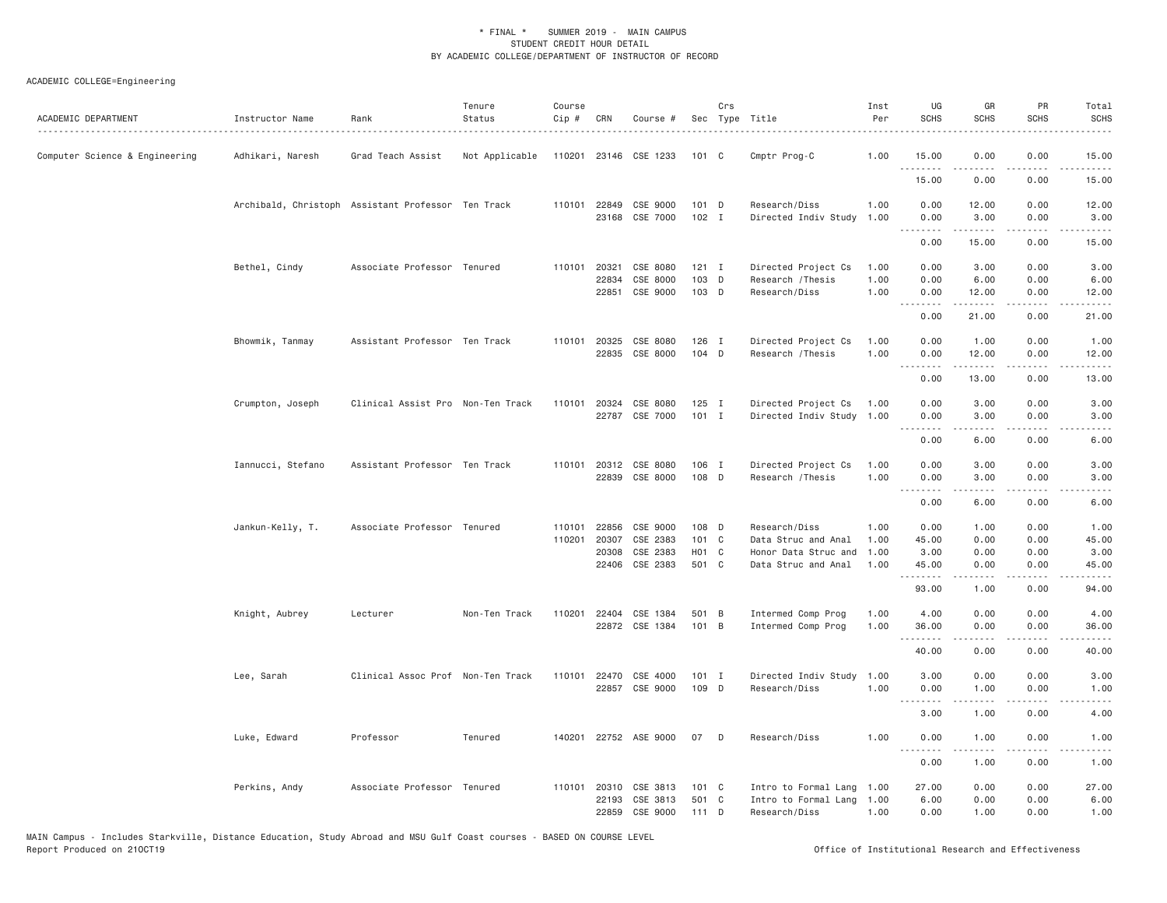| ACADEMIC DEPARTMENT            | Instructor Name                                    | Rank<br>.                         | Tenure<br>Status | Course<br>Cip #  | CRN                     | Course #                                      |                                     | Crs      | Sec Type Title                                                | Inst<br>Per          | UG<br><b>SCHS</b>                   | GR<br><b>SCHS</b>    | PR<br><b>SCHS</b>                           | Total<br><b>SCHS</b>                                                                                                                                          |
|--------------------------------|----------------------------------------------------|-----------------------------------|------------------|------------------|-------------------------|-----------------------------------------------|-------------------------------------|----------|---------------------------------------------------------------|----------------------|-------------------------------------|----------------------|---------------------------------------------|---------------------------------------------------------------------------------------------------------------------------------------------------------------|
| Computer Science & Engineering | Adhikari, Naresh                                   | Grad Teach Assist                 | Not Applicable   |                  |                         | 110201 23146 CSE 1233                         | 101 C                               |          | Cmptr Prog-C                                                  | 1.00                 | 15.00<br>.                          | 0.00<br>.            | 0.00                                        | 15.00<br>.                                                                                                                                                    |
|                                |                                                    |                                   |                  |                  |                         |                                               |                                     |          |                                                               |                      | 15.00                               | 0.00                 | 0.00                                        | 15.00                                                                                                                                                         |
|                                | Archibald, Christoph Assistant Professor Ten Track |                                   |                  |                  | 110101 22849            | CSE 9000<br>23168 CSE 7000                    | $101$ D<br>$102$ I                  |          | Research/Diss<br>Directed Indiv Study                         | 1.00<br>1.00         | 0.00<br>0.00                        | 12.00<br>3.00        | 0.00<br>0.00                                | 12.00<br>3.00                                                                                                                                                 |
|                                |                                                    |                                   |                  |                  |                         |                                               |                                     |          |                                                               |                      | 0.00                                | .<br>15.00           | .<br>0.00                                   | .<br>15.00                                                                                                                                                    |
|                                | Bethel, Cindy                                      | Associate Professor Tenured       |                  | 110101 20321     | 22834                   | CSE 8080<br>CSE 8000                          | $121$ I<br>103 D                    |          | Directed Project Cs<br>Research / Thesis                      | 1.00<br>1.00         | 0.00<br>0.00                        | 3.00<br>6.00         | 0.00<br>0.00                                | 3.00<br>6.00                                                                                                                                                  |
|                                |                                                    |                                   |                  |                  | 22851                   | CSE 9000                                      | 103 D                               |          | Research/Diss                                                 | 1.00                 | 0.00                                | 12.00<br>.           | 0.00<br>.                                   | 12.00<br>.                                                                                                                                                    |
|                                |                                                    |                                   |                  |                  |                         |                                               |                                     |          |                                                               |                      | 0.00                                | 21.00                | 0.00                                        | 21.00                                                                                                                                                         |
|                                | Bhowmik, Tanmay                                    | Assistant Professor Ten Track     |                  |                  | 110101 20325            | CSE 8080<br>22835 CSE 8000                    | 126 I<br>104 D                      |          | Directed Project Cs<br>Research / Thesis                      | 1.00<br>1.00         | 0.00<br>0.00                        | 1.00<br>12.00        | 0.00<br>0.00                                | 1.00<br>12.00                                                                                                                                                 |
|                                |                                                    |                                   |                  |                  |                         |                                               |                                     |          |                                                               |                      | .<br>0.00                           | .<br>13.00           | .<br>0.00                                   | .<br>13.00                                                                                                                                                    |
|                                | Crumpton, Joseph                                   | Clinical Assist Pro Non-Ten Track |                  | 110101           | 20324                   | CSE 8080<br>22787 CSE 7000                    | $125$ I<br>$101$ I                  |          | Directed Project Cs<br>Directed Indiv Study 1.00              | 1.00                 | 0.00<br>0.00                        | 3.00<br>3.00         | 0.00<br>0.00                                | 3.00<br>3.00                                                                                                                                                  |
|                                |                                                    |                                   |                  |                  |                         |                                               |                                     |          |                                                               |                      | .<br>0.00                           | -----<br>6.00        | . <u>. .</u><br>0.00                        | $\frac{1}{2} \left( \frac{1}{2} \right) \left( \frac{1}{2} \right) \left( \frac{1}{2} \right) \left( \frac{1}{2} \right) \left( \frac{1}{2} \right)$<br>6.00  |
|                                | Iannucci, Stefano                                  | Assistant Professor Ten Track     |                  |                  | 110101 20312            | CSE 8080<br>22839 CSE 8000                    | 106 I<br>108 D                      |          | Directed Project Cs<br>Research / Thesis                      | 1.00<br>1.00         | 0.00<br>0.00                        | 3.00<br>3.00         | 0.00<br>0.00                                | 3.00<br>3.00                                                                                                                                                  |
|                                |                                                    |                                   |                  |                  |                         |                                               |                                     |          |                                                               |                      | .<br>0.00                           | -----<br>6.00        | .<br>0.00                                   | $\frac{1}{2} \left( \frac{1}{2} \right) \left( \frac{1}{2} \right) \left( \frac{1}{2} \right) \left( \frac{1}{2} \right)$<br>6.00                             |
|                                | Jankun-Kelly, T.                                   | Associate Professor Tenured       |                  | 110101<br>110201 | 22856<br>20307<br>20308 | CSE 9000<br>CSE 2383<br>CSE 2383              | 108 D<br>101 C<br>H <sub>01</sub> C |          | Research/Diss<br>Data Struc and Anal<br>Honor Data Struc and  | 1.00<br>1.00<br>1.00 | 0.00<br>45.00<br>3.00               | 1.00<br>0.00<br>0.00 | 0.00<br>0.00<br>0.00                        | 1.00<br>45.00<br>3.00                                                                                                                                         |
|                                |                                                    |                                   |                  |                  |                         | 22406 CSE 2383                                | 501 C                               |          | Data Struc and Anal                                           | 1.00                 | 45.00<br>.                          | 0.00<br>.            | 0.00<br>.                                   | 45.00<br>$\frac{1}{2} \left( \frac{1}{2} \right) \left( \frac{1}{2} \right) \left( \frac{1}{2} \right) \left( \frac{1}{2} \right) \left( \frac{1}{2} \right)$ |
|                                |                                                    |                                   |                  |                  |                         |                                               |                                     |          |                                                               |                      | 93.00                               | 1.00                 | 0.00                                        | 94.00                                                                                                                                                         |
|                                | Knight, Aubrey                                     | Lecturer                          | Non-Ten Track    |                  |                         | 110201 22404 CSE 1384<br>22872 CSE 1384       | 501 B<br>$101$ B                    |          | Intermed Comp Prog<br>Intermed Comp Prog                      | 1.00<br>1.00         | 4.00<br>36.00<br>.                  | 0.00<br>0.00         | 0.00<br>0.00<br>$\frac{1}{2}$               | 4.00<br>36.00<br>$\frac{1}{2} \left( \frac{1}{2} \right) \left( \frac{1}{2} \right) \left( \frac{1}{2} \right) \left( \frac{1}{2} \right)$                    |
|                                |                                                    |                                   |                  |                  |                         |                                               |                                     |          |                                                               |                      | 40.00                               | 0.00                 | 0.00                                        | 40.00                                                                                                                                                         |
|                                | Lee, Sarah                                         | Clinical Assoc Prof Non-Ten Track |                  | 110101           | 22470                   | CSE 4000<br>22857 CSE 9000                    | $101$ I<br>109 D                    |          | Directed Indiv Study<br>Research/Diss                         | 1.00<br>1.00         | 3.00<br>0.00                        | 0.00<br>1.00         | 0.00<br>0.00                                | 3.00<br>1.00                                                                                                                                                  |
|                                |                                                    |                                   |                  |                  |                         |                                               |                                     |          |                                                               |                      | <b></b><br>3.00                     | .<br>1.00            | .<br>0.00                                   | $- - - - -$<br>4.00                                                                                                                                           |
|                                | Luke, Edward                                       | Professor                         | Tenured          |                  |                         | 140201 22752 ASE 9000                         | 07                                  | <b>D</b> | Research/Diss                                                 | 1.00                 | 0.00<br>$\sim$ $\sim$ $\sim$ $\sim$ | 1.00                 | 0.00<br>$\omega$ $\omega$ $\omega$ $\omega$ | 1.00                                                                                                                                                          |
|                                |                                                    |                                   |                  |                  |                         |                                               |                                     |          |                                                               |                      | 0.00                                | 1.00                 | 0.00                                        | 1.00                                                                                                                                                          |
|                                | Perkins, Andy                                      | Associate Professor Tenured       |                  |                  | 22193<br>22859          | 110101 20310 CSE 3813<br>CSE 3813<br>CSE 9000 | 101 C<br>501 C<br>111 D             |          | Intro to Formal Lang<br>Intro to Formal Lang<br>Research/Diss | 1.00<br>1.00<br>1.00 | 27.00<br>6.00<br>0.00               | 0.00<br>0.00<br>1.00 | 0.00<br>0.00<br>0.00                        | 27.00<br>6.00<br>1.00                                                                                                                                         |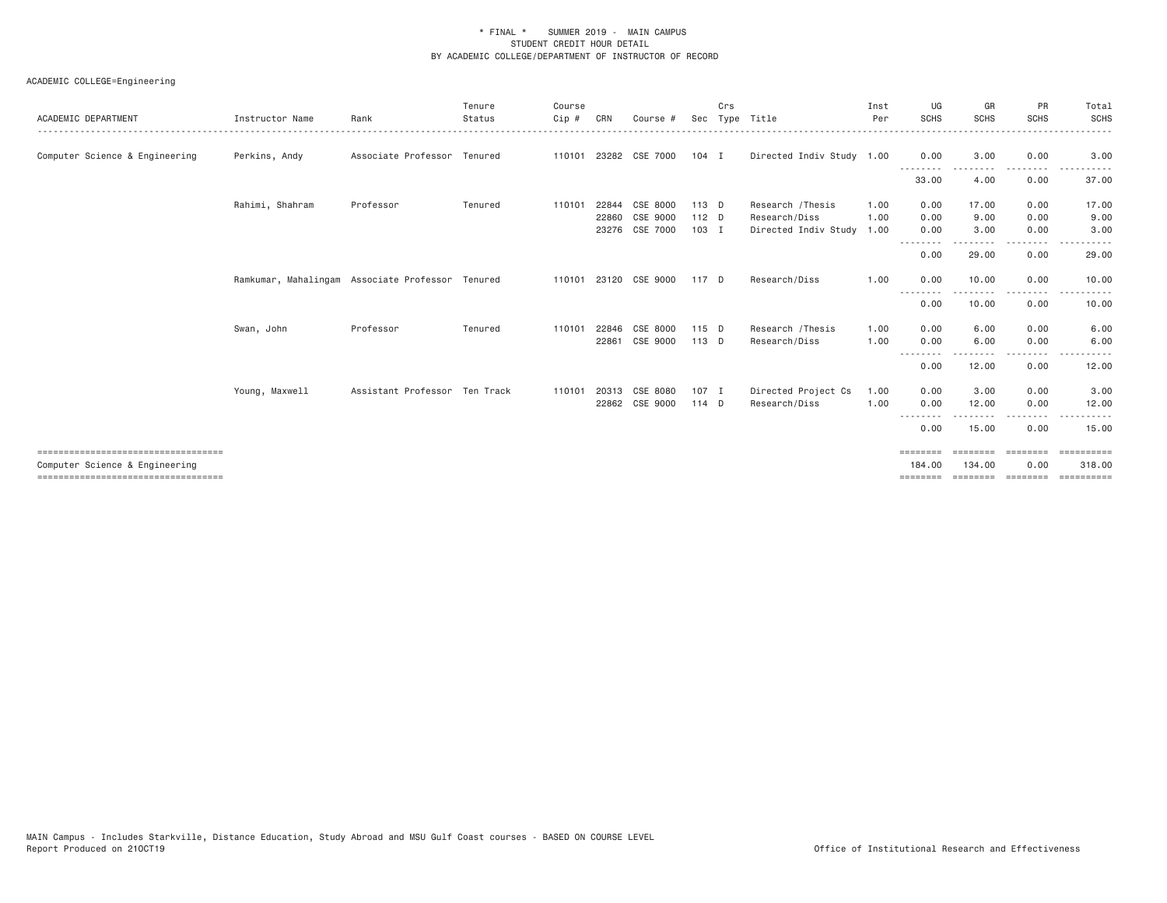| ACADEMIC DEPARTMENT                   | Instructor Name | Rank                                             | Tenure<br>Status | Course<br>$Cip$ # | CRN   | Course #              | Sec     | Crs | Type Title                | Inst<br>Per | UG<br>SCHS                       | GR<br><b>SCHS</b>    | <b>PR</b><br><b>SCHS</b> | Total<br><b>SCHS</b> |
|---------------------------------------|-----------------|--------------------------------------------------|------------------|-------------------|-------|-----------------------|---------|-----|---------------------------|-------------|----------------------------------|----------------------|--------------------------|----------------------|
| Computer Science & Engineering        | Perkins, Andy   | Associate Professor Tenured                      |                  |                   |       | 110101 23282 CSE 7000 | $104$ I |     | Directed Indiv Study 1.00 |             | 0.00                             | 3.00                 | 0.00                     | 3.00                 |
|                                       |                 |                                                  |                  |                   |       |                       |         |     |                           |             | 33.00                            | 4.00                 | $\cdots$<br>0.00         | 37.00                |
|                                       | Rahimi, Shahram | Professor                                        | Tenured          | 110101            | 22844 | CSE 8000              | 113 D   |     | Research / Thesis         | 1.00        | 0.00                             | 17.00                | 0.00                     | 17.00                |
|                                       |                 |                                                  |                  |                   | 22860 | CSE 9000              | $112$ D |     | Research/Diss             | 1,00        | 0.00                             | 9.00                 | 0.00                     | 9.00                 |
|                                       |                 |                                                  |                  |                   |       | 23276 CSE 7000        | $103$ I |     | Directed Indiv Study      | 1.00        | 0.00<br>--------                 | 3.00                 | 0.00<br>$- - - -$        | 3,00                 |
|                                       |                 |                                                  |                  |                   |       |                       |         |     |                           |             | 0.00                             | 29.00                | 0.00                     | 29.00                |
|                                       |                 | Ramkumar, Mahalingam Associate Professor Tenured |                  |                   |       | 110101 23120 CSE 9000 | 117 D   |     | Research/Diss             | 1.00        | 0.00                             | 10.00                | 0.00                     | 10.00                |
|                                       |                 |                                                  |                  |                   |       |                       |         |     |                           |             | --------<br>0.00                 | .<br>10.00           | $\frac{1}{2}$<br>0.00    | 10.00                |
|                                       | Swan, John      | Professor                                        | Tenured          | 110101            | 22846 | CSE 8000              | 115 D   |     | Research / Thesis         | 1.00        | 0.00                             | 6.00                 | 0.00                     | 6.00                 |
|                                       |                 |                                                  |                  |                   | 22861 | CSE 9000              | 113 D   |     | Research/Diss             | 1.00        | 0.00                             | 6.00                 | 0.00                     | 6.00                 |
|                                       |                 |                                                  |                  |                   |       |                       |         |     |                           |             | - - - - - - - - <b>-</b><br>0.00 | - - - - - -<br>12.00 | $- - - -$<br>0.00        | 12.00                |
|                                       | Young, Maxwell  | Assistant Professor Ten Track                    |                  | 110101            | 20313 | CSE 8080              | $107$ I |     | Directed Project Cs       | 1.00        | 0.00                             | 3.00                 | 0.00                     | 3.00                 |
|                                       |                 |                                                  |                  |                   | 22862 | CSE 9000              | 114 D   |     | Research/Diss             | 1.00        | 0.00                             | 12.00                | 0.00                     | 12.00                |
|                                       |                 |                                                  |                  |                   |       |                       |         |     |                           |             | 0.00                             | 15.00                | . <b>.</b><br>0.00       | .<br>15.00           |
| ===================================== |                 |                                                  |                  |                   |       |                       |         |     |                           |             | $=$ = = = = = = =                | ========             | ========                 | ==========           |
| Computer Science & Engineering        |                 |                                                  |                  |                   |       |                       |         |     |                           |             | 184,00                           | 134,00               | 0.00                     | 318,00               |
| ===================================== |                 |                                                  |                  |                   |       |                       |         |     |                           |             |                                  | $=$ = = = = = = =    | ========                 | ==========           |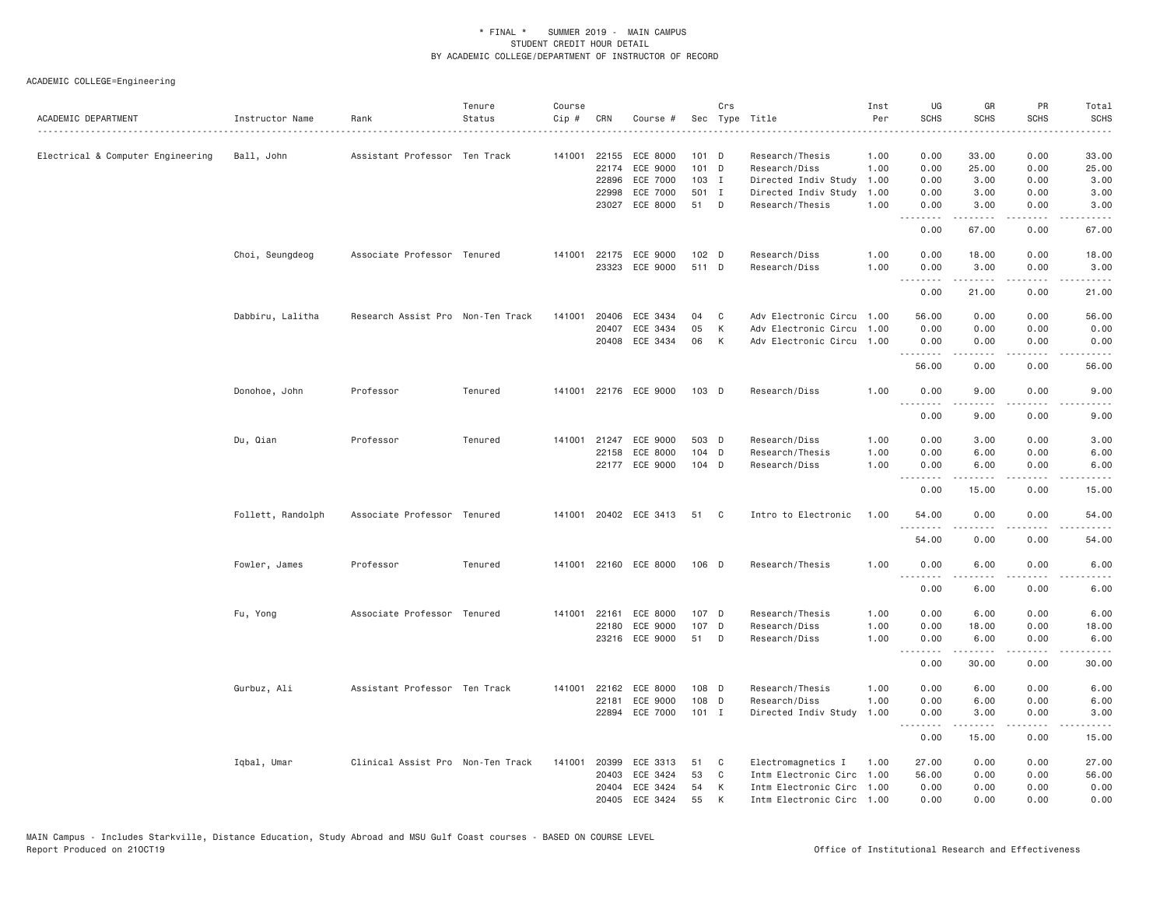| ACADEMIC DEPARTMENT               | Instructor Name<br>. | Rank                              | Tenure<br>Status | Course<br>Cip # | CRN                     | Course #                               |                      | Crs         | Sec Type Title                                                                 | Inst<br>Per          | UG<br><b>SCHS</b>                                                                                                                            | GR<br><b>SCHS</b>                                                                                                                                                                        | PR<br><b>SCHS</b>                   | Total<br><b>SCHS</b>                                                                                                               |
|-----------------------------------|----------------------|-----------------------------------|------------------|-----------------|-------------------------|----------------------------------------|----------------------|-------------|--------------------------------------------------------------------------------|----------------------|----------------------------------------------------------------------------------------------------------------------------------------------|------------------------------------------------------------------------------------------------------------------------------------------------------------------------------------------|-------------------------------------|------------------------------------------------------------------------------------------------------------------------------------|
| Electrical & Computer Engineering | Ball, John           | Assistant Professor Ten Track     |                  | 141001          | 22174                   | 22155 ECE 8000<br>ECE 9000             | $101$ D<br>$101$ D   |             | Research/Thesis<br>Research/Diss                                               | 1.00<br>1.00         | 0.00<br>0.00                                                                                                                                 | 33.00<br>25.00                                                                                                                                                                           | 0.00<br>0.00                        | 33.00<br>25.00                                                                                                                     |
|                                   |                      |                                   |                  |                 | 22896<br>22998          | ECE 7000<br>ECE 7000<br>23027 ECE 8000 | 103 I<br>501 I<br>51 | D           | Directed Indiv Study<br>Directed Indiv Study<br>Research/Thesis                | 1.00<br>1.00<br>1.00 | 0.00<br>0.00<br>0.00                                                                                                                         | 3.00<br>3.00<br>3.00                                                                                                                                                                     | 0.00<br>0.00<br>0.00                | 3.00<br>3.00<br>3.00                                                                                                               |
|                                   |                      |                                   |                  |                 |                         |                                        |                      |             |                                                                                |                      | المتمام<br>0.00                                                                                                                              | $\frac{1}{2} \left( \frac{1}{2} \right) \left( \frac{1}{2} \right) \left( \frac{1}{2} \right) \left( \frac{1}{2} \right) \left( \frac{1}{2} \right) \left( \frac{1}{2} \right)$<br>67.00 | $\sim$ $\sim$ $\sim$ $\sim$<br>0.00 | $\frac{1}{2} \left( \frac{1}{2} \right) \left( \frac{1}{2} \right) \left( \frac{1}{2} \right) \left( \frac{1}{2} \right)$<br>67.00 |
|                                   | Choi, Seungdeog      | Associate Professor Tenured       |                  | 141001          |                         | 22175 ECE 9000<br>23323 ECE 9000       | $102$ D<br>511 D     |             | Research/Diss<br>Research/Diss                                                 | 1.00<br>1.00         | 0.00<br>0.00                                                                                                                                 | 18.00<br>3.00                                                                                                                                                                            | 0.00<br>0.00                        | 18.00<br>3.00                                                                                                                      |
|                                   |                      |                                   |                  |                 |                         |                                        |                      |             |                                                                                |                      | <u>.</u><br>0.00                                                                                                                             | 21.00                                                                                                                                                                                    | 0.00                                | 21.00                                                                                                                              |
|                                   | Dabbiru, Lalitha     | Research Assist Pro Non-Ten Track |                  | 141001          | 20406<br>20407<br>20408 | ECE 3434<br>ECE 3434<br>ECE 3434       | 04<br>05<br>06       | C<br>К<br>К | Adv Electronic Circu 1.00<br>Adv Electronic Circu<br>Adv Electronic Circu 1.00 | 1.00                 | 56.00<br>0.00<br>0.00                                                                                                                        | 0.00<br>0.00<br>0.00                                                                                                                                                                     | 0.00<br>0.00<br>0.00                | 56.00<br>0.00<br>0.00                                                                                                              |
|                                   |                      |                                   |                  |                 |                         |                                        |                      |             |                                                                                |                      | .<br>56.00                                                                                                                                   | .<br>0.00                                                                                                                                                                                | $- - -$<br>0.00                     | ----<br>56.00                                                                                                                      |
|                                   | Donohoe, John        | Professor                         | Tenured          |                 |                         | 141001 22176 ECE 9000                  | 103 D                |             | Research/Diss                                                                  | 1.00                 | 0.00<br>$\frac{1}{2}$                                                                                                                        | 9.00                                                                                                                                                                                     | 0.00                                | 9.00                                                                                                                               |
|                                   |                      |                                   |                  |                 |                         |                                        |                      |             |                                                                                |                      | 0.00                                                                                                                                         | 9.00                                                                                                                                                                                     | 0.00                                | 9.00                                                                                                                               |
|                                   | Du, Qian             | Professor                         | Tenured          | 141001          |                         | 21247 ECE 9000                         | 503 D                |             | Research/Diss                                                                  | 1.00                 | 0.00                                                                                                                                         | 3.00                                                                                                                                                                                     | 0.00                                | 3.00                                                                                                                               |
|                                   |                      |                                   |                  |                 |                         | 22158 ECE 8000<br>22177 ECE 9000       | 104 D<br>104 D       |             | Research/Thesis<br>Research/Diss                                               | 1.00<br>1.00         | 0.00<br>0.00                                                                                                                                 | 6.00<br>6.00                                                                                                                                                                             | 0.00<br>0.00                        | 6.00<br>6.00                                                                                                                       |
|                                   |                      |                                   |                  |                 |                         |                                        |                      |             |                                                                                |                      | .<br>0.00                                                                                                                                    | 15.00                                                                                                                                                                                    | .<br>0.00                           | 15.00                                                                                                                              |
|                                   | Follett, Randolph    | Associate Professor Tenured       |                  |                 |                         | 141001 20402 ECE 3413                  | 51                   | C           | Intro to Electronic                                                            | 1.00                 | 54.00<br>. <b>.</b>                                                                                                                          | 0.00                                                                                                                                                                                     | 0.00                                | 54.00                                                                                                                              |
|                                   |                      |                                   |                  |                 |                         |                                        |                      |             |                                                                                |                      | 54.00                                                                                                                                        | 0.00                                                                                                                                                                                     | 0.00                                | 54.00                                                                                                                              |
|                                   | Fowler, James        | Professor                         | Tenured          |                 |                         | 141001 22160 ECE 8000                  | 106 D                |             | Research/Thesis                                                                | 1.00                 | 0.00<br>$- - -$<br>$\frac{1}{2} \left( \frac{1}{2} \right) \left( \frac{1}{2} \right) \left( \frac{1}{2} \right) \left( \frac{1}{2} \right)$ | 6.00                                                                                                                                                                                     | 0.00<br>- - - -                     | 6.00                                                                                                                               |
|                                   |                      |                                   |                  |                 |                         |                                        |                      |             |                                                                                |                      | 0.00                                                                                                                                         | 6.00                                                                                                                                                                                     | 0.00                                | 6.00                                                                                                                               |
|                                   | Fu, Yong             | Associate Professor Tenured       |                  | 141001          | 22161                   | ECE 8000                               | 107 D                |             | Research/Thesis                                                                | 1.00                 | 0.00                                                                                                                                         | 6.00                                                                                                                                                                                     | 0.00                                | 6.00                                                                                                                               |
|                                   |                      |                                   |                  |                 | 22180                   | ECE 9000<br>23216 ECE 9000             | 107<br>51            | D<br>D      | Research/Diss<br>Research/Diss                                                 | 1.00<br>1.00         | 0.00<br>0.00                                                                                                                                 | 18.00<br>6.00                                                                                                                                                                            | 0.00<br>0.00                        | 18.00<br>6.00                                                                                                                      |
|                                   |                      |                                   |                  |                 |                         |                                        |                      |             |                                                                                |                      | 0.00                                                                                                                                         | $\frac{1}{2} \left( \frac{1}{2} \right) \left( \frac{1}{2} \right) \left( \frac{1}{2} \right) \left( \frac{1}{2} \right) \left( \frac{1}{2} \right)$<br>30.00                            | .<br>0.00                           | .<br>30.00                                                                                                                         |
|                                   | Gurbuz, Ali          | Assistant Professor Ten Track     |                  | 141001          | 22162                   | ECE 8000                               | 108 D                |             | Research/Thesis                                                                | 1.00                 | 0.00                                                                                                                                         | 6.00                                                                                                                                                                                     | 0.00                                | 6.00                                                                                                                               |
|                                   |                      |                                   |                  |                 | 22181                   | ECE 9000                               | 108 D                |             | Research/Diss                                                                  | 1.00                 | 0.00                                                                                                                                         | 6.00                                                                                                                                                                                     | 0.00                                | 6.00                                                                                                                               |
|                                   |                      |                                   |                  |                 |                         | 22894 ECE 7000                         | $101$ I              |             | Directed Indiv Study                                                           | 1.00                 | 0.00<br>.                                                                                                                                    | 3.00<br>-----                                                                                                                                                                            | 0.00<br>.                           | 3.00<br>.                                                                                                                          |
|                                   |                      |                                   |                  |                 |                         |                                        |                      |             |                                                                                |                      | 0.00                                                                                                                                         | 15.00                                                                                                                                                                                    | 0.00                                | 15.00                                                                                                                              |
|                                   | Iqbal, Umar          | Clinical Assist Pro Non-Ten Track |                  | 141001          | 20399<br>20403          | ECE 3313<br>ECE 3424                   | 51<br>53             | C<br>C      | Electromagnetics I<br>Intm Electronic Circ                                     | 1,00<br>1.00         | 27.00<br>56.00                                                                                                                               | 0.00<br>0.00                                                                                                                                                                             | 0.00<br>0.00                        | 27.00<br>56.00                                                                                                                     |
|                                   |                      |                                   |                  |                 | 20404                   | ECE 3424                               | 54                   | К           | Intm Electronic Circ 1.00                                                      |                      | 0.00                                                                                                                                         | 0.00                                                                                                                                                                                     | 0.00                                | 0.00                                                                                                                               |
|                                   |                      |                                   |                  |                 | 20405                   | ECE 3424                               | 55                   | К           | Intm Electronic Circ 1.00                                                      |                      | 0.00                                                                                                                                         | 0.00                                                                                                                                                                                     | 0.00                                | 0.00                                                                                                                               |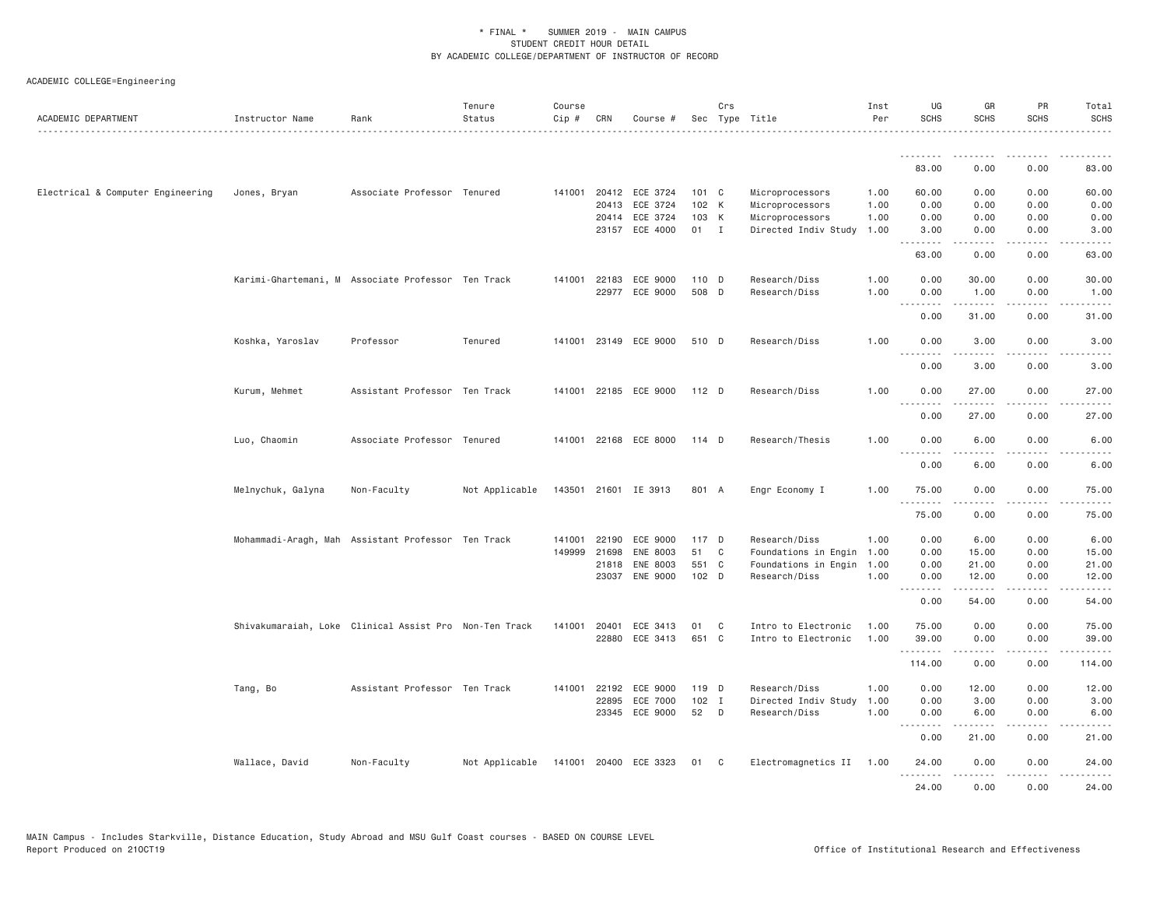| ACADEMIC DEPARTMENT               | Instructor Name   | Rank                                                   | Tenure<br>Status | Course<br>Cip # | CRN          | Course #                    |         | Crs          | Sec Type Title           | Inst<br>Per | UG<br><b>SCHS</b>  | GR<br><b>SCHS</b>   | PR<br><b>SCHS</b>            | Total<br><b>SCHS</b>                                                                                                                                         |
|-----------------------------------|-------------------|--------------------------------------------------------|------------------|-----------------|--------------|-----------------------------|---------|--------------|--------------------------|-------------|--------------------|---------------------|------------------------------|--------------------------------------------------------------------------------------------------------------------------------------------------------------|
|                                   |                   |                                                        |                  |                 |              |                             |         |              |                          |             | <u>.</u><br>83.00  | 0.00                | 0.00                         | 83.00                                                                                                                                                        |
|                                   |                   |                                                        |                  |                 |              |                             |         |              |                          |             |                    |                     |                              |                                                                                                                                                              |
| Electrical & Computer Engineering | Jones, Bryan      | Associate Professor Tenured                            |                  |                 |              | 141001 20412 ECE 3724       | 101 C   |              | Microprocessors          | 1.00        | 60.00              | 0.00                | 0.00                         | 60.00                                                                                                                                                        |
|                                   |                   |                                                        |                  |                 | 20413        | ECE 3724                    | 102 K   |              | Microprocessors          | 1.00        | 0.00               | 0.00                | 0.00                         | 0.00                                                                                                                                                         |
|                                   |                   |                                                        |                  |                 | 20414        | ECE 3724                    | 103 K   |              | Microprocessors          | 1.00        | 0.00               | 0.00                | 0.00                         | 0.00                                                                                                                                                         |
|                                   |                   |                                                        |                  |                 |              | 23157 ECE 4000              | 01 I    |              | Directed Indiv Study     | 1.00        | 3.00<br>. <i>.</i> | 0.00<br>$- - - - -$ | 0.00<br>$\frac{1}{2}$        | 3.00<br>$- - - - -$                                                                                                                                          |
|                                   |                   |                                                        |                  |                 |              |                             |         |              |                          |             | 63.00              | 0.00                | 0.00                         | 63.00                                                                                                                                                        |
|                                   |                   | Karimi-Ghartemani, M Associate Professor Ten Track     |                  |                 | 141001 22183 | ECE 9000                    | 110 D   |              | Research/Diss            | 1.00        | 0.00               | 30.00               | 0.00                         | 30.00                                                                                                                                                        |
|                                   |                   |                                                        |                  |                 | 22977        | ECE 9000                    | 508 D   |              | Research/Diss            | 1.00        | 0.00               | 1.00                | 0.00                         | 1.00                                                                                                                                                         |
|                                   |                   |                                                        |                  |                 |              |                             |         |              |                          |             | .<br>0.00          | 31.00               | 0.00                         | 31.00                                                                                                                                                        |
|                                   | Koshka, Yaroslav  | Professor                                              | Tenured          |                 |              | 141001 23149 ECE 9000       | 510 D   |              | Research/Diss            | 1.00        | 0.00<br>.          | 3.00                | 0.00                         | 3.00                                                                                                                                                         |
|                                   |                   |                                                        |                  |                 |              |                             |         |              |                          |             | 0.00               | .<br>3.00           | $\cdots$<br>0.00             | $\frac{1}{2} \left( \frac{1}{2} \right) \left( \frac{1}{2} \right) \left( \frac{1}{2} \right) \left( \frac{1}{2} \right) \left( \frac{1}{2} \right)$<br>3.00 |
|                                   | Kurum, Mehmet     | Assistant Professor Ten Track                          |                  |                 |              | 141001 22185 ECE 9000 112 D |         |              | Research/Diss            | 1.00        | 0.00<br>.          | 27.00<br>.          | 0.00<br>.                    | 27.00<br>.                                                                                                                                                   |
|                                   |                   |                                                        |                  |                 |              |                             |         |              |                          |             | 0.00               | 27.00               | 0.00                         | 27.00                                                                                                                                                        |
|                                   | Luo, Chaomin      | Associate Professor Tenured                            |                  |                 | 141001 22168 | ECE 8000                    | 114 D   |              | Research/Thesis          | 1.00        | 0.00<br>.          | 6.00<br>.           | 0.00<br>$- - -$              | 6.00<br>$- - - -$                                                                                                                                            |
|                                   |                   |                                                        |                  |                 |              |                             |         |              |                          |             | 0.00               | 6.00                | 0.00                         | 6.00                                                                                                                                                         |
|                                   | Melnychuk, Galyna | Non-Faculty                                            | Not Applicable   |                 |              | 143501 21601 IE 3913        | 801 A   |              | Engr Economy I           | 1.00        | 75.00<br>.         | 0.00<br>.           | 0.00                         | 75.00<br>.                                                                                                                                                   |
|                                   |                   |                                                        |                  |                 |              |                             |         |              |                          |             | 75.00              | 0.00                | 0.00                         | 75.00                                                                                                                                                        |
|                                   |                   | Mohammadi-Aragh, Mah Assistant Professor Ten Track     |                  | 141001          | 22190        | ECE 9000                    | 117 D   |              | Research/Diss            | 1.00        | 0.00               | 6.00                | 0.00                         | 6.00                                                                                                                                                         |
|                                   |                   |                                                        |                  | 149999          | 21698        | ENE 8003                    | 51      | C            | Foundations in Engin     | 1.00        | 0.00               | 15.00               | 0.00                         | 15.00                                                                                                                                                        |
|                                   |                   |                                                        |                  |                 | 21818        | ENE 8003                    | 551 C   |              | Foundations in Engin     | 1.00        | 0.00               | 21.00               | 0.00                         | 21.00                                                                                                                                                        |
|                                   |                   |                                                        |                  |                 |              | 23037 ENE 9000              | 102 D   |              | Research/Diss            | 1.00        | 0.00<br>.          | 12.00<br>.          | 0.00<br>$\sim$ $\sim$ $\sim$ | 12.00<br>.                                                                                                                                                   |
|                                   |                   |                                                        |                  |                 |              |                             |         |              |                          |             | 0.00               | 54.00               | 0.00                         | 54.00                                                                                                                                                        |
|                                   |                   | Shivakumaraiah, Loke Clinical Assist Pro Non-Ten Track |                  |                 | 141001 20401 | ECE 3413                    | 01      | C            | Intro to Electronic      | 1.00        | 75.00              | 0.00                | 0.00                         | 75.00                                                                                                                                                        |
|                                   |                   |                                                        |                  |                 | 22880        | ECE 3413                    | 651 C   |              | Intro to Electronic      | 1.00        | 39.00              | 0.00                | 0.00                         | 39.00                                                                                                                                                        |
|                                   |                   |                                                        |                  |                 |              |                             |         |              |                          |             | .<br>114.00        | -----<br>0.00       | 0.00                         | 114.00                                                                                                                                                       |
|                                   |                   | Assistant Professor Ten Track                          |                  |                 | 141001 22192 | ECE 9000                    | 119 D   |              | Research/Diss            | 1.00        | 0.00               | 12.00               | 0.00                         | 12.00                                                                                                                                                        |
|                                   | Tang, Bo          |                                                        |                  |                 | 22895        | ECE 7000                    | $102$ I |              | Directed Indiv Study     | 1.00        | 0.00               | 3.00                | 0.00                         | 3.00                                                                                                                                                         |
|                                   |                   |                                                        |                  |                 | 23345        | ECE 9000                    | 52      | D            | Research/Diss            | 1.00        | 0.00               | 6.00                | 0.00                         | 6.00                                                                                                                                                         |
|                                   |                   |                                                        |                  |                 |              |                             |         |              |                          |             | <u>.</u>           |                     |                              |                                                                                                                                                              |
|                                   |                   |                                                        |                  |                 |              |                             |         |              |                          |             | 0.00               | 21.00               | 0.00                         | 21.00                                                                                                                                                        |
|                                   | Wallace, David    | Non-Faculty                                            | Not Applicable   |                 |              | 141001 20400 ECE 3323       | 01      | $\mathbf{C}$ | Electromagnetics II 1.00 |             | 24.00              | 0.00                | 0.00                         | 24.00                                                                                                                                                        |
|                                   |                   |                                                        |                  |                 |              |                             |         |              |                          |             | .<br>24.00         | 0.00                | - - - -<br>0.00              | $\frac{1}{2} \left( \frac{1}{2} \right) \left( \frac{1}{2} \right) \left( \frac{1}{2} \right) \left( \frac{1}{2} \right)$<br>24.00                           |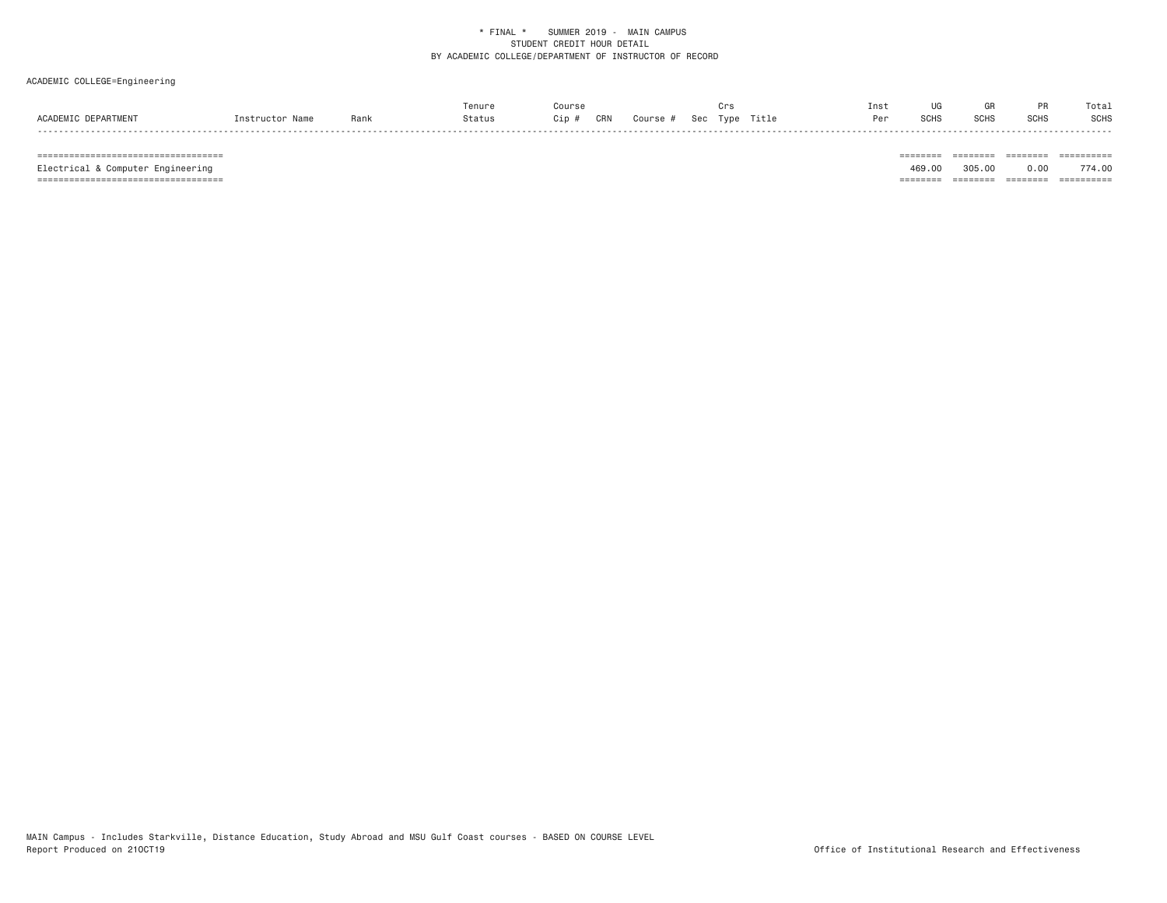### ACADEMIC COLLEGE=Engineering

|                                    |       | Tenure |            | me                                    | 1112 I     |      |                  | o ta.       |
|------------------------------------|-------|--------|------------|---------------------------------------|------------|------|------------------|-------------|
| <b>FPARTMEN</b><br><b>ACADEMTC</b> | . ank | Status | CRN<br>Cip | Title<br>Sec<br><b>TVDP</b><br>ourse: | <b>Dor</b> | SCH: | SCH <sub>®</sub> | <b>SCHS</b> |
|                                    |       |        |            |                                       |            |      |                  |             |

 =================================== ======== ======== ======== ========== Electrical & Computer Engineering 469.00 305.00 0.00 774.00 =================================== ======== ======== ======== ==========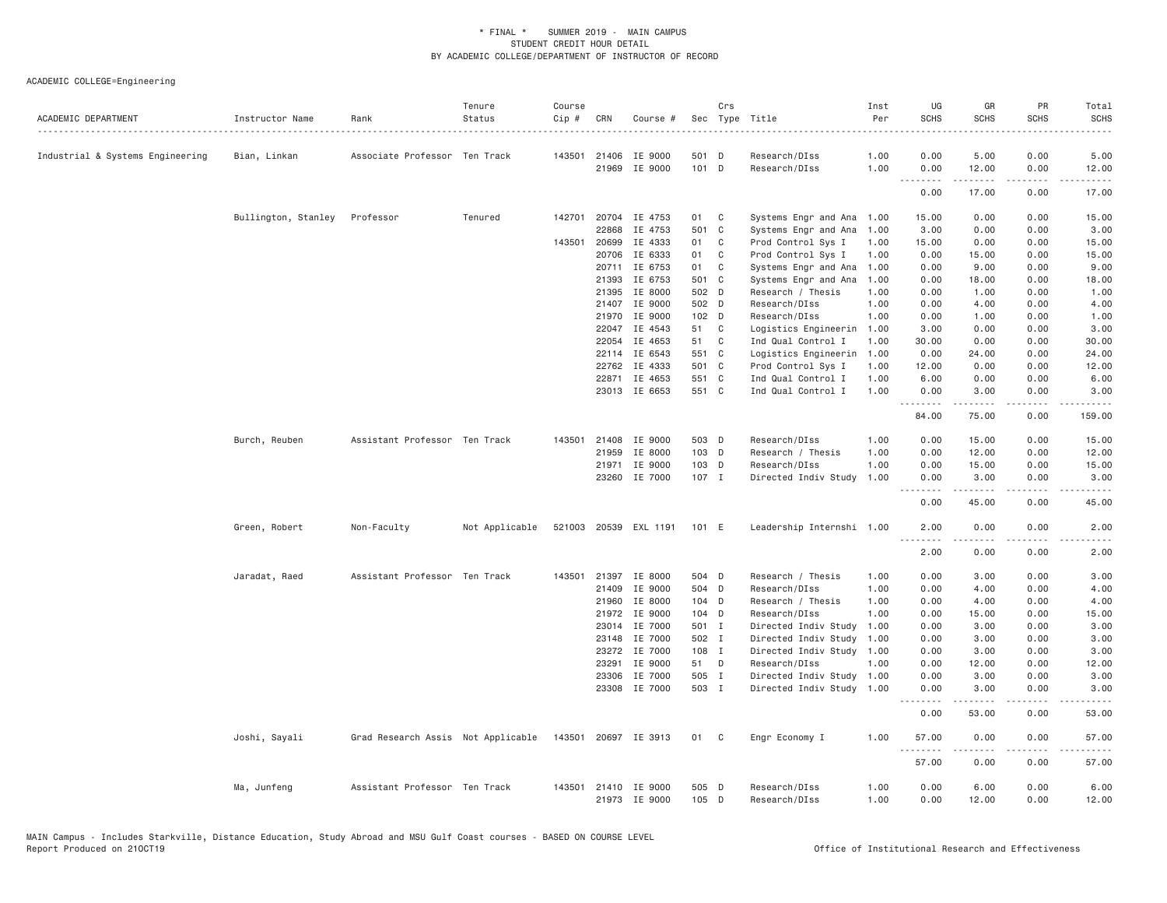| ACADEMIC DEPARTMENT              | Instructor Name     | Rank                               | Tenure<br>Status | Course<br>Cip # | CRN   | Course #                       |                | Crs          | Sec Type Title                 | Inst<br>Per  | UG<br><b>SCHS</b>          | GR<br><b>SCHS</b> | PR<br><b>SCHS</b>            | Total<br><b>SCHS</b> |
|----------------------------------|---------------------|------------------------------------|------------------|-----------------|-------|--------------------------------|----------------|--------------|--------------------------------|--------------|----------------------------|-------------------|------------------------------|----------------------|
| Industrial & Systems Engineering | Bian, Linkan        | Associate Professor Ten Track      |                  |                 |       | 143501 21406 IE 9000           | 501 D          |              | .<br>Research/DIss             | 1.00         | 0.00                       | 5.00              | 0.00                         | 5.00                 |
|                                  |                     |                                    |                  |                 |       | 21969 IE 9000                  | 101 D          |              | Research/DIss                  | 1.00         | 0.00                       | 12.00             | 0.00                         | 12.00                |
|                                  |                     |                                    |                  |                 |       |                                |                |              |                                |              | $- - -$<br>د د د د<br>0.00 | .<br>17.00        | $\sim$ $\sim$ $\sim$<br>0.00 | د د د د د<br>17.00   |
|                                  | Bullington, Stanley | Professor                          | Tenured          | 142701          |       | 20704 IE 4753                  | 01 C           |              | Systems Engr and Ana 1.00      |              | 15.00                      | 0.00              | 0.00                         | 15.00                |
|                                  |                     |                                    |                  |                 | 22868 | IE 4753                        | 501 C          |              | Systems Engr and Ana           | 1.00         | 3.00                       | 0.00              | 0.00                         | 3.00                 |
|                                  |                     |                                    |                  | 143501          | 20699 | IE 4333                        | 01             | C            | Prod Control Sys I             | 1.00         | 15.00                      | 0.00              | 0.00                         | 15.00                |
|                                  |                     |                                    |                  |                 | 20706 | IE 6333                        | 01             | $\mathbf{C}$ | Prod Control Sys I             | 1.00         | 0.00                       | 15.00             | 0.00                         | 15.00                |
|                                  |                     |                                    |                  |                 | 20711 | IE 6753                        | 01             | $\mathbf{C}$ | Systems Engr and Ana 1.00      |              | 0.00                       | 9.00              | 0.00                         | 9.00                 |
|                                  |                     |                                    |                  |                 | 21393 | IE 6753                        | 501 C          |              | Systems Engr and Ana           | 1.00         | 0.00                       | 18.00             | 0.00                         | 18.00                |
|                                  |                     |                                    |                  |                 | 21395 | IE 8000                        | 502 D          |              | Research / Thesis              | 1.00         | 0.00                       | 1.00              | 0.00                         | 1.00                 |
|                                  |                     |                                    |                  |                 | 21407 | IE 9000                        | 502 D          |              | Research/DIss                  | 1.00         | 0.00                       | 4.00              | 0.00                         | 4.00                 |
|                                  |                     |                                    |                  |                 | 21970 | IE 9000                        | 102 D          |              | Research/DIss                  | 1.00         | 0.00                       | 1.00              | 0.00                         | 1.00                 |
|                                  |                     |                                    |                  |                 | 22047 | IE 4543                        | 51             | $\mathbf{C}$ | Logistics Engineerin 1.00      |              | 3.00                       | 0.00              | 0.00                         | 3.00                 |
|                                  |                     |                                    |                  |                 | 22054 | IE 4653                        | 51             | $\mathbf{C}$ | Ind Qual Control I             | 1.00         | 30.00                      | 0.00              | 0.00                         | 30.00                |
|                                  |                     |                                    |                  |                 |       | 22114 IE 6543                  | 551 C          |              | Logistics Engineerin           | 1.00         | 0.00                       | 24.00             | 0.00                         | 24.00                |
|                                  |                     |                                    |                  |                 |       | 22762 IE 4333                  | 501 C          |              | Prod Control Sys I             | 1.00         | 12.00                      | 0.00              | 0.00                         | 12.00                |
|                                  |                     |                                    |                  |                 | 22871 | IE 4653                        | 551 C          |              | Ind Qual Control I             | 1.00         | 6.00                       | 0.00              | 0.00                         | 6.00                 |
|                                  |                     |                                    |                  |                 |       | 23013 IE 6653                  | 551 C          |              | Ind Qual Control I             | 1.00         | 0.00                       | 3.00              | 0.00                         | 3.00                 |
|                                  |                     |                                    |                  |                 |       |                                |                |              |                                |              | .<br>84.00                 | <b>.</b><br>75.00 | د د د د<br>0.00              | المستبدا<br>159.00   |
|                                  | Burch, Reuben       | Assistant Professor Ten Track      |                  | 143501          |       | 21408 IE 9000                  | 503 D          |              | Research/DIss                  | 1.00         | 0.00                       | 15.00             | 0.00                         | 15.00                |
|                                  |                     |                                    |                  |                 | 21959 | IE 8000                        | 103 D          |              | Research / Thesis              | 1.00         | 0.00                       | 12.00             | 0.00                         | 12.00                |
|                                  |                     |                                    |                  |                 | 21971 | IE 9000                        | 103 D          |              | Research/DIss                  | 1.00         | 0.00                       | 15.00             | 0.00                         | 15.00                |
|                                  |                     |                                    |                  |                 |       | 23260 IE 7000                  | 107 I          |              | Directed Indiv Study           | 1.00         | 0.00                       | 3.00              | 0.00                         | 3.00                 |
|                                  |                     |                                    |                  |                 |       |                                |                |              |                                |              | 0.00                       | 45.00             | 0.00                         | 45.00                |
|                                  | Green, Robert       | Non-Faculty                        | Not Applicable   |                 |       | 521003 20539 EXL 1191          | 101 E          |              | Leadership Internshi 1.00      |              | 2.00                       | 0.00              | 0.00                         | 2.00                 |
|                                  |                     |                                    |                  |                 |       |                                |                |              |                                |              | .<br>2.00                  | .<br>0.00         | .<br>0.00                    | 2.00                 |
|                                  | Jaradat, Raed       | Assistant Professor Ten Track      |                  |                 |       | 143501 21397 IE 8000           | 504 D          |              | Research / Thesis              | 1.00         | 0.00                       | 3.00              | 0.00                         | 3.00                 |
|                                  |                     |                                    |                  |                 | 21409 | IE 9000                        | 504 D          |              | Research/DIss                  | 1.00         | 0.00                       | 4.00              | 0.00                         | 4.00                 |
|                                  |                     |                                    |                  |                 | 21960 | IE 8000                        | 104 D          |              | Research / Thesis              | 1.00         | 0.00                       | 4.00              | 0.00                         | 4.00                 |
|                                  |                     |                                    |                  |                 | 21972 | IE 9000                        | 104 D          |              | Research/DIss                  | 1.00         | 0.00                       | 15.00             | 0.00                         | 15.00                |
|                                  |                     |                                    |                  |                 | 23014 | IE 7000                        | 501 I          |              | Directed Indiv Study           | 1.00         | 0.00                       | 3.00              | 0.00                         | 3.00                 |
|                                  |                     |                                    |                  |                 | 23148 | IE 7000                        | 502 I          |              | Directed Indiv Study 1.00      |              | 0.00                       | 3.00              | 0.00                         | 3.00                 |
|                                  |                     |                                    |                  |                 | 23272 | IE 7000                        | 108 I          |              | Directed Indiv Study 1.00      |              | 0.00                       | 3.00              | 0.00                         | 3.00                 |
|                                  |                     |                                    |                  |                 | 23291 | IE 9000                        | 51 D           |              | Research/DIss                  | 1.00         | 0.00                       | 12.00             | 0.00                         | 12.00                |
|                                  |                     |                                    |                  |                 | 23306 | IE 7000                        | 505 I          |              | Directed Indiv Study 1.00      |              | 0.00                       | 3.00              | 0.00                         | 3.00                 |
|                                  |                     |                                    |                  |                 |       | 23308 IE 7000                  | 503 I          |              | Directed Indiv Study 1.00      |              | 0.00                       | 3.00              | 0.00                         | 3.00                 |
|                                  |                     |                                    |                  |                 |       |                                |                |              |                                |              | 1.1.1.1.1.1.1<br>0.00      | .<br>53.00        | $- - - -$<br>0.00            | ----<br>53.00        |
|                                  | Joshi, Sayali       | Grad Research Assis Not Applicable |                  |                 |       | 143501 20697 IE 3913           | 01 C           |              | Engr Economy I                 | 1.00         | 57.00                      | 0.00              | 0.00                         | 57.00                |
|                                  |                     |                                    |                  |                 |       |                                |                |              |                                |              | .<br>57.00                 | .<br>0.00         | .<br>0.00                    | .<br>57.00           |
|                                  | Ma, Junfeng         | Assistant Professor Ten Track      |                  | 143501          |       | 21410 IE 9000<br>21973 IE 9000 | 505 D<br>105 D |              | Research/DIss<br>Research/DIss | 1.00<br>1.00 | 0.00<br>0.00               | 6.00<br>12.00     | 0.00<br>0.00                 | 6.00<br>12.00        |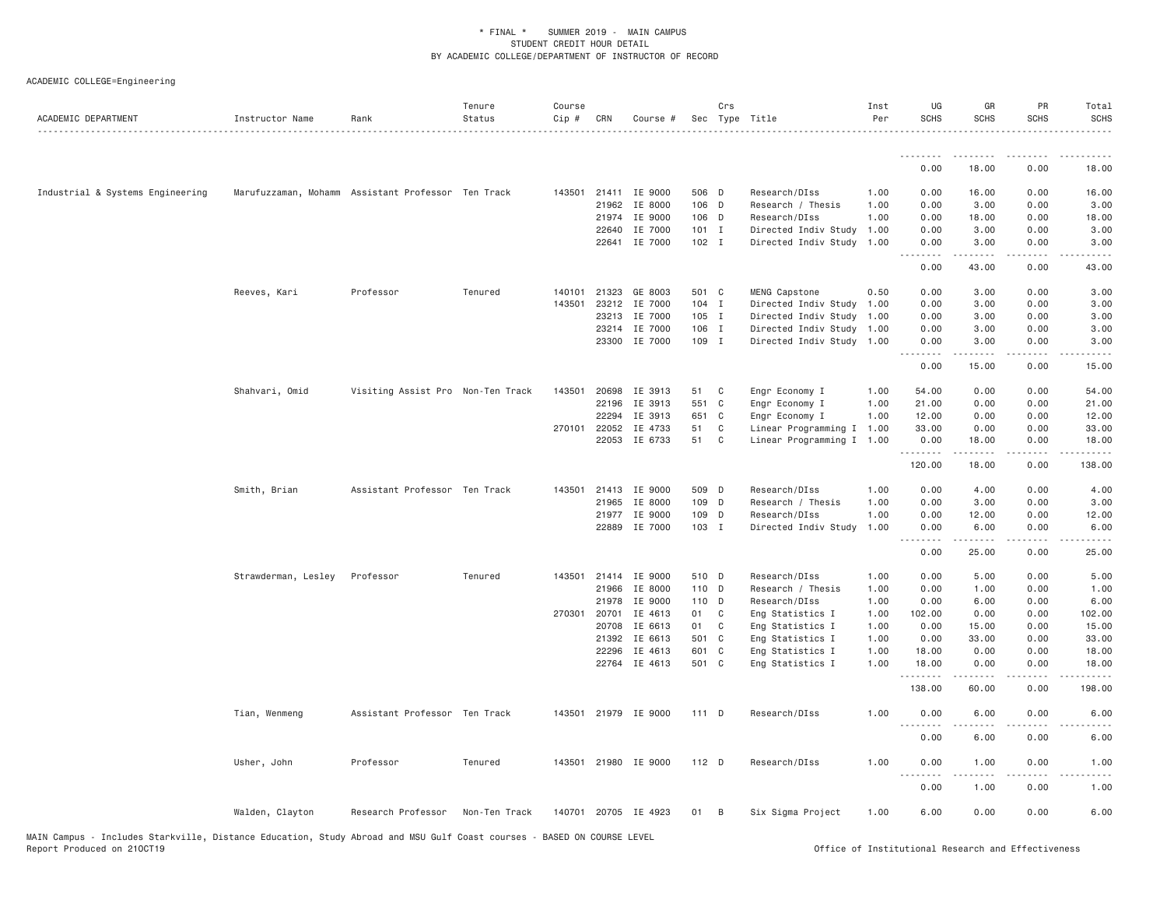| ACADEMIC DEPARTMENT              | Instructor Name     | Rank                                               | Tenure<br>Status | Course<br>Cip # | CRN          | Course #             |         | Crs          | Sec Type Title            | Inst<br>Per | UG<br><b>SCHS</b>  | GR<br><b>SCHS</b>                                                                                                                                            | PR<br><b>SCHS</b>                                                                             | Total<br><b>SCHS</b> |
|----------------------------------|---------------------|----------------------------------------------------|------------------|-----------------|--------------|----------------------|---------|--------------|---------------------------|-------------|--------------------|--------------------------------------------------------------------------------------------------------------------------------------------------------------|-----------------------------------------------------------------------------------------------|----------------------|
|                                  |                     |                                                    |                  |                 |              |                      |         |              |                           |             | .                  |                                                                                                                                                              |                                                                                               |                      |
|                                  |                     |                                                    |                  |                 |              |                      |         |              |                           |             | 0.00               | 18.00                                                                                                                                                        | 0.00                                                                                          | 18.00                |
| Industrial & Systems Engineering |                     | Marufuzzaman, Mohamm Assistant Professor Ten Track |                  |                 |              | 143501 21411 IE 9000 | 506 D   |              | Research/DIss             | 1.00        | 0.00               | 16.00                                                                                                                                                        | 0.00                                                                                          | 16.00                |
|                                  |                     |                                                    |                  |                 | 21962        | IE 8000              | 106 D   |              | Research / Thesis         | 1.00        | 0.00               | 3.00                                                                                                                                                         | 0.00                                                                                          | 3.00                 |
|                                  |                     |                                                    |                  |                 |              | 21974 IE 9000        | 106 D   |              | Research/DIss             | 1.00        | 0.00               | 18.00                                                                                                                                                        | 0.00                                                                                          | 18.00                |
|                                  |                     |                                                    |                  |                 | 22640        | IE 7000              | 101 I   |              | Directed Indiv Study 1.00 |             | 0.00               | 3.00                                                                                                                                                         | 0.00                                                                                          | 3.00                 |
|                                  |                     |                                                    |                  |                 | 22641        | IE 7000              | 102 I   |              | Directed Indiv Study 1.00 |             | 0.00<br>.          | 3.00<br>$\frac{1}{2} \left( \frac{1}{2} \right) \left( \frac{1}{2} \right) \left( \frac{1}{2} \right) \left( \frac{1}{2} \right) \left( \frac{1}{2} \right)$ | 0.00<br>$\frac{1}{2} \frac{1}{2} \frac{1}{2} \frac{1}{2} \frac{1}{2} \frac{1}{2} \frac{1}{2}$ | 3.00                 |
|                                  |                     |                                                    |                  |                 |              |                      |         |              |                           |             | 0.00               | 43.00                                                                                                                                                        | 0.00                                                                                          | 43.00                |
|                                  | Reeves, Kari        | Professor                                          | Tenured          | 140101          | 21323        | GE 8003              | 501 C   |              | MENG Capstone             | 0.50        | 0.00               | 3.00                                                                                                                                                         | 0.00                                                                                          | 3.00                 |
|                                  |                     |                                                    |                  | 143501          | 23212        | IE 7000              | 104 I   |              | Directed Indiv Study 1.00 |             | 0.00               | 3.00                                                                                                                                                         | 0.00                                                                                          | 3.00                 |
|                                  |                     |                                                    |                  |                 | 23213        | IE 7000              | 105 I   |              | Directed Indiv Study 1.00 |             | 0.00               | 3.00                                                                                                                                                         | 0.00                                                                                          | 3.00                 |
|                                  |                     |                                                    |                  |                 | 23214        | IE 7000              | 106 I   |              | Directed Indiv Study 1.00 |             | 0.00               | 3.00                                                                                                                                                         | 0.00                                                                                          | 3.00                 |
|                                  |                     |                                                    |                  |                 | 23300        | IE 7000              | 109 I   |              | Directed Indiv Study 1.00 |             | 0.00<br>.          | 3.00                                                                                                                                                         | 0.00                                                                                          | 3.00                 |
|                                  |                     |                                                    |                  |                 |              |                      |         |              |                           |             | 0.00               | 15.00                                                                                                                                                        | 0.00                                                                                          | 15.00                |
|                                  | Shahvari, Omid      | Visiting Assist Pro Non-Ten Track                  |                  | 143501          | 20698        | IE 3913              | 51      | $\mathbf{C}$ | Engr Economy I            | 1.00        | 54.00              | 0.00                                                                                                                                                         | 0.00                                                                                          | 54.00                |
|                                  |                     |                                                    |                  |                 | 22196        | IE 3913              | 551 C   |              | Engr Economy I            | 1.00        | 21.00              | 0.00                                                                                                                                                         | 0.00                                                                                          | 21.00                |
|                                  |                     |                                                    |                  |                 | 22294        | IE 3913              | 651 C   |              | Engr Economy I            | 1.00        | 12.00              | 0.00                                                                                                                                                         | 0.00                                                                                          | 12.00                |
|                                  |                     |                                                    |                  |                 | 270101 22052 | IE 4733              | 51      | $\mathbf{C}$ | Linear Programming I 1.00 |             | 33.00              | 0.00                                                                                                                                                         | 0.00                                                                                          | 33.00                |
|                                  |                     |                                                    |                  |                 |              | 22053 IE 6733        | 51 C    |              | Linear Programming I 1.00 |             | 0.00<br>.          | 18.00<br>$\frac{1}{2}$                                                                                                                                       | 0.00                                                                                          | 18.00<br>.           |
|                                  |                     |                                                    |                  |                 |              |                      |         |              |                           |             | 120.00             | 18.00                                                                                                                                                        | 0.00                                                                                          | 138.00               |
|                                  | Smith, Brian        | Assistant Professor Ten Track                      |                  | 143501          |              | 21413 IE 9000        | 509 D   |              | Research/DIss             | 1.00        | 0.00               | 4.00                                                                                                                                                         | 0.00                                                                                          | 4.00                 |
|                                  |                     |                                                    |                  |                 | 21965        | IE 8000              | 109 D   |              | Research / Thesis         | 1.00        | 0.00               | 3.00                                                                                                                                                         | 0.00                                                                                          | 3.00                 |
|                                  |                     |                                                    |                  |                 | 21977        | IE 9000              | 109 D   |              | Research/DIss             | 1.00        | 0.00               | 12.00                                                                                                                                                        | 0.00                                                                                          | 12.00                |
|                                  |                     |                                                    |                  |                 | 22889        | IE 7000              | 103 I   |              | Directed Indiv Study      | 1.00        | 0.00<br>.          | 6.00<br>.                                                                                                                                                    | 0.00<br>$\sim$ $\sim$ $\sim$ $\sim$                                                           | 6.00                 |
|                                  |                     |                                                    |                  |                 |              |                      |         |              |                           |             | 0.00               | 25.00                                                                                                                                                        | 0.00                                                                                          | 25.00                |
|                                  | Strawderman, Lesley | Professor                                          | Tenured          |                 | 143501 21414 | IE 9000              | 510 D   |              | Research/DIss             | 1.00        | 0.00               | 5.00                                                                                                                                                         | 0.00                                                                                          | 5.00                 |
|                                  |                     |                                                    |                  |                 | 21966        | IE 8000              | 110 D   |              | Research / Thesis         | 1.00        | 0.00               | 1.00                                                                                                                                                         | 0.00                                                                                          | 1.00                 |
|                                  |                     |                                                    |                  |                 | 21978        | IE 9000              | 110 D   |              | Research/DIss             | 1.00        | 0.00               | 6.00                                                                                                                                                         | 0.00                                                                                          | 6.00                 |
|                                  |                     |                                                    |                  |                 | 270301 20701 | IE 4613              | 01 C    |              | Eng Statistics I          | 1.00        | 102.00             | 0.00                                                                                                                                                         | 0.00                                                                                          | 102.00               |
|                                  |                     |                                                    |                  |                 | 20708        | IE 6613              | 01 C    |              | Eng Statistics I          | 1.00        | 0.00               | 15.00                                                                                                                                                        | 0.00                                                                                          | 15.00                |
|                                  |                     |                                                    |                  |                 | 21392        | IE 6613              | 501 C   |              | Eng Statistics I          | 1.00        | 0.00               | 33.00                                                                                                                                                        | 0.00                                                                                          | 33.00                |
|                                  |                     |                                                    |                  |                 | 22296        | IE 4613              | 601 C   |              | Eng Statistics I          | 1.00        | 18.00              | 0.00                                                                                                                                                         | 0.00                                                                                          | 18.00                |
|                                  |                     |                                                    |                  |                 | 22764        | IE 4613              | 501 C   |              | Eng Statistics I          | 1.00        | 18.00<br>.         | 0.00<br>$\frac{1}{2} \left( \frac{1}{2} \right) \left( \frac{1}{2} \right) \left( \frac{1}{2} \right) \left( \frac{1}{2} \right) \left( \frac{1}{2} \right)$ | 0.00<br>.                                                                                     | 18.00<br>.           |
|                                  |                     |                                                    |                  |                 |              |                      |         |              |                           |             | 138.00             | 60.00                                                                                                                                                        | 0.00                                                                                          | 198.00               |
|                                  | Tian, Wenmeng       | Assistant Professor Ten Track                      |                  |                 |              | 143501 21979 IE 9000 | 111 D   |              | Research/DIss             | 1.00        | 0.00<br>. <b>.</b> | 6.00<br>.                                                                                                                                                    | 0.00<br>$\sim$ $\sim$ $\sim$ $\sim$                                                           | 6.00                 |
|                                  |                     |                                                    |                  |                 |              |                      |         |              |                           |             | 0.00               | 6.00                                                                                                                                                         | 0.00                                                                                          | 6.00                 |
|                                  | Usher, John         | Professor                                          | Tenured          |                 |              | 143501 21980 IE 9000 | $112$ D |              | Research/DIss             | 1.00        | 0.00<br>.          | 1.00<br>.                                                                                                                                                    | 0.00                                                                                          | 1.00                 |
|                                  |                     |                                                    |                  |                 |              |                      |         |              |                           |             | 0.00               | 1.00                                                                                                                                                         | 0.00                                                                                          | 1.00                 |
|                                  | Walden, Clayton     | Research Professor                                 | Non-Ten Track    |                 |              | 140701 20705 IE 4923 | 01 B    |              | Six Sigma Project         | 1.00        | 6.00               | 0.00                                                                                                                                                         | 0.00                                                                                          | 6.00                 |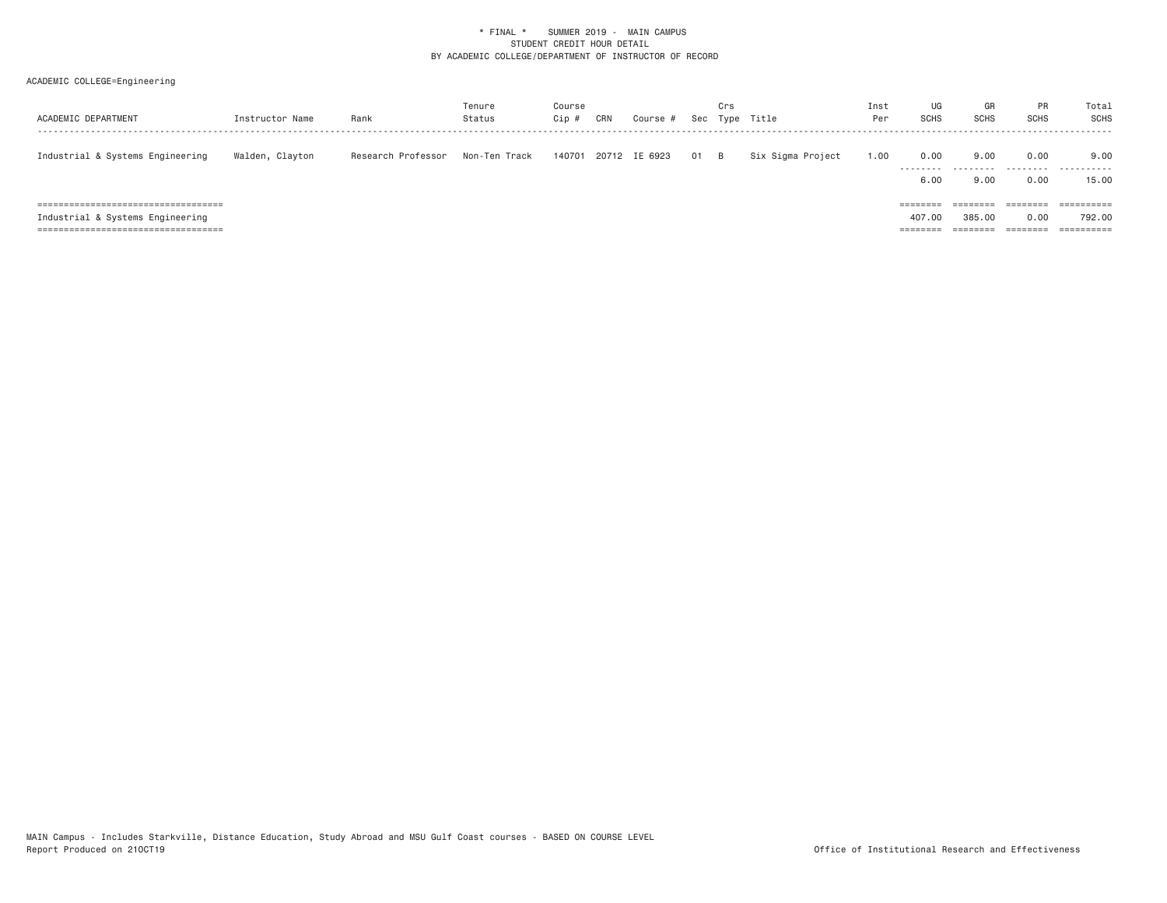| ACADEMIC DEPARTMENT                    | Instructor Name | Rank               | Tenure<br>Status | Course<br>Cip # | CRN | Course #      | Sec  | Crs | Type Title        | Inst<br>Per | UG<br><b>SCHS</b> | GR<br><b>SCHS</b>    | PR<br>SCHS                          | Total<br>SCHS      |
|----------------------------------------|-----------------|--------------------|------------------|-----------------|-----|---------------|------|-----|-------------------|-------------|-------------------|----------------------|-------------------------------------|--------------------|
| Industrial & Systems Engineering       | Walden, Clayton | Research Professor | Non-Ten Track    | 140701          |     | 20712 IE 6923 | 01 B |     | Six Sigma Project | 1.00        | 0.00<br>--------- | 9,00                 | 0.00<br>--------                    | 9,00<br>---------- |
|                                        |                 |                    |                  |                 |     |               |      |     |                   |             | 6,00              | 9.00                 | 0.00                                | 15.00              |
| ====================================== |                 |                    |                  |                 |     |               |      |     |                   |             | ========          | --------<br>-------- | ========                            | $=$ ==========     |
| Industrial & Systems Engineering       |                 |                    |                  |                 |     |               |      |     |                   |             | 407.00            | 385,00               | 0.00                                | 792.00             |
| =====================================  |                 |                    |                  |                 |     |               |      |     |                   |             | =====             |                      | $=$ $=$ $=$ $=$ $=$ $=$ $=$ $=$ $=$ | ==========         |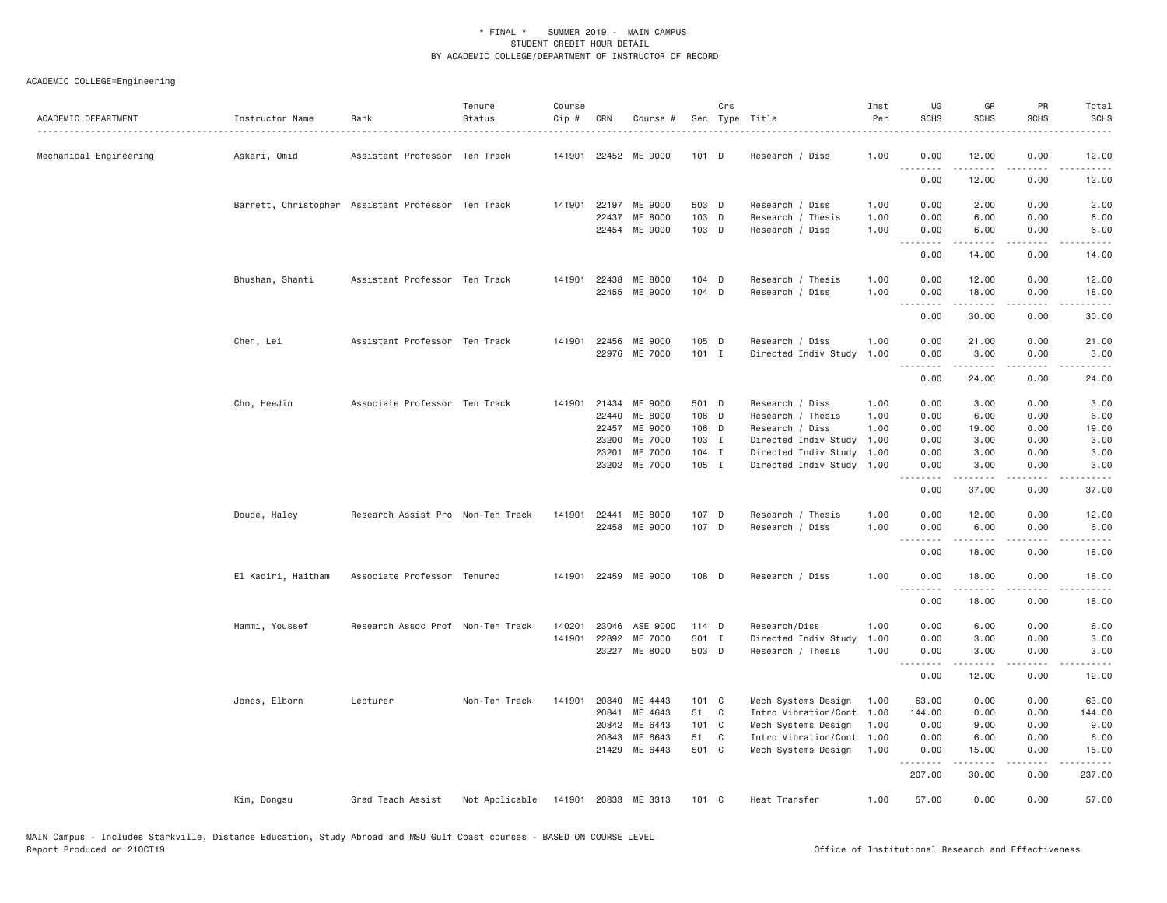| ACADEMIC DEPARTMENT    | Instructor Name                                    | Rank                              | Tenure<br>Status | Course<br>Cip # | CRN   | Course #                 |                | Crs          | Sec Type Title                            | Inst<br>Per  | UG<br><b>SCHS</b>                                                                                                                                                                                                                                                                                                                                                                                                                                                                              | GR<br><b>SCHS</b>                                                                                                                                            | PR<br><b>SCHS</b> | Total<br><b>SCHS</b><br>.                                                                                                         |
|------------------------|----------------------------------------------------|-----------------------------------|------------------|-----------------|-------|--------------------------|----------------|--------------|-------------------------------------------|--------------|------------------------------------------------------------------------------------------------------------------------------------------------------------------------------------------------------------------------------------------------------------------------------------------------------------------------------------------------------------------------------------------------------------------------------------------------------------------------------------------------|--------------------------------------------------------------------------------------------------------------------------------------------------------------|-------------------|-----------------------------------------------------------------------------------------------------------------------------------|
| Mechanical Engineering | Askari, Omid                                       | Assistant Professor Ten Track     |                  |                 |       | 141901 22452 ME 9000     | $101$ D        |              | Research / Diss                           | 1.00         | 0.00<br>.                                                                                                                                                                                                                                                                                                                                                                                                                                                                                      | 12.00<br>المستمرين                                                                                                                                           | 0.00<br>.         | 12.00<br>.                                                                                                                        |
|                        |                                                    |                                   |                  |                 |       |                          |                |              |                                           |              | 0.00                                                                                                                                                                                                                                                                                                                                                                                                                                                                                           | 12.00                                                                                                                                                        | 0.00              | 12.00                                                                                                                             |
|                        | Barrett, Christopher Assistant Professor Ten Track |                                   |                  |                 |       | 141901 22197 ME 9000     | 503 D          |              | Research / Diss                           | 1.00         | 0.00                                                                                                                                                                                                                                                                                                                                                                                                                                                                                           | 2.00                                                                                                                                                         | 0.00              | 2.00                                                                                                                              |
|                        |                                                    |                                   |                  |                 | 22437 | ME 8000<br>22454 ME 9000 | 103 D<br>103 D |              | Research / Thesis<br>Research / Diss      | 1.00<br>1.00 | 0.00<br>0.00                                                                                                                                                                                                                                                                                                                                                                                                                                                                                   | 6.00<br>6.00                                                                                                                                                 | 0.00<br>0.00      | 6.00<br>6.00                                                                                                                      |
|                        |                                                    |                                   |                  |                 |       |                          |                |              |                                           |              | 0.00                                                                                                                                                                                                                                                                                                                                                                                                                                                                                           | -----<br>14.00                                                                                                                                               | .<br>0.00         | .<br>14.00                                                                                                                        |
|                        | Bhushan, Shanti                                    | Assistant Professor Ten Track     |                  |                 |       | 141901 22438 ME 8000     | 104 D          |              | Research / Thesis                         | 1.00         | 0.00                                                                                                                                                                                                                                                                                                                                                                                                                                                                                           | 12.00                                                                                                                                                        | 0.00              | 12.00                                                                                                                             |
|                        |                                                    |                                   |                  |                 |       | 22455 ME 9000            | 104 D          |              | Research / Diss                           | 1.00         | 0.00<br>$\begin{array}{cccccccccccccc} \multicolumn{2}{c}{} & \multicolumn{2}{c}{} & \multicolumn{2}{c}{} & \multicolumn{2}{c}{} & \multicolumn{2}{c}{} & \multicolumn{2}{c}{} & \multicolumn{2}{c}{} & \multicolumn{2}{c}{} & \multicolumn{2}{c}{} & \multicolumn{2}{c}{} & \multicolumn{2}{c}{} & \multicolumn{2}{c}{} & \multicolumn{2}{c}{} & \multicolumn{2}{c}{} & \multicolumn{2}{c}{} & \multicolumn{2}{c}{} & \multicolumn{2}{c}{} & \multicolumn{2}{c}{} & \multicolumn{2}{c}{} & \$ | 18.00<br>.                                                                                                                                                   | 0.00<br>.         | 18.00<br>.                                                                                                                        |
|                        |                                                    |                                   |                  |                 |       |                          |                |              |                                           |              | 0.00                                                                                                                                                                                                                                                                                                                                                                                                                                                                                           | 30.00                                                                                                                                                        | 0.00              | 30.00                                                                                                                             |
|                        | Chen, Lei                                          | Assistant Professor Ten Track     |                  | 141901          |       | 22456 ME 9000            | 105 D          |              | Research / Diss                           | 1.00         | 0.00                                                                                                                                                                                                                                                                                                                                                                                                                                                                                           | 21.00                                                                                                                                                        | 0.00              | 21.00                                                                                                                             |
|                        |                                                    |                                   |                  |                 |       | 22976 ME 7000            | $101$ I        |              | Directed Indiv Study                      | 1.00         | 0.00<br>.                                                                                                                                                                                                                                                                                                                                                                                                                                                                                      | 3.00                                                                                                                                                         | 0.00<br>.         | 3.00<br>.                                                                                                                         |
|                        |                                                    |                                   |                  |                 |       |                          |                |              |                                           |              | 0.00                                                                                                                                                                                                                                                                                                                                                                                                                                                                                           | 24.00                                                                                                                                                        | 0.00              | 24.00                                                                                                                             |
|                        | Cho, HeeJin                                        | Associate Professor Ten Track     |                  | 141901          |       | 21434 ME 9000            | 501 D          |              | Research / Diss                           | 1.00         | 0.00                                                                                                                                                                                                                                                                                                                                                                                                                                                                                           | 3.00                                                                                                                                                         | 0.00              | 3.00                                                                                                                              |
|                        |                                                    |                                   |                  |                 | 22440 | ME 8000                  | 106 D          |              | Research / Thesis                         | 1.00         | 0.00                                                                                                                                                                                                                                                                                                                                                                                                                                                                                           | 6.00                                                                                                                                                         | 0.00              | 6.00                                                                                                                              |
|                        |                                                    |                                   |                  |                 | 22457 | ME 9000                  | 106 D          |              | Research / Diss                           | 1.00         | 0.00                                                                                                                                                                                                                                                                                                                                                                                                                                                                                           | 19.00                                                                                                                                                        | 0.00              | 19.00                                                                                                                             |
|                        |                                                    |                                   |                  |                 | 23200 | <b>ME 7000</b>           | 103 I          |              | Directed Indiv Study                      | 1.00         | 0.00                                                                                                                                                                                                                                                                                                                                                                                                                                                                                           | 3.00                                                                                                                                                         | 0.00              | 3.00                                                                                                                              |
|                        |                                                    |                                   |                  |                 | 23201 | ME 7000                  | $104$ I        |              | Directed Indiv Study 1.00                 |              | 0.00                                                                                                                                                                                                                                                                                                                                                                                                                                                                                           | 3.00                                                                                                                                                         | 0.00              | 3.00                                                                                                                              |
|                        |                                                    |                                   |                  |                 | 23202 | ME 7000                  | 105 I          |              | Directed Indiv Study 1.00                 |              | 0.00<br>.                                                                                                                                                                                                                                                                                                                                                                                                                                                                                      | 3.00<br>.                                                                                                                                                    | 0.00<br>.         | 3.00<br>.                                                                                                                         |
|                        |                                                    |                                   |                  |                 |       |                          |                |              |                                           |              | 0.00                                                                                                                                                                                                                                                                                                                                                                                                                                                                                           | 37.00                                                                                                                                                        | 0.00              | 37.00                                                                                                                             |
|                        | Doude, Haley                                       | Research Assist Pro Non-Ten Track |                  |                 |       | 141901 22441 ME 8000     | 107 D          |              | Research / Thesis                         | 1.00         | 0.00                                                                                                                                                                                                                                                                                                                                                                                                                                                                                           | 12.00                                                                                                                                                        | 0.00              | 12.00                                                                                                                             |
|                        |                                                    |                                   |                  |                 |       | 22458 ME 9000            | 107 D          |              | Research / Diss                           | 1.00         | 0.00<br>$\sim$ $\sim$ $\sim$ $\sim$                                                                                                                                                                                                                                                                                                                                                                                                                                                            | 6.00<br>$\frac{1}{2} \left( \frac{1}{2} \right) \left( \frac{1}{2} \right) \left( \frac{1}{2} \right) \left( \frac{1}{2} \right) \left( \frac{1}{2} \right)$ | 0.00<br>.         | 6.00<br>$\frac{1}{2} \left( \frac{1}{2} \right) \left( \frac{1}{2} \right) \left( \frac{1}{2} \right) \left( \frac{1}{2} \right)$ |
|                        |                                                    |                                   |                  |                 |       |                          |                |              |                                           |              | 0.00                                                                                                                                                                                                                                                                                                                                                                                                                                                                                           | 18,00                                                                                                                                                        | 0.00              | 18.00                                                                                                                             |
|                        | El Kadiri, Haitham                                 | Associate Professor Tenured       |                  |                 |       | 141901 22459 ME 9000     | 108 D          |              | Research / Diss                           | 1.00         | 0.00<br>.                                                                                                                                                                                                                                                                                                                                                                                                                                                                                      | 18.00<br>.                                                                                                                                                   | 0.00<br>.         | 18.00<br>.                                                                                                                        |
|                        |                                                    |                                   |                  |                 |       |                          |                |              |                                           |              | 0.00                                                                                                                                                                                                                                                                                                                                                                                                                                                                                           | 18.00                                                                                                                                                        | 0.00              | 18.00                                                                                                                             |
|                        | Hammi, Youssef                                     | Research Assoc Prof Non-Ten Track |                  | 140201          | 23046 | ASE 9000                 | 114 D          |              | Research/Diss                             | 1.00         | 0.00                                                                                                                                                                                                                                                                                                                                                                                                                                                                                           | 6.00                                                                                                                                                         | 0.00              | 6.00                                                                                                                              |
|                        |                                                    |                                   |                  | 141901          | 22892 | ME 7000<br>23227 ME 8000 | 501 I<br>503 D |              | Directed Indiv Study<br>Research / Thesis | 1.00<br>1.00 | 0.00<br>0.00                                                                                                                                                                                                                                                                                                                                                                                                                                                                                   | 3.00<br>3.00                                                                                                                                                 | 0.00<br>0.00      | 3.00<br>3.00                                                                                                                      |
|                        |                                                    |                                   |                  |                 |       |                          |                |              |                                           |              | .<br>0.00                                                                                                                                                                                                                                                                                                                                                                                                                                                                                      | -----<br>12.00                                                                                                                                               | د د د د<br>0.00   | 12.00                                                                                                                             |
|                        | Jones, Elborn                                      | Lecturer                          | Non-Ten Track    | 141901          | 20840 | ME 4443                  | $101 \quad C$  |              | Mech Systems Design                       | 1.00         | 63.00                                                                                                                                                                                                                                                                                                                                                                                                                                                                                          | 0.00                                                                                                                                                         | 0.00              | 63.00                                                                                                                             |
|                        |                                                    |                                   |                  |                 | 20841 | ME 4643                  | 51             | $\mathbf{C}$ | Intro Vibration/Cont 1.00                 |              | 144.00                                                                                                                                                                                                                                                                                                                                                                                                                                                                                         | 0.00                                                                                                                                                         | 0.00              | 144.00                                                                                                                            |
|                        |                                                    |                                   |                  |                 | 20842 | ME 6443                  | 101 C          |              | Mech Systems Design                       | 1.00         | 0.00                                                                                                                                                                                                                                                                                                                                                                                                                                                                                           | 9.00                                                                                                                                                         | 0.00              | 9.00                                                                                                                              |
|                        |                                                    |                                   |                  |                 | 20843 | ME 6643                  | 51 C           |              | Intro Vibration/Cont 1.00                 |              | 0.00                                                                                                                                                                                                                                                                                                                                                                                                                                                                                           | 6.00                                                                                                                                                         | 0.00              | 6.00                                                                                                                              |
|                        |                                                    |                                   |                  |                 | 21429 | ME 6443                  | 501 C          |              | Mech Systems Design                       | 1.00         | 0.00                                                                                                                                                                                                                                                                                                                                                                                                                                                                                           | 15.00                                                                                                                                                        | 0.00              | 15.00                                                                                                                             |
|                        |                                                    |                                   |                  |                 |       |                          |                |              |                                           |              | .<br>207.00                                                                                                                                                                                                                                                                                                                                                                                                                                                                                    | 30.00                                                                                                                                                        | د د د د<br>0.00   | .<br>237.00                                                                                                                       |
|                        | Kim, Dongsu                                        | Grad Teach Assist                 | Not Applicable   |                 |       | 141901 20833 ME 3313     | 101 C          |              | Heat Transfer                             | 1.00         | 57.00                                                                                                                                                                                                                                                                                                                                                                                                                                                                                          | 0.00                                                                                                                                                         | 0.00              | 57.00                                                                                                                             |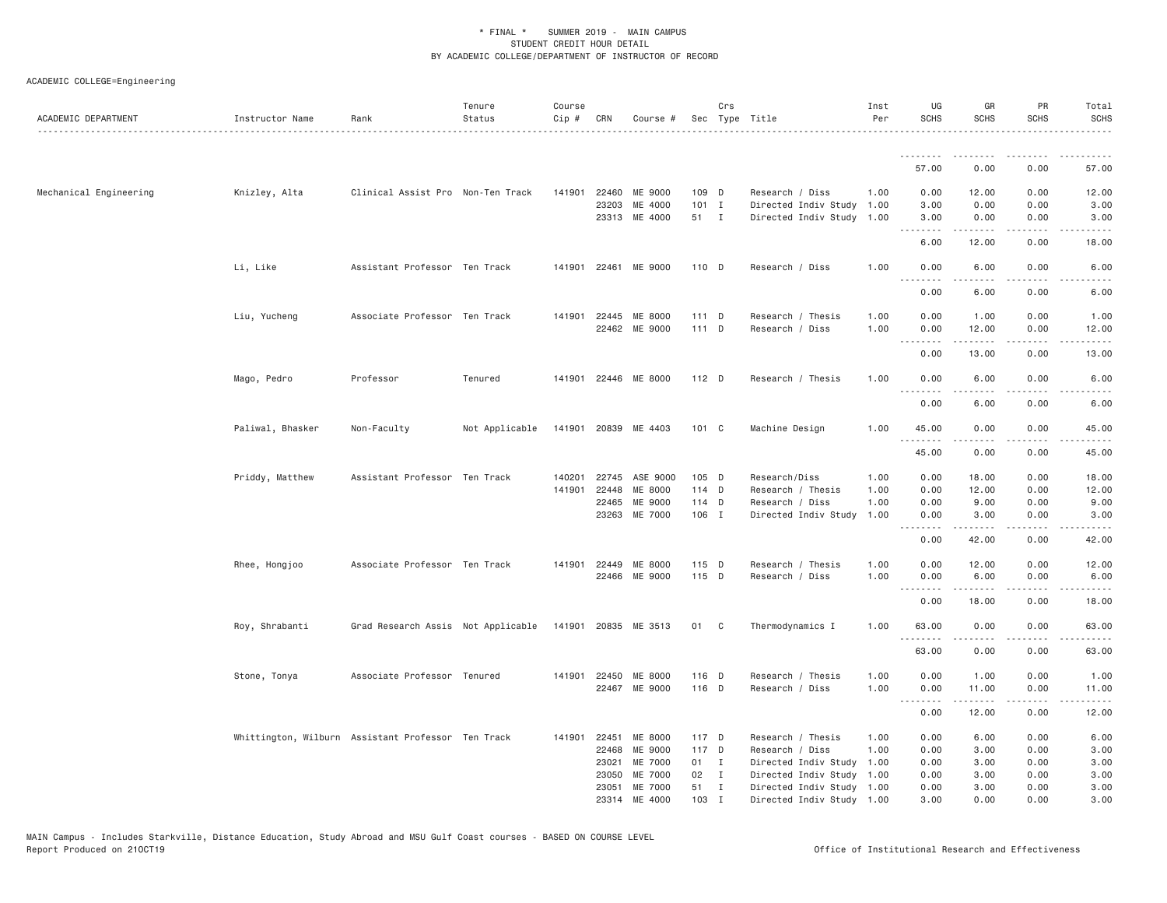| ACADEMIC DEPARTMENT    | Instructor Name  | Rank                                               | Tenure<br>Status<br>. | Course<br>Cip # | CRN            | Course #             |               | Crs          | Sec Type Title                               | Inst<br>Per  | UG<br><b>SCHS</b>             | GR<br><b>SCHS</b>                                                                                                                                            | PR<br><b>SCHS</b>                   | Total<br><b>SCHS</b><br>. <u>.</u> . |
|------------------------|------------------|----------------------------------------------------|-----------------------|-----------------|----------------|----------------------|---------------|--------------|----------------------------------------------|--------------|-------------------------------|--------------------------------------------------------------------------------------------------------------------------------------------------------------|-------------------------------------|--------------------------------------|
|                        |                  |                                                    |                       |                 |                |                      |               |              |                                              |              |                               | .                                                                                                                                                            |                                     |                                      |
|                        |                  |                                                    |                       |                 |                |                      |               |              |                                              |              | 57.00                         | 0.00                                                                                                                                                         | 0.00                                | 57.00                                |
| Mechanical Engineering | Knizley, Alta    | Clinical Assist Pro Non-Ten Track                  |                       |                 | 141901 22460   | ME 9000              | 109 D         |              | Research / Diss                              | 1.00         | 0.00                          | 12.00                                                                                                                                                        | 0.00                                | 12.00                                |
|                        |                  |                                                    |                       |                 | 23203          | ME 4000              | $101$ I       |              | Directed Indiv Study                         | 1.00         | 3.00                          | 0.00                                                                                                                                                         | 0.00                                | 3.00                                 |
|                        |                  |                                                    |                       |                 |                | 23313 ME 4000        | 51 I          |              | Directed Indiv Study                         | 1.00         | 3.00<br>.                     | 0.00<br>$\frac{1}{2} \left( \frac{1}{2} \right) \left( \frac{1}{2} \right) \left( \frac{1}{2} \right) \left( \frac{1}{2} \right) \left( \frac{1}{2} \right)$ | 0.00<br>.                           | 3.00<br>.                            |
|                        |                  |                                                    |                       |                 |                |                      |               |              |                                              |              | 6.00                          | 12.00                                                                                                                                                        | 0.00                                | 18.00                                |
|                        | Li, Like         | Assistant Professor Ten Track                      |                       |                 |                | 141901 22461 ME 9000 | 110 D         |              | Research / Diss                              | 1,00         | 0.00<br><u>.</u>              | 6.00<br>.                                                                                                                                                    | 0.00<br>$\sim$ $\sim$ $\sim$        | 6.00<br>-----                        |
|                        |                  |                                                    |                       |                 |                |                      |               |              |                                              |              | 0.00                          | 6.00                                                                                                                                                         | 0.00                                | 6.00                                 |
|                        | Liu, Yucheng     | Associate Professor Ten Track                      |                       |                 |                | 141901 22445 ME 8000 | $111$ D       |              | Research / Thesis                            | 1.00         | 0.00                          | 1.00                                                                                                                                                         | 0.00                                | 1.00                                 |
|                        |                  |                                                    |                       |                 |                | 22462 ME 9000        | 111 D         |              | Research / Diss                              | 1.00         | 0.00                          | 12.00                                                                                                                                                        | 0.00                                | 12.00                                |
|                        |                  |                                                    |                       |                 |                |                      |               |              |                                              |              | <b><i><u><u>.</u></u></i></b> | .                                                                                                                                                            | .                                   | .                                    |
|                        |                  |                                                    |                       |                 |                |                      |               |              |                                              |              | 0.00                          | 13.00                                                                                                                                                        | 0.00                                | 13.00                                |
|                        | Mago, Pedro      | Professor                                          | Tenured               |                 |                | 141901 22446 ME 8000 | 112 D         |              | Research / Thesis                            | 1.00         | 0.00<br>.                     | 6.00                                                                                                                                                         | 0.00                                | 6.00                                 |
|                        |                  |                                                    |                       |                 |                |                      |               |              |                                              |              | 0.00                          | 6.00                                                                                                                                                         | 0.00                                | 6.00                                 |
|                        | Paliwal, Bhasker | Non-Faculty                                        | Not Applicable        |                 |                | 141901 20839 ME 4403 | $101 \quad C$ |              | Machine Design                               | 1.00         | 45.00                         | 0.00                                                                                                                                                         | 0.00                                | 45.00                                |
|                        |                  |                                                    |                       |                 |                |                      |               |              |                                              |              | .<br>45.00                    | .<br>0.00                                                                                                                                                    | $\sim$ $\sim$ $\sim$ $\sim$<br>0.00 | .<br>45.00                           |
|                        | Priddy, Matthew  | Assistant Professor Ten Track                      |                       | 140201          |                | 22745 ASE 9000       | 105 D         |              | Research/Diss                                | 1.00         | 0.00                          | 18.00                                                                                                                                                        | 0.00                                | 18.00                                |
|                        |                  |                                                    |                       | 141901          | 22448          | ME 8000              | 114 D         |              | Research / Thesis                            | 1.00         | 0.00                          | 12.00                                                                                                                                                        | 0.00                                | 12.00                                |
|                        |                  |                                                    |                       |                 | 22465          | ME 9000              | 114 D         |              | Research / Diss                              | 1.00         | 0.00                          | 9.00                                                                                                                                                         | 0.00                                | 9.00                                 |
|                        |                  |                                                    |                       |                 | 23263          | ME 7000              | 106 I         |              | Directed Indiv Study                         | 1.00         | 0.00<br>.                     | 3.00                                                                                                                                                         | 0.00<br>.                           | 3.00                                 |
|                        |                  |                                                    |                       |                 |                |                      |               |              |                                              |              | 0.00                          | 42.00                                                                                                                                                        | 0.00                                | 42.00                                |
|                        | Rhee, Hongjoo    | Associate Professor Ten Track                      |                       |                 | 141901 22449   | ME 8000              | 115 D         |              | Research / Thesis                            | 1.00         | 0.00                          | 12.00                                                                                                                                                        | 0.00                                | 12.00                                |
|                        |                  |                                                    |                       |                 |                | 22466 ME 9000        | 115 D         |              | Research / Diss                              | 1.00         | 0.00<br>.                     | 6.00<br>-----                                                                                                                                                | 0.00<br>$\sim$ $\sim$ $\sim$        | 6.00<br>المتماما                     |
|                        |                  |                                                    |                       |                 |                |                      |               |              |                                              |              | 0.00                          | 18.00                                                                                                                                                        | 0.00                                | 18.00                                |
|                        | Roy, Shrabanti   | Grad Research Assis Not Applicable                 |                       |                 |                | 141901 20835 ME 3513 | 01 C          |              | Thermodynamics I                             | 1.00         | 63.00                         | 0.00                                                                                                                                                         | 0.00                                | 63.00                                |
|                        |                  |                                                    |                       |                 |                |                      |               |              |                                              |              | 63.00                         | 0.00                                                                                                                                                         | 0.00                                | 63.00                                |
|                        | Stone, Tonya     | Associate Professor Tenured                        |                       |                 | 141901 22450   | ME 8000              | 116 D         |              | Research / Thesis                            | 1.00         | 0.00                          | 1.00                                                                                                                                                         | 0.00                                | 1.00                                 |
|                        |                  |                                                    |                       |                 |                | 22467 ME 9000        | 116 D         |              | Research / Diss                              | 1.00         | 0.00                          | 11.00                                                                                                                                                        | 0.00                                | 11.00                                |
|                        |                  |                                                    |                       |                 |                |                      |               |              |                                              |              | .<br>0.00                     | .<br>12.00                                                                                                                                                   | .<br>0.00                           | .<br>12.00                           |
|                        |                  |                                                    |                       |                 |                |                      |               |              |                                              |              |                               |                                                                                                                                                              |                                     |                                      |
|                        |                  | Whittington, Wilburn Assistant Professor Ten Track |                       | 141901          | 22451          | ME 8000              | 117 D         |              | Research / Thesis                            | 1.00         | 0.00                          | 6.00                                                                                                                                                         | 0.00                                | 6.00                                 |
|                        |                  |                                                    |                       |                 | 22468          | ME 9000              | 117 D         |              | Research / Diss                              | 1.00         | 0.00                          | 3.00                                                                                                                                                         | 0.00                                | 3.00                                 |
|                        |                  |                                                    |                       |                 | 23021<br>23050 | ME 7000<br>ME 7000   | 01 I<br>02 I  |              | Directed Indiv Study<br>Directed Indiv Study | 1.00<br>1.00 | 0.00<br>0.00                  | 3.00<br>3.00                                                                                                                                                 | 0.00<br>0.00                        | 3.00<br>3.00                         |
|                        |                  |                                                    |                       |                 | 23051          | ME 7000              | 51 I          |              | Directed Indiv Study 1.00                    |              | 0.00                          | 3.00                                                                                                                                                         | 0.00                                | 3.00                                 |
|                        |                  |                                                    |                       |                 |                | 23314 ME 4000        | 103           | $\mathbf{I}$ | Directed Indiv Study 1.00                    |              | 3,00                          | 0.00                                                                                                                                                         | 0.00                                | 3,00                                 |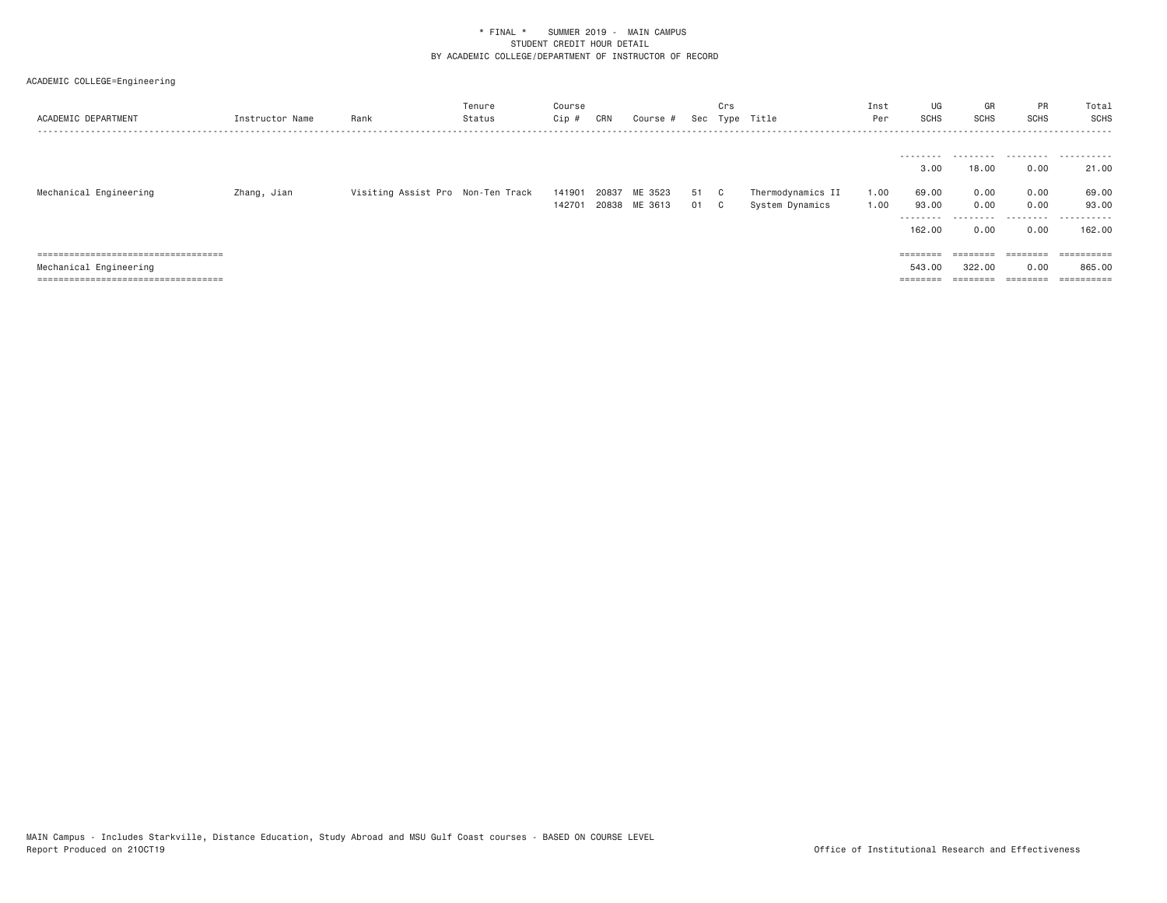| ACADEMIC DEPARTMENT                   | Instructor Name | Rank                              | Tenure<br>Status | Course<br>$Cip \#$ | CRN   | Course #      |      | Crs | Sec Type Title    | Inst<br>Per | UG<br>SCHS | GR<br>SCHS | PR<br><b>SCHS</b> | Total<br>SCHS  |
|---------------------------------------|-----------------|-----------------------------------|------------------|--------------------|-------|---------------|------|-----|-------------------|-------------|------------|------------|-------------------|----------------|
|                                       |                 |                                   |                  |                    |       |               |      |     |                   |             |            |            |                   |                |
|                                       |                 |                                   |                  |                    |       |               |      |     |                   |             | ---------  | ---------  |                   |                |
|                                       |                 |                                   |                  |                    |       |               |      |     |                   |             | 3.00       | 18.00      | 0.00              | 21.00          |
|                                       |                 |                                   |                  |                    |       |               |      |     |                   |             |            |            |                   |                |
| Mechanical Engineering                | Zhang, Jian     | Visiting Assist Pro Non-Ten Track |                  | 141901             | 20837 | ME 3523       | 51 C |     | Thermodynamics II | 1.00        | 69.00      | 0.00       | 0.00              | 69.00          |
|                                       |                 |                                   |                  | 142701             |       | 20838 ME 3613 | 01 C |     | System Dynamics   | 1.00        | 93.00      | 0.00       | 0.00              | 93.00          |
|                                       |                 |                                   |                  |                    |       |               |      |     |                   |             | ---------  | ---------  | .                 | .              |
|                                       |                 |                                   |                  |                    |       |               |      |     |                   |             | 162.00     | 0.00       | 0.00              | 162,00         |
|                                       |                 |                                   |                  |                    |       |               |      |     |                   |             |            |            |                   |                |
| ===================================== |                 |                                   |                  |                    |       |               |      |     |                   |             |            | ========   | ========          |                |
| Mechanical Engineering                |                 |                                   |                  |                    |       |               |      |     |                   |             | 543,00     | 322,00     | 0.00              | 865,00         |
| ====================================  |                 |                                   |                  |                    |       |               |      |     |                   |             |            | ========   | ========          | $=$ ========== |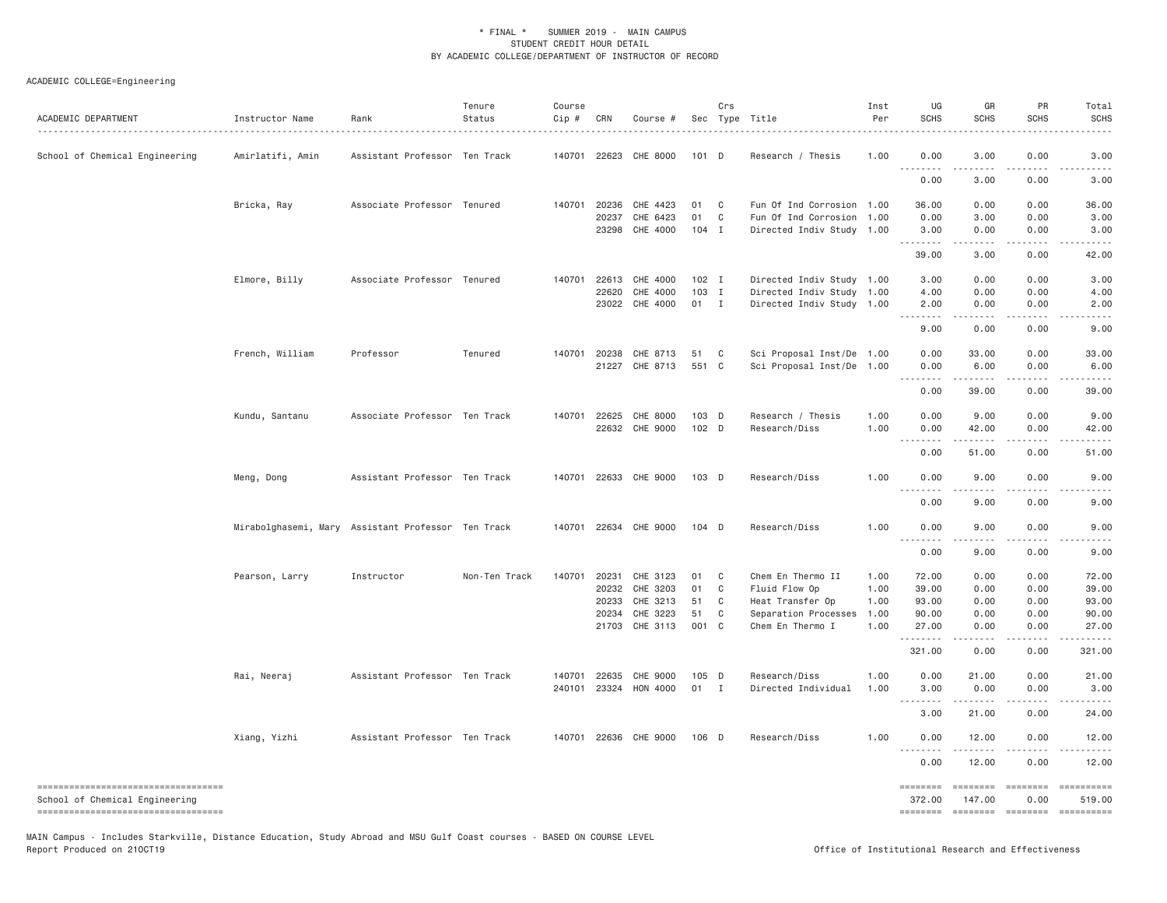## ACADEMIC COLLEGE=Engineering

| ACADEMIC DEPARTMENT                                                   | Instructor Name  | Rank                                               | Tenure<br>Status | Course<br>Cip # | CRN            | Course #              |               | Crs            | Sec Type Title            | Inst<br>Per | UG<br><b>SCHS</b>                 | GR<br><b>SCHS</b>     | <b>PR</b><br><b>SCHS</b> | Total<br><b>SCHS</b>                                                                                                                                                                                                                                                                                                                                                                                                             |
|-----------------------------------------------------------------------|------------------|----------------------------------------------------|------------------|-----------------|----------------|-----------------------|---------------|----------------|---------------------------|-------------|-----------------------------------|-----------------------|--------------------------|----------------------------------------------------------------------------------------------------------------------------------------------------------------------------------------------------------------------------------------------------------------------------------------------------------------------------------------------------------------------------------------------------------------------------------|
| School of Chemical Engineering                                        | Amirlatifi, Amin | Assistant Professor Ten Track                      |                  |                 |                | 140701 22623 CHE 8000 | 101 D         |                | Research / Thesis         | 1.00        | 0.00                              | 3.00                  | 0.00                     | 3.00                                                                                                                                                                                                                                                                                                                                                                                                                             |
|                                                                       |                  |                                                    |                  |                 |                |                       |               |                |                           |             | 0.00                              | 3.00                  | 0.00                     | 3.00                                                                                                                                                                                                                                                                                                                                                                                                                             |
|                                                                       | Bricka, Ray      | Associate Professor Tenured                        |                  |                 | 140701 20236   | CHE 4423              | 01            | C <sub>c</sub> | Fun Of Ind Corrosion 1.00 |             | 36.00                             | 0.00                  | 0.00                     | 36,00                                                                                                                                                                                                                                                                                                                                                                                                                            |
|                                                                       |                  |                                                    |                  |                 | 20237<br>23298 | CHE 6423<br>CHE 4000  | 01<br>$104$ I | C              | Fun Of Ind Corrosion 1.00 |             | 0.00                              | 3.00                  | 0.00<br>0.00             | 3.00                                                                                                                                                                                                                                                                                                                                                                                                                             |
|                                                                       |                  |                                                    |                  |                 |                |                       |               |                | Directed Indiv Study 1.00 |             | 3.00<br>.                         | 0.00<br>-----         | .                        | 3.00<br>.                                                                                                                                                                                                                                                                                                                                                                                                                        |
|                                                                       |                  |                                                    |                  |                 |                |                       |               |                |                           |             | 39.00                             | 3.00                  | 0.00                     | 42.00                                                                                                                                                                                                                                                                                                                                                                                                                            |
|                                                                       | Elmore, Billy    | Associate Professor Tenured                        |                  | 140701          | 22613          | CHE 4000              | $102$ I       |                | Directed Indiv Study 1.00 |             | 3.00                              | 0.00                  | 0.00                     | 3.00                                                                                                                                                                                                                                                                                                                                                                                                                             |
|                                                                       |                  |                                                    |                  |                 | 22620          | CHE 4000              | $103$ I       |                | Directed Indiv Study 1.00 |             | 4.00                              | 0.00                  | 0.00                     | 4.00                                                                                                                                                                                                                                                                                                                                                                                                                             |
|                                                                       |                  |                                                    |                  |                 |                | 23022 CHE 4000        | $01 \quad I$  |                | Directed Indiv Study 1.00 |             | 2.00<br>.                         | 0.00<br>$- - - - -$   | 0.00<br>.                | 2.00<br>$\frac{1}{2}$                                                                                                                                                                                                                                                                                                                                                                                                            |
|                                                                       |                  |                                                    |                  |                 |                |                       |               |                |                           |             | 9.00                              | 0.00                  | 0.00                     | 9.00                                                                                                                                                                                                                                                                                                                                                                                                                             |
|                                                                       | French, William  | Professor                                          | Tenured          | 140701          | 20238          | CHE 8713              | 51            | C              | Sci Proposal Inst/De 1.00 |             | 0.00                              | 33.00                 | 0.00                     | 33.00                                                                                                                                                                                                                                                                                                                                                                                                                            |
|                                                                       |                  |                                                    |                  |                 | 21227          | CHE 8713              | 551 C         |                | Sci Proposal Inst/De 1.00 |             | 0.00<br>.                         | 6.00                  | 0.00                     | 6.00                                                                                                                                                                                                                                                                                                                                                                                                                             |
|                                                                       |                  |                                                    |                  |                 |                |                       |               |                |                           |             | 0.00                              | 39,00                 | 0.00                     | 39,00                                                                                                                                                                                                                                                                                                                                                                                                                            |
|                                                                       | Kundu, Santanu   | Associate Professor Ten Track                      |                  |                 | 140701 22625   | CHE 8000              | $103$ D       |                | Research / Thesis         | 1.00        | 0.00                              | 9.00                  | 0.00                     | 9.00                                                                                                                                                                                                                                                                                                                                                                                                                             |
|                                                                       |                  |                                                    |                  |                 |                | 22632 CHE 9000        | 102 D         |                | Research/Diss             | 1.00        | 0.00                              | 42.00                 | 0.00                     | 42.00                                                                                                                                                                                                                                                                                                                                                                                                                            |
|                                                                       |                  |                                                    |                  |                 |                |                       |               |                |                           |             | .<br>0.00                         | <u>.</u><br>51.00     | $\frac{1}{2}$<br>0.00    | 51.00                                                                                                                                                                                                                                                                                                                                                                                                                            |
|                                                                       | Meng, Dong       | Assistant Professor Ten Track                      |                  |                 |                | 140701 22633 CHE 9000 | 103 D         |                | Research/Diss             | 1.00        | 0.00                              | 9.00                  | 0.00                     | 9,00                                                                                                                                                                                                                                                                                                                                                                                                                             |
|                                                                       |                  |                                                    |                  |                 |                |                       |               |                |                           |             | .                                 |                       |                          |                                                                                                                                                                                                                                                                                                                                                                                                                                  |
|                                                                       |                  |                                                    |                  |                 |                |                       |               |                |                           |             | 0.00                              | 9.00                  | 0.00                     | 9.00                                                                                                                                                                                                                                                                                                                                                                                                                             |
|                                                                       |                  | Mirabolghasemi, Mary Assistant Professor Ten Track |                  |                 |                | 140701 22634 CHE 9000 | $104$ D       |                | Research/Diss             | 1.00        | 0.00<br>.                         | 9.00<br>$\frac{1}{2}$ | 0.00<br>.                | 9.00                                                                                                                                                                                                                                                                                                                                                                                                                             |
|                                                                       |                  |                                                    |                  |                 |                |                       |               |                |                           |             | 0.00                              | 9.00                  | 0.00                     | 9.00                                                                                                                                                                                                                                                                                                                                                                                                                             |
|                                                                       | Pearson, Larry   | Instructor                                         | Non-Ten Track    | 140701          | 20231          | CHE 3123              | 01            | C              | Chem En Thermo II         | 1.00        | 72.00                             | 0.00                  | 0.00                     | 72.00                                                                                                                                                                                                                                                                                                                                                                                                                            |
|                                                                       |                  |                                                    |                  |                 | 20232          | CHE 3203              | 01            | C              | Fluid Flow Op             | 1.00        | 39.00                             | 0.00                  | 0.00                     | 39.00                                                                                                                                                                                                                                                                                                                                                                                                                            |
|                                                                       |                  |                                                    |                  |                 | 20233          | CHE 3213              | 51            | C              | Heat Transfer Op          | 1.00        | 93.00                             | 0.00                  | 0.00                     | 93.00                                                                                                                                                                                                                                                                                                                                                                                                                            |
|                                                                       |                  |                                                    |                  |                 | 20234          | CHE 3223              | 51            | C              | Separation Processes      | 1.00        | 90.00                             | 0.00                  | 0.00                     | 90.00                                                                                                                                                                                                                                                                                                                                                                                                                            |
|                                                                       |                  |                                                    |                  |                 | 21703          | CHE 3113              | 001 C         |                | Chem En Thermo I          | 1.00        | 27.00<br>.                        | 0.00                  | 0.00<br>$\frac{1}{2}$    | 27.00                                                                                                                                                                                                                                                                                                                                                                                                                            |
|                                                                       |                  |                                                    |                  |                 |                |                       |               |                |                           |             | 321.00                            | 0.00                  | 0.00                     | 321.00                                                                                                                                                                                                                                                                                                                                                                                                                           |
|                                                                       | Rai, Neeraj      | Assistant Professor Ten Track                      |                  | 140701          | 22635          | CHE 9000              | $105$ D       |                | Research/Diss             | 1.00        | 0.00                              | 21.00                 | 0.00                     | 21.00                                                                                                                                                                                                                                                                                                                                                                                                                            |
|                                                                       |                  |                                                    |                  | 240101          |                | 23324 HON 4000        | 01            | $\mathbf{I}$   | Directed Individual       | 1.00        | 3.00<br>.                         | 0.00<br>.             | 0.00<br>$\frac{1}{2}$    | 3.00<br>.                                                                                                                                                                                                                                                                                                                                                                                                                        |
|                                                                       |                  |                                                    |                  |                 |                |                       |               |                |                           |             | 3.00                              | 21.00                 | 0.00                     | 24.00                                                                                                                                                                                                                                                                                                                                                                                                                            |
|                                                                       | Xiang, Yizhi     | Assistant Professor Ten Track                      |                  | 140701          |                | 22636 CHE 9000        | 106 D         |                | Research/Diss             | 1.00        | 0.00                              | 12.00                 | 0.00                     | 12.00                                                                                                                                                                                                                                                                                                                                                                                                                            |
|                                                                       |                  |                                                    |                  |                 |                |                       |               |                |                           |             | $\sim$ $\sim$ $\sim$<br>.<br>0.00 | 12.00                 | 0.00                     | 12.00                                                                                                                                                                                                                                                                                                                                                                                                                            |
| ----------------------------------                                    |                  |                                                    |                  |                 |                |                       |               |                |                           |             | ========                          | <b>ESSESSE</b>        | $= 222222222$            | $\begin{minipage}{0.9\linewidth} \hspace*{-0.2cm} \textbf{1} & \textbf{1} & \textbf{1} & \textbf{1} & \textbf{1} & \textbf{1} & \textbf{1} & \textbf{1} & \textbf{1} & \textbf{1} & \textbf{1} & \textbf{1} & \textbf{1} & \textbf{1} & \textbf{1} & \textbf{1} & \textbf{1} & \textbf{1} & \textbf{1} & \textbf{1} & \textbf{1} & \textbf{1} & \textbf{1} & \textbf{1} & \textbf{1} & \textbf{1} & \textbf{1} & \textbf{1} & \$ |
| School of Chemical Engineering<br>----------------------------------- |                  |                                                    |                  |                 |                |                       |               |                |                           |             | 372.00                            | 147.00                | 0.00                     | 519.00                                                                                                                                                                                                                                                                                                                                                                                                                           |
|                                                                       |                  |                                                    |                  |                 |                |                       |               |                |                           |             | ========                          | $=$ ========          | $= 222222222$            |                                                                                                                                                                                                                                                                                                                                                                                                                                  |

MAIN Campus - Includes Starkville, Distance Education, Study Abroad and MSU Gulf Coast courses - BASED ON COURSE LEVEL<br>Report Produced on 210CT19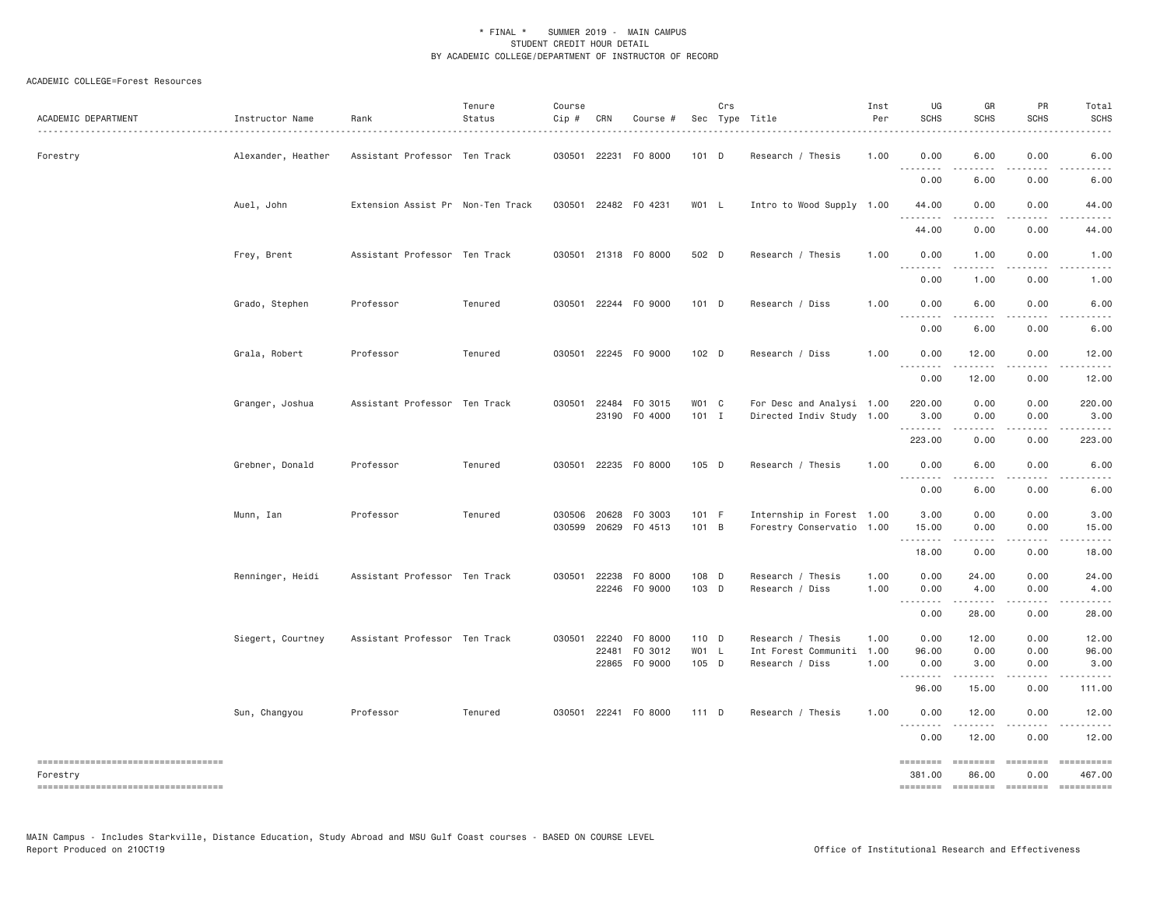### ACADEMIC COLLEGE=Forest Resources

| ACADEMIC DEPARTMENT                               | Instructor Name    | Rank                              | Tenure<br>Status | Course<br>$Cip \#$ | CRN          | Course #             |         | Crs | Sec Type Title<br>.       | Inst<br>Per | UG<br><b>SCHS</b>                                                                                                                                                                                                                                                                                                                                                                                                                                                                              | GR<br><b>SCHS</b>                                                                                                                                            | PR<br><b>SCHS</b>                                                                                                                                                                                                                                                                                                                                                                                                                                                                      | Total<br><b>SCHS</b> |
|---------------------------------------------------|--------------------|-----------------------------------|------------------|--------------------|--------------|----------------------|---------|-----|---------------------------|-------------|------------------------------------------------------------------------------------------------------------------------------------------------------------------------------------------------------------------------------------------------------------------------------------------------------------------------------------------------------------------------------------------------------------------------------------------------------------------------------------------------|--------------------------------------------------------------------------------------------------------------------------------------------------------------|----------------------------------------------------------------------------------------------------------------------------------------------------------------------------------------------------------------------------------------------------------------------------------------------------------------------------------------------------------------------------------------------------------------------------------------------------------------------------------------|----------------------|
| Forestry                                          | Alexander, Heather | Assistant Professor Ten Track     |                  |                    |              | 030501 22231 F0 8000 | 101 D   |     | Research / Thesis         | 1.00        | 0.00                                                                                                                                                                                                                                                                                                                                                                                                                                                                                           | 6.00<br><b></b>                                                                                                                                              | 0.00<br>.                                                                                                                                                                                                                                                                                                                                                                                                                                                                              | 6.00                 |
|                                                   |                    |                                   |                  |                    |              |                      |         |     |                           |             | 0.00                                                                                                                                                                                                                                                                                                                                                                                                                                                                                           | 6.00                                                                                                                                                         | 0.00                                                                                                                                                                                                                                                                                                                                                                                                                                                                                   | 6.00                 |
|                                                   | Auel, John         | Extension Assist Pr Non-Ten Track |                  |                    |              | 030501 22482 F0 4231 | WO1 L   |     | Intro to Wood Supply 1.00 |             | 44.00                                                                                                                                                                                                                                                                                                                                                                                                                                                                                          | 0.00<br>.                                                                                                                                                    | 0.00<br>.                                                                                                                                                                                                                                                                                                                                                                                                                                                                              | 44.00                |
|                                                   |                    |                                   |                  |                    |              |                      |         |     |                           |             | .<br>44.00                                                                                                                                                                                                                                                                                                                                                                                                                                                                                     | 0.00                                                                                                                                                         | 0.00                                                                                                                                                                                                                                                                                                                                                                                                                                                                                   | 44.00                |
|                                                   | Frey, Brent        | Assistant Professor Ten Track     |                  |                    |              | 030501 21318 F0 8000 | 502 D   |     | Research / Thesis         | 1.00        | 0.00                                                                                                                                                                                                                                                                                                                                                                                                                                                                                           | 1.00                                                                                                                                                         | 0.00                                                                                                                                                                                                                                                                                                                                                                                                                                                                                   | 1.00                 |
|                                                   |                    |                                   |                  |                    |              |                      |         |     |                           |             | .<br>0.00                                                                                                                                                                                                                                                                                                                                                                                                                                                                                      | 1.00                                                                                                                                                         | 0.00                                                                                                                                                                                                                                                                                                                                                                                                                                                                                   | 1.00                 |
|                                                   | Grado, Stephen     | Professor                         | Tenured          |                    |              | 030501 22244 F0 9000 | 101 D   |     | Research / Diss           | 1.00        | 0.00<br><u>.</u>                                                                                                                                                                                                                                                                                                                                                                                                                                                                               | 6.00<br><u>.</u>                                                                                                                                             | 0.00<br>.                                                                                                                                                                                                                                                                                                                                                                                                                                                                              | 6.00                 |
|                                                   |                    |                                   |                  |                    |              |                      |         |     |                           |             | 0.00                                                                                                                                                                                                                                                                                                                                                                                                                                                                                           | 6.00                                                                                                                                                         | 0.00                                                                                                                                                                                                                                                                                                                                                                                                                                                                                   | 6.00                 |
|                                                   | Grala, Robert      | Professor                         | Tenured          |                    |              | 030501 22245 F0 9000 | $102$ D |     | Research / Diss           | 1.00        | 0.00<br>$- - - - -$                                                                                                                                                                                                                                                                                                                                                                                                                                                                            | 12.00<br>.                                                                                                                                                   | 0.00<br>.                                                                                                                                                                                                                                                                                                                                                                                                                                                                              | 12.00                |
|                                                   |                    |                                   |                  |                    |              |                      |         |     |                           |             | $- - -$<br>0.00                                                                                                                                                                                                                                                                                                                                                                                                                                                                                | 12.00                                                                                                                                                        | 0.00                                                                                                                                                                                                                                                                                                                                                                                                                                                                                   | .<br>12.00           |
|                                                   | Granger, Joshua    | Assistant Professor Ten Track     |                  |                    |              | 030501 22484 F0 3015 | WO1 C   |     | For Desc and Analysi 1.00 |             | 220.00                                                                                                                                                                                                                                                                                                                                                                                                                                                                                         | 0.00                                                                                                                                                         | 0.00                                                                                                                                                                                                                                                                                                                                                                                                                                                                                   | 220.00               |
|                                                   |                    |                                   |                  |                    |              | 23190 F0 4000        | $101$ I |     | Directed Indiv Study 1.00 |             | 3.00                                                                                                                                                                                                                                                                                                                                                                                                                                                                                           | 0.00                                                                                                                                                         | 0.00                                                                                                                                                                                                                                                                                                                                                                                                                                                                                   | 3.00                 |
|                                                   |                    |                                   |                  |                    |              |                      |         |     |                           |             | 223.00                                                                                                                                                                                                                                                                                                                                                                                                                                                                                         | .<br>0.00                                                                                                                                                    | .<br>0.00                                                                                                                                                                                                                                                                                                                                                                                                                                                                              | 223.00               |
|                                                   | Grebner, Donald    | Professor                         | Tenured          |                    |              | 030501 22235 F0 8000 | 105 D   |     | Research / Thesis         | 1.00        | 0.00                                                                                                                                                                                                                                                                                                                                                                                                                                                                                           | 6.00                                                                                                                                                         | 0.00                                                                                                                                                                                                                                                                                                                                                                                                                                                                                   | 6.00                 |
|                                                   |                    |                                   |                  |                    |              |                      |         |     |                           |             | .<br>0.00                                                                                                                                                                                                                                                                                                                                                                                                                                                                                      | .<br>6.00                                                                                                                                                    | .<br>0.00                                                                                                                                                                                                                                                                                                                                                                                                                                                                              | -----<br>6.00        |
|                                                   |                    | Professor                         | Tenured          |                    | 030506 20628 | F0 3003              | 101 F   |     | Internship in Forest 1.00 |             | 3.00                                                                                                                                                                                                                                                                                                                                                                                                                                                                                           | 0.00                                                                                                                                                         | 0.00                                                                                                                                                                                                                                                                                                                                                                                                                                                                                   | 3.00                 |
|                                                   | Munn, Ian          |                                   |                  | 030599             | 20629        | FO 4513              | 101 B   |     | Forestry Conservatio 1.00 |             | 15.00                                                                                                                                                                                                                                                                                                                                                                                                                                                                                          | 0.00                                                                                                                                                         | 0.00                                                                                                                                                                                                                                                                                                                                                                                                                                                                                   | 15.00                |
|                                                   |                    |                                   |                  |                    |              |                      |         |     |                           |             | .<br>18.00                                                                                                                                                                                                                                                                                                                                                                                                                                                                                     | $\frac{1}{2} \left( \frac{1}{2} \right) \left( \frac{1}{2} \right) \left( \frac{1}{2} \right) \left( \frac{1}{2} \right) \left( \frac{1}{2} \right)$<br>0.00 | 0.00                                                                                                                                                                                                                                                                                                                                                                                                                                                                                   | 18.00                |
|                                                   | Renninger, Heidi   | Assistant Professor Ten Track     |                  |                    | 030501 22238 | F0 8000              | 108 D   |     | Research / Thesis         | 1.00        | 0.00                                                                                                                                                                                                                                                                                                                                                                                                                                                                                           | 24.00                                                                                                                                                        | 0.00                                                                                                                                                                                                                                                                                                                                                                                                                                                                                   | 24.00                |
|                                                   |                    |                                   |                  |                    |              | 22246 F0 9000        | 103 D   |     | Research / Diss           | 1.00        | 0.00                                                                                                                                                                                                                                                                                                                                                                                                                                                                                           | 4.00                                                                                                                                                         | 0.00                                                                                                                                                                                                                                                                                                                                                                                                                                                                                   | 4.00                 |
|                                                   |                    |                                   |                  |                    |              |                      |         |     |                           |             | 0.00                                                                                                                                                                                                                                                                                                                                                                                                                                                                                           | .<br>28.00                                                                                                                                                   | .<br>0.00                                                                                                                                                                                                                                                                                                                                                                                                                                                                              | .<br>28.00           |
|                                                   | Siegert, Courtney  | Assistant Professor Ten Track     |                  |                    | 030501 22240 | F0 8000              | 110 D   |     | Research / Thesis         | 1.00        | 0.00                                                                                                                                                                                                                                                                                                                                                                                                                                                                                           | 12.00                                                                                                                                                        | 0.00                                                                                                                                                                                                                                                                                                                                                                                                                                                                                   | 12.00                |
|                                                   |                    |                                   |                  |                    | 22481        | F0 3012              | WO1 L   |     | Int Forest Communiti      | 1.00        | 96.00                                                                                                                                                                                                                                                                                                                                                                                                                                                                                          | 0.00                                                                                                                                                         | 0.00                                                                                                                                                                                                                                                                                                                                                                                                                                                                                   | 96.00                |
|                                                   |                    |                                   |                  |                    |              | 22865 FO 9000        | 105 D   |     | Research / Diss           | 1.00        | 0.00<br>.                                                                                                                                                                                                                                                                                                                                                                                                                                                                                      | 3.00<br>.                                                                                                                                                    | 0.00<br>.                                                                                                                                                                                                                                                                                                                                                                                                                                                                              | 3.00<br><u>.</u>     |
|                                                   |                    |                                   |                  |                    |              |                      |         |     |                           |             | 96.00                                                                                                                                                                                                                                                                                                                                                                                                                                                                                          | 15.00                                                                                                                                                        | 0.00                                                                                                                                                                                                                                                                                                                                                                                                                                                                                   | 111.00               |
|                                                   | Sun, Changyou      | Professor                         | Tenured          |                    |              | 030501 22241 F0 8000 | 111 D   |     | Research / Thesis         | 1.00        | 0.00<br>$\begin{array}{cccccccccccccc} \multicolumn{2}{c}{} & \multicolumn{2}{c}{} & \multicolumn{2}{c}{} & \multicolumn{2}{c}{} & \multicolumn{2}{c}{} & \multicolumn{2}{c}{} & \multicolumn{2}{c}{} & \multicolumn{2}{c}{} & \multicolumn{2}{c}{} & \multicolumn{2}{c}{} & \multicolumn{2}{c}{} & \multicolumn{2}{c}{} & \multicolumn{2}{c}{} & \multicolumn{2}{c}{} & \multicolumn{2}{c}{} & \multicolumn{2}{c}{} & \multicolumn{2}{c}{} & \multicolumn{2}{c}{} & \multicolumn{2}{c}{} & \$ | 12.00                                                                                                                                                        | 0.00                                                                                                                                                                                                                                                                                                                                                                                                                                                                                   | 12.00                |
|                                                   |                    |                                   |                  |                    |              |                      |         |     |                           |             | 0.00                                                                                                                                                                                                                                                                                                                                                                                                                                                                                           | 12.00                                                                                                                                                        | 0.00                                                                                                                                                                                                                                                                                                                                                                                                                                                                                   | 12.00                |
| =====================================<br>Forestry |                    |                                   |                  |                    |              |                      |         |     |                           |             | ========<br>381.00                                                                                                                                                                                                                                                                                                                                                                                                                                                                             | ========<br>86.00                                                                                                                                            | ========<br>0.00                                                                                                                                                                                                                                                                                                                                                                                                                                                                       | ==========<br>467.00 |
| -----------------------------------               |                    |                                   |                  |                    |              |                      |         |     |                           |             | $\begin{array}{cccccc} \multicolumn{2}{c}{} & \multicolumn{2}{c}{} & \multicolumn{2}{c}{} & \multicolumn{2}{c}{} & \multicolumn{2}{c}{} & \multicolumn{2}{c}{} & \multicolumn{2}{c}{} & \multicolumn{2}{c}{} & \multicolumn{2}{c}{} & \multicolumn{2}{c}{} & \multicolumn{2}{c}{} & \multicolumn{2}{c}{} & \multicolumn{2}{c}{} & \multicolumn{2}{c}{} & \multicolumn{2}{c}{} & \multicolumn{2}{c}{} & \multicolumn{2}{c}{} & \multicolumn{2}{c}{} & \multicolumn{2}{c}{} & \multic$           | <b>EDESSEES</b>                                                                                                                                              | $\begin{array}{cccccccccc} \multicolumn{2}{c}{} & \multicolumn{2}{c}{} & \multicolumn{2}{c}{} & \multicolumn{2}{c}{} & \multicolumn{2}{c}{} & \multicolumn{2}{c}{} & \multicolumn{2}{c}{} & \multicolumn{2}{c}{} & \multicolumn{2}{c}{} & \multicolumn{2}{c}{} & \multicolumn{2}{c}{} & \multicolumn{2}{c}{} & \multicolumn{2}{c}{} & \multicolumn{2}{c}{} & \multicolumn{2}{c}{} & \multicolumn{2}{c}{} & \multicolumn{2}{c}{} & \multicolumn{2}{c}{} & \multicolumn{2}{c}{} & \mult$ | ==========           |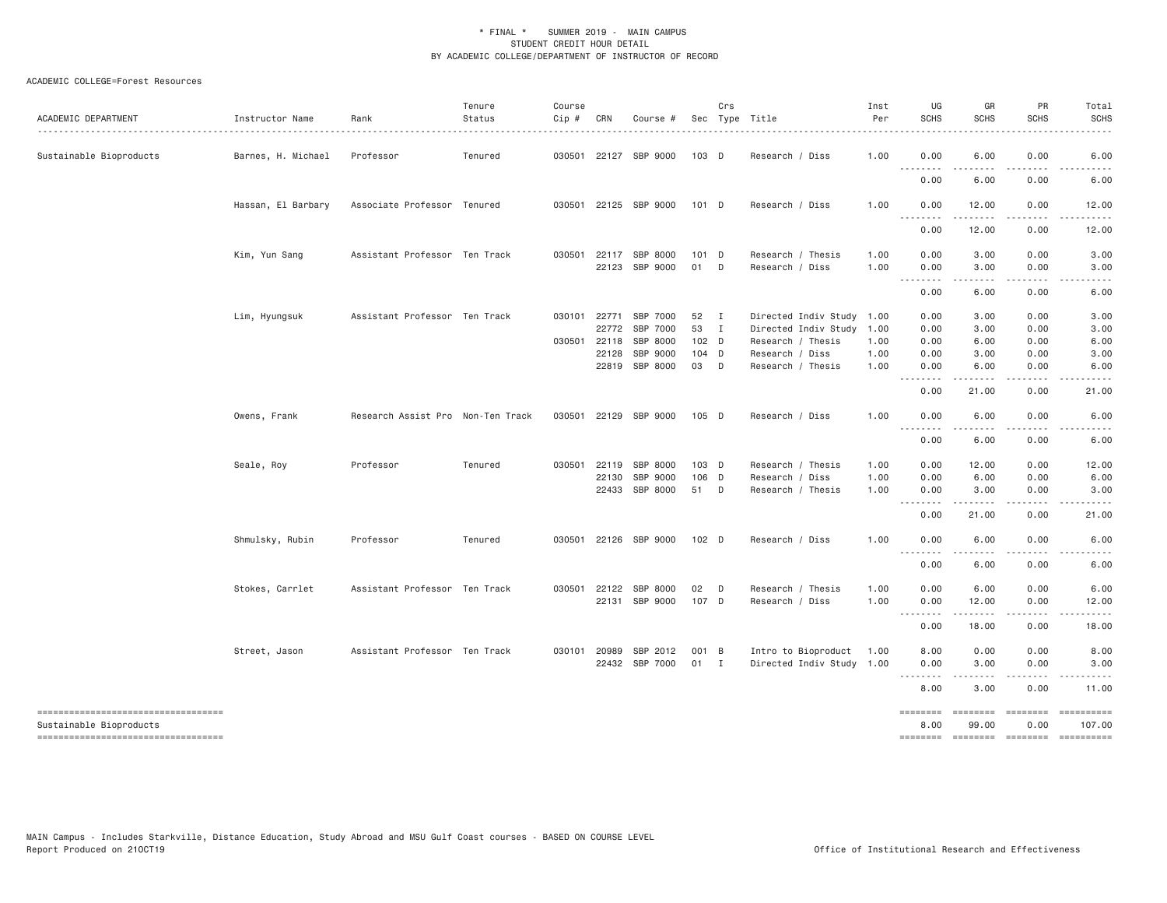### ACADEMIC COLLEGE=Forest Resources

| Sustainable Bioproducts<br>Barnes, H. Michael<br>Professor<br>Tenured<br>030501 22127 SBP 9000<br>103 D<br>Research / Diss<br>1.00<br>0.00<br>6.00<br>0.00<br>.<br>0.00<br>6.00<br>0.00<br>Hassan, El Barbary<br>Associate Professor Tenured<br>030501 22125 SBP 9000<br>101 D<br>Research / Diss<br>1,00<br>0.00<br>12.00<br>0.00<br>.<br>0.00<br>12.00<br>0.00<br>Kim, Yun Sang<br>Assistant Professor Ten Track<br>030501 22117 SBP 8000<br>101 D<br>Research / Thesis<br>1.00<br>0.00<br>3.00<br>0.00<br>22123 SBP 9000<br>01 D<br>Research / Diss<br>0.00<br>3.00<br>0.00<br>1.00<br>.<br>0.00<br>6.00<br>0.00<br>Assistant Professor Ten Track<br>030101 22771<br>SBP 7000<br>52<br>Directed Indiv Study 1.00<br>Lim, Hyungsuk<br>$\blacksquare$<br>0.00<br>3.00<br>0.00<br>22772<br>SBP 7000<br>53<br>0.00<br>$\blacksquare$<br>Directed Indiv Study<br>1.00<br>3.00<br>0.00<br>030501 22118<br>SBP 8000<br>102 D<br>Research / Thesis<br>0.00<br>6.00<br>0.00<br>1.00<br>22128<br>SBP 9000<br>$104$ D<br>Research / Diss<br>1.00<br>0.00<br>3.00<br>0.00<br>22819 SBP 8000<br>03<br>$\Box$<br>Research / Thesis<br>1.00<br>0.00<br>6.00<br>0.00<br>--------<br>.<br>.<br>0.00<br>21.00<br>0.00<br>Research Assist Pro Non-Ten Track<br>030501 22129 SBP 9000<br>0.00<br>0.00<br>Owens, Frank<br>105 D<br>Research / Diss<br>1.00<br>6.00<br>$  -$<br>$- - - -$<br>0.00<br>6.00<br>0.00<br>Professor<br>030501 22119<br>SBP 8000<br>103 D<br>Research / Thesis<br>0.00<br>12.00<br>0.00<br>Seale, Roy<br>Tenured<br>1.00<br>22130<br>SBP 9000<br>106 D<br>0.00<br>Research / Diss<br>1.00<br>6.00<br>0.00<br>22433<br>SBP 8000<br>51 D<br>3.00<br>0.00<br>Research / Thesis<br>1.00<br>0.00<br>.<br>0.00<br>21.00<br>0.00<br>Shmulsky, Rubin<br>Tenured<br>030501 22126 SBP 9000<br>102 <sub>D</sub><br>0.00<br>0.00<br>Professor<br>Research / Diss<br>1.00<br>6.00<br>المتمامين<br>.<br>0.00<br>6.00<br>0.00<br>Stokes, Carrlet<br>Assistant Professor Ten Track<br>030501 22122<br>SBP 8000<br>02<br>$\Box$<br>Research / Thesis<br>1.00<br>0.00<br>6.00<br>0.00<br>107 D<br>1.00<br>22131 SBP 9000<br>Research / Diss<br>0.00<br>12.00<br>0.00<br>$- - - -$<br>.<br>.<br>$\cdots$<br>18.00<br>0.00<br>0.00<br>Assistant Professor Ten Track<br>8.00<br>Street, Jason<br>030101 20989<br>SBP 2012<br>001 B<br>Intro to Bioproduct<br>0.00<br>0.00<br>1.00<br>22432 SBP 7000<br>$01$ I<br>Directed Indiv Study 1.00<br>3.00<br>0.00<br>0.00<br>3.00<br>8.00<br>0.00 | ACADEMIC DEPARTMENT | Instructor Name | Rank | Tenure<br>Status | Course<br>Cip # | CRN | Course # | Crs | Sec Type Title | Inst<br>Per | UG<br><b>SCHS</b> | GR<br>SCHS | PR<br><b>SCHS</b> | Total<br><b>SCHS</b>                      |
|------------------------------------------------------------------------------------------------------------------------------------------------------------------------------------------------------------------------------------------------------------------------------------------------------------------------------------------------------------------------------------------------------------------------------------------------------------------------------------------------------------------------------------------------------------------------------------------------------------------------------------------------------------------------------------------------------------------------------------------------------------------------------------------------------------------------------------------------------------------------------------------------------------------------------------------------------------------------------------------------------------------------------------------------------------------------------------------------------------------------------------------------------------------------------------------------------------------------------------------------------------------------------------------------------------------------------------------------------------------------------------------------------------------------------------------------------------------------------------------------------------------------------------------------------------------------------------------------------------------------------------------------------------------------------------------------------------------------------------------------------------------------------------------------------------------------------------------------------------------------------------------------------------------------------------------------------------------------------------------------------------------------------------------------------------------------------------------------------------------------------------------------------------------------------------------------------------------------------------------------------------------------------------------------------------------------------------------------------------------------------------------------------------------------------------------------------------------------------|---------------------|-----------------|------|------------------|-----------------|-----|----------|-----|----------------|-------------|-------------------|------------|-------------------|-------------------------------------------|
|                                                                                                                                                                                                                                                                                                                                                                                                                                                                                                                                                                                                                                                                                                                                                                                                                                                                                                                                                                                                                                                                                                                                                                                                                                                                                                                                                                                                                                                                                                                                                                                                                                                                                                                                                                                                                                                                                                                                                                                                                                                                                                                                                                                                                                                                                                                                                                                                                                                                              |                     |                 |      |                  |                 |     |          |     |                |             |                   |            |                   | 6.00                                      |
|                                                                                                                                                                                                                                                                                                                                                                                                                                                                                                                                                                                                                                                                                                                                                                                                                                                                                                                                                                                                                                                                                                                                                                                                                                                                                                                                                                                                                                                                                                                                                                                                                                                                                                                                                                                                                                                                                                                                                                                                                                                                                                                                                                                                                                                                                                                                                                                                                                                                              |                     |                 |      |                  |                 |     |          |     |                |             |                   |            |                   | 6.00                                      |
|                                                                                                                                                                                                                                                                                                                                                                                                                                                                                                                                                                                                                                                                                                                                                                                                                                                                                                                                                                                                                                                                                                                                                                                                                                                                                                                                                                                                                                                                                                                                                                                                                                                                                                                                                                                                                                                                                                                                                                                                                                                                                                                                                                                                                                                                                                                                                                                                                                                                              |                     |                 |      |                  |                 |     |          |     |                |             |                   |            |                   | 12.00                                     |
|                                                                                                                                                                                                                                                                                                                                                                                                                                                                                                                                                                                                                                                                                                                                                                                                                                                                                                                                                                                                                                                                                                                                                                                                                                                                                                                                                                                                                                                                                                                                                                                                                                                                                                                                                                                                                                                                                                                                                                                                                                                                                                                                                                                                                                                                                                                                                                                                                                                                              |                     |                 |      |                  |                 |     |          |     |                |             |                   |            |                   | 12.00                                     |
|                                                                                                                                                                                                                                                                                                                                                                                                                                                                                                                                                                                                                                                                                                                                                                                                                                                                                                                                                                                                                                                                                                                                                                                                                                                                                                                                                                                                                                                                                                                                                                                                                                                                                                                                                                                                                                                                                                                                                                                                                                                                                                                                                                                                                                                                                                                                                                                                                                                                              |                     |                 |      |                  |                 |     |          |     |                |             |                   |            |                   | 3.00<br>3.00                              |
|                                                                                                                                                                                                                                                                                                                                                                                                                                                                                                                                                                                                                                                                                                                                                                                                                                                                                                                                                                                                                                                                                                                                                                                                                                                                                                                                                                                                                                                                                                                                                                                                                                                                                                                                                                                                                                                                                                                                                                                                                                                                                                                                                                                                                                                                                                                                                                                                                                                                              |                     |                 |      |                  |                 |     |          |     |                |             |                   |            |                   | 6.00                                      |
|                                                                                                                                                                                                                                                                                                                                                                                                                                                                                                                                                                                                                                                                                                                                                                                                                                                                                                                                                                                                                                                                                                                                                                                                                                                                                                                                                                                                                                                                                                                                                                                                                                                                                                                                                                                                                                                                                                                                                                                                                                                                                                                                                                                                                                                                                                                                                                                                                                                                              |                     |                 |      |                  |                 |     |          |     |                |             |                   |            |                   | 3.00<br>3.00<br>6.00<br>3.00<br>6.00<br>. |
|                                                                                                                                                                                                                                                                                                                                                                                                                                                                                                                                                                                                                                                                                                                                                                                                                                                                                                                                                                                                                                                                                                                                                                                                                                                                                                                                                                                                                                                                                                                                                                                                                                                                                                                                                                                                                                                                                                                                                                                                                                                                                                                                                                                                                                                                                                                                                                                                                                                                              |                     |                 |      |                  |                 |     |          |     |                |             |                   |            |                   | 21.00                                     |
|                                                                                                                                                                                                                                                                                                                                                                                                                                                                                                                                                                                                                                                                                                                                                                                                                                                                                                                                                                                                                                                                                                                                                                                                                                                                                                                                                                                                                                                                                                                                                                                                                                                                                                                                                                                                                                                                                                                                                                                                                                                                                                                                                                                                                                                                                                                                                                                                                                                                              |                     |                 |      |                  |                 |     |          |     |                |             |                   |            |                   | 6.00                                      |
|                                                                                                                                                                                                                                                                                                                                                                                                                                                                                                                                                                                                                                                                                                                                                                                                                                                                                                                                                                                                                                                                                                                                                                                                                                                                                                                                                                                                                                                                                                                                                                                                                                                                                                                                                                                                                                                                                                                                                                                                                                                                                                                                                                                                                                                                                                                                                                                                                                                                              |                     |                 |      |                  |                 |     |          |     |                |             |                   |            |                   | 6.00                                      |
|                                                                                                                                                                                                                                                                                                                                                                                                                                                                                                                                                                                                                                                                                                                                                                                                                                                                                                                                                                                                                                                                                                                                                                                                                                                                                                                                                                                                                                                                                                                                                                                                                                                                                                                                                                                                                                                                                                                                                                                                                                                                                                                                                                                                                                                                                                                                                                                                                                                                              |                     |                 |      |                  |                 |     |          |     |                |             |                   |            |                   | 12.00                                     |
|                                                                                                                                                                                                                                                                                                                                                                                                                                                                                                                                                                                                                                                                                                                                                                                                                                                                                                                                                                                                                                                                                                                                                                                                                                                                                                                                                                                                                                                                                                                                                                                                                                                                                                                                                                                                                                                                                                                                                                                                                                                                                                                                                                                                                                                                                                                                                                                                                                                                              |                     |                 |      |                  |                 |     |          |     |                |             |                   |            |                   | 6.00                                      |
|                                                                                                                                                                                                                                                                                                                                                                                                                                                                                                                                                                                                                                                                                                                                                                                                                                                                                                                                                                                                                                                                                                                                                                                                                                                                                                                                                                                                                                                                                                                                                                                                                                                                                                                                                                                                                                                                                                                                                                                                                                                                                                                                                                                                                                                                                                                                                                                                                                                                              |                     |                 |      |                  |                 |     |          |     |                |             |                   |            |                   | 3.00                                      |
|                                                                                                                                                                                                                                                                                                                                                                                                                                                                                                                                                                                                                                                                                                                                                                                                                                                                                                                                                                                                                                                                                                                                                                                                                                                                                                                                                                                                                                                                                                                                                                                                                                                                                                                                                                                                                                                                                                                                                                                                                                                                                                                                                                                                                                                                                                                                                                                                                                                                              |                     |                 |      |                  |                 |     |          |     |                |             |                   |            |                   | 21.00                                     |
|                                                                                                                                                                                                                                                                                                                                                                                                                                                                                                                                                                                                                                                                                                                                                                                                                                                                                                                                                                                                                                                                                                                                                                                                                                                                                                                                                                                                                                                                                                                                                                                                                                                                                                                                                                                                                                                                                                                                                                                                                                                                                                                                                                                                                                                                                                                                                                                                                                                                              |                     |                 |      |                  |                 |     |          |     |                |             |                   |            |                   | 6.00                                      |
|                                                                                                                                                                                                                                                                                                                                                                                                                                                                                                                                                                                                                                                                                                                                                                                                                                                                                                                                                                                                                                                                                                                                                                                                                                                                                                                                                                                                                                                                                                                                                                                                                                                                                                                                                                                                                                                                                                                                                                                                                                                                                                                                                                                                                                                                                                                                                                                                                                                                              |                     |                 |      |                  |                 |     |          |     |                |             |                   |            |                   | 6.00                                      |
|                                                                                                                                                                                                                                                                                                                                                                                                                                                                                                                                                                                                                                                                                                                                                                                                                                                                                                                                                                                                                                                                                                                                                                                                                                                                                                                                                                                                                                                                                                                                                                                                                                                                                                                                                                                                                                                                                                                                                                                                                                                                                                                                                                                                                                                                                                                                                                                                                                                                              |                     |                 |      |                  |                 |     |          |     |                |             |                   |            |                   | 6.00                                      |
|                                                                                                                                                                                                                                                                                                                                                                                                                                                                                                                                                                                                                                                                                                                                                                                                                                                                                                                                                                                                                                                                                                                                                                                                                                                                                                                                                                                                                                                                                                                                                                                                                                                                                                                                                                                                                                                                                                                                                                                                                                                                                                                                                                                                                                                                                                                                                                                                                                                                              |                     |                 |      |                  |                 |     |          |     |                |             |                   |            |                   | 12.00                                     |
|                                                                                                                                                                                                                                                                                                                                                                                                                                                                                                                                                                                                                                                                                                                                                                                                                                                                                                                                                                                                                                                                                                                                                                                                                                                                                                                                                                                                                                                                                                                                                                                                                                                                                                                                                                                                                                                                                                                                                                                                                                                                                                                                                                                                                                                                                                                                                                                                                                                                              |                     |                 |      |                  |                 |     |          |     |                |             |                   |            |                   | .<br>18.00                                |
|                                                                                                                                                                                                                                                                                                                                                                                                                                                                                                                                                                                                                                                                                                                                                                                                                                                                                                                                                                                                                                                                                                                                                                                                                                                                                                                                                                                                                                                                                                                                                                                                                                                                                                                                                                                                                                                                                                                                                                                                                                                                                                                                                                                                                                                                                                                                                                                                                                                                              |                     |                 |      |                  |                 |     |          |     |                |             |                   |            |                   | 8.00                                      |
|                                                                                                                                                                                                                                                                                                                                                                                                                                                                                                                                                                                                                                                                                                                                                                                                                                                                                                                                                                                                                                                                                                                                                                                                                                                                                                                                                                                                                                                                                                                                                                                                                                                                                                                                                                                                                                                                                                                                                                                                                                                                                                                                                                                                                                                                                                                                                                                                                                                                              |                     |                 |      |                  |                 |     |          |     |                |             |                   |            |                   | 3.00                                      |
|                                                                                                                                                                                                                                                                                                                                                                                                                                                                                                                                                                                                                                                                                                                                                                                                                                                                                                                                                                                                                                                                                                                                                                                                                                                                                                                                                                                                                                                                                                                                                                                                                                                                                                                                                                                                                                                                                                                                                                                                                                                                                                                                                                                                                                                                                                                                                                                                                                                                              |                     |                 |      |                  |                 |     |          |     |                |             |                   |            |                   | 11.00                                     |
| ----------------------------------<br><b>EDESSEE</b><br>8.00<br>99.00<br>0.00<br>Sustainable Bioproducts<br>=====================================<br>========<br>========<br>========                                                                                                                                                                                                                                                                                                                                                                                                                                                                                                                                                                                                                                                                                                                                                                                                                                                                                                                                                                                                                                                                                                                                                                                                                                                                                                                                                                                                                                                                                                                                                                                                                                                                                                                                                                                                                                                                                                                                                                                                                                                                                                                                                                                                                                                                                        |                     |                 |      |                  |                 |     |          |     |                |             |                   |            |                   | ==========<br>107.00<br>==========        |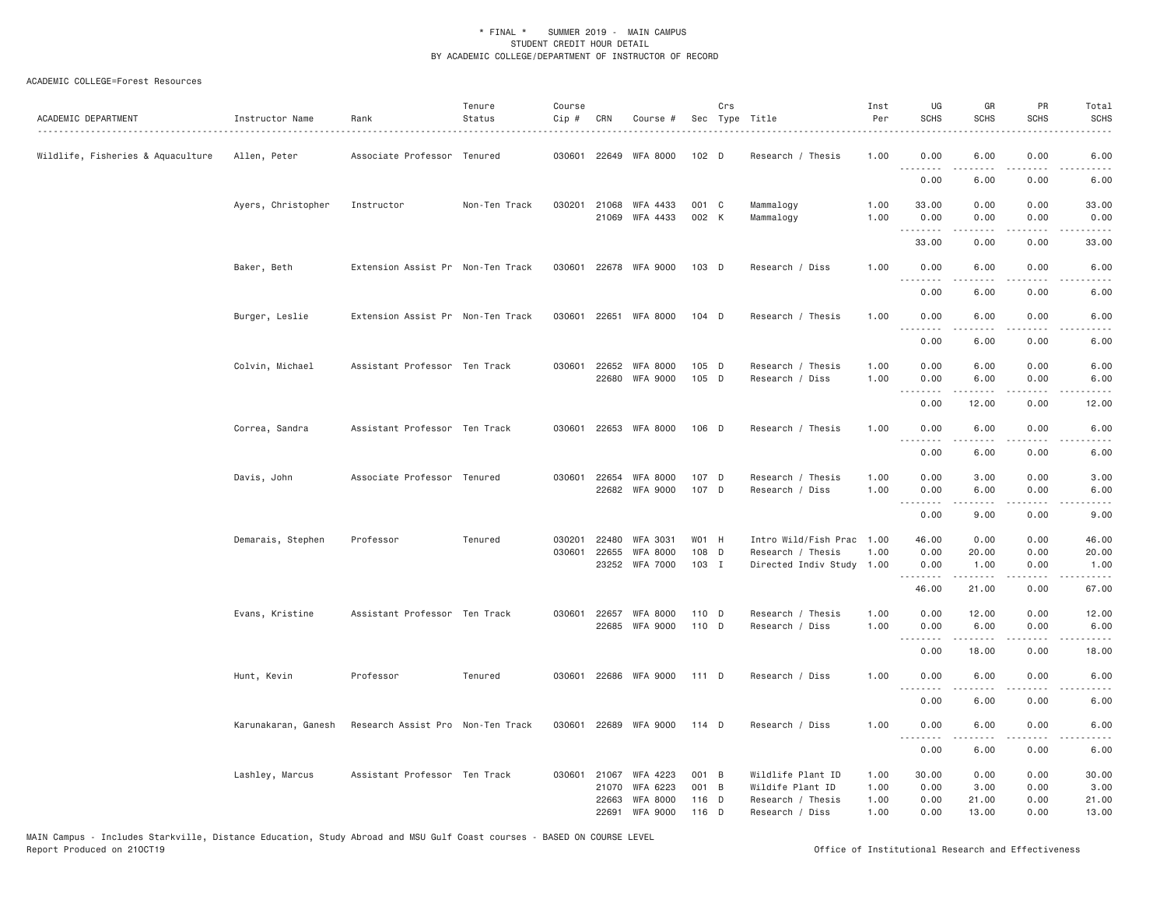### ACADEMIC COLLEGE=Forest Resources

| Instructor Name     | Rank       | Tenure<br>Status | Course<br>Cip #                                                                                                                                                                                                                                                                                               | CRN   | Course #                                       |                                                                                                                                                                                                                                                                                                                                                                                                                          | Crs | <u>.</u>                                                                                                                                                                                      | Inst<br>Per                                            | UG<br><b>SCHS</b>                         | GR<br><b>SCHS</b>                                                                                                                                                                        | PR<br><b>SCHS</b>                                                                                                                                                                                                                                            | Total<br><b>SCHS</b>                                   |
|---------------------|------------|------------------|---------------------------------------------------------------------------------------------------------------------------------------------------------------------------------------------------------------------------------------------------------------------------------------------------------------|-------|------------------------------------------------|--------------------------------------------------------------------------------------------------------------------------------------------------------------------------------------------------------------------------------------------------------------------------------------------------------------------------------------------------------------------------------------------------------------------------|-----|-----------------------------------------------------------------------------------------------------------------------------------------------------------------------------------------------|--------------------------------------------------------|-------------------------------------------|------------------------------------------------------------------------------------------------------------------------------------------------------------------------------------------|--------------------------------------------------------------------------------------------------------------------------------------------------------------------------------------------------------------------------------------------------------------|--------------------------------------------------------|
| Allen, Peter        |            |                  |                                                                                                                                                                                                                                                                                                               |       |                                                |                                                                                                                                                                                                                                                                                                                                                                                                                          |     | Research / Thesis                                                                                                                                                                             | 1.00                                                   | 0.00                                      | 6.00                                                                                                                                                                                     | 0.00                                                                                                                                                                                                                                                         | 6.00                                                   |
|                     |            |                  |                                                                                                                                                                                                                                                                                                               |       |                                                |                                                                                                                                                                                                                                                                                                                                                                                                                          |     |                                                                                                                                                                                               |                                                        | 0.00                                      | 6.00                                                                                                                                                                                     | 0.00                                                                                                                                                                                                                                                         | 6.00                                                   |
| Ayers, Christopher  | Instructor | Non-Ten Track    |                                                                                                                                                                                                                                                                                                               |       |                                                |                                                                                                                                                                                                                                                                                                                                                                                                                          |     | Mammalogy<br>Mammalogy                                                                                                                                                                        | 1.00<br>1.00                                           | 33.00<br>0.00                             | 0.00<br>0.00                                                                                                                                                                             | 0.00<br>0.00                                                                                                                                                                                                                                                 | 33.00<br>0.00                                          |
|                     |            |                  |                                                                                                                                                                                                                                                                                                               |       |                                                |                                                                                                                                                                                                                                                                                                                                                                                                                          |     |                                                                                                                                                                                               |                                                        | 33.00                                     | 0.00                                                                                                                                                                                     | 0.00                                                                                                                                                                                                                                                         | .<br>33.00                                             |
| Baker, Beth         |            |                  |                                                                                                                                                                                                                                                                                                               |       |                                                |                                                                                                                                                                                                                                                                                                                                                                                                                          |     | Research / Diss                                                                                                                                                                               | 1.00                                                   | 0.00                                      | 6.00                                                                                                                                                                                     | 0.00                                                                                                                                                                                                                                                         | 6.00<br>$- - - -$                                      |
|                     |            |                  |                                                                                                                                                                                                                                                                                                               |       |                                                |                                                                                                                                                                                                                                                                                                                                                                                                                          |     |                                                                                                                                                                                               |                                                        | 0.00                                      | 6.00                                                                                                                                                                                     | 0.00                                                                                                                                                                                                                                                         | 6.00                                                   |
| Burger, Leslie      |            |                  |                                                                                                                                                                                                                                                                                                               |       |                                                |                                                                                                                                                                                                                                                                                                                                                                                                                          |     | Research / Thesis                                                                                                                                                                             | 1.00                                                   | 0.00<br>.                                 | 6.00<br>.                                                                                                                                                                                | 0.00<br>$- - - -$                                                                                                                                                                                                                                            | 6.00                                                   |
|                     |            |                  |                                                                                                                                                                                                                                                                                                               |       |                                                |                                                                                                                                                                                                                                                                                                                                                                                                                          |     |                                                                                                                                                                                               |                                                        | 0.00                                      | 6.00                                                                                                                                                                                     | 0.00                                                                                                                                                                                                                                                         | 6.00                                                   |
| Colvin, Michael     |            |                  |                                                                                                                                                                                                                                                                                                               |       |                                                |                                                                                                                                                                                                                                                                                                                                                                                                                          |     | Research / Thesis<br>Research / Diss                                                                                                                                                          | 1.00<br>1.00                                           | 0.00<br>0.00                              | 6.00<br>6.00                                                                                                                                                                             | 0.00<br>0.00                                                                                                                                                                                                                                                 | 6.00<br>6.00                                           |
|                     |            |                  |                                                                                                                                                                                                                                                                                                               |       |                                                |                                                                                                                                                                                                                                                                                                                                                                                                                          |     |                                                                                                                                                                                               |                                                        | 0.00                                      | 12.00                                                                                                                                                                                    | 0.00                                                                                                                                                                                                                                                         | .<br>12.00                                             |
| Correa, Sandra      |            |                  |                                                                                                                                                                                                                                                                                                               |       |                                                |                                                                                                                                                                                                                                                                                                                                                                                                                          |     | Research / Thesis                                                                                                                                                                             | 1.00                                                   | 0.00                                      | 6.00                                                                                                                                                                                     | 0.00                                                                                                                                                                                                                                                         | 6.00                                                   |
|                     |            |                  |                                                                                                                                                                                                                                                                                                               |       |                                                |                                                                                                                                                                                                                                                                                                                                                                                                                          |     |                                                                                                                                                                                               |                                                        | 0.00                                      | 6.00                                                                                                                                                                                     | 0.00                                                                                                                                                                                                                                                         | 6.00                                                   |
| Davis, John         |            |                  |                                                                                                                                                                                                                                                                                                               |       |                                                |                                                                                                                                                                                                                                                                                                                                                                                                                          |     | Research / Thesis<br>Research / Diss                                                                                                                                                          | 1.00<br>1.00                                           | 0.00<br>0.00                              | 3.00<br>6.00                                                                                                                                                                             | 0.00<br>0.00                                                                                                                                                                                                                                                 | 3.00<br>6.00                                           |
|                     |            |                  |                                                                                                                                                                                                                                                                                                               |       |                                                |                                                                                                                                                                                                                                                                                                                                                                                                                          |     |                                                                                                                                                                                               |                                                        | 0.00                                      | 9.00                                                                                                                                                                                     | 0.00                                                                                                                                                                                                                                                         | $    -$<br>9.00                                        |
| Demarais, Stephen   | Professor  | Tenured          |                                                                                                                                                                                                                                                                                                               |       | <b>WFA 3031</b>                                |                                                                                                                                                                                                                                                                                                                                                                                                                          |     | Intro Wild/Fish Prac                                                                                                                                                                          | 1.00                                                   | 46.00                                     | 0.00                                                                                                                                                                                     | 0.00                                                                                                                                                                                                                                                         | 46.00<br>20.00                                         |
|                     |            |                  |                                                                                                                                                                                                                                                                                                               |       |                                                |                                                                                                                                                                                                                                                                                                                                                                                                                          |     |                                                                                                                                                                                               |                                                        | 0.00                                      | 1.00                                                                                                                                                                                     | 0.00                                                                                                                                                                                                                                                         | 1.00<br>.                                              |
|                     |            |                  |                                                                                                                                                                                                                                                                                                               |       |                                                |                                                                                                                                                                                                                                                                                                                                                                                                                          |     |                                                                                                                                                                                               |                                                        | 46.00                                     | 21.00                                                                                                                                                                                    | 0.00                                                                                                                                                                                                                                                         | 67.00                                                  |
| Evans, Kristine     |            |                  |                                                                                                                                                                                                                                                                                                               |       |                                                |                                                                                                                                                                                                                                                                                                                                                                                                                          |     | Research / Thesis<br>Research / Diss                                                                                                                                                          | 1.00<br>1,00                                           | 0.00<br>0.00                              | 12.00<br>6.00                                                                                                                                                                            | 0.00<br>0.00                                                                                                                                                                                                                                                 | 12.00<br>6.00                                          |
|                     |            |                  |                                                                                                                                                                                                                                                                                                               |       |                                                |                                                                                                                                                                                                                                                                                                                                                                                                                          |     |                                                                                                                                                                                               |                                                        | 0.00                                      | $\frac{1}{2} \left( \frac{1}{2} \right) \left( \frac{1}{2} \right) \left( \frac{1}{2} \right) \left( \frac{1}{2} \right) \left( \frac{1}{2} \right) \left( \frac{1}{2} \right)$<br>18.00 | .<br>0.00                                                                                                                                                                                                                                                    | .<br>18.00                                             |
| Hunt, Kevin         | Professor  | Tenured          |                                                                                                                                                                                                                                                                                                               |       |                                                |                                                                                                                                                                                                                                                                                                                                                                                                                          |     | Research / Diss                                                                                                                                                                               | 1.00                                                   | 0.00                                      | 6.00                                                                                                                                                                                     | 0.00                                                                                                                                                                                                                                                         | 6.00                                                   |
|                     |            |                  |                                                                                                                                                                                                                                                                                                               |       |                                                |                                                                                                                                                                                                                                                                                                                                                                                                                          |     |                                                                                                                                                                                               |                                                        | 0.00                                      | 6.00                                                                                                                                                                                     | 0.00                                                                                                                                                                                                                                                         | 6.00                                                   |
| Karunakaran, Ganesh |            |                  |                                                                                                                                                                                                                                                                                                               |       |                                                |                                                                                                                                                                                                                                                                                                                                                                                                                          |     | Research / Diss                                                                                                                                                                               | 1.00                                                   | 0.00                                      | 6.00<br>$\frac{1}{2} \left( \frac{1}{2} \right) \left( \frac{1}{2} \right) \left( \frac{1}{2} \right) \left( \frac{1}{2} \right) \left( \frac{1}{2} \right)$                             | 0.00                                                                                                                                                                                                                                                         | 6.00<br>-----                                          |
|                     |            |                  |                                                                                                                                                                                                                                                                                                               |       |                                                |                                                                                                                                                                                                                                                                                                                                                                                                                          |     |                                                                                                                                                                                               |                                                        | 0.00                                      | 6.00                                                                                                                                                                                     | 0.00                                                                                                                                                                                                                                                         | 6.00                                                   |
| Lashley, Marcus     |            |                  |                                                                                                                                                                                                                                                                                                               | 21070 | WFA 4223<br><b>WFA 6223</b><br><b>WFA 8000</b> |                                                                                                                                                                                                                                                                                                                                                                                                                          |     | Wildlife Plant ID<br>Wildife Plant ID<br>Research / Thesis                                                                                                                                    | 1.00<br>1.00<br>1.00                                   | 30.00<br>0.00<br>0.00                     | 0.00<br>3.00<br>21.00                                                                                                                                                                    | 0.00<br>0.00<br>0.00                                                                                                                                                                                                                                         | 30.00<br>3.00<br>21.00<br>13.00                        |
|                     |            |                  | Associate Professor Tenured<br>Extension Assist Pr Non-Ten Track<br>Extension Assist Pr Non-Ten Track<br>Assistant Professor Ten Track<br>Assistant Professor Ten Track<br>Associate Professor Tenured<br>Assistant Professor Ten Track<br>Research Assist Pro Non-Ten Track<br>Assistant Professor Ten Track |       | 030201<br>22663<br>22691                       | 030601 22649 WFA 8000<br>030201 21068 WFA 4433<br>21069 WFA 4433<br>030601 22678 WFA 9000<br>030601 22651 WFA 8000<br>030601 22652 WFA 8000<br>22680 WFA 9000<br>030601 22653 WFA 8000<br>030601 22654 WFA 8000<br>22682 WFA 9000<br>22480<br>030601 22655<br>WFA 8000<br>23252 WFA 7000<br>030601 22657 WFA 8000<br>22685 WFA 9000<br>030601 22686 WFA 9000<br>030601 22689 WFA 9000<br>030601 21067<br><b>WFA 9000</b> |     | 102 D<br>001 C<br>002 K<br>$103$ D<br>$104$ D<br>105 D<br>105 D<br>106 D<br>107 D<br>107 D<br>W01 H<br>108 D<br>103 I<br>110 D<br>110 D<br>111 D<br>114 D<br>001 B<br>001 B<br>116 D<br>116 D | Sec Type Title<br>Research / Thesis<br>Research / Diss | 1.00<br>Directed Indiv Study 1.00<br>1.00 | .<br>. <b>.</b><br>.<br>0.00<br>.<br>.<br><u>.</u><br>.<br>0.00                                                                                                                          | .<br>المتمالين<br>.<br>.<br>$\frac{1}{2} \left( \frac{1}{2} \right) \left( \frac{1}{2} \right) \left( \frac{1}{2} \right) \left( \frac{1}{2} \right) \left( \frac{1}{2} \right) \left( \frac{1}{2} \right)$<br>$2 - 2 - 2 - 2$<br>20.00<br><u>.</u><br>13,00 | .<br>$\frac{1}{2}$<br>.<br>.<br>.<br>0.00<br>.<br>0.00 |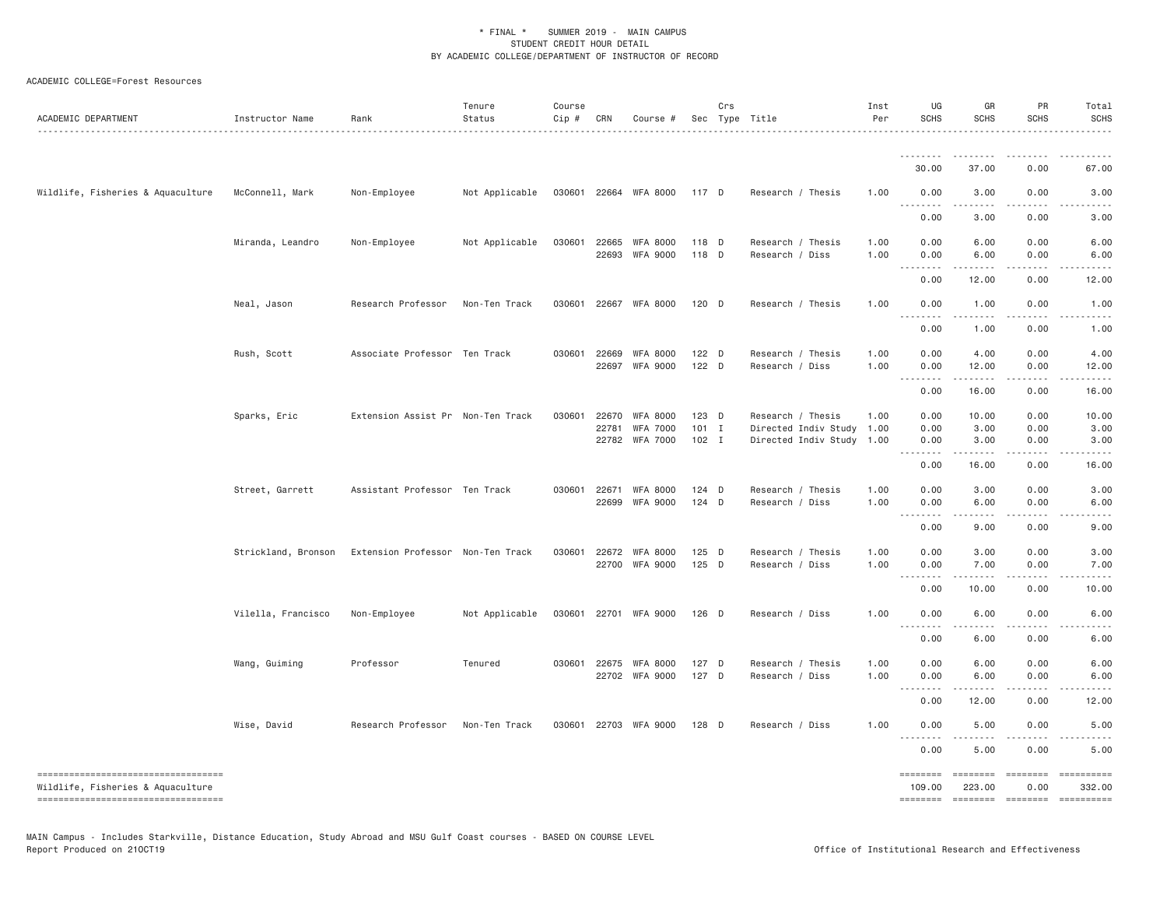ACADEMIC COLLEGE=Forest Resources

| ACADEMIC DEPARTMENT                                                        | Instructor Name     | Rank                              | Tenure<br>Status | Course<br>$Cip \#$ | CRN          | Course #                    |                    | Crs | Sec Type Title                                         | Inst<br>Per | UG<br><b>SCHS</b>                                    | GR<br><b>SCHS</b>     | PR<br>SCHS        | Total<br><b>SCHS</b>                                                                                                                                                                                                                                                                                                                                                                                                                |
|----------------------------------------------------------------------------|---------------------|-----------------------------------|------------------|--------------------|--------------|-----------------------------|--------------------|-----|--------------------------------------------------------|-------------|------------------------------------------------------|-----------------------|-------------------|-------------------------------------------------------------------------------------------------------------------------------------------------------------------------------------------------------------------------------------------------------------------------------------------------------------------------------------------------------------------------------------------------------------------------------------|
|                                                                            |                     |                                   |                  |                    |              |                             |                    |     |                                                        |             | <u>.</u>                                             |                       |                   |                                                                                                                                                                                                                                                                                                                                                                                                                                     |
|                                                                            |                     |                                   |                  |                    |              |                             |                    |     |                                                        |             | 30.00                                                | 37,00                 | 0.00              | 67.00                                                                                                                                                                                                                                                                                                                                                                                                                               |
| Wildlife, Fisheries & Aquaculture                                          | McConnell, Mark     | Non-Employee                      | Not Applicable   |                    |              | 030601 22664 WFA 8000 117 D |                    |     | Research / Thesis                                      | 1.00        | 0.00<br>$\sim$ $\sim$ $\sim$<br>$- - - -$            | 3.00<br>$\frac{1}{2}$ | 0.00              | 3.00                                                                                                                                                                                                                                                                                                                                                                                                                                |
|                                                                            |                     |                                   |                  |                    |              |                             |                    |     |                                                        |             | 0.00                                                 | 3.00                  | 0.00              | 3.00                                                                                                                                                                                                                                                                                                                                                                                                                                |
|                                                                            | Miranda, Leandro    | Non-Employee                      | Not Applicable   |                    | 030601 22665 | WFA 8000                    | 118 D              |     | Research / Thesis                                      | 1.00        | 0.00                                                 | 6.00                  | 0.00              | 6.00                                                                                                                                                                                                                                                                                                                                                                                                                                |
|                                                                            |                     |                                   |                  |                    | 22693        | WFA 9000                    | 118 D              |     | Research / Diss                                        | 1.00        | 0.00<br>$\frac{1}{2}$<br>$\sim$ $\sim$ $\sim$        | 6.00<br>.             | 0.00<br>$- - - -$ | 6.00                                                                                                                                                                                                                                                                                                                                                                                                                                |
|                                                                            |                     |                                   |                  |                    |              |                             |                    |     |                                                        |             | 0.00                                                 | 12.00                 | 0.00              | 12.00                                                                                                                                                                                                                                                                                                                                                                                                                               |
|                                                                            | Neal, Jason         | Research Professor                | Non-Ten Track    |                    |              | 030601 22667 WFA 8000       | 120 D              |     | Research / Thesis                                      | 1.00        | 0.00<br>$- -$                                        | 1.00                  | 0.00              | 1.00                                                                                                                                                                                                                                                                                                                                                                                                                                |
|                                                                            |                     |                                   |                  |                    |              |                             |                    |     |                                                        |             | 0.00                                                 | 1.00                  | 0.00              | 1.00                                                                                                                                                                                                                                                                                                                                                                                                                                |
|                                                                            | Rush, Scott         | Associate Professor Ten Track     |                  |                    | 030601 22669 | <b>WFA 8000</b>             | $122$ D            |     | Research / Thesis                                      | 1.00        | 0.00                                                 | 4.00                  | 0.00              | 4.00                                                                                                                                                                                                                                                                                                                                                                                                                                |
|                                                                            |                     |                                   |                  |                    |              | 22697 WFA 9000              | 122 D              |     | Research / Diss                                        | 1.00        | 0.00<br>$\omega$ is a set of<br>$\sim$ $\sim$ $\sim$ | 12.00<br>. <b>.</b>   | 0.00<br>.         | 12.00<br>.                                                                                                                                                                                                                                                                                                                                                                                                                          |
|                                                                            |                     |                                   |                  |                    |              |                             |                    |     |                                                        |             | 0.00                                                 | 16.00                 | 0.00              | 16.00                                                                                                                                                                                                                                                                                                                                                                                                                               |
|                                                                            | Sparks, Eric        | Extension Assist Pr Non-Ten Track |                  | 030601             | 22670        | <b>WFA 8000</b>             | $123$ D<br>$101$ I |     | Research / Thesis                                      | 1.00        | 0.00                                                 | 10.00                 | 0.00              | 10.00                                                                                                                                                                                                                                                                                                                                                                                                                               |
|                                                                            |                     |                                   |                  |                    | 22781        | WFA 7000<br>22782 WFA 7000  | $102$ I            |     | Directed Indiv Study 1.00<br>Directed Indiv Study 1.00 |             | 0.00<br>0.00                                         | 3.00<br>3.00          | 0.00<br>0.00      | 3.00<br>3.00                                                                                                                                                                                                                                                                                                                                                                                                                        |
|                                                                            |                     |                                   |                  |                    |              |                             |                    |     |                                                        |             | $\sim$ $\sim$ $\sim$<br>.<br>0.00                    | .<br>16.00            | 0.00              | 16.00                                                                                                                                                                                                                                                                                                                                                                                                                               |
|                                                                            | Street, Garrett     | Assistant Professor Ten Track     |                  |                    |              | 030601 22671 WFA 8000       | $124$ D            |     | Research / Thesis                                      | 1.00        | 0.00                                                 | 3.00                  | 0.00              | 3.00                                                                                                                                                                                                                                                                                                                                                                                                                                |
|                                                                            |                     |                                   |                  |                    | 22699        | <b>WFA 9000</b>             | 124 D              |     | Research / Diss                                        | 1.00        | 0.00<br>$\sim$ $\sim$<br>.                           | 6.00                  | 0.00              | 6.00                                                                                                                                                                                                                                                                                                                                                                                                                                |
|                                                                            |                     |                                   |                  |                    |              |                             |                    |     |                                                        |             | 0.00                                                 | 9.00                  | 0.00              | 9.00                                                                                                                                                                                                                                                                                                                                                                                                                                |
|                                                                            | Strickland, Bronson | Extension Professor Non-Ten Track |                  |                    |              | 030601 22672 WFA 8000       | 125 D              |     | Research / Thesis                                      | 1.00        | 0.00                                                 | 3.00                  | 0.00              | 3.00                                                                                                                                                                                                                                                                                                                                                                                                                                |
|                                                                            |                     |                                   |                  |                    |              | 22700 WFA 9000              | 125 D              |     | Research / Diss                                        | 1.00        | 0.00<br>$\sim$ $\sim$ .<br>$\sim$ $\sim$ $\sim$      | 7.00                  | 0.00              | 7.00                                                                                                                                                                                                                                                                                                                                                                                                                                |
|                                                                            |                     |                                   |                  |                    |              |                             |                    |     |                                                        |             | 0.00                                                 | 10.00                 | 0.00              | 10.00                                                                                                                                                                                                                                                                                                                                                                                                                               |
|                                                                            | Vilella, Francisco  | Non-Employee                      | Not Applicable   |                    |              | 030601 22701 WFA 9000       | 126 D              |     | Research / Diss                                        | 1.00        | 0.00<br>$\sim$ $\sim$ $\sim$<br>.                    | 6.00<br>د د د د د     | 0.00<br>.         | 6.00                                                                                                                                                                                                                                                                                                                                                                                                                                |
|                                                                            |                     |                                   |                  |                    |              |                             |                    |     |                                                        |             | 0.00                                                 | 6.00                  | 0.00              | 6.00                                                                                                                                                                                                                                                                                                                                                                                                                                |
|                                                                            | Wang, Guiming       | Professor                         | Tenured          |                    |              | 030601 22675 WFA 8000       | 127 D              |     | Research / Thesis                                      | 1.00        | 0.00                                                 | 6.00                  | 0.00              | 6.00                                                                                                                                                                                                                                                                                                                                                                                                                                |
|                                                                            |                     |                                   |                  |                    |              | 22702 WFA 9000              | 127 D              |     | Research / Diss                                        | 1.00        | 0.00<br>$\sim$ $\sim$                                | 6.00                  | 0.00              | 6.00                                                                                                                                                                                                                                                                                                                                                                                                                                |
|                                                                            |                     |                                   |                  |                    |              |                             |                    |     |                                                        |             | 0.00                                                 | 12.00                 | 0.00              | 12.00                                                                                                                                                                                                                                                                                                                                                                                                                               |
|                                                                            | Wise, David         | Research Professor                | Non-Ten Track    |                    |              | 030601 22703 WFA 9000       | 128 D              |     | Research / Diss                                        | 1.00        | 0.00<br>1.1.1.1.1.1.1                                | 5.00<br>-----         | 0.00              | 5.00                                                                                                                                                                                                                                                                                                                                                                                                                                |
|                                                                            |                     |                                   |                  |                    |              |                             |                    |     |                                                        |             | 0.00                                                 | 5.00                  | 0.00              | 5.00                                                                                                                                                                                                                                                                                                                                                                                                                                |
| =====================================<br>Wildlife, Fisheries & Aquaculture |                     |                                   |                  |                    |              |                             |                    |     |                                                        |             | ========<br>109.00                                   | ========<br>223.00    | ========<br>0.00  | ==========<br>332.00                                                                                                                                                                                                                                                                                                                                                                                                                |
| ----------------------------------                                         |                     |                                   |                  |                    |              |                             |                    |     |                                                        |             | ========                                             |                       | --------- ------- | $\begin{minipage}{0.9\linewidth} \hspace*{-0.2cm} \textbf{1} & \textbf{2} & \textbf{3} & \textbf{5} & \textbf{6} & \textbf{7} & \textbf{8} \\ \textbf{5} & \textbf{6} & \textbf{7} & \textbf{8} & \textbf{8} & \textbf{8} & \textbf{8} & \textbf{8} \\ \textbf{6} & \textbf{8} & \textbf{8} & \textbf{8} & \textbf{8} & \textbf{8} & \textbf{8} & \textbf{8} \\ \textbf{7} & \textbf{8} & \textbf{8} & \textbf{8} & \textbf{8} & \$ |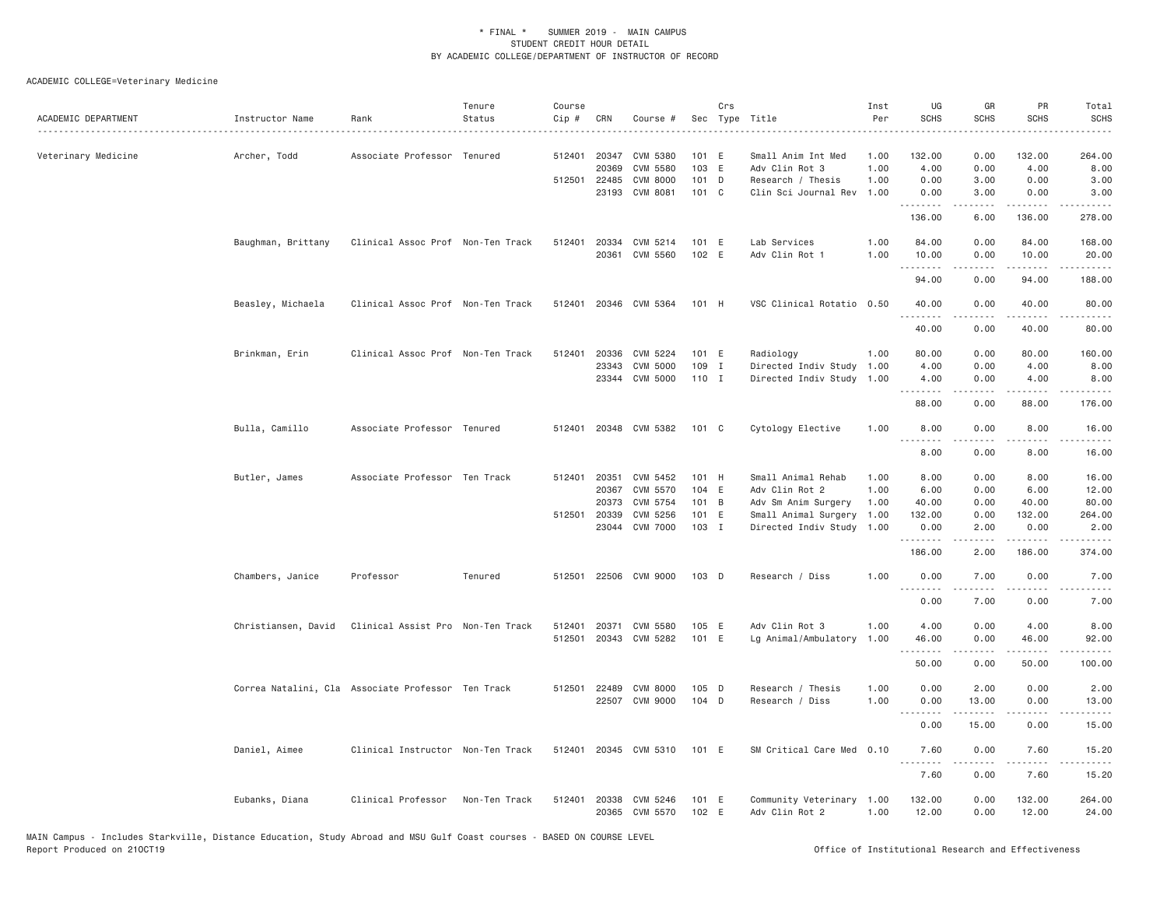| ACADEMIC DEPARTMENT | Instructor Name                                    | Rank                              | Tenure<br>Status | Course<br>Cip # | CRN            | Course #                         | Sec            | Crs | Type Title                                  | Inst<br>Per  | UG<br><b>SCHS</b>  | GR<br><b>SCHS</b> | PR<br><b>SCHS</b>  | Total<br>SCHS                                                                                                                                                |
|---------------------|----------------------------------------------------|-----------------------------------|------------------|-----------------|----------------|----------------------------------|----------------|-----|---------------------------------------------|--------------|--------------------|-------------------|--------------------|--------------------------------------------------------------------------------------------------------------------------------------------------------------|
| Veterinary Medicine | Archer, Todd                                       | Associate Professor Tenured       |                  | 512401          | 20347<br>20369 | CVM 5380<br>CVM 5580             | 101 E<br>103 E |     | Small Anim Int Med<br>Adv Clin Rot 3        | 1.00<br>1.00 | 132.00<br>4.00     | 0.00<br>0.00      | 132.00<br>4.00     | 264.00<br>8.00                                                                                                                                               |
|                     |                                                    |                                   |                  |                 | 512501 22485   | CVM 8000                         | 101 D          |     | Research / Thesis                           | 1.00         | 0.00               | 3.00              | 0.00               | 3.00                                                                                                                                                         |
|                     |                                                    |                                   |                  |                 | 23193          | CVM 8081                         | 101 C          |     | Clin Sci Journal Rev                        | 1.00         | 0.00<br>.          | 3.00<br>.         | 0.00<br>.          | 3.00<br>.                                                                                                                                                    |
|                     |                                                    |                                   |                  |                 |                |                                  |                |     |                                             |              | 136.00             | 6.00              | 136.00             | 278.00                                                                                                                                                       |
|                     | Baughman, Brittany                                 | Clinical Assoc Prof Non-Ten Track |                  | 512401          | 20334          | CVM 5214                         | 101 E          |     | Lab Services                                | 1.00         | 84.00              | 0.00              | 84.00              | 168.00                                                                                                                                                       |
|                     |                                                    |                                   |                  |                 |                | 20361 CVM 5560                   | 102 E          |     | Adv Clin Rot 1                              | 1.00         | 10.00<br><u>.</u>  | 0.00<br>.         | 10.00<br>.         | 20.00<br>.                                                                                                                                                   |
|                     |                                                    |                                   |                  |                 |                |                                  |                |     |                                             |              | 94.00              | 0.00              | 94.00              | 188.00                                                                                                                                                       |
|                     | Beasley, Michaela                                  | Clinical Assoc Prof Non-Ten Track |                  |                 |                | 512401 20346 CVM 5364            | 101 H          |     | VSC Clinical Rotatio 0.50                   |              | 40.00              | 0.00              | 40.00              | 80.00                                                                                                                                                        |
|                     |                                                    |                                   |                  |                 |                |                                  |                |     |                                             |              | 40.00              | 0.00              | 40.00              | 80.00                                                                                                                                                        |
|                     | Brinkman, Erin                                     | Clinical Assoc Prof Non-Ten Track |                  |                 | 512401 20336   | CVM 5224                         | 101 E          |     | Radiology                                   | 1.00         | 80.00              | 0.00              | 80.00              | 160.00                                                                                                                                                       |
|                     |                                                    |                                   |                  |                 | 23343          | CVM 5000                         | 109 I          |     | Directed Indiv Study                        | 1.00         | 4.00               | 0.00              | 4.00               | 8.00                                                                                                                                                         |
|                     |                                                    |                                   |                  |                 |                | 23344 CVM 5000                   | 110 I          |     | Directed Indiv Study 1.00                   |              | 4.00<br>.          | 0.00<br><u>.</u>  | 4.00<br>22222      | 8.00<br>.                                                                                                                                                    |
|                     |                                                    |                                   |                  |                 |                |                                  |                |     |                                             |              | 88.00              | 0.00              | 88.00              | 176.00                                                                                                                                                       |
|                     | Bulla, Camillo                                     | Associate Professor Tenured       |                  |                 |                | 512401 20348 CVM 5382            | 101 C          |     | Cytology Elective                           | 1.00         | 8.00<br>. <i>.</i> | 0.00<br>.         | 8.00<br>.          | 16.00<br>.                                                                                                                                                   |
|                     |                                                    |                                   |                  |                 |                |                                  |                |     |                                             |              | 8.00               | 0.00              | 8.00               | 16.00                                                                                                                                                        |
|                     | Butler, James                                      | Associate Professor Ten Track     |                  |                 | 512401 20351   | CVM 5452                         | 101 H          |     | Small Animal Rehab                          | 1.00         | 8.00               | 0.00              | 8.00               | 16.00                                                                                                                                                        |
|                     |                                                    |                                   |                  |                 | 20367          | CVM 5570                         | 104 E          |     | Adv Clin Rot 2                              | 1.00         | 6.00               | 0.00              | 6.00               | 12.00                                                                                                                                                        |
|                     |                                                    |                                   |                  |                 | 20373          | CVM 5754                         | 101 B          |     | Adv Sm Anim Surgery                         | 1.00         | 40.00              | 0.00              | 40.00              | 80.00                                                                                                                                                        |
|                     |                                                    |                                   |                  |                 | 512501 20339   | CVM 5256                         | 101 E          |     | Small Animal Surgery 1.00                   |              | 132.00             | 0.00              | 132.00             | 264.00                                                                                                                                                       |
|                     |                                                    |                                   |                  |                 |                | 23044 CVM 7000                   | 103 I          |     | Directed Indiv Study 1.00                   |              | 0.00<br><u>.</u>   | 2.00<br>.         | 0.00<br>. <u>.</u> | 2.00<br>.                                                                                                                                                    |
|                     |                                                    |                                   |                  |                 |                |                                  |                |     |                                             |              | 186.00             | 2.00              | 186.00             | 374.00                                                                                                                                                       |
|                     | Chambers, Janice                                   | Professor                         | Tenured          | 512501          |                | 22506 CVM 9000                   | $103$ D        |     | Research / Diss                             | 1.00         | 0.00<br>.          | 7.00<br>.         | 0.00<br>د د د د    | 7.00<br>$\frac{1}{2} \left( \frac{1}{2} \right) \left( \frac{1}{2} \right) \left( \frac{1}{2} \right) \left( \frac{1}{2} \right) \left( \frac{1}{2} \right)$ |
|                     |                                                    |                                   |                  |                 |                |                                  |                |     |                                             |              | 0.00               | 7.00              | 0.00               | 7.00                                                                                                                                                         |
|                     | Christiansen, David                                | Clinical Assist Pro Non-Ten Track |                  | 512401          | 20371          | CVM 5580                         | 105 E          |     | Adv Clin Rot 3                              | 1.00         | 4.00               | 0.00              | 4.00               | 8.00                                                                                                                                                         |
|                     |                                                    |                                   |                  | 512501          |                | 20343 CVM 5282                   | 101 E          |     | Lg Animal/Ambulatory                        | 1.00         | 46.00              | 0.00              | 46.00              | 92.00                                                                                                                                                        |
|                     |                                                    |                                   |                  |                 |                |                                  |                |     |                                             |              | 50.00              | 0.00              | 50.00              | 100.00                                                                                                                                                       |
|                     | Correa Natalini, Cla Associate Professor Ten Track |                                   |                  |                 |                | 512501 22489 CVM 8000            | 105 D          |     | Research / Thesis                           | 1.00         | 0.00               | 2.00              | 0.00               | 2.00                                                                                                                                                         |
|                     |                                                    |                                   |                  |                 |                | 22507 CVM 9000                   | 104 D          |     | Research / Diss                             | 1.00         | 0.00               | 13.00             | 0.00               | 13.00                                                                                                                                                        |
|                     |                                                    |                                   |                  |                 |                |                                  |                |     |                                             |              | <u>.</u><br>0.00   | .<br>15.00        | .<br>0.00          | $- - - -$<br>15.00                                                                                                                                           |
|                     | Daniel, Aimee                                      | Clinical Instructor Non-Ten Track |                  |                 |                | 512401 20345 CVM 5310            | 101 E          |     | SM Critical Care Med 0.10                   |              | 7.60               | 0.00              | 7.60               | 15.20                                                                                                                                                        |
|                     |                                                    |                                   |                  |                 |                |                                  |                |     |                                             |              | .<br>7.60          | .<br>0.00         | .<br>7.60          | .<br>15.20                                                                                                                                                   |
|                     |                                                    |                                   |                  |                 |                |                                  |                |     |                                             |              |                    |                   |                    |                                                                                                                                                              |
|                     | Eubanks, Diana                                     | Clinical Professor                | Non-Ten Track    | 512401          |                | 20338 CVM 5246<br>20365 CVM 5570 | 101 E<br>102 E |     | Community Veterinary 1.00<br>Adv Clin Rot 2 | 1.00         | 132.00<br>12.00    | 0.00<br>0.00      | 132.00<br>12.00    | 264.00<br>24.00                                                                                                                                              |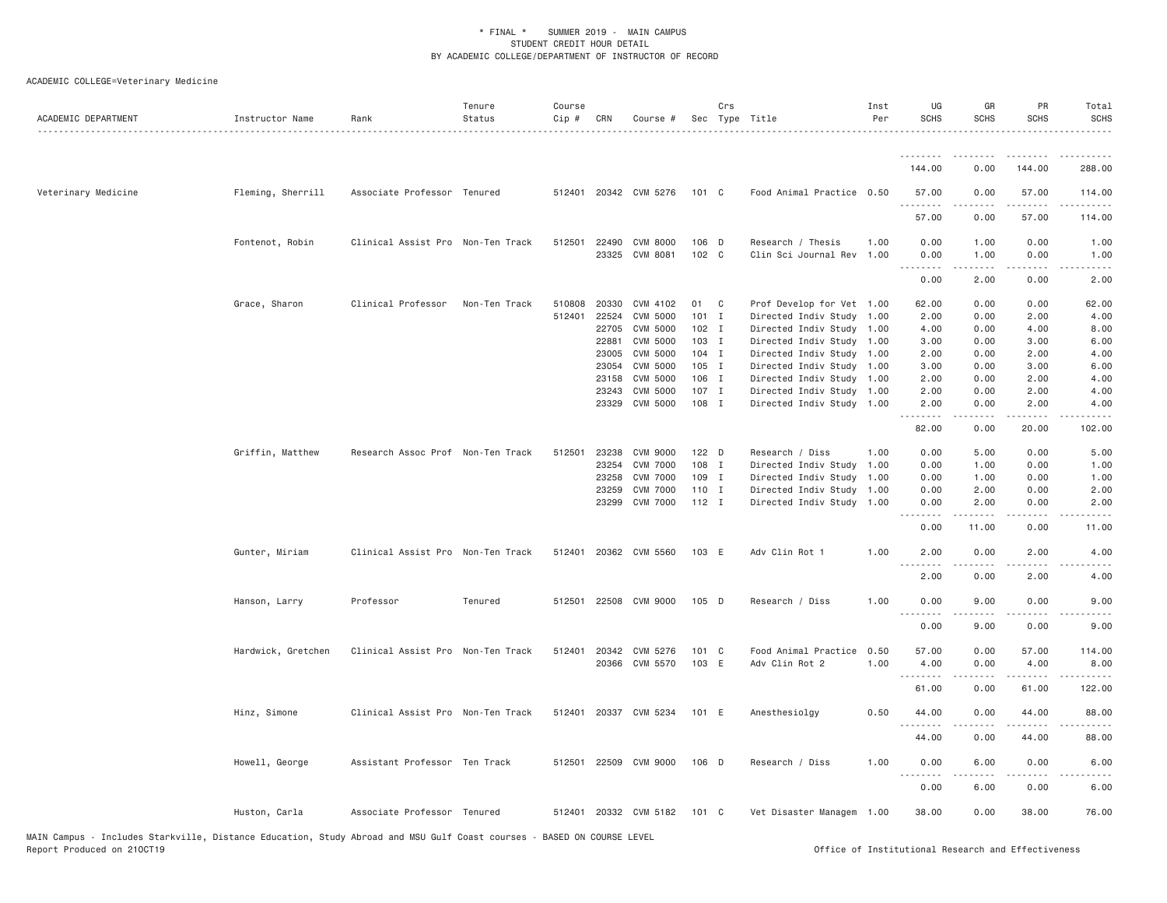| 144.00<br>0.00                                                                                                                                                                           | 144.00<br>288.00                     |
|------------------------------------------------------------------------------------------------------------------------------------------------------------------------------------------|--------------------------------------|
|                                                                                                                                                                                          |                                      |
| Veterinary Medicine<br>Fleming, Sherrill<br>Associate Professor Tenured<br>512401 20342 CVM 5276<br>Food Animal Practice 0.50<br>101 C<br>57.00<br>0.00                                  | 57.00<br>114.00                      |
| 57.00<br>0.00                                                                                                                                                                            | 57.00<br>114.00                      |
| 106 D<br>1.00<br>Fontenot, Robin<br>Clinical Assist Pro Non-Ten Track<br>512501<br>22490<br><b>CVM 8000</b><br>Research / Thesis<br>0.00<br>1.00                                         | 0.00<br>1.00                         |
| 23325 CVM 8081<br>102 C<br>1.00<br>0.00<br>Clin Sci Journal Rev<br>1.00<br>.<br>.                                                                                                        | 0.00<br>1.00<br>د د د د<br>$- - - -$ |
| 0.00<br>2.00                                                                                                                                                                             | 0.00<br>2.00                         |
| Grace, Sharon<br>Clinical Professor<br>20330<br>CVM 4102<br>Non-Ten Track<br>510808<br>01<br>C<br>Prof Develop for Vet 1.00<br>62.00<br>0.00                                             | 62.00<br>0.00                        |
| 512401<br>22524<br><b>CVM 5000</b><br>$101$ I<br>Directed Indiv Study 1.00<br>2.00<br>0.00                                                                                               | 2.00<br>4.00                         |
| 22705<br><b>CVM 5000</b><br>$102$ I<br>Directed Indiv Study<br>1.00<br>4.00<br>0.00                                                                                                      | 4.00<br>8.00                         |
| CVM 5000<br>103 I<br>22881<br>Directed Indiv Study 1.00<br>3.00<br>0.00                                                                                                                  | 3.00<br>6.00                         |
| CVM 5000<br>104 I<br>23005<br>Directed Indiv Study 1.00<br>2.00<br>0.00                                                                                                                  | 2.00<br>4.00                         |
| 23054<br>CVM 5000<br>$105$ I<br>Directed Indiv Study 1.00<br>3.00<br>0.00                                                                                                                | 3.00<br>6.00                         |
| 106 I<br>23158<br><b>CVM 5000</b><br>Directed Indiv Study<br>1.00<br>2.00<br>0.00                                                                                                        | 2.00<br>4.00                         |
| CVM 5000<br>107 I<br>2.00<br>23243<br>Directed Indiv Study 1.00<br>0.00                                                                                                                  | 2.00<br>4.00                         |
| 108 I<br>23329 CVM 5000<br>Directed Indiv Study 1.00<br>2.00<br>0.00<br>$\sim$ $\sim$ $\sim$ $\sim$                                                                                      | 2.00<br>4.00                         |
| 82.00<br>0.00                                                                                                                                                                            | 20.00<br>102.00                      |
| Griffin, Matthew<br>Research Assoc Prof Non-Ten Track<br>512501<br>23238<br>CVM 9000<br>122 D<br>Research / Diss<br>1,00<br>0.00<br>5.00                                                 | 0.00<br>5.00                         |
| 23254<br><b>CVM 7000</b><br>108 I<br>Directed Indiv Study<br>1.00<br>0.00<br>1.00                                                                                                        | 0.00<br>1.00                         |
| <b>CVM 7000</b><br>109 I<br>23258<br>Directed Indiv Study<br>1.00<br>0.00<br>1.00                                                                                                        | 0.00<br>1.00                         |
| <b>CVM 7000</b><br>110 I<br>0.00<br>23259<br>Directed Indiv Study<br>1.00<br>2.00                                                                                                        | 0.00<br>2.00                         |
| 23299 CVM 7000<br>$112$ I<br>Directed Indiv Study 1.00<br>0.00<br>2.00<br>.<br>-----                                                                                                     | 0.00<br>2.00<br>.<br>$\frac{1}{2}$   |
| 0.00<br>11.00                                                                                                                                                                            | 0.00<br>11.00                        |
| 512401 20362 CVM 5560<br>Gunter, Miriam<br>Clinical Assist Pro Non-Ten Track<br>103 E<br>Adv Clin Rot 1<br>1.00<br>2.00<br>0.00<br>.<br><u>.</u>                                         | 2.00<br>4.00<br>.                    |
| 2.00<br>0.00                                                                                                                                                                             | 2.00<br>4.00                         |
| Professor<br>22508 CVM 9000<br>$105$ D<br>1.00<br>9.00<br>Hanson, Larry<br>Tenured<br>512501<br>Research / Diss<br>0.00                                                                  | 0.00<br>9.00                         |
| .<br>.<br>0.00<br>9.00                                                                                                                                                                   | .<br>0.00<br>9.00                    |
| 101 C<br>0.50<br>57.00                                                                                                                                                                   |                                      |
| 0.00<br>Hardwick, Gretchen<br>Clinical Assist Pro Non-Ten Track<br>512401<br>20342 CVM 5276<br>Food Animal Practice<br>20366 CVM 5570<br>103 E<br>Adv Clin Rot 2<br>1.00<br>4.00<br>0.00 | 57.00<br>114.00<br>4.00<br>8.00      |
| .                                                                                                                                                                                        |                                      |
| 61.00<br>0.00                                                                                                                                                                            | 61.00<br>122.00                      |
| Hinz, Simone<br>Clinical Assist Pro Non-Ten Track<br>512401<br>20337 CVM 5234<br>101 E<br>Anesthesiolgy<br>0.50<br>44.00<br>0.00                                                         | 44.00<br>88.00                       |
| 44.00<br>0.00                                                                                                                                                                            | 44.00<br>88.00                       |
| Assistant Professor Ten Track<br>22509 CVM 9000<br>1,00<br>6.00<br>Howell, George<br>512501<br>106 D<br>Research / Diss<br>0.00                                                          | 0.00<br>6.00                         |
| $\sim$ $\sim$ $\sim$<br>0.00<br>6.00                                                                                                                                                     | 0.00<br>6.00                         |
| 512401 20332 CVM 5182<br>38.00<br>0.00<br>Huston, Carla<br>Associate Professor Tenured<br>101 C<br>Vet Disaster Managem 1.00                                                             | 38.00<br>76.00                       |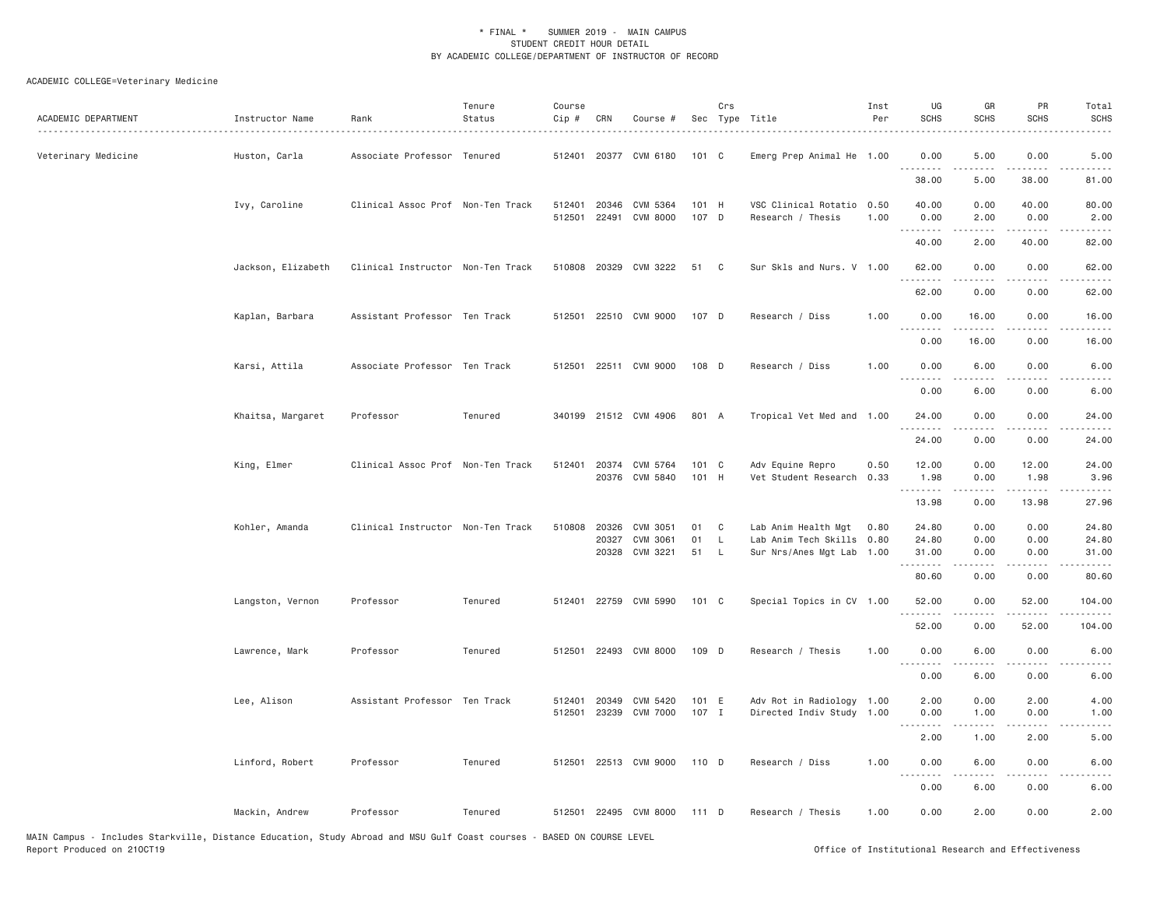# ACADEMIC COLLEGE=Veterinary Medicine

| ACADEMIC DEPARTMENT | Instructor Name    | Rank                              | Tenure<br>Status | Course<br>Cip #  | CRN            | Course #                   |                | Crs               | Sec Type Title                                         | Inst<br>Per  | UG<br><b>SCHS</b>           | GR<br><b>SCHS</b>    | PR<br><b>SCHS</b>                   | Total<br><b>SCHS</b>  |
|---------------------|--------------------|-----------------------------------|------------------|------------------|----------------|----------------------------|----------------|-------------------|--------------------------------------------------------|--------------|-----------------------------|----------------------|-------------------------------------|-----------------------|
| Veterinary Medicine | Huston, Carla      | Associate Professor Tenured       |                  |                  |                | 512401 20377 CVM 6180      | 101 C          |                   | Emerg Prep Animal He 1.00                              |              | 0.00<br><u>.</u>            | 5.00                 | 0.00                                | 5.00<br>$\frac{1}{2}$ |
|                     |                    |                                   |                  |                  |                |                            |                |                   |                                                        |              | 38.00                       | 5.00                 | 38.00                               | 81.00                 |
|                     | Ivy, Caroline      | Clinical Assoc Prof Non-Ten Track |                  | 512401<br>512501 | 20346<br>22491 | CVM 5364<br>CVM 8000       | 101 H<br>107 D |                   | VSC Clinical Rotatio<br>Research / Thesis              | 0.50<br>1.00 | 40.00<br>0.00               | 0.00<br>2.00         | 40.00<br>0.00                       | 80.00<br>2.00         |
|                     |                    |                                   |                  |                  |                |                            |                |                   |                                                        |              | 40.00                       | 2.00                 | 40.00                               | 82.00                 |
|                     | Jackson, Elizabeth | Clinical Instructor Non-Ten Track |                  |                  |                | 510808 20329 CVM 3222      | 51             | $\mathbf{C}$      | Sur Skls and Nurs. V 1.00                              |              | 62.00<br>.                  | 0.00                 | 0.00<br>.                           | 62.00<br>.            |
|                     |                    |                                   |                  |                  |                |                            |                |                   |                                                        |              | 62.00                       | 0.00                 | 0.00                                | 62.00                 |
|                     | Kaplan, Barbara    | Assistant Professor Ten Track     |                  | 512501           |                | 22510 CVM 9000             | 107 D          |                   | Research / Diss                                        | 1.00         | 0.00<br>.                   | 16.00<br>$- - - - -$ | 0.00<br>.                           | 16.00<br>.            |
|                     |                    |                                   |                  |                  |                |                            |                |                   |                                                        |              | 0.00                        | 16.00                | 0.00                                | 16.00                 |
|                     | Karsi, Attila      | Associate Professor Ten Track     |                  | 512501           |                | 22511 CVM 9000             | 108 D          |                   | Research / Diss                                        | 1.00         | 0.00<br>.                   | 6.00<br>.            | 0.00<br>$\sim$ $\sim$ $\sim$        | 6.00<br>----          |
|                     |                    |                                   |                  |                  |                |                            |                |                   |                                                        |              | 0.00                        | 6.00                 | 0.00                                | 6.00                  |
|                     | Khaitsa, Margaret  | Professor                         | Tenured          |                  |                | 340199 21512 CVM 4906      | 801 A          |                   | Tropical Vet Med and 1.00                              |              | 24.00<br>.                  | 0.00<br>.            | 0.00<br>.                           | 24.00<br>.            |
|                     |                    |                                   |                  |                  |                |                            |                |                   |                                                        |              | 24.00                       | 0.00                 | 0.00                                | 24.00                 |
|                     | King, Elmer        | Clinical Assoc Prof Non-Ten Track |                  | 512401           | 20374          | CVM 5764                   | 101 C          |                   | Adv Equine Repro                                       | 0.50         | 12.00                       | 0.00                 | 12.00                               | 24.00                 |
|                     |                    |                                   |                  |                  |                | 20376 CVM 5840             | 101 H          |                   | Vet Student Research                                   | 0.33         | 1.98<br>.                   | 0.00<br>-----        | 1.98<br>د د د د د                   | 3.96<br>.             |
|                     |                    |                                   |                  |                  |                |                            |                |                   |                                                        |              | 13.98                       | 0.00                 | 13.98                               | 27.96                 |
|                     | Kohler, Amanda     | Clinical Instructor Non-Ten Track |                  | 510808           | 20326<br>20327 | CVM 3051<br>CVM 3061       | 01<br>01       | C<br>$\mathsf{L}$ | Lab Anim Health Mgt<br>Lab Anim Tech Skills            | 0.80         | 24.80<br>24.80              | 0.00<br>0.00         | 0.00<br>0.00                        | 24.80<br>24.80        |
|                     |                    |                                   |                  |                  | 20328          | CVM 3221                   | 51             | L                 | Sur Nrs/Anes Mgt Lab                                   | 0.80<br>1.00 | 31.00                       | 0.00                 | 0.00                                | 31.00                 |
|                     |                    |                                   |                  |                  |                |                            |                |                   |                                                        |              | .<br>80.60                  | .<br>0.00            | $\sim$ $\sim$ $\sim$ $\sim$<br>0.00 | المستبدا<br>80.60     |
|                     | Langston, Vernon   | Professor                         | Tenured          | 512401           |                | 22759 CVM 5990             | $101 \quad C$  |                   | Special Topics in CV 1.00                              |              | 52.00                       | 0.00                 | 52.00                               | 104.00                |
|                     |                    |                                   |                  |                  |                |                            |                |                   |                                                        |              | 52.00                       | 0.00                 | 52.00                               | 104.00                |
|                     | Lawrence, Mark     | Professor                         | Tenured          | 512501           |                | 22493 CVM 8000             | 109 D          |                   | Research / Thesis                                      | 1.00         | 0.00<br>$\frac{1}{2}$       | 6.00                 | 0.00                                | 6.00                  |
|                     |                    |                                   |                  |                  |                |                            |                |                   |                                                        |              | 0.00                        | 6.00                 | 0.00                                | 6.00                  |
|                     | Lee, Alison        | Assistant Professor Ten Track     |                  | 512401<br>512501 | 20349          | CVM 5420<br>23239 CVM 7000 | 101 E<br>107 I |                   | Adv Rot in Radiology 1.00<br>Directed Indiv Study 1.00 |              | 2.00<br>0.00                | 0.00<br>1.00         | 2.00<br>0.00                        | 4.00<br>1.00          |
|                     |                    |                                   |                  |                  |                |                            |                |                   |                                                        |              | $\sim$ $\sim$ $\sim$ $\sim$ |                      | .                                   |                       |
|                     |                    |                                   |                  |                  |                |                            |                |                   |                                                        |              | 2.00                        | 1.00                 | 2.00                                | 5.00                  |
|                     | Linford, Robert    | Professor                         | Tenured          |                  |                | 512501 22513 CVM 9000      | 110 D          |                   | Research / Diss                                        | 1.00         | 0.00<br>.                   | 6.00<br>.            | 0.00<br>.                           | 6.00<br>----          |
|                     |                    |                                   |                  |                  |                |                            |                |                   |                                                        |              | 0.00                        | 6.00                 | 0.00                                | 6.00                  |
|                     | Mackin, Andrew     | Professor                         | Tenured          |                  |                | 512501 22495 CVM 8000      | 111 D          |                   | Research / Thesis                                      | 1.00         | 0.00                        | 2.00                 | 0.00                                | 2.00                  |

MAIN Campus - Includes Starkville, Distance Education, Study Abroad and MSU Gulf Coast courses - BASED ON COURSE LEVEL<br>Report Produced on 210CT19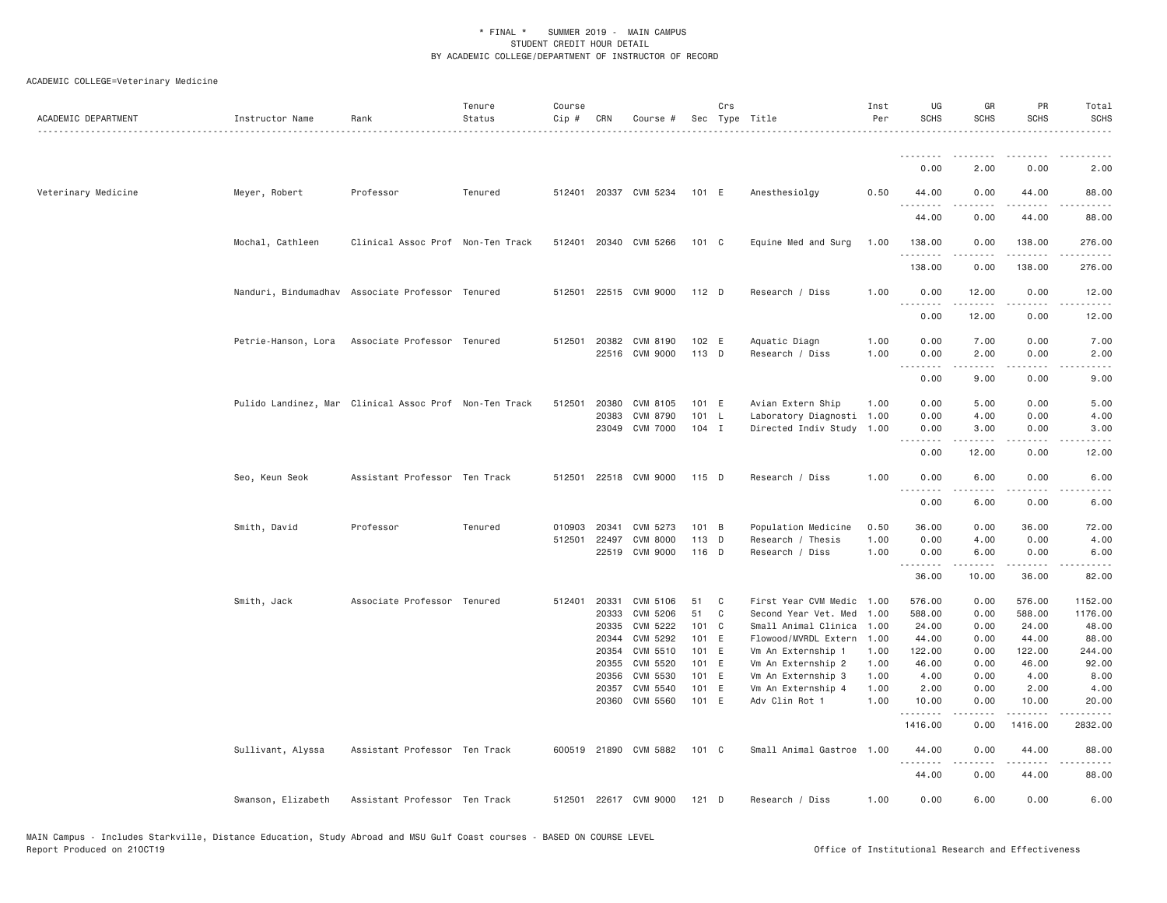| ACADEMIC DEPARTMENT | Instructor Name    | Rank                                                   | Tenure<br>Status | Course<br>$Cip$ # | CRN            | Course #                         |                | Crs | Sec Type Title                                 | Inst<br>Per  | UG<br><b>SCHS</b> | GR<br><b>SCHS</b> | PR<br><b>SCHS</b>                   | Total<br><b>SCHS</b> |
|---------------------|--------------------|--------------------------------------------------------|------------------|-------------------|----------------|----------------------------------|----------------|-----|------------------------------------------------|--------------|-------------------|-------------------|-------------------------------------|----------------------|
|                     |                    |                                                        |                  |                   |                |                                  |                |     |                                                |              |                   |                   |                                     |                      |
|                     |                    |                                                        |                  |                   |                |                                  |                |     |                                                |              | 0.00              | 2.00              | 0.00                                | 2.00                 |
| Veterinary Medicine | Meyer, Robert      | Professor                                              | Tenured          |                   |                | 512401 20337 CVM 5234            | 101 E          |     | Anesthesiolgy                                  | 0.50         | 44.00<br>.        | 0.00              | 44.00                               | 88.00                |
|                     |                    |                                                        |                  |                   |                |                                  |                |     |                                                |              | 44.00             | 0.00              | 44.00                               | 88.00                |
|                     | Mochal, Cathleen   | Clinical Assoc Prof Non-Ten Track                      |                  |                   |                | 512401 20340 CVM 5266            | 101 C          |     | Equine Med and Surg                            | 1.00         | 138.00            | 0.00              | 138.00<br>- - - -                   | 276.00               |
|                     |                    |                                                        |                  |                   |                |                                  |                |     |                                                |              | 138.00            | 0.00              | 138.00                              | 276.00               |
|                     |                    | Nanduri, Bindumadhav Associate Professor Tenured       |                  |                   |                | 512501 22515 CVM 9000            | 112 D          |     | Research / Diss                                | 1.00         | 0.00<br>.         | 12.00<br>.        | 0.00<br>-----                       | 12.00<br>.           |
|                     |                    |                                                        |                  |                   |                |                                  |                |     |                                                |              | 0.00              | 12.00             | 0.00                                | 12.00                |
|                     |                    | Petrie-Hanson, Lora Associate Professor Tenured        |                  | 512501            |                | 20382 CVM 8190<br>22516 CVM 9000 | 102 E<br>113 D |     | Aquatic Diagn<br>Research / Diss               | 1.00<br>1.00 | 0.00<br>0.00      | 7.00<br>2.00      | 0.00<br>0.00                        | 7.00<br>2.00         |
|                     |                    |                                                        |                  |                   |                |                                  |                |     |                                                |              | .<br>0.00         | 9.00              | .<br>0.00                           | $- - - -$<br>9.00    |
|                     |                    | Pulido Landinez, Mar Clinical Assoc Prof Non-Ten Track |                  | 512501            | 20380<br>20383 | CVM 8105<br>CVM 8790             | 101 E<br>101 L |     | Avian Extern Ship<br>Laboratory Diagnosti 1.00 | 1.00         | 0.00<br>0.00      | 5.00<br>4.00      | 0.00<br>0.00                        | 5.00<br>4.00         |
|                     |                    |                                                        |                  |                   | 23049          | <b>CVM 7000</b>                  | $104$ I        |     | Directed Indiv Study                           | 1.00         | 0.00<br>.         | 3.00<br>.         | 0.00<br>$\sim$ $\sim$ $\sim$ $\sim$ | 3.00<br>$- - - -$    |
|                     |                    |                                                        |                  |                   |                |                                  |                |     |                                                |              | 0.00              | 12.00             | 0.00                                | 12.00                |
|                     | Seo, Keun Seok     | Assistant Professor Ten Track                          |                  | 512501            |                | 22518 CVM 9000                   | 115 D          |     | Research / Diss                                | 1.00         | 0.00<br><u>.</u>  | 6.00              | 0.00                                | 6.00                 |
|                     |                    |                                                        |                  |                   |                |                                  |                |     |                                                |              | 0.00              | 6.00              | 0.00                                | 6.00                 |
|                     | Smith, David       | Professor                                              | Tenured          | 010903<br>512501  | 20341<br>22497 | CVM 5273<br><b>CVM 8000</b>      | 101 B<br>113 D |     | Population Medicine<br>Research / Thesis       | 0.50<br>1.00 | 36.00<br>0.00     | 0.00<br>4.00      | 36.00<br>0.00                       | 72.00<br>4.00        |
|                     |                    |                                                        |                  |                   | 22519          | CVM 9000                         | 116 D          |     | Research / Diss                                | 1.00         | 0.00              | 6.00              | 0.00                                | 6.00                 |
|                     |                    |                                                        |                  |                   |                |                                  |                |     |                                                |              | <u>.</u><br>36.00 | .<br>10.00        | $- - -$<br>36.00                    | 82.00                |
|                     | Smith, Jack        | Associate Professor Tenured                            |                  | 512401            | 20331          | CVM 5106                         | 51             | C   | First Year CVM Medic                           | 1.00         | 576.00            | 0.00              | 576.00                              | 1152.00              |
|                     |                    |                                                        |                  |                   | 20333          | <b>CVM 5206</b>                  | 51             | C   | Second Year Vet. Med                           | 1.00         | 588.00            | 0.00              | 588.00                              | 1176.00              |
|                     |                    |                                                        |                  |                   | 20335          | CVM 5222                         | 101 C          |     | Small Animal Clinica                           | 1.00         | 24.00             | 0.00              | 24.00                               | 48.00                |
|                     |                    |                                                        |                  |                   | 20344          | CVM 5292                         | 101 E          |     | Flowood/MVRDL Extern                           | 1.00         | 44.00             | 0.00              | 44.00                               | 88.00                |
|                     |                    |                                                        |                  |                   | 20354          | CVM 5510                         | 101 E          |     | Vm An Externship 1                             | 1.00         | 122.00            | 0.00              | 122.00                              | 244.00               |
|                     |                    |                                                        |                  |                   | 20355<br>20356 | CVM 5520<br>CVM 5530             | 101 E<br>101 E |     | Vm An Externship 2<br>Vm An Externship 3       | 1.00<br>1.00 | 46.00<br>4.00     | 0.00<br>0.00      | 46.00<br>4.00                       | 92.00<br>8.00        |
|                     |                    |                                                        |                  |                   | 20357          | CVM 5540                         | 101 E          |     | Vm An Externship 4                             | 1.00         | 2.00              | 0.00              | 2.00                                | 4.00                 |
|                     |                    |                                                        |                  |                   |                | 20360 CVM 5560                   | 101 E          |     | Adv Clin Rot 1                                 | 1.00         | 10.00<br>.        | 0.00              | 10.00                               | 20.00                |
|                     |                    |                                                        |                  |                   |                |                                  |                |     |                                                |              | 1416.00           | 0.00              | 1416.00                             | 2832.00              |
|                     | Sullivant, Alyssa  | Assistant Professor Ten Track                          |                  |                   |                | 600519 21890 CVM 5882            | 101 C          |     | Small Animal Gastroe 1.00                      |              | 44.00             | 0.00<br>.         | 44.00<br>.                          | 88.00<br>.           |
|                     |                    |                                                        |                  |                   |                |                                  |                |     |                                                |              | 44.00             | 0.00              | 44.00                               | 88.00                |
|                     | Swanson, Elizabeth | Assistant Professor Ten Track                          |                  | 512501            |                | 22617 CVM 9000                   | $121$ D        |     | Research / Diss                                | 1.00         | 0.00              | 6.00              | 0.00                                | 6.00                 |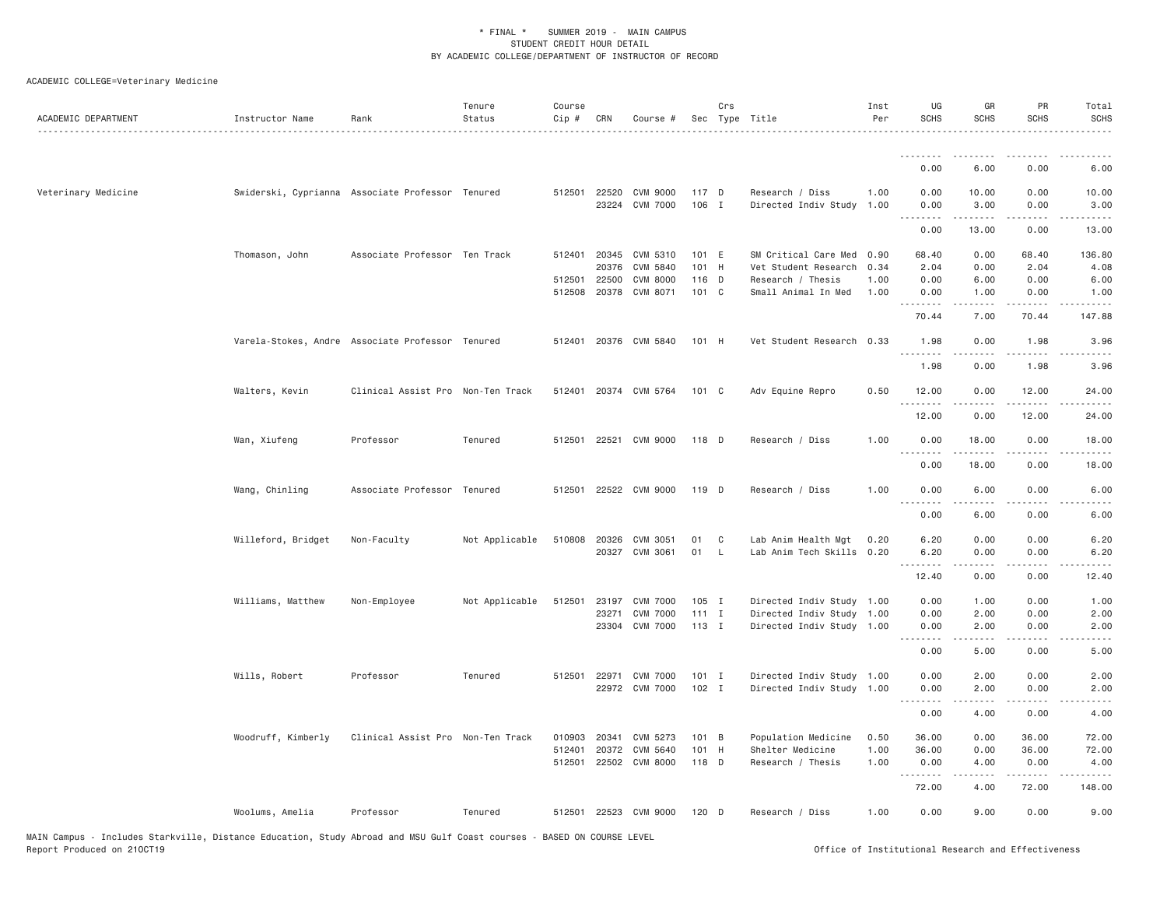| ACADEMIC DEPARTMENT | Instructor Name    | Rank                                             | Tenure<br>Status | Course<br>Cip # | CRN          | Course #                          |                  | Crs | Sec Type Title                                         | Inst<br>Per  | UG<br><b>SCHS</b> | GR<br><b>SCHS</b>              | PR<br><b>SCHS</b>                                                                                                                                             | Total<br><b>SCHS</b>                                                                                                              |
|---------------------|--------------------|--------------------------------------------------|------------------|-----------------|--------------|-----------------------------------|------------------|-----|--------------------------------------------------------|--------------|-------------------|--------------------------------|---------------------------------------------------------------------------------------------------------------------------------------------------------------|-----------------------------------------------------------------------------------------------------------------------------------|
|                     |                    |                                                  |                  |                 |              |                                   |                  |     |                                                        |              | <u>.</u>          | .                              | ----                                                                                                                                                          |                                                                                                                                   |
|                     |                    |                                                  |                  |                 |              |                                   |                  |     |                                                        |              | 0.00              | 6.00                           | 0.00                                                                                                                                                          | 6.00                                                                                                                              |
| Veterinary Medicine |                    | Swiderski, Cyprianna Associate Professor Tenured |                  | 512501 22520    |              | CVM 9000<br>23224 CVM 7000        | 117 D<br>106 I   |     | Research / Diss<br>Directed Indiv Study                | 1.00<br>1.00 | 0.00<br>0.00<br>. | 10.00<br>3.00                  | 0.00<br>0.00<br>.                                                                                                                                             | 10.00<br>3.00<br>.                                                                                                                |
|                     |                    |                                                  |                  |                 |              |                                   |                  |     |                                                        |              | 0.00              | 13.00                          | 0.00                                                                                                                                                          | 13.00                                                                                                                             |
|                     | Thomason, John     | Associate Professor Ten Track                    |                  | 512401          | 20345        | CVM 5310                          | 101 E            |     | SM Critical Care Med                                   | 0.90         | 68.40             | 0.00                           | 68.40                                                                                                                                                         | 136.80                                                                                                                            |
|                     |                    |                                                  |                  | 512501 22500    | 20376        | CVM 5840<br><b>CVM 8000</b>       | 101 H<br>116 D   |     | Vet Student Research<br>Research / Thesis              | 0.34<br>1.00 | 2.04<br>0.00      | 0.00<br>6.00                   | 2.04<br>0.00                                                                                                                                                  | 4.08<br>6.00                                                                                                                      |
|                     |                    |                                                  |                  |                 | 512508 20378 | CVM 8071                          | 101 C            |     | Small Animal In Med                                    | 1.00         | 0.00<br>.         | 1.00                           | 0.00<br>$- - - - -$                                                                                                                                           | 1.00<br>$\begin{array}{cccccccccccccc} \bullet & \bullet & \bullet & \bullet & \bullet & \bullet & \bullet & \bullet \end{array}$ |
|                     |                    |                                                  |                  |                 |              |                                   |                  |     |                                                        |              | 70.44             | 7.00                           | 70.44                                                                                                                                                         | 147.88                                                                                                                            |
|                     |                    | Varela-Stokes, Andre Associate Professor Tenured |                  |                 |              | 512401 20376 CVM 5840             | 101 H            |     | Vet Student Research 0.33                              |              | 1.98<br>.         | 0.00                           | 1.98                                                                                                                                                          | 3.96<br>$\sim$ $\sim$ $\sim$ $\sim$                                                                                               |
|                     |                    |                                                  |                  |                 |              |                                   |                  |     |                                                        |              | 1.98              | 0.00                           | 1.98                                                                                                                                                          | 3.96                                                                                                                              |
|                     | Walters, Kevin     | Clinical Assist Pro Non-Ten Track                |                  |                 |              | 512401 20374 CVM 5764             | 101 C            |     | Adv Equine Repro                                       | 0.50         | 12.00<br>.        | 0.00                           | 12.00<br>$\frac{1}{2} \left( \frac{1}{2} \right) \left( \frac{1}{2} \right) \left( \frac{1}{2} \right) \left( \frac{1}{2} \right) \left( \frac{1}{2} \right)$ | 24.00<br>.                                                                                                                        |
|                     |                    |                                                  |                  |                 |              |                                   |                  |     |                                                        |              | 12.00             | 0.00                           | 12.00                                                                                                                                                         | 24.00                                                                                                                             |
|                     | Wan, Xiufeng       | Professor                                        | Tenured          | 512501          |              | 22521 CVM 9000                    | 118 D            |     | Research / Diss                                        | 1.00         | 0.00<br><u>.</u>  | 18.00<br>.                     | 0.00<br>.                                                                                                                                                     | 18.00<br>$    -$                                                                                                                  |
|                     |                    |                                                  |                  |                 |              |                                   |                  |     |                                                        |              | 0.00              | 18.00                          | 0.00                                                                                                                                                          | 18.00                                                                                                                             |
|                     | Wang, Chinling     | Associate Professor Tenured                      |                  |                 |              | 512501 22522 CVM 9000             | 119 D            |     | Research / Diss                                        | 1.00         | 0.00              | 6.00                           | 0.00                                                                                                                                                          | 6.00                                                                                                                              |
|                     |                    |                                                  |                  |                 |              |                                   |                  |     |                                                        |              | 0.00              | 6.00                           | 0.00                                                                                                                                                          | 6.00                                                                                                                              |
|                     | Willeford, Bridget | Non-Faculty                                      | Not Applicable   |                 |              | 510808 20326 CVM 3051             | 01               | C   | Lab Anim Health Mgt                                    | 0.20         | 6.20              | 0.00                           | 0.00                                                                                                                                                          | 6.20                                                                                                                              |
|                     |                    |                                                  |                  |                 | 20327        | CVM 3061                          | 01               | L.  | Lab Anim Tech Skills 0.20                              |              | 6.20<br>.         | 0.00<br>-----                  | 0.00<br>$\frac{1}{2} \left( \frac{1}{2} \right) \left( \frac{1}{2} \right) \left( \frac{1}{2} \right) \left( \frac{1}{2} \right) \left( \frac{1}{2} \right)$  | 6.20<br>$\sim$ $\sim$ $\sim$ $\sim$                                                                                               |
|                     |                    |                                                  |                  |                 |              |                                   |                  |     |                                                        |              | 12.40             | 0.00                           | 0.00                                                                                                                                                          | 12.40                                                                                                                             |
|                     | Williams, Matthew  | Non-Employee                                     | Not Applicable   | 512501          | 23197        | <b>CVM 7000</b>                   | $105$ I          |     | Directed Indiv Study 1.00                              |              | 0.00              | 1.00                           | 0.00                                                                                                                                                          | 1.00                                                                                                                              |
|                     |                    |                                                  |                  |                 | 23271        | <b>CVM 7000</b><br>23304 CVM 7000 | $111$ I<br>113 I |     | Directed Indiv Study 1.00<br>Directed Indiv Study 1.00 |              | 0.00<br>0.00      | 2.00<br>2.00                   | 0.00<br>0.00                                                                                                                                                  | 2.00<br>2.00                                                                                                                      |
|                     |                    |                                                  |                  |                 |              |                                   |                  |     |                                                        |              | .<br>0.00         | .<br>5.00                      | $\sim$ $\sim$ $\sim$<br>0.00                                                                                                                                  | .<br>5.00                                                                                                                         |
|                     | Wills, Robert      | Professor                                        | Tenured          |                 |              | 512501 22971 CVM 7000             | $101$ I          |     | Directed Indiv Study 1.00                              |              | 0.00              | 2.00                           | 0.00                                                                                                                                                          | 2.00                                                                                                                              |
|                     |                    |                                                  |                  |                 |              | 22972 CVM 7000                    | $102$ I          |     | Directed Indiv Study 1.00                              |              | 0.00<br>.         | 2.00<br><b><i><u>.</u></i></b> | 0.00<br>$\sim$ $\sim$ $\sim$ $\sim$                                                                                                                           | 2.00<br>$\sim$ $\sim$ $\sim$ $\sim$ $\sim$                                                                                        |
|                     |                    |                                                  |                  |                 |              |                                   |                  |     |                                                        |              | 0.00              | 4.00                           | 0.00                                                                                                                                                          | 4.00                                                                                                                              |
|                     | Woodruff, Kimberly | Clinical Assist Pro Non-Ten Track                |                  | 010903          | 20341        | CVM 5273                          | 101 B            |     | Population Medicine                                    | 0.50         | 36.00             | 0.00                           | 36.00                                                                                                                                                         | 72.00                                                                                                                             |
|                     |                    |                                                  |                  | 512401          | 20372        | CVM 5640                          | 101 H            |     | Shelter Medicine                                       | 1.00         | 36.00             | 0.00                           | 36.00                                                                                                                                                         | 72.00                                                                                                                             |
|                     |                    |                                                  |                  | 512501          |              | 22502 CVM 8000                    | 118 D            |     | Research / Thesis                                      | 1.00         | 0.00<br><u>.</u>  | 4.00<br>.                      | 0.00<br>$- - - - -$                                                                                                                                           | 4.00<br>.                                                                                                                         |
|                     |                    |                                                  |                  |                 |              |                                   |                  |     |                                                        |              | 72.00             | 4.00                           | 72.00                                                                                                                                                         | 148.00                                                                                                                            |
|                     | Woolums, Amelia    | Professor                                        | Tenured          |                 |              | 512501 22523 CVM 9000             | 120 D            |     | Research / Diss                                        | 1.00         | 0.00              | 9.00                           | 0.00                                                                                                                                                          | 9.00                                                                                                                              |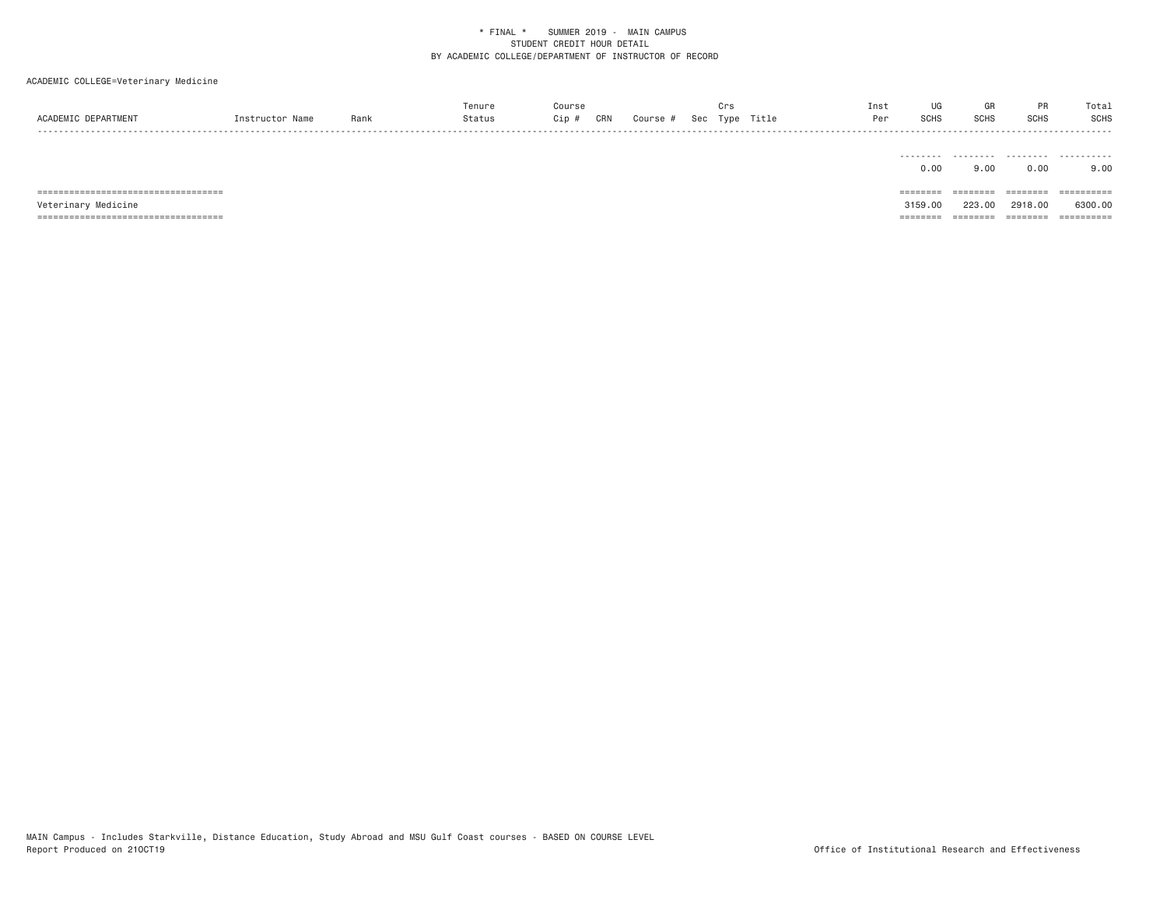# ACADEMIC COLLEGE=Veterinary Medicine

|                                                                   |        | renur |                 |               |  | Inst |     |      |      | υια   |
|-------------------------------------------------------------------|--------|-------|-----------------|---------------|--|------|-----|------|------|-------|
| $\Lambda$ $\Lambda$ $\Gamma$ $\Gamma$ $\Lambda$ $\Gamma$ $\Gamma$ | ۱۵۱۱۴. |       | CR <sub>N</sub> | $\sim$ $\sim$ |  |      | וטכ | יחטכ | ווטט | COLIC |
| - - - -                                                           |        |       |                 |               |  |      |     |      |      |       |

|                     | -------- | -------- | .         | - - - - - - - - - - |
|---------------------|----------|----------|-----------|---------------------|
|                     | 0.00     | 9.00     | 0.00      | 9.00                |
|                     |          |          |           |                     |
|                     |          |          |           |                     |
|                     |          | ======== | --------- | ==========          |
| Veterinary Medicine | 3159.00  | 223.00   | 2918,00   | 6300,00             |

MAIN Campus - Includes Starkville, Distance Education, Study Abroad and MSU Gulf Coast courses - BASED ON COURSE LEVEL<br>Report Produced on 210CT19